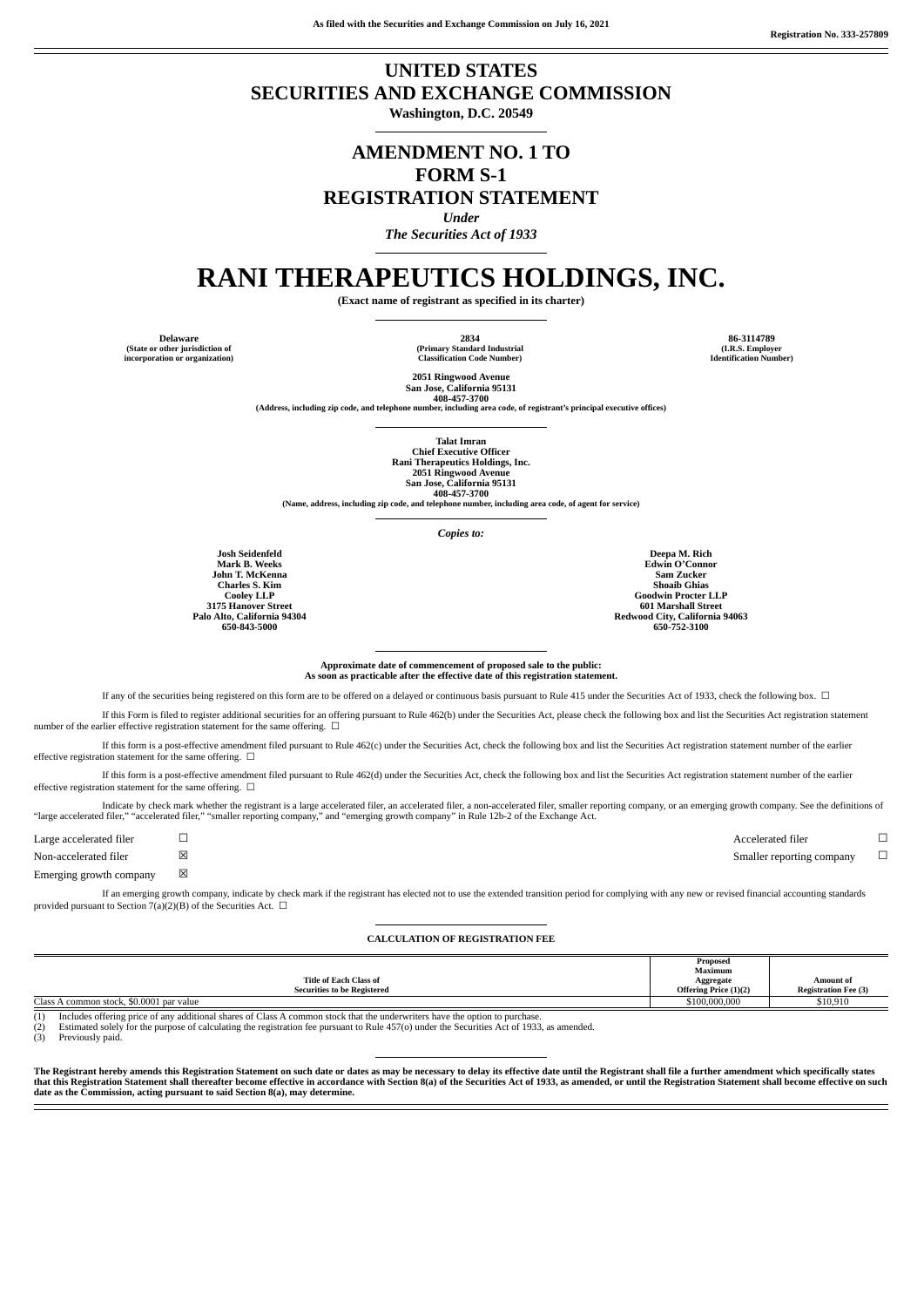**As filed with the Securities and Exchange Commission on July 16, 2021**

## **UNITED STATES SECURITIES AND EXCHANGE COMMISSION**

**Washington, D.C. 20549**

## **AMENDMENT NO. 1 TO**

#### **FORM S-1**

**REGISTRATION STATEMENT**

*Under*

*The Securities Act of 1933*

# **RANI THERAPEUTICS HOLDINGS, INC.**

**(Exact name of registrant as specified in its charter)**

**Delaware 2834 86-3114789 (State or other jurisdiction of incorporation or organization)**

**(Primary Standard Industrial Classification Code Number)**

**(I.R.S. Employer Identification Number)**

**2051 Ringwood Avenue San Jose, California 95131 408-457-3700**

**(Address, including zip code, and telephone number, including area code, of registrant's principal executive offices)**

**Talat Imran Chief Executive Officer Rani Therapeutics Holdings, Inc. 2051 Ringwood Avenue San Jose, California 95131 408-457-3700**

**(Name, address, including zip code, and telephone number, including area code, of agent for service)**

*Copies to:*

**Josh Seidenfeld Mark B. Weeks John T. McKenna Charles S. Kim Cooley LLP 3175 Hanover Street Palo Alto, California 94304 650-843-5000**

**Deepa M. Rich Edwin O'Connor Sam Zucker Shoaib Ghias Goodwin Procter LLP 601 Marshall Street Redwood City, California 94063 650-752-3100**

Approximate date of commencement of proposed sale to the public:<br>As soon as practicable after the effective date of this registration statement.

If any of the securities being registered on this form are to be offered on a delayed or continuous basis pursuant to Rule 415 under the Securities Act of 1933, check the following box. □

If this Form is filed to register additional securities for an offering pursuant to Rule 462(b) under the Securities Act, please check the following box and list the Securities Act registration statement number of the earlier effective registration statement for the same offering.  $\Box$ 

If this form is a post-effective amendment filed pursuant to Rule 462(c) under the Securities Act, check the following box and list the Securities Act registration statement number of the earlier effective registration statement for the same offering.  $\Box$ 

If this form is a post-effective amendment filed pursuant to Rule 462(d) under the Securities Act, check the following box and list the Securities Act registration statement number of the earlier effective registration statement for the same offering.  $\Box$ 

Indicate by check mark whether the registrant is a large accelerated filer, an accelerated filer, a non-accelerated filer, smaller reporting company, or an emerging growth company. See the definitions of "large accelerated

| Large accelerated filer |   | Accelerated filer         |  |
|-------------------------|---|---------------------------|--|
| Non-accelerated filer   |   | Smaller reporting company |  |
| Emerging growth company | ⊠ |                           |  |

If an emerging growth company, indicate by check mark if the registrant has elected not to use the extended transition period for complying with any new or revised financial accounting standards provided pursuant to Section 7(a)(2)(B) of the Securities Act.  $□$ 

#### **CALCULATION OF REGISTRATION FEE**

|                                          | Proposed              |                             |
|------------------------------------------|-----------------------|-----------------------------|
|                                          | Maximum               |                             |
| Title of Each Class of                   | Aggregate             | <b>Amount</b> of            |
| <b>Securities to be Registered</b>       | Offering Price (1)(2) | <b>Registration Fee (3)</b> |
| Class A common stock, \$0,0001 par value | \$100,000,000         | \$10,910                    |
|                                          |                       |                             |

(1) Includes offering price of any additional shares of Class A common stock that the underwriters have the option to purchase. (2) Estimated solely for the purpose of calculating the registration fee pursuant to Rule 457(o) under the Securities Act of 1933, as amended.

Previously paid.

The Registrant hereby amends this Registration Statement on such date or dates as may be necessary to delay its effective date until the Registrant shall file a further amendment which specifically states<br>that this Registr **date as the Commission, acting pursuant to said Section 8(a), may determine.**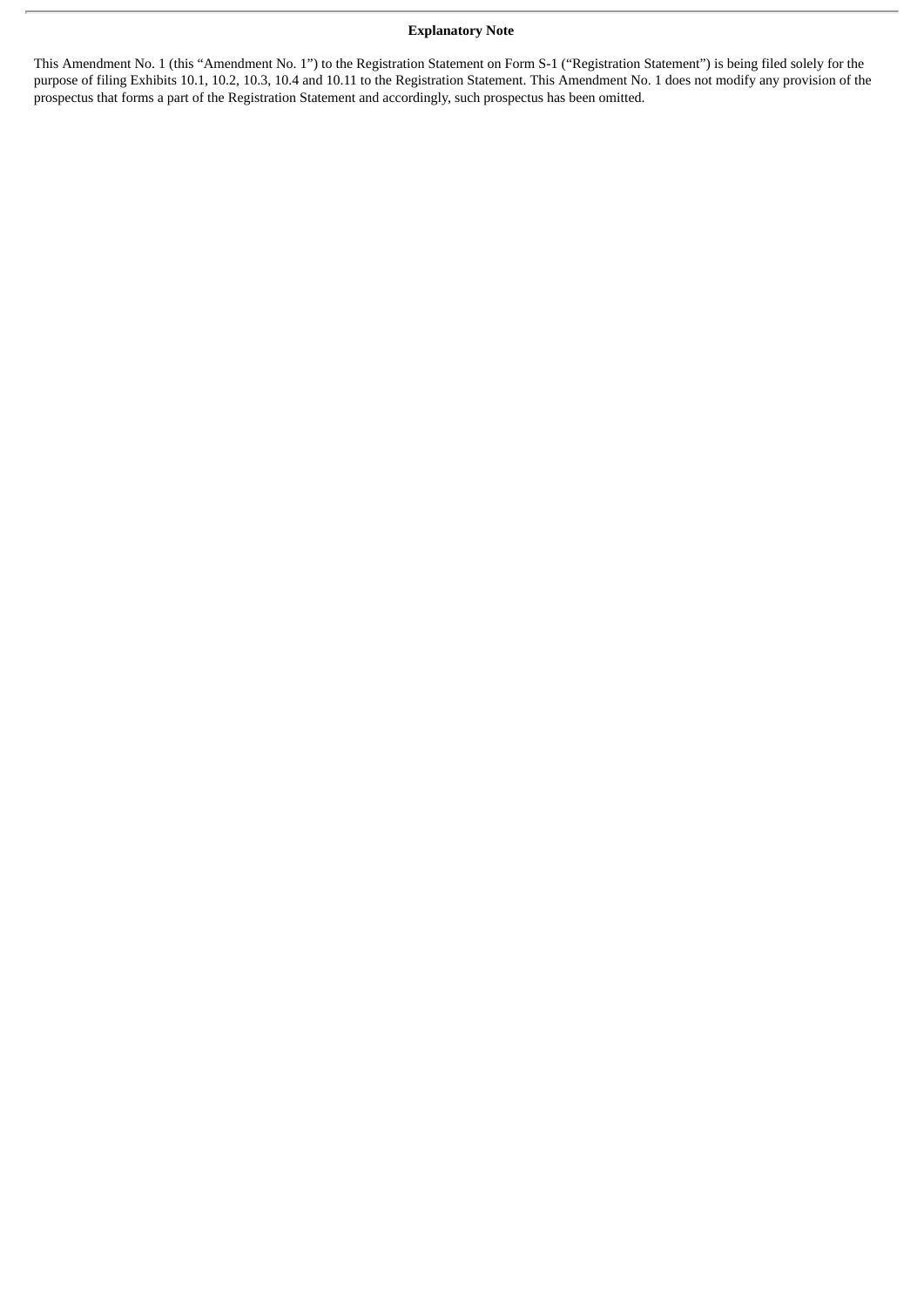## **Explanatory Note**

This Amendment No. 1 (this "Amendment No. 1") to the Registration Statement on Form S-1 ("Registration Statement") is being filed solely for the purpose of filing Exhibits 10.1, 10.2, 10.3, 10.4 and 10.11 to the Registration Statement. This Amendment No. 1 does not modify any provision of the prospectus that forms a part of the Registration Statement and accordingly, such prospectus has been omitted.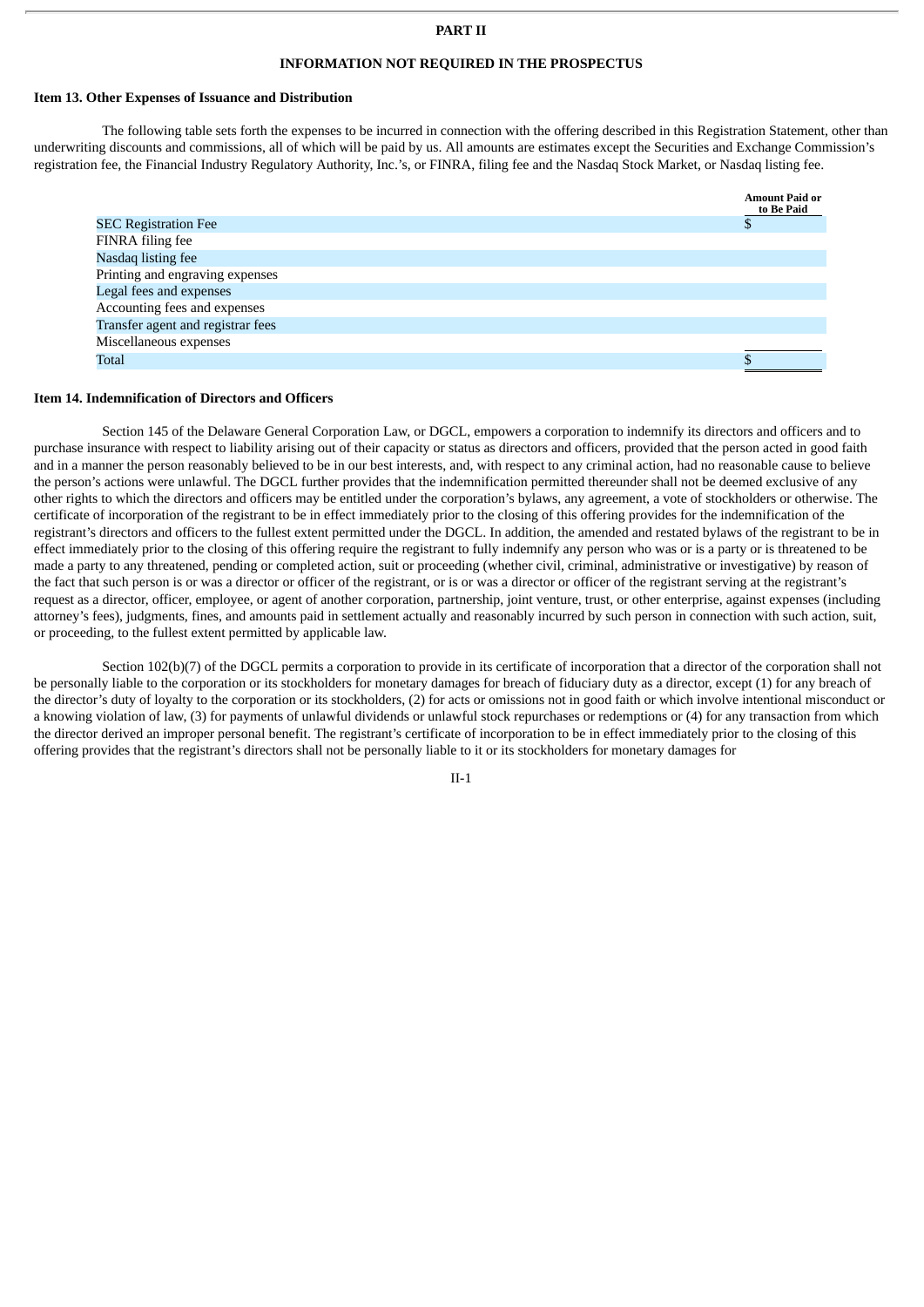#### **PART II**

### **INFORMATION NOT REQUIRED IN THE PROSPECTUS**

#### **Item 13. Other Expenses of Issuance and Distribution**

The following table sets forth the expenses to be incurred in connection with the offering described in this Registration Statement, other than underwriting discounts and commissions, all of which will be paid by us. All amounts are estimates except the Securities and Exchange Commission's registration fee, the Financial Industry Regulatory Authority, Inc.'s, or FINRA, filing fee and the Nasdaq Stock Market, or Nasdaq listing fee.



#### **Item 14. Indemnification of Directors and Officers**

Section 145 of the Delaware General Corporation Law, or DGCL, empowers a corporation to indemnify its directors and officers and to purchase insurance with respect to liability arising out of their capacity or status as directors and officers, provided that the person acted in good faith and in a manner the person reasonably believed to be in our best interests, and, with respect to any criminal action, had no reasonable cause to believe the person's actions were unlawful. The DGCL further provides that the indemnification permitted thereunder shall not be deemed exclusive of any other rights to which the directors and officers may be entitled under the corporation's bylaws, any agreement, a vote of stockholders or otherwise. The certificate of incorporation of the registrant to be in effect immediately prior to the closing of this offering provides for the indemnification of the registrant's directors and officers to the fullest extent permitted under the DGCL. In addition, the amended and restated bylaws of the registrant to be in effect immediately prior to the closing of this offering require the registrant to fully indemnify any person who was or is a party or is threatened to be made a party to any threatened, pending or completed action, suit or proceeding (whether civil, criminal, administrative or investigative) by reason of the fact that such person is or was a director or officer of the registrant, or is or was a director or officer of the registrant serving at the registrant's request as a director, officer, employee, or agent of another corporation, partnership, joint venture, trust, or other enterprise, against expenses (including attorney's fees), judgments, fines, and amounts paid in settlement actually and reasonably incurred by such person in connection with such action, suit, or proceeding, to the fullest extent permitted by applicable law.

Section 102(b)(7) of the DGCL permits a corporation to provide in its certificate of incorporation that a director of the corporation shall not be personally liable to the corporation or its stockholders for monetary damages for breach of fiduciary duty as a director, except (1) for any breach of the director's duty of loyalty to the corporation or its stockholders, (2) for acts or omissions not in good faith or which involve intentional misconduct or a knowing violation of law, (3) for payments of unlawful dividends or unlawful stock repurchases or redemptions or (4) for any transaction from which the director derived an improper personal benefit. The registrant's certificate of incorporation to be in effect immediately prior to the closing of this offering provides that the registrant's directors shall not be personally liable to it or its stockholders for monetary damages for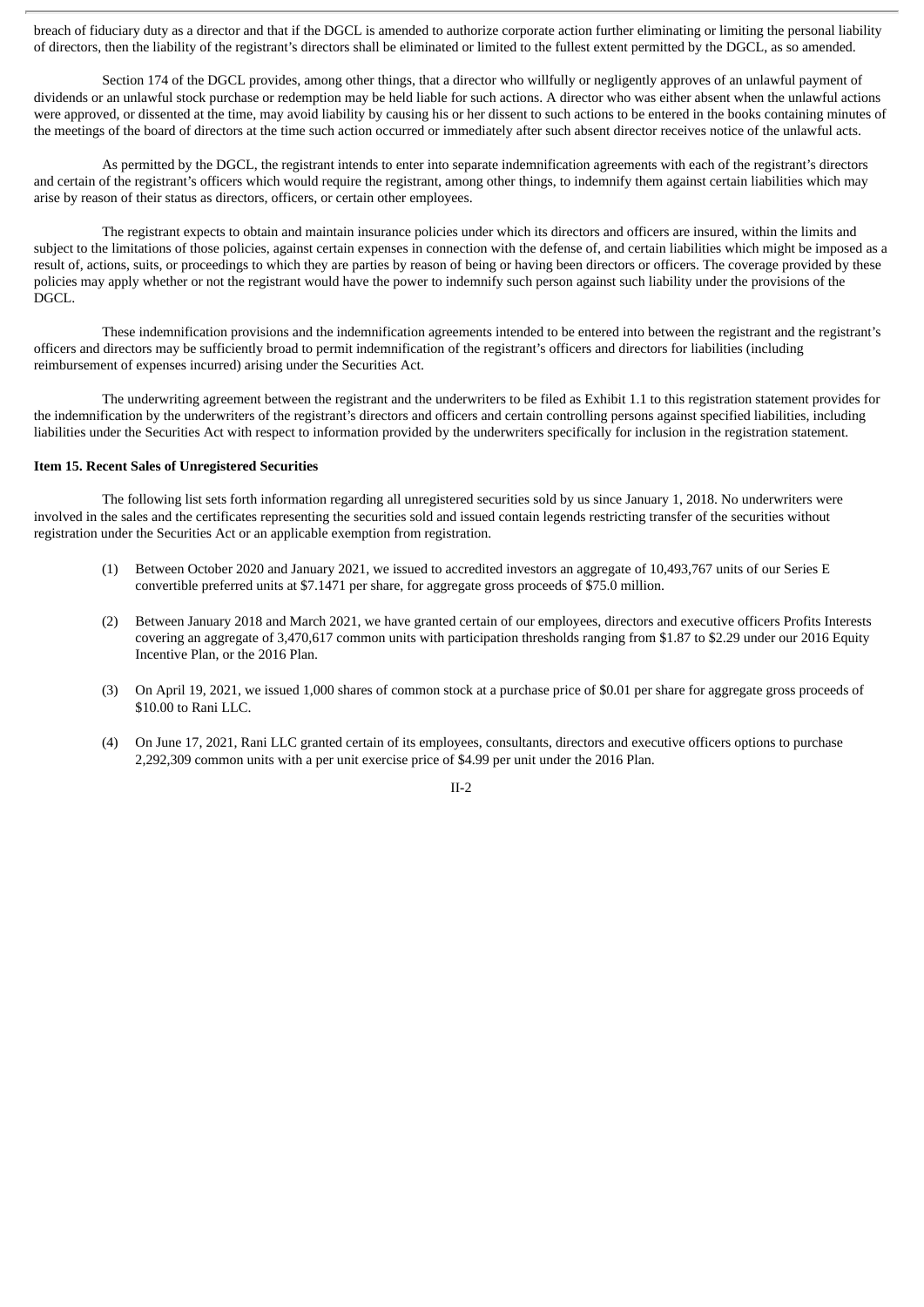breach of fiduciary duty as a director and that if the DGCL is amended to authorize corporate action further eliminating or limiting the personal liability of directors, then the liability of the registrant's directors shall be eliminated or limited to the fullest extent permitted by the DGCL, as so amended.

Section 174 of the DGCL provides, among other things, that a director who willfully or negligently approves of an unlawful payment of dividends or an unlawful stock purchase or redemption may be held liable for such actions. A director who was either absent when the unlawful actions were approved, or dissented at the time, may avoid liability by causing his or her dissent to such actions to be entered in the books containing minutes of the meetings of the board of directors at the time such action occurred or immediately after such absent director receives notice of the unlawful acts.

As permitted by the DGCL, the registrant intends to enter into separate indemnification agreements with each of the registrant's directors and certain of the registrant's officers which would require the registrant, among other things, to indemnify them against certain liabilities which may arise by reason of their status as directors, officers, or certain other employees.

The registrant expects to obtain and maintain insurance policies under which its directors and officers are insured, within the limits and subject to the limitations of those policies, against certain expenses in connection with the defense of, and certain liabilities which might be imposed as a result of, actions, suits, or proceedings to which they are parties by reason of being or having been directors or officers. The coverage provided by these policies may apply whether or not the registrant would have the power to indemnify such person against such liability under the provisions of the DGCL.

These indemnification provisions and the indemnification agreements intended to be entered into between the registrant and the registrant's officers and directors may be sufficiently broad to permit indemnification of the registrant's officers and directors for liabilities (including reimbursement of expenses incurred) arising under the Securities Act.

The underwriting agreement between the registrant and the underwriters to be filed as Exhibit 1.1 to this registration statement provides for the indemnification by the underwriters of the registrant's directors and officers and certain controlling persons against specified liabilities, including liabilities under the Securities Act with respect to information provided by the underwriters specifically for inclusion in the registration statement.

## **Item 15. Recent Sales of Unregistered Securities**

The following list sets forth information regarding all unregistered securities sold by us since January 1, 2018. No underwriters were involved in the sales and the certificates representing the securities sold and issued contain legends restricting transfer of the securities without registration under the Securities Act or an applicable exemption from registration.

- (1) Between October 2020 and January 2021, we issued to accredited investors an aggregate of 10,493,767 units of our Series E convertible preferred units at \$7.1471 per share, for aggregate gross proceeds of \$75.0 million.
- (2) Between January 2018 and March 2021, we have granted certain of our employees, directors and executive officers Profits Interests covering an aggregate of 3,470,617 common units with participation thresholds ranging from \$1.87 to \$2.29 under our 2016 Equity Incentive Plan, or the 2016 Plan.
- (3) On April 19, 2021, we issued 1,000 shares of common stock at a purchase price of \$0.01 per share for aggregate gross proceeds of \$10.00 to Rani LLC.
- (4) On June 17, 2021, Rani LLC granted certain of its employees, consultants, directors and executive officers options to purchase 2,292,309 common units with a per unit exercise price of \$4.99 per unit under the 2016 Plan.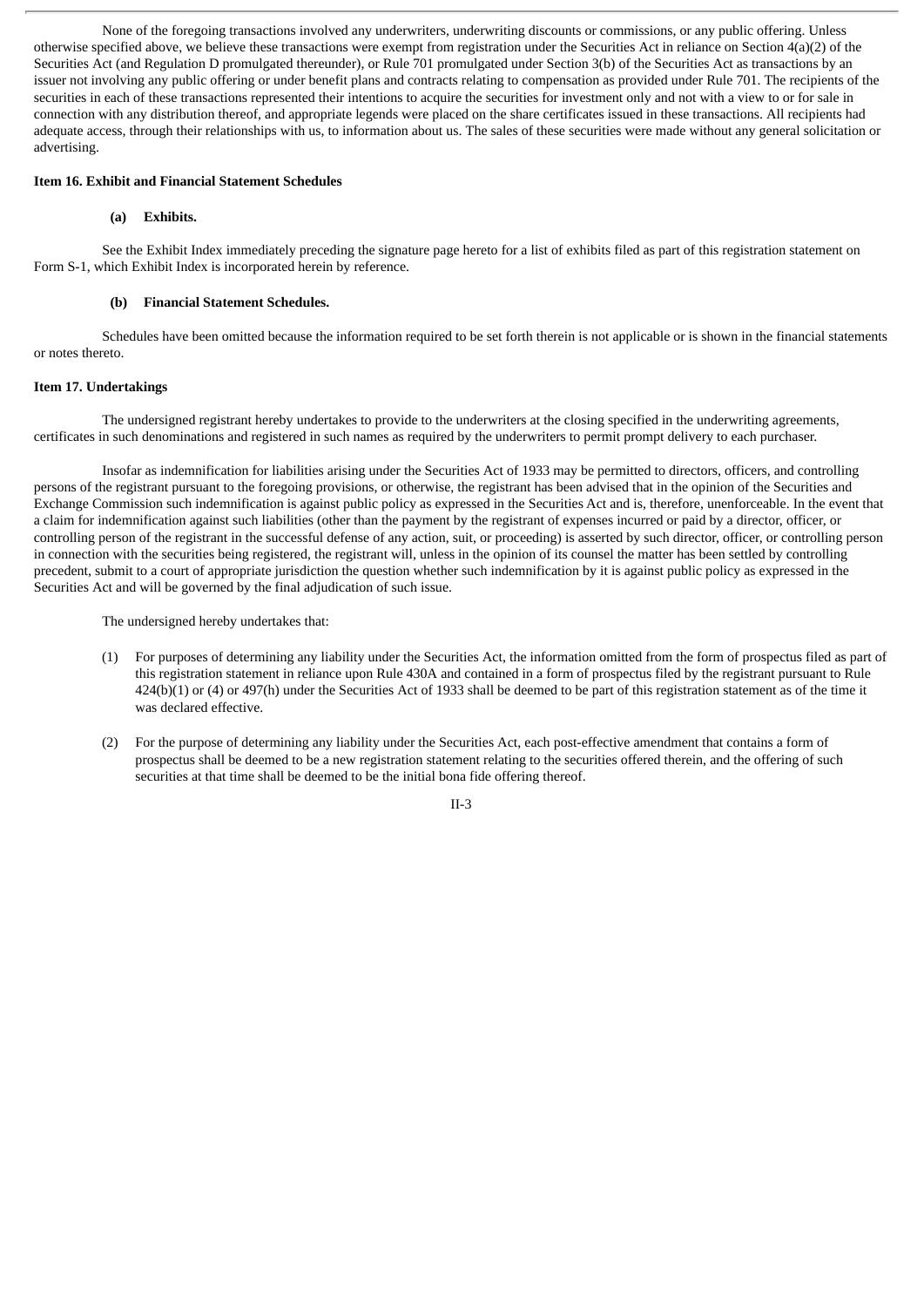None of the foregoing transactions involved any underwriters, underwriting discounts or commissions, or any public offering. Unless otherwise specified above, we believe these transactions were exempt from registration under the Securities Act in reliance on Section 4(a)(2) of the Securities Act (and Regulation D promulgated thereunder), or Rule 701 promulgated under Section 3(b) of the Securities Act as transactions by an issuer not involving any public offering or under benefit plans and contracts relating to compensation as provided under Rule 701. The recipients of the securities in each of these transactions represented their intentions to acquire the securities for investment only and not with a view to or for sale in connection with any distribution thereof, and appropriate legends were placed on the share certificates issued in these transactions. All recipients had adequate access, through their relationships with us, to information about us. The sales of these securities were made without any general solicitation or advertising.

#### **Item 16. Exhibit and Financial Statement Schedules**

#### **(a) Exhibits.**

See the Exhibit Index immediately preceding the signature page hereto for a list of exhibits filed as part of this registration statement on Form S-1, which Exhibit Index is incorporated herein by reference.

#### **(b) Financial Statement Schedules.**

Schedules have been omitted because the information required to be set forth therein is not applicable or is shown in the financial statements or notes thereto.

#### **Item 17. Undertakings**

The undersigned registrant hereby undertakes to provide to the underwriters at the closing specified in the underwriting agreements, certificates in such denominations and registered in such names as required by the underwriters to permit prompt delivery to each purchaser.

Insofar as indemnification for liabilities arising under the Securities Act of 1933 may be permitted to directors, officers, and controlling persons of the registrant pursuant to the foregoing provisions, or otherwise, the registrant has been advised that in the opinion of the Securities and Exchange Commission such indemnification is against public policy as expressed in the Securities Act and is, therefore, unenforceable. In the event that a claim for indemnification against such liabilities (other than the payment by the registrant of expenses incurred or paid by a director, officer, or controlling person of the registrant in the successful defense of any action, suit, or proceeding) is asserted by such director, officer, or controlling person in connection with the securities being registered, the registrant will, unless in the opinion of its counsel the matter has been settled by controlling precedent, submit to a court of appropriate jurisdiction the question whether such indemnification by it is against public policy as expressed in the Securities Act and will be governed by the final adjudication of such issue.

The undersigned hereby undertakes that:

- (1) For purposes of determining any liability under the Securities Act, the information omitted from the form of prospectus filed as part of this registration statement in reliance upon Rule 430A and contained in a form of prospectus filed by the registrant pursuant to Rule 424(b)(1) or (4) or 497(h) under the Securities Act of 1933 shall be deemed to be part of this registration statement as of the time it was declared effective.
- (2) For the purpose of determining any liability under the Securities Act, each post-effective amendment that contains a form of prospectus shall be deemed to be a new registration statement relating to the securities offered therein, and the offering of such securities at that time shall be deemed to be the initial bona fide offering thereof.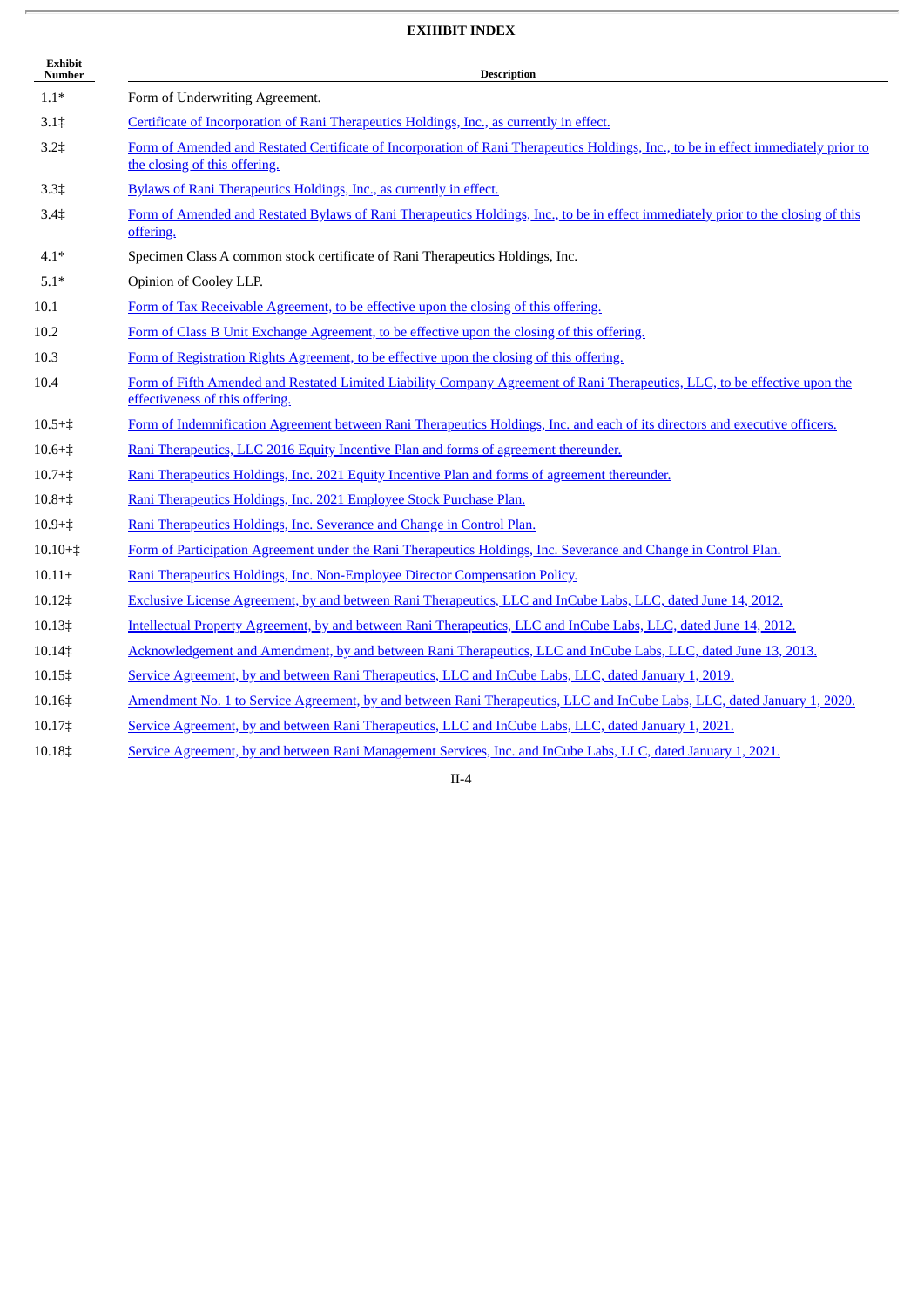## **EXHIBIT INDEX**

| Exhibit<br>Number | <b>Description</b>                                                                                                                                                   |
|-------------------|----------------------------------------------------------------------------------------------------------------------------------------------------------------------|
| $1.1*$            | Form of Underwriting Agreement.                                                                                                                                      |
| 3.1 <sup>‡</sup>  | Certificate of Incorporation of Rani Therapeutics Holdings, Inc., as currently in effect.                                                                            |
| $3.2+$            | Form of Amended and Restated Certificate of Incorporation of Rani Therapeutics Holdings, Inc., to be in effect immediately prior to<br>the closing of this offering. |
| 3.3 <sup>‡</sup>  | Bylaws of Rani Therapeutics Holdings, Inc., as currently in effect.                                                                                                  |
| 3.4 <sup>‡</sup>  | Form of Amended and Restated Bylaws of Rani Therapeutics Holdings, Inc., to be in effect immediately prior to the closing of this<br>offering.                       |
| $4.1*$            | Specimen Class A common stock certificate of Rani Therapeutics Holdings, Inc.                                                                                        |
| $5.1*$            | Opinion of Cooley LLP.                                                                                                                                               |
| 10.1              | Form of Tax Receivable Agreement, to be effective upon the closing of this offering.                                                                                 |
| 10.2              | Form of Class B Unit Exchange Agreement, to be effective upon the closing of this offering.                                                                          |
| 10.3              | Form of Registration Rights Agreement, to be effective upon the closing of this offering.                                                                            |
| 10.4              | Form of Fifth Amended and Restated Limited Liability Company Agreement of Rani Therapeutics, LLC, to be effective upon the<br>effectiveness of this offering.        |
| $10.5 + \ddagger$ | Form of Indemnification Agreement between Rani Therapeutics Holdings, Inc. and each of its directors and executive officers.                                         |
| $10.6 + \pm$      | Rani Therapeutics, LLC 2016 Equity Incentive Plan and forms of agreement thereunder.                                                                                 |
| $10.7 + \pm$      | Rani Therapeutics Holdings, Inc. 2021 Equity Incentive Plan and forms of agreement thereunder.                                                                       |
| $10.8 + 1$        | Rani Therapeutics Holdings, Inc. 2021 Employee Stock Purchase Plan.                                                                                                  |
| $10.9 + \ddagger$ | Rani Therapeutics Holdings, Inc. Severance and Change in Control Plan.                                                                                               |
| $10.10 + 1$       | Form of Participation Agreement under the Rani Therapeutics Holdings, Inc. Severance and Change in Control Plan.                                                     |
| $10.11+$          | Rani Therapeutics Holdings, Inc. Non-Employee Director Compensation Policy.                                                                                          |
| 10.12‡            | Exclusive License Agreement, by and between Rani Therapeutics, LLC and InCube Labs, LLC, dated June 14, 2012.                                                        |
| 10.13‡            | Intellectual Property Agreement, by and between Rani Therapeutics, LLC and InCube Labs, LLC, dated June 14, 2012.                                                    |
| 10.14‡            | Acknowledgement and Amendment, by and between Rani Therapeutics, LLC and InCube Labs, LLC, dated June 13, 2013.                                                      |
| 10.15‡            | Service Agreement, by and between Rani Therapeutics, LLC and InCube Labs, LLC, dated January 1, 2019.                                                                |
| 10.16‡            | Amendment No. 1 to Service Agreement, by and between Rani Therapeutics, LLC and InCube Labs, LLC, dated January 1, 2020.                                             |
| 10.17‡            | Service Agreement, by and between Rani Therapeutics, LLC and InCube Labs, LLC, dated January 1, 2021.                                                                |

10.18‡ Service Agreement, by and between Rani [Management](http://www.sec.gov/Archives/edgar/data/1856725/000119312521211922/d151628dex1016.htm) Services, Inc. and InCube Labs, LLC, dated January 1, 2021.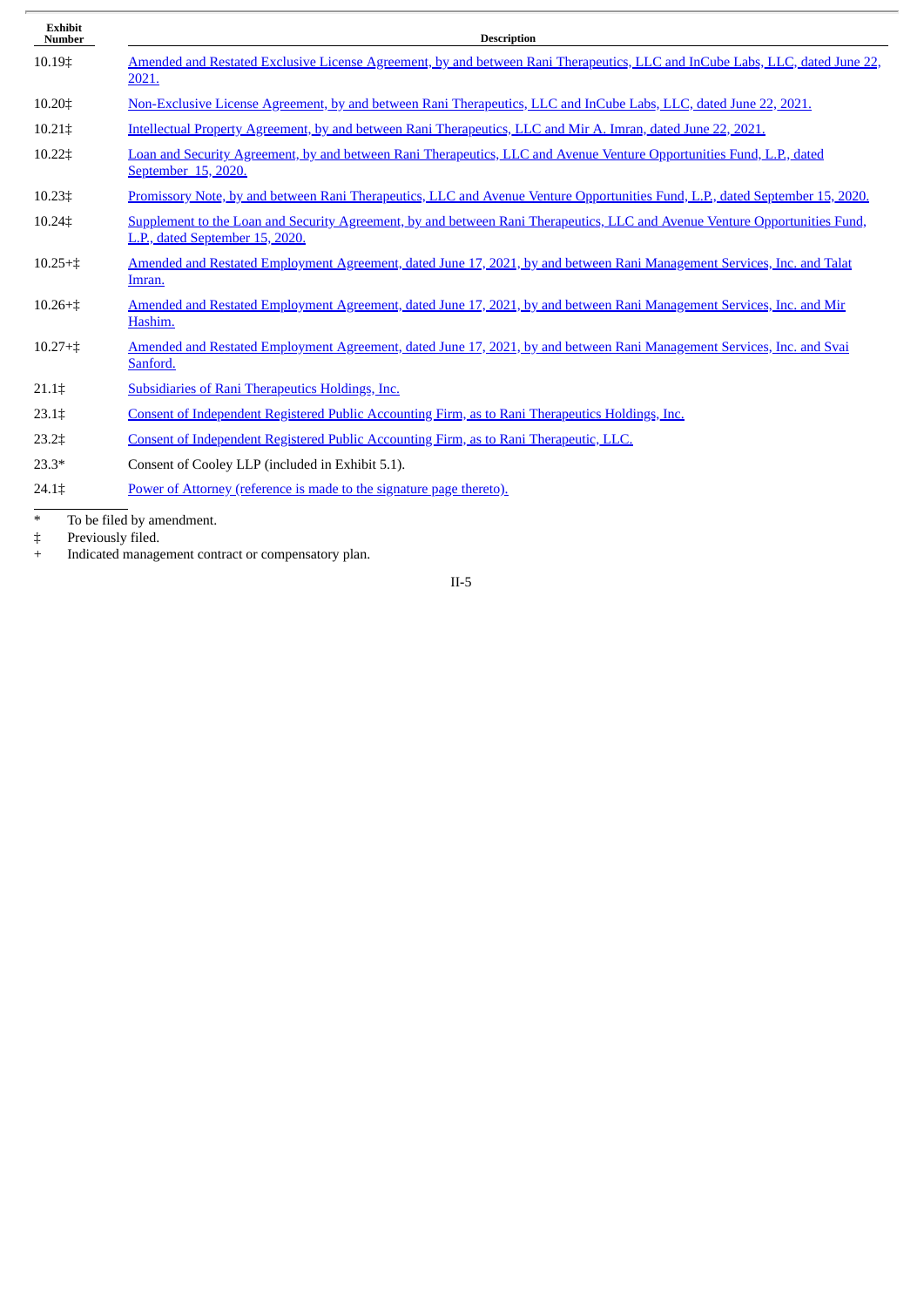| <b>Exhibit</b><br><b>Number</b> | <b>Description</b>                                                                                                                                             |
|---------------------------------|----------------------------------------------------------------------------------------------------------------------------------------------------------------|
| 10.19‡                          | Amended and Restated Exclusive License Agreement, by and between Rani Therapeutics, LLC and InCube Labs, LLC, dated June 22,<br>2021.                          |
| 10.20‡                          | Non-Exclusive License Agreement, by and between Rani Therapeutics, LLC and InCube Labs, LLC, dated June 22, 2021.                                              |
| 10.21‡                          | Intellectual Property Agreement, by and between Rani Therapeutics, LLC and Mir A. Imran, dated June 22, 2021.                                                  |
| 10.22‡                          | Loan and Security Agreement, by and between Rani Therapeutics, LLC and Avenue Venture Opportunities Fund, L.P., dated<br>September 15, 2020.                   |
| 10.23‡                          | Promissory Note, by and between Rani Therapeutics, LLC and Avenue Venture Opportunities Fund, L.P., dated September 15, 2020.                                  |
| 10.24‡                          | Supplement to the Loan and Security Agreement, by and between Rani Therapeutics, LLC and Avenue Venture Opportunities Fund,<br>L.P., dated September 15, 2020. |
| $10.25 + \pm$                   | Amended and Restated Employment Agreement, dated June 17, 2021, by and between Rani Management Services, Inc. and Talat<br>Imran.                              |
| $10.26 + t$                     | Amended and Restated Employment Agreement, dated June 17, 2021, by and between Rani Management Services, Inc. and Mir<br>Hashim.                               |
| $10.27 + t$                     | Amended and Restated Employment Agreement, dated June 17, 2021, by and between Rani Management Services, Inc. and Svai<br>Sanford.                             |
| 21.1                            | <b>Subsidiaries of Rani Therapeutics Holdings, Inc.</b>                                                                                                        |
| 23.1‡                           | Consent of Independent Registered Public Accounting Firm, as to Rani Therapeutics Holdings, Inc.                                                               |
| 23.2‡                           | <b>Consent of Independent Registered Public Accounting Firm, as to Rani Therapeutic, LLC.</b>                                                                  |
| $23.3*$                         | Consent of Cooley LLP (included in Exhibit 5.1).                                                                                                               |
| 24.1 <sup>‡</sup>               | Power of Attorney (reference is made to the signature page thereto).                                                                                           |

\* To be filed by amendment.

‡ Previously filed.

+ Indicated management contract or compensatory plan.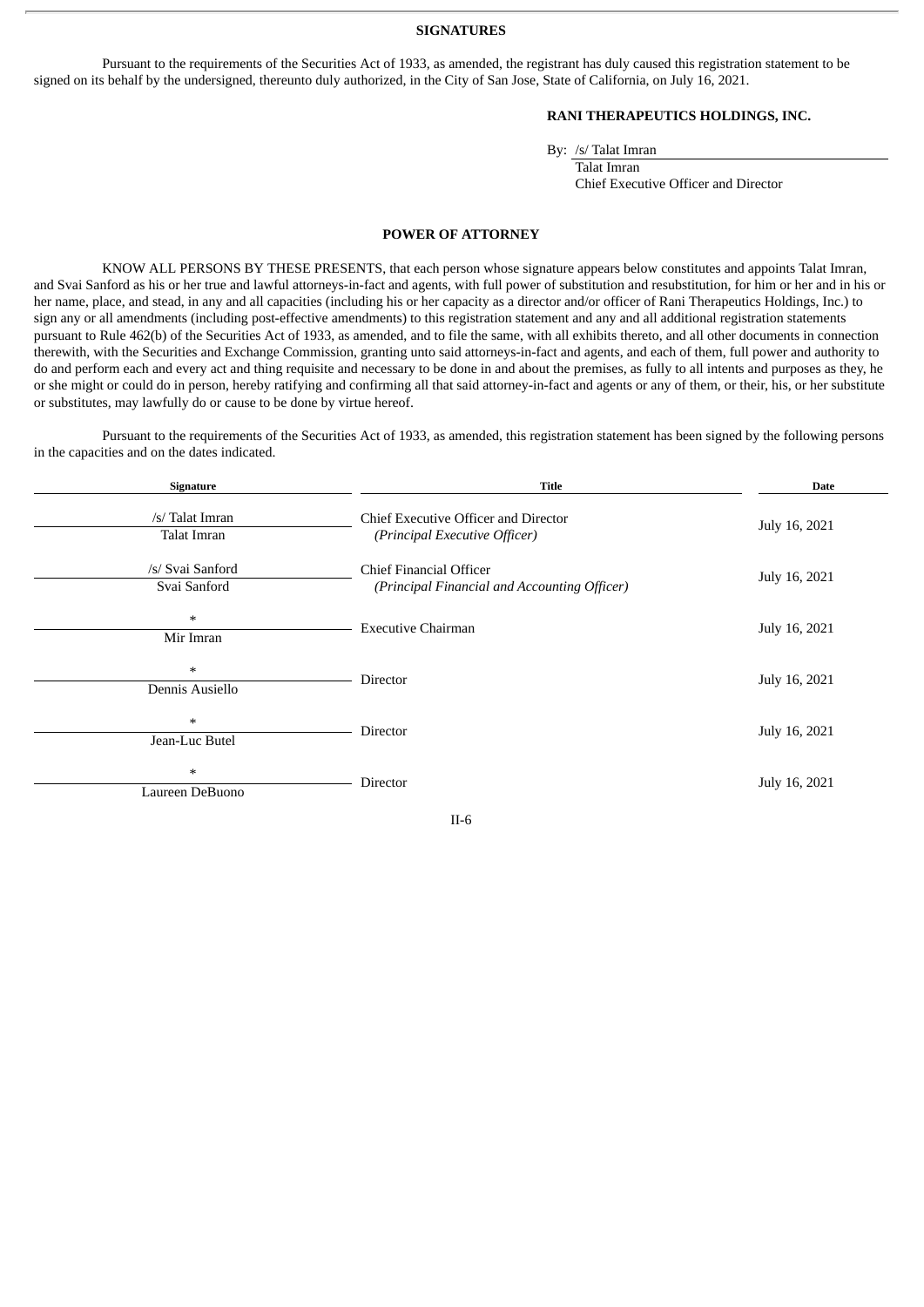**SIGNATURES**

Pursuant to the requirements of the Securities Act of 1933, as amended, the registrant has duly caused this registration statement to be signed on its behalf by the undersigned, thereunto duly authorized, in the City of San Jose, State of California, on July 16, 2021.

## **RANI THERAPEUTICS HOLDINGS, INC.**

By: /s/ Talat Imran

Talat Imran Chief Executive Officer and Director

#### **POWER OF ATTORNEY**

KNOW ALL PERSONS BY THESE PRESENTS, that each person whose signature appears below constitutes and appoints Talat Imran, and Svai Sanford as his or her true and lawful attorneys-in-fact and agents, with full power of substitution and resubstitution, for him or her and in his or her name, place, and stead, in any and all capacities (including his or her capacity as a director and/or officer of Rani Therapeutics Holdings, Inc.) to sign any or all amendments (including post-effective amendments) to this registration statement and any and all additional registration statements pursuant to Rule 462(b) of the Securities Act of 1933, as amended, and to file the same, with all exhibits thereto, and all other documents in connection therewith, with the Securities and Exchange Commission, granting unto said attorneys-in-fact and agents, and each of them, full power and authority to do and perform each and every act and thing requisite and necessary to be done in and about the premises, as fully to all intents and purposes as they, he or she might or could do in person, hereby ratifying and confirming all that said attorney-in-fact and agents or any of them, or their, his, or her substitute or substitutes, may lawfully do or cause to be done by virtue hereof.

Pursuant to the requirements of the Securities Act of 1933, as amended, this registration statement has been signed by the following persons in the capacities and on the dates indicated.

| Signature                        | <b>Title</b>                                                            | <b>Date</b>   |  |
|----------------------------------|-------------------------------------------------------------------------|---------------|--|
| /s/ Talat Imran<br>Talat Imran   | Chief Executive Officer and Director<br>(Principal Executive Officer)   | July 16, 2021 |  |
| /s/ Svai Sanford<br>Svai Sanford | Chief Financial Officer<br>(Principal Financial and Accounting Officer) | July 16, 2021 |  |
| $\ast$<br>Mir Imran              | <b>Executive Chairman</b>                                               | July 16, 2021 |  |
| $\ast$<br>Dennis Ausiello        | Director                                                                | July 16, 2021 |  |
| $\ast$<br>Jean-Luc Butel         | Director                                                                | July 16, 2021 |  |
| $\ast$<br>Laureen DeBuono        | Director                                                                | July 16, 2021 |  |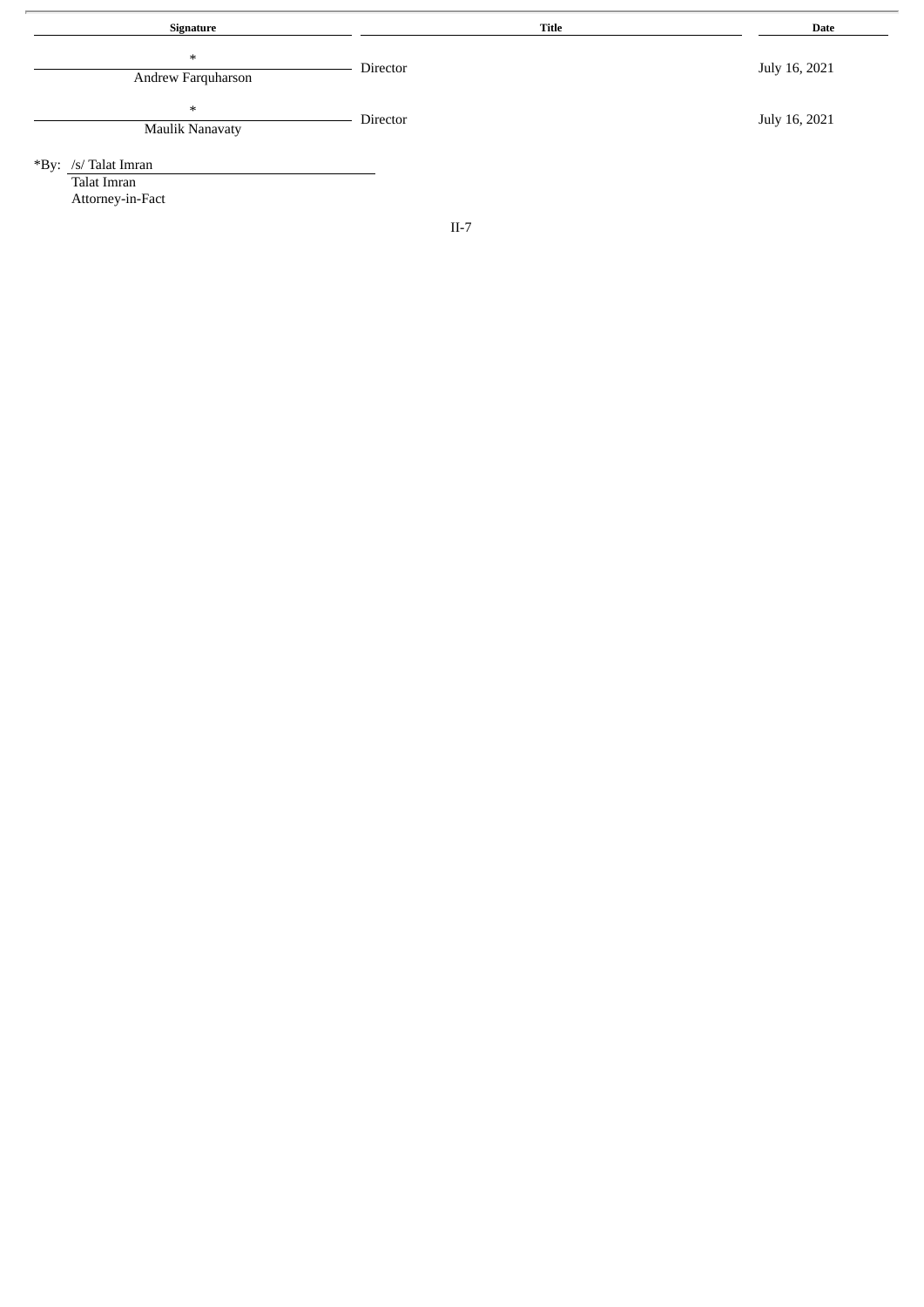| Signature                           | <b>Title</b> | Date          |
|-------------------------------------|--------------|---------------|
| $\ast$<br>Andrew Farquharson        | Director     | July 16, 2021 |
| $\ast$<br><b>Maulik Nanavaty</b>    | Director     | July 16, 2021 |
| *By: /s/ Talat Imran<br>Talat Imran |              |               |

Attorney-in-Fact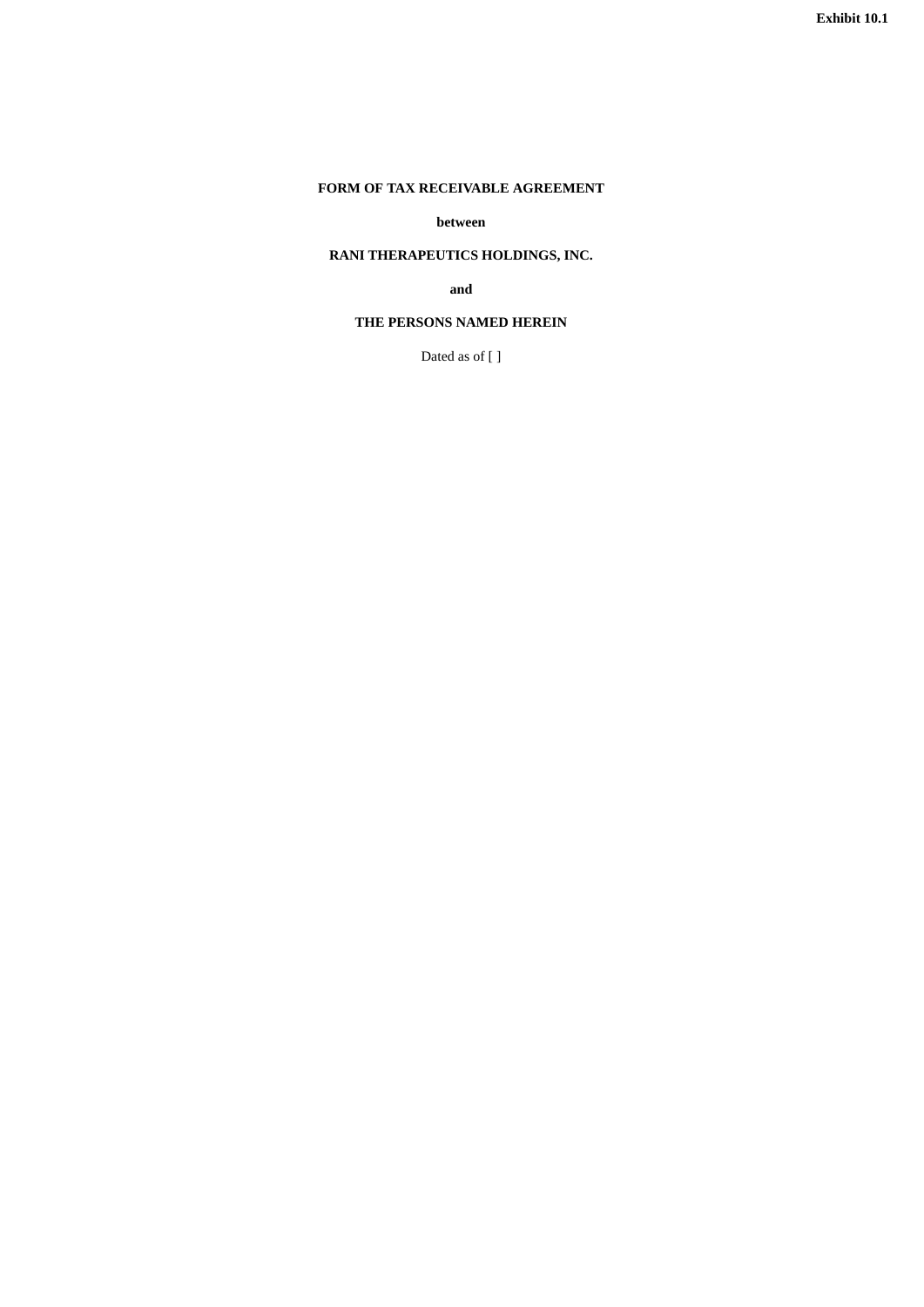## <span id="page-9-0"></span>**FORM OF TAX RECEIVABLE AGREEMENT**

## **between**

## **RANI THERAPEUTICS HOLDINGS, INC.**

**and**

## **THE PERSONS NAMED HEREIN**

Dated as of [ ]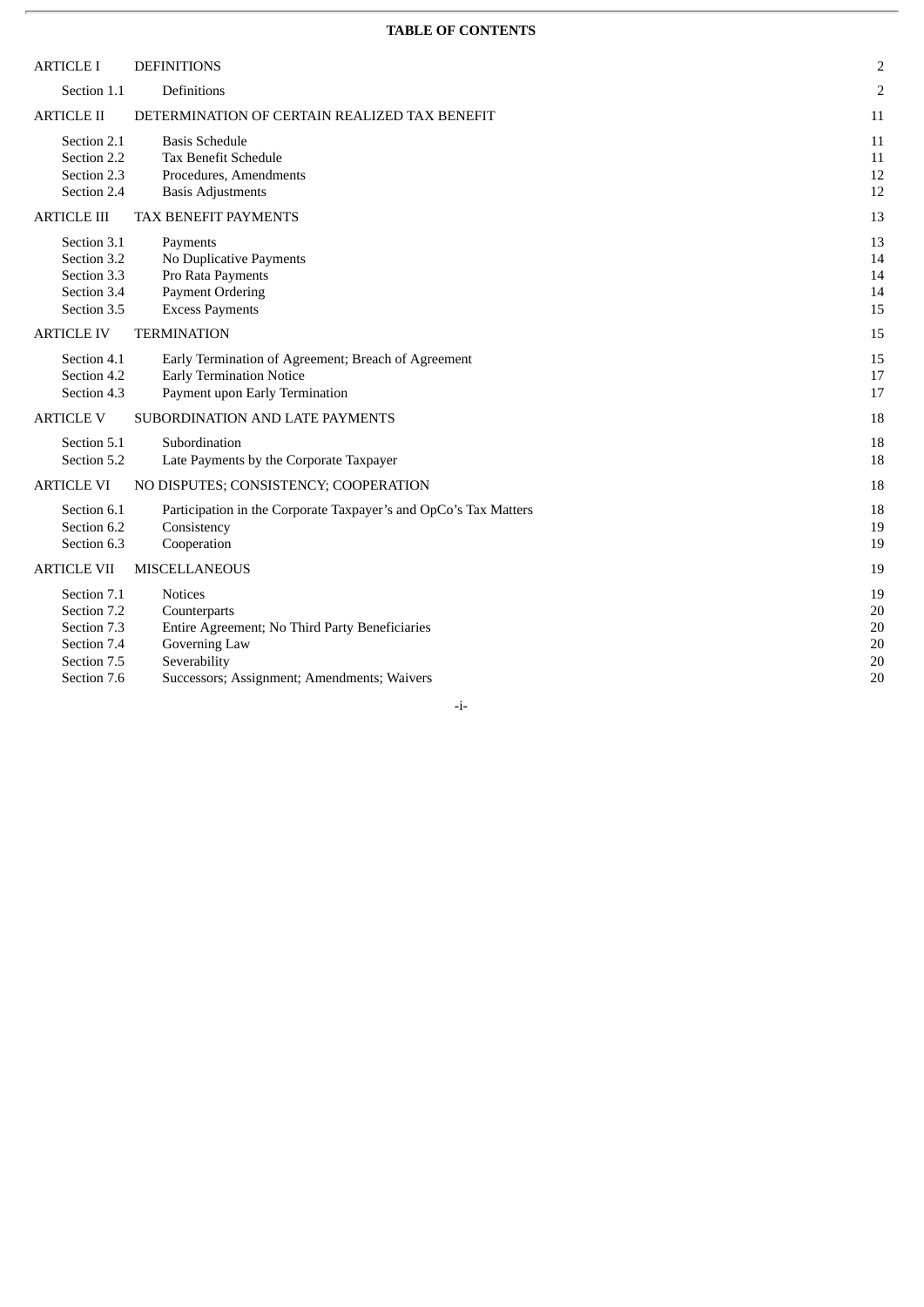## **TABLE OF CONTENTS**

| <b>ARTICLE I</b>                                                        | <b>DEFINITIONS</b>                                                                                                       | $\mathbf 2$                |
|-------------------------------------------------------------------------|--------------------------------------------------------------------------------------------------------------------------|----------------------------|
| Section 1.1                                                             | Definitions                                                                                                              | $\overline{2}$             |
| <b>ARTICLE II</b>                                                       | DETERMINATION OF CERTAIN REALIZED TAX BENEFIT                                                                            | 11                         |
| Section 2.1<br>Section 2.2<br>Section 2.3<br>Section 2.4                | <b>Basis Schedule</b><br><b>Tax Benefit Schedule</b><br>Procedures, Amendments<br><b>Basis Adjustments</b>               | 11<br>11<br>12<br>12       |
| <b>ARTICLE III</b>                                                      | <b>TAX BENEFIT PAYMENTS</b>                                                                                              | 13                         |
| Section 3.1<br>Section 3.2<br>Section 3.3<br>Section 3.4<br>Section 3.5 | Payments<br>No Duplicative Payments<br>Pro Rata Payments<br><b>Payment Ordering</b><br><b>Excess Payments</b>            | 13<br>14<br>14<br>14<br>15 |
| <b>ARTICLE IV</b>                                                       | <b>TERMINATION</b>                                                                                                       | 15                         |
| Section 4.1<br>Section 4.2<br>Section 4.3                               | Early Termination of Agreement; Breach of Agreement<br><b>Early Termination Notice</b><br>Payment upon Early Termination | 15<br>17<br>17             |
| <b>ARTICLE V</b>                                                        | SUBORDINATION AND LATE PAYMENTS                                                                                          | 18                         |
| Section 5.1<br>Section 5.2                                              | Subordination<br>Late Payments by the Corporate Taxpayer                                                                 | 18<br>18                   |
| <b>ARTICLE VI</b>                                                       | NO DISPUTES; CONSISTENCY; COOPERATION                                                                                    | 18                         |
| Section 6.1<br>Section 6.2<br>Section 6.3                               | Participation in the Corporate Taxpayer's and OpCo's Tax Matters<br>Consistency<br>Cooperation                           | 18<br>19<br>19             |
| <b>ARTICLE VII</b>                                                      | <b>MISCELLANEOUS</b>                                                                                                     | 19                         |
| Section 7.1<br>Section 7.2<br>Section 7.3<br>Section 7.4<br>Section 7.5 | <b>Notices</b><br>Counterparts<br>Entire Agreement; No Third Party Beneficiaries<br>Governing Law<br>Severability        | 19<br>20<br>20<br>20<br>20 |
| Section 7.6                                                             | Successors; Assignment; Amendments; Waivers                                                                              | 20                         |

-i-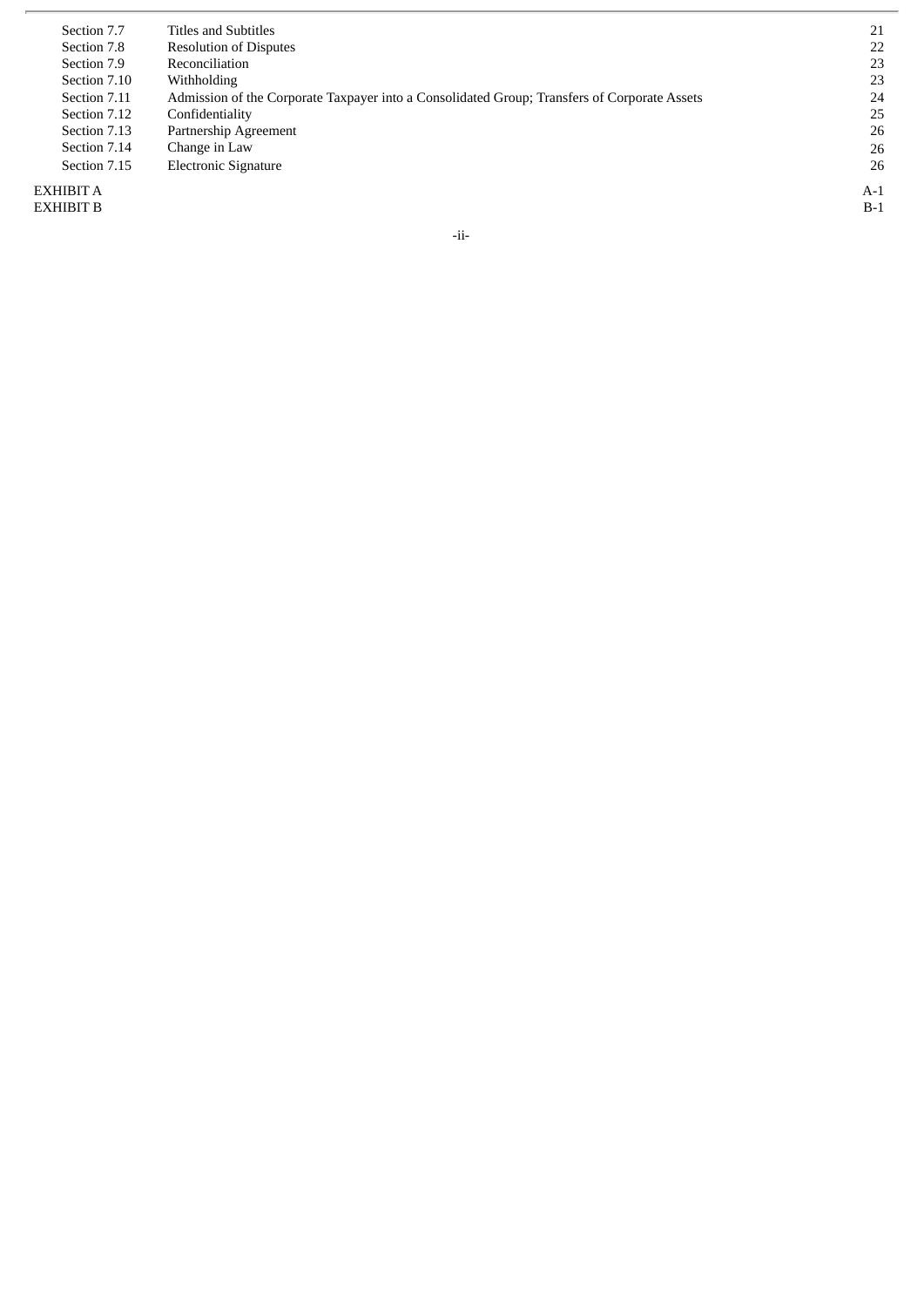| Section 7.7  | Titles and Subtitles                                                                         | 21    |
|--------------|----------------------------------------------------------------------------------------------|-------|
| Section 7.8  | <b>Resolution of Disputes</b>                                                                | 22    |
| Section 7.9  | Reconciliation                                                                               | 23    |
| Section 7.10 | Withholding                                                                                  | 23    |
| Section 7.11 | Admission of the Corporate Taxpayer into a Consolidated Group; Transfers of Corporate Assets | 24    |
| Section 7.12 | Confidentiality                                                                              | 25    |
| Section 7.13 | Partnership Agreement                                                                        | 26    |
| Section 7.14 | Change in Law                                                                                | 26    |
| Section 7.15 | Electronic Signature                                                                         | 26    |
| EXHIBIT A    |                                                                                              | $A-1$ |
| EXHIBIT B    |                                                                                              | $B-1$ |
|              |                                                                                              |       |

-ii-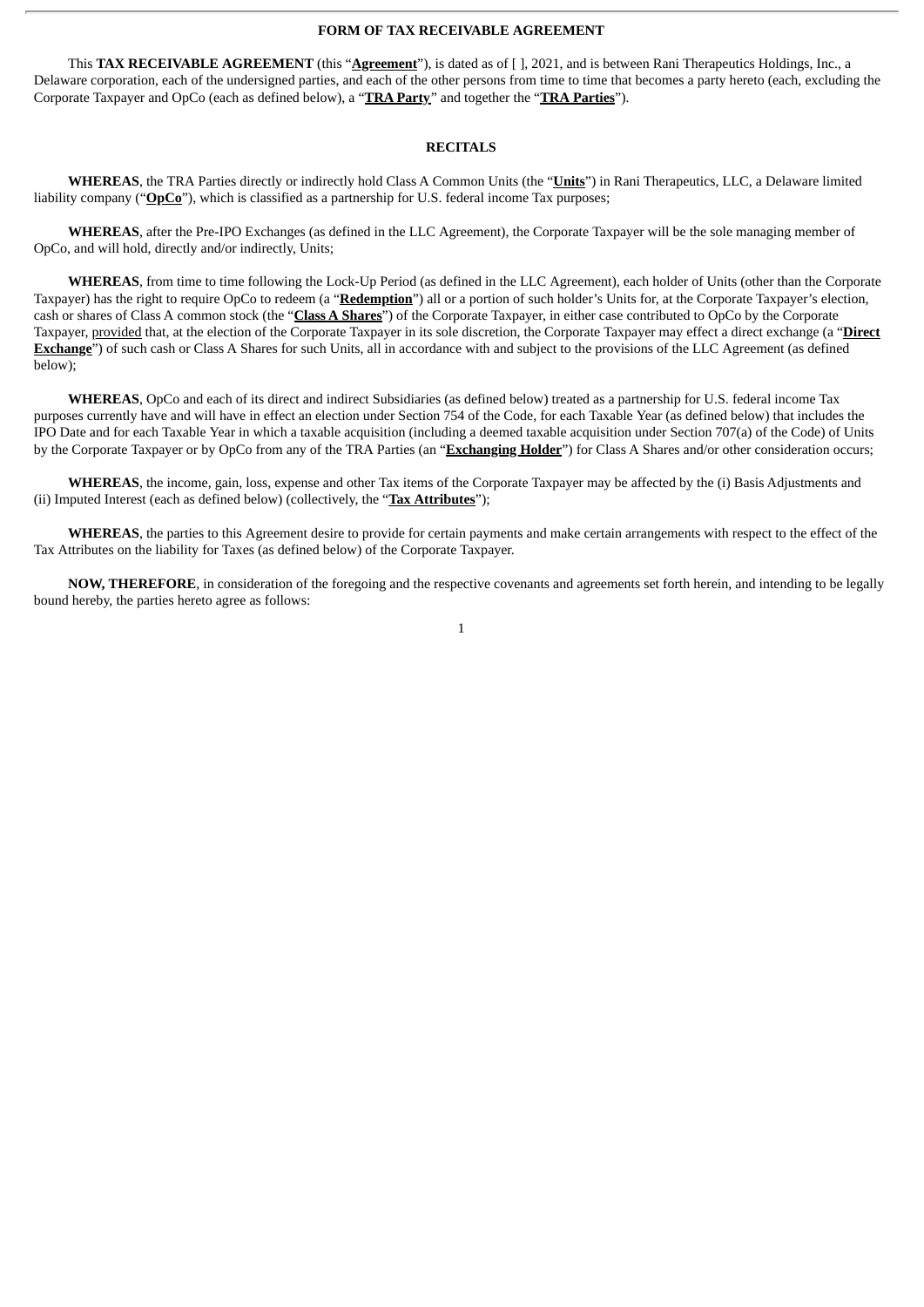#### **FORM OF TAX RECEIVABLE AGREEMENT**

This **TAX RECEIVABLE AGREEMENT** (this "**Agreement**"), is dated as of [ ], 2021, and is between Rani Therapeutics Holdings, Inc., a Delaware corporation, each of the undersigned parties, and each of the other persons from time to time that becomes a party hereto (each, excluding the Corporate Taxpayer and OpCo (each as defined below), a "**TRA Party**" and together the "**TRA Parties**").

#### **RECITALS**

**WHEREAS**, the TRA Parties directly or indirectly hold Class A Common Units (the "**Units**") in Rani Therapeutics, LLC, a Delaware limited liability company ("**OpCo**"), which is classified as a partnership for U.S. federal income Tax purposes;

**WHEREAS**, after the Pre-IPO Exchanges (as defined in the LLC Agreement), the Corporate Taxpayer will be the sole managing member of OpCo, and will hold, directly and/or indirectly, Units;

**WHEREAS**, from time to time following the Lock-Up Period (as defined in the LLC Agreement), each holder of Units (other than the Corporate Taxpayer) has the right to require OpCo to redeem (a "**Redemption**") all or a portion of such holder's Units for, at the Corporate Taxpayer's election, cash or shares of Class A common stock (the "**Class A Shares**") of the Corporate Taxpayer, in either case contributed to OpCo by the Corporate Taxpayer, provided that, at the election of the Corporate Taxpayer in its sole discretion, the Corporate Taxpayer may effect a direct exchange (a "**Direct Exchange**") of such cash or Class A Shares for such Units, all in accordance with and subject to the provisions of the LLC Agreement (as defined below);

**WHEREAS**, OpCo and each of its direct and indirect Subsidiaries (as defined below) treated as a partnership for U.S. federal income Tax purposes currently have and will have in effect an election under Section 754 of the Code, for each Taxable Year (as defined below) that includes the IPO Date and for each Taxable Year in which a taxable acquisition (including a deemed taxable acquisition under Section 707(a) of the Code) of Units by the Corporate Taxpayer or by OpCo from any of the TRA Parties (an "**Exchanging Holder**") for Class A Shares and/or other consideration occurs;

**WHEREAS**, the income, gain, loss, expense and other Tax items of the Corporate Taxpayer may be affected by the (i) Basis Adjustments and (ii) Imputed Interest (each as defined below) (collectively, the "**Tax Attributes**");

**WHEREAS**, the parties to this Agreement desire to provide for certain payments and make certain arrangements with respect to the effect of the Tax Attributes on the liability for Taxes (as defined below) of the Corporate Taxpayer.

**NOW, THEREFORE**, in consideration of the foregoing and the respective covenants and agreements set forth herein, and intending to be legally bound hereby, the parties hereto agree as follows: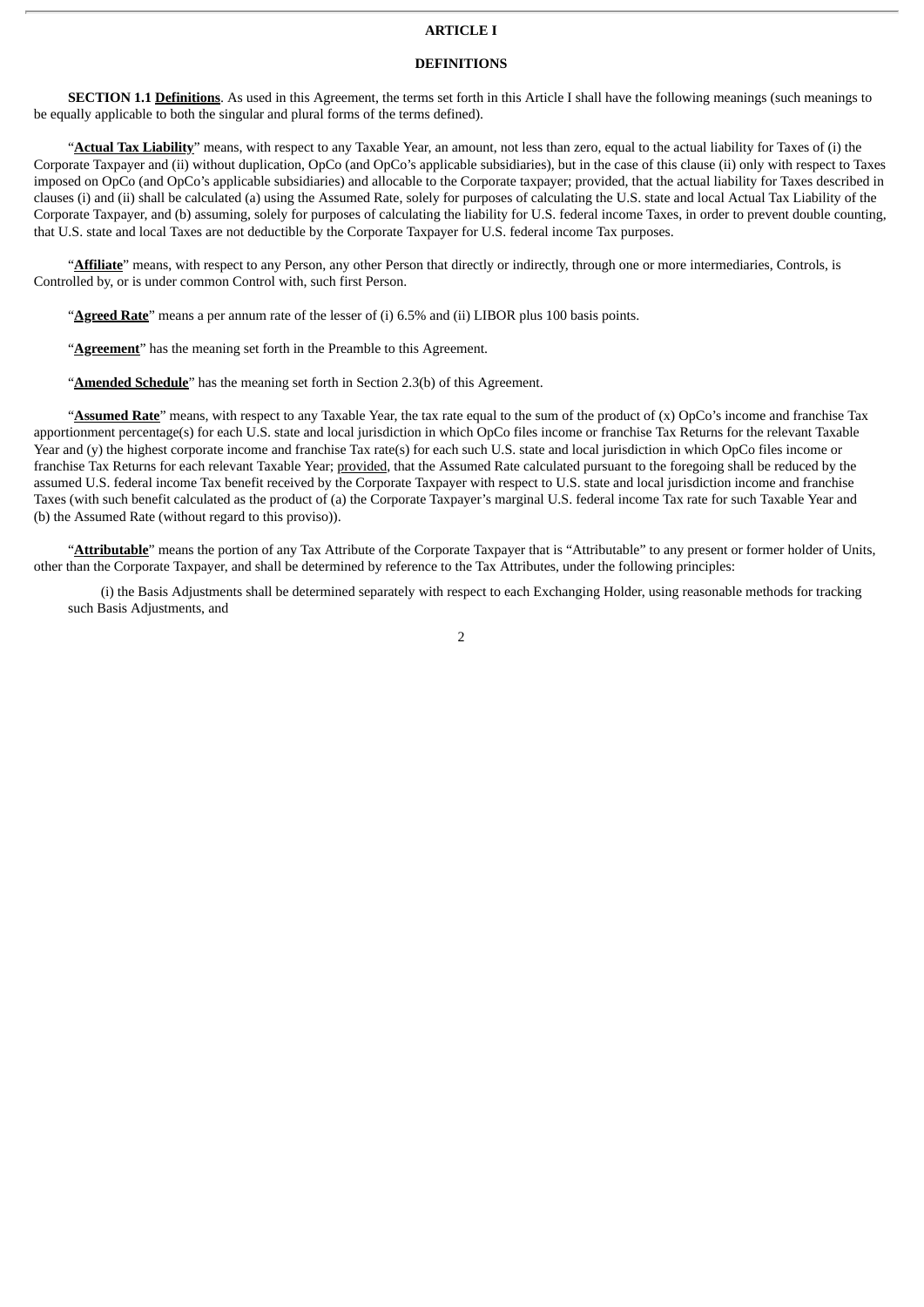## **ARTICLE I**

#### **DEFINITIONS**

**SECTION 1.1 Definitions**. As used in this Agreement, the terms set forth in this Article I shall have the following meanings (such meanings to be equally applicable to both the singular and plural forms of the terms defined).

"**Actual Tax Liability**" means, with respect to any Taxable Year, an amount, not less than zero, equal to the actual liability for Taxes of (i) the Corporate Taxpayer and (ii) without duplication, OpCo (and OpCo's applicable subsidiaries), but in the case of this clause (ii) only with respect to Taxes imposed on OpCo (and OpCo's applicable subsidiaries) and allocable to the Corporate taxpayer; provided, that the actual liability for Taxes described in clauses (i) and (ii) shall be calculated (a) using the Assumed Rate, solely for purposes of calculating the U.S. state and local Actual Tax Liability of the Corporate Taxpayer, and (b) assuming, solely for purposes of calculating the liability for U.S. federal income Taxes, in order to prevent double counting, that U.S. state and local Taxes are not deductible by the Corporate Taxpayer for U.S. federal income Tax purposes.

"**Affiliate**" means, with respect to any Person, any other Person that directly or indirectly, through one or more intermediaries, Controls, is Controlled by, or is under common Control with, such first Person.

"**Agreed Rate**" means a per annum rate of the lesser of (i) 6.5% and (ii) LIBOR plus 100 basis points.

"**Agreement**" has the meaning set forth in the Preamble to this Agreement.

"**Amended Schedule**" has the meaning set forth in Section 2.3(b) of this Agreement.

"**Assumed Rate**" means, with respect to any Taxable Year, the tax rate equal to the sum of the product of (x) OpCo's income and franchise Tax apportionment percentage(s) for each U.S. state and local jurisdiction in which OpCo files income or franchise Tax Returns for the relevant Taxable Year and (y) the highest corporate income and franchise Tax rate(s) for each such U.S. state and local jurisdiction in which OpCo files income or franchise Tax Returns for each relevant Taxable Year; provided, that the Assumed Rate calculated pursuant to the foregoing shall be reduced by the assumed U.S. federal income Tax benefit received by the Corporate Taxpayer with respect to U.S. state and local jurisdiction income and franchise Taxes (with such benefit calculated as the product of (a) the Corporate Taxpayer's marginal U.S. federal income Tax rate for such Taxable Year and (b) the Assumed Rate (without regard to this proviso)).

"**Attributable**" means the portion of any Tax Attribute of the Corporate Taxpayer that is "Attributable" to any present or former holder of Units, other than the Corporate Taxpayer, and shall be determined by reference to the Tax Attributes, under the following principles:

(i) the Basis Adjustments shall be determined separately with respect to each Exchanging Holder, using reasonable methods for tracking such Basis Adjustments, and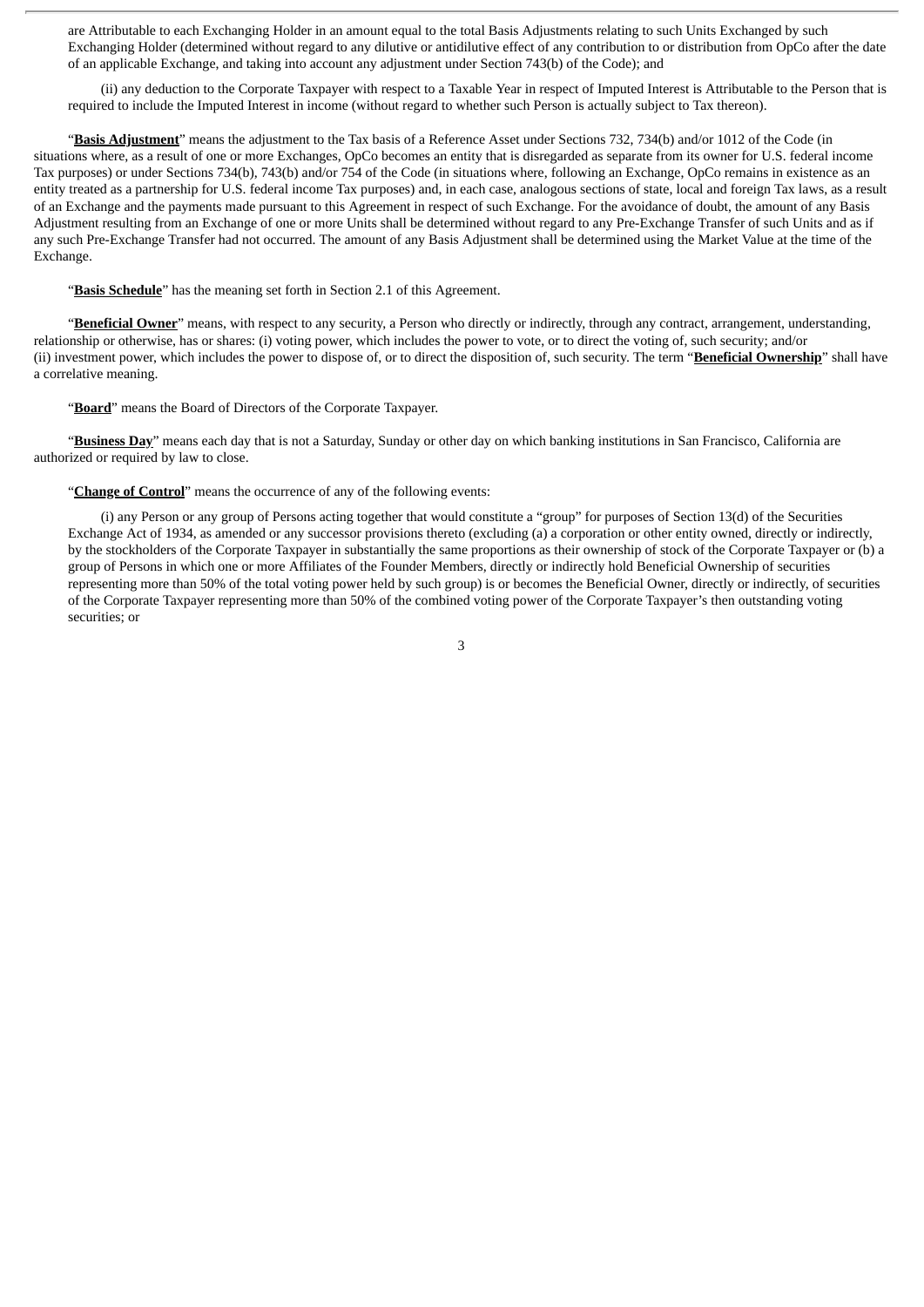are Attributable to each Exchanging Holder in an amount equal to the total Basis Adjustments relating to such Units Exchanged by such Exchanging Holder (determined without regard to any dilutive or antidilutive effect of any contribution to or distribution from OpCo after the date of an applicable Exchange, and taking into account any adjustment under Section 743(b) of the Code); and

(ii) any deduction to the Corporate Taxpayer with respect to a Taxable Year in respect of Imputed Interest is Attributable to the Person that is required to include the Imputed Interest in income (without regard to whether such Person is actually subject to Tax thereon).

"**Basis Adjustment**" means the adjustment to the Tax basis of a Reference Asset under Sections 732, 734(b) and/or 1012 of the Code (in situations where, as a result of one or more Exchanges, OpCo becomes an entity that is disregarded as separate from its owner for U.S. federal income Tax purposes) or under Sections 734(b), 743(b) and/or 754 of the Code (in situations where, following an Exchange, OpCo remains in existence as an entity treated as a partnership for U.S. federal income Tax purposes) and, in each case, analogous sections of state, local and foreign Tax laws, as a result of an Exchange and the payments made pursuant to this Agreement in respect of such Exchange. For the avoidance of doubt, the amount of any Basis Adjustment resulting from an Exchange of one or more Units shall be determined without regard to any Pre-Exchange Transfer of such Units and as if any such Pre-Exchange Transfer had not occurred. The amount of any Basis Adjustment shall be determined using the Market Value at the time of the Exchange.

"**Basis Schedule**" has the meaning set forth in Section 2.1 of this Agreement.

"**Beneficial Owner**" means, with respect to any security, a Person who directly or indirectly, through any contract, arrangement, understanding, relationship or otherwise, has or shares: (i) voting power, which includes the power to vote, or to direct the voting of, such security; and/or (ii) investment power, which includes the power to dispose of, or to direct the disposition of, such security. The term "**Beneficial Ownership**" shall have a correlative meaning.

"**Board**" means the Board of Directors of the Corporate Taxpayer.

"**Business Day**" means each day that is not a Saturday, Sunday or other day on which banking institutions in San Francisco, California are authorized or required by law to close.

"**Change of Control**" means the occurrence of any of the following events:

(i) any Person or any group of Persons acting together that would constitute a "group" for purposes of Section 13(d) of the Securities Exchange Act of 1934, as amended or any successor provisions thereto (excluding (a) a corporation or other entity owned, directly or indirectly, by the stockholders of the Corporate Taxpayer in substantially the same proportions as their ownership of stock of the Corporate Taxpayer or (b) a group of Persons in which one or more Affiliates of the Founder Members, directly or indirectly hold Beneficial Ownership of securities representing more than 50% of the total voting power held by such group) is or becomes the Beneficial Owner, directly or indirectly, of securities of the Corporate Taxpayer representing more than 50% of the combined voting power of the Corporate Taxpayer's then outstanding voting securities; or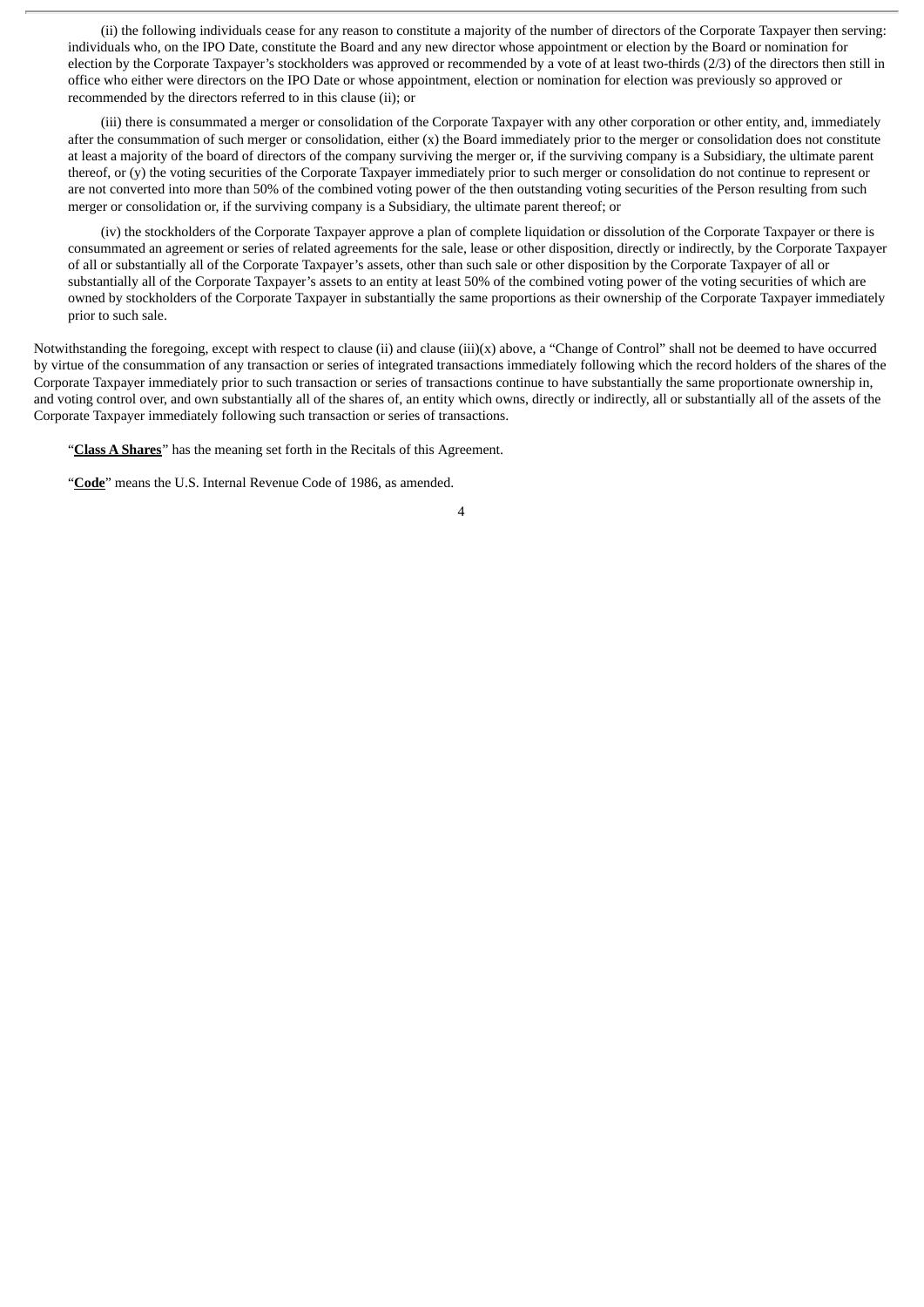(ii) the following individuals cease for any reason to constitute a majority of the number of directors of the Corporate Taxpayer then serving: individuals who, on the IPO Date, constitute the Board and any new director whose appointment or election by the Board or nomination for election by the Corporate Taxpayer's stockholders was approved or recommended by a vote of at least two-thirds (2/3) of the directors then still in office who either were directors on the IPO Date or whose appointment, election or nomination for election was previously so approved or recommended by the directors referred to in this clause (ii); or

(iii) there is consummated a merger or consolidation of the Corporate Taxpayer with any other corporation or other entity, and, immediately after the consummation of such merger or consolidation, either  $(x)$  the Board immediately prior to the merger or consolidation does not constitute at least a majority of the board of directors of the company surviving the merger or, if the surviving company is a Subsidiary, the ultimate parent thereof, or (y) the voting securities of the Corporate Taxpayer immediately prior to such merger or consolidation do not continue to represent or are not converted into more than 50% of the combined voting power of the then outstanding voting securities of the Person resulting from such merger or consolidation or, if the surviving company is a Subsidiary, the ultimate parent thereof; or

(iv) the stockholders of the Corporate Taxpayer approve a plan of complete liquidation or dissolution of the Corporate Taxpayer or there is consummated an agreement or series of related agreements for the sale, lease or other disposition, directly or indirectly, by the Corporate Taxpayer of all or substantially all of the Corporate Taxpayer's assets, other than such sale or other disposition by the Corporate Taxpayer of all or substantially all of the Corporate Taxpayer's assets to an entity at least 50% of the combined voting power of the voting securities of which are owned by stockholders of the Corporate Taxpayer in substantially the same proportions as their ownership of the Corporate Taxpayer immediately prior to such sale.

Notwithstanding the foregoing, except with respect to clause (ii) and clause (iii)(x) above, a "Change of Control" shall not be deemed to have occurred by virtue of the consummation of any transaction or series of integrated transactions immediately following which the record holders of the shares of the Corporate Taxpayer immediately prior to such transaction or series of transactions continue to have substantially the same proportionate ownership in, and voting control over, and own substantially all of the shares of, an entity which owns, directly or indirectly, all or substantially all of the assets of the Corporate Taxpayer immediately following such transaction or series of transactions.

"**Class A Shares**" has the meaning set forth in the Recitals of this Agreement.

"**Code**" means the U.S. Internal Revenue Code of 1986, as amended.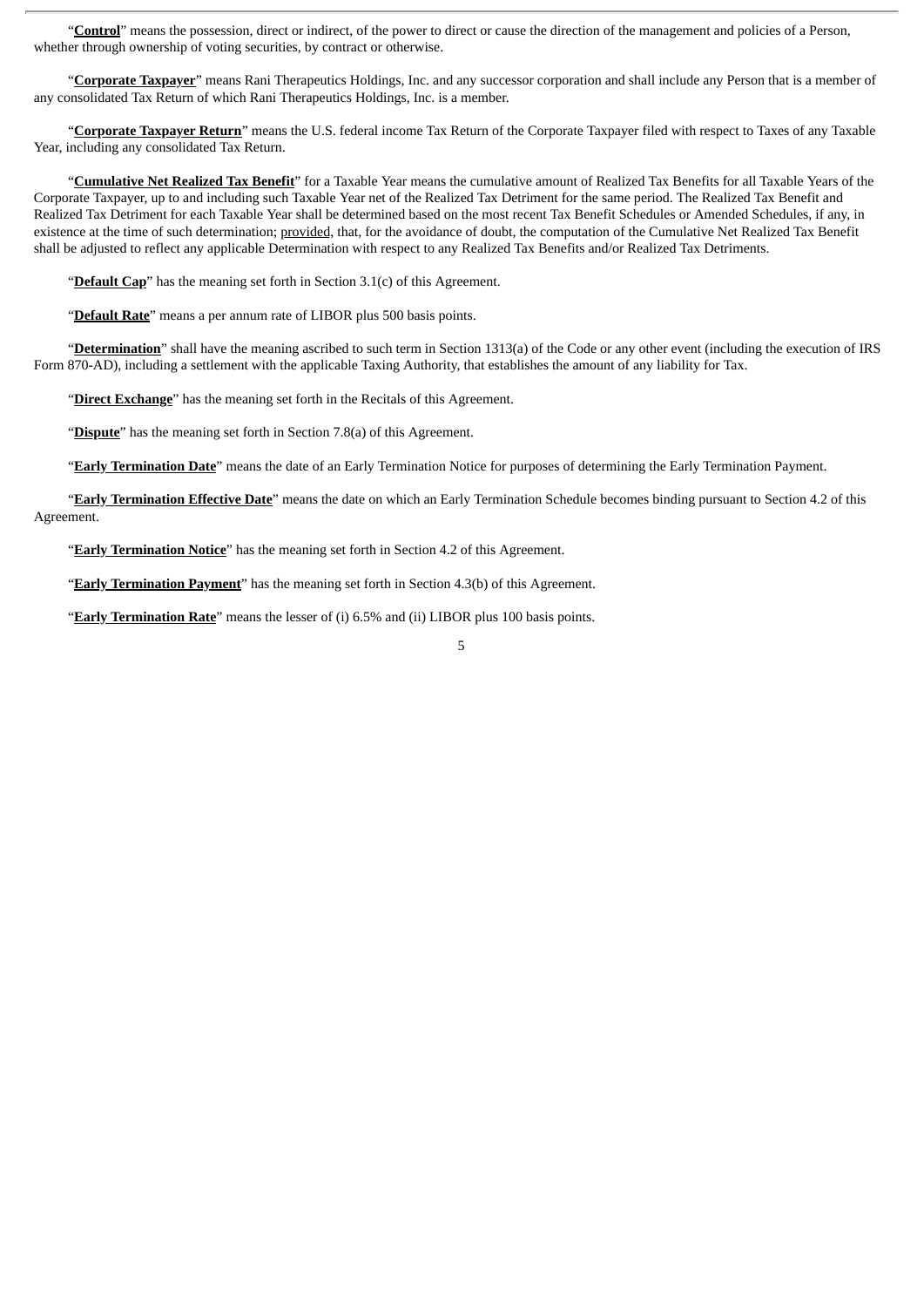"**Control**" means the possession, direct or indirect, of the power to direct or cause the direction of the management and policies of a Person, whether through ownership of voting securities, by contract or otherwise.

"**Corporate Taxpayer**" means Rani Therapeutics Holdings, Inc. and any successor corporation and shall include any Person that is a member of any consolidated Tax Return of which Rani Therapeutics Holdings, Inc. is a member.

"**Corporate Taxpayer Return**" means the U.S. federal income Tax Return of the Corporate Taxpayer filed with respect to Taxes of any Taxable Year, including any consolidated Tax Return.

"**Cumulative Net Realized Tax Benefit**" for a Taxable Year means the cumulative amount of Realized Tax Benefits for all Taxable Years of the Corporate Taxpayer, up to and including such Taxable Year net of the Realized Tax Detriment for the same period. The Realized Tax Benefit and Realized Tax Detriment for each Taxable Year shall be determined based on the most recent Tax Benefit Schedules or Amended Schedules, if any, in existence at the time of such determination; provided, that, for the avoidance of doubt, the computation of the Cumulative Net Realized Tax Benefit shall be adjusted to reflect any applicable Determination with respect to any Realized Tax Benefits and/or Realized Tax Detriments.

"**Default Cap**" has the meaning set forth in Section 3.1(c) of this Agreement.

"**Default Rate**" means a per annum rate of LIBOR plus 500 basis points.

"**Determination**" shall have the meaning ascribed to such term in Section 1313(a) of the Code or any other event (including the execution of IRS Form 870-AD), including a settlement with the applicable Taxing Authority, that establishes the amount of any liability for Tax.

"**Direct Exchange**" has the meaning set forth in the Recitals of this Agreement.

"**Dispute**" has the meaning set forth in Section 7.8(a) of this Agreement.

"**Early Termination Date**" means the date of an Early Termination Notice for purposes of determining the Early Termination Payment.

"**Early Termination Effective Date**" means the date on which an Early Termination Schedule becomes binding pursuant to Section 4.2 of this Agreement.

"**Early Termination Notice**" has the meaning set forth in Section 4.2 of this Agreement.

"**Early Termination Payment**" has the meaning set forth in Section 4.3(b) of this Agreement.

"**Early Termination Rate**" means the lesser of (i) 6.5% and (ii) LIBOR plus 100 basis points.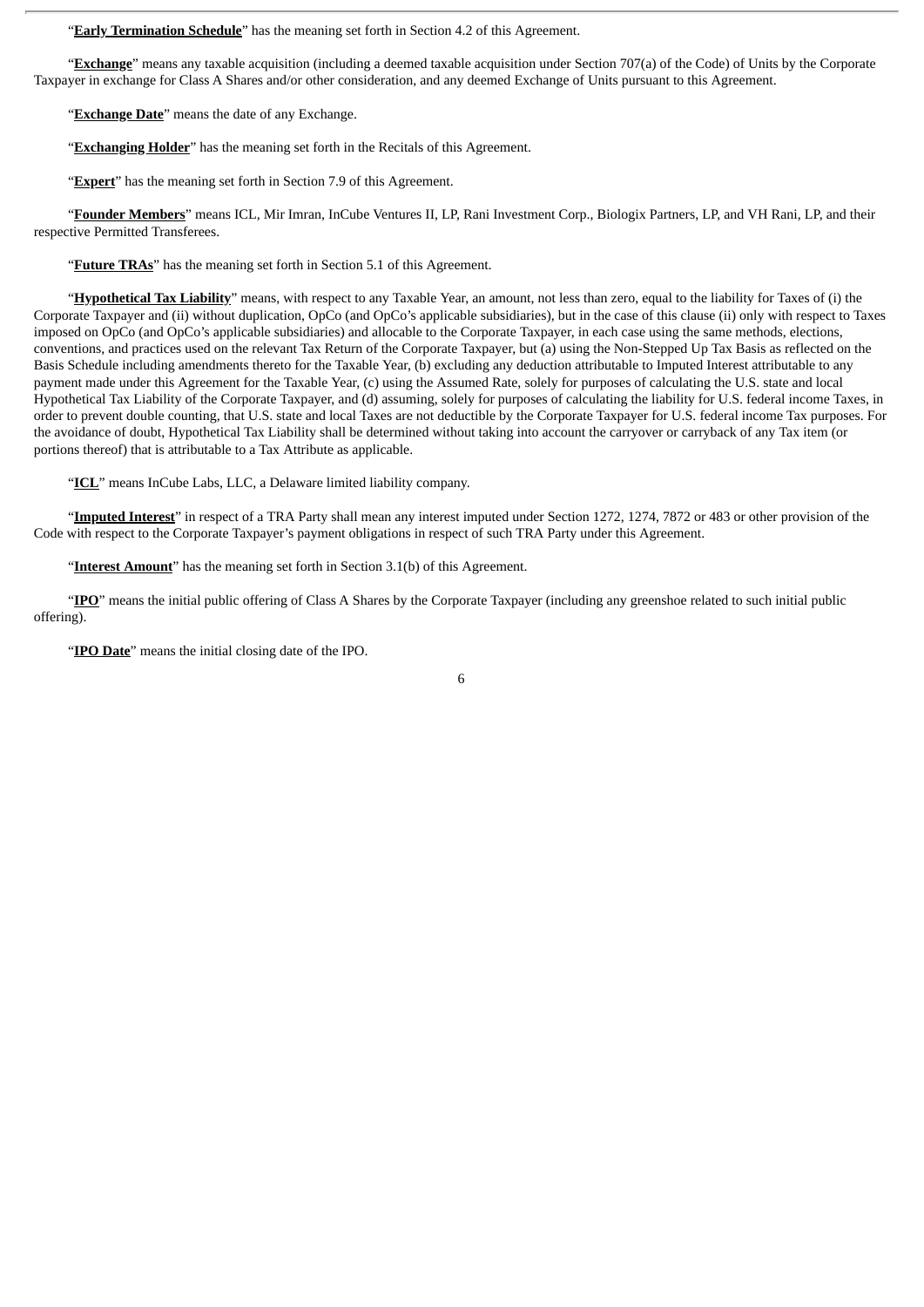"**Early Termination Schedule**" has the meaning set forth in Section 4.2 of this Agreement.

"**Exchange**" means any taxable acquisition (including a deemed taxable acquisition under Section 707(a) of the Code) of Units by the Corporate Taxpayer in exchange for Class A Shares and/or other consideration, and any deemed Exchange of Units pursuant to this Agreement.

"**Exchange Date**" means the date of any Exchange.

"**Exchanging Holder**" has the meaning set forth in the Recitals of this Agreement.

"**Expert**" has the meaning set forth in Section 7.9 of this Agreement.

"**Founder Members**" means ICL, Mir Imran, InCube Ventures II, LP, Rani Investment Corp., Biologix Partners, LP, and VH Rani, LP, and their respective Permitted Transferees.

"**Future TRAs**" has the meaning set forth in Section 5.1 of this Agreement.

"**Hypothetical Tax Liability**" means, with respect to any Taxable Year, an amount, not less than zero, equal to the liability for Taxes of (i) the Corporate Taxpayer and (ii) without duplication, OpCo (and OpCo's applicable subsidiaries), but in the case of this clause (ii) only with respect to Taxes imposed on OpCo (and OpCo's applicable subsidiaries) and allocable to the Corporate Taxpayer, in each case using the same methods, elections, conventions, and practices used on the relevant Tax Return of the Corporate Taxpayer, but (a) using the Non-Stepped Up Tax Basis as reflected on the Basis Schedule including amendments thereto for the Taxable Year, (b) excluding any deduction attributable to Imputed Interest attributable to any payment made under this Agreement for the Taxable Year, (c) using the Assumed Rate, solely for purposes of calculating the U.S. state and local Hypothetical Tax Liability of the Corporate Taxpayer, and (d) assuming, solely for purposes of calculating the liability for U.S. federal income Taxes, in order to prevent double counting, that U.S. state and local Taxes are not deductible by the Corporate Taxpayer for U.S. federal income Tax purposes. For the avoidance of doubt, Hypothetical Tax Liability shall be determined without taking into account the carryover or carryback of any Tax item (or portions thereof) that is attributable to a Tax Attribute as applicable.

"**ICL**" means InCube Labs, LLC, a Delaware limited liability company.

"**Imputed Interest**" in respect of a TRA Party shall mean any interest imputed under Section 1272, 1274, 7872 or 483 or other provision of the Code with respect to the Corporate Taxpayer's payment obligations in respect of such TRA Party under this Agreement.

"**Interest Amount**" has the meaning set forth in Section 3.1(b) of this Agreement.

"**IPO**" means the initial public offering of Class A Shares by the Corporate Taxpayer (including any greenshoe related to such initial public offering).

"**IPO Date**" means the initial closing date of the IPO.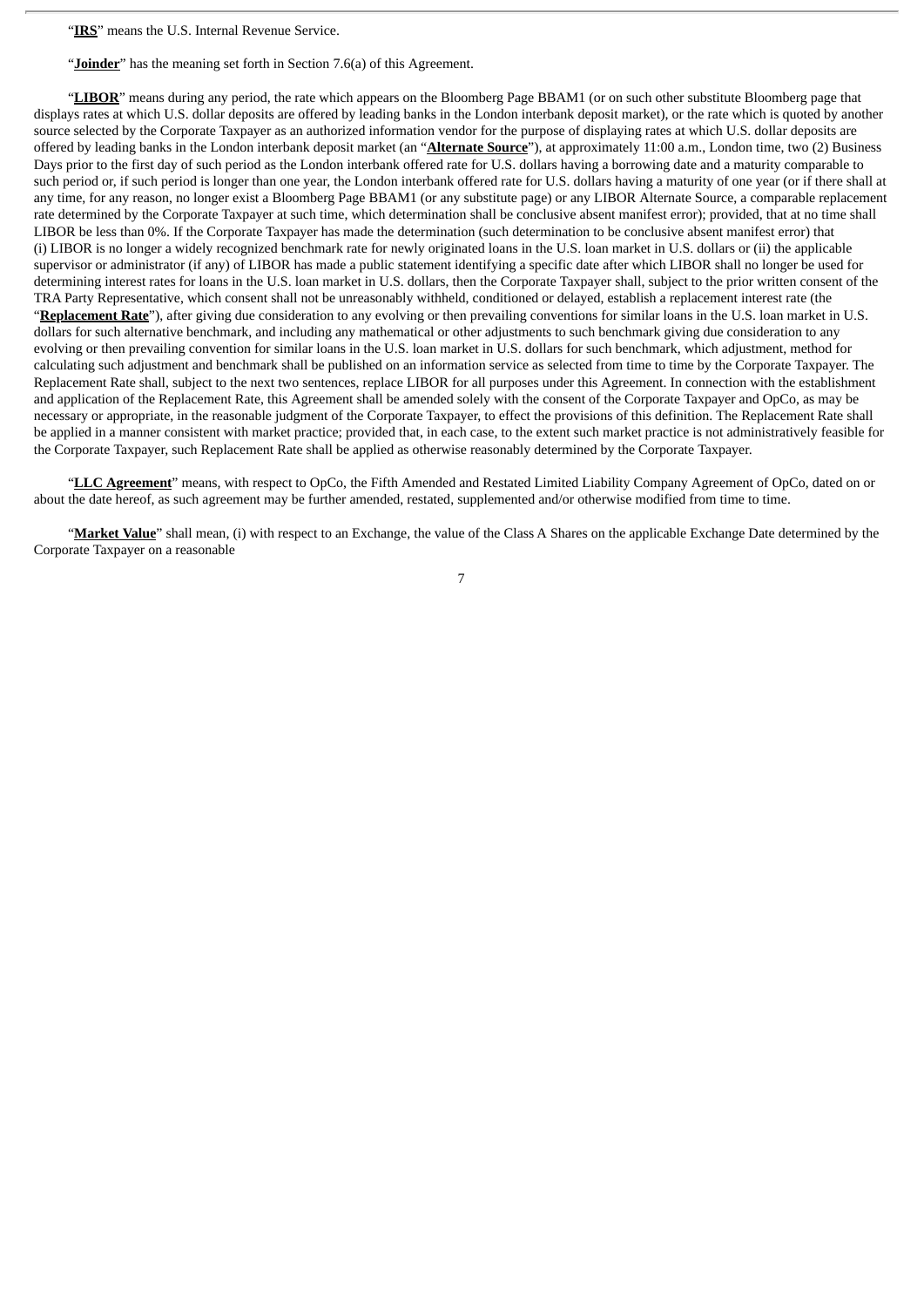"**IRS**" means the U.S. Internal Revenue Service.

"**Joinder**" has the meaning set forth in Section 7.6(a) of this Agreement.

"**LIBOR**" means during any period, the rate which appears on the Bloomberg Page BBAM1 (or on such other substitute Bloomberg page that displays rates at which U.S. dollar deposits are offered by leading banks in the London interbank deposit market), or the rate which is quoted by another source selected by the Corporate Taxpayer as an authorized information vendor for the purpose of displaying rates at which U.S. dollar deposits are offered by leading banks in the London interbank deposit market (an "**Alternate Source**"), at approximately 11:00 a.m., London time, two (2) Business Days prior to the first day of such period as the London interbank offered rate for U.S. dollars having a borrowing date and a maturity comparable to such period or, if such period is longer than one year, the London interbank offered rate for U.S. dollars having a maturity of one year (or if there shall at any time, for any reason, no longer exist a Bloomberg Page BBAM1 (or any substitute page) or any LIBOR Alternate Source, a comparable replacement rate determined by the Corporate Taxpayer at such time, which determination shall be conclusive absent manifest error); provided, that at no time shall LIBOR be less than 0%. If the Corporate Taxpayer has made the determination (such determination to be conclusive absent manifest error) that (i) LIBOR is no longer a widely recognized benchmark rate for newly originated loans in the U.S. loan market in U.S. dollars or (ii) the applicable supervisor or administrator (if any) of LIBOR has made a public statement identifying a specific date after which LIBOR shall no longer be used for determining interest rates for loans in the U.S. loan market in U.S. dollars, then the Corporate Taxpayer shall, subject to the prior written consent of the TRA Party Representative, which consent shall not be unreasonably withheld, conditioned or delayed, establish a replacement interest rate (the "**Replacement Rate**"), after giving due consideration to any evolving or then prevailing conventions for similar loans in the U.S. loan market in U.S. dollars for such alternative benchmark, and including any mathematical or other adjustments to such benchmark giving due consideration to any evolving or then prevailing convention for similar loans in the U.S. loan market in U.S. dollars for such benchmark, which adjustment, method for calculating such adjustment and benchmark shall be published on an information service as selected from time to time by the Corporate Taxpayer. The Replacement Rate shall, subject to the next two sentences, replace LIBOR for all purposes under this Agreement. In connection with the establishment and application of the Replacement Rate, this Agreement shall be amended solely with the consent of the Corporate Taxpayer and OpCo, as may be necessary or appropriate, in the reasonable judgment of the Corporate Taxpayer, to effect the provisions of this definition. The Replacement Rate shall be applied in a manner consistent with market practice; provided that, in each case, to the extent such market practice is not administratively feasible for the Corporate Taxpayer, such Replacement Rate shall be applied as otherwise reasonably determined by the Corporate Taxpayer.

"**LLC Agreement**" means, with respect to OpCo, the Fifth Amended and Restated Limited Liability Company Agreement of OpCo, dated on or about the date hereof, as such agreement may be further amended, restated, supplemented and/or otherwise modified from time to time.

"**Market Value**" shall mean, (i) with respect to an Exchange, the value of the Class A Shares on the applicable Exchange Date determined by the Corporate Taxpayer on a reasonable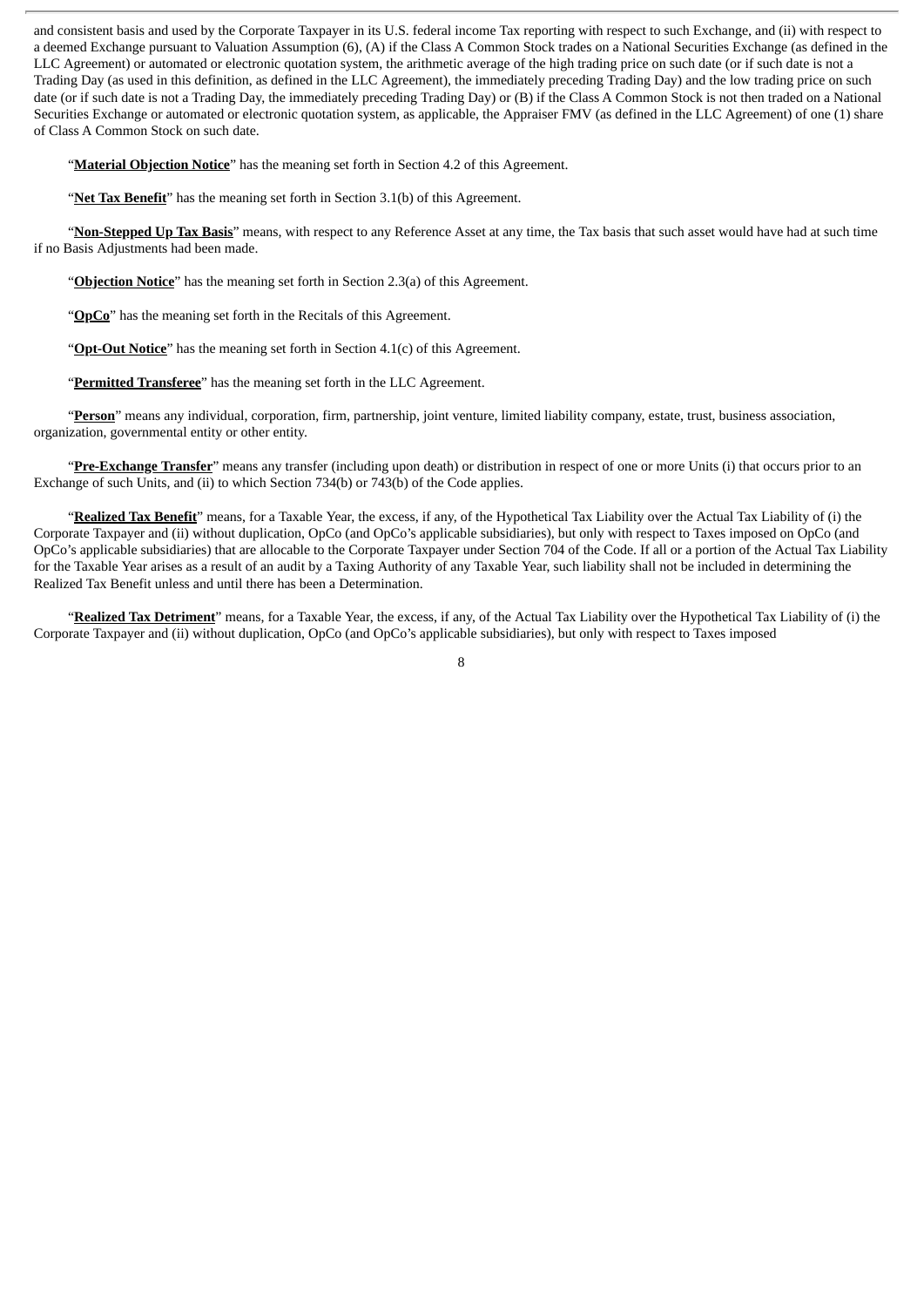and consistent basis and used by the Corporate Taxpayer in its U.S. federal income Tax reporting with respect to such Exchange, and (ii) with respect to a deemed Exchange pursuant to Valuation Assumption (6), (A) if the Class A Common Stock trades on a National Securities Exchange (as defined in the LLC Agreement) or automated or electronic quotation system, the arithmetic average of the high trading price on such date (or if such date is not a Trading Day (as used in this definition, as defined in the LLC Agreement), the immediately preceding Trading Day) and the low trading price on such date (or if such date is not a Trading Day, the immediately preceding Trading Day) or (B) if the Class A Common Stock is not then traded on a National Securities Exchange or automated or electronic quotation system, as applicable, the Appraiser FMV (as defined in the LLC Agreement) of one (1) share of Class A Common Stock on such date.

"**Material Objection Notice**" has the meaning set forth in Section 4.2 of this Agreement.

"**Net Tax Benefit**" has the meaning set forth in Section 3.1(b) of this Agreement.

"**Non-Stepped Up Tax Basis**" means, with respect to any Reference Asset at any time, the Tax basis that such asset would have had at such time if no Basis Adjustments had been made.

"**Objection Notice**" has the meaning set forth in Section 2.3(a) of this Agreement.

"**OpCo**" has the meaning set forth in the Recitals of this Agreement.

"**Opt-Out Notice**" has the meaning set forth in Section 4.1(c) of this Agreement.

"**Permitted Transferee**" has the meaning set forth in the LLC Agreement.

"**Person**" means any individual, corporation, firm, partnership, joint venture, limited liability company, estate, trust, business association, organization, governmental entity or other entity.

"**Pre-Exchange Transfer**" means any transfer (including upon death) or distribution in respect of one or more Units (i) that occurs prior to an Exchange of such Units, and (ii) to which Section 734(b) or 743(b) of the Code applies.

"**Realized Tax Benefit**" means, for a Taxable Year, the excess, if any, of the Hypothetical Tax Liability over the Actual Tax Liability of (i) the Corporate Taxpayer and (ii) without duplication, OpCo (and OpCo's applicable subsidiaries), but only with respect to Taxes imposed on OpCo (and OpCo's applicable subsidiaries) that are allocable to the Corporate Taxpayer under Section 704 of the Code. If all or a portion of the Actual Tax Liability for the Taxable Year arises as a result of an audit by a Taxing Authority of any Taxable Year, such liability shall not be included in determining the Realized Tax Benefit unless and until there has been a Determination.

"**Realized Tax Detriment**" means, for a Taxable Year, the excess, if any, of the Actual Tax Liability over the Hypothetical Tax Liability of (i) the Corporate Taxpayer and (ii) without duplication, OpCo (and OpCo's applicable subsidiaries), but only with respect to Taxes imposed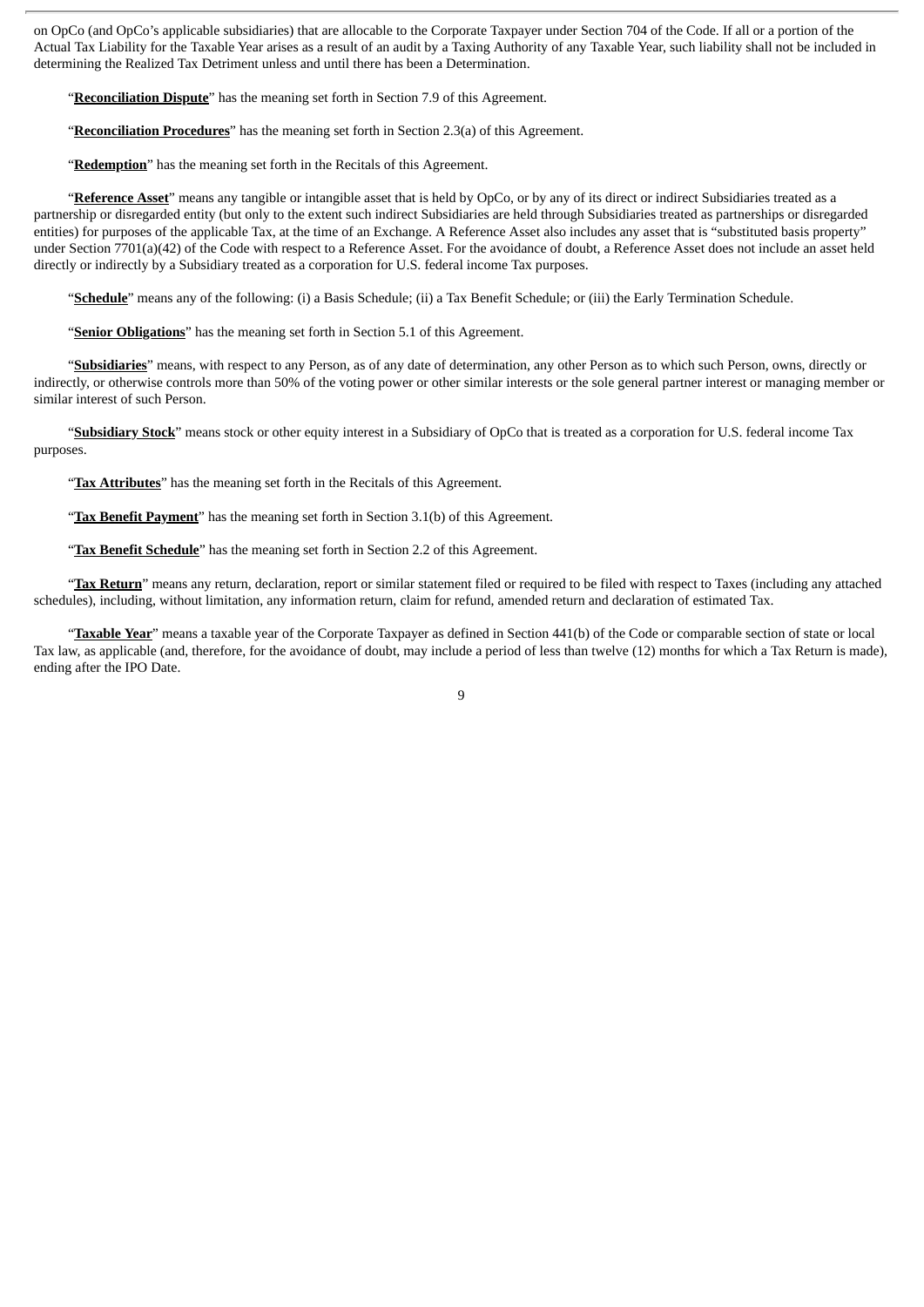on OpCo (and OpCo's applicable subsidiaries) that are allocable to the Corporate Taxpayer under Section 704 of the Code. If all or a portion of the Actual Tax Liability for the Taxable Year arises as a result of an audit by a Taxing Authority of any Taxable Year, such liability shall not be included in determining the Realized Tax Detriment unless and until there has been a Determination.

"**Reconciliation Dispute**" has the meaning set forth in Section 7.9 of this Agreement.

"**Reconciliation Procedures**" has the meaning set forth in Section 2.3(a) of this Agreement.

"**Redemption**" has the meaning set forth in the Recitals of this Agreement.

"**Reference Asset**" means any tangible or intangible asset that is held by OpCo, or by any of its direct or indirect Subsidiaries treated as a partnership or disregarded entity (but only to the extent such indirect Subsidiaries are held through Subsidiaries treated as partnerships or disregarded entities) for purposes of the applicable Tax, at the time of an Exchange. A Reference Asset also includes any asset that is "substituted basis property" under Section 7701(a)(42) of the Code with respect to a Reference Asset. For the avoidance of doubt, a Reference Asset does not include an asset held directly or indirectly by a Subsidiary treated as a corporation for U.S. federal income Tax purposes.

"**Schedule**" means any of the following: (i) a Basis Schedule; (ii) a Tax Benefit Schedule; or (iii) the Early Termination Schedule.

"**Senior Obligations**" has the meaning set forth in Section 5.1 of this Agreement.

"**Subsidiaries**" means, with respect to any Person, as of any date of determination, any other Person as to which such Person, owns, directly or indirectly, or otherwise controls more than 50% of the voting power or other similar interests or the sole general partner interest or managing member or similar interest of such Person.

"**Subsidiary Stock**" means stock or other equity interest in a Subsidiary of OpCo that is treated as a corporation for U.S. federal income Tax purposes.

"**Tax Attributes**" has the meaning set forth in the Recitals of this Agreement.

"**Tax Benefit Payment**" has the meaning set forth in Section 3.1(b) of this Agreement.

"**Tax Benefit Schedule**" has the meaning set forth in Section 2.2 of this Agreement.

"**Tax Return**" means any return, declaration, report or similar statement filed or required to be filed with respect to Taxes (including any attached schedules), including, without limitation, any information return, claim for refund, amended return and declaration of estimated Tax.

"Taxable Year" means a taxable year of the Corporate Taxpayer as defined in Section 441(b) of the Code or comparable section of state or local Tax law, as applicable (and, therefore, for the avoidance of doubt, may include a period of less than twelve (12) months for which a Tax Return is made), ending after the IPO Date.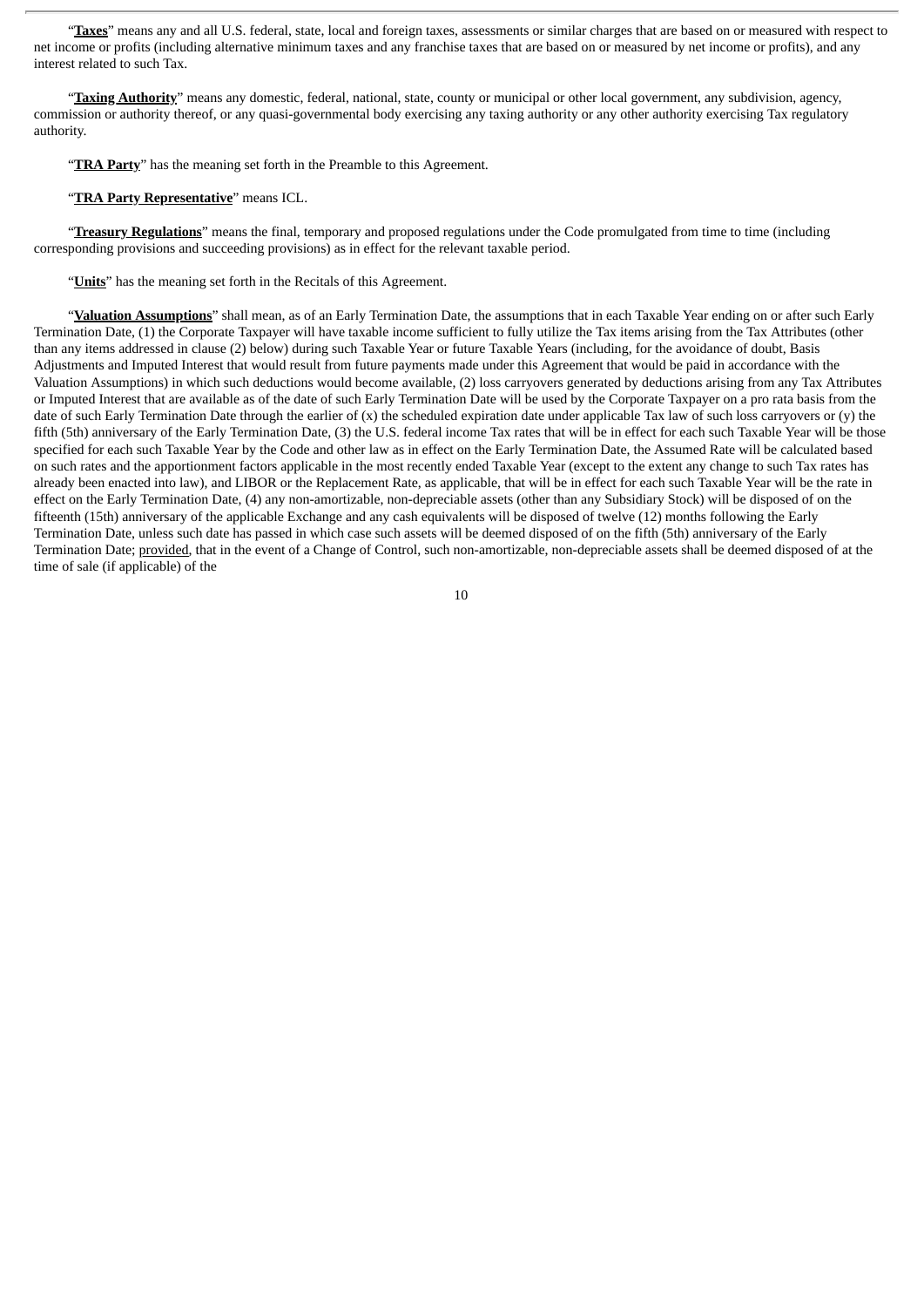"**Taxes**" means any and all U.S. federal, state, local and foreign taxes, assessments or similar charges that are based on or measured with respect to net income or profits (including alternative minimum taxes and any franchise taxes that are based on or measured by net income or profits), and any interest related to such Tax.

"**Taxing Authority**" means any domestic, federal, national, state, county or municipal or other local government, any subdivision, agency, commission or authority thereof, or any quasi-governmental body exercising any taxing authority or any other authority exercising Tax regulatory authority.

"**TRA Party**" has the meaning set forth in the Preamble to this Agreement.

"**TRA Party Representative**" means ICL.

"**Treasury Regulations**" means the final, temporary and proposed regulations under the Code promulgated from time to time (including corresponding provisions and succeeding provisions) as in effect for the relevant taxable period.

"**Units**" has the meaning set forth in the Recitals of this Agreement.

"**Valuation Assumptions**" shall mean, as of an Early Termination Date, the assumptions that in each Taxable Year ending on or after such Early Termination Date, (1) the Corporate Taxpayer will have taxable income sufficient to fully utilize the Tax items arising from the Tax Attributes (other than any items addressed in clause (2) below) during such Taxable Year or future Taxable Years (including, for the avoidance of doubt, Basis Adjustments and Imputed Interest that would result from future payments made under this Agreement that would be paid in accordance with the Valuation Assumptions) in which such deductions would become available, (2) loss carryovers generated by deductions arising from any Tax Attributes or Imputed Interest that are available as of the date of such Early Termination Date will be used by the Corporate Taxpayer on a pro rata basis from the date of such Early Termination Date through the earlier of (x) the scheduled expiration date under applicable Tax law of such loss carryovers or (y) the fifth (5th) anniversary of the Early Termination Date, (3) the U.S. federal income Tax rates that will be in effect for each such Taxable Year will be those specified for each such Taxable Year by the Code and other law as in effect on the Early Termination Date, the Assumed Rate will be calculated based on such rates and the apportionment factors applicable in the most recently ended Taxable Year (except to the extent any change to such Tax rates has already been enacted into law), and LIBOR or the Replacement Rate, as applicable, that will be in effect for each such Taxable Year will be the rate in effect on the Early Termination Date, (4) any non-amortizable, non-depreciable assets (other than any Subsidiary Stock) will be disposed of on the fifteenth (15th) anniversary of the applicable Exchange and any cash equivalents will be disposed of twelve (12) months following the Early Termination Date, unless such date has passed in which case such assets will be deemed disposed of on the fifth (5th) anniversary of the Early Termination Date; provided, that in the event of a Change of Control, such non-amortizable, non-depreciable assets shall be deemed disposed of at the time of sale (if applicable) of the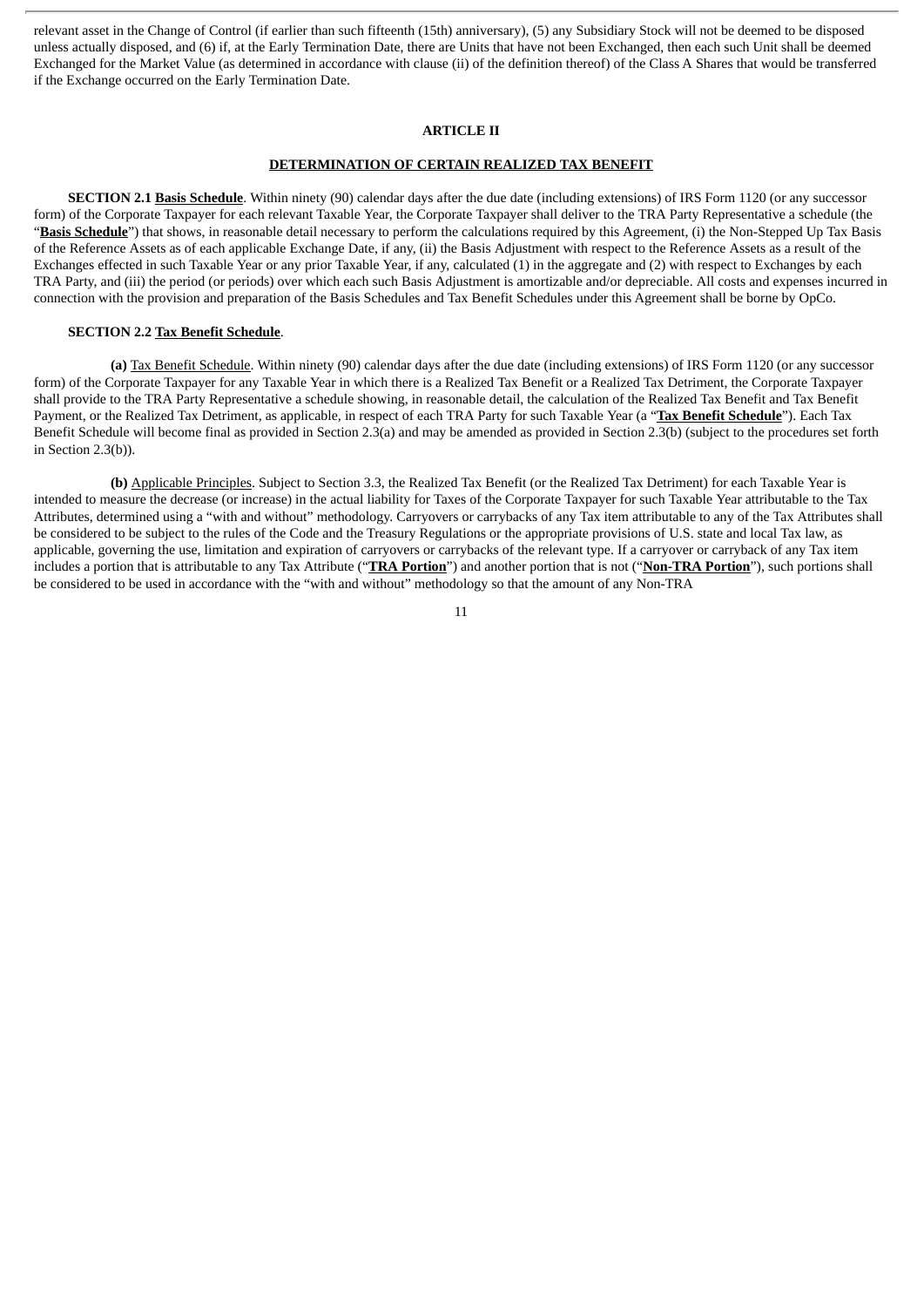relevant asset in the Change of Control (if earlier than such fifteenth (15th) anniversary), (5) any Subsidiary Stock will not be deemed to be disposed unless actually disposed, and (6) if, at the Early Termination Date, there are Units that have not been Exchanged, then each such Unit shall be deemed Exchanged for the Market Value (as determined in accordance with clause (ii) of the definition thereof) of the Class A Shares that would be transferred if the Exchange occurred on the Early Termination Date.

#### **ARTICLE II**

#### **DETERMINATION OF CERTAIN REALIZED TAX BENEFIT**

**SECTION 2.1 Basis Schedule**. Within ninety (90) calendar days after the due date (including extensions) of IRS Form 1120 (or any successor form) of the Corporate Taxpayer for each relevant Taxable Year, the Corporate Taxpayer shall deliver to the TRA Party Representative a schedule (the "**Basis Schedule**") that shows, in reasonable detail necessary to perform the calculations required by this Agreement, (i) the Non-Stepped Up Tax Basis of the Reference Assets as of each applicable Exchange Date, if any, (ii) the Basis Adjustment with respect to the Reference Assets as a result of the Exchanges effected in such Taxable Year or any prior Taxable Year, if any, calculated (1) in the aggregate and (2) with respect to Exchanges by each TRA Party, and (iii) the period (or periods) over which each such Basis Adjustment is amortizable and/or depreciable. All costs and expenses incurred in connection with the provision and preparation of the Basis Schedules and Tax Benefit Schedules under this Agreement shall be borne by OpCo.

## **SECTION 2.2 Tax Benefit Schedule**.

**(a)** Tax Benefit Schedule. Within ninety (90) calendar days after the due date (including extensions) of IRS Form 1120 (or any successor form) of the Corporate Taxpayer for any Taxable Year in which there is a Realized Tax Benefit or a Realized Tax Detriment, the Corporate Taxpayer shall provide to the TRA Party Representative a schedule showing, in reasonable detail, the calculation of the Realized Tax Benefit and Tax Benefit Payment, or the Realized Tax Detriment, as applicable, in respect of each TRA Party for such Taxable Year (a "**Tax Benefit Schedule**"). Each Tax Benefit Schedule will become final as provided in Section 2.3(a) and may be amended as provided in Section 2.3(b) (subject to the procedures set forth in Section 2.3(b)).

**(b)** Applicable Principles. Subject to Section 3.3, the Realized Tax Benefit (or the Realized Tax Detriment) for each Taxable Year is intended to measure the decrease (or increase) in the actual liability for Taxes of the Corporate Taxpayer for such Taxable Year attributable to the Tax Attributes, determined using a "with and without" methodology. Carryovers or carrybacks of any Tax item attributable to any of the Tax Attributes shall be considered to be subject to the rules of the Code and the Treasury Regulations or the appropriate provisions of U.S. state and local Tax law, as applicable, governing the use, limitation and expiration of carryovers or carrybacks of the relevant type. If a carryover or carryback of any Tax item includes a portion that is attributable to any Tax Attribute ("**TRA Portion**") and another portion that is not ("**Non-TRA Portion**"), such portions shall be considered to be used in accordance with the "with and without" methodology so that the amount of any Non-TRA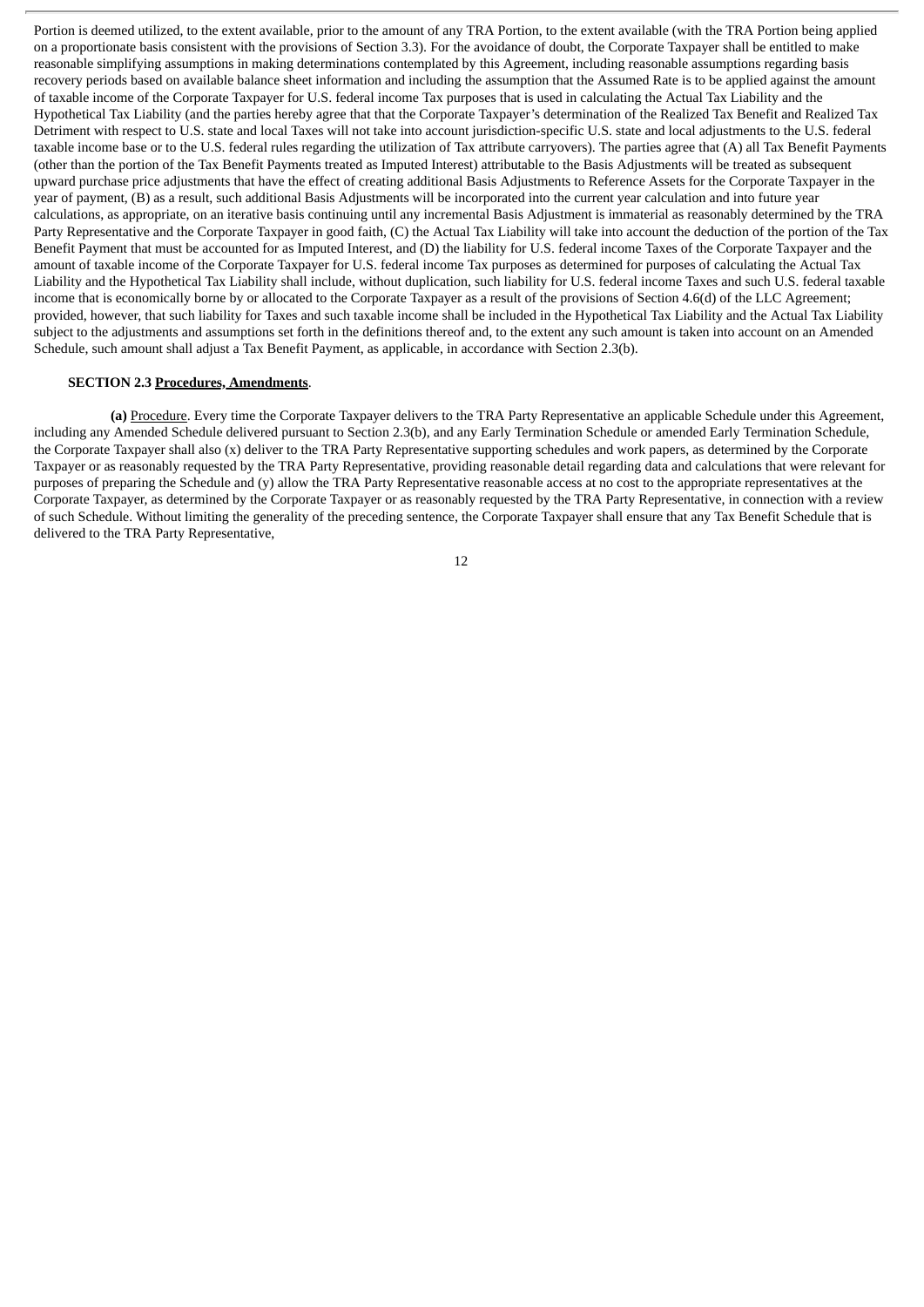Portion is deemed utilized, to the extent available, prior to the amount of any TRA Portion, to the extent available (with the TRA Portion being applied on a proportionate basis consistent with the provisions of Section 3.3). For the avoidance of doubt, the Corporate Taxpayer shall be entitled to make reasonable simplifying assumptions in making determinations contemplated by this Agreement, including reasonable assumptions regarding basis recovery periods based on available balance sheet information and including the assumption that the Assumed Rate is to be applied against the amount of taxable income of the Corporate Taxpayer for U.S. federal income Tax purposes that is used in calculating the Actual Tax Liability and the Hypothetical Tax Liability (and the parties hereby agree that that the Corporate Taxpayer's determination of the Realized Tax Benefit and Realized Tax Detriment with respect to U.S. state and local Taxes will not take into account jurisdiction-specific U.S. state and local adjustments to the U.S. federal taxable income base or to the U.S. federal rules regarding the utilization of Tax attribute carryovers). The parties agree that (A) all Tax Benefit Payments (other than the portion of the Tax Benefit Payments treated as Imputed Interest) attributable to the Basis Adjustments will be treated as subsequent upward purchase price adjustments that have the effect of creating additional Basis Adjustments to Reference Assets for the Corporate Taxpayer in the year of payment, (B) as a result, such additional Basis Adjustments will be incorporated into the current year calculation and into future year calculations, as appropriate, on an iterative basis continuing until any incremental Basis Adjustment is immaterial as reasonably determined by the TRA Party Representative and the Corporate Taxpayer in good faith, (C) the Actual Tax Liability will take into account the deduction of the portion of the Tax Benefit Payment that must be accounted for as Imputed Interest, and (D) the liability for U.S. federal income Taxes of the Corporate Taxpayer and the amount of taxable income of the Corporate Taxpayer for U.S. federal income Tax purposes as determined for purposes of calculating the Actual Tax Liability and the Hypothetical Tax Liability shall include, without duplication, such liability for U.S. federal income Taxes and such U.S. federal taxable income that is economically borne by or allocated to the Corporate Taxpayer as a result of the provisions of Section 4.6(d) of the LLC Agreement; provided, however, that such liability for Taxes and such taxable income shall be included in the Hypothetical Tax Liability and the Actual Tax Liability subject to the adjustments and assumptions set forth in the definitions thereof and, to the extent any such amount is taken into account on an Amended Schedule, such amount shall adjust a Tax Benefit Payment, as applicable, in accordance with Section 2.3(b).

#### **SECTION 2.3 Procedures, Amendments**.

**(a)** Procedure. Every time the Corporate Taxpayer delivers to the TRA Party Representative an applicable Schedule under this Agreement, including any Amended Schedule delivered pursuant to Section 2.3(b), and any Early Termination Schedule or amended Early Termination Schedule, the Corporate Taxpayer shall also (x) deliver to the TRA Party Representative supporting schedules and work papers, as determined by the Corporate Taxpayer or as reasonably requested by the TRA Party Representative, providing reasonable detail regarding data and calculations that were relevant for purposes of preparing the Schedule and (y) allow the TRA Party Representative reasonable access at no cost to the appropriate representatives at the Corporate Taxpayer, as determined by the Corporate Taxpayer or as reasonably requested by the TRA Party Representative, in connection with a review of such Schedule. Without limiting the generality of the preceding sentence, the Corporate Taxpayer shall ensure that any Tax Benefit Schedule that is delivered to the TRA Party Representative,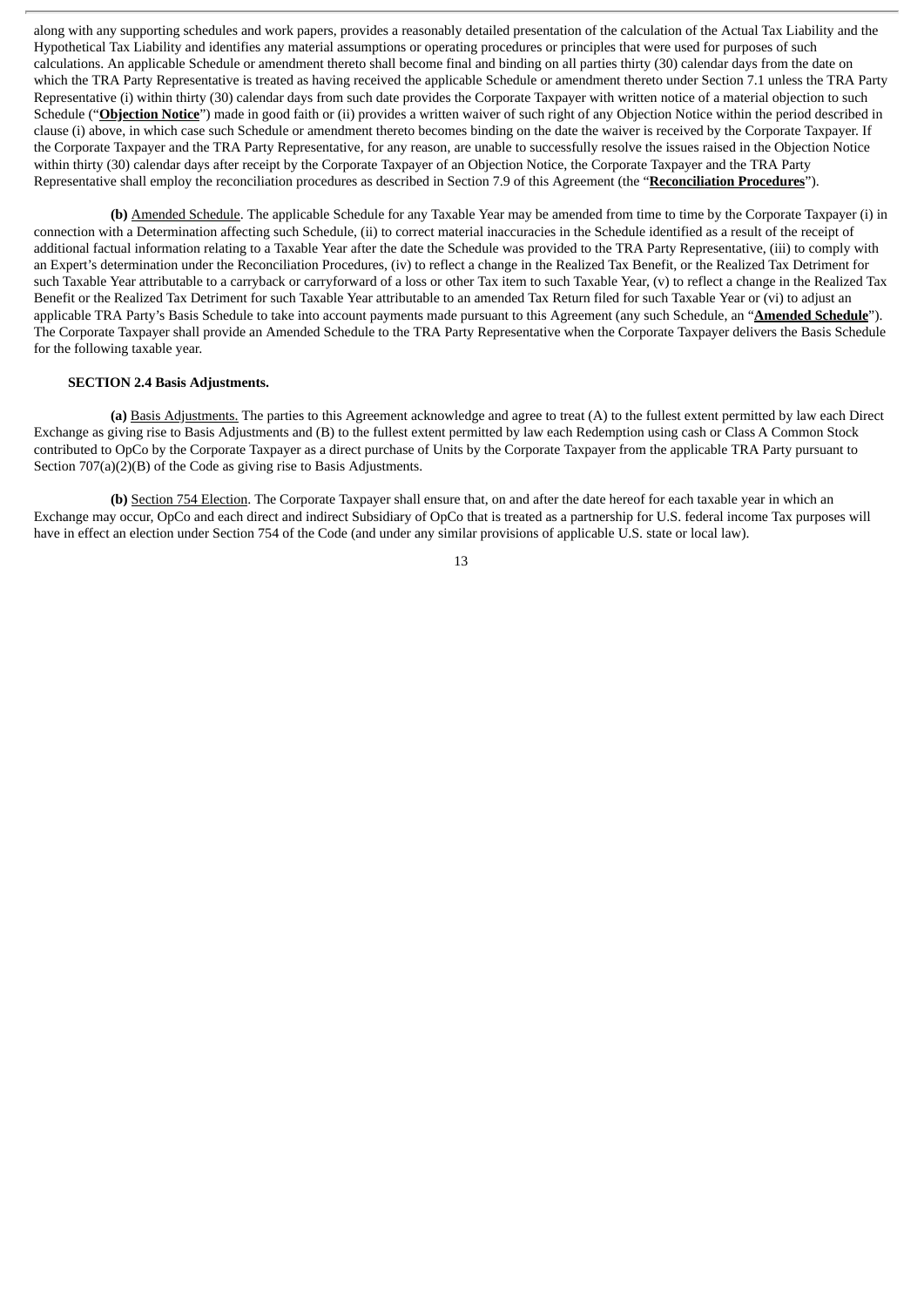along with any supporting schedules and work papers, provides a reasonably detailed presentation of the calculation of the Actual Tax Liability and the Hypothetical Tax Liability and identifies any material assumptions or operating procedures or principles that were used for purposes of such calculations. An applicable Schedule or amendment thereto shall become final and binding on all parties thirty (30) calendar days from the date on which the TRA Party Representative is treated as having received the applicable Schedule or amendment thereto under Section 7.1 unless the TRA Party Representative (i) within thirty (30) calendar days from such date provides the Corporate Taxpayer with written notice of a material objection to such Schedule ("**Objection Notice**") made in good faith or (ii) provides a written waiver of such right of any Objection Notice within the period described in clause (i) above, in which case such Schedule or amendment thereto becomes binding on the date the waiver is received by the Corporate Taxpayer. If the Corporate Taxpayer and the TRA Party Representative, for any reason, are unable to successfully resolve the issues raised in the Objection Notice within thirty (30) calendar days after receipt by the Corporate Taxpayer of an Objection Notice, the Corporate Taxpayer and the TRA Party Representative shall employ the reconciliation procedures as described in Section 7.9 of this Agreement (the "**Reconciliation Procedures**").

**(b)** Amended Schedule. The applicable Schedule for any Taxable Year may be amended from time to time by the Corporate Taxpayer (i) in connection with a Determination affecting such Schedule, (ii) to correct material inaccuracies in the Schedule identified as a result of the receipt of additional factual information relating to a Taxable Year after the date the Schedule was provided to the TRA Party Representative, (iii) to comply with an Expert's determination under the Reconciliation Procedures, (iv) to reflect a change in the Realized Tax Benefit, or the Realized Tax Detriment for such Taxable Year attributable to a carryback or carryforward of a loss or other Tax item to such Taxable Year, (v) to reflect a change in the Realized Tax Benefit or the Realized Tax Detriment for such Taxable Year attributable to an amended Tax Return filed for such Taxable Year or (vi) to adjust an applicable TRA Party's Basis Schedule to take into account payments made pursuant to this Agreement (any such Schedule, an "**Amended Schedule**"). The Corporate Taxpayer shall provide an Amended Schedule to the TRA Party Representative when the Corporate Taxpayer delivers the Basis Schedule for the following taxable year.

#### **SECTION 2.4 Basis Adjustments.**

**(a)** Basis Adjustments. The parties to this Agreement acknowledge and agree to treat (A) to the fullest extent permitted by law each Direct Exchange as giving rise to Basis Adjustments and (B) to the fullest extent permitted by law each Redemption using cash or Class A Common Stock contributed to OpCo by the Corporate Taxpayer as a direct purchase of Units by the Corporate Taxpayer from the applicable TRA Party pursuant to Section 707(a)(2)(B) of the Code as giving rise to Basis Adjustments.

**(b)** Section 754 Election. The Corporate Taxpayer shall ensure that, on and after the date hereof for each taxable year in which an Exchange may occur, OpCo and each direct and indirect Subsidiary of OpCo that is treated as a partnership for U.S. federal income Tax purposes will have in effect an election under Section 754 of the Code (and under any similar provisions of applicable U.S. state or local law).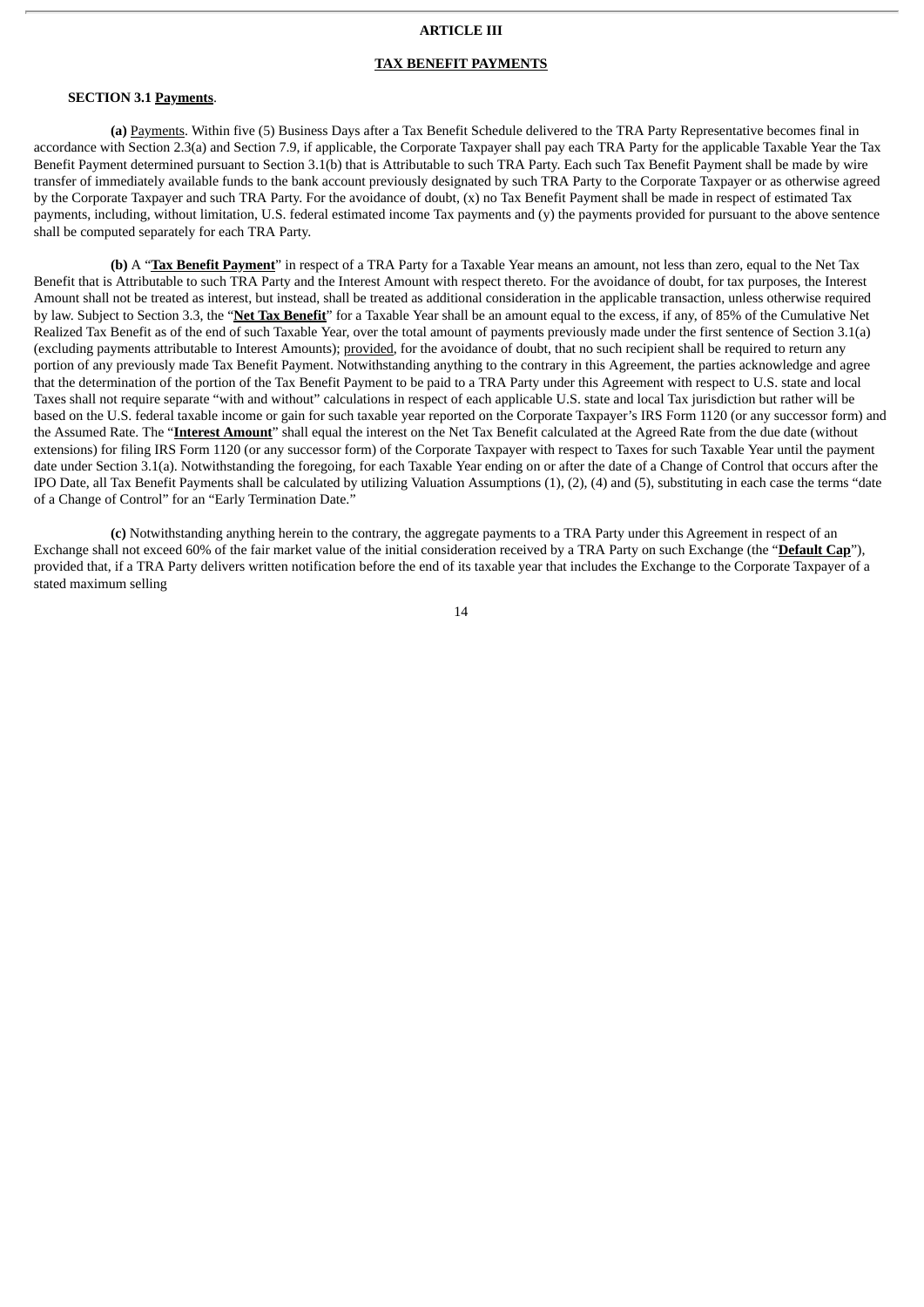#### **ARTICLE III**

### **TAX BENEFIT PAYMENTS**

## **SECTION 3.1 Payments**.

**(a)** Payments. Within five (5) Business Days after a Tax Benefit Schedule delivered to the TRA Party Representative becomes final in accordance with Section 2.3(a) and Section 7.9, if applicable, the Corporate Taxpayer shall pay each TRA Party for the applicable Taxable Year the Tax Benefit Payment determined pursuant to Section 3.1(b) that is Attributable to such TRA Party. Each such Tax Benefit Payment shall be made by wire transfer of immediately available funds to the bank account previously designated by such TRA Party to the Corporate Taxpayer or as otherwise agreed by the Corporate Taxpayer and such TRA Party. For the avoidance of doubt, (x) no Tax Benefit Payment shall be made in respect of estimated Tax payments, including, without limitation, U.S. federal estimated income Tax payments and (y) the payments provided for pursuant to the above sentence shall be computed separately for each TRA Party.

**(b)** A "**Tax Benefit Payment**" in respect of a TRA Party for a Taxable Year means an amount, not less than zero, equal to the Net Tax Benefit that is Attributable to such TRA Party and the Interest Amount with respect thereto. For the avoidance of doubt, for tax purposes, the Interest Amount shall not be treated as interest, but instead, shall be treated as additional consideration in the applicable transaction, unless otherwise required by law. Subject to Section 3.3, the "**Net Tax Benefit**" for a Taxable Year shall be an amount equal to the excess, if any, of 85% of the Cumulative Net Realized Tax Benefit as of the end of such Taxable Year, over the total amount of payments previously made under the first sentence of Section 3.1(a) (excluding payments attributable to Interest Amounts); provided, for the avoidance of doubt, that no such recipient shall be required to return any portion of any previously made Tax Benefit Payment. Notwithstanding anything to the contrary in this Agreement, the parties acknowledge and agree that the determination of the portion of the Tax Benefit Payment to be paid to a TRA Party under this Agreement with respect to U.S. state and local Taxes shall not require separate "with and without" calculations in respect of each applicable U.S. state and local Tax jurisdiction but rather will be based on the U.S. federal taxable income or gain for such taxable year reported on the Corporate Taxpayer's IRS Form 1120 (or any successor form) and the Assumed Rate. The "**Interest Amount**" shall equal the interest on the Net Tax Benefit calculated at the Agreed Rate from the due date (without extensions) for filing IRS Form 1120 (or any successor form) of the Corporate Taxpayer with respect to Taxes for such Taxable Year until the payment date under Section 3.1(a). Notwithstanding the foregoing, for each Taxable Year ending on or after the date of a Change of Control that occurs after the IPO Date, all Tax Benefit Payments shall be calculated by utilizing Valuation Assumptions (1), (2), (4) and (5), substituting in each case the terms "date of a Change of Control" for an "Early Termination Date."

**(c)** Notwithstanding anything herein to the contrary, the aggregate payments to a TRA Party under this Agreement in respect of an Exchange shall not exceed 60% of the fair market value of the initial consideration received by a TRA Party on such Exchange (the "**Default Cap**"), provided that, if a TRA Party delivers written notification before the end of its taxable year that includes the Exchange to the Corporate Taxpayer of a stated maximum selling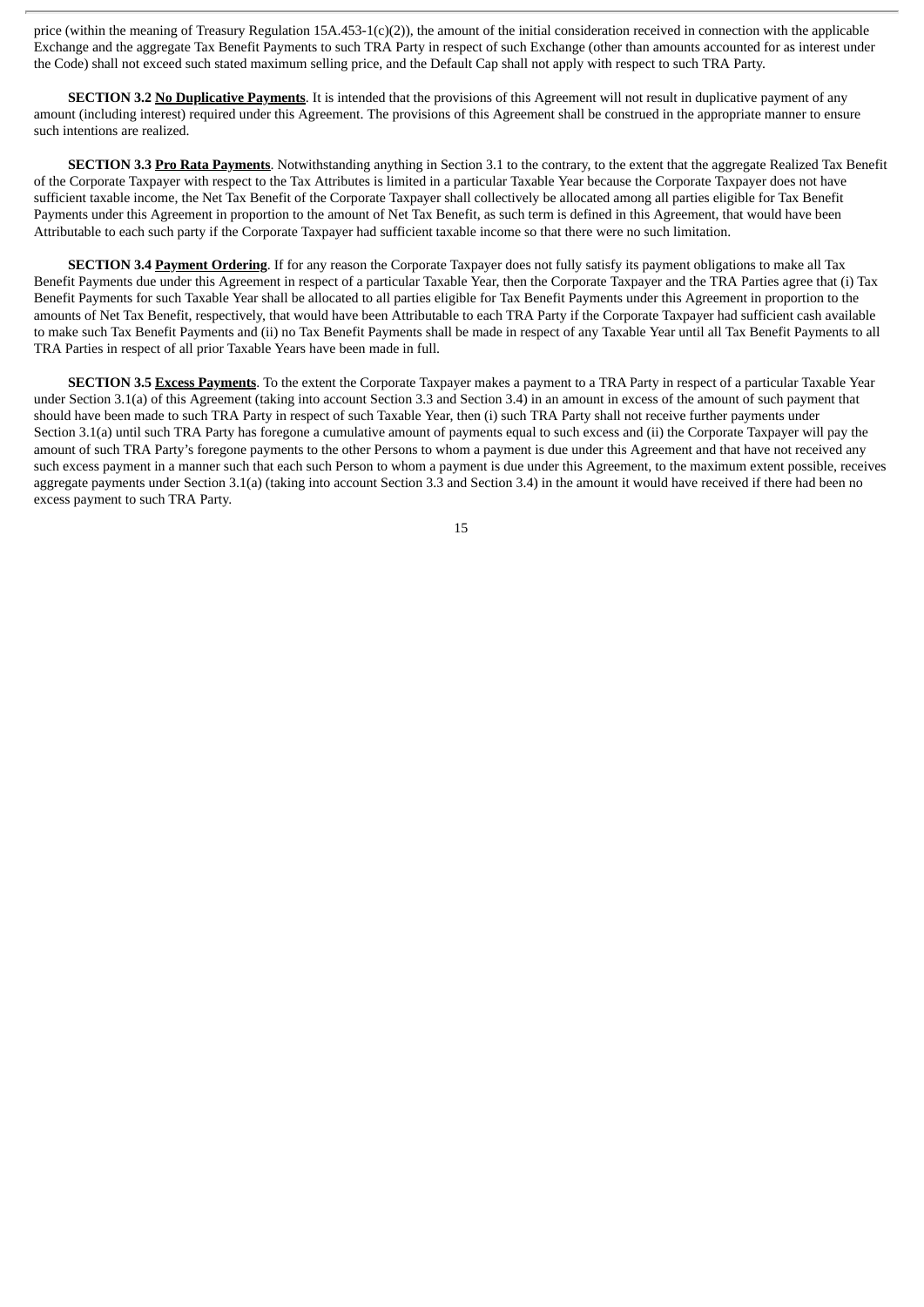price (within the meaning of Treasury Regulation 15A.453-1(c)(2)), the amount of the initial consideration received in connection with the applicable Exchange and the aggregate Tax Benefit Payments to such TRA Party in respect of such Exchange (other than amounts accounted for as interest under the Code) shall not exceed such stated maximum selling price, and the Default Cap shall not apply with respect to such TRA Party.

**SECTION 3.2 No Duplicative Payments**. It is intended that the provisions of this Agreement will not result in duplicative payment of any amount (including interest) required under this Agreement. The provisions of this Agreement shall be construed in the appropriate manner to ensure such intentions are realized.

**SECTION 3.3 Pro Rata Payments**. Notwithstanding anything in Section 3.1 to the contrary, to the extent that the aggregate Realized Tax Benefit of the Corporate Taxpayer with respect to the Tax Attributes is limited in a particular Taxable Year because the Corporate Taxpayer does not have sufficient taxable income, the Net Tax Benefit of the Corporate Taxpayer shall collectively be allocated among all parties eligible for Tax Benefit Payments under this Agreement in proportion to the amount of Net Tax Benefit, as such term is defined in this Agreement, that would have been Attributable to each such party if the Corporate Taxpayer had sufficient taxable income so that there were no such limitation.

**SECTION 3.4 Payment Ordering**. If for any reason the Corporate Taxpayer does not fully satisfy its payment obligations to make all Tax Benefit Payments due under this Agreement in respect of a particular Taxable Year, then the Corporate Taxpayer and the TRA Parties agree that (i) Tax Benefit Payments for such Taxable Year shall be allocated to all parties eligible for Tax Benefit Payments under this Agreement in proportion to the amounts of Net Tax Benefit, respectively, that would have been Attributable to each TRA Party if the Corporate Taxpayer had sufficient cash available to make such Tax Benefit Payments and (ii) no Tax Benefit Payments shall be made in respect of any Taxable Year until all Tax Benefit Payments to all TRA Parties in respect of all prior Taxable Years have been made in full.

**SECTION 3.5 Excess Payments**. To the extent the Corporate Taxpayer makes a payment to a TRA Party in respect of a particular Taxable Year under Section 3.1(a) of this Agreement (taking into account Section 3.3 and Section 3.4) in an amount in excess of the amount of such payment that should have been made to such TRA Party in respect of such Taxable Year, then (i) such TRA Party shall not receive further payments under Section 3.1(a) until such TRA Party has foregone a cumulative amount of payments equal to such excess and (ii) the Corporate Taxpayer will pay the amount of such TRA Party's foregone payments to the other Persons to whom a payment is due under this Agreement and that have not received any such excess payment in a manner such that each such Person to whom a payment is due under this Agreement, to the maximum extent possible, receives aggregate payments under Section 3.1(a) (taking into account Section 3.3 and Section 3.4) in the amount it would have received if there had been no excess payment to such TRA Party.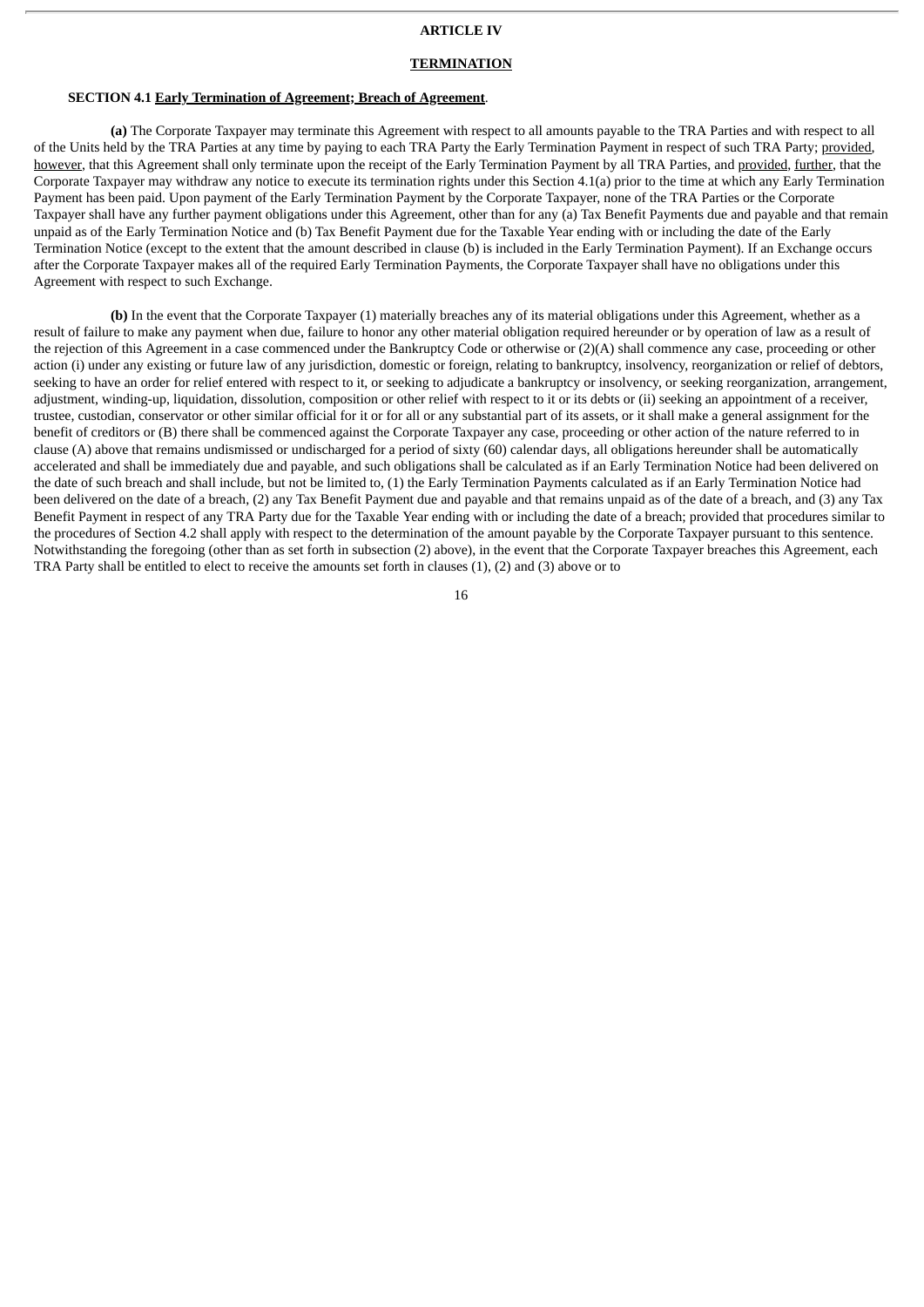## **ARTICLE IV**

#### **TERMINATION**

## **SECTION 4.1 Early Termination of Agreement; Breach of Agreement**.

**(a)** The Corporate Taxpayer may terminate this Agreement with respect to all amounts payable to the TRA Parties and with respect to all of the Units held by the TRA Parties at any time by paying to each TRA Party the Early Termination Payment in respect of such TRA Party; provided, however, that this Agreement shall only terminate upon the receipt of the Early Termination Payment by all TRA Parties, and provided, further, that the Corporate Taxpayer may withdraw any notice to execute its termination rights under this Section 4.1(a) prior to the time at which any Early Termination Payment has been paid. Upon payment of the Early Termination Payment by the Corporate Taxpayer, none of the TRA Parties or the Corporate Taxpayer shall have any further payment obligations under this Agreement, other than for any (a) Tax Benefit Payments due and payable and that remain unpaid as of the Early Termination Notice and (b) Tax Benefit Payment due for the Taxable Year ending with or including the date of the Early Termination Notice (except to the extent that the amount described in clause (b) is included in the Early Termination Payment). If an Exchange occurs after the Corporate Taxpayer makes all of the required Early Termination Payments, the Corporate Taxpayer shall have no obligations under this Agreement with respect to such Exchange.

**(b)** In the event that the Corporate Taxpayer (1) materially breaches any of its material obligations under this Agreement, whether as a result of failure to make any payment when due, failure to honor any other material obligation required hereunder or by operation of law as a result of the rejection of this Agreement in a case commenced under the Bankruptcy Code or otherwise or (2)(A) shall commence any case, proceeding or other action (i) under any existing or future law of any jurisdiction, domestic or foreign, relating to bankruptcy, insolvency, reorganization or relief of debtors, seeking to have an order for relief entered with respect to it, or seeking to adjudicate a bankruptcy or insolvency, or seeking reorganization, arrangement, adjustment, winding-up, liquidation, dissolution, composition or other relief with respect to it or its debts or (ii) seeking an appointment of a receiver, trustee, custodian, conservator or other similar official for it or for all or any substantial part of its assets, or it shall make a general assignment for the benefit of creditors or (B) there shall be commenced against the Corporate Taxpayer any case, proceeding or other action of the nature referred to in clause (A) above that remains undismissed or undischarged for a period of sixty (60) calendar days, all obligations hereunder shall be automatically accelerated and shall be immediately due and payable, and such obligations shall be calculated as if an Early Termination Notice had been delivered on the date of such breach and shall include, but not be limited to, (1) the Early Termination Payments calculated as if an Early Termination Notice had been delivered on the date of a breach, (2) any Tax Benefit Payment due and payable and that remains unpaid as of the date of a breach, and (3) any Tax Benefit Payment in respect of any TRA Party due for the Taxable Year ending with or including the date of a breach; provided that procedures similar to the procedures of Section 4.2 shall apply with respect to the determination of the amount payable by the Corporate Taxpayer pursuant to this sentence. Notwithstanding the foregoing (other than as set forth in subsection (2) above), in the event that the Corporate Taxpayer breaches this Agreement, each TRA Party shall be entitled to elect to receive the amounts set forth in clauses (1), (2) and (3) above or to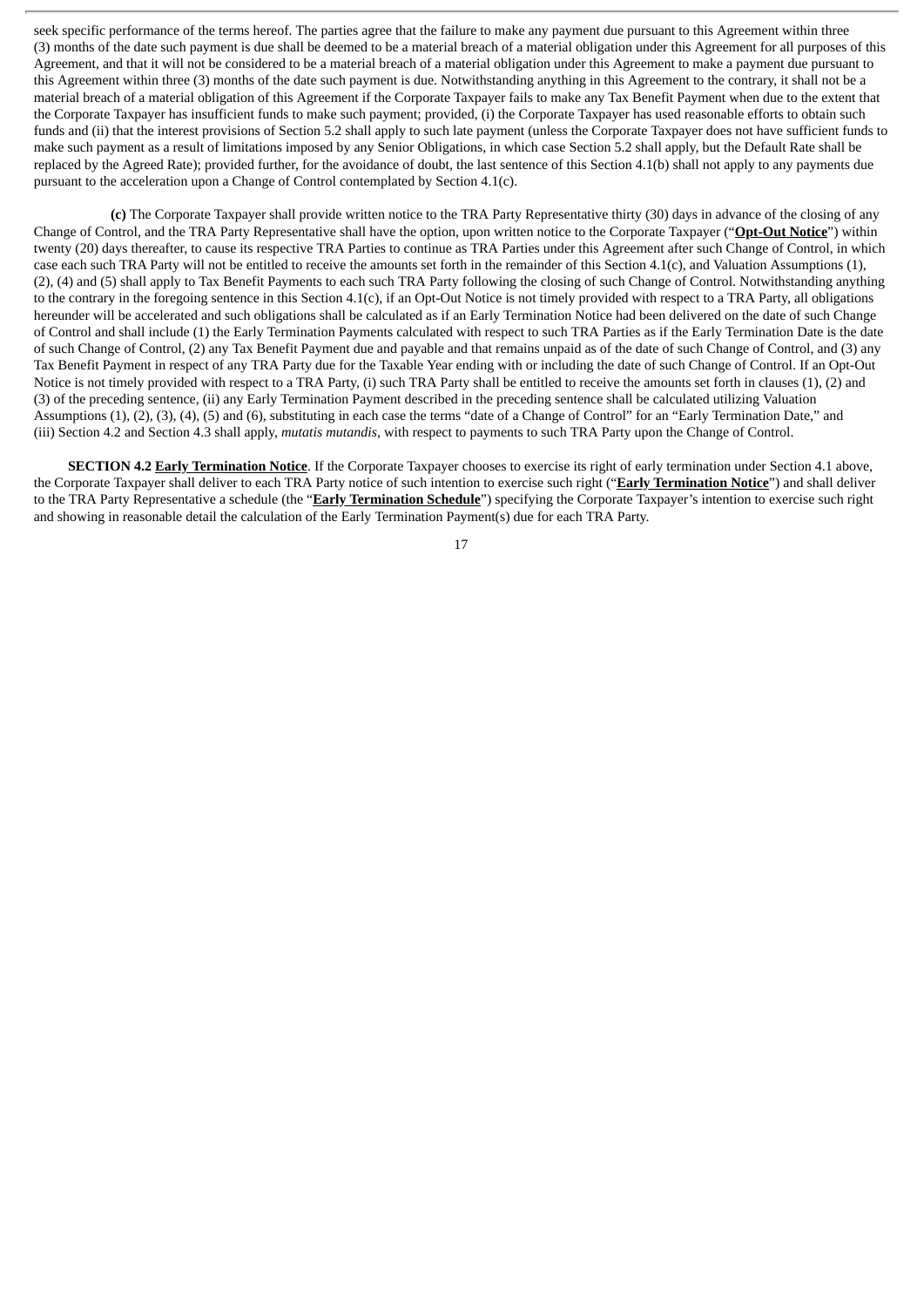seek specific performance of the terms hereof. The parties agree that the failure to make any payment due pursuant to this Agreement within three (3) months of the date such payment is due shall be deemed to be a material breach of a material obligation under this Agreement for all purposes of this Agreement, and that it will not be considered to be a material breach of a material obligation under this Agreement to make a payment due pursuant to this Agreement within three (3) months of the date such payment is due. Notwithstanding anything in this Agreement to the contrary, it shall not be a material breach of a material obligation of this Agreement if the Corporate Taxpayer fails to make any Tax Benefit Payment when due to the extent that the Corporate Taxpayer has insufficient funds to make such payment; provided, (i) the Corporate Taxpayer has used reasonable efforts to obtain such funds and (ii) that the interest provisions of Section 5.2 shall apply to such late payment (unless the Corporate Taxpayer does not have sufficient funds to make such payment as a result of limitations imposed by any Senior Obligations, in which case Section 5.2 shall apply, but the Default Rate shall be replaced by the Agreed Rate); provided further, for the avoidance of doubt, the last sentence of this Section 4.1(b) shall not apply to any payments due pursuant to the acceleration upon a Change of Control contemplated by Section 4.1(c).

**(c)** The Corporate Taxpayer shall provide written notice to the TRA Party Representative thirty (30) days in advance of the closing of any Change of Control, and the TRA Party Representative shall have the option, upon written notice to the Corporate Taxpayer ("**Opt-Out Notice**") within twenty (20) days thereafter, to cause its respective TRA Parties to continue as TRA Parties under this Agreement after such Change of Control, in which case each such TRA Party will not be entitled to receive the amounts set forth in the remainder of this Section 4.1(c), and Valuation Assumptions (1), (2), (4) and (5) shall apply to Tax Benefit Payments to each such TRA Party following the closing of such Change of Control. Notwithstanding anything to the contrary in the foregoing sentence in this Section 4.1(c), if an Opt-Out Notice is not timely provided with respect to a TRA Party, all obligations hereunder will be accelerated and such obligations shall be calculated as if an Early Termination Notice had been delivered on the date of such Change of Control and shall include (1) the Early Termination Payments calculated with respect to such TRA Parties as if the Early Termination Date is the date of such Change of Control, (2) any Tax Benefit Payment due and payable and that remains unpaid as of the date of such Change of Control, and (3) any Tax Benefit Payment in respect of any TRA Party due for the Taxable Year ending with or including the date of such Change of Control. If an Opt-Out Notice is not timely provided with respect to a TRA Party, (i) such TRA Party shall be entitled to receive the amounts set forth in clauses (1), (2) and (3) of the preceding sentence, (ii) any Early Termination Payment described in the preceding sentence shall be calculated utilizing Valuation Assumptions (1), (2), (3), (4), (5) and (6), substituting in each case the terms "date of a Change of Control" for an "Early Termination Date," and (iii) Section 4.2 and Section 4.3 shall apply, *mutatis mutandis,* with respect to payments to such TRA Party upon the Change of Control.

**SECTION 4.2 Early Termination Notice**. If the Corporate Taxpayer chooses to exercise its right of early termination under Section 4.1 above, the Corporate Taxpayer shall deliver to each TRA Party notice of such intention to exercise such right ("**Early Termination Notice**") and shall deliver to the TRA Party Representative a schedule (the "**Early Termination Schedule**") specifying the Corporate Taxpayer's intention to exercise such right and showing in reasonable detail the calculation of the Early Termination Payment(s) due for each TRA Party.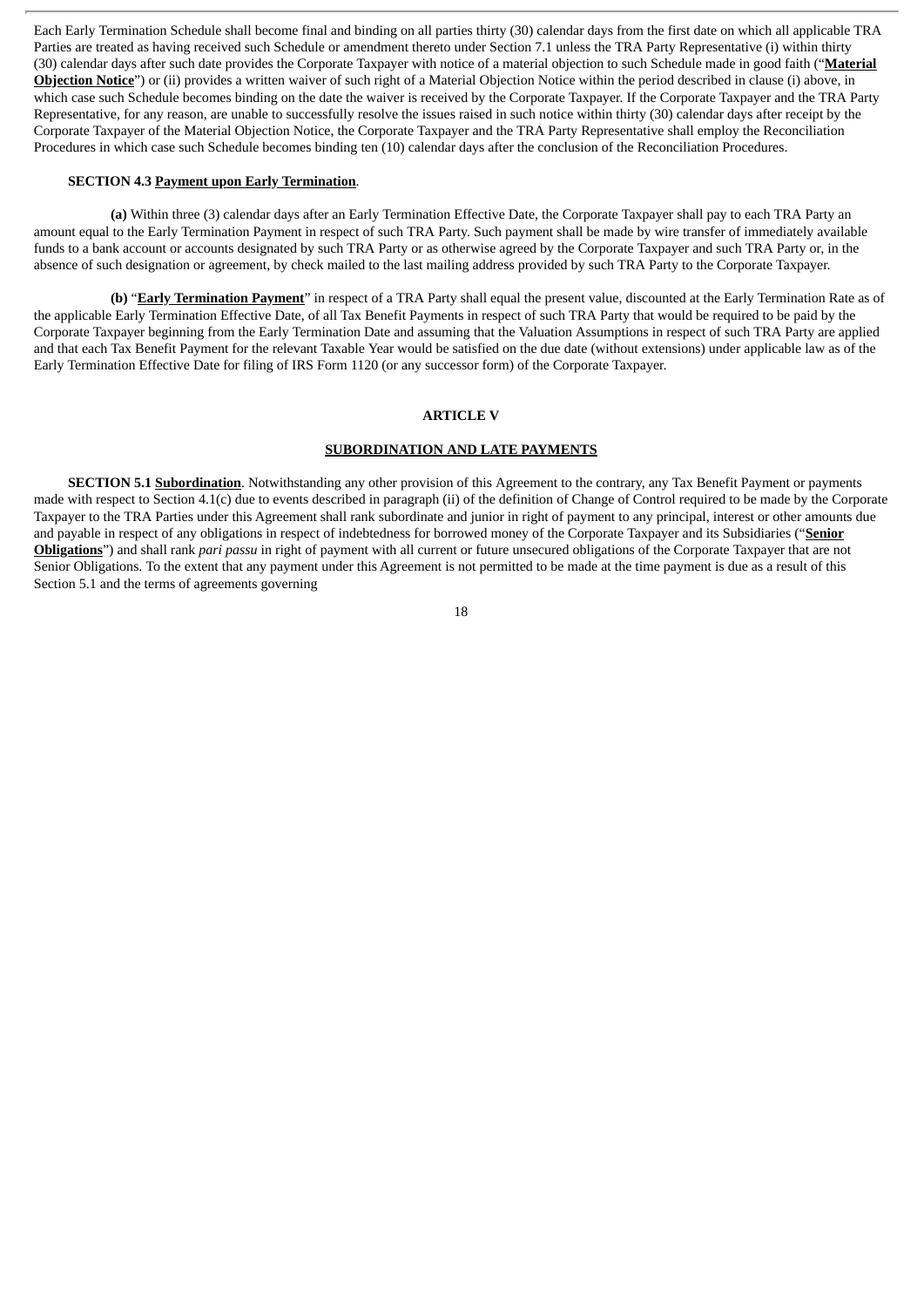Each Early Termination Schedule shall become final and binding on all parties thirty (30) calendar days from the first date on which all applicable TRA Parties are treated as having received such Schedule or amendment thereto under Section 7.1 unless the TRA Party Representative (i) within thirty (30) calendar days after such date provides the Corporate Taxpayer with notice of a material objection to such Schedule made in good faith ("**Material Objection Notice**") or (ii) provides a written waiver of such right of a Material Objection Notice within the period described in clause (i) above, in which case such Schedule becomes binding on the date the waiver is received by the Corporate Taxpayer. If the Corporate Taxpayer and the TRA Party Representative, for any reason, are unable to successfully resolve the issues raised in such notice within thirty (30) calendar days after receipt by the Corporate Taxpayer of the Material Objection Notice, the Corporate Taxpayer and the TRA Party Representative shall employ the Reconciliation Procedures in which case such Schedule becomes binding ten (10) calendar days after the conclusion of the Reconciliation Procedures.

#### **SECTION 4.3 Payment upon Early Termination**.

**(a)** Within three (3) calendar days after an Early Termination Effective Date, the Corporate Taxpayer shall pay to each TRA Party an amount equal to the Early Termination Payment in respect of such TRA Party. Such payment shall be made by wire transfer of immediately available funds to a bank account or accounts designated by such TRA Party or as otherwise agreed by the Corporate Taxpayer and such TRA Party or, in the absence of such designation or agreement, by check mailed to the last mailing address provided by such TRA Party to the Corporate Taxpayer.

**(b)** "**Early Termination Payment**" in respect of a TRA Party shall equal the present value, discounted at the Early Termination Rate as of the applicable Early Termination Effective Date, of all Tax Benefit Payments in respect of such TRA Party that would be required to be paid by the Corporate Taxpayer beginning from the Early Termination Date and assuming that the Valuation Assumptions in respect of such TRA Party are applied and that each Tax Benefit Payment for the relevant Taxable Year would be satisfied on the due date (without extensions) under applicable law as of the Early Termination Effective Date for filing of IRS Form 1120 (or any successor form) of the Corporate Taxpayer.

## **ARTICLE V**

## **SUBORDINATION AND LATE PAYMENTS**

**SECTION 5.1 Subordination**. Notwithstanding any other provision of this Agreement to the contrary, any Tax Benefit Payment or payments made with respect to Section 4.1(c) due to events described in paragraph (ii) of the definition of Change of Control required to be made by the Corporate Taxpayer to the TRA Parties under this Agreement shall rank subordinate and junior in right of payment to any principal, interest or other amounts due and payable in respect of any obligations in respect of indebtedness for borrowed money of the Corporate Taxpayer and its Subsidiaries ("**Senior Obligations**") and shall rank *pari passu* in right of payment with all current or future unsecured obligations of the Corporate Taxpayer that are not Senior Obligations. To the extent that any payment under this Agreement is not permitted to be made at the time payment is due as a result of this Section 5.1 and the terms of agreements governing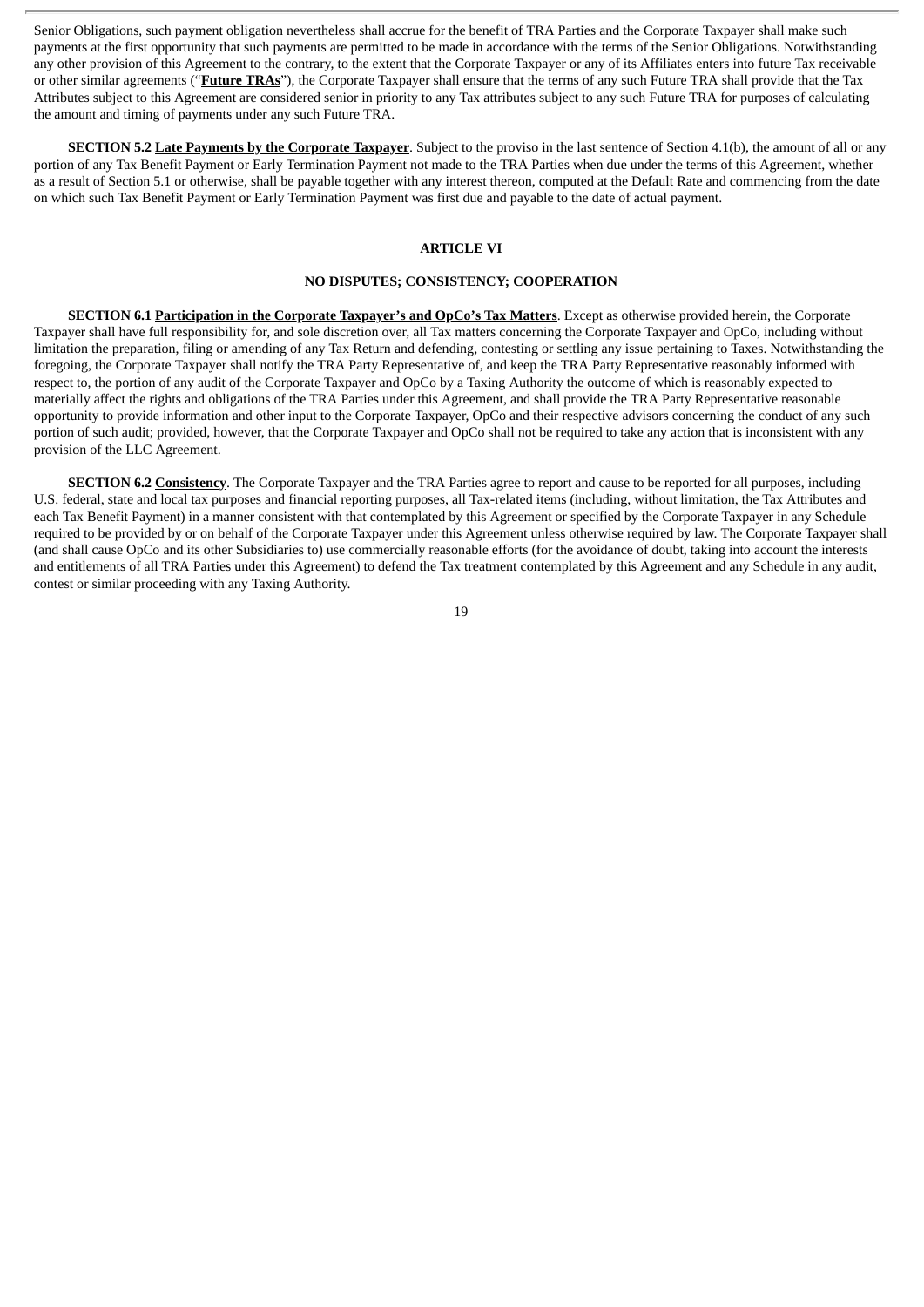Senior Obligations, such payment obligation nevertheless shall accrue for the benefit of TRA Parties and the Corporate Taxpayer shall make such payments at the first opportunity that such payments are permitted to be made in accordance with the terms of the Senior Obligations. Notwithstanding any other provision of this Agreement to the contrary, to the extent that the Corporate Taxpayer or any of its Affiliates enters into future Tax receivable or other similar agreements ("**Future TRAs**"), the Corporate Taxpayer shall ensure that the terms of any such Future TRA shall provide that the Tax Attributes subject to this Agreement are considered senior in priority to any Tax attributes subject to any such Future TRA for purposes of calculating the amount and timing of payments under any such Future TRA.

**SECTION 5.2 Late Payments by the Corporate Taxpayer**. Subject to the proviso in the last sentence of Section 4.1(b), the amount of all or any portion of any Tax Benefit Payment or Early Termination Payment not made to the TRA Parties when due under the terms of this Agreement, whether as a result of Section 5.1 or otherwise, shall be payable together with any interest thereon, computed at the Default Rate and commencing from the date on which such Tax Benefit Payment or Early Termination Payment was first due and payable to the date of actual payment.

### **ARTICLE VI**

#### **NO DISPUTES; CONSISTENCY; COOPERATION**

**SECTION 6.1 Participation in the Corporate Taxpayer's and OpCo's Tax Matters**. Except as otherwise provided herein, the Corporate Taxpayer shall have full responsibility for, and sole discretion over, all Tax matters concerning the Corporate Taxpayer and OpCo, including without limitation the preparation, filing or amending of any Tax Return and defending, contesting or settling any issue pertaining to Taxes. Notwithstanding the foregoing, the Corporate Taxpayer shall notify the TRA Party Representative of, and keep the TRA Party Representative reasonably informed with respect to, the portion of any audit of the Corporate Taxpayer and OpCo by a Taxing Authority the outcome of which is reasonably expected to materially affect the rights and obligations of the TRA Parties under this Agreement, and shall provide the TRA Party Representative reasonable opportunity to provide information and other input to the Corporate Taxpayer, OpCo and their respective advisors concerning the conduct of any such portion of such audit; provided, however, that the Corporate Taxpayer and OpCo shall not be required to take any action that is inconsistent with any provision of the LLC Agreement.

**SECTION 6.2 Consistency**. The Corporate Taxpayer and the TRA Parties agree to report and cause to be reported for all purposes, including U.S. federal, state and local tax purposes and financial reporting purposes, all Tax-related items (including, without limitation, the Tax Attributes and each Tax Benefit Payment) in a manner consistent with that contemplated by this Agreement or specified by the Corporate Taxpayer in any Schedule required to be provided by or on behalf of the Corporate Taxpayer under this Agreement unless otherwise required by law. The Corporate Taxpayer shall (and shall cause OpCo and its other Subsidiaries to) use commercially reasonable efforts (for the avoidance of doubt, taking into account the interests and entitlements of all TRA Parties under this Agreement) to defend the Tax treatment contemplated by this Agreement and any Schedule in any audit, contest or similar proceeding with any Taxing Authority.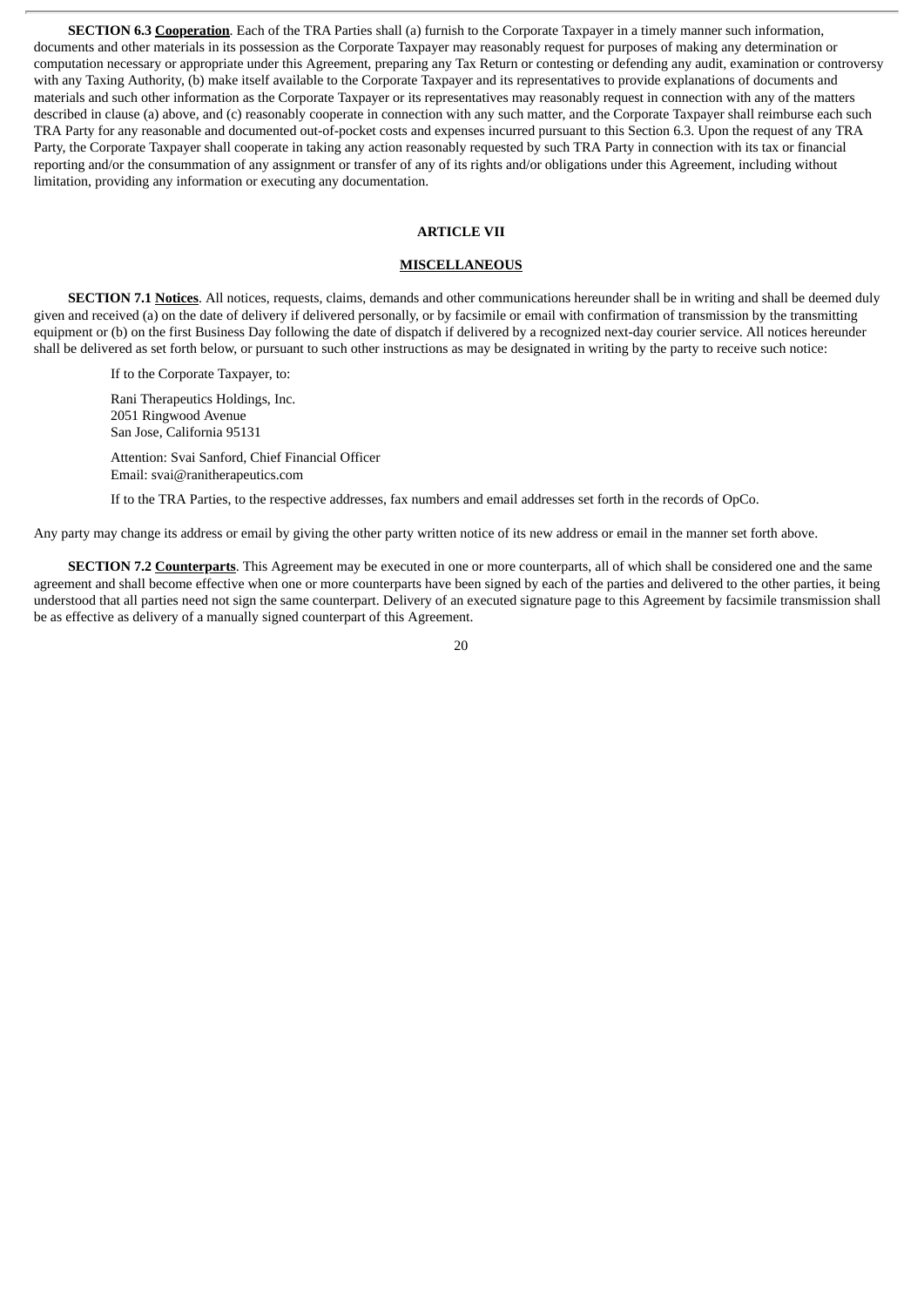**SECTION 6.3 Cooperation**. Each of the TRA Parties shall (a) furnish to the Corporate Taxpayer in a timely manner such information, documents and other materials in its possession as the Corporate Taxpayer may reasonably request for purposes of making any determination or computation necessary or appropriate under this Agreement, preparing any Tax Return or contesting or defending any audit, examination or controversy with any Taxing Authority, (b) make itself available to the Corporate Taxpayer and its representatives to provide explanations of documents and materials and such other information as the Corporate Taxpayer or its representatives may reasonably request in connection with any of the matters described in clause (a) above, and (c) reasonably cooperate in connection with any such matter, and the Corporate Taxpayer shall reimburse each such TRA Party for any reasonable and documented out-of-pocket costs and expenses incurred pursuant to this Section 6.3. Upon the request of any TRA Party, the Corporate Taxpayer shall cooperate in taking any action reasonably requested by such TRA Party in connection with its tax or financial reporting and/or the consummation of any assignment or transfer of any of its rights and/or obligations under this Agreement, including without limitation, providing any information or executing any documentation.

## **ARTICLE VII**

#### **MISCELLANEOUS**

**SECTION 7.1 Notices**. All notices, requests, claims, demands and other communications hereunder shall be in writing and shall be deemed duly given and received (a) on the date of delivery if delivered personally, or by facsimile or email with confirmation of transmission by the transmitting equipment or (b) on the first Business Day following the date of dispatch if delivered by a recognized next-day courier service. All notices hereunder shall be delivered as set forth below, or pursuant to such other instructions as may be designated in writing by the party to receive such notice:

If to the Corporate Taxpayer, to:

Rani Therapeutics Holdings, Inc. 2051 Ringwood Avenue San Jose, California 95131 Attention: Svai Sanford, Chief Financial Officer Email: svai@ranitherapeutics.com

If to the TRA Parties, to the respective addresses, fax numbers and email addresses set forth in the records of OpCo.

Any party may change its address or email by giving the other party written notice of its new address or email in the manner set forth above.

**SECTION 7.2 Counterparts**. This Agreement may be executed in one or more counterparts, all of which shall be considered one and the same agreement and shall become effective when one or more counterparts have been signed by each of the parties and delivered to the other parties, it being understood that all parties need not sign the same counterpart. Delivery of an executed signature page to this Agreement by facsimile transmission shall be as effective as delivery of a manually signed counterpart of this Agreement.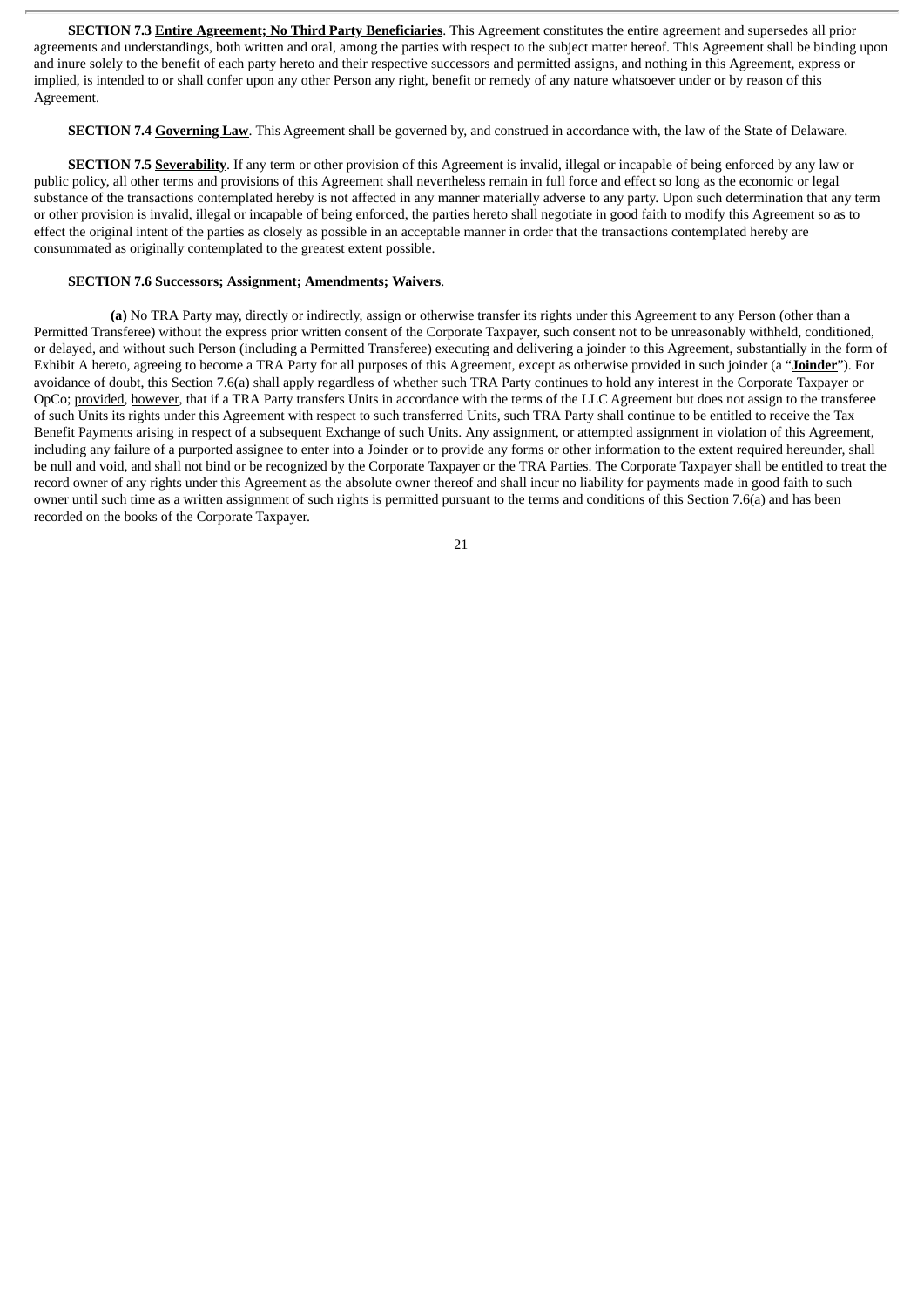**SECTION 7.3 Entire Agreement; No Third Party Beneficiaries**. This Agreement constitutes the entire agreement and supersedes all prior agreements and understandings, both written and oral, among the parties with respect to the subject matter hereof. This Agreement shall be binding upon and inure solely to the benefit of each party hereto and their respective successors and permitted assigns, and nothing in this Agreement, express or implied, is intended to or shall confer upon any other Person any right, benefit or remedy of any nature whatsoever under or by reason of this Agreement.

**SECTION 7.4 Governing Law**. This Agreement shall be governed by, and construed in accordance with, the law of the State of Delaware.

**SECTION 7.5 Severability**. If any term or other provision of this Agreement is invalid, illegal or incapable of being enforced by any law or public policy, all other terms and provisions of this Agreement shall nevertheless remain in full force and effect so long as the economic or legal substance of the transactions contemplated hereby is not affected in any manner materially adverse to any party. Upon such determination that any term or other provision is invalid, illegal or incapable of being enforced, the parties hereto shall negotiate in good faith to modify this Agreement so as to effect the original intent of the parties as closely as possible in an acceptable manner in order that the transactions contemplated hereby are consummated as originally contemplated to the greatest extent possible.

#### **SECTION 7.6 Successors; Assignment; Amendments; Waivers**.

**(a)** No TRA Party may, directly or indirectly, assign or otherwise transfer its rights under this Agreement to any Person (other than a Permitted Transferee) without the express prior written consent of the Corporate Taxpayer, such consent not to be unreasonably withheld, conditioned, or delayed, and without such Person (including a Permitted Transferee) executing and delivering a joinder to this Agreement, substantially in the form of Exhibit A hereto, agreeing to become a TRA Party for all purposes of this Agreement, except as otherwise provided in such joinder (a "**Joinder**"). For avoidance of doubt, this Section 7.6(a) shall apply regardless of whether such TRA Party continues to hold any interest in the Corporate Taxpayer or OpCo; provided, however, that if a TRA Party transfers Units in accordance with the terms of the LLC Agreement but does not assign to the transferee of such Units its rights under this Agreement with respect to such transferred Units, such TRA Party shall continue to be entitled to receive the Tax Benefit Payments arising in respect of a subsequent Exchange of such Units. Any assignment, or attempted assignment in violation of this Agreement, including any failure of a purported assignee to enter into a Joinder or to provide any forms or other information to the extent required hereunder, shall be null and void, and shall not bind or be recognized by the Corporate Taxpayer or the TRA Parties. The Corporate Taxpayer shall be entitled to treat the record owner of any rights under this Agreement as the absolute owner thereof and shall incur no liability for payments made in good faith to such owner until such time as a written assignment of such rights is permitted pursuant to the terms and conditions of this Section 7.6(a) and has been recorded on the books of the Corporate Taxpayer.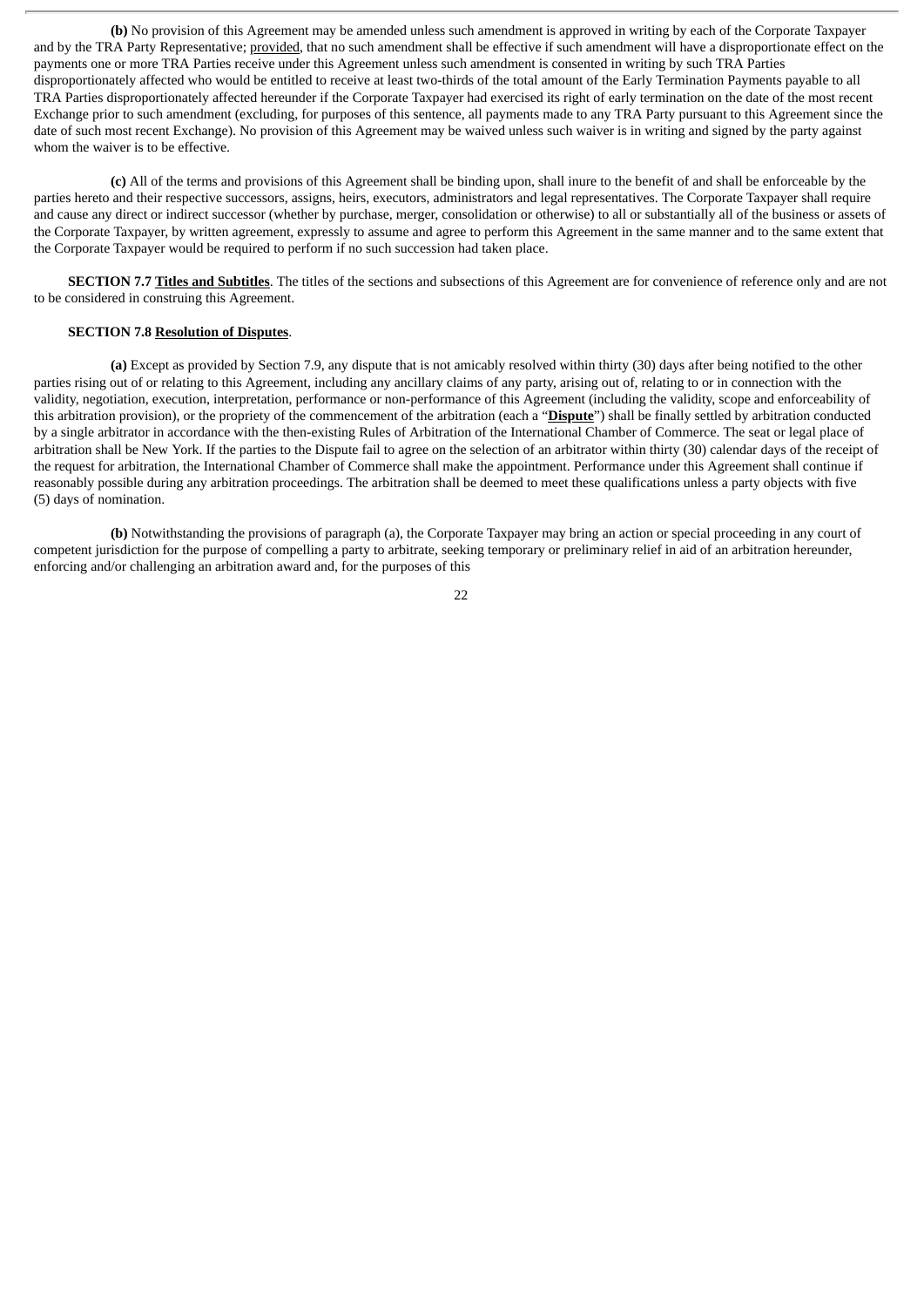**(b)** No provision of this Agreement may be amended unless such amendment is approved in writing by each of the Corporate Taxpayer and by the TRA Party Representative; provided, that no such amendment shall be effective if such amendment will have a disproportionate effect on the payments one or more TRA Parties receive under this Agreement unless such amendment is consented in writing by such TRA Parties disproportionately affected who would be entitled to receive at least two-thirds of the total amount of the Early Termination Payments payable to all TRA Parties disproportionately affected hereunder if the Corporate Taxpayer had exercised its right of early termination on the date of the most recent Exchange prior to such amendment (excluding, for purposes of this sentence, all payments made to any TRA Party pursuant to this Agreement since the date of such most recent Exchange). No provision of this Agreement may be waived unless such waiver is in writing and signed by the party against whom the waiver is to be effective.

**(c)** All of the terms and provisions of this Agreement shall be binding upon, shall inure to the benefit of and shall be enforceable by the parties hereto and their respective successors, assigns, heirs, executors, administrators and legal representatives. The Corporate Taxpayer shall require and cause any direct or indirect successor (whether by purchase, merger, consolidation or otherwise) to all or substantially all of the business or assets of the Corporate Taxpayer, by written agreement, expressly to assume and agree to perform this Agreement in the same manner and to the same extent that the Corporate Taxpayer would be required to perform if no such succession had taken place.

**SECTION 7.7 Titles and Subtitles**. The titles of the sections and subsections of this Agreement are for convenience of reference only and are not to be considered in construing this Agreement.

## **SECTION 7.8 Resolution of Disputes**.

**(a)** Except as provided by Section 7.9, any dispute that is not amicably resolved within thirty (30) days after being notified to the other parties rising out of or relating to this Agreement, including any ancillary claims of any party, arising out of, relating to or in connection with the validity, negotiation, execution, interpretation, performance or non-performance of this Agreement (including the validity, scope and enforceability of this arbitration provision), or the propriety of the commencement of the arbitration (each a "**Dispute**") shall be finally settled by arbitration conducted by a single arbitrator in accordance with the then-existing Rules of Arbitration of the International Chamber of Commerce. The seat or legal place of arbitration shall be New York. If the parties to the Dispute fail to agree on the selection of an arbitrator within thirty (30) calendar days of the receipt of the request for arbitration, the International Chamber of Commerce shall make the appointment. Performance under this Agreement shall continue if reasonably possible during any arbitration proceedings. The arbitration shall be deemed to meet these qualifications unless a party objects with five (5) days of nomination.

**(b)** Notwithstanding the provisions of paragraph (a), the Corporate Taxpayer may bring an action or special proceeding in any court of competent jurisdiction for the purpose of compelling a party to arbitrate, seeking temporary or preliminary relief in aid of an arbitration hereunder, enforcing and/or challenging an arbitration award and, for the purposes of this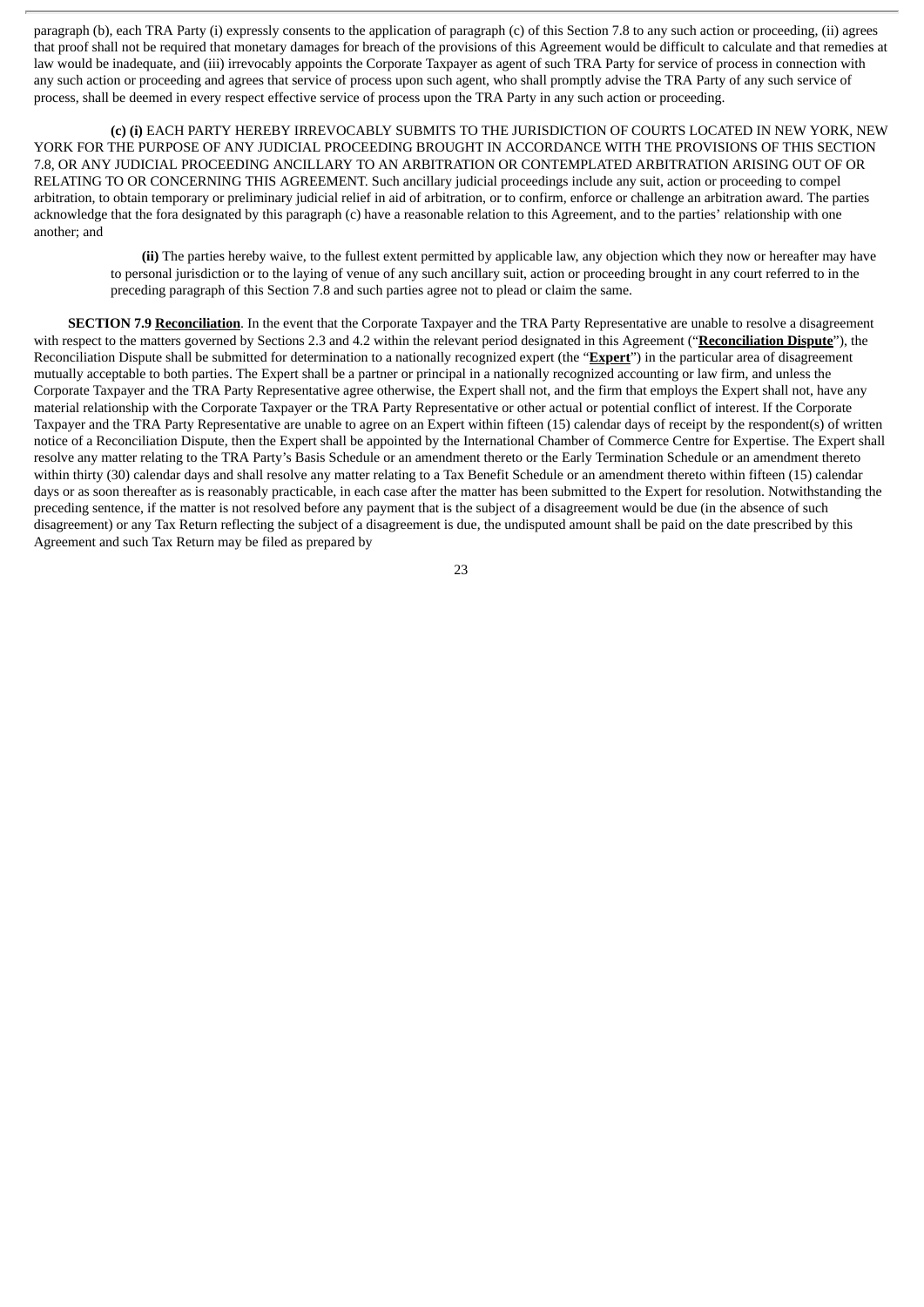paragraph (b), each TRA Party (i) expressly consents to the application of paragraph (c) of this Section 7.8 to any such action or proceeding, (ii) agrees that proof shall not be required that monetary damages for breach of the provisions of this Agreement would be difficult to calculate and that remedies at law would be inadequate, and (iii) irrevocably appoints the Corporate Taxpayer as agent of such TRA Party for service of process in connection with any such action or proceeding and agrees that service of process upon such agent, who shall promptly advise the TRA Party of any such service of process, shall be deemed in every respect effective service of process upon the TRA Party in any such action or proceeding.

**(c) (i)** EACH PARTY HEREBY IRREVOCABLY SUBMITS TO THE JURISDICTION OF COURTS LOCATED IN NEW YORK, NEW YORK FOR THE PURPOSE OF ANY JUDICIAL PROCEEDING BROUGHT IN ACCORDANCE WITH THE PROVISIONS OF THIS SECTION 7.8, OR ANY JUDICIAL PROCEEDING ANCILLARY TO AN ARBITRATION OR CONTEMPLATED ARBITRATION ARISING OUT OF OR RELATING TO OR CONCERNING THIS AGREEMENT. Such ancillary judicial proceedings include any suit, action or proceeding to compel arbitration, to obtain temporary or preliminary judicial relief in aid of arbitration, or to confirm, enforce or challenge an arbitration award. The parties acknowledge that the fora designated by this paragraph (c) have a reasonable relation to this Agreement, and to the parties' relationship with one another; and

**(ii)** The parties hereby waive, to the fullest extent permitted by applicable law, any objection which they now or hereafter may have to personal jurisdiction or to the laying of venue of any such ancillary suit, action or proceeding brought in any court referred to in the preceding paragraph of this Section 7.8 and such parties agree not to plead or claim the same.

**SECTION 7.9 Reconciliation**. In the event that the Corporate Taxpayer and the TRA Party Representative are unable to resolve a disagreement with respect to the matters governed by Sections 2.3 and 4.2 within the relevant period designated in this Agreement ("**Reconciliation Dispute**"), the Reconciliation Dispute shall be submitted for determination to a nationally recognized expert (the "**Expert**") in the particular area of disagreement mutually acceptable to both parties. The Expert shall be a partner or principal in a nationally recognized accounting or law firm, and unless the Corporate Taxpayer and the TRA Party Representative agree otherwise, the Expert shall not, and the firm that employs the Expert shall not, have any material relationship with the Corporate Taxpayer or the TRA Party Representative or other actual or potential conflict of interest. If the Corporate Taxpayer and the TRA Party Representative are unable to agree on an Expert within fifteen (15) calendar days of receipt by the respondent(s) of written notice of a Reconciliation Dispute, then the Expert shall be appointed by the International Chamber of Commerce Centre for Expertise. The Expert shall resolve any matter relating to the TRA Party's Basis Schedule or an amendment thereto or the Early Termination Schedule or an amendment thereto within thirty (30) calendar days and shall resolve any matter relating to a Tax Benefit Schedule or an amendment thereto within fifteen (15) calendar days or as soon thereafter as is reasonably practicable, in each case after the matter has been submitted to the Expert for resolution. Notwithstanding the preceding sentence, if the matter is not resolved before any payment that is the subject of a disagreement would be due (in the absence of such disagreement) or any Tax Return reflecting the subject of a disagreement is due, the undisputed amount shall be paid on the date prescribed by this Agreement and such Tax Return may be filed as prepared by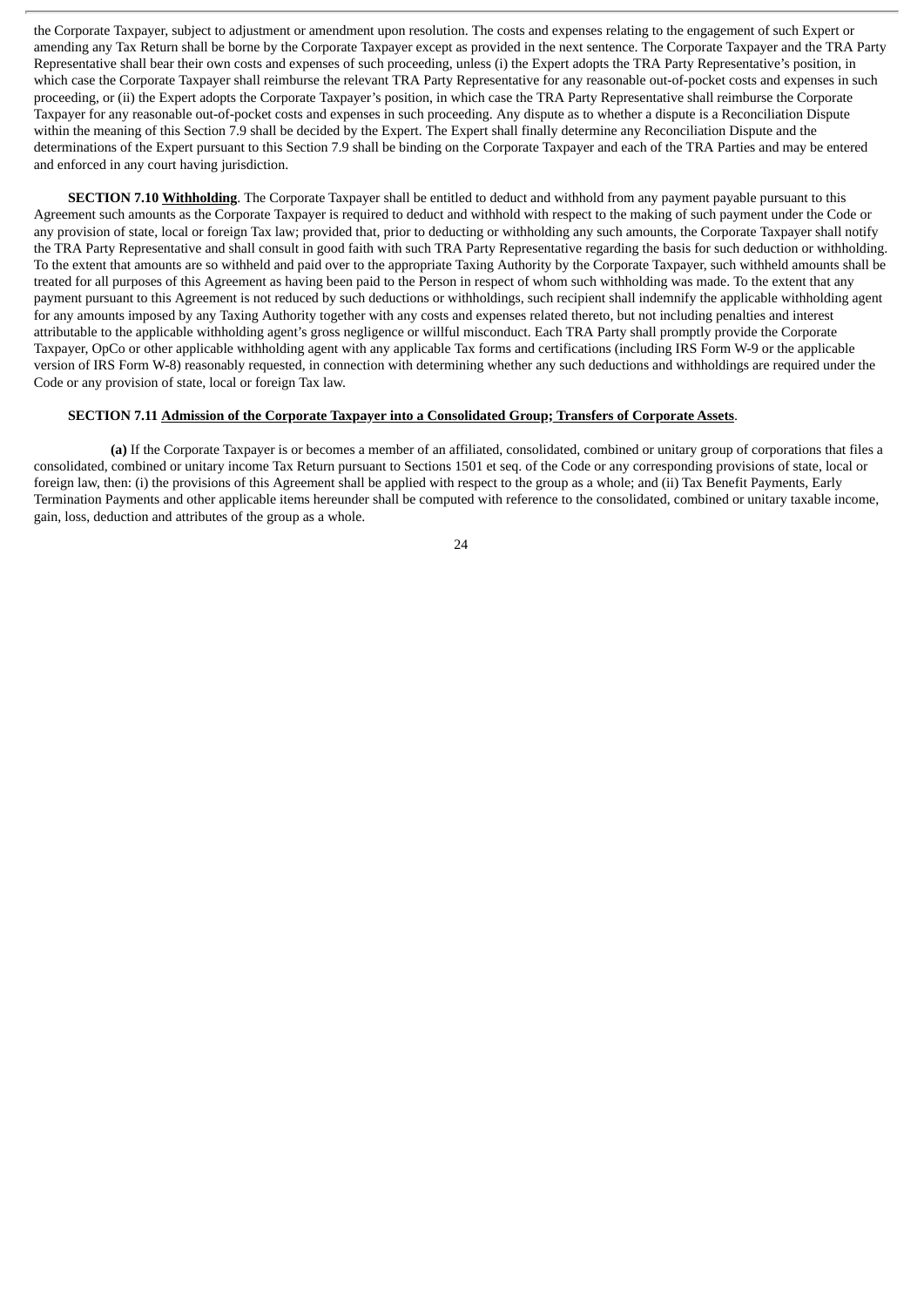the Corporate Taxpayer, subject to adjustment or amendment upon resolution. The costs and expenses relating to the engagement of such Expert or amending any Tax Return shall be borne by the Corporate Taxpayer except as provided in the next sentence. The Corporate Taxpayer and the TRA Party Representative shall bear their own costs and expenses of such proceeding, unless (i) the Expert adopts the TRA Party Representative's position, in which case the Corporate Taxpayer shall reimburse the relevant TRA Party Representative for any reasonable out-of-pocket costs and expenses in such proceeding, or (ii) the Expert adopts the Corporate Taxpayer's position, in which case the TRA Party Representative shall reimburse the Corporate Taxpayer for any reasonable out-of-pocket costs and expenses in such proceeding. Any dispute as to whether a dispute is a Reconciliation Dispute within the meaning of this Section 7.9 shall be decided by the Expert. The Expert shall finally determine any Reconciliation Dispute and the determinations of the Expert pursuant to this Section 7.9 shall be binding on the Corporate Taxpayer and each of the TRA Parties and may be entered and enforced in any court having jurisdiction.

**SECTION 7.10 Withholding**. The Corporate Taxpayer shall be entitled to deduct and withhold from any payment payable pursuant to this Agreement such amounts as the Corporate Taxpayer is required to deduct and withhold with respect to the making of such payment under the Code or any provision of state, local or foreign Tax law; provided that, prior to deducting or withholding any such amounts, the Corporate Taxpayer shall notify the TRA Party Representative and shall consult in good faith with such TRA Party Representative regarding the basis for such deduction or withholding. To the extent that amounts are so withheld and paid over to the appropriate Taxing Authority by the Corporate Taxpayer, such withheld amounts shall be treated for all purposes of this Agreement as having been paid to the Person in respect of whom such withholding was made. To the extent that any payment pursuant to this Agreement is not reduced by such deductions or withholdings, such recipient shall indemnify the applicable withholding agent for any amounts imposed by any Taxing Authority together with any costs and expenses related thereto, but not including penalties and interest attributable to the applicable withholding agent's gross negligence or willful misconduct. Each TRA Party shall promptly provide the Corporate Taxpayer, OpCo or other applicable withholding agent with any applicable Tax forms and certifications (including IRS Form W-9 or the applicable version of IRS Form W-8) reasonably requested, in connection with determining whether any such deductions and withholdings are required under the Code or any provision of state, local or foreign Tax law.

#### **SECTION 7.11 Admission of the Corporate Taxpayer into a Consolidated Group; Transfers of Corporate Assets**.

**(a)** If the Corporate Taxpayer is or becomes a member of an affiliated, consolidated, combined or unitary group of corporations that files a consolidated, combined or unitary income Tax Return pursuant to Sections 1501 et seq. of the Code or any corresponding provisions of state, local or foreign law, then: (i) the provisions of this Agreement shall be applied with respect to the group as a whole; and (ii) Tax Benefit Payments, Early Termination Payments and other applicable items hereunder shall be computed with reference to the consolidated, combined or unitary taxable income, gain, loss, deduction and attributes of the group as a whole.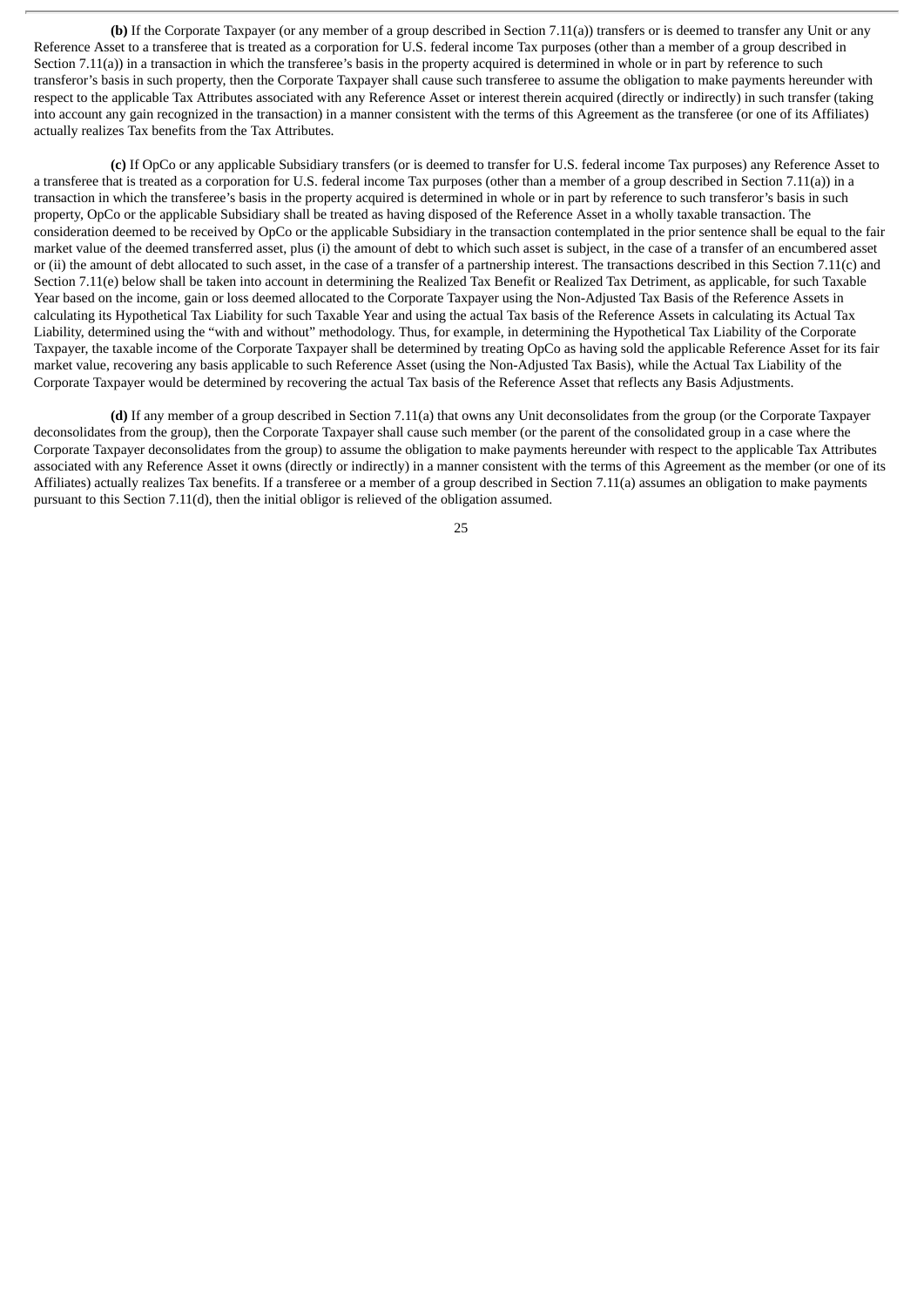**(b)** If the Corporate Taxpayer (or any member of a group described in Section 7.11(a)) transfers or is deemed to transfer any Unit or any Reference Asset to a transferee that is treated as a corporation for U.S. federal income Tax purposes (other than a member of a group described in Section 7.11(a)) in a transaction in which the transferee's basis in the property acquired is determined in whole or in part by reference to such transferor's basis in such property, then the Corporate Taxpayer shall cause such transferee to assume the obligation to make payments hereunder with respect to the applicable Tax Attributes associated with any Reference Asset or interest therein acquired (directly or indirectly) in such transfer (taking into account any gain recognized in the transaction) in a manner consistent with the terms of this Agreement as the transferee (or one of its Affiliates) actually realizes Tax benefits from the Tax Attributes.

**(c)** If OpCo or any applicable Subsidiary transfers (or is deemed to transfer for U.S. federal income Tax purposes) any Reference Asset to a transferee that is treated as a corporation for U.S. federal income Tax purposes (other than a member of a group described in Section 7.11(a)) in a transaction in which the transferee's basis in the property acquired is determined in whole or in part by reference to such transferor's basis in such property, OpCo or the applicable Subsidiary shall be treated as having disposed of the Reference Asset in a wholly taxable transaction. The consideration deemed to be received by OpCo or the applicable Subsidiary in the transaction contemplated in the prior sentence shall be equal to the fair market value of the deemed transferred asset, plus (i) the amount of debt to which such asset is subject, in the case of a transfer of an encumbered asset or (ii) the amount of debt allocated to such asset, in the case of a transfer of a partnership interest. The transactions described in this Section 7.11(c) and Section 7.11(e) below shall be taken into account in determining the Realized Tax Benefit or Realized Tax Detriment, as applicable, for such Taxable Year based on the income, gain or loss deemed allocated to the Corporate Taxpayer using the Non-Adjusted Tax Basis of the Reference Assets in calculating its Hypothetical Tax Liability for such Taxable Year and using the actual Tax basis of the Reference Assets in calculating its Actual Tax Liability, determined using the "with and without" methodology. Thus, for example, in determining the Hypothetical Tax Liability of the Corporate Taxpayer, the taxable income of the Corporate Taxpayer shall be determined by treating OpCo as having sold the applicable Reference Asset for its fair market value, recovering any basis applicable to such Reference Asset (using the Non-Adjusted Tax Basis), while the Actual Tax Liability of the Corporate Taxpayer would be determined by recovering the actual Tax basis of the Reference Asset that reflects any Basis Adjustments.

**(d)** If any member of a group described in Section 7.11(a) that owns any Unit deconsolidates from the group (or the Corporate Taxpayer deconsolidates from the group), then the Corporate Taxpayer shall cause such member (or the parent of the consolidated group in a case where the Corporate Taxpayer deconsolidates from the group) to assume the obligation to make payments hereunder with respect to the applicable Tax Attributes associated with any Reference Asset it owns (directly or indirectly) in a manner consistent with the terms of this Agreement as the member (or one of its Affiliates) actually realizes Tax benefits. If a transferee or a member of a group described in Section 7.11(a) assumes an obligation to make payments pursuant to this Section 7.11(d), then the initial obligor is relieved of the obligation assumed.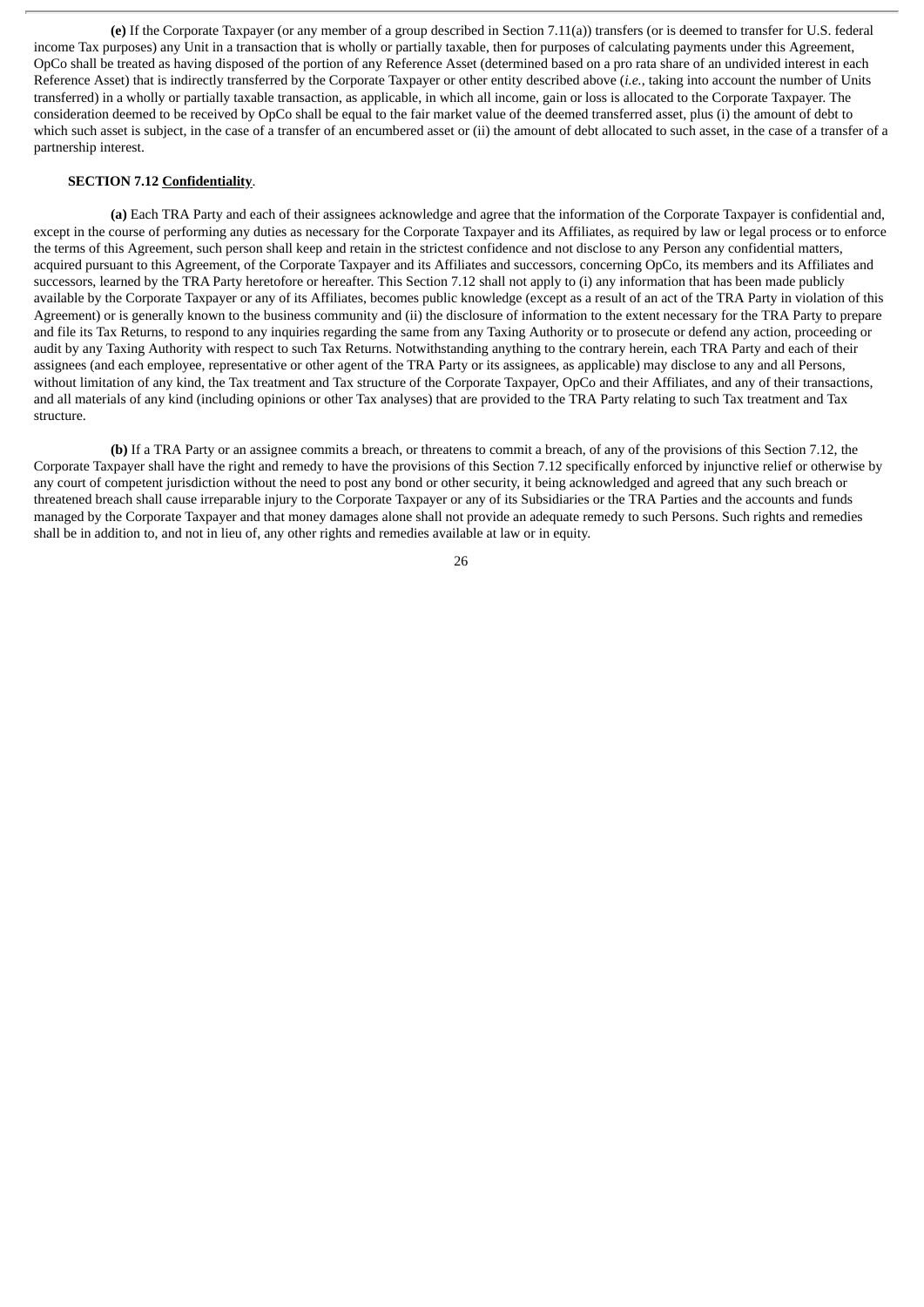**(e)** If the Corporate Taxpayer (or any member of a group described in Section 7.11(a)) transfers (or is deemed to transfer for U.S. federal income Tax purposes) any Unit in a transaction that is wholly or partially taxable, then for purposes of calculating payments under this Agreement, OpCo shall be treated as having disposed of the portion of any Reference Asset (determined based on a pro rata share of an undivided interest in each Reference Asset) that is indirectly transferred by the Corporate Taxpayer or other entity described above (*i.e.*, taking into account the number of Units transferred) in a wholly or partially taxable transaction, as applicable, in which all income, gain or loss is allocated to the Corporate Taxpayer. The consideration deemed to be received by OpCo shall be equal to the fair market value of the deemed transferred asset, plus (i) the amount of debt to which such asset is subject, in the case of a transfer of an encumbered asset or (ii) the amount of debt allocated to such asset, in the case of a transfer of a partnership interest.

### **SECTION 7.12 Confidentiality**.

**(a)** Each TRA Party and each of their assignees acknowledge and agree that the information of the Corporate Taxpayer is confidential and, except in the course of performing any duties as necessary for the Corporate Taxpayer and its Affiliates, as required by law or legal process or to enforce the terms of this Agreement, such person shall keep and retain in the strictest confidence and not disclose to any Person any confidential matters, acquired pursuant to this Agreement, of the Corporate Taxpayer and its Affiliates and successors, concerning OpCo, its members and its Affiliates and successors, learned by the TRA Party heretofore or hereafter. This Section 7.12 shall not apply to (i) any information that has been made publicly available by the Corporate Taxpayer or any of its Affiliates, becomes public knowledge (except as a result of an act of the TRA Party in violation of this Agreement) or is generally known to the business community and (ii) the disclosure of information to the extent necessary for the TRA Party to prepare and file its Tax Returns, to respond to any inquiries regarding the same from any Taxing Authority or to prosecute or defend any action, proceeding or audit by any Taxing Authority with respect to such Tax Returns. Notwithstanding anything to the contrary herein, each TRA Party and each of their assignees (and each employee, representative or other agent of the TRA Party or its assignees, as applicable) may disclose to any and all Persons, without limitation of any kind, the Tax treatment and Tax structure of the Corporate Taxpayer, OpCo and their Affiliates, and any of their transactions, and all materials of any kind (including opinions or other Tax analyses) that are provided to the TRA Party relating to such Tax treatment and Tax structure.

**(b)** If a TRA Party or an assignee commits a breach, or threatens to commit a breach, of any of the provisions of this Section 7.12, the Corporate Taxpayer shall have the right and remedy to have the provisions of this Section 7.12 specifically enforced by injunctive relief or otherwise by any court of competent jurisdiction without the need to post any bond or other security, it being acknowledged and agreed that any such breach or threatened breach shall cause irreparable injury to the Corporate Taxpayer or any of its Subsidiaries or the TRA Parties and the accounts and funds managed by the Corporate Taxpayer and that money damages alone shall not provide an adequate remedy to such Persons. Such rights and remedies shall be in addition to, and not in lieu of, any other rights and remedies available at law or in equity.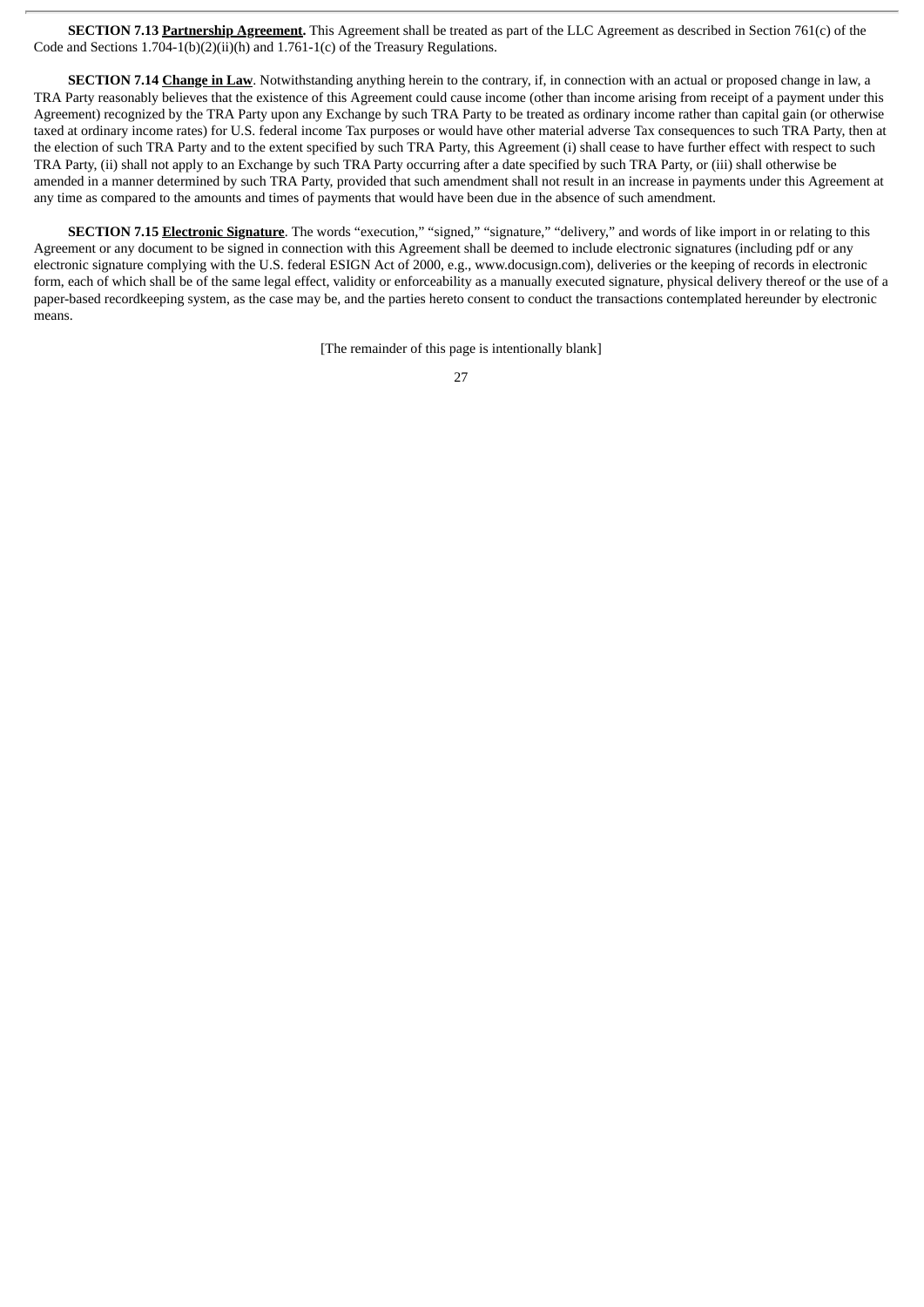**SECTION 7.13 Partnership Agreement.** This Agreement shall be treated as part of the LLC Agreement as described in Section 761(c) of the Code and Sections 1.704-1(b)(2)(ii)(h) and 1.761-1(c) of the Treasury Regulations.

**SECTION 7.14 Change in Law**. Notwithstanding anything herein to the contrary, if, in connection with an actual or proposed change in law, a TRA Party reasonably believes that the existence of this Agreement could cause income (other than income arising from receipt of a payment under this Agreement) recognized by the TRA Party upon any Exchange by such TRA Party to be treated as ordinary income rather than capital gain (or otherwise taxed at ordinary income rates) for U.S. federal income Tax purposes or would have other material adverse Tax consequences to such TRA Party, then at the election of such TRA Party and to the extent specified by such TRA Party, this Agreement (i) shall cease to have further effect with respect to such TRA Party, (ii) shall not apply to an Exchange by such TRA Party occurring after a date specified by such TRA Party, or (iii) shall otherwise be amended in a manner determined by such TRA Party, provided that such amendment shall not result in an increase in payments under this Agreement at any time as compared to the amounts and times of payments that would have been due in the absence of such amendment.

**SECTION 7.15 Electronic Signature**. The words "execution," "signed," "signature," "delivery," and words of like import in or relating to this Agreement or any document to be signed in connection with this Agreement shall be deemed to include electronic signatures (including pdf or any electronic signature complying with the U.S. federal ESIGN Act of 2000, e.g., www.docusign.com), deliveries or the keeping of records in electronic form, each of which shall be of the same legal effect, validity or enforceability as a manually executed signature, physical delivery thereof or the use of a paper-based recordkeeping system, as the case may be, and the parties hereto consent to conduct the transactions contemplated hereunder by electronic means.

[The remainder of this page is intentionally blank]

<sup>27</sup>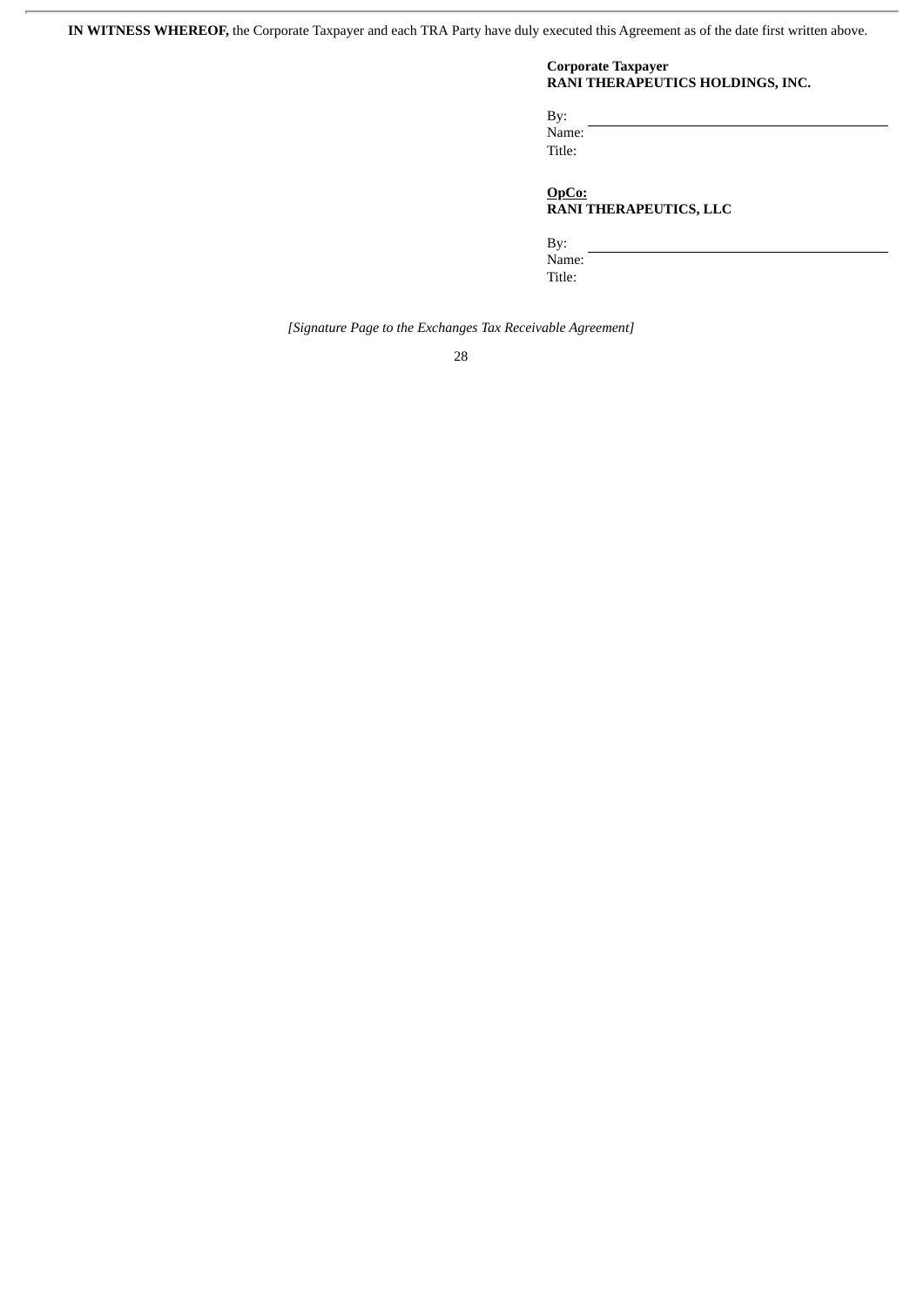**IN WITNESS WHEREOF,** the Corporate Taxpayer and each TRA Party have duly executed this Agreement as of the date first written above.

## **Corporate Taxpayer RANI THERAPEUTICS HOLDINGS, INC.**

By: Name: Title:

**OpCo: RANI THERAPEUTICS, LLC**

By: Name: Title:

*[Signature Page to the Exchanges Tax Receivable Agreement]*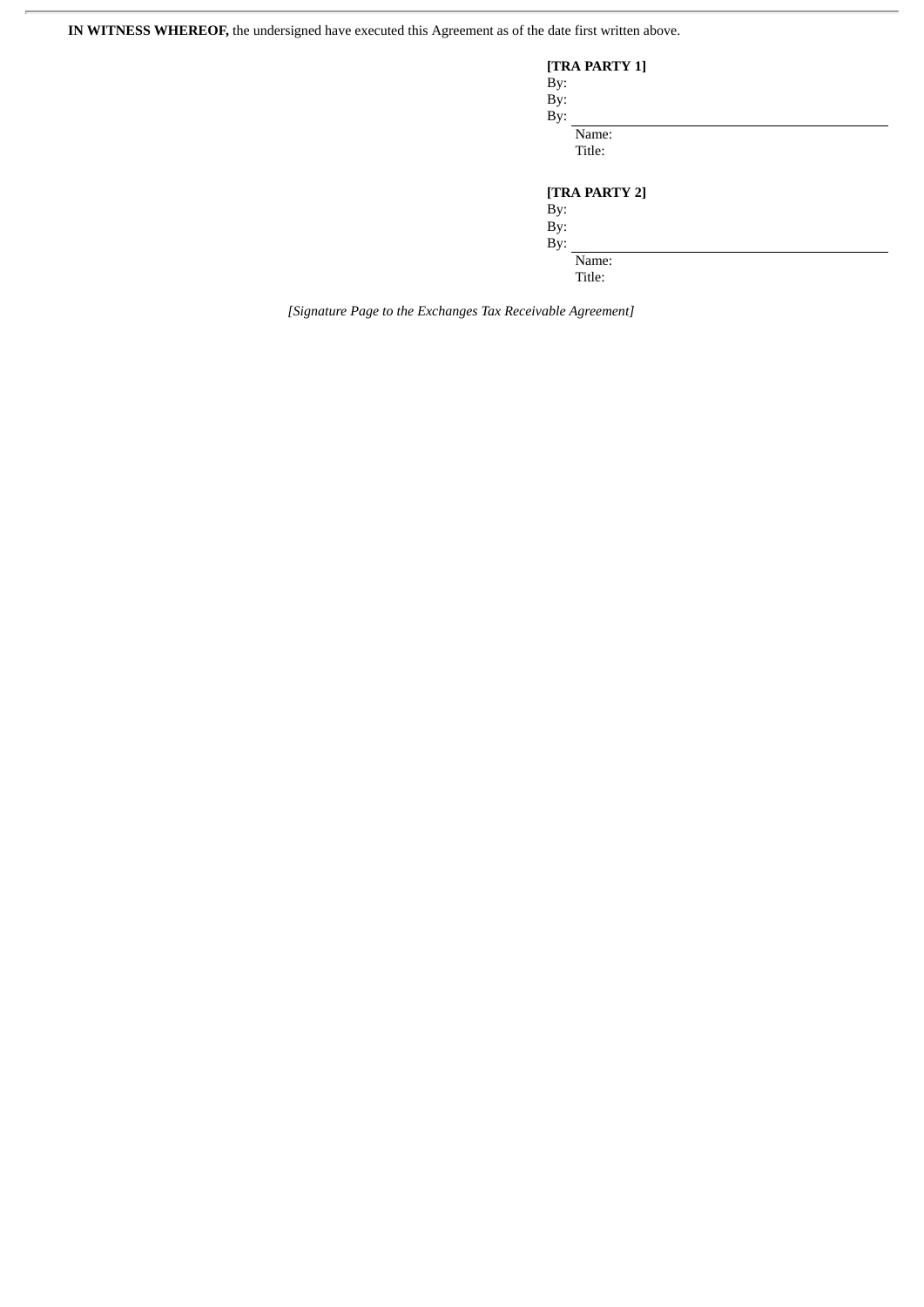**IN WITNESS WHEREOF,** the undersigned have executed this Agreement as of the date first written above.

| <b>[TRA PARTY 1]</b> |  |
|----------------------|--|
| By:                  |  |
| By:                  |  |
| By:                  |  |
| Name:                |  |
| Title:               |  |
|                      |  |
| [TRA PARTY 2]        |  |
| By:                  |  |
| By:                  |  |
| By:                  |  |

Name: Title:

*[Signature Page to the Exchanges Tax Receivable Agreement]*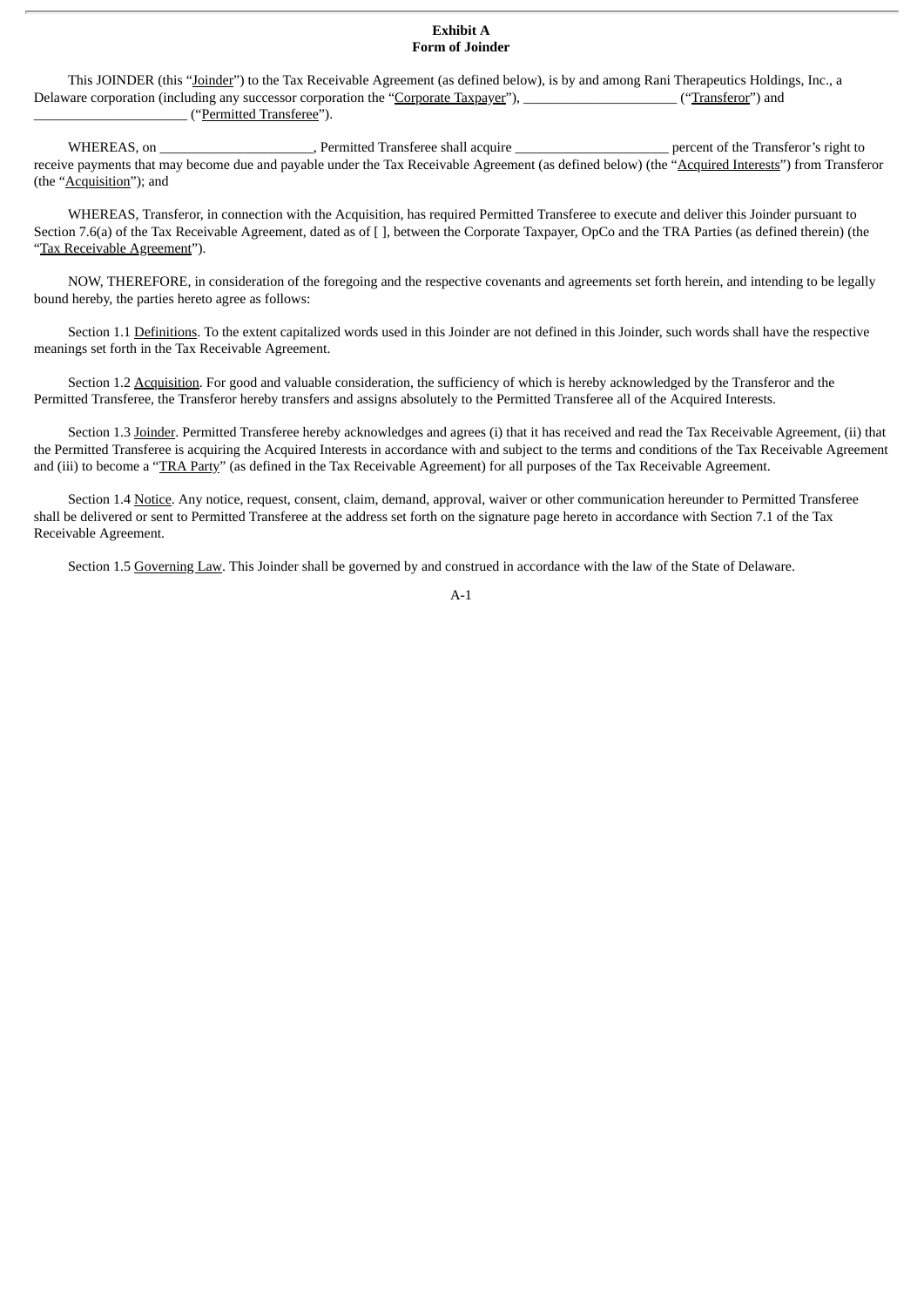### **Exhibit A Form of Joinder**

This JOINDER (this "<u>Joinder</u>") to the Tax Receivable Agreement (as defined below), is by and among Rani Therapeutics Holdings, Inc., a vare corporation (including any successor corporation the "Corporate Taxpayer"), \_\_\_\_\_ Delaware corporation (including any successor corporation the "Corporate Taxpayer"), \_\_\_\_\_\_\_\_\_\_\_\_\_\_ \_\_\_\_\_\_\_\_\_\_\_\_\_\_\_\_\_\_\_\_\_\_ ("Permitted Transferee").

WHEREAS, on **Example 2**, Permitted Transferee shall acquire **and the Transferor's right to percent of the Transferor's right to** receive payments that may become due and payable under the Tax Receivable Agreement (as defined below) (the "Acquired Interests") from Transferor (the "Acquisition"); and

WHEREAS, Transferor, in connection with the Acquisition, has required Permitted Transferee to execute and deliver this Joinder pursuant to Section 7.6(a) of the Tax Receivable Agreement, dated as of [ ], between the Corporate Taxpayer, OpCo and the TRA Parties (as defined therein) (the "Tax Receivable Agreement").

NOW, THEREFORE, in consideration of the foregoing and the respective covenants and agreements set forth herein, and intending to be legally bound hereby, the parties hereto agree as follows:

Section 1.1 Definitions. To the extent capitalized words used in this Joinder are not defined in this Joinder, such words shall have the respective meanings set forth in the Tax Receivable Agreement.

Section 1.2 Acquisition. For good and valuable consideration, the sufficiency of which is hereby acknowledged by the Transferor and the Permitted Transferee, the Transferor hereby transfers and assigns absolutely to the Permitted Transferee all of the Acquired Interests.

Section 1.3 Joinder. Permitted Transferee hereby acknowledges and agrees (i) that it has received and read the Tax Receivable Agreement, (ii) that the Permitted Transferee is acquiring the Acquired Interests in accordance with and subject to the terms and conditions of the Tax Receivable Agreement and (iii) to become a "TRA Party" (as defined in the Tax Receivable Agreement) for all purposes of the Tax Receivable Agreement.

Section 1.4 Notice. Any notice, request, consent, claim, demand, approval, waiver or other communication hereunder to Permitted Transferee shall be delivered or sent to Permitted Transferee at the address set forth on the signature page hereto in accordance with Section 7.1 of the Tax Receivable Agreement.

Section 1.5 Governing Law. This Joinder shall be governed by and construed in accordance with the law of the State of Delaware.

 $A-1$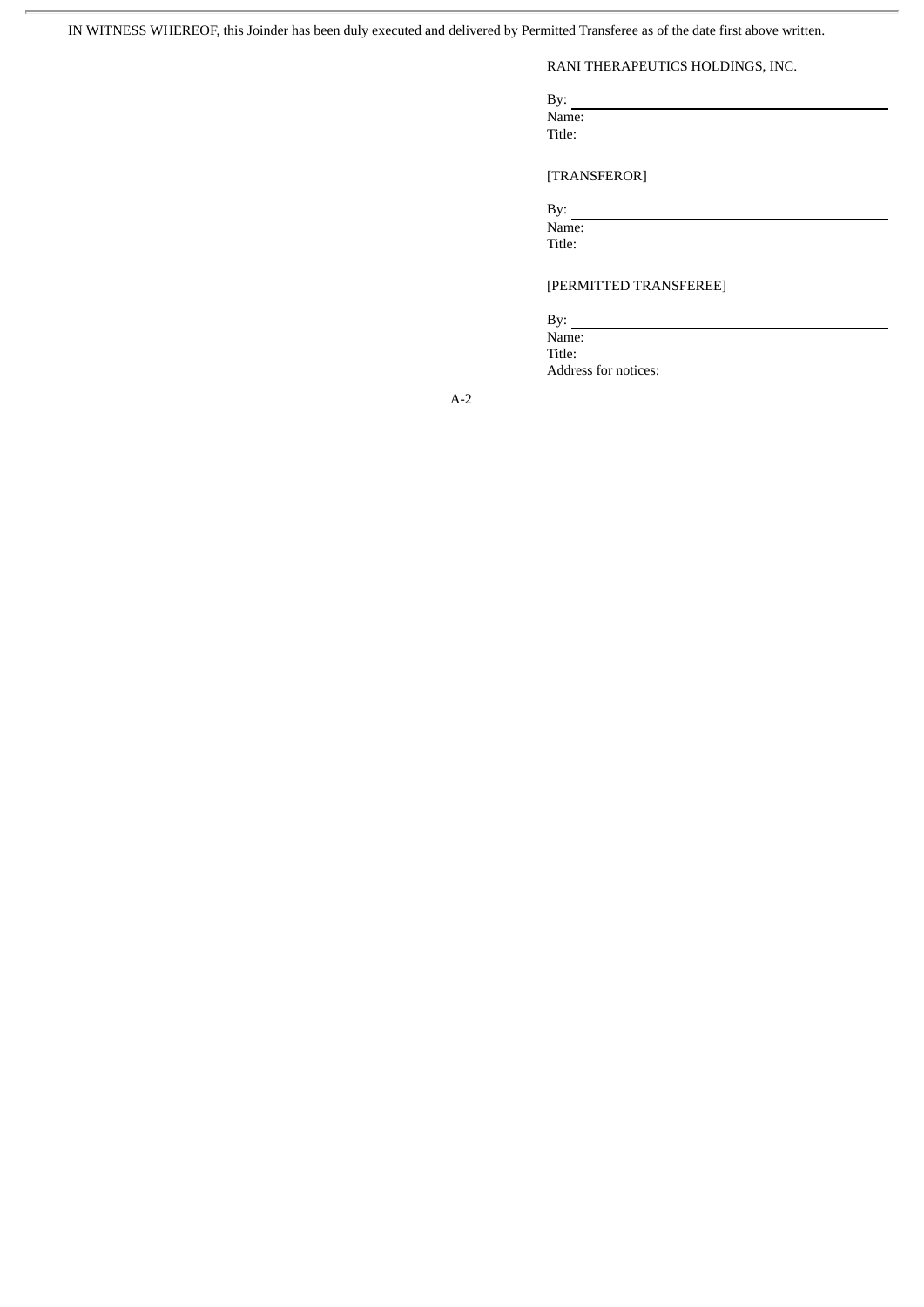IN WITNESS WHEREOF, this Joinder has been duly executed and delivered by Permitted Transferee as of the date first above written.

# RANI THERAPEUTICS HOLDINGS, INC.

By: Name: Title:

[TRANSFEROR]

By:

Name: Title:

# [PERMITTED TRANSFEREE]

| By:                  |  |  |
|----------------------|--|--|
| Name:                |  |  |
| Title:               |  |  |
| Address for notices: |  |  |
|                      |  |  |

A-2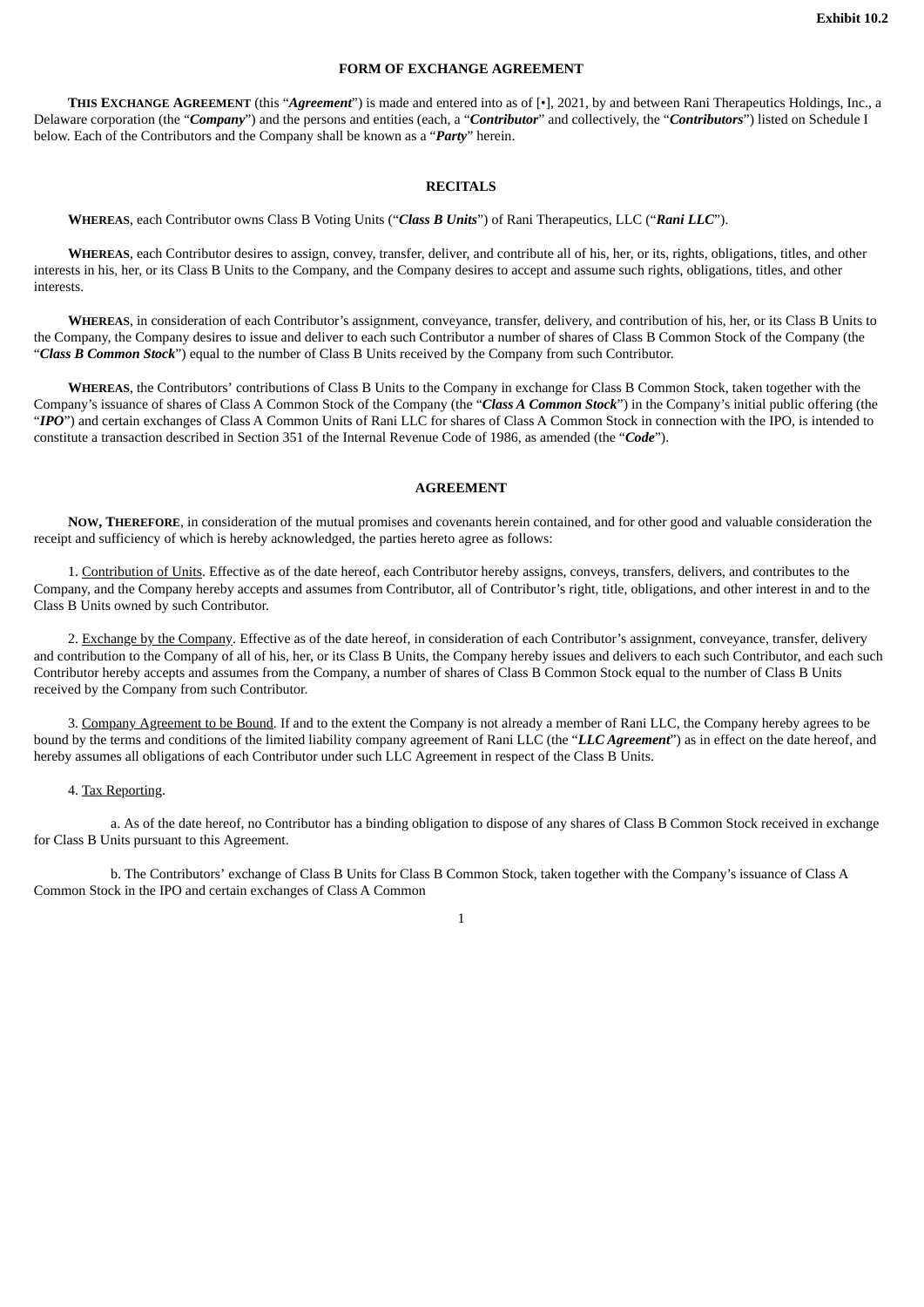#### **FORM OF EXCHANGE AGREEMENT**

**THIS EXCHANGE AGREEMENT** (this "*Agreement*") is made and entered into as of [•], 2021, by and between Rani Therapeutics Holdings, Inc., a Delaware corporation (the "*Company*") and the persons and entities (each, a "*Contributor*" and collectively, the "*Contributors*") listed on Schedule I below. Each of the Contributors and the Company shall be known as a "*Party*" herein.

#### **RECITALS**

**WHEREAS**, each Contributor owns Class B Voting Units ("*Class B Units*") of Rani Therapeutics, LLC ("*Rani LLC*").

**WHEREAS**, each Contributor desires to assign, convey, transfer, deliver, and contribute all of his, her, or its, rights, obligations, titles, and other interests in his, her, or its Class B Units to the Company, and the Company desires to accept and assume such rights, obligations, titles, and other interests.

**WHEREAS**, in consideration of each Contributor's assignment, conveyance, transfer, delivery, and contribution of his, her, or its Class B Units to the Company, the Company desires to issue and deliver to each such Contributor a number of shares of Class B Common Stock of the Company (the "*Class B Common Stock*") equal to the number of Class B Units received by the Company from such Contributor.

**WHEREAS**, the Contributors' contributions of Class B Units to the Company in exchange for Class B Common Stock, taken together with the Company's issuance of shares of Class A Common Stock of the Company (the "*Class A Common Stock*") in the Company's initial public offering (the "*IPO*") and certain exchanges of Class A Common Units of Rani LLC for shares of Class A Common Stock in connection with the IPO, is intended to constitute a transaction described in Section 351 of the Internal Revenue Code of 1986, as amended (the "*Code*").

### **AGREEMENT**

**NOW, THEREFORE**, in consideration of the mutual promises and covenants herein contained, and for other good and valuable consideration the receipt and sufficiency of which is hereby acknowledged, the parties hereto agree as follows:

1. Contribution of Units. Effective as of the date hereof, each Contributor hereby assigns, conveys, transfers, delivers, and contributes to the Company, and the Company hereby accepts and assumes from Contributor, all of Contributor's right, title, obligations, and other interest in and to the Class B Units owned by such Contributor.

2. Exchange by the Company. Effective as of the date hereof, in consideration of each Contributor's assignment, conveyance, transfer, delivery and contribution to the Company of all of his, her, or its Class B Units, the Company hereby issues and delivers to each such Contributor, and each such Contributor hereby accepts and assumes from the Company, a number of shares of Class B Common Stock equal to the number of Class B Units received by the Company from such Contributor.

3. Company Agreement to be Bound. If and to the extent the Company is not already a member of Rani LLC, the Company hereby agrees to be bound by the terms and conditions of the limited liability company agreement of Rani LLC (the "*LLC Agreement*") as in effect on the date hereof, and hereby assumes all obligations of each Contributor under such LLC Agreement in respect of the Class B Units.

#### 4. Tax Reporting.

a. As of the date hereof, no Contributor has a binding obligation to dispose of any shares of Class B Common Stock received in exchange for Class B Units pursuant to this Agreement.

b. The Contributors' exchange of Class B Units for Class B Common Stock, taken together with the Company's issuance of Class A Common Stock in the IPO and certain exchanges of Class A Common

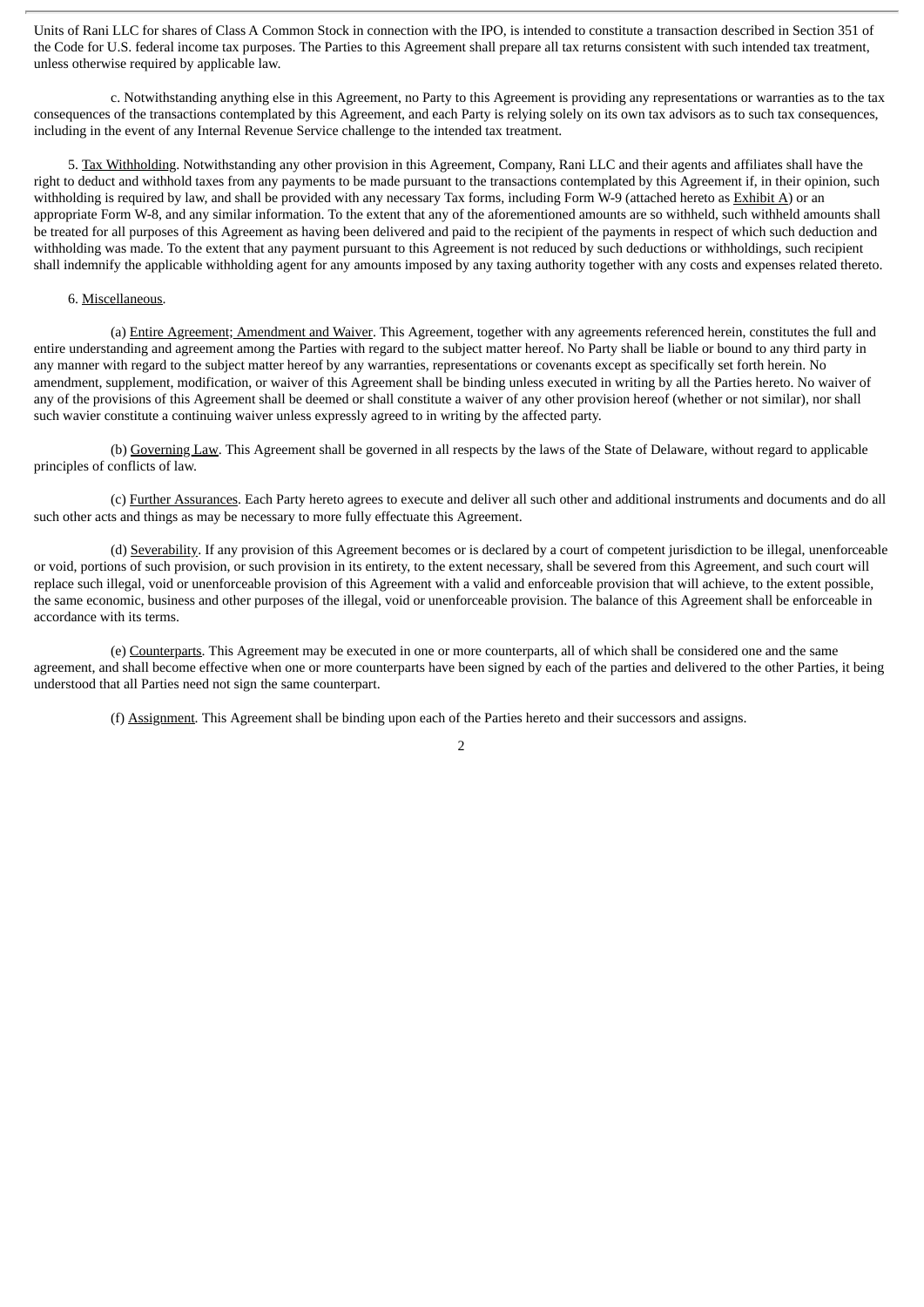Units of Rani LLC for shares of Class A Common Stock in connection with the IPO, is intended to constitute a transaction described in Section 351 of the Code for U.S. federal income tax purposes. The Parties to this Agreement shall prepare all tax returns consistent with such intended tax treatment, unless otherwise required by applicable law.

c. Notwithstanding anything else in this Agreement, no Party to this Agreement is providing any representations or warranties as to the tax consequences of the transactions contemplated by this Agreement, and each Party is relying solely on its own tax advisors as to such tax consequences, including in the event of any Internal Revenue Service challenge to the intended tax treatment.

5. Tax Withholding. Notwithstanding any other provision in this Agreement, Company, Rani LLC and their agents and affiliates shall have the right to deduct and withhold taxes from any payments to be made pursuant to the transactions contemplated by this Agreement if, in their opinion, such withholding is required by law, and shall be provided with any necessary Tax forms, including Form W-9 (attached hereto as Exhibit A) or an appropriate Form W-8, and any similar information. To the extent that any of the aforementioned amounts are so withheld, such withheld amounts shall be treated for all purposes of this Agreement as having been delivered and paid to the recipient of the payments in respect of which such deduction and withholding was made. To the extent that any payment pursuant to this Agreement is not reduced by such deductions or withholdings, such recipient shall indemnify the applicable withholding agent for any amounts imposed by any taxing authority together with any costs and expenses related thereto.

### 6. Miscellaneous.

(a) Entire Agreement; Amendment and Waiver. This Agreement, together with any agreements referenced herein, constitutes the full and entire understanding and agreement among the Parties with regard to the subject matter hereof. No Party shall be liable or bound to any third party in any manner with regard to the subject matter hereof by any warranties, representations or covenants except as specifically set forth herein. No amendment, supplement, modification, or waiver of this Agreement shall be binding unless executed in writing by all the Parties hereto. No waiver of any of the provisions of this Agreement shall be deemed or shall constitute a waiver of any other provision hereof (whether or not similar), nor shall such wavier constitute a continuing waiver unless expressly agreed to in writing by the affected party.

(b) Governing Law. This Agreement shall be governed in all respects by the laws of the State of Delaware, without regard to applicable principles of conflicts of law.

(c) Further Assurances. Each Party hereto agrees to execute and deliver all such other and additional instruments and documents and do all such other acts and things as may be necessary to more fully effectuate this Agreement.

(d) Severability. If any provision of this Agreement becomes or is declared by a court of competent jurisdiction to be illegal, unenforceable or void, portions of such provision, or such provision in its entirety, to the extent necessary, shall be severed from this Agreement, and such court will replace such illegal, void or unenforceable provision of this Agreement with a valid and enforceable provision that will achieve, to the extent possible, the same economic, business and other purposes of the illegal, void or unenforceable provision. The balance of this Agreement shall be enforceable in accordance with its terms.

(e) Counterparts. This Agreement may be executed in one or more counterparts, all of which shall be considered one and the same agreement, and shall become effective when one or more counterparts have been signed by each of the parties and delivered to the other Parties, it being understood that all Parties need not sign the same counterpart.

(f) Assignment. This Agreement shall be binding upon each of the Parties hereto and their successors and assigns.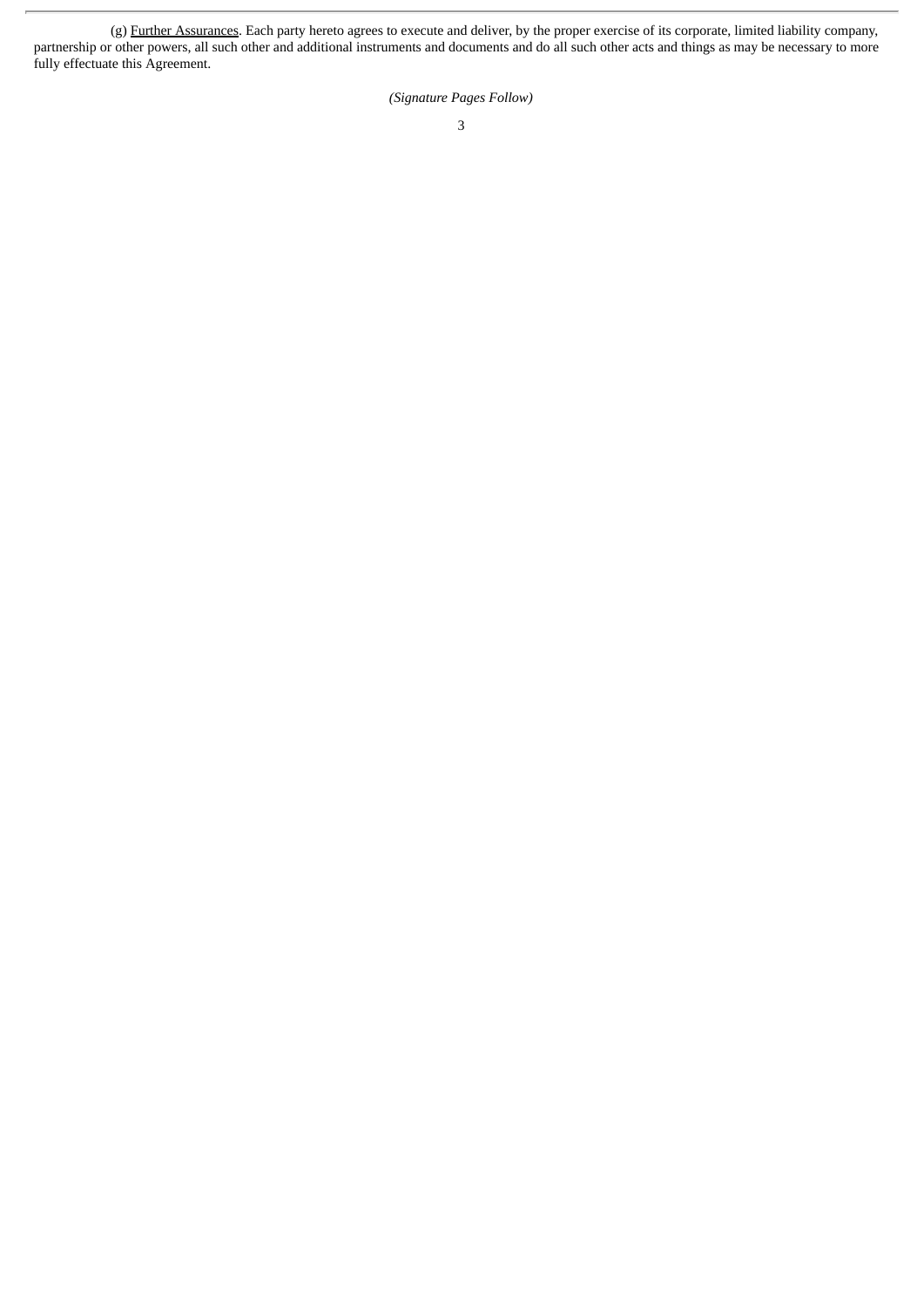(g) Further Assurances. Each party hereto agrees to execute and deliver, by the proper exercise of its corporate, limited liability company, partnership or other powers, all such other and additional instruments and documents and do all such other acts and things as may be necessary to more fully effectuate this Agreement.

*(Signature Pages Follow)*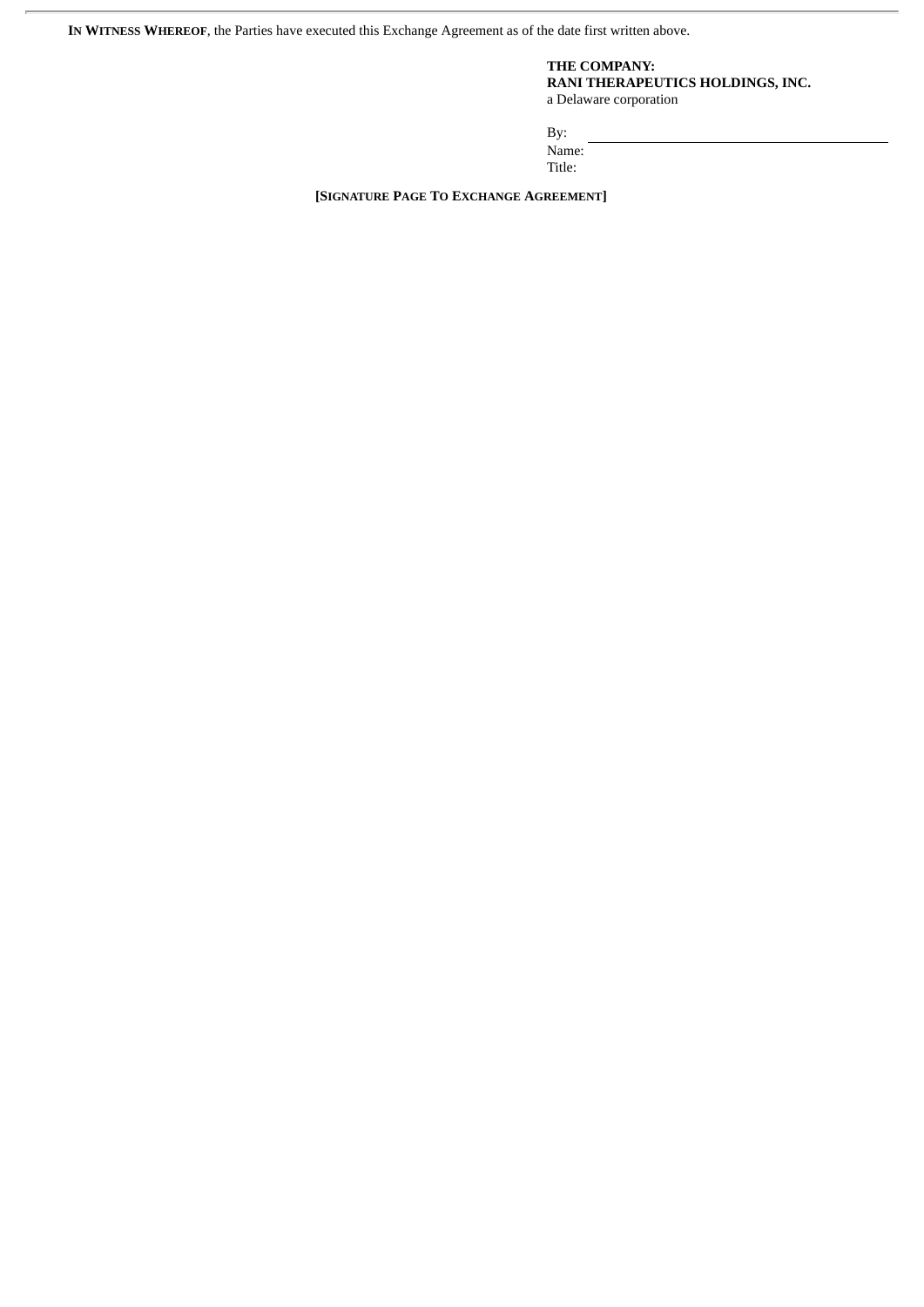**IN WITNESS WHEREOF**, the Parties have executed this Exchange Agreement as of the date first written above.

# **THE COMPANY: RANI THERAPEUTICS HOLDINGS, INC.** a Delaware corporation

By: Name: Title:

**[SIGNATURE PAGE TO EXCHANGE AGREEMENT]**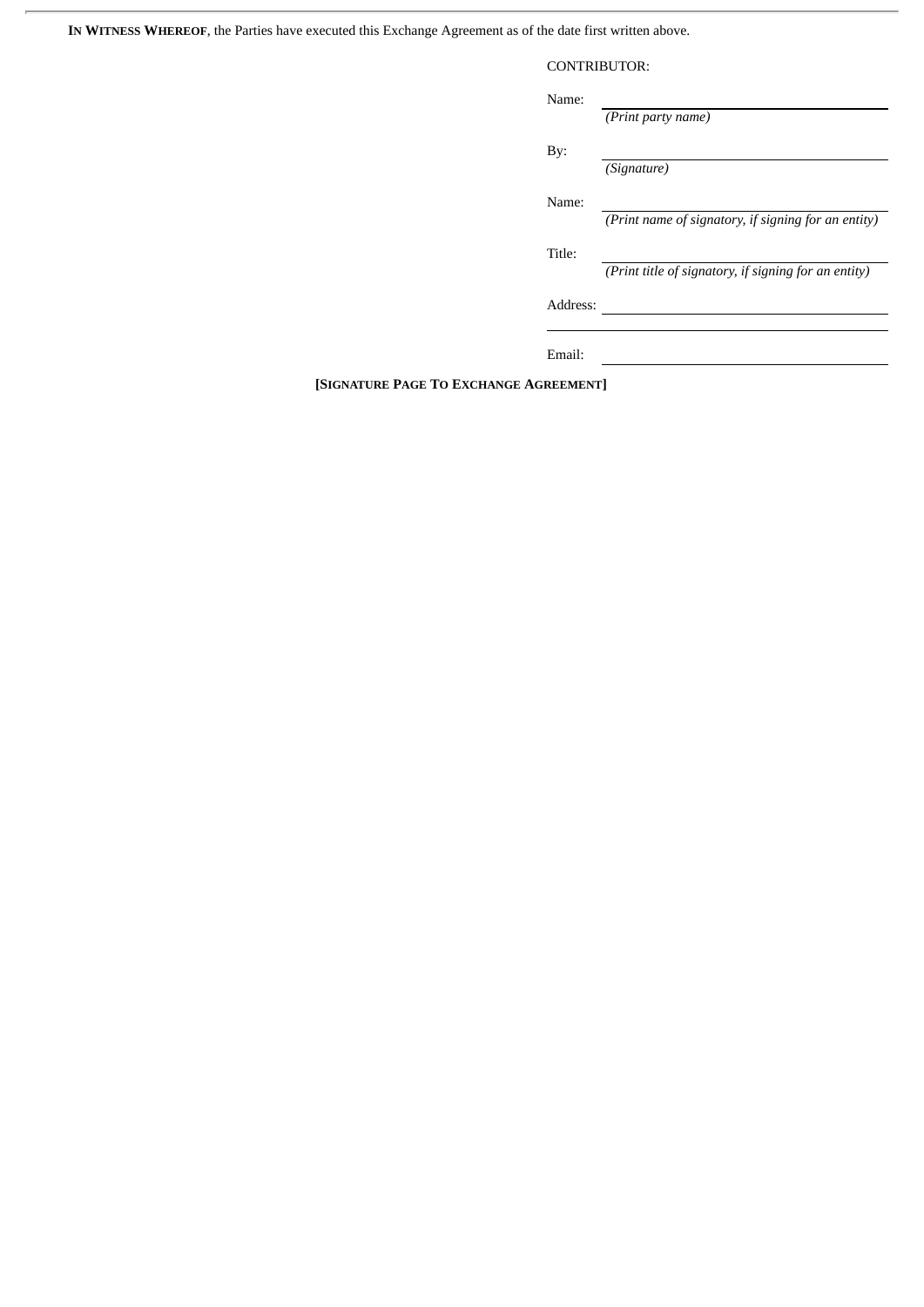**IN WITNESS WHEREOF**, the Parties have executed this Exchange Agreement as of the date first written above.

| CONTRIBUTOR: |  |
|--------------|--|
|--------------|--|

| Name:    | (Print party name)                                   |
|----------|------------------------------------------------------|
| By:      |                                                      |
|          | (Signature)                                          |
| Name:    | (Print name of signatory, if signing for an entity)  |
| Title:   |                                                      |
| Address: | (Print title of signatory, if signing for an entity) |
| Email:   |                                                      |

**[SIGNATURE PAGE TO EXCHANGE AGREEMENT]**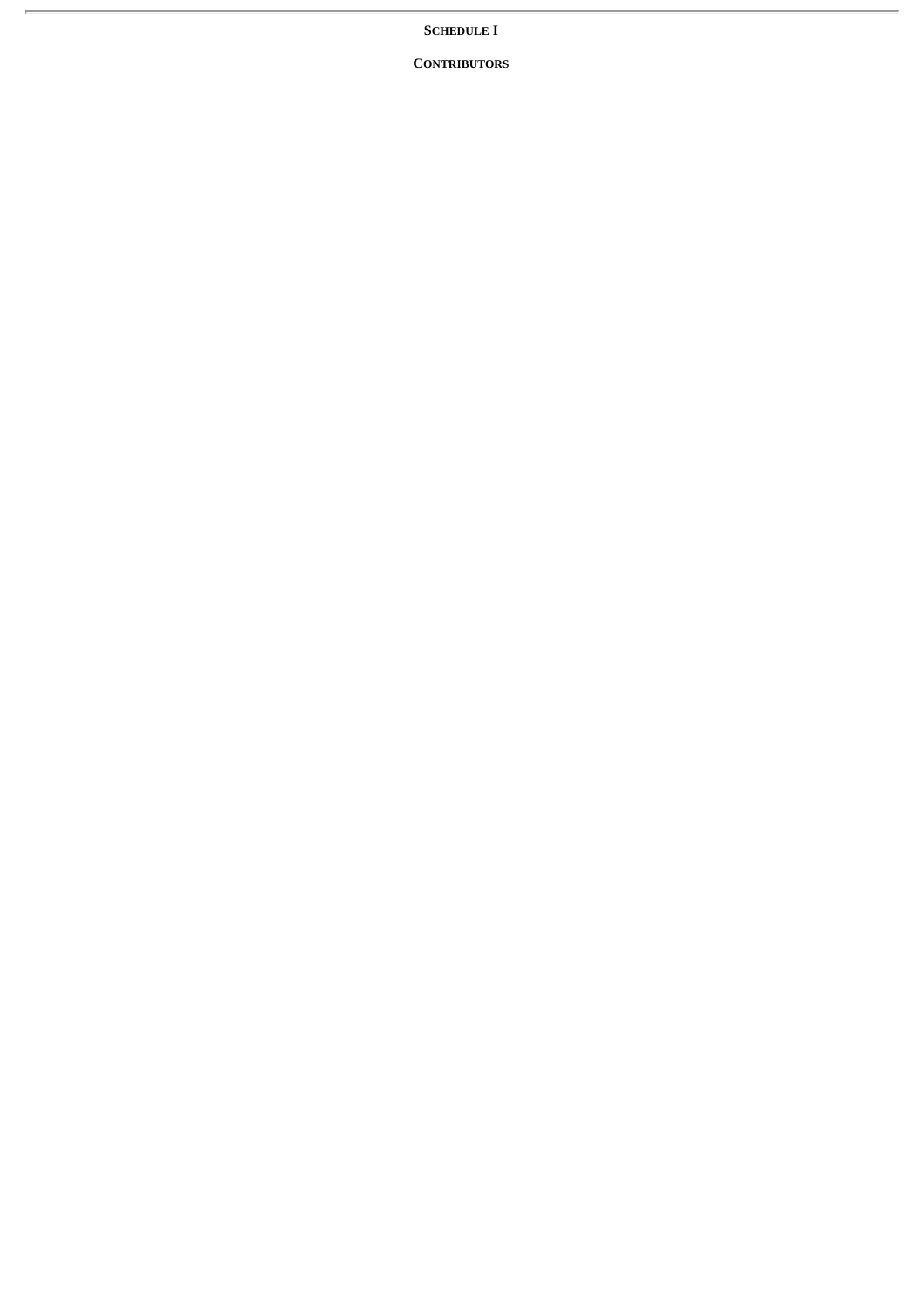**SCHEDULE I**

**CONTRIBUTORS**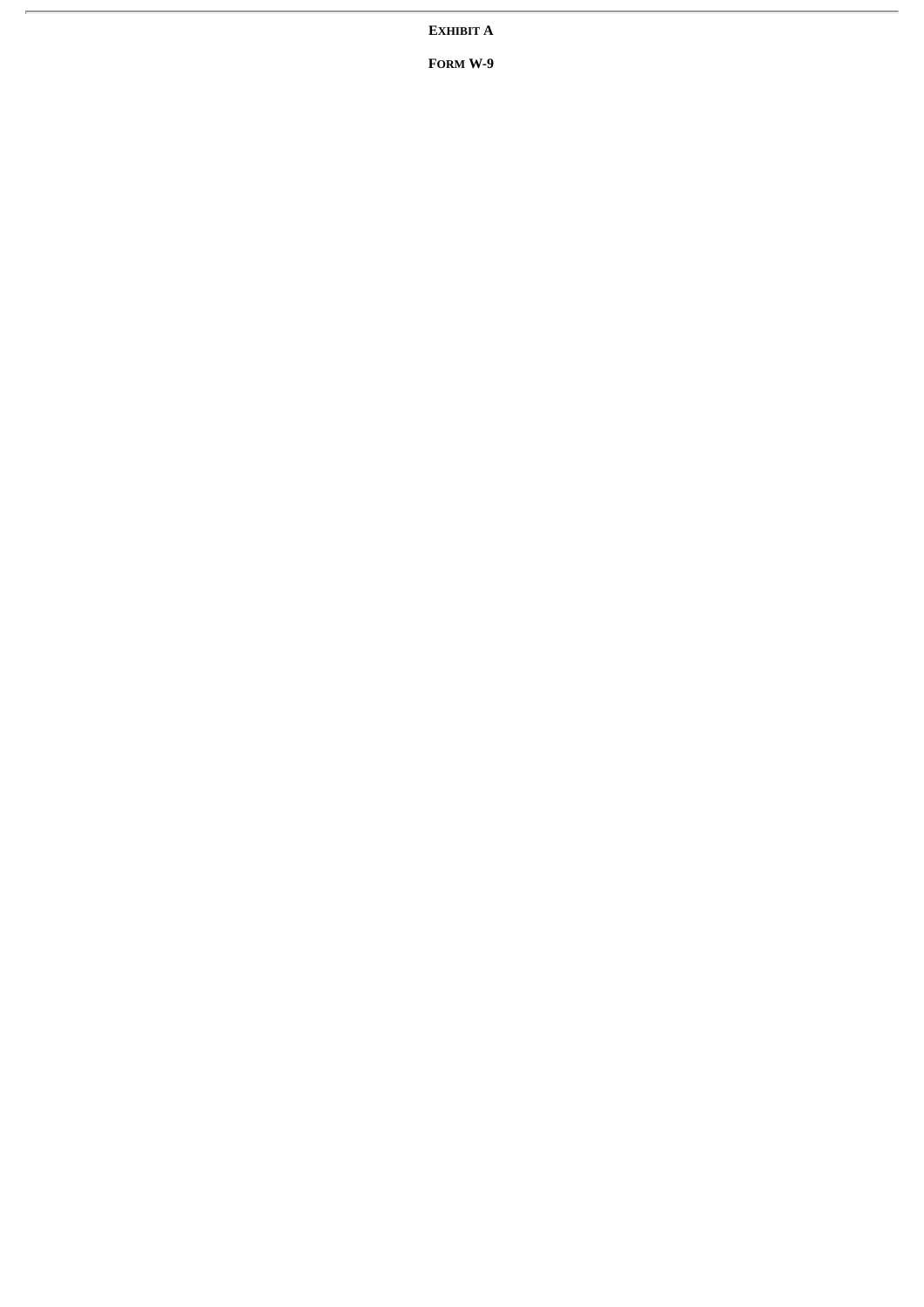**EXHIBIT A**

**FORM W-9**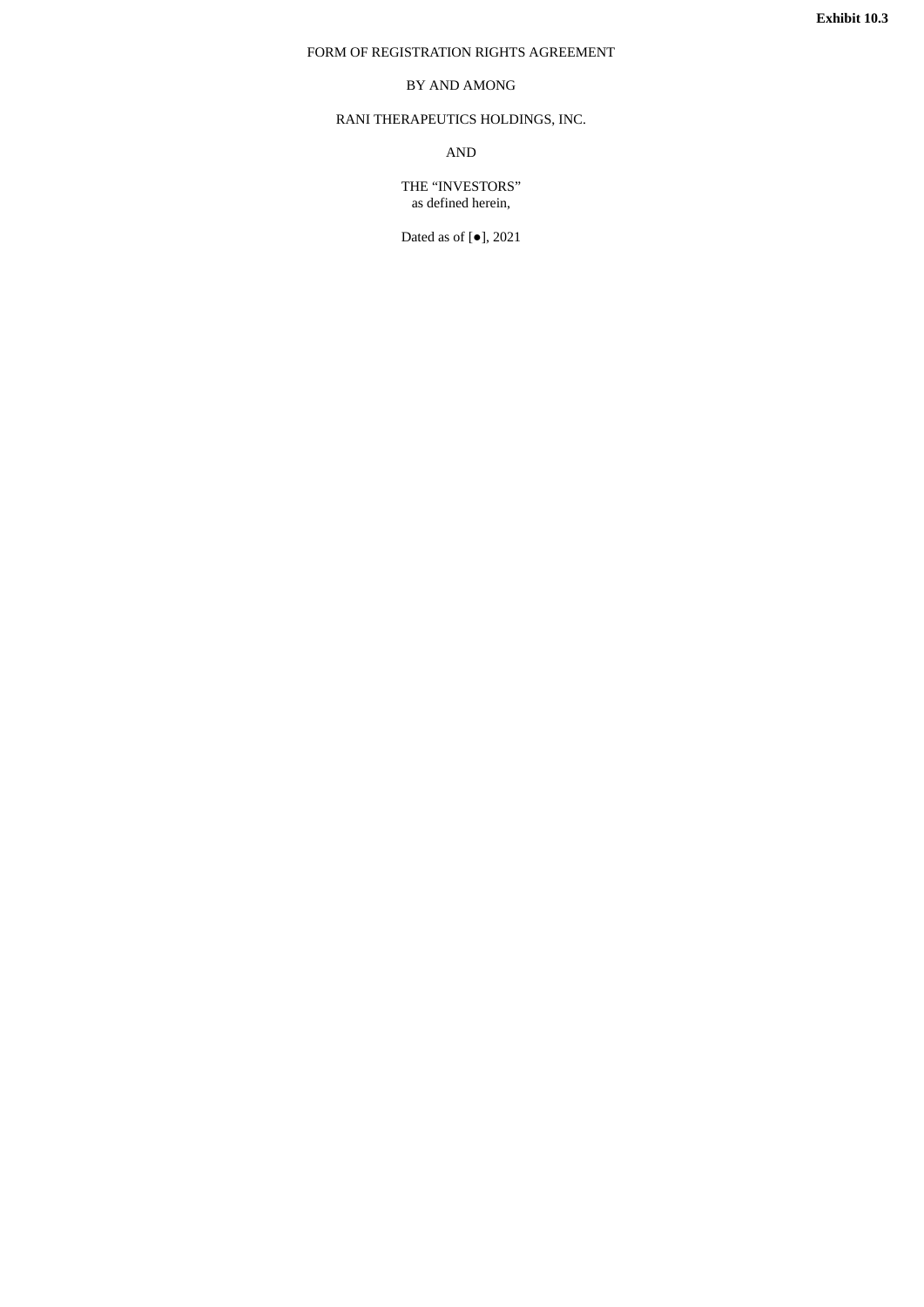## FORM OF REGISTRATION RIGHTS AGREEMENT

# BY AND AMONG

# RANI THERAPEUTICS HOLDINGS, INC.

AND

# THE "INVESTORS" as defined herein,

Dated as of [●], 2021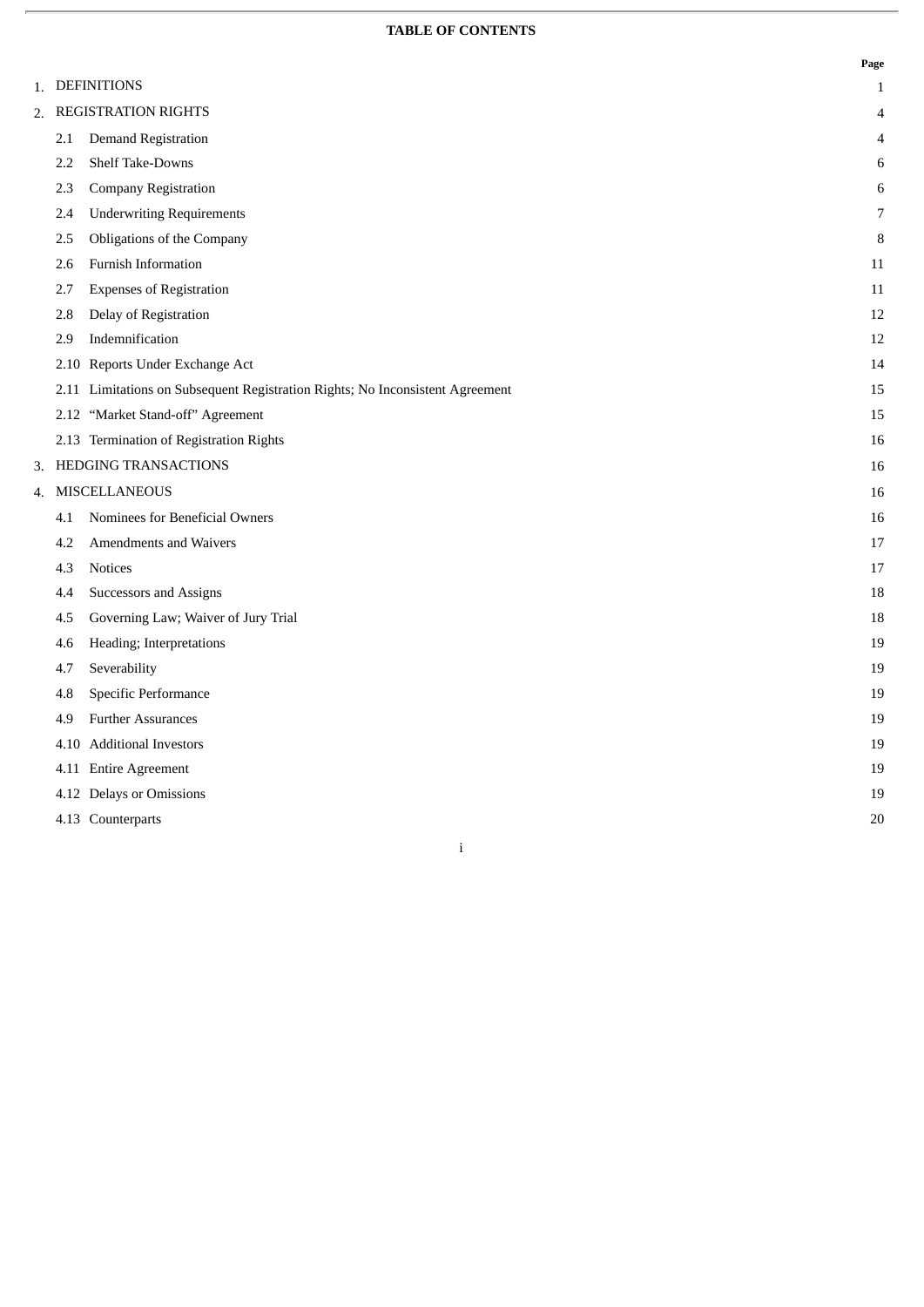# **TABLE OF CONTENTS**

|     |                                                                               | Page           |
|-----|-------------------------------------------------------------------------------|----------------|
|     | 1. DEFINITIONS                                                                | $\mathbf{1}$   |
|     | 2. REGISTRATION RIGHTS                                                        | 4              |
| 2.1 | <b>Demand Registration</b>                                                    | $\overline{4}$ |
| 2.2 | <b>Shelf Take-Downs</b>                                                       | 6              |
| 2.3 | <b>Company Registration</b>                                                   | 6              |
| 2.4 | <b>Underwriting Requirements</b>                                              | 7              |
| 2.5 | Obligations of the Company                                                    | 8              |
| 2.6 | Furnish Information                                                           | 11             |
| 2.7 | <b>Expenses of Registration</b>                                               | 11             |
| 2.8 | Delay of Registration                                                         | 12             |
| 2.9 | Indemnification                                                               | 12             |
|     | 2.10 Reports Under Exchange Act                                               | 14             |
|     | 2.11 Limitations on Subsequent Registration Rights; No Inconsistent Agreement | 15             |
|     | 2.12 "Market Stand-off" Agreement                                             | 15             |
|     | 2.13 Termination of Registration Rights                                       | 16             |
|     | 3. HEDGING TRANSACTIONS                                                       | 16             |
|     | 4. MISCELLANEOUS                                                              | 16             |
| 4.1 | Nominees for Beneficial Owners                                                | 16             |
| 4.2 | Amendments and Waivers                                                        | 17             |
| 4.3 | Notices                                                                       | 17             |
| 4.4 | <b>Successors and Assigns</b>                                                 | 18             |
| 4.5 | Governing Law; Waiver of Jury Trial                                           | 18             |
| 4.6 | Heading; Interpretations                                                      | 19             |
| 4.7 | Severability                                                                  | 19             |
| 4.8 | Specific Performance                                                          | 19             |
| 4.9 | <b>Further Assurances</b>                                                     | 19             |
|     | 4.10 Additional Investors                                                     | 19             |
|     | 4.11 Entire Agreement                                                         | 19             |
|     | 4.12 Delays or Omissions                                                      | 19             |
|     | 4.13 Counterparts                                                             | 20             |

i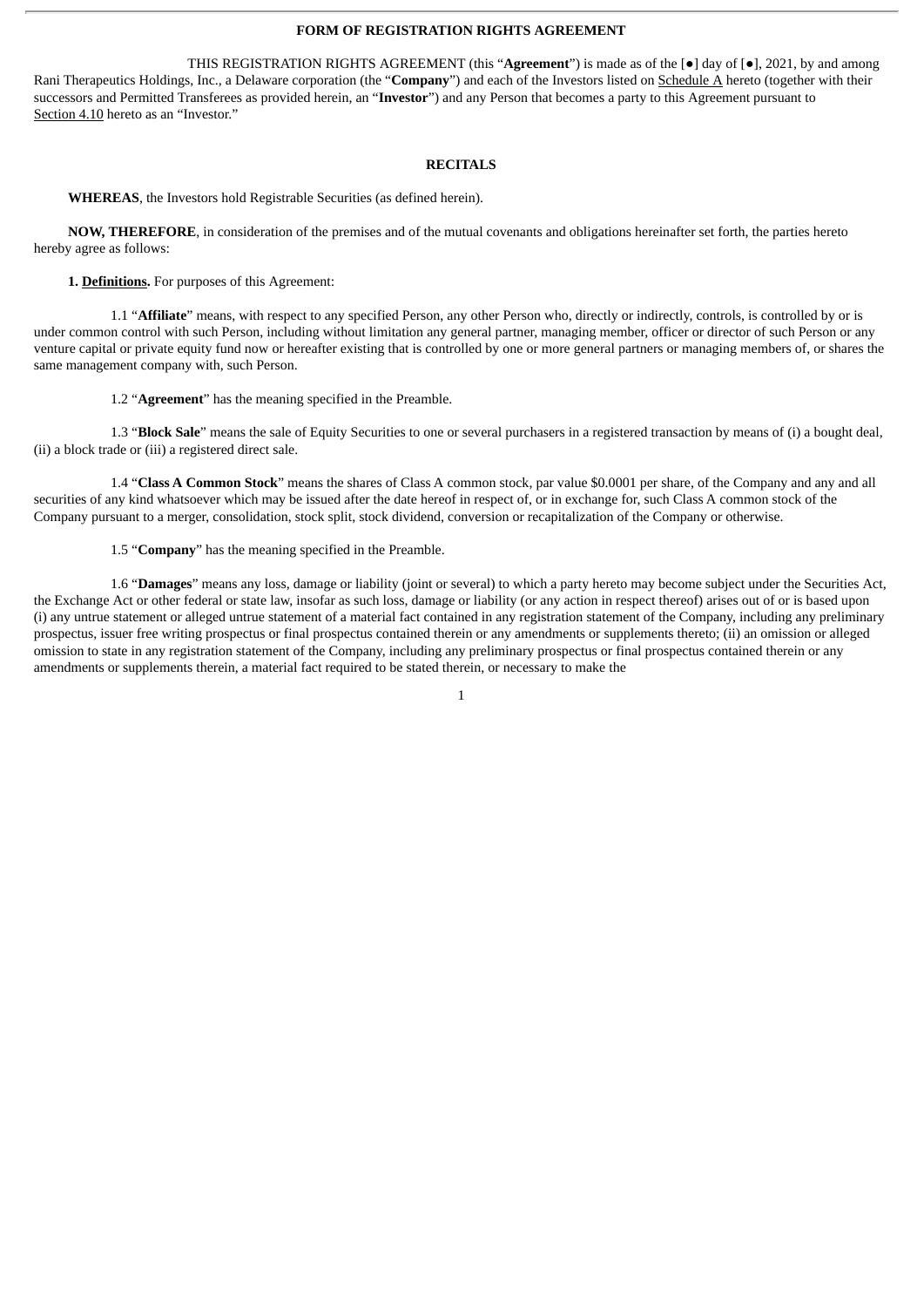## **FORM OF REGISTRATION RIGHTS AGREEMENT**

THIS REGISTRATION RIGHTS AGREEMENT (this "**Agreement**") is made as of the [●] day of [●], 2021, by and among Rani Therapeutics Holdings, Inc., a Delaware corporation (the "**Company**") and each of the Investors listed on Schedule A hereto (together with their successors and Permitted Transferees as provided herein, an "**Investor**") and any Person that becomes a party to this Agreement pursuant to Section 4.10 hereto as an "Investor."

### **RECITALS**

**WHEREAS**, the Investors hold Registrable Securities (as defined herein).

**NOW, THEREFORE**, in consideration of the premises and of the mutual covenants and obligations hereinafter set forth, the parties hereto hereby agree as follows:

**1. Definitions.** For purposes of this Agreement:

1.1 "**Affiliate**" means, with respect to any specified Person, any other Person who, directly or indirectly, controls, is controlled by or is under common control with such Person, including without limitation any general partner, managing member, officer or director of such Person or any venture capital or private equity fund now or hereafter existing that is controlled by one or more general partners or managing members of, or shares the same management company with, such Person.

1.2 "**Agreement**" has the meaning specified in the Preamble.

1.3 "**Block Sale**" means the sale of Equity Securities to one or several purchasers in a registered transaction by means of (i) a bought deal, (ii) a block trade or (iii) a registered direct sale.

1.4 "**Class A Common Stock**" means the shares of Class A common stock, par value \$0.0001 per share, of the Company and any and all securities of any kind whatsoever which may be issued after the date hereof in respect of, or in exchange for, such Class A common stock of the Company pursuant to a merger, consolidation, stock split, stock dividend, conversion or recapitalization of the Company or otherwise.

1.5 "**Company**" has the meaning specified in the Preamble.

1.6 "**Damages**" means any loss, damage or liability (joint or several) to which a party hereto may become subject under the Securities Act, the Exchange Act or other federal or state law, insofar as such loss, damage or liability (or any action in respect thereof) arises out of or is based upon (i) any untrue statement or alleged untrue statement of a material fact contained in any registration statement of the Company, including any preliminary prospectus, issuer free writing prospectus or final prospectus contained therein or any amendments or supplements thereto; (ii) an omission or alleged omission to state in any registration statement of the Company, including any preliminary prospectus or final prospectus contained therein or any amendments or supplements therein, a material fact required to be stated therein, or necessary to make the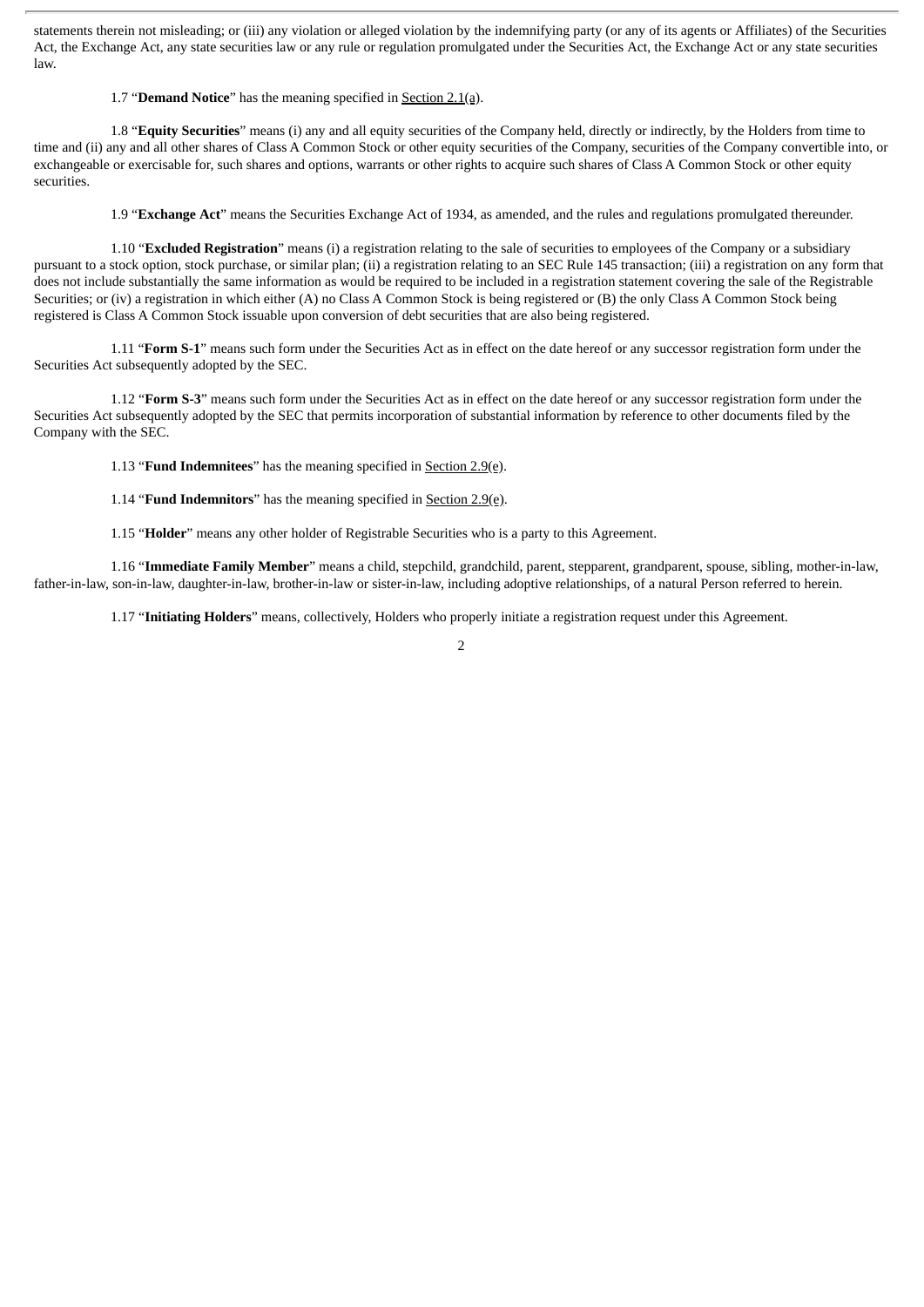statements therein not misleading; or (iii) any violation or alleged violation by the indemnifying party (or any of its agents or Affiliates) of the Securities Act, the Exchange Act, any state securities law or any rule or regulation promulgated under the Securities Act, the Exchange Act or any state securities law.

1.7 "**Demand Notice**" has the meaning specified in Section 2.1(a).

1.8 "**Equity Securities**" means (i) any and all equity securities of the Company held, directly or indirectly, by the Holders from time to time and (ii) any and all other shares of Class A Common Stock or other equity securities of the Company, securities of the Company convertible into, or exchangeable or exercisable for, such shares and options, warrants or other rights to acquire such shares of Class A Common Stock or other equity securities.

1.9 "**Exchange Act**" means the Securities Exchange Act of 1934, as amended, and the rules and regulations promulgated thereunder.

1.10 "**Excluded Registration**" means (i) a registration relating to the sale of securities to employees of the Company or a subsidiary pursuant to a stock option, stock purchase, or similar plan; (ii) a registration relating to an SEC Rule 145 transaction; (iii) a registration on any form that does not include substantially the same information as would be required to be included in a registration statement covering the sale of the Registrable Securities; or (iv) a registration in which either (A) no Class A Common Stock is being registered or (B) the only Class A Common Stock being registered is Class A Common Stock issuable upon conversion of debt securities that are also being registered.

1.11 "**Form S-1**" means such form under the Securities Act as in effect on the date hereof or any successor registration form under the Securities Act subsequently adopted by the SEC.

1.12 "**Form S-3**" means such form under the Securities Act as in effect on the date hereof or any successor registration form under the Securities Act subsequently adopted by the SEC that permits incorporation of substantial information by reference to other documents filed by the Company with the SEC.

1.13 "**Fund Indemnitees**" has the meaning specified in Section 2.9(e).

1.14 "**Fund Indemnitors**" has the meaning specified in Section 2.9(e).

1.15 "**Holder**" means any other holder of Registrable Securities who is a party to this Agreement.

1.16 "**Immediate Family Member**" means a child, stepchild, grandchild, parent, stepparent, grandparent, spouse, sibling, mother-in-law, father-in-law, son-in-law, daughter-in-law, brother-in-law or sister-in-law, including adoptive relationships, of a natural Person referred to herein.

1.17 "**Initiating Holders**" means, collectively, Holders who properly initiate a registration request under this Agreement.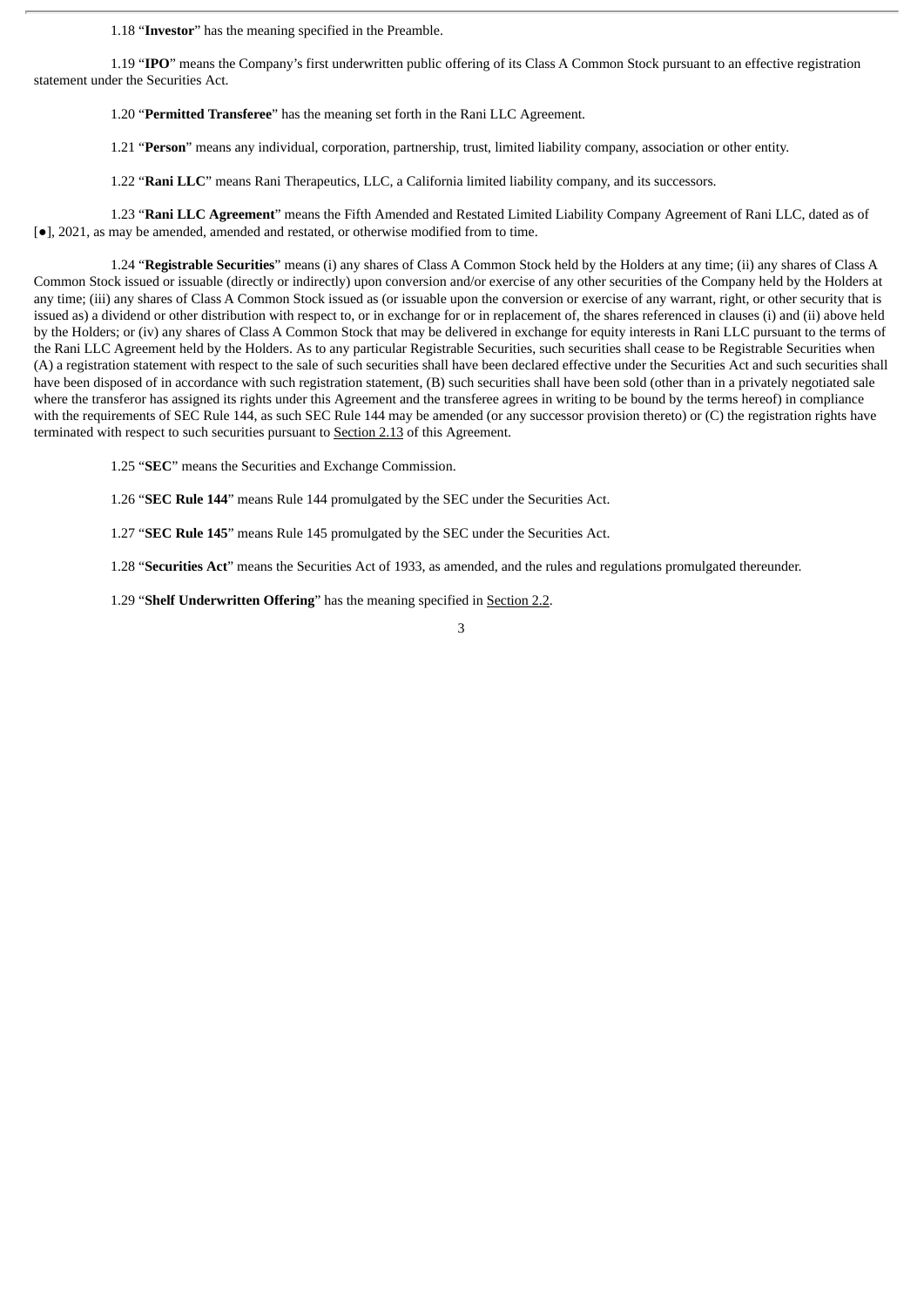1.18 "**Investor**" has the meaning specified in the Preamble.

1.19 "**IPO**" means the Company's first underwritten public offering of its Class A Common Stock pursuant to an effective registration statement under the Securities Act.

1.20 "**Permitted Transferee**" has the meaning set forth in the Rani LLC Agreement.

1.21 "**Person**" means any individual, corporation, partnership, trust, limited liability company, association or other entity.

1.22 "**Rani LLC**" means Rani Therapeutics, LLC, a California limited liability company, and its successors.

1.23 "**Rani LLC Agreement**" means the Fifth Amended and Restated Limited Liability Company Agreement of Rani LLC, dated as of [●], 2021, as may be amended, amended and restated, or otherwise modified from to time.

1.24 "**Registrable Securities**" means (i) any shares of Class A Common Stock held by the Holders at any time; (ii) any shares of Class A Common Stock issued or issuable (directly or indirectly) upon conversion and/or exercise of any other securities of the Company held by the Holders at any time; (iii) any shares of Class A Common Stock issued as (or issuable upon the conversion or exercise of any warrant, right, or other security that is issued as) a dividend or other distribution with respect to, or in exchange for or in replacement of, the shares referenced in clauses (i) and (ii) above held by the Holders; or (iv) any shares of Class A Common Stock that may be delivered in exchange for equity interests in Rani LLC pursuant to the terms of the Rani LLC Agreement held by the Holders. As to any particular Registrable Securities, such securities shall cease to be Registrable Securities when (A) a registration statement with respect to the sale of such securities shall have been declared effective under the Securities Act and such securities shall have been disposed of in accordance with such registration statement, (B) such securities shall have been sold (other than in a privately negotiated sale where the transferor has assigned its rights under this Agreement and the transferee agrees in writing to be bound by the terms hereof) in compliance with the requirements of SEC Rule 144, as such SEC Rule 144 may be amended (or any successor provision thereto) or (C) the registration rights have terminated with respect to such securities pursuant to Section 2.13 of this Agreement.

1.25 "**SEC**" means the Securities and Exchange Commission.

1.26 "**SEC Rule 144**" means Rule 144 promulgated by the SEC under the Securities Act.

1.27 "**SEC Rule 145**" means Rule 145 promulgated by the SEC under the Securities Act.

1.28 "**Securities Act**" means the Securities Act of 1933, as amended, and the rules and regulations promulgated thereunder.

1.29 "**Shelf Underwritten Offering**" has the meaning specified in Section 2.2.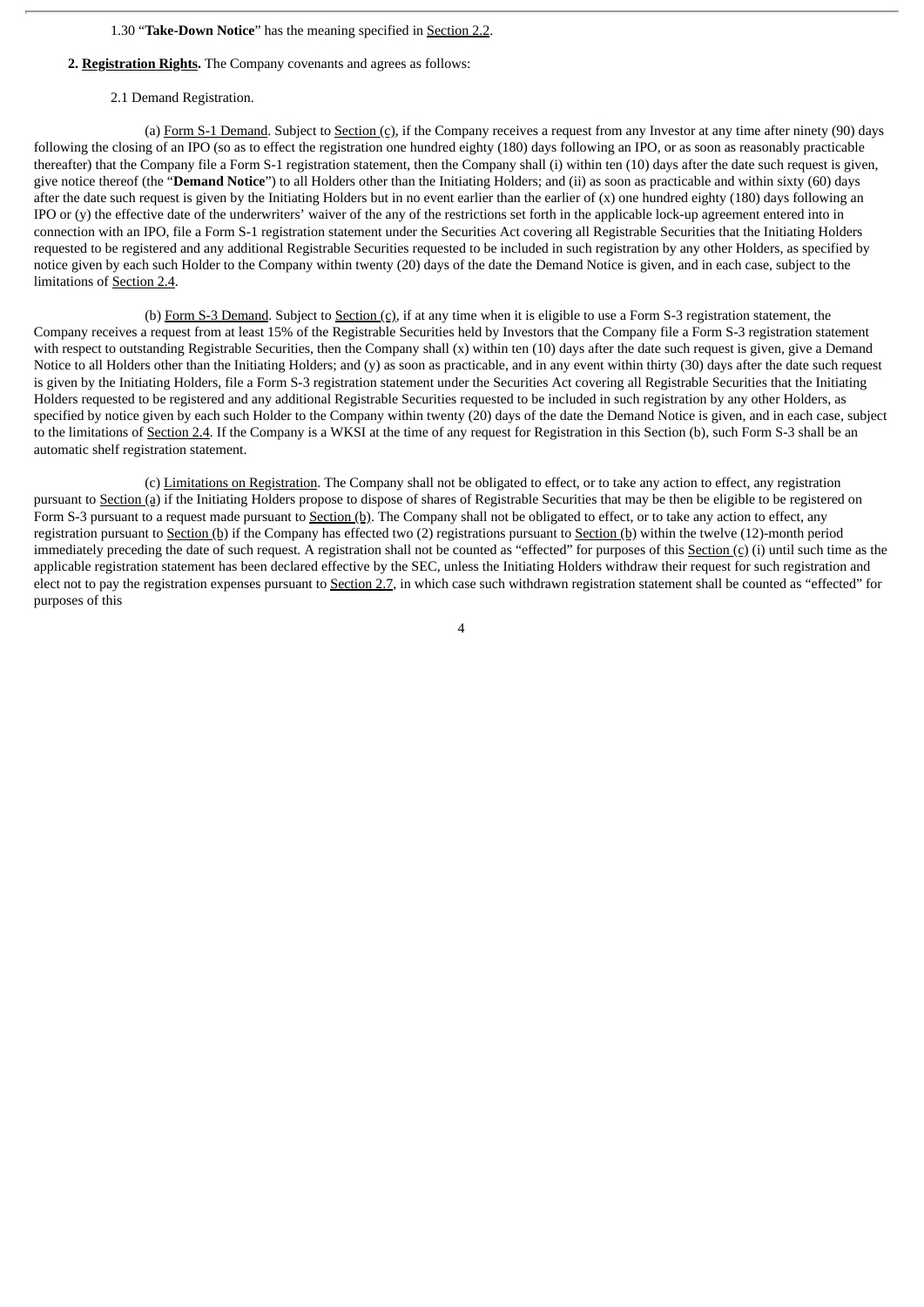## 1.30 "**Take-Down Notice**" has the meaning specified in Section 2.2.

### **2. Registration Rights.** The Company covenants and agrees as follows:

#### 2.1 Demand Registration.

(a) Form S-1 Demand. Subject to Section (c), if the Company receives a request from any Investor at any time after ninety (90) days following the closing of an IPO (so as to effect the registration one hundred eighty (180) days following an IPO, or as soon as reasonably practicable thereafter) that the Company file a Form S-1 registration statement, then the Company shall (i) within ten (10) days after the date such request is given, give notice thereof (the "**Demand Notice**") to all Holders other than the Initiating Holders; and (ii) as soon as practicable and within sixty (60) days after the date such request is given by the Initiating Holders but in no event earlier than the earlier of  $(x)$  one hundred eighty (180) days following an IPO or (y) the effective date of the underwriters' waiver of the any of the restrictions set forth in the applicable lock-up agreement entered into in connection with an IPO, file a Form S-1 registration statement under the Securities Act covering all Registrable Securities that the Initiating Holders requested to be registered and any additional Registrable Securities requested to be included in such registration by any other Holders, as specified by notice given by each such Holder to the Company within twenty (20) days of the date the Demand Notice is given, and in each case, subject to the limitations of Section 2.4.

(b) Form S-3 Demand. Subject to Section  $(c)$ , if at any time when it is eligible to use a Form S-3 registration statement, the Company receives a request from at least 15% of the Registrable Securities held by Investors that the Company file a Form S-3 registration statement with respect to outstanding Registrable Securities, then the Company shall (x) within ten (10) days after the date such request is given, give a Demand Notice to all Holders other than the Initiating Holders; and (y) as soon as practicable, and in any event within thirty (30) days after the date such request is given by the Initiating Holders, file a Form S-3 registration statement under the Securities Act covering all Registrable Securities that the Initiating Holders requested to be registered and any additional Registrable Securities requested to be included in such registration by any other Holders, as specified by notice given by each such Holder to the Company within twenty (20) days of the date the Demand Notice is given, and in each case, subject to the limitations of Section 2.4. If the Company is a WKSI at the time of any request for Registration in this Section (b), such Form S-3 shall be an automatic shelf registration statement.

(c) Limitations on Registration. The Company shall not be obligated to effect, or to take any action to effect, any registration pursuant to Section (a) if the Initiating Holders propose to dispose of shares of Registrable Securities that may be then be eligible to be registered on Form S-3 pursuant to a request made pursuant to Section (b). The Company shall not be obligated to effect, or to take any action to effect, any registration pursuant to Section (b) if the Company has effected two (2) registrations pursuant to Section (b) within the twelve (12)-month period immediately preceding the date of such request. A registration shall not be counted as "effected" for purposes of this Section (c) (i) until such time as the applicable registration statement has been declared effective by the SEC, unless the Initiating Holders withdraw their request for such registration and elect not to pay the registration expenses pursuant to Section 2.7, in which case such withdrawn registration statement shall be counted as "effected" for purposes of this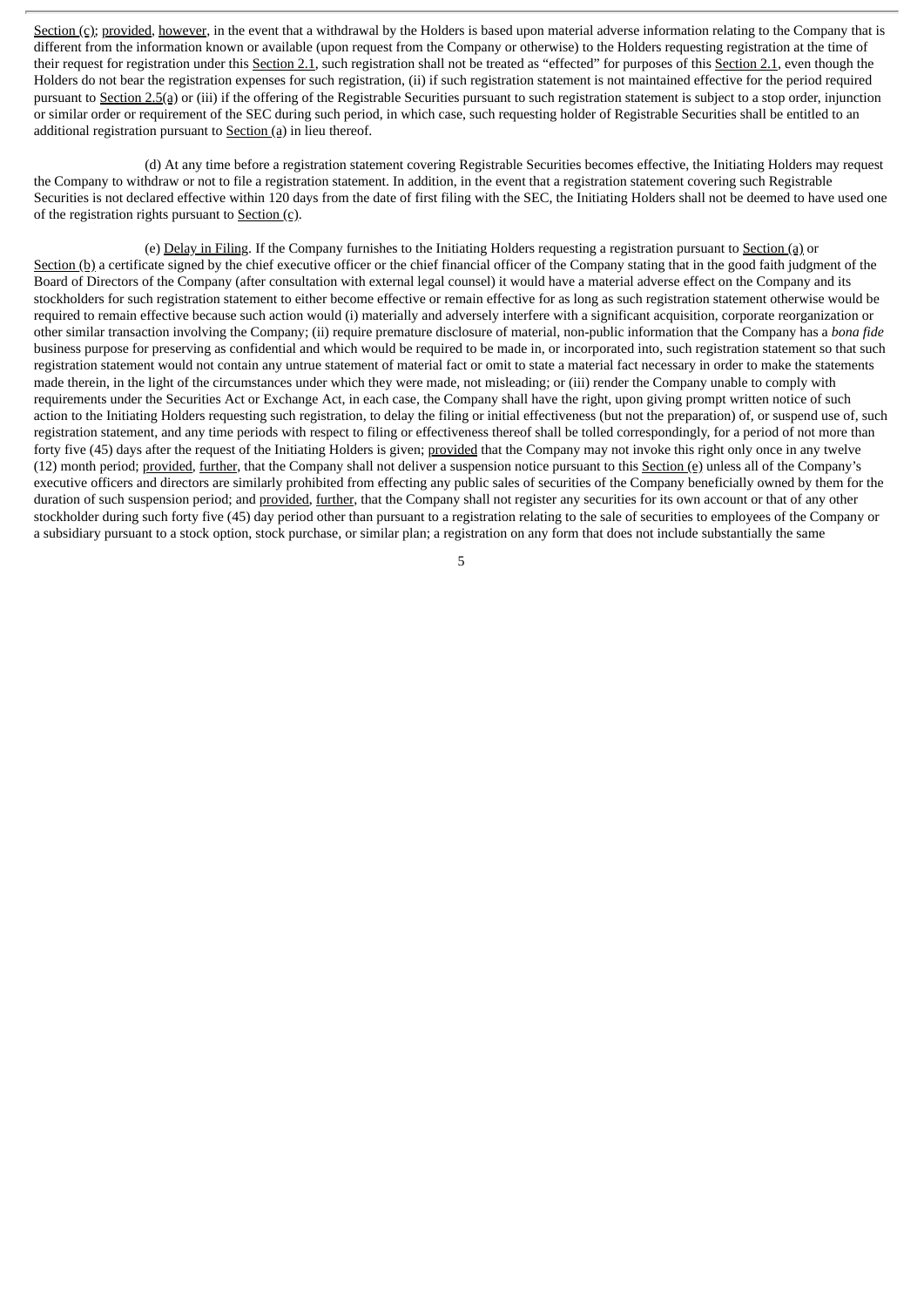Section (c); provided, however, in the event that a withdrawal by the Holders is based upon material adverse information relating to the Company that is different from the information known or available (upon request from the Company or otherwise) to the Holders requesting registration at the time of their request for registration under this Section 2.1, such registration shall not be treated as "effected" for purposes of this Section 2.1, even though the Holders do not bear the registration expenses for such registration, (ii) if such registration statement is not maintained effective for the period required pursuant to Section 2.5(a) or (iii) if the offering of the Registrable Securities pursuant to such registration statement is subject to a stop order, injunction or similar order or requirement of the SEC during such period, in which case, such requesting holder of Registrable Securities shall be entitled to an additional registration pursuant to Section (a) in lieu thereof.

(d) At any time before a registration statement covering Registrable Securities becomes effective, the Initiating Holders may request the Company to withdraw or not to file a registration statement. In addition, in the event that a registration statement covering such Registrable Securities is not declared effective within 120 days from the date of first filing with the SEC, the Initiating Holders shall not be deemed to have used one of the registration rights pursuant to Section (c).

(e) Delay in Filing. If the Company furnishes to the Initiating Holders requesting a registration pursuant to Section (a) or Section (b) a certificate signed by the chief executive officer or the chief financial officer of the Company stating that in the good faith judgment of the Board of Directors of the Company (after consultation with external legal counsel) it would have a material adverse effect on the Company and its stockholders for such registration statement to either become effective or remain effective for as long as such registration statement otherwise would be required to remain effective because such action would (i) materially and adversely interfere with a significant acquisition, corporate reorganization or other similar transaction involving the Company; (ii) require premature disclosure of material, non-public information that the Company has a *bona fide* business purpose for preserving as confidential and which would be required to be made in, or incorporated into, such registration statement so that such registration statement would not contain any untrue statement of material fact or omit to state a material fact necessary in order to make the statements made therein, in the light of the circumstances under which they were made, not misleading; or (iii) render the Company unable to comply with requirements under the Securities Act or Exchange Act, in each case, the Company shall have the right, upon giving prompt written notice of such action to the Initiating Holders requesting such registration, to delay the filing or initial effectiveness (but not the preparation) of, or suspend use of, such registration statement, and any time periods with respect to filing or effectiveness thereof shall be tolled correspondingly, for a period of not more than forty five (45) days after the request of the Initiating Holders is given; provided that the Company may not invoke this right only once in any twelve (12) month period; provided, further, that the Company shall not deliver a suspension notice pursuant to this Section (e) unless all of the Company's executive officers and directors are similarly prohibited from effecting any public sales of securities of the Company beneficially owned by them for the duration of such suspension period; and provided, further, that the Company shall not register any securities for its own account or that of any other stockholder during such forty five (45) day period other than pursuant to a registration relating to the sale of securities to employees of the Company or a subsidiary pursuant to a stock option, stock purchase, or similar plan; a registration on any form that does not include substantially the same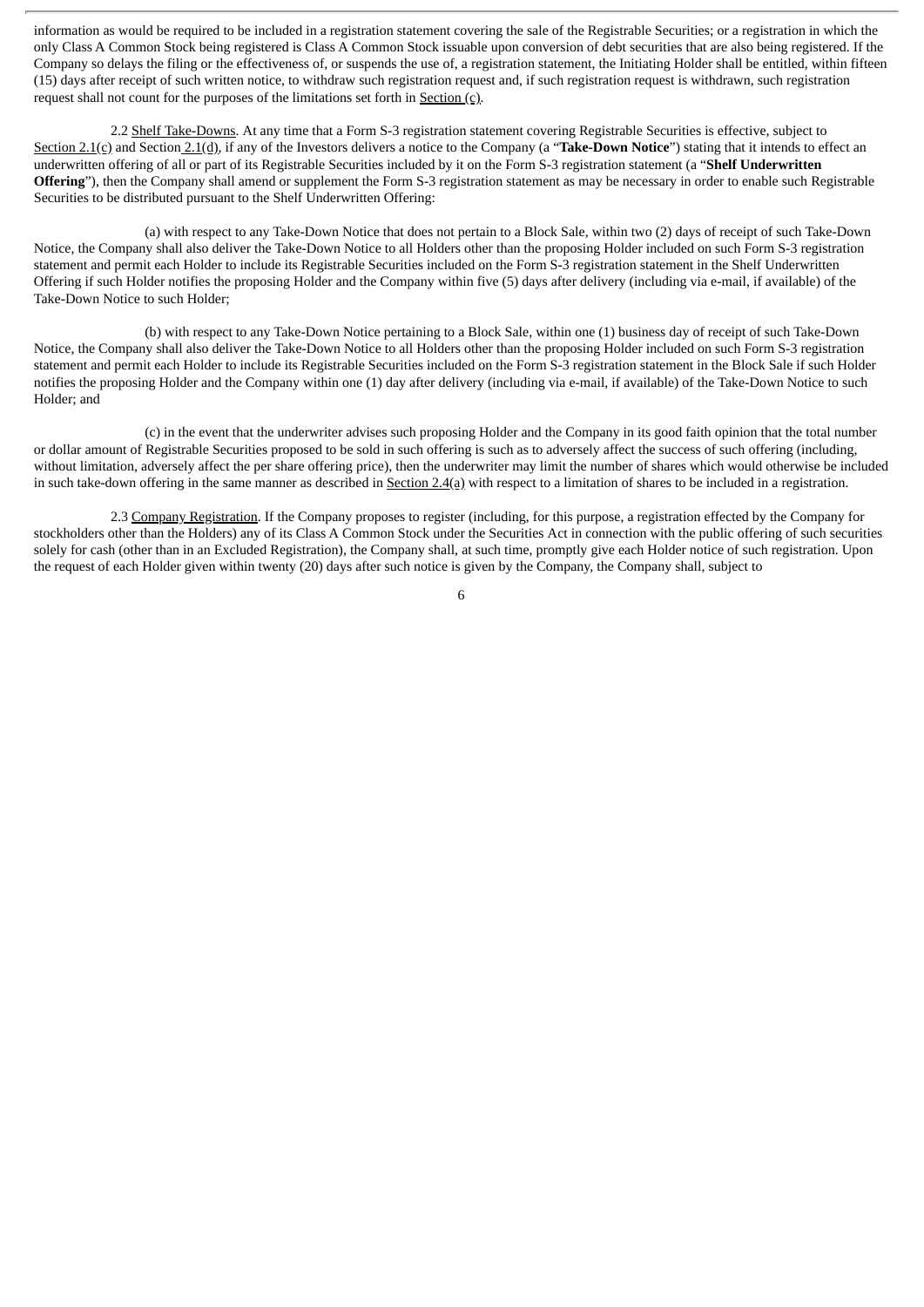information as would be required to be included in a registration statement covering the sale of the Registrable Securities; or a registration in which the only Class A Common Stock being registered is Class A Common Stock issuable upon conversion of debt securities that are also being registered. If the Company so delays the filing or the effectiveness of, or suspends the use of, a registration statement, the Initiating Holder shall be entitled, within fifteen (15) days after receipt of such written notice, to withdraw such registration request and, if such registration request is withdrawn, such registration request shall not count for the purposes of the limitations set forth in Section (c).

2.2 Shelf Take-Downs. At any time that a Form S-3 registration statement covering Registrable Securities is effective, subject to Section 2.1(c) and Section 2.1(d), if any of the Investors delivers a notice to the Company (a "**Take-Down Notice**") stating that it intends to effect an underwritten offering of all or part of its Registrable Securities included by it on the Form S-3 registration statement (a "**Shelf Underwritten Offering**"), then the Company shall amend or supplement the Form S-3 registration statement as may be necessary in order to enable such Registrable Securities to be distributed pursuant to the Shelf Underwritten Offering:

(a) with respect to any Take-Down Notice that does not pertain to a Block Sale, within two (2) days of receipt of such Take-Down Notice, the Company shall also deliver the Take-Down Notice to all Holders other than the proposing Holder included on such Form S-3 registration statement and permit each Holder to include its Registrable Securities included on the Form S-3 registration statement in the Shelf Underwritten Offering if such Holder notifies the proposing Holder and the Company within five (5) days after delivery (including via e-mail, if available) of the Take-Down Notice to such Holder;

(b) with respect to any Take-Down Notice pertaining to a Block Sale, within one (1) business day of receipt of such Take-Down Notice, the Company shall also deliver the Take-Down Notice to all Holders other than the proposing Holder included on such Form S-3 registration statement and permit each Holder to include its Registrable Securities included on the Form S-3 registration statement in the Block Sale if such Holder notifies the proposing Holder and the Company within one (1) day after delivery (including via e-mail, if available) of the Take-Down Notice to such Holder; and

(c) in the event that the underwriter advises such proposing Holder and the Company in its good faith opinion that the total number or dollar amount of Registrable Securities proposed to be sold in such offering is such as to adversely affect the success of such offering (including, without limitation, adversely affect the per share offering price), then the underwriter may limit the number of shares which would otherwise be included in such take-down offering in the same manner as described in  $Section 2.4(a)$  with respect to a limitation of shares to be included in a registration.

2.3 Company Registration. If the Company proposes to register (including, for this purpose, a registration effected by the Company for stockholders other than the Holders) any of its Class A Common Stock under the Securities Act in connection with the public offering of such securities solely for cash (other than in an Excluded Registration), the Company shall, at such time, promptly give each Holder notice of such registration. Upon the request of each Holder given within twenty (20) days after such notice is given by the Company, the Company shall, subject to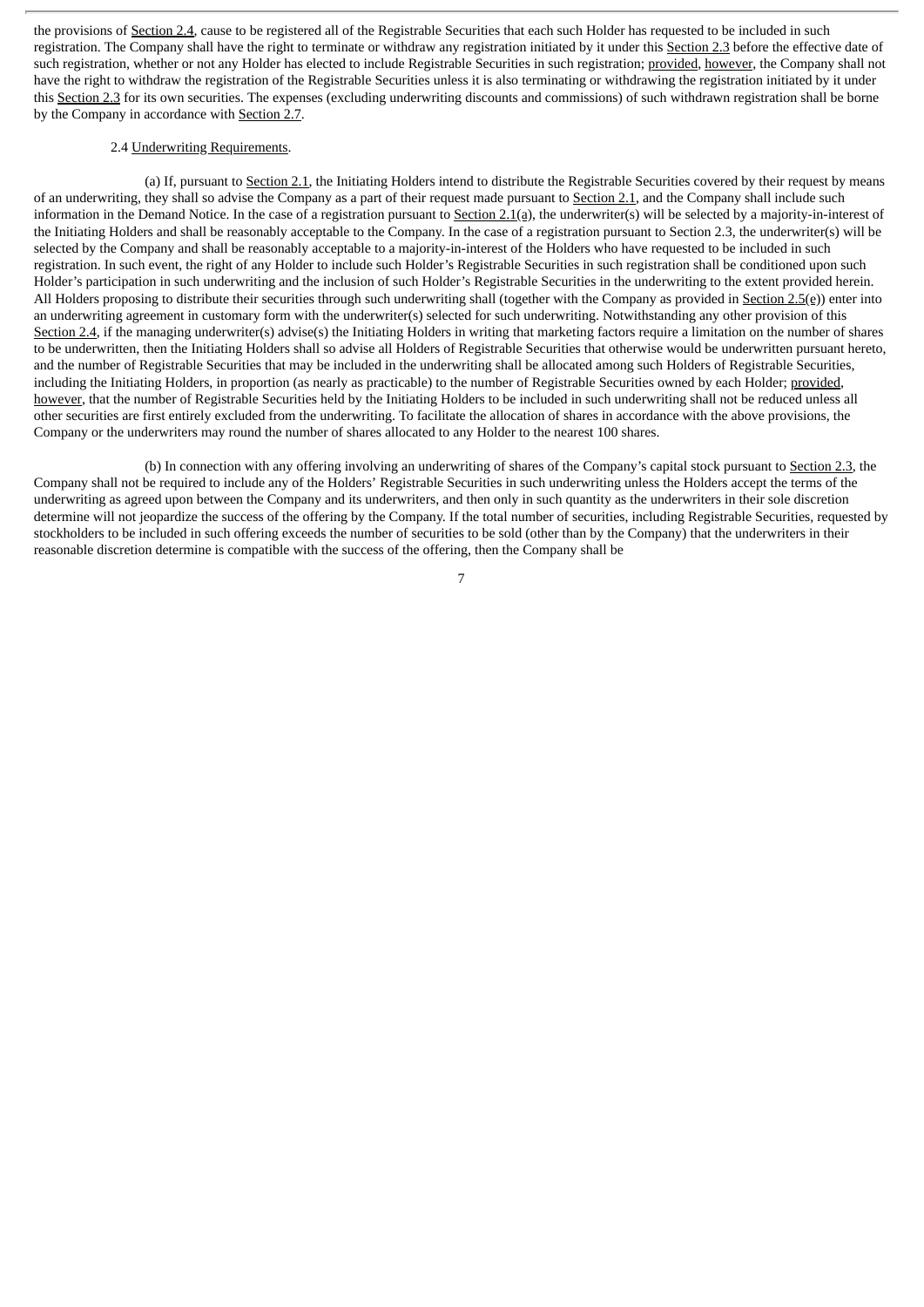the provisions of Section 2.4, cause to be registered all of the Registrable Securities that each such Holder has requested to be included in such registration. The Company shall have the right to terminate or withdraw any registration initiated by it under this Section 2.3 before the effective date of such registration, whether or not any Holder has elected to include Registrable Securities in such registration; provided, however, the Company shall not have the right to withdraw the registration of the Registrable Securities unless it is also terminating or withdrawing the registration initiated by it under this Section 2.3 for its own securities. The expenses (excluding underwriting discounts and commissions) of such withdrawn registration shall be borne by the Company in accordance with Section 2.7.

### 2.4 Underwriting Requirements.

(a) If, pursuant to Section 2.1, the Initiating Holders intend to distribute the Registrable Securities covered by their request by means of an underwriting, they shall so advise the Company as a part of their request made pursuant to Section 2.1, and the Company shall include such information in the Demand Notice. In the case of a registration pursuant to Section 2.1(a), the underwriter(s) will be selected by a majority-in-interest of the Initiating Holders and shall be reasonably acceptable to the Company. In the case of a registration pursuant to Section 2.3, the underwriter(s) will be selected by the Company and shall be reasonably acceptable to a majority-in-interest of the Holders who have requested to be included in such registration. In such event, the right of any Holder to include such Holder's Registrable Securities in such registration shall be conditioned upon such Holder's participation in such underwriting and the inclusion of such Holder's Registrable Securities in the underwriting to the extent provided herein. All Holders proposing to distribute their securities through such underwriting shall (together with the Company as provided in Section 2.5(e)) enter into an underwriting agreement in customary form with the underwriter(s) selected for such underwriting. Notwithstanding any other provision of this Section 2.4, if the managing underwriter(s) advise(s) the Initiating Holders in writing that marketing factors require a limitation on the number of shares to be underwritten, then the Initiating Holders shall so advise all Holders of Registrable Securities that otherwise would be underwritten pursuant hereto, and the number of Registrable Securities that may be included in the underwriting shall be allocated among such Holders of Registrable Securities, including the Initiating Holders, in proportion (as nearly as practicable) to the number of Registrable Securities owned by each Holder; provided, however, that the number of Registrable Securities held by the Initiating Holders to be included in such underwriting shall not be reduced unless all other securities are first entirely excluded from the underwriting. To facilitate the allocation of shares in accordance with the above provisions, the Company or the underwriters may round the number of shares allocated to any Holder to the nearest 100 shares.

(b) In connection with any offering involving an underwriting of shares of the Company's capital stock pursuant to Section 2.3, the Company shall not be required to include any of the Holders' Registrable Securities in such underwriting unless the Holders accept the terms of the underwriting as agreed upon between the Company and its underwriters, and then only in such quantity as the underwriters in their sole discretion determine will not jeopardize the success of the offering by the Company. If the total number of securities, including Registrable Securities, requested by stockholders to be included in such offering exceeds the number of securities to be sold (other than by the Company) that the underwriters in their reasonable discretion determine is compatible with the success of the offering, then the Company shall be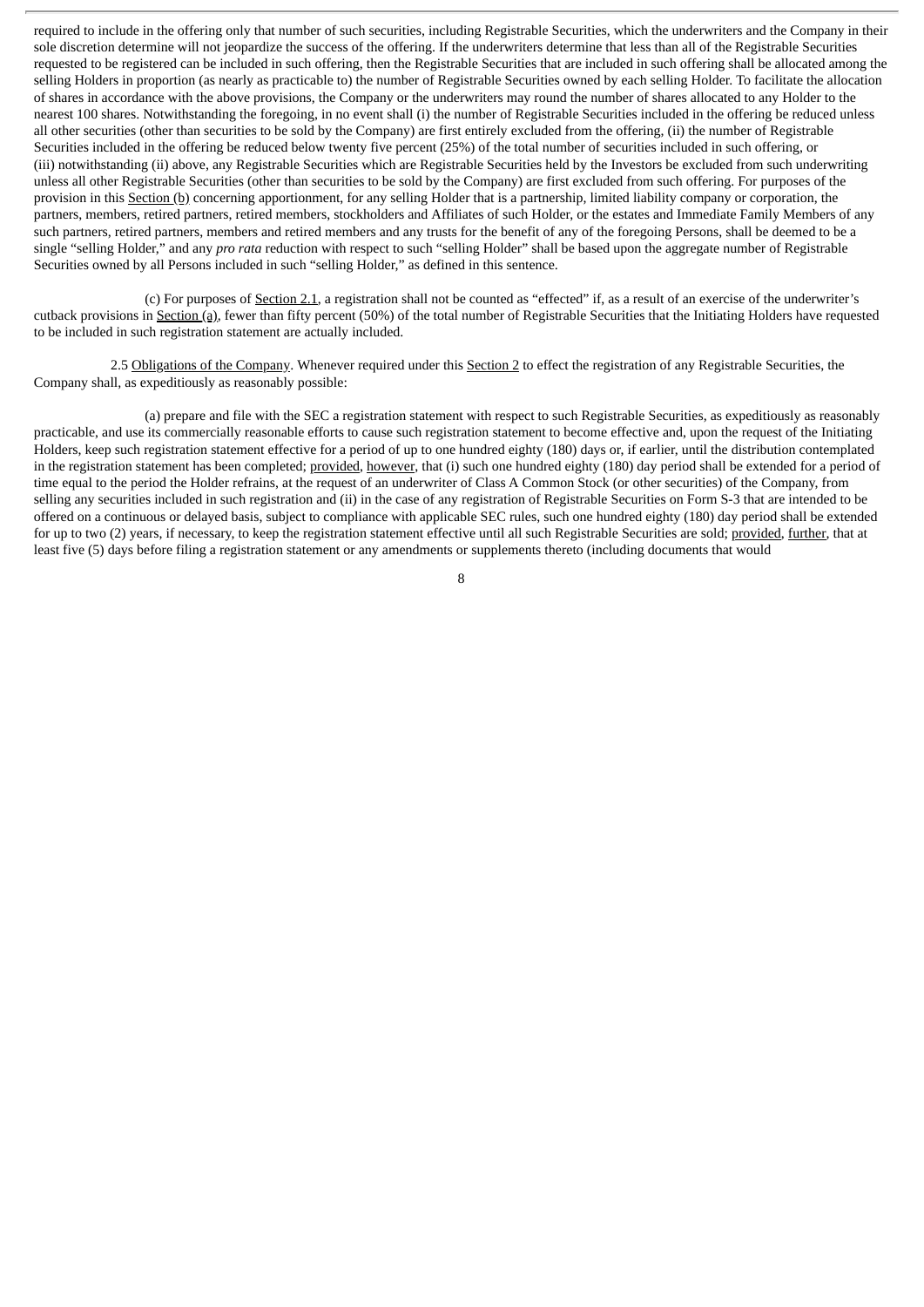required to include in the offering only that number of such securities, including Registrable Securities, which the underwriters and the Company in their sole discretion determine will not jeopardize the success of the offering. If the underwriters determine that less than all of the Registrable Securities requested to be registered can be included in such offering, then the Registrable Securities that are included in such offering shall be allocated among the selling Holders in proportion (as nearly as practicable to) the number of Registrable Securities owned by each selling Holder. To facilitate the allocation of shares in accordance with the above provisions, the Company or the underwriters may round the number of shares allocated to any Holder to the nearest 100 shares. Notwithstanding the foregoing, in no event shall (i) the number of Registrable Securities included in the offering be reduced unless all other securities (other than securities to be sold by the Company) are first entirely excluded from the offering, (ii) the number of Registrable Securities included in the offering be reduced below twenty five percent (25%) of the total number of securities included in such offering, or (iii) notwithstanding (ii) above, any Registrable Securities which are Registrable Securities held by the Investors be excluded from such underwriting unless all other Registrable Securities (other than securities to be sold by the Company) are first excluded from such offering. For purposes of the provision in this Section (b) concerning apportionment, for any selling Holder that is a partnership, limited liability company or corporation, the partners, members, retired partners, retired members, stockholders and Affiliates of such Holder, or the estates and Immediate Family Members of any such partners, retired partners, members and retired members and any trusts for the benefit of any of the foregoing Persons, shall be deemed to be a single "selling Holder," and any *pro rata* reduction with respect to such "selling Holder" shall be based upon the aggregate number of Registrable Securities owned by all Persons included in such "selling Holder," as defined in this sentence.

(c) For purposes of Section 2.1, a registration shall not be counted as "effected" if, as a result of an exercise of the underwriter's cutback provisions in Section (a), fewer than fifty percent (50%) of the total number of Registrable Securities that the Initiating Holders have requested to be included in such registration statement are actually included.

2.5 Obligations of the Company. Whenever required under this Section 2 to effect the registration of any Registrable Securities, the Company shall, as expeditiously as reasonably possible:

(a) prepare and file with the SEC a registration statement with respect to such Registrable Securities, as expeditiously as reasonably practicable, and use its commercially reasonable efforts to cause such registration statement to become effective and, upon the request of the Initiating Holders, keep such registration statement effective for a period of up to one hundred eighty (180) days or, if earlier, until the distribution contemplated in the registration statement has been completed; provided, however, that (i) such one hundred eighty (180) day period shall be extended for a period of time equal to the period the Holder refrains, at the request of an underwriter of Class A Common Stock (or other securities) of the Company, from selling any securities included in such registration and (ii) in the case of any registration of Registrable Securities on Form S-3 that are intended to be offered on a continuous or delayed basis, subject to compliance with applicable SEC rules, such one hundred eighty (180) day period shall be extended for up to two (2) years, if necessary, to keep the registration statement effective until all such Registrable Securities are sold; provided, further, that at least five (5) days before filing a registration statement or any amendments or supplements thereto (including documents that would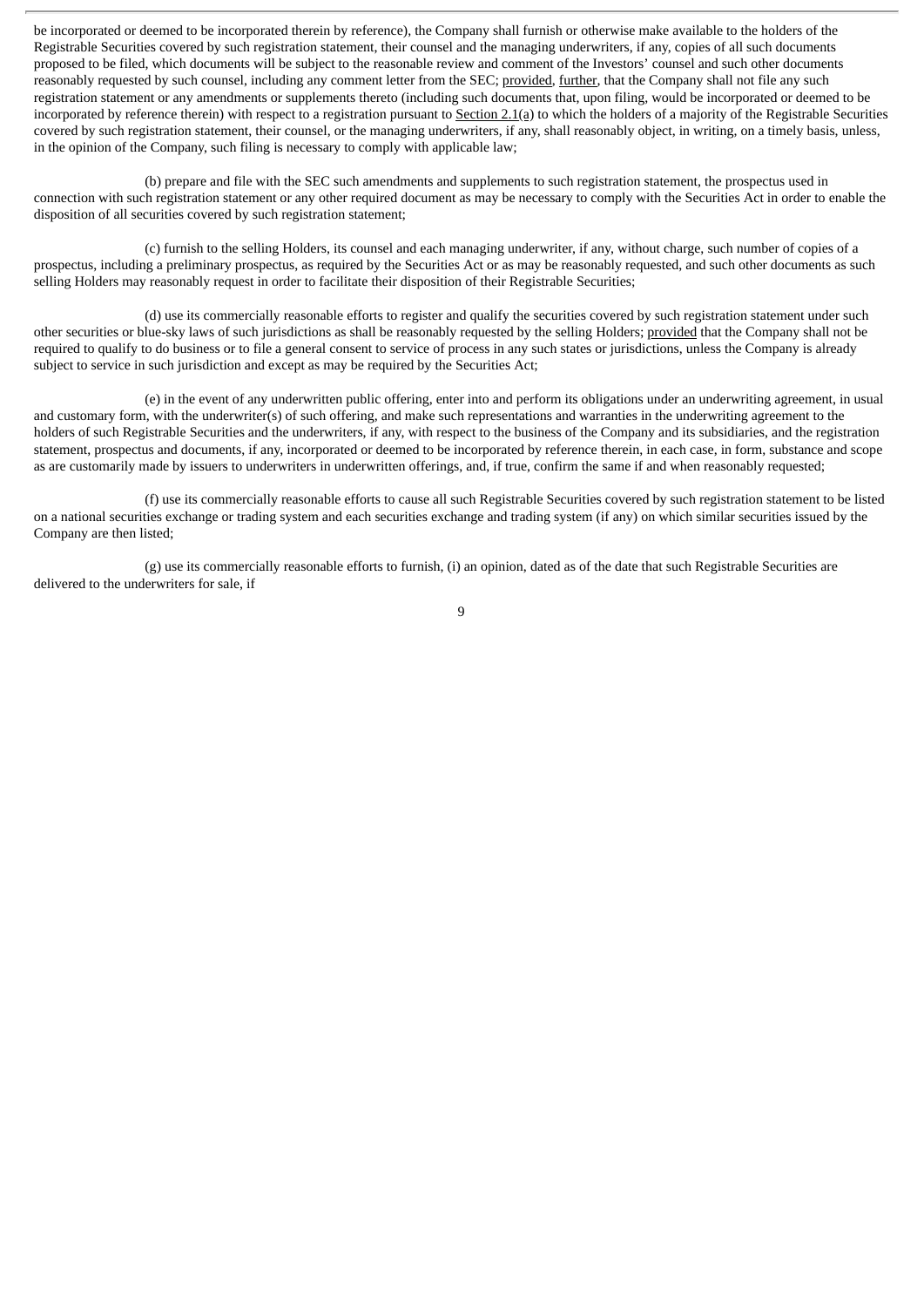be incorporated or deemed to be incorporated therein by reference), the Company shall furnish or otherwise make available to the holders of the Registrable Securities covered by such registration statement, their counsel and the managing underwriters, if any, copies of all such documents proposed to be filed, which documents will be subject to the reasonable review and comment of the Investors' counsel and such other documents reasonably requested by such counsel, including any comment letter from the SEC; provided, further, that the Company shall not file any such registration statement or any amendments or supplements thereto (including such documents that, upon filing, would be incorporated or deemed to be incorporated by reference therein) with respect to a registration pursuant to Section 2.1(a) to which the holders of a majority of the Registrable Securities covered by such registration statement, their counsel, or the managing underwriters, if any, shall reasonably object, in writing, on a timely basis, unless, in the opinion of the Company, such filing is necessary to comply with applicable law;

(b) prepare and file with the SEC such amendments and supplements to such registration statement, the prospectus used in connection with such registration statement or any other required document as may be necessary to comply with the Securities Act in order to enable the disposition of all securities covered by such registration statement;

(c) furnish to the selling Holders, its counsel and each managing underwriter, if any, without charge, such number of copies of a prospectus, including a preliminary prospectus, as required by the Securities Act or as may be reasonably requested, and such other documents as such selling Holders may reasonably request in order to facilitate their disposition of their Registrable Securities;

(d) use its commercially reasonable efforts to register and qualify the securities covered by such registration statement under such other securities or blue-sky laws of such jurisdictions as shall be reasonably requested by the selling Holders; provided that the Company shall not be required to qualify to do business or to file a general consent to service of process in any such states or jurisdictions, unless the Company is already subject to service in such jurisdiction and except as may be required by the Securities Act;

(e) in the event of any underwritten public offering, enter into and perform its obligations under an underwriting agreement, in usual and customary form, with the underwriter(s) of such offering, and make such representations and warranties in the underwriting agreement to the holders of such Registrable Securities and the underwriters, if any, with respect to the business of the Company and its subsidiaries, and the registration statement, prospectus and documents, if any, incorporated or deemed to be incorporated by reference therein, in each case, in form, substance and scope as are customarily made by issuers to underwriters in underwritten offerings, and, if true, confirm the same if and when reasonably requested;

(f) use its commercially reasonable efforts to cause all such Registrable Securities covered by such registration statement to be listed on a national securities exchange or trading system and each securities exchange and trading system (if any) on which similar securities issued by the Company are then listed;

(g) use its commercially reasonable efforts to furnish, (i) an opinion, dated as of the date that such Registrable Securities are delivered to the underwriters for sale, if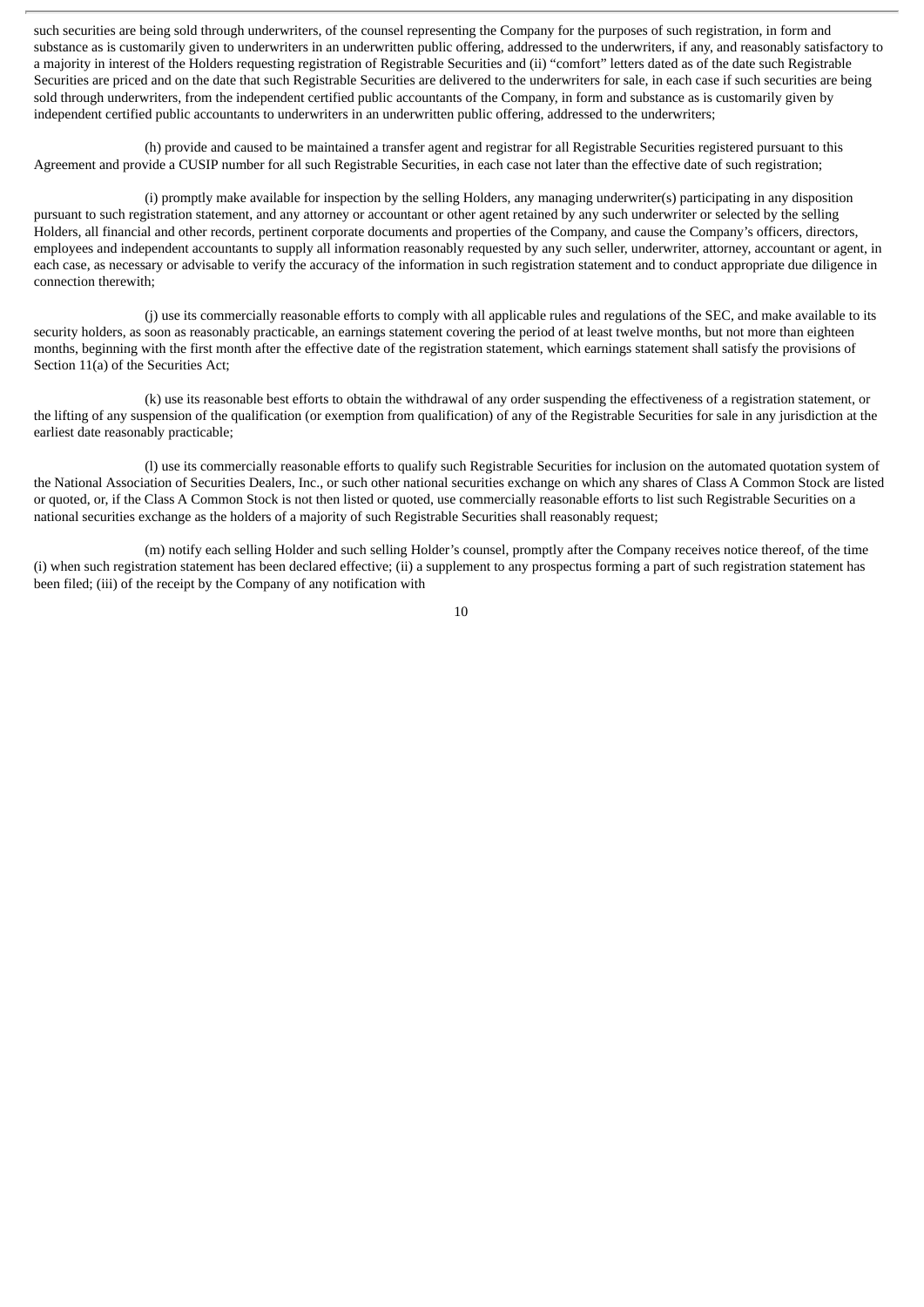such securities are being sold through underwriters, of the counsel representing the Company for the purposes of such registration, in form and substance as is customarily given to underwriters in an underwritten public offering, addressed to the underwriters, if any, and reasonably satisfactory to a majority in interest of the Holders requesting registration of Registrable Securities and (ii) "comfort" letters dated as of the date such Registrable Securities are priced and on the date that such Registrable Securities are delivered to the underwriters for sale, in each case if such securities are being sold through underwriters, from the independent certified public accountants of the Company, in form and substance as is customarily given by independent certified public accountants to underwriters in an underwritten public offering, addressed to the underwriters;

(h) provide and caused to be maintained a transfer agent and registrar for all Registrable Securities registered pursuant to this Agreement and provide a CUSIP number for all such Registrable Securities, in each case not later than the effective date of such registration;

(i) promptly make available for inspection by the selling Holders, any managing underwriter(s) participating in any disposition pursuant to such registration statement, and any attorney or accountant or other agent retained by any such underwriter or selected by the selling Holders, all financial and other records, pertinent corporate documents and properties of the Company, and cause the Company's officers, directors, employees and independent accountants to supply all information reasonably requested by any such seller, underwriter, attorney, accountant or agent, in each case, as necessary or advisable to verify the accuracy of the information in such registration statement and to conduct appropriate due diligence in connection therewith;

(j) use its commercially reasonable efforts to comply with all applicable rules and regulations of the SEC, and make available to its security holders, as soon as reasonably practicable, an earnings statement covering the period of at least twelve months, but not more than eighteen months, beginning with the first month after the effective date of the registration statement, which earnings statement shall satisfy the provisions of Section 11(a) of the Securities Act;

(k) use its reasonable best efforts to obtain the withdrawal of any order suspending the effectiveness of a registration statement, or the lifting of any suspension of the qualification (or exemption from qualification) of any of the Registrable Securities for sale in any jurisdiction at the earliest date reasonably practicable;

(l) use its commercially reasonable efforts to qualify such Registrable Securities for inclusion on the automated quotation system of the National Association of Securities Dealers, Inc., or such other national securities exchange on which any shares of Class A Common Stock are listed or quoted, or, if the Class A Common Stock is not then listed or quoted, use commercially reasonable efforts to list such Registrable Securities on a national securities exchange as the holders of a majority of such Registrable Securities shall reasonably request;

(m) notify each selling Holder and such selling Holder's counsel, promptly after the Company receives notice thereof, of the time (i) when such registration statement has been declared effective; (ii) a supplement to any prospectus forming a part of such registration statement has been filed; (iii) of the receipt by the Company of any notification with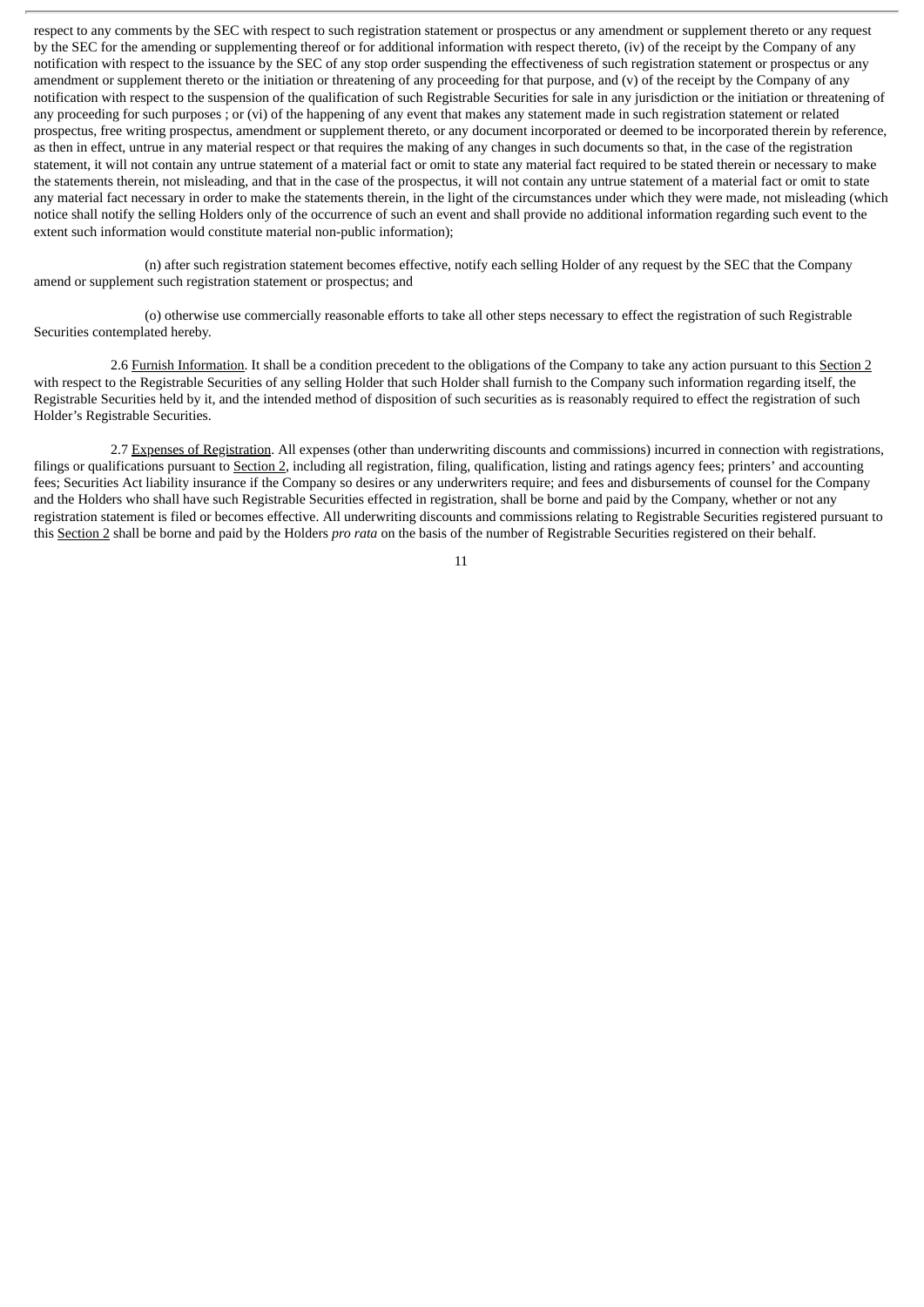respect to any comments by the SEC with respect to such registration statement or prospectus or any amendment or supplement thereto or any request by the SEC for the amending or supplementing thereof or for additional information with respect thereto, (iv) of the receipt by the Company of any notification with respect to the issuance by the SEC of any stop order suspending the effectiveness of such registration statement or prospectus or any amendment or supplement thereto or the initiation or threatening of any proceeding for that purpose, and (v) of the receipt by the Company of any notification with respect to the suspension of the qualification of such Registrable Securities for sale in any jurisdiction or the initiation or threatening of any proceeding for such purposes ; or (vi) of the happening of any event that makes any statement made in such registration statement or related prospectus, free writing prospectus, amendment or supplement thereto, or any document incorporated or deemed to be incorporated therein by reference, as then in effect, untrue in any material respect or that requires the making of any changes in such documents so that, in the case of the registration statement, it will not contain any untrue statement of a material fact or omit to state any material fact required to be stated therein or necessary to make the statements therein, not misleading, and that in the case of the prospectus, it will not contain any untrue statement of a material fact or omit to state any material fact necessary in order to make the statements therein, in the light of the circumstances under which they were made, not misleading (which notice shall notify the selling Holders only of the occurrence of such an event and shall provide no additional information regarding such event to the extent such information would constitute material non-public information);

(n) after such registration statement becomes effective, notify each selling Holder of any request by the SEC that the Company amend or supplement such registration statement or prospectus; and

(o) otherwise use commercially reasonable efforts to take all other steps necessary to effect the registration of such Registrable Securities contemplated hereby.

2.6 Furnish Information. It shall be a condition precedent to the obligations of the Company to take any action pursuant to this Section 2 with respect to the Registrable Securities of any selling Holder that such Holder shall furnish to the Company such information regarding itself, the Registrable Securities held by it, and the intended method of disposition of such securities as is reasonably required to effect the registration of such Holder's Registrable Securities.

2.7 Expenses of Registration. All expenses (other than underwriting discounts and commissions) incurred in connection with registrations, filings or qualifications pursuant to Section 2, including all registration, filing, qualification, listing and ratings agency fees; printers' and accounting fees; Securities Act liability insurance if the Company so desires or any underwriters require; and fees and disbursements of counsel for the Company and the Holders who shall have such Registrable Securities effected in registration, shall be borne and paid by the Company, whether or not any registration statement is filed or becomes effective. All underwriting discounts and commissions relating to Registrable Securities registered pursuant to this Section 2 shall be borne and paid by the Holders *pro rata* on the basis of the number of Registrable Securities registered on their behalf.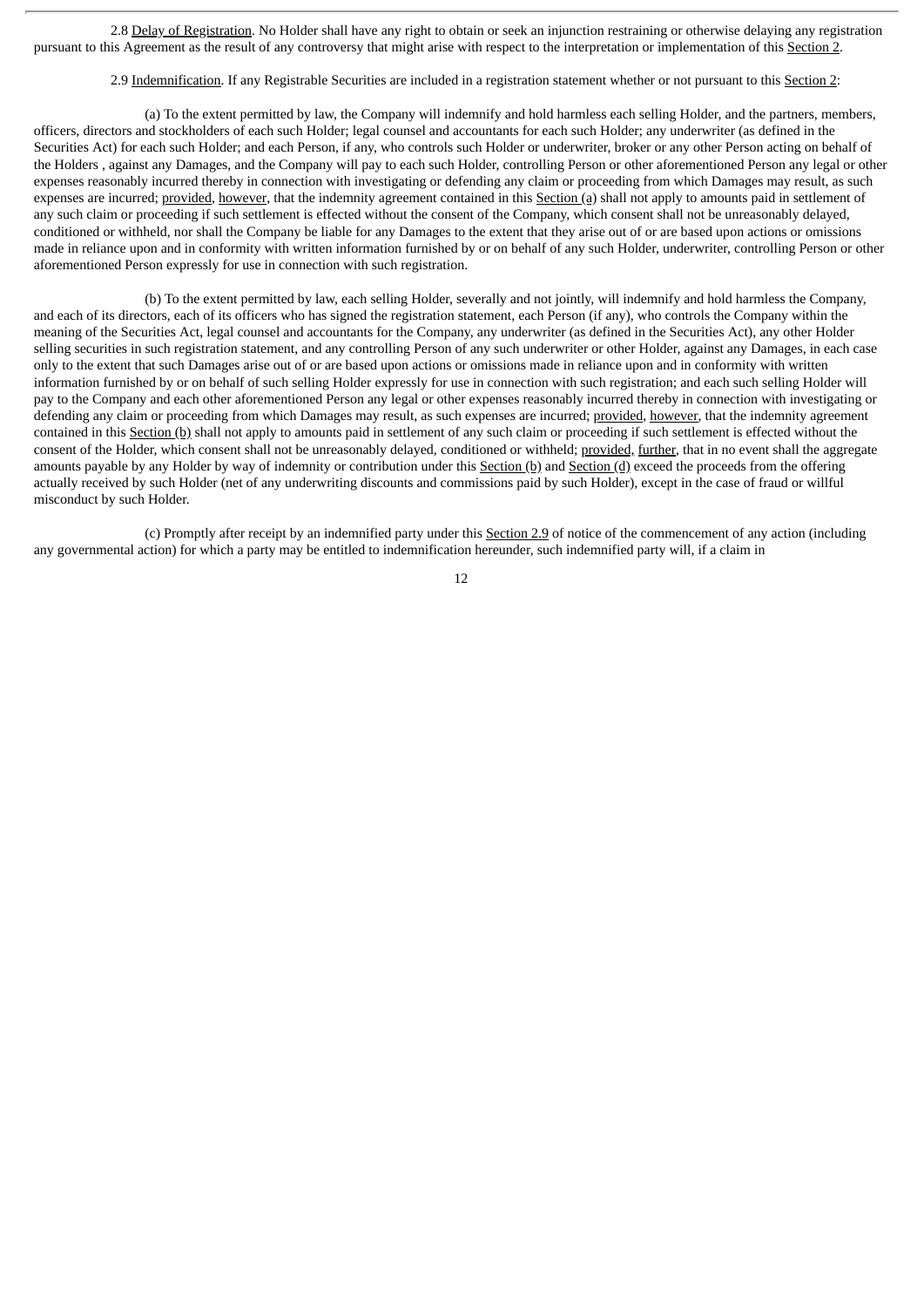2.8 Delay of Registration. No Holder shall have any right to obtain or seek an injunction restraining or otherwise delaying any registration pursuant to this Agreement as the result of any controversy that might arise with respect to the interpretation or implementation of this Section 2.

2.9 Indemnification. If any Registrable Securities are included in a registration statement whether or not pursuant to this Section 2:

(a) To the extent permitted by law, the Company will indemnify and hold harmless each selling Holder, and the partners, members, officers, directors and stockholders of each such Holder; legal counsel and accountants for each such Holder; any underwriter (as defined in the Securities Act) for each such Holder; and each Person, if any, who controls such Holder or underwriter, broker or any other Person acting on behalf of the Holders , against any Damages, and the Company will pay to each such Holder, controlling Person or other aforementioned Person any legal or other expenses reasonably incurred thereby in connection with investigating or defending any claim or proceeding from which Damages may result, as such expenses are incurred; provided, however, that the indemnity agreement contained in this Section (a) shall not apply to amounts paid in settlement of any such claim or proceeding if such settlement is effected without the consent of the Company, which consent shall not be unreasonably delayed, conditioned or withheld, nor shall the Company be liable for any Damages to the extent that they arise out of or are based upon actions or omissions made in reliance upon and in conformity with written information furnished by or on behalf of any such Holder, underwriter, controlling Person or other aforementioned Person expressly for use in connection with such registration.

(b) To the extent permitted by law, each selling Holder, severally and not jointly, will indemnify and hold harmless the Company, and each of its directors, each of its officers who has signed the registration statement, each Person (if any), who controls the Company within the meaning of the Securities Act, legal counsel and accountants for the Company, any underwriter (as defined in the Securities Act), any other Holder selling securities in such registration statement, and any controlling Person of any such underwriter or other Holder, against any Damages, in each case only to the extent that such Damages arise out of or are based upon actions or omissions made in reliance upon and in conformity with written information furnished by or on behalf of such selling Holder expressly for use in connection with such registration; and each such selling Holder will pay to the Company and each other aforementioned Person any legal or other expenses reasonably incurred thereby in connection with investigating or defending any claim or proceeding from which Damages may result, as such expenses are incurred; provided, however, that the indemnity agreement contained in this Section (b) shall not apply to amounts paid in settlement of any such claim or proceeding if such settlement is effected without the consent of the Holder, which consent shall not be unreasonably delayed, conditioned or withheld; provided, further, that in no event shall the aggregate amounts payable by any Holder by way of indemnity or contribution under this Section (b) and Section (d) exceed the proceeds from the offering actually received by such Holder (net of any underwriting discounts and commissions paid by such Holder), except in the case of fraud or willful misconduct by such Holder.

(c) Promptly after receipt by an indemnified party under this Section 2.9 of notice of the commencement of any action (including any governmental action) for which a party may be entitled to indemnification hereunder, such indemnified party will, if a claim in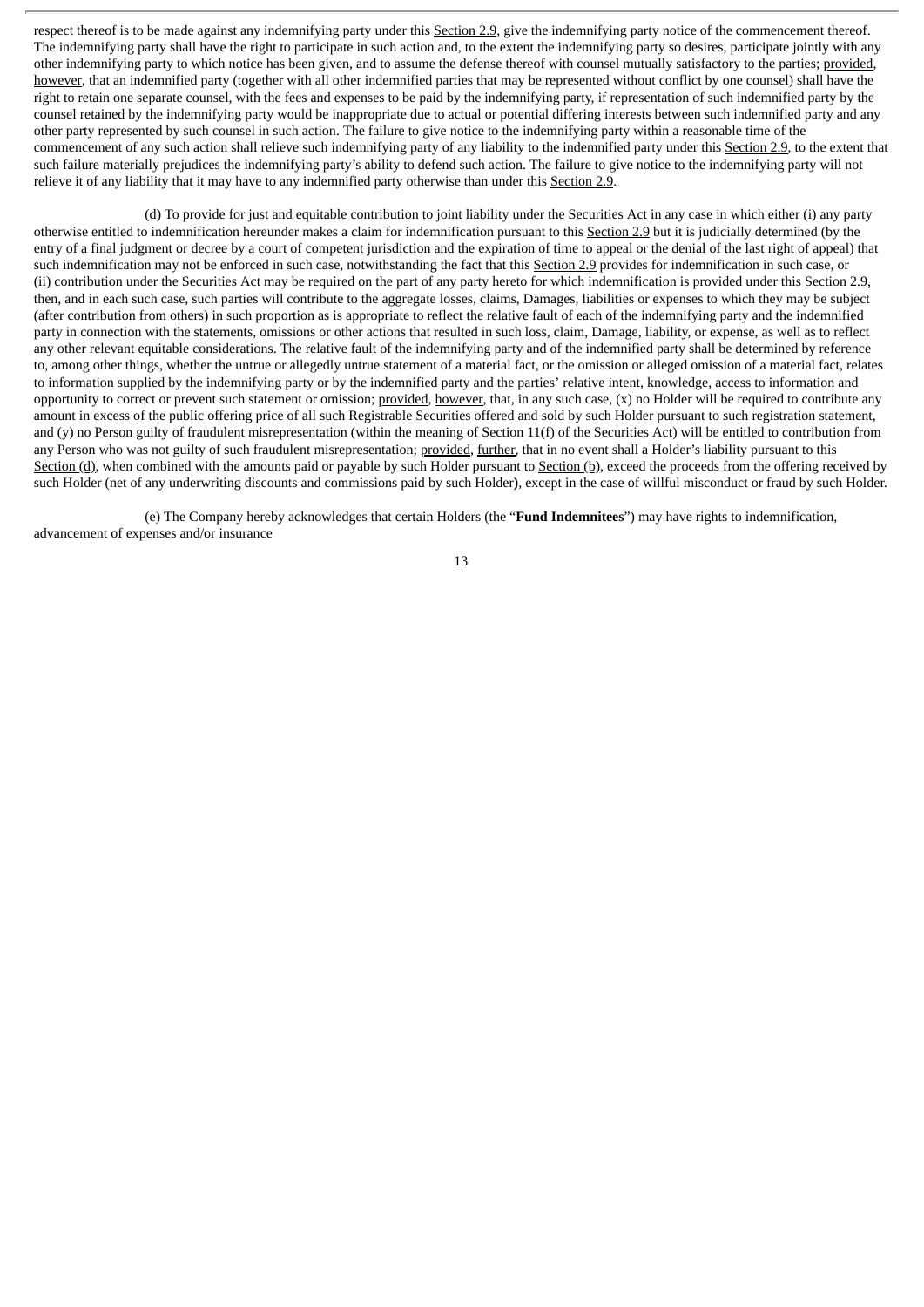respect thereof is to be made against any indemnifying party under this Section 2.9, give the indemnifying party notice of the commencement thereof. The indemnifying party shall have the right to participate in such action and, to the extent the indemnifying party so desires, participate jointly with any other indemnifying party to which notice has been given, and to assume the defense thereof with counsel mutually satisfactory to the parties; provided, however, that an indemnified party (together with all other indemnified parties that may be represented without conflict by one counsel) shall have the right to retain one separate counsel, with the fees and expenses to be paid by the indemnifying party, if representation of such indemnified party by the counsel retained by the indemnifying party would be inappropriate due to actual or potential differing interests between such indemnified party and any other party represented by such counsel in such action. The failure to give notice to the indemnifying party within a reasonable time of the commencement of any such action shall relieve such indemnifying party of any liability to the indemnified party under this Section 2.9, to the extent that such failure materially prejudices the indemnifying party's ability to defend such action. The failure to give notice to the indemnifying party will not relieve it of any liability that it may have to any indemnified party otherwise than under this Section 2.9.

(d) To provide for just and equitable contribution to joint liability under the Securities Act in any case in which either (i) any party otherwise entitled to indemnification hereunder makes a claim for indemnification pursuant to this Section 2.9 but it is judicially determined (by the entry of a final judgment or decree by a court of competent jurisdiction and the expiration of time to appeal or the denial of the last right of appeal) that such indemnification may not be enforced in such case, notwithstanding the fact that this Section 2.9 provides for indemnification in such case, or (ii) contribution under the Securities Act may be required on the part of any party hereto for which indemnification is provided under this Section 2.9, then, and in each such case, such parties will contribute to the aggregate losses, claims, Damages, liabilities or expenses to which they may be subject (after contribution from others) in such proportion as is appropriate to reflect the relative fault of each of the indemnifying party and the indemnified party in connection with the statements, omissions or other actions that resulted in such loss, claim, Damage, liability, or expense, as well as to reflect any other relevant equitable considerations. The relative fault of the indemnifying party and of the indemnified party shall be determined by reference to, among other things, whether the untrue or allegedly untrue statement of a material fact, or the omission or alleged omission of a material fact, relates to information supplied by the indemnifying party or by the indemnified party and the parties' relative intent, knowledge, access to information and opportunity to correct or prevent such statement or omission; provided, however, that, in any such case, (x) no Holder will be required to contribute any amount in excess of the public offering price of all such Registrable Securities offered and sold by such Holder pursuant to such registration statement, and (y) no Person guilty of fraudulent misrepresentation (within the meaning of Section 11(f) of the Securities Act) will be entitled to contribution from any Person who was not guilty of such fraudulent misrepresentation; provided, further, that in no event shall a Holder's liability pursuant to this Section (d), when combined with the amounts paid or payable by such Holder pursuant to Section (b), exceed the proceeds from the offering received by such Holder (net of any underwriting discounts and commissions paid by such Holder**)**, except in the case of willful misconduct or fraud by such Holder.

(e) The Company hereby acknowledges that certain Holders (the "**Fund Indemnitees**") may have rights to indemnification, advancement of expenses and/or insurance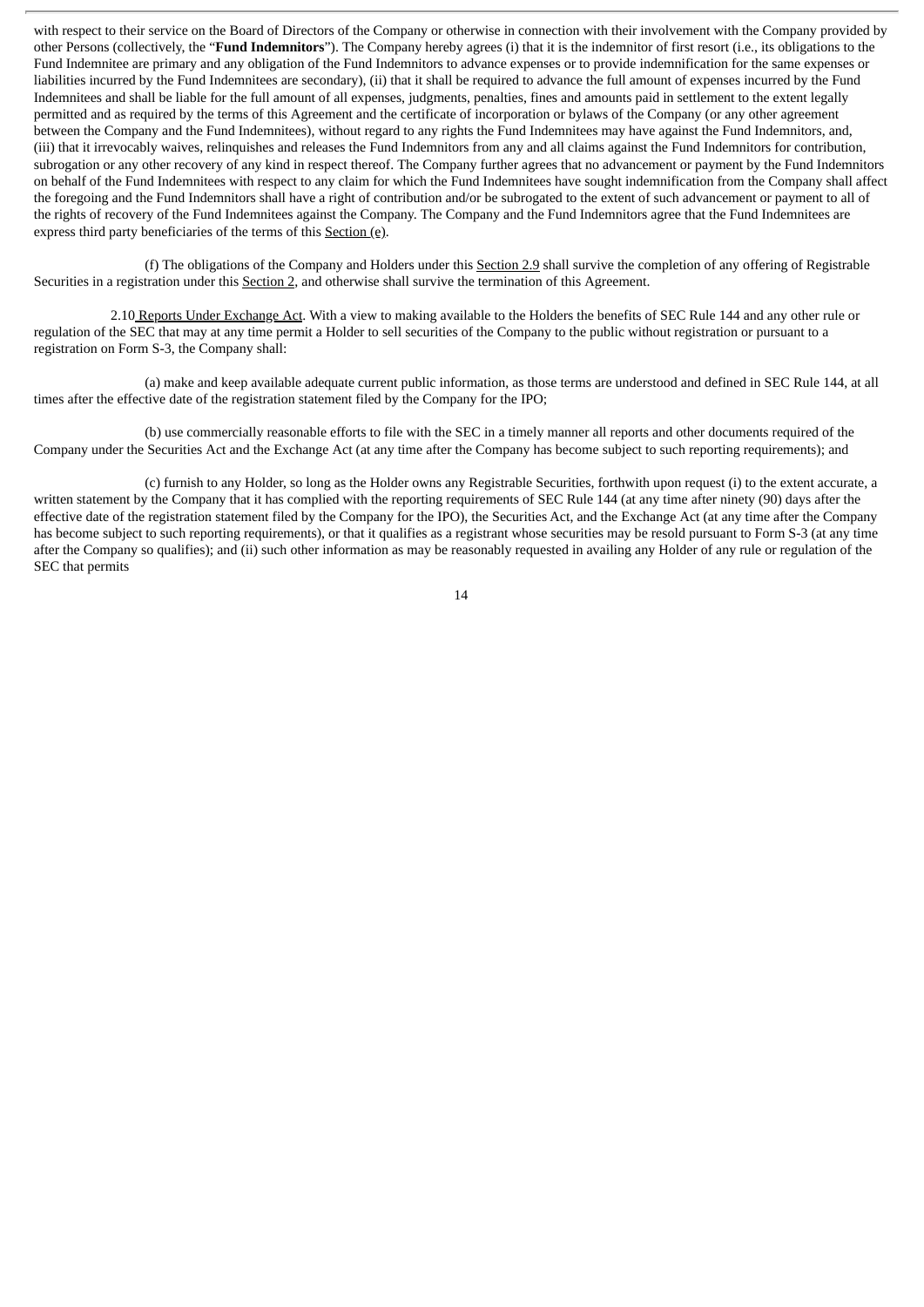with respect to their service on the Board of Directors of the Company or otherwise in connection with their involvement with the Company provided by other Persons (collectively, the "**Fund Indemnitors**"). The Company hereby agrees (i) that it is the indemnitor of first resort (i.e., its obligations to the Fund Indemnitee are primary and any obligation of the Fund Indemnitors to advance expenses or to provide indemnification for the same expenses or liabilities incurred by the Fund Indemnitees are secondary), (ii) that it shall be required to advance the full amount of expenses incurred by the Fund Indemnitees and shall be liable for the full amount of all expenses, judgments, penalties, fines and amounts paid in settlement to the extent legally permitted and as required by the terms of this Agreement and the certificate of incorporation or bylaws of the Company (or any other agreement between the Company and the Fund Indemnitees), without regard to any rights the Fund Indemnitees may have against the Fund Indemnitors, and, (iii) that it irrevocably waives, relinquishes and releases the Fund Indemnitors from any and all claims against the Fund Indemnitors for contribution, subrogation or any other recovery of any kind in respect thereof. The Company further agrees that no advancement or payment by the Fund Indemnitors on behalf of the Fund Indemnitees with respect to any claim for which the Fund Indemnitees have sought indemnification from the Company shall affect the foregoing and the Fund Indemnitors shall have a right of contribution and/or be subrogated to the extent of such advancement or payment to all of the rights of recovery of the Fund Indemnitees against the Company. The Company and the Fund Indemnitors agree that the Fund Indemnitees are express third party beneficiaries of the terms of this Section (e).

(f) The obligations of the Company and Holders under this Section 2.9 shall survive the completion of any offering of Registrable Securities in a registration under this Section 2, and otherwise shall survive the termination of this Agreement.

2.10 Reports Under Exchange Act. With a view to making available to the Holders the benefits of SEC Rule 144 and any other rule or regulation of the SEC that may at any time permit a Holder to sell securities of the Company to the public without registration or pursuant to a registration on Form S-3, the Company shall:

(a) make and keep available adequate current public information, as those terms are understood and defined in SEC Rule 144, at all times after the effective date of the registration statement filed by the Company for the IPO;

(b) use commercially reasonable efforts to file with the SEC in a timely manner all reports and other documents required of the Company under the Securities Act and the Exchange Act (at any time after the Company has become subject to such reporting requirements); and

(c) furnish to any Holder, so long as the Holder owns any Registrable Securities, forthwith upon request (i) to the extent accurate, a written statement by the Company that it has complied with the reporting requirements of SEC Rule 144 (at any time after ninety (90) days after the effective date of the registration statement filed by the Company for the IPO), the Securities Act, and the Exchange Act (at any time after the Company has become subject to such reporting requirements), or that it qualifies as a registrant whose securities may be resold pursuant to Form S-3 (at any time after the Company so qualifies); and (ii) such other information as may be reasonably requested in availing any Holder of any rule or regulation of the SEC that permits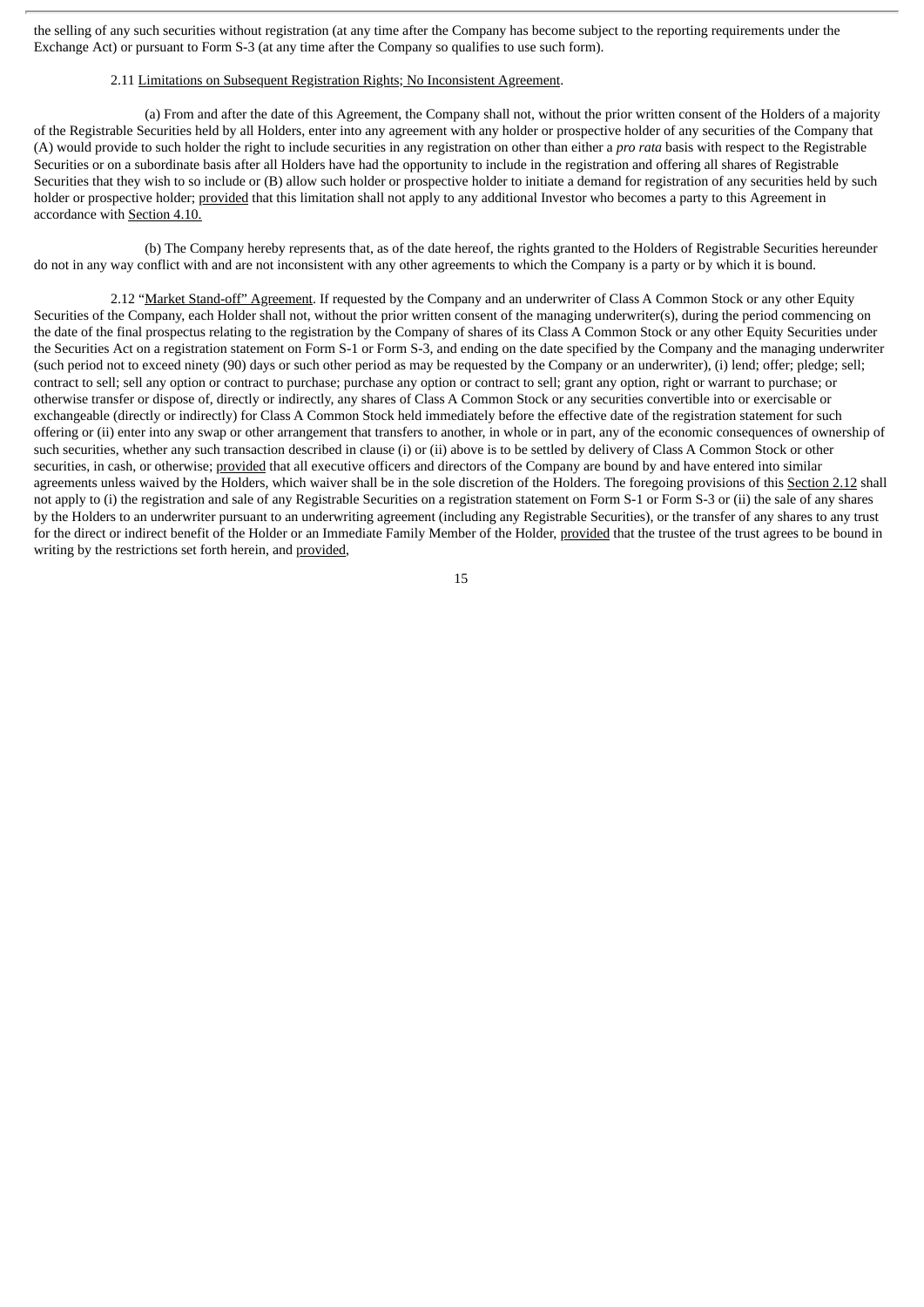the selling of any such securities without registration (at any time after the Company has become subject to the reporting requirements under the Exchange Act) or pursuant to Form S-3 (at any time after the Company so qualifies to use such form).

## 2.11 Limitations on Subsequent Registration Rights; No Inconsistent Agreement.

(a) From and after the date of this Agreement, the Company shall not, without the prior written consent of the Holders of a majority of the Registrable Securities held by all Holders, enter into any agreement with any holder or prospective holder of any securities of the Company that (A) would provide to such holder the right to include securities in any registration on other than either a *pro rata* basis with respect to the Registrable Securities or on a subordinate basis after all Holders have had the opportunity to include in the registration and offering all shares of Registrable Securities that they wish to so include or (B) allow such holder or prospective holder to initiate a demand for registration of any securities held by such holder or prospective holder; provided that this limitation shall not apply to any additional Investor who becomes a party to this Agreement in accordance with Section 4.10.

(b) The Company hereby represents that, as of the date hereof, the rights granted to the Holders of Registrable Securities hereunder do not in any way conflict with and are not inconsistent with any other agreements to which the Company is a party or by which it is bound.

2.12 "Market Stand-off" Agreement. If requested by the Company and an underwriter of Class A Common Stock or any other Equity Securities of the Company, each Holder shall not, without the prior written consent of the managing underwriter(s), during the period commencing on the date of the final prospectus relating to the registration by the Company of shares of its Class A Common Stock or any other Equity Securities under the Securities Act on a registration statement on Form S-1 or Form S-3, and ending on the date specified by the Company and the managing underwriter (such period not to exceed ninety (90) days or such other period as may be requested by the Company or an underwriter), (i) lend; offer; pledge; sell; contract to sell; sell any option or contract to purchase; purchase any option or contract to sell; grant any option, right or warrant to purchase; or otherwise transfer or dispose of, directly or indirectly, any shares of Class A Common Stock or any securities convertible into or exercisable or exchangeable (directly or indirectly) for Class A Common Stock held immediately before the effective date of the registration statement for such offering or (ii) enter into any swap or other arrangement that transfers to another, in whole or in part, any of the economic consequences of ownership of such securities, whether any such transaction described in clause (i) or (ii) above is to be settled by delivery of Class A Common Stock or other securities, in cash, or otherwise; provided that all executive officers and directors of the Company are bound by and have entered into similar agreements unless waived by the Holders, which waiver shall be in the sole discretion of the Holders. The foregoing provisions of this Section 2.12 shall not apply to (i) the registration and sale of any Registrable Securities on a registration statement on Form S-1 or Form S-3 or (ii) the sale of any shares by the Holders to an underwriter pursuant to an underwriting agreement (including any Registrable Securities), or the transfer of any shares to any trust for the direct or indirect benefit of the Holder or an Immediate Family Member of the Holder, provided that the trustee of the trust agrees to be bound in writing by the restrictions set forth herein, and provided,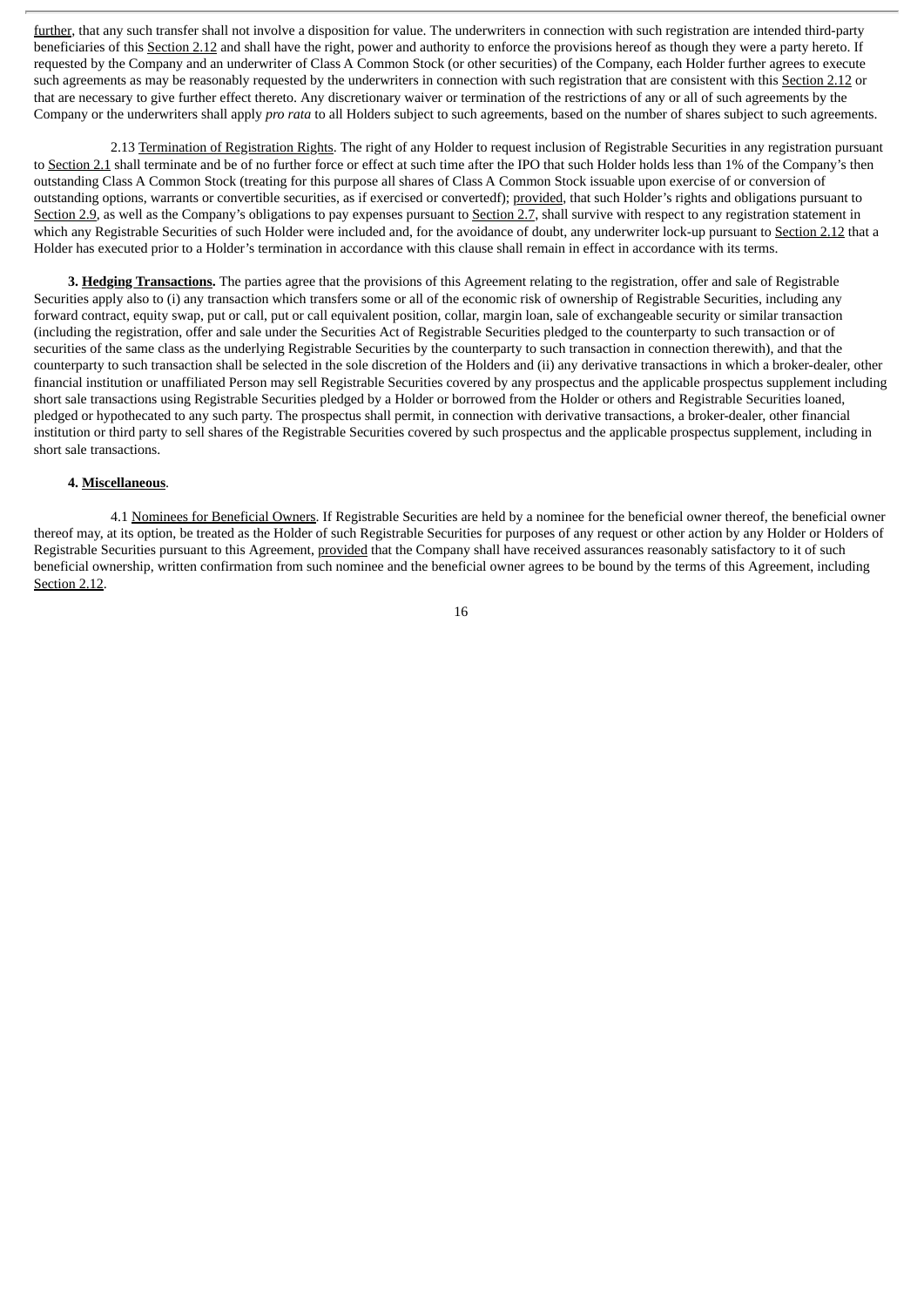further, that any such transfer shall not involve a disposition for value. The underwriters in connection with such registration are intended third-party beneficiaries of this Section 2.12 and shall have the right, power and authority to enforce the provisions hereof as though they were a party hereto. If requested by the Company and an underwriter of Class A Common Stock (or other securities) of the Company, each Holder further agrees to execute such agreements as may be reasonably requested by the underwriters in connection with such registration that are consistent with this Section 2.12 or that are necessary to give further effect thereto. Any discretionary waiver or termination of the restrictions of any or all of such agreements by the Company or the underwriters shall apply *pro rata* to all Holders subject to such agreements, based on the number of shares subject to such agreements.

2.13 Termination of Registration Rights. The right of any Holder to request inclusion of Registrable Securities in any registration pursuant to Section 2.1 shall terminate and be of no further force or effect at such time after the IPO that such Holder holds less than 1% of the Company's then outstanding Class A Common Stock (treating for this purpose all shares of Class A Common Stock issuable upon exercise of or conversion of outstanding options, warrants or convertible securities, as if exercised or convertedf); provided, that such Holder's rights and obligations pursuant to Section 2.9, as well as the Company's obligations to pay expenses pursuant to Section 2.7, shall survive with respect to any registration statement in which any Registrable Securities of such Holder were included and, for the avoidance of doubt, any underwriter lock-up pursuant to Section 2.12 that a Holder has executed prior to a Holder's termination in accordance with this clause shall remain in effect in accordance with its terms.

**3. Hedging Transactions.** The parties agree that the provisions of this Agreement relating to the registration, offer and sale of Registrable Securities apply also to (i) any transaction which transfers some or all of the economic risk of ownership of Registrable Securities, including any forward contract, equity swap, put or call, put or call equivalent position, collar, margin loan, sale of exchangeable security or similar transaction (including the registration, offer and sale under the Securities Act of Registrable Securities pledged to the counterparty to such transaction or of securities of the same class as the underlying Registrable Securities by the counterparty to such transaction in connection therewith), and that the counterparty to such transaction shall be selected in the sole discretion of the Holders and (ii) any derivative transactions in which a broker-dealer, other financial institution or unaffiliated Person may sell Registrable Securities covered by any prospectus and the applicable prospectus supplement including short sale transactions using Registrable Securities pledged by a Holder or borrowed from the Holder or others and Registrable Securities loaned, pledged or hypothecated to any such party. The prospectus shall permit, in connection with derivative transactions, a broker-dealer, other financial institution or third party to sell shares of the Registrable Securities covered by such prospectus and the applicable prospectus supplement, including in short sale transactions.

### **4. Miscellaneous**.

4.1 Nominees for Beneficial Owners. If Registrable Securities are held by a nominee for the beneficial owner thereof, the beneficial owner thereof may, at its option, be treated as the Holder of such Registrable Securities for purposes of any request or other action by any Holder or Holders of Registrable Securities pursuant to this Agreement, provided that the Company shall have received assurances reasonably satisfactory to it of such beneficial ownership, written confirmation from such nominee and the beneficial owner agrees to be bound by the terms of this Agreement, including Section 2.12.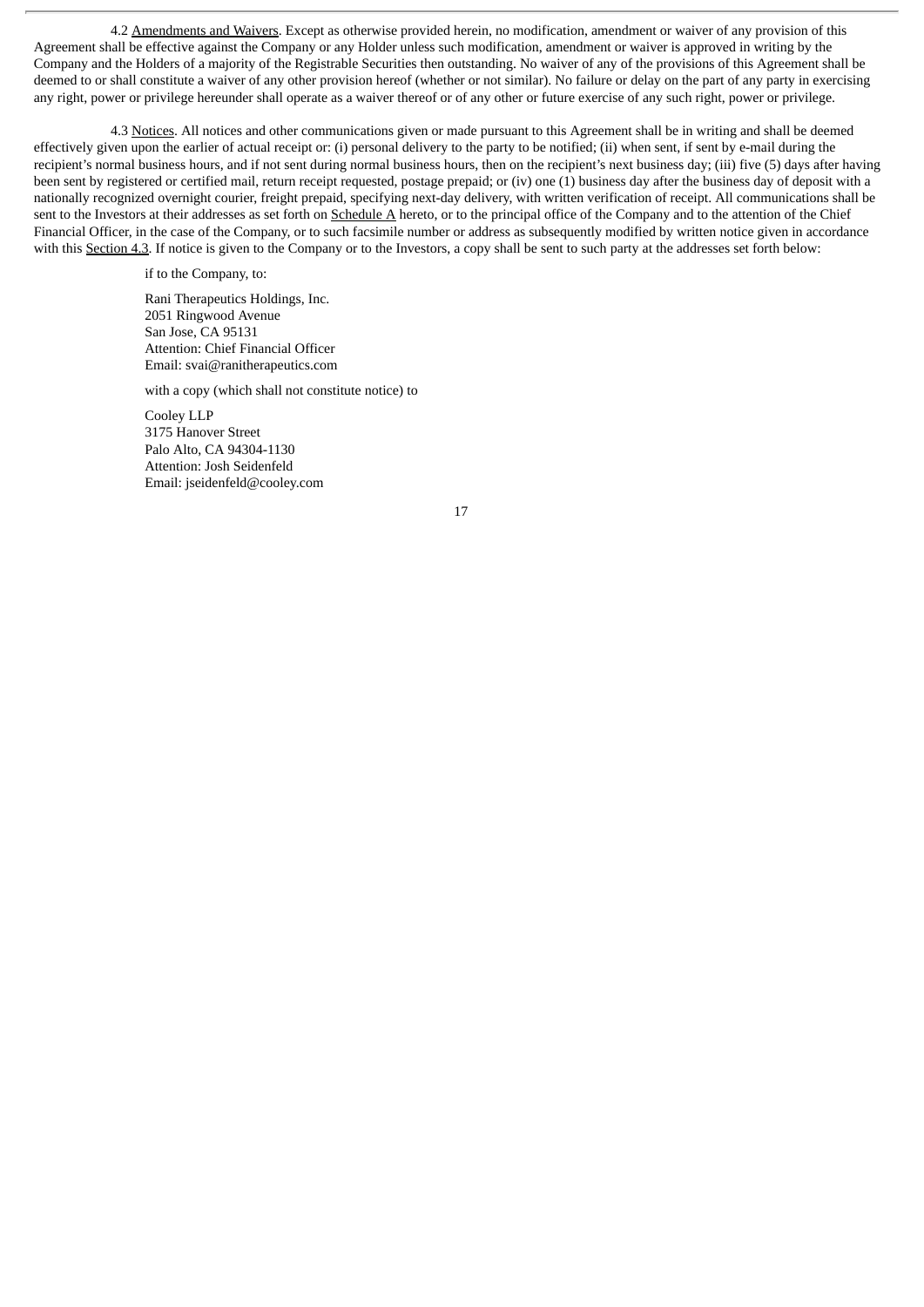4.2 Amendments and Waivers. Except as otherwise provided herein, no modification, amendment or waiver of any provision of this Agreement shall be effective against the Company or any Holder unless such modification, amendment or waiver is approved in writing by the Company and the Holders of a majority of the Registrable Securities then outstanding. No waiver of any of the provisions of this Agreement shall be deemed to or shall constitute a waiver of any other provision hereof (whether or not similar). No failure or delay on the part of any party in exercising any right, power or privilege hereunder shall operate as a waiver thereof or of any other or future exercise of any such right, power or privilege.

4.3 Notices. All notices and other communications given or made pursuant to this Agreement shall be in writing and shall be deemed effectively given upon the earlier of actual receipt or: (i) personal delivery to the party to be notified; (ii) when sent, if sent by e-mail during the recipient's normal business hours, and if not sent during normal business hours, then on the recipient's next business day; (iii) five (5) days after having been sent by registered or certified mail, return receipt requested, postage prepaid; or (iv) one (1) business day after the business day of deposit with a nationally recognized overnight courier, freight prepaid, specifying next-day delivery, with written verification of receipt. All communications shall be sent to the Investors at their addresses as set forth on Schedule A hereto, or to the principal office of the Company and to the attention of the Chief Financial Officer, in the case of the Company, or to such facsimile number or address as subsequently modified by written notice given in accordance with this Section 4.3. If notice is given to the Company or to the Investors, a copy shall be sent to such party at the addresses set forth below:

if to the Company, to:

Rani Therapeutics Holdings, Inc. 2051 Ringwood Avenue San Jose, CA 95131 Attention: Chief Financial Officer Email: svai@ranitherapeutics.com

with a copy (which shall not constitute notice) to

Cooley LLP 3175 Hanover Street Palo Alto, CA 94304-1130 Attention: Josh Seidenfeld Email: jseidenfeld@cooley.com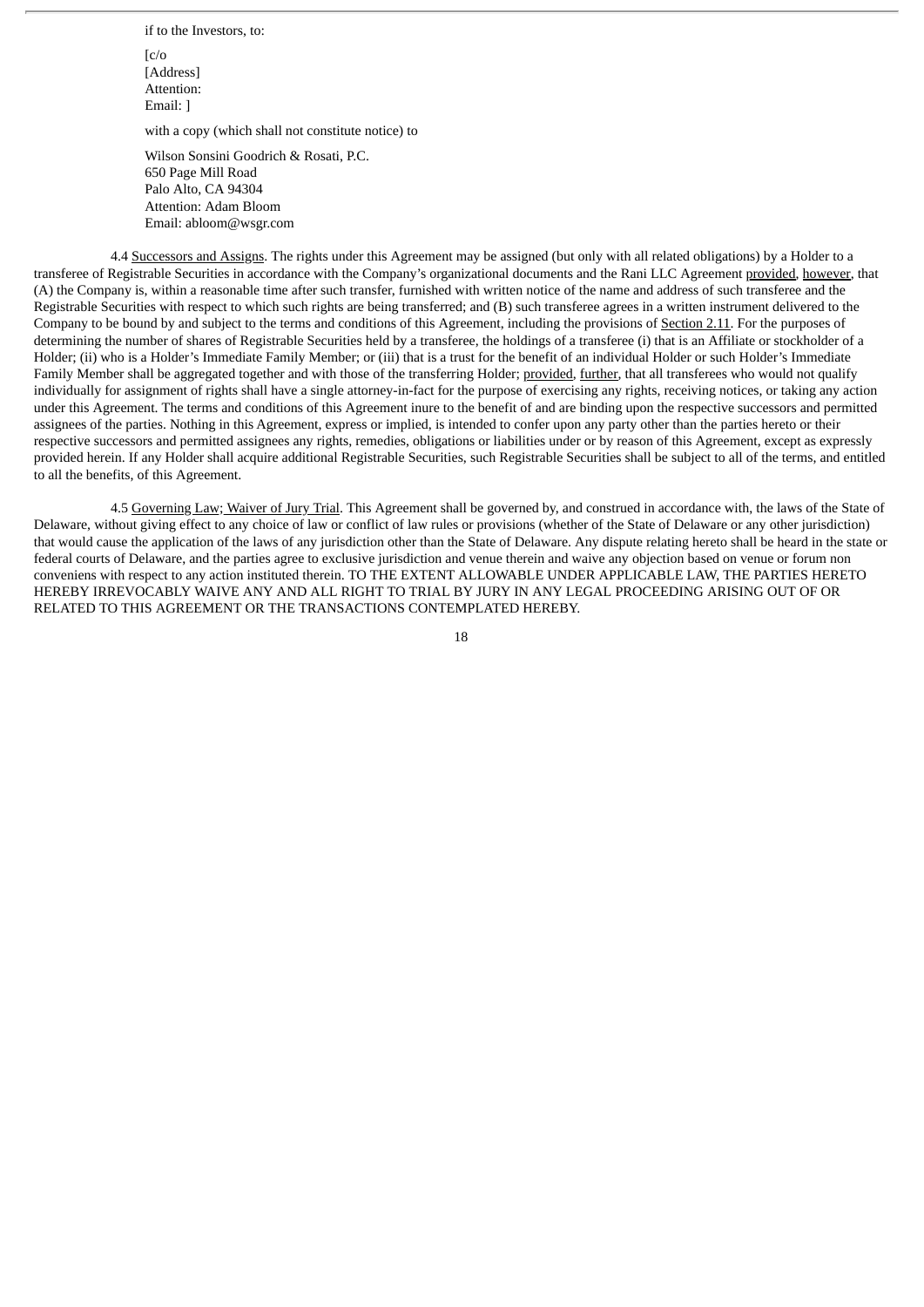if to the Investors, to:  $\lceil c/o \rceil$ [Address] Attention: Email: ]

with a copy (which shall not constitute notice) to

Wilson Sonsini Goodrich & Rosati, P.C. 650 Page Mill Road Palo Alto, CA 94304 Attention: Adam Bloom Email: abloom@wsgr.com

4.4 Successors and Assigns. The rights under this Agreement may be assigned (but only with all related obligations) by a Holder to a transferee of Registrable Securities in accordance with the Company's organizational documents and the Rani LLC Agreement provided, however, that (A) the Company is, within a reasonable time after such transfer, furnished with written notice of the name and address of such transferee and the Registrable Securities with respect to which such rights are being transferred; and (B) such transferee agrees in a written instrument delivered to the Company to be bound by and subject to the terms and conditions of this Agreement, including the provisions of Section 2.11. For the purposes of determining the number of shares of Registrable Securities held by a transferee, the holdings of a transferee (i) that is an Affiliate or stockholder of a Holder; (ii) who is a Holder's Immediate Family Member; or (iii) that is a trust for the benefit of an individual Holder or such Holder's Immediate Family Member shall be aggregated together and with those of the transferring Holder; provided, further, that all transferees who would not qualify individually for assignment of rights shall have a single attorney-in-fact for the purpose of exercising any rights, receiving notices, or taking any action under this Agreement. The terms and conditions of this Agreement inure to the benefit of and are binding upon the respective successors and permitted assignees of the parties. Nothing in this Agreement, express or implied, is intended to confer upon any party other than the parties hereto or their respective successors and permitted assignees any rights, remedies, obligations or liabilities under or by reason of this Agreement, except as expressly provided herein. If any Holder shall acquire additional Registrable Securities, such Registrable Securities shall be subject to all of the terms, and entitled to all the benefits, of this Agreement.

4.5 Governing Law; Waiver of Jury Trial. This Agreement shall be governed by, and construed in accordance with, the laws of the State of Delaware, without giving effect to any choice of law or conflict of law rules or provisions (whether of the State of Delaware or any other jurisdiction) that would cause the application of the laws of any jurisdiction other than the State of Delaware. Any dispute relating hereto shall be heard in the state or federal courts of Delaware, and the parties agree to exclusive jurisdiction and venue therein and waive any objection based on venue or forum non conveniens with respect to any action instituted therein. TO THE EXTENT ALLOWABLE UNDER APPLICABLE LAW, THE PARTIES HERETO HEREBY IRREVOCABLY WAIVE ANY AND ALL RIGHT TO TRIAL BY JURY IN ANY LEGAL PROCEEDING ARISING OUT OF OR RELATED TO THIS AGREEMENT OR THE TRANSACTIONS CONTEMPLATED HEREBY.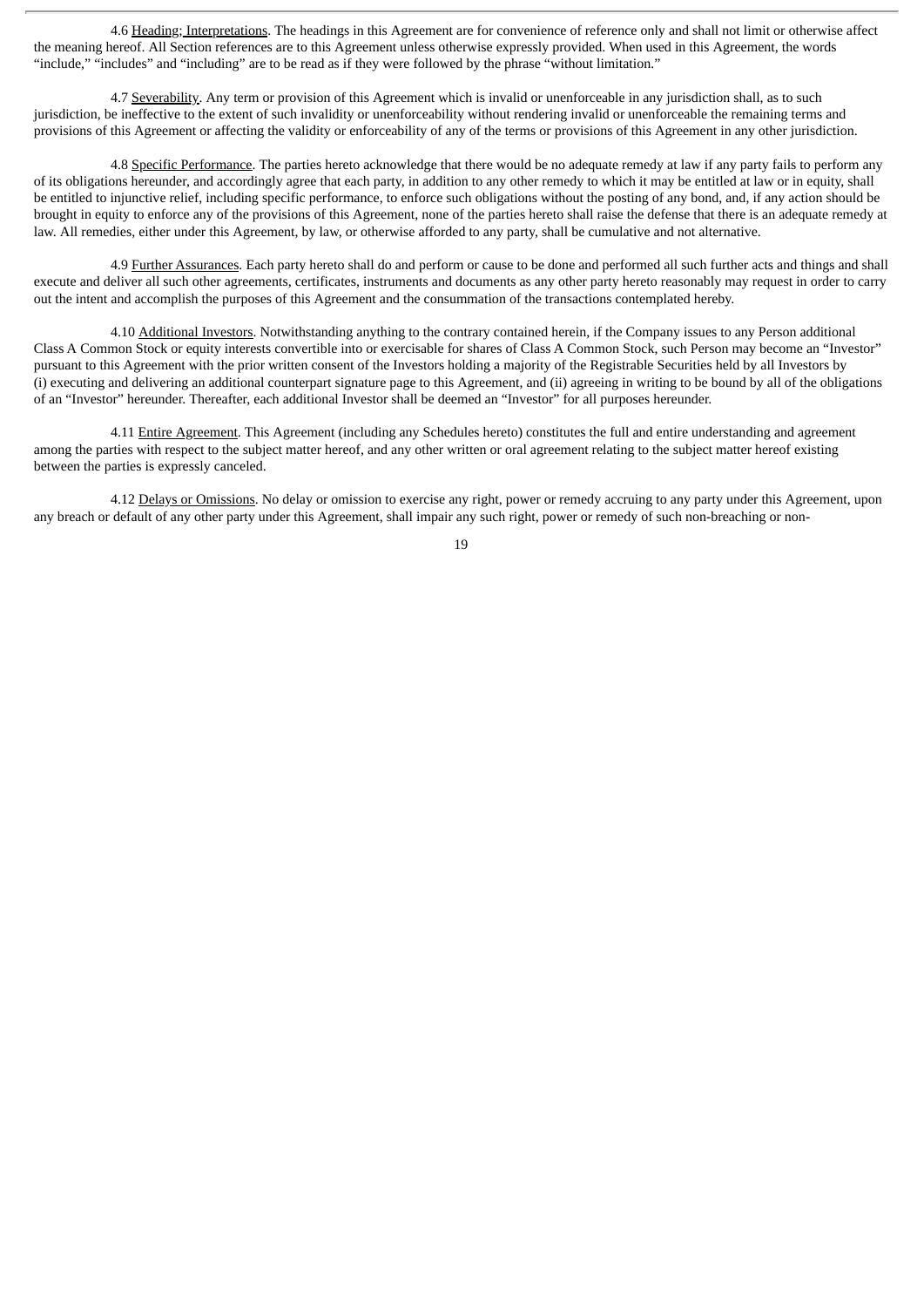4.6 Heading; Interpretations. The headings in this Agreement are for convenience of reference only and shall not limit or otherwise affect the meaning hereof. All Section references are to this Agreement unless otherwise expressly provided. When used in this Agreement, the words "include," "includes" and "including" are to be read as if they were followed by the phrase "without limitation."

4.7 Severability. Any term or provision of this Agreement which is invalid or unenforceable in any jurisdiction shall, as to such jurisdiction, be ineffective to the extent of such invalidity or unenforceability without rendering invalid or unenforceable the remaining terms and provisions of this Agreement or affecting the validity or enforceability of any of the terms or provisions of this Agreement in any other jurisdiction.

4.8 Specific Performance. The parties hereto acknowledge that there would be no adequate remedy at law if any party fails to perform any of its obligations hereunder, and accordingly agree that each party, in addition to any other remedy to which it may be entitled at law or in equity, shall be entitled to injunctive relief, including specific performance, to enforce such obligations without the posting of any bond, and, if any action should be brought in equity to enforce any of the provisions of this Agreement, none of the parties hereto shall raise the defense that there is an adequate remedy at law. All remedies, either under this Agreement, by law, or otherwise afforded to any party, shall be cumulative and not alternative.

4.9 Further Assurances. Each party hereto shall do and perform or cause to be done and performed all such further acts and things and shall execute and deliver all such other agreements, certificates, instruments and documents as any other party hereto reasonably may request in order to carry out the intent and accomplish the purposes of this Agreement and the consummation of the transactions contemplated hereby.

4.10 Additional Investors. Notwithstanding anything to the contrary contained herein, if the Company issues to any Person additional Class A Common Stock or equity interests convertible into or exercisable for shares of Class A Common Stock, such Person may become an "Investor" pursuant to this Agreement with the prior written consent of the Investors holding a majority of the Registrable Securities held by all Investors by (i) executing and delivering an additional counterpart signature page to this Agreement, and (ii) agreeing in writing to be bound by all of the obligations of an "Investor" hereunder. Thereafter, each additional Investor shall be deemed an "Investor" for all purposes hereunder.

4.11 Entire Agreement. This Agreement (including any Schedules hereto) constitutes the full and entire understanding and agreement among the parties with respect to the subject matter hereof, and any other written or oral agreement relating to the subject matter hereof existing between the parties is expressly canceled.

4.12 Delays or Omissions. No delay or omission to exercise any right, power or remedy accruing to any party under this Agreement, upon any breach or default of any other party under this Agreement, shall impair any such right, power or remedy of such non-breaching or non-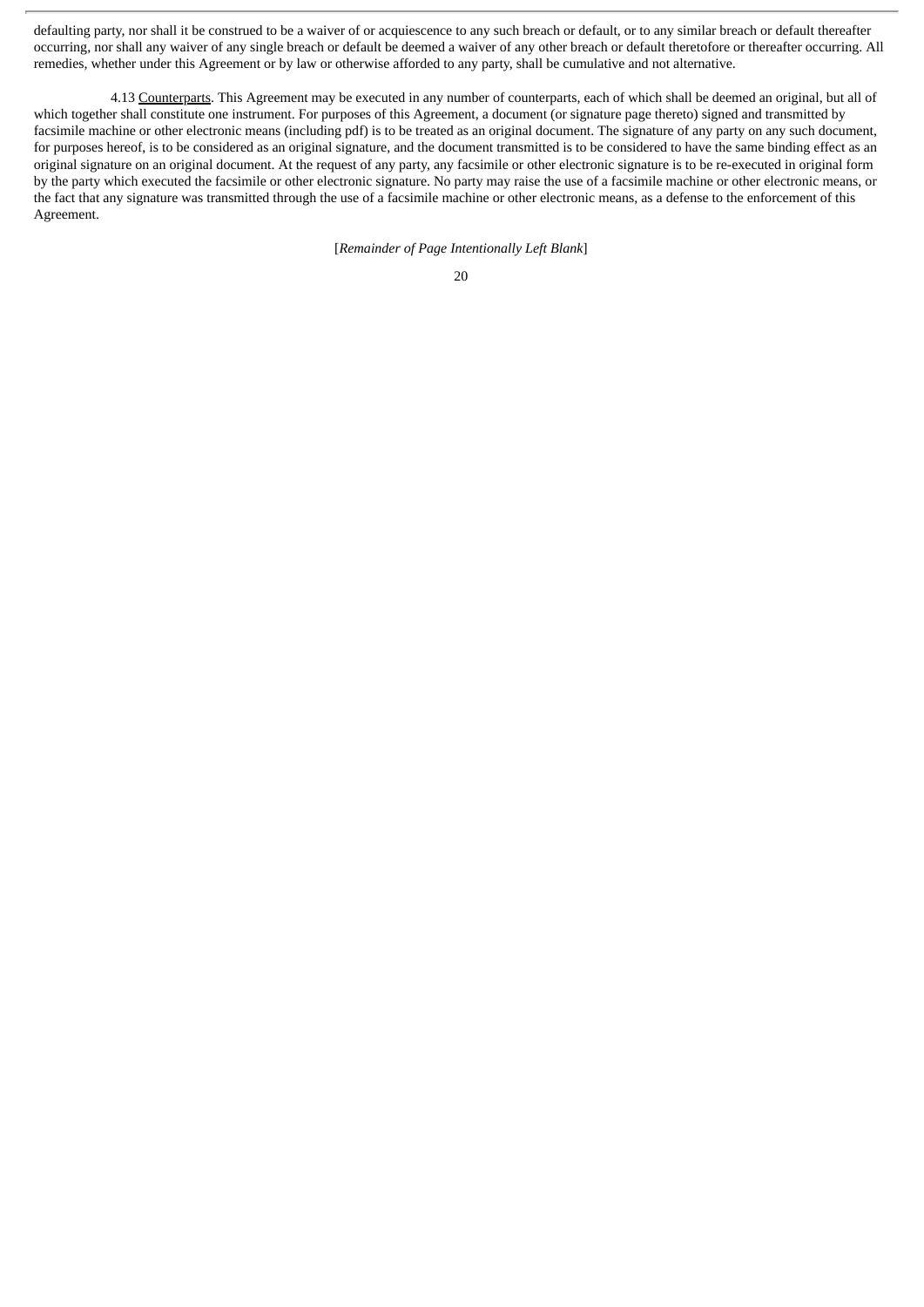defaulting party, nor shall it be construed to be a waiver of or acquiescence to any such breach or default, or to any similar breach or default thereafter occurring, nor shall any waiver of any single breach or default be deemed a waiver of any other breach or default theretofore or thereafter occurring. All remedies, whether under this Agreement or by law or otherwise afforded to any party, shall be cumulative and not alternative.

4.13 Counterparts. This Agreement may be executed in any number of counterparts, each of which shall be deemed an original, but all of which together shall constitute one instrument. For purposes of this Agreement, a document (or signature page thereto) signed and transmitted by facsimile machine or other electronic means (including pdf) is to be treated as an original document. The signature of any party on any such document, for purposes hereof, is to be considered as an original signature, and the document transmitted is to be considered to have the same binding effect as an original signature on an original document. At the request of any party, any facsimile or other electronic signature is to be re-executed in original form by the party which executed the facsimile or other electronic signature. No party may raise the use of a facsimile machine or other electronic means, or the fact that any signature was transmitted through the use of a facsimile machine or other electronic means, as a defense to the enforcement of this Agreement.

[*Remainder of Page Intentionally Left Blank*]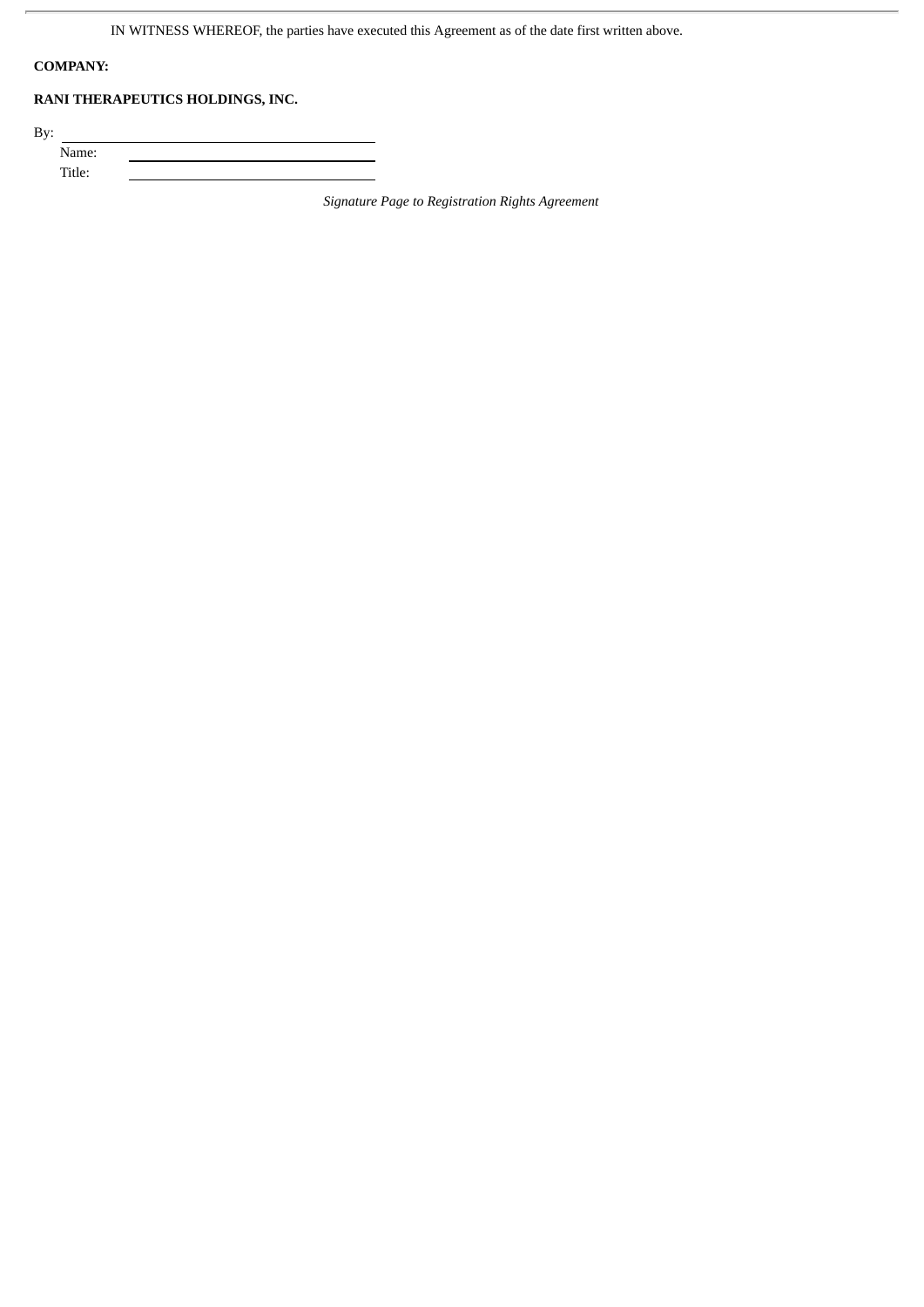IN WITNESS WHEREOF, the parties have executed this Agreement as of the date first written above.

# **COMPANY:**

# **RANI THERAPEUTICS HOLDINGS, INC.**

| By: |        |  |
|-----|--------|--|
|     | Name:  |  |
|     | Title: |  |

*Signature Page to Registration Rights Agreement*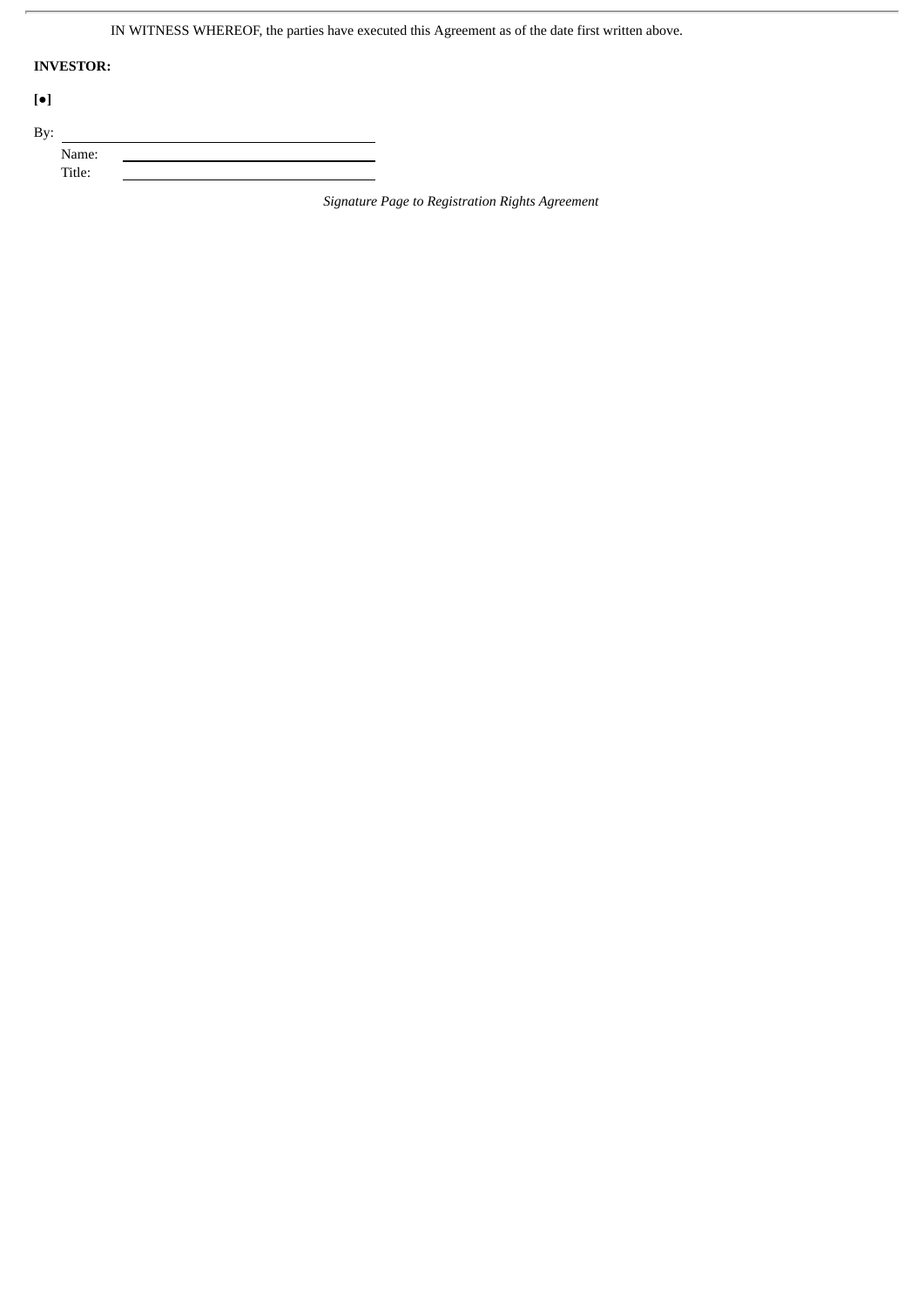IN WITNESS WHEREOF, the parties have executed this Agreement as of the date first written above.

**INVESTOR:**

**[**●**]**

By:

Name:

Title:

*Signature Page to Registration Rights Agreement*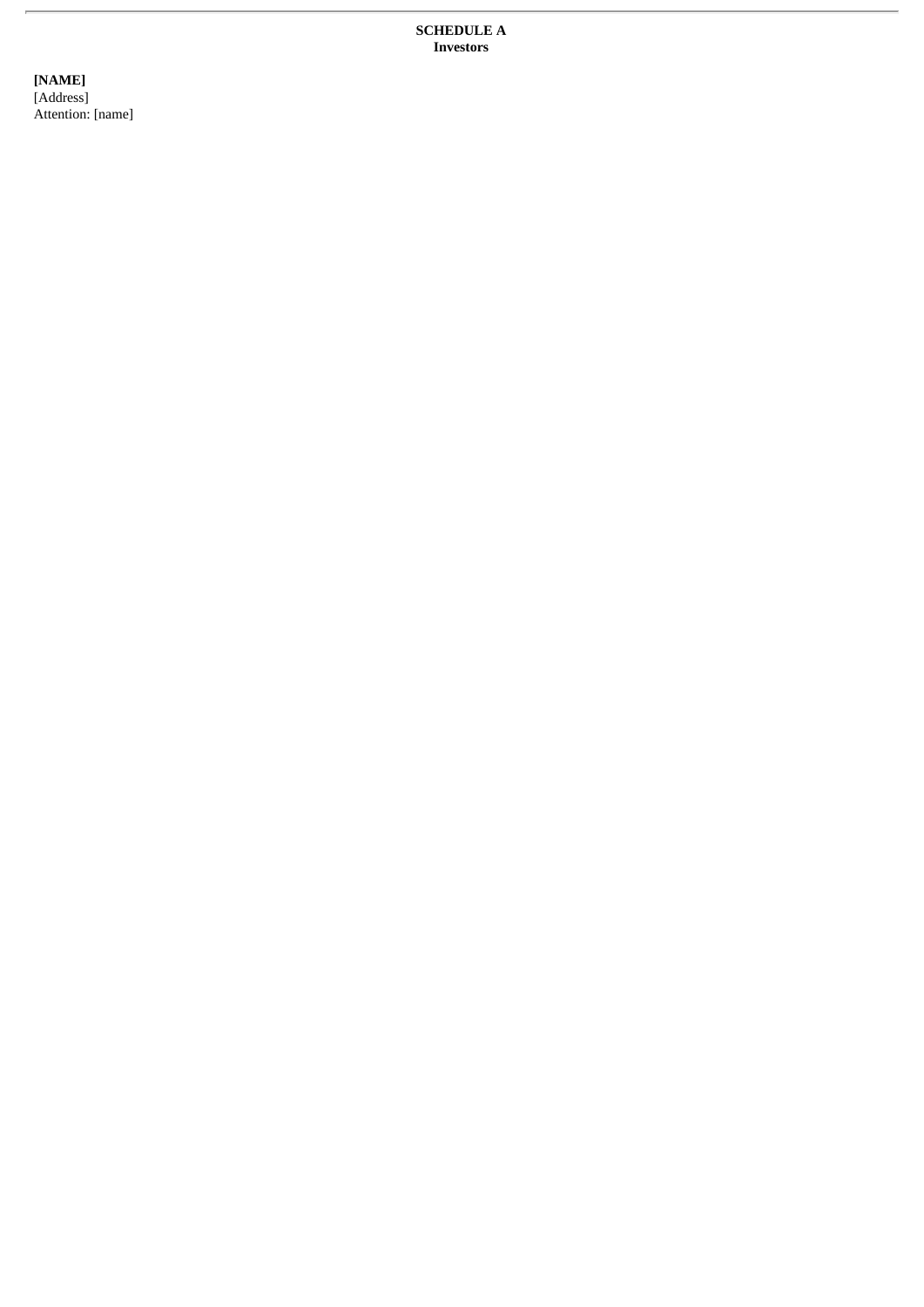**SCHEDULE A Investors** 

**[ N A M E ]** [Address] Attention: [name]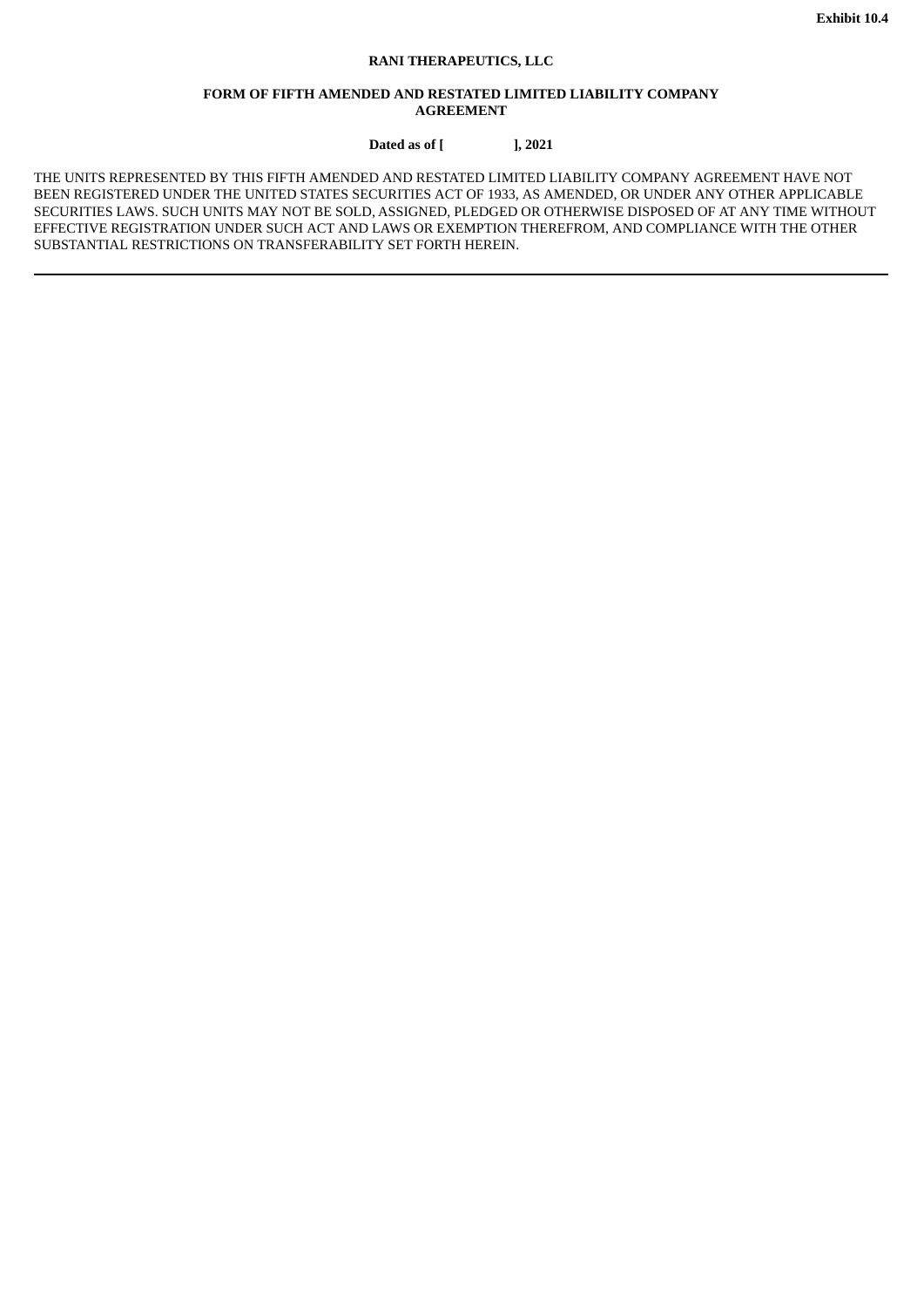# **RANI THERAPEUTICS, LLC**

# **FORM OF FIFTH AMENDED AND RESTATED LIMITED LIABILITY COMPANY AGREEMENT**

# **Dated as of [ ], 2021**

THE UNITS REPRESENTED BY THIS FIFTH AMENDED AND RESTATED LIMITED LIABILITY COMPANY AGREEMENT HAVE NOT BEEN REGISTERED UNDER THE UNITED STATES SECURITIES ACT OF 1933, AS AMENDED, OR UNDER ANY OTHER APPLICABLE SECURITIES LAWS. SUCH UNITS MAY NOT BE SOLD, ASSIGNED, PLEDGED OR OTHERWISE DISPOSED OF AT ANY TIME WITHOUT EFFECTIVE REGISTRATION UNDER SUCH ACT AND LAWS OR EXEMPTION THEREFROM, AND COMPLIANCE WITH THE OTHER SUBSTANTIAL RESTRICTIONS ON TRANSFERABILITY SET FORTH HEREIN.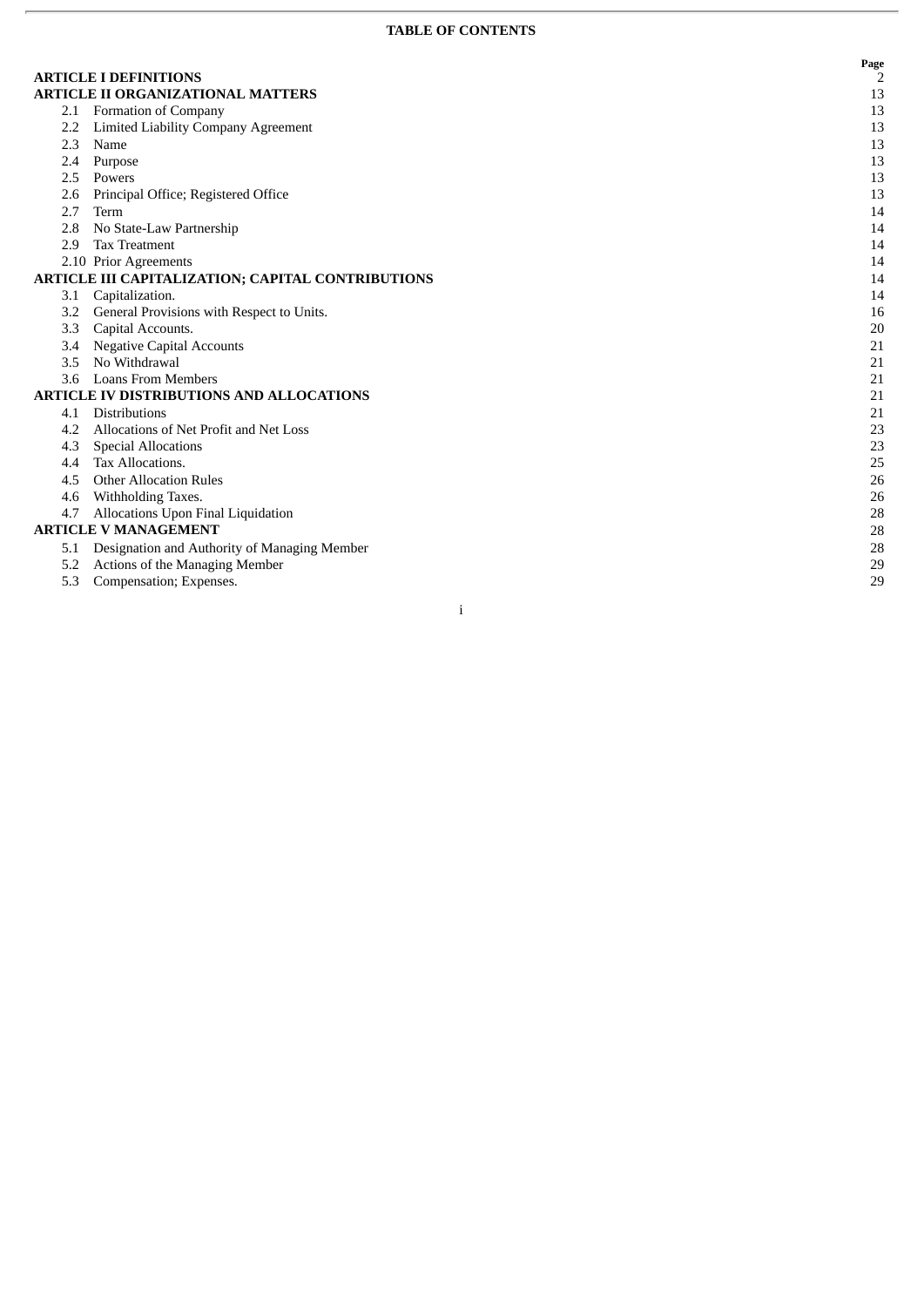**P a g e**

2

1 3

1 3

1 3

1 3

1 3

1 3

1 3

1 4

1 4

1 4

1 4

1 4

4

6

20

2 1

2 1

2 1

2 1

2 1

2 3

2 3

25

2 6

6

2 8

2 8

2 8

2 9

29

#### **ARTICLE II ORGANIZATIONAL MATTERS**

- 2.1 Formation of Company
- 2.2 Limited Liability Company Agreement
- 2.3 N a m e
- 2.4 Purpose
- 2.5 Powers
- 2.6 Principal Office; Registered Office
- 2.7 Term
- 2.8 No State-Law Partnership
- 2.9 Tax Treatment
- 2.10 Prior Agreements

#### ARTICLE III CAPITALIZATION; CAPITAL CONTRIBUTIONS

- 3.1 Capitalization n.  $14$
- 3.2 General Provisions with Respect to Units s.  $16$
- 3.3 Capital Accounts s. 20
- 3.4 Negative Capital Accounts
- 3.5 No Withdrawal
- 3.6 Loans From Members

#### **ARTICLE IV DISTRIBUTIONS AND ALLOCATIONS**

- 4.1 Distributions
- 4.2 Allocations of Net Profit and Net Loss
- 4.3 Special Allocations
- 4.4 Tax Allocations s.  $25$
- 4.5 Other Allocation Rules
- 4.6 Withholding Taxes. 2018. The contract of the contract of the contract of the contract of the contract of the contract of the contract of the contract of the contract of the contract of the contract of the contract of t
- 4.7 Allocations Upon Final Liquidation

#### **ARTICLE V MANAGEMENT**

- 5.1 Designation and Authority of Managing Member
- 5.2 Actions of the Managing Member
- 5.3 Compensation; Expenses s. 29.  $\frac{1}{2}$  2.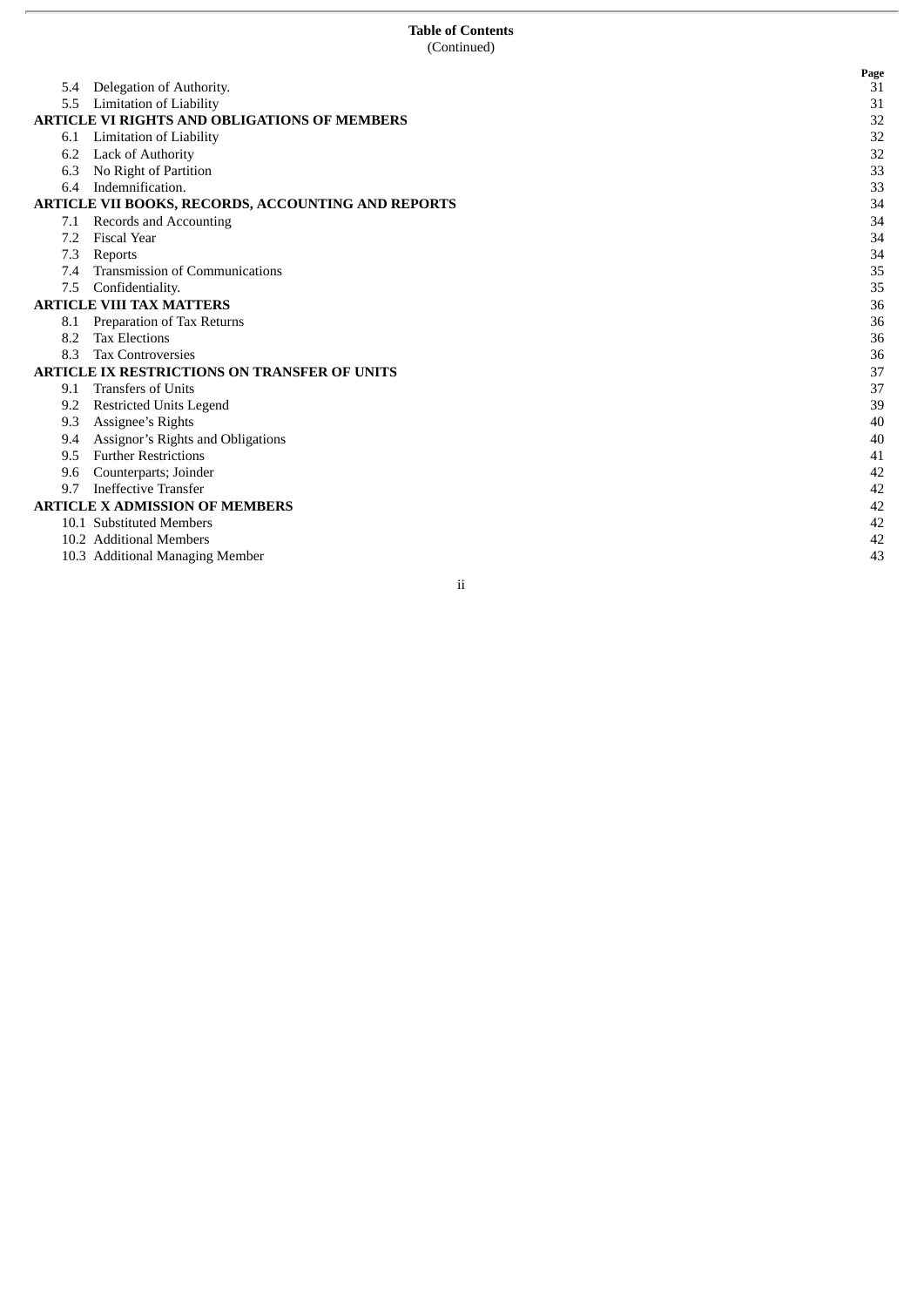|                                                     |                                                                                       | Page<br>31 |
|-----------------------------------------------------|---------------------------------------------------------------------------------------|------------|
| 5.4                                                 | Delegation of Authority.                                                              |            |
| 5.5                                                 | <b>Limitation of Liability</b><br><b>ARTICLE VI RIGHTS AND OBLIGATIONS OF MEMBERS</b> | 31         |
|                                                     |                                                                                       | 32         |
| 6.1                                                 | Limitation of Liability                                                               | 32         |
| 6.2                                                 | Lack of Authority                                                                     | 32         |
| 6.3                                                 | No Right of Partition                                                                 | 33         |
| 6.4                                                 | Indemnification.                                                                      | 33         |
|                                                     | ARTICLE VII BOOKS, RECORDS, ACCOUNTING AND REPORTS                                    | 34         |
| 7.1                                                 | Records and Accounting                                                                | 34         |
| 7.2                                                 | <b>Fiscal Year</b>                                                                    | 34         |
| 7.3                                                 | Reports                                                                               | 34         |
| 7.4                                                 | <b>Transmission of Communications</b>                                                 | 35         |
| 7.5                                                 | Confidentiality.                                                                      | 35         |
| <b>ARTICLE VIII TAX MATTERS</b>                     | 36                                                                                    |            |
| 8.1                                                 | Preparation of Tax Returns                                                            | 36         |
| 8.2                                                 | <b>Tax Elections</b>                                                                  | 36         |
| 8.3                                                 | <b>Tax Controversies</b>                                                              | 36         |
| <b>ARTICLE IX RESTRICTIONS ON TRANSFER OF UNITS</b> |                                                                                       |            |
| 9.1                                                 | <b>Transfers of Units</b>                                                             | 37         |
| 9.2                                                 | <b>Restricted Units Legend</b>                                                        | 39         |
| 9.3                                                 | Assignee's Rights                                                                     | 40         |
| 9.4                                                 | Assignor's Rights and Obligations                                                     | 40         |
| 9.5                                                 | <b>Further Restrictions</b>                                                           | 41         |
| 9.6                                                 | Counterparts; Joinder                                                                 | 42         |
| 9.7                                                 | <b>Ineffective Transfer</b>                                                           | 42         |
| <b>ARTICLE X ADMISSION OF MEMBERS</b>               |                                                                                       |            |
|                                                     | 10.1 Substituted Members                                                              | 42<br>42   |
|                                                     | 10.2 Additional Members                                                               | 42         |
|                                                     | 10.3 Additional Managing Member                                                       | 43         |

i i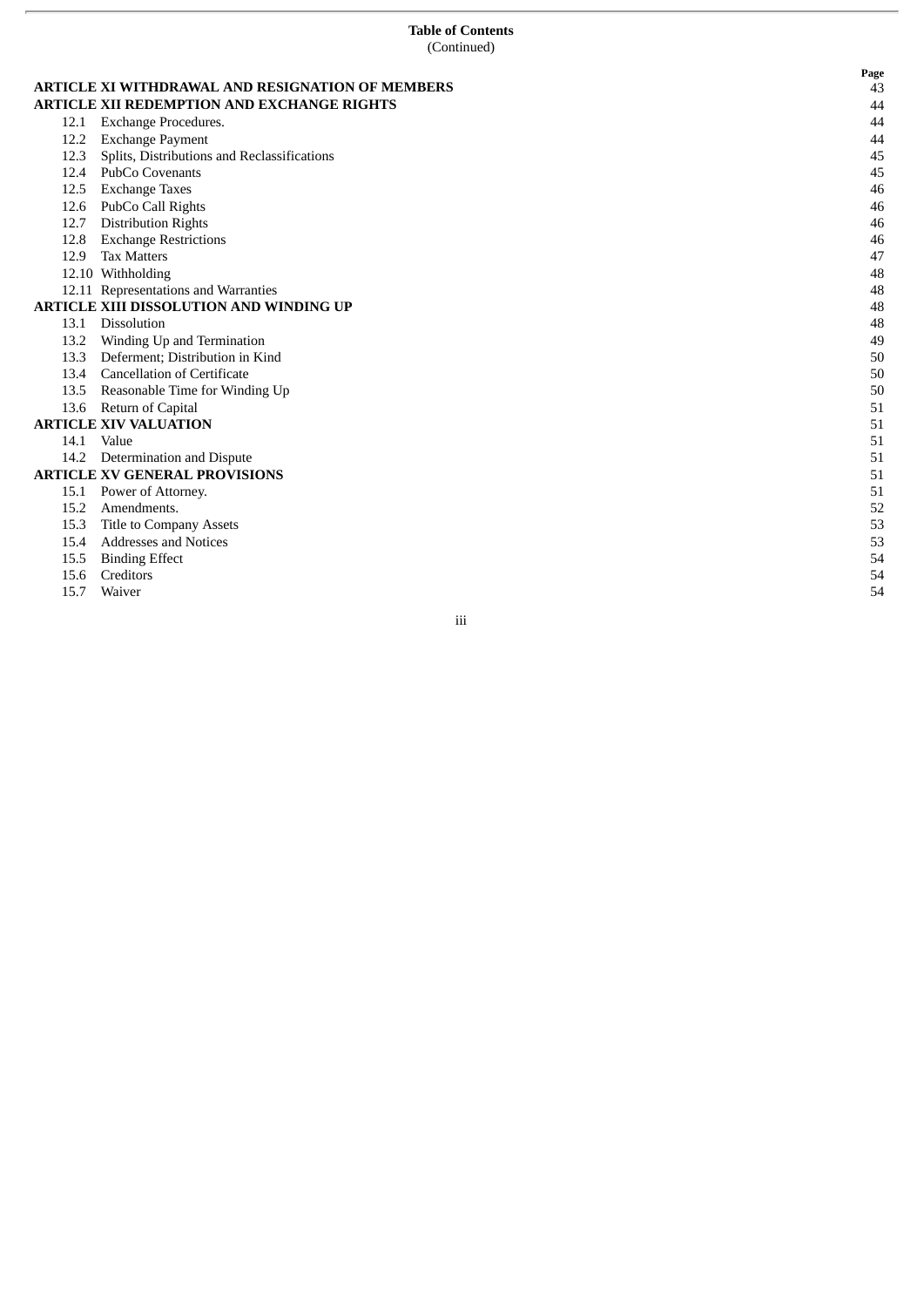#### **Table of Contents** (Continued)

|                                                         |                                             | Page<br>43 |
|---------------------------------------------------------|---------------------------------------------|------------|
| <b>ARTICLE XI WITHDRAWAL AND RESIGNATION OF MEMBERS</b> |                                             |            |
| <b>ARTICLE XII REDEMPTION AND EXCHANGE RIGHTS</b>       |                                             |            |
| 12.1                                                    | Exchange Procedures.                        | 44         |
| 12.2                                                    | <b>Exchange Payment</b>                     | 44         |
| 12.3                                                    | Splits, Distributions and Reclassifications | 45         |
| 12.4                                                    | PubCo Covenants                             | 45         |
| 12.5                                                    | <b>Exchange Taxes</b>                       | 46         |
| 12.6                                                    | PubCo Call Rights                           | 46         |
| 12.7                                                    | <b>Distribution Rights</b>                  | 46         |
| 12.8                                                    | <b>Exchange Restrictions</b>                | 46         |
| 12.9                                                    | <b>Tax Matters</b>                          | 47         |
|                                                         | 12.10 Withholding                           | 48         |
|                                                         | 12.11 Representations and Warranties        | 48         |
| <b>ARTICLE XIII DISSOLUTION AND WINDING UP</b>          |                                             |            |
| 13.1                                                    | Dissolution                                 | 48         |
| 13.2                                                    | Winding Up and Termination                  | 49         |
| 13.3                                                    | Deferment; Distribution in Kind             | 50         |
| 13.4                                                    | <b>Cancellation of Certificate</b>          | 50         |
| 13.5                                                    | Reasonable Time for Winding Up              | 50         |
| 13.6                                                    | Return of Capital                           | 51         |
| <b>ARTICLE XIV VALUATION</b>                            |                                             |            |
|                                                         | 14.1 Value                                  | 51         |
| 14.2                                                    | Determination and Dispute                   | 51         |
| <b>ARTICLE XV GENERAL PROVISIONS</b>                    |                                             |            |
| 15.1                                                    | Power of Attorney.                          | 51         |
| 15.2                                                    | Amendments.                                 | 52         |
| 15.3                                                    | <b>Title to Company Assets</b>              | 53         |
| 15.4                                                    | <b>Addresses and Notices</b>                | 53         |
| 15.5                                                    | <b>Binding Effect</b>                       | 54         |
| 15.6                                                    | Creditors                                   | 54         |
| 15.7                                                    | Waiver                                      | 54         |

i i i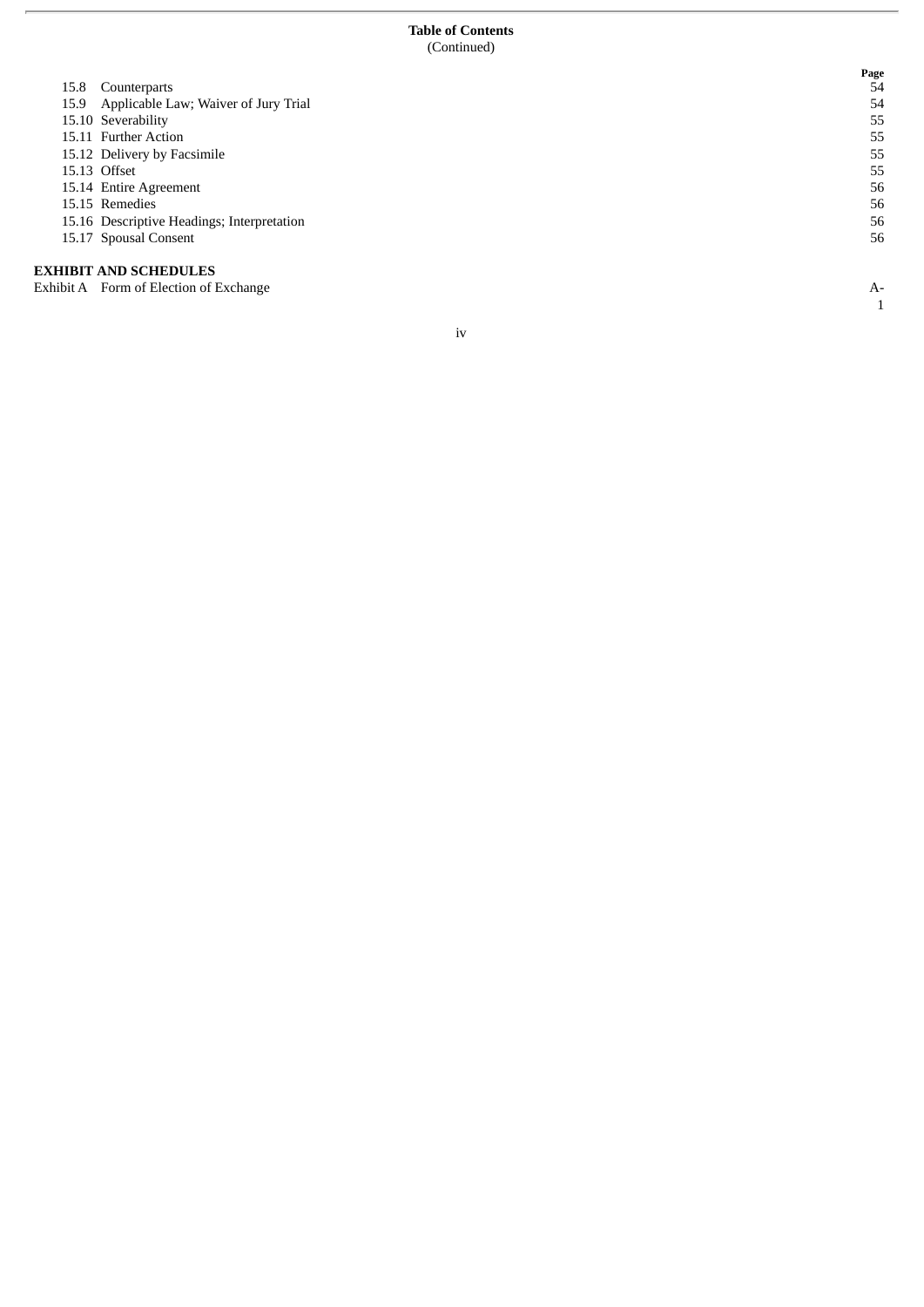15.8 Counterparts

- 15.9 Applicable Law; Waiver of Jury Trial
- 15.10 Severability
- 15.11 Further Action
- 15.12 Delivery by Facsimile
- 15.13 Offset
- 15.14 Entire Agreement
- 15.15 Remedies
- 15.16 Descriptive Headings; Interpretation
- 15.17 Spousal Consent

### **EXHIBIT AND SCHEDULES**

Exhibit A Form of Election of Exchange

A -1

i v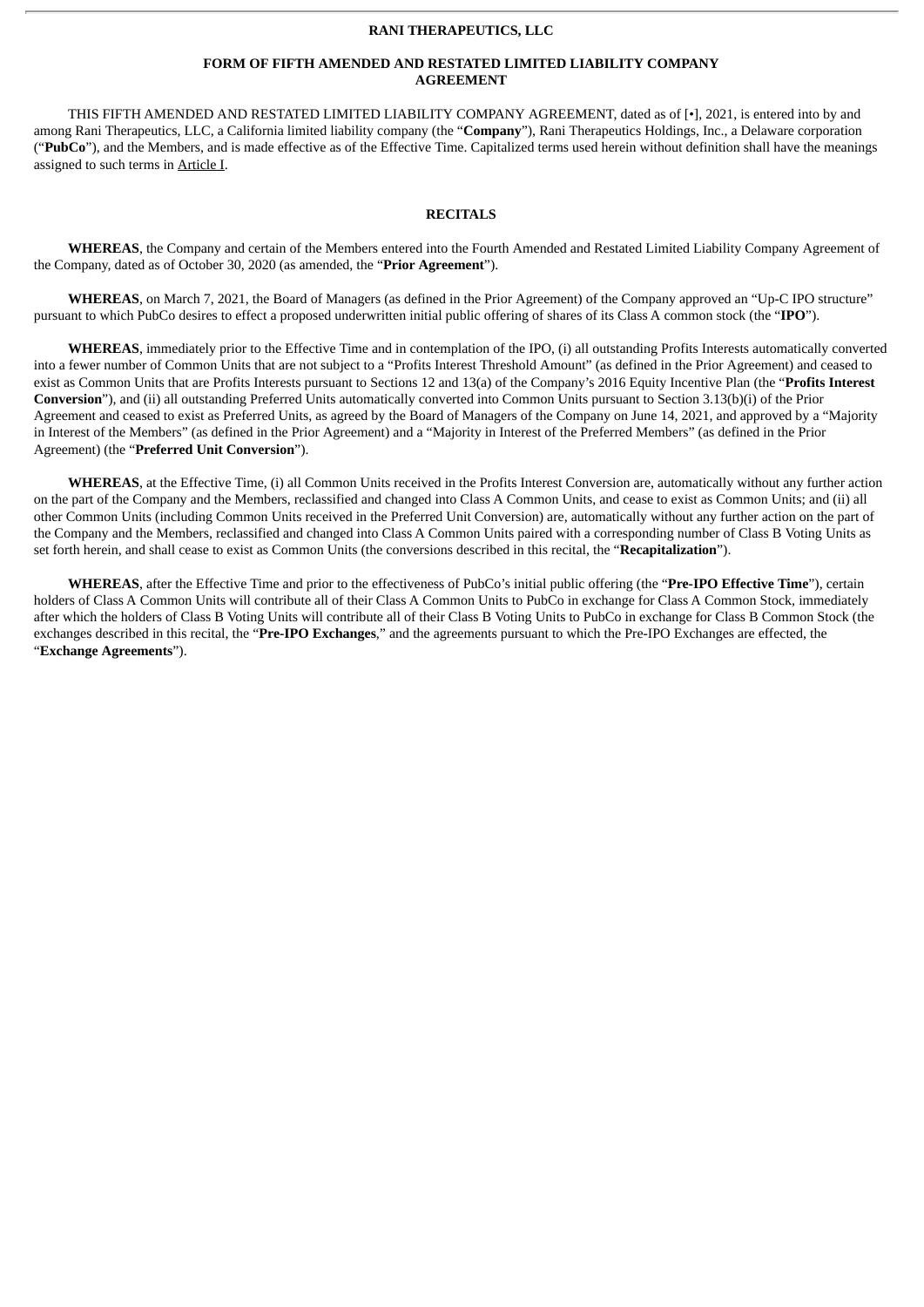### **RANI THERAPEUTICS, LLC**

### **FORM OF FIFTH AMENDED AND RESTATED LIMITED LIABILITY COMPANY AGREEMENT**

THIS FIFTH AMENDED AND RESTATED LIMITED LIABILITY COMPANY AGREEMENT, dated as of [•], 2021, is entered into by and among Rani Therapeutics, LLC, a California limited liability company (the "**Company**"), Rani Therapeutics Holdings, Inc., a Delaware corporation ("**PubCo**"), and the Members, and is made effective as of the Effective Time. Capitalized terms used herein without definition shall have the meanings assigned to such terms in Article I.

# **RECITALS**

**WHEREAS**, the Company and certain of the Members entered into the Fourth Amended and Restated Limited Liability Company Agreement of the Company, dated as of October 30, 2020 (as amended, the "**Prior Agreement**").

**WHEREAS**, on March 7, 2021, the Board of Managers (as defined in the Prior Agreement) of the Company approved an "Up-C IPO structure" pursuant to which PubCo desires to effect a proposed underwritten initial public offering of shares of its Class A common stock (the "**IPO**").

**WHEREAS**, immediately prior to the Effective Time and in contemplation of the IPO, (i) all outstanding Profits Interests automatically converted into a fewer number of Common Units that are not subject to a "Profits Interest Threshold Amount" (as defined in the Prior Agreement) and ceased to exist as Common Units that are Profits Interests pursuant to Sections 12 and 13(a) of the Company's 2016 Equity Incentive Plan (the "**Profits Interest Conversion**"), and (ii) all outstanding Preferred Units automatically converted into Common Units pursuant to Section 3.13(b)(i) of the Prior Agreement and ceased to exist as Preferred Units, as agreed by the Board of Managers of the Company on June 14, 2021, and approved by a "Majority in Interest of the Members" (as defined in the Prior Agreement) and a "Majority in Interest of the Preferred Members" (as defined in the Prior Agreement) (the "**Preferred Unit Conversion**").

**WHEREAS**, at the Effective Time, (i) all Common Units received in the Profits Interest Conversion are, automatically without any further action on the part of the Company and the Members, reclassified and changed into Class A Common Units, and cease to exist as Common Units; and (ii) all other Common Units (including Common Units received in the Preferred Unit Conversion) are, automatically without any further action on the part of the Company and the Members, reclassified and changed into Class A Common Units paired with a corresponding number of Class B Voting Units as set forth herein, and shall cease to exist as Common Units (the conversions described in this recital, the "**Recapitalization**").

**WHEREAS**, after the Effective Time and prior to the effectiveness of PubCo's initial public offering (the "**Pre-IPO Effective Time**"), certain holders of Class A Common Units will contribute all of their Class A Common Units to PubCo in exchange for Class A Common Stock, immediately after which the holders of Class B Voting Units will contribute all of their Class B Voting Units to PubCo in exchange for Class B Common Stock (the exchanges described in this recital, the "**Pre-IPO Exchanges**," and the agreements pursuant to which the Pre-IPO Exchanges are effected, the "**Exchange Agreements**").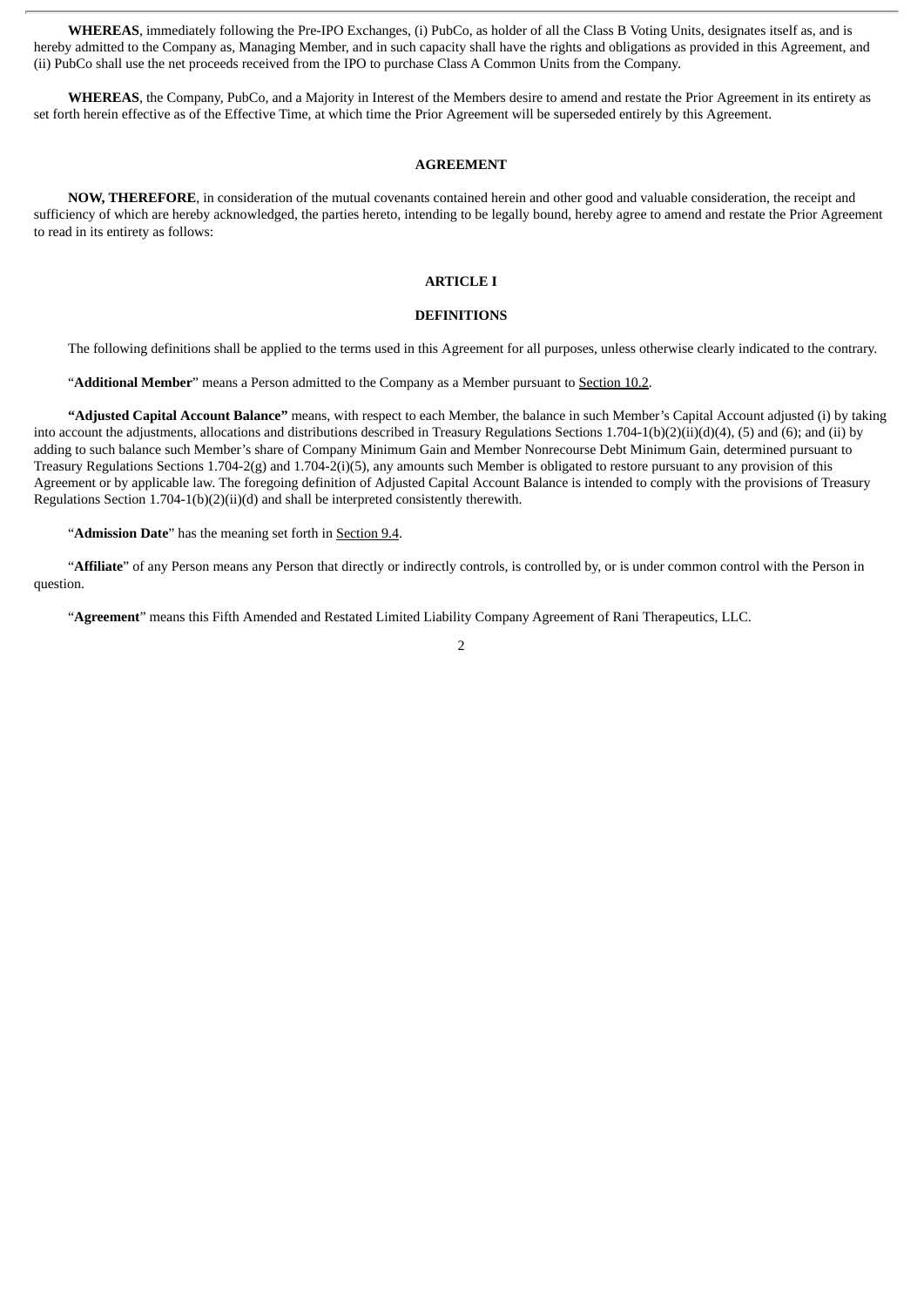**WHEREAS**, immediately following the Pre-IPO Exchanges, (i) PubCo, as holder of all the Class B Voting Units, designates itself as, and is hereby admitted to the Company as, Managing Member, and in such capacity shall have the rights and obligations as provided in this Agreement, and (ii) PubCo shall use the net proceeds received from the IPO to purchase Class A Common Units from the Company.

**WHEREAS**, the Company, PubCo, and a Majority in Interest of the Members desire to amend and restate the Prior Agreement in its entirety as set forth herein effective as of the Effective Time, at which time the Prior Agreement will be superseded entirely by this Agreement.

#### **AGREEMENT**

**NOW, THEREFORE**, in consideration of the mutual covenants contained herein and other good and valuable consideration, the receipt and sufficiency of which are hereby acknowledged, the parties hereto, intending to be legally bound, hereby agree to amend and restate the Prior Agreement to read in its entirety as follows:

### **ARTICLE I**

# **DEFINITIONS**

The following definitions shall be applied to the terms used in this Agreement for all purposes, unless otherwise clearly indicated to the contrary.

"**Additional Member**" means a Person admitted to the Company as a Member pursuant to Section 10.2.

**"Adjusted Capital Account Balance"** means, with respect to each Member, the balance in such Member's Capital Account adjusted (i) by taking into account the adjustments, allocations and distributions described in Treasury Regulations Sections 1.704-1(b)(2)(ii)(d)(4), (5) and (6); and (ii) by adding to such balance such Member's share of Company Minimum Gain and Member Nonrecourse Debt Minimum Gain, determined pursuant to Treasury Regulations Sections 1.704-2(g) and 1.704-2(i)(5), any amounts such Member is obligated to restore pursuant to any provision of this Agreement or by applicable law. The foregoing definition of Adjusted Capital Account Balance is intended to comply with the provisions of Treasury Regulations Section 1.704-1(b)(2)(ii)(d) and shall be interpreted consistently therewith.

"**Admission Date**" has the meaning set forth in Section 9.4.

"**Affiliate**" of any Person means any Person that directly or indirectly controls, is controlled by, or is under common control with the Person in question.

"**Agreement**" means this Fifth Amended and Restated Limited Liability Company Agreement of Rani Therapeutics, LLC.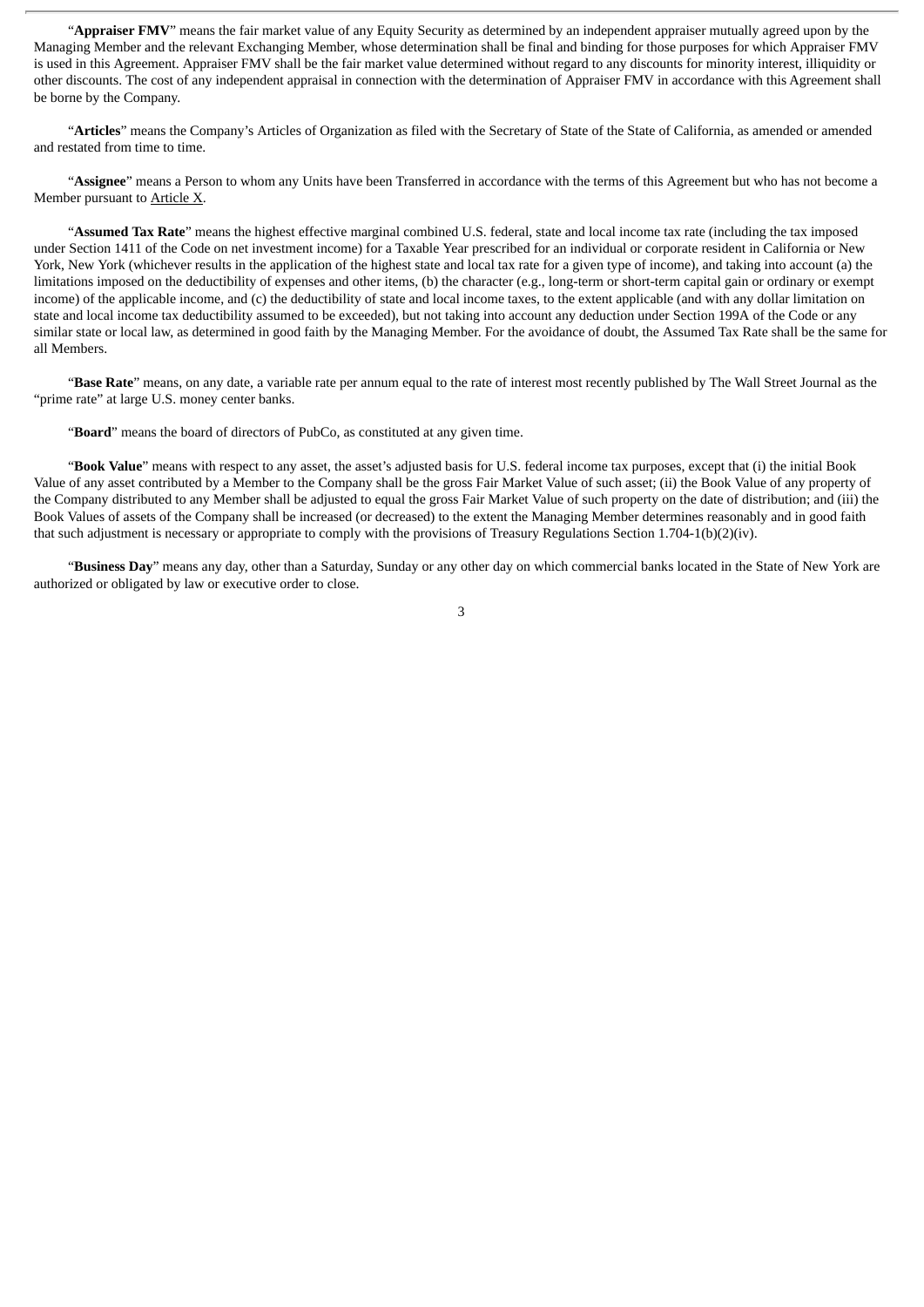"**Appraiser FMV**" means the fair market value of any Equity Security as determined by an independent appraiser mutually agreed upon by the Managing Member and the relevant Exchanging Member, whose determination shall be final and binding for those purposes for which Appraiser FMV is used in this Agreement. Appraiser FMV shall be the fair market value determined without regard to any discounts for minority interest, illiquidity or other discounts. The cost of any independent appraisal in connection with the determination of Appraiser FMV in accordance with this Agreement shall be borne by the Company.

"**Articles**" means the Company's Articles of Organization as filed with the Secretary of State of the State of California, as amended or amended and restated from time to time.

"**Assignee**" means a Person to whom any Units have been Transferred in accordance with the terms of this Agreement but who has not become a Member pursuant to Article X.

"**Assumed Tax Rate**" means the highest effective marginal combined U.S. federal, state and local income tax rate (including the tax imposed under Section 1411 of the Code on net investment income) for a Taxable Year prescribed for an individual or corporate resident in California or New York, New York (whichever results in the application of the highest state and local tax rate for a given type of income), and taking into account (a) the limitations imposed on the deductibility of expenses and other items, (b) the character (e.g., long-term or short-term capital gain or ordinary or exempt income) of the applicable income, and (c) the deductibility of state and local income taxes, to the extent applicable (and with any dollar limitation on state and local income tax deductibility assumed to be exceeded), but not taking into account any deduction under Section 199A of the Code or any similar state or local law, as determined in good faith by the Managing Member. For the avoidance of doubt, the Assumed Tax Rate shall be the same for all Members.

"**Base Rate**" means, on any date, a variable rate per annum equal to the rate of interest most recently published by The Wall Street Journal as the "prime rate" at large U.S. money center banks.

"**Board**" means the board of directors of PubCo, as constituted at any given time.

"**Book Value**" means with respect to any asset, the asset's adjusted basis for U.S. federal income tax purposes, except that (i) the initial Book Value of any asset contributed by a Member to the Company shall be the gross Fair Market Value of such asset; (ii) the Book Value of any property of the Company distributed to any Member shall be adjusted to equal the gross Fair Market Value of such property on the date of distribution; and (iii) the Book Values of assets of the Company shall be increased (or decreased) to the extent the Managing Member determines reasonably and in good faith that such adjustment is necessary or appropriate to comply with the provisions of Treasury Regulations Section 1.704-1(b)(2)(iv).

"**Business Day**" means any day, other than a Saturday, Sunday or any other day on which commercial banks located in the State of New York are authorized or obligated by law or executive order to close.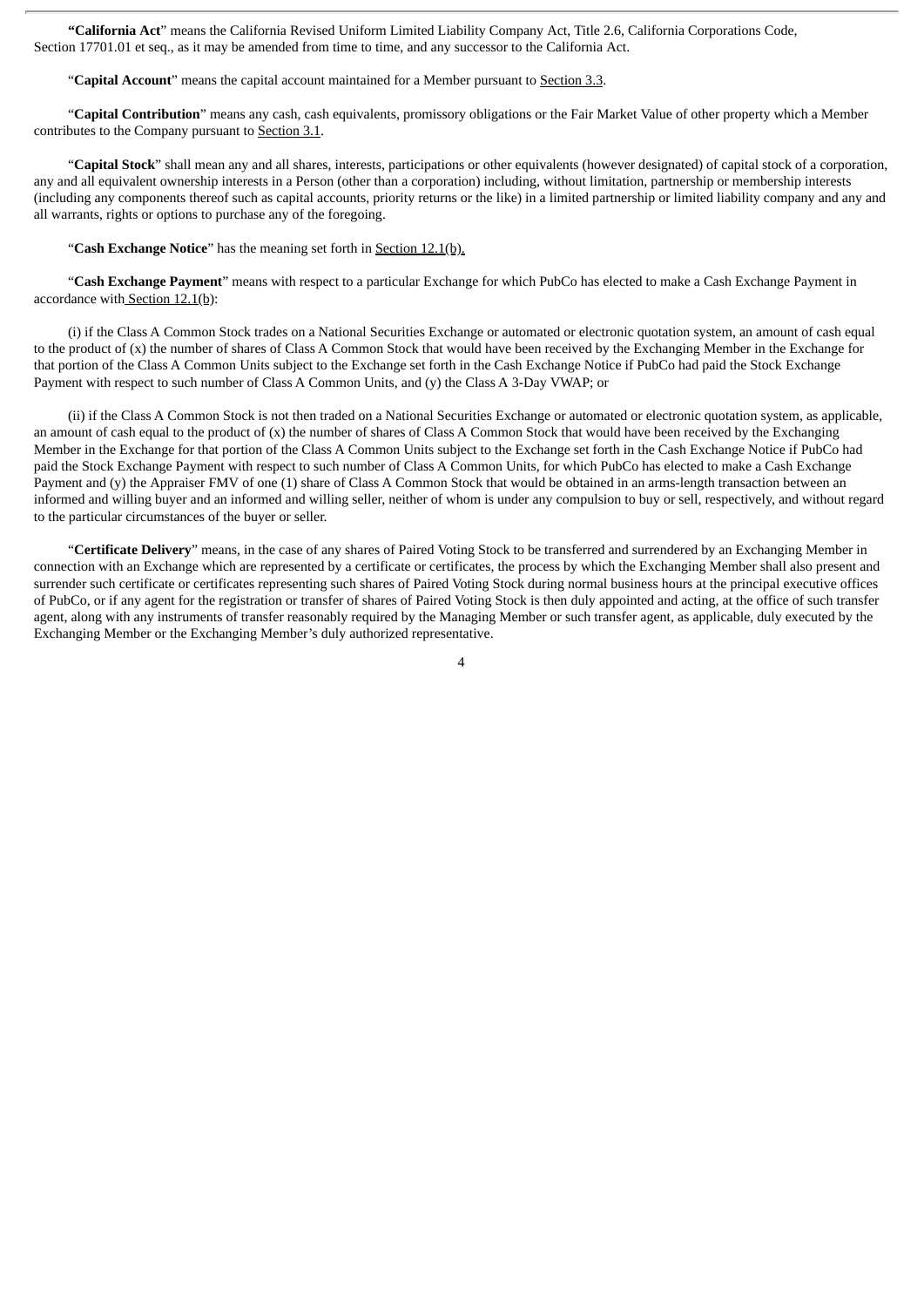**"California Act**" means the California Revised Uniform Limited Liability Company Act, Title 2.6, California Corporations Code, Section 17701.01 et seq., as it may be amended from time to time, and any successor to the California Act.

"**Capital Account**" means the capital account maintained for a Member pursuant to Section 3.3.

"**Capital Contribution**" means any cash, cash equivalents, promissory obligations or the Fair Market Value of other property which a Member contributes to the Company pursuant to Section 3.1.

"**Capital Stock**" shall mean any and all shares, interests, participations or other equivalents (however designated) of capital stock of a corporation, any and all equivalent ownership interests in a Person (other than a corporation) including, without limitation, partnership or membership interests (including any components thereof such as capital accounts, priority returns or the like) in a limited partnership or limited liability company and any and all warrants, rights or options to purchase any of the foregoing.

"**Cash Exchange Notice**" has the meaning set forth in Section 12.1(b).

"**Cash Exchange Payment**" means with respect to a particular Exchange for which PubCo has elected to make a Cash Exchange Payment in accordance with Section 12.1(b):

(i) if the Class A Common Stock trades on a National Securities Exchange or automated or electronic quotation system, an amount of cash equal to the product of (x) the number of shares of Class A Common Stock that would have been received by the Exchanging Member in the Exchange for that portion of the Class A Common Units subject to the Exchange set forth in the Cash Exchange Notice if PubCo had paid the Stock Exchange Payment with respect to such number of Class A Common Units, and (y) the Class A 3-Day VWAP; or

(ii) if the Class A Common Stock is not then traded on a National Securities Exchange or automated or electronic quotation system, as applicable, an amount of cash equal to the product of (x) the number of shares of Class A Common Stock that would have been received by the Exchanging Member in the Exchange for that portion of the Class A Common Units subject to the Exchange set forth in the Cash Exchange Notice if PubCo had paid the Stock Exchange Payment with respect to such number of Class A Common Units, for which PubCo has elected to make a Cash Exchange Payment and (y) the Appraiser FMV of one (1) share of Class A Common Stock that would be obtained in an arms-length transaction between an informed and willing buyer and an informed and willing seller, neither of whom is under any compulsion to buy or sell, respectively, and without regard to the particular circumstances of the buyer or seller.

"**Certificate Delivery**" means, in the case of any shares of Paired Voting Stock to be transferred and surrendered by an Exchanging Member in connection with an Exchange which are represented by a certificate or certificates, the process by which the Exchanging Member shall also present and surrender such certificate or certificates representing such shares of Paired Voting Stock during normal business hours at the principal executive offices of PubCo, or if any agent for the registration or transfer of shares of Paired Voting Stock is then duly appointed and acting, at the office of such transfer agent, along with any instruments of transfer reasonably required by the Managing Member or such transfer agent, as applicable, duly executed by the Exchanging Member or the Exchanging Member's duly authorized representative.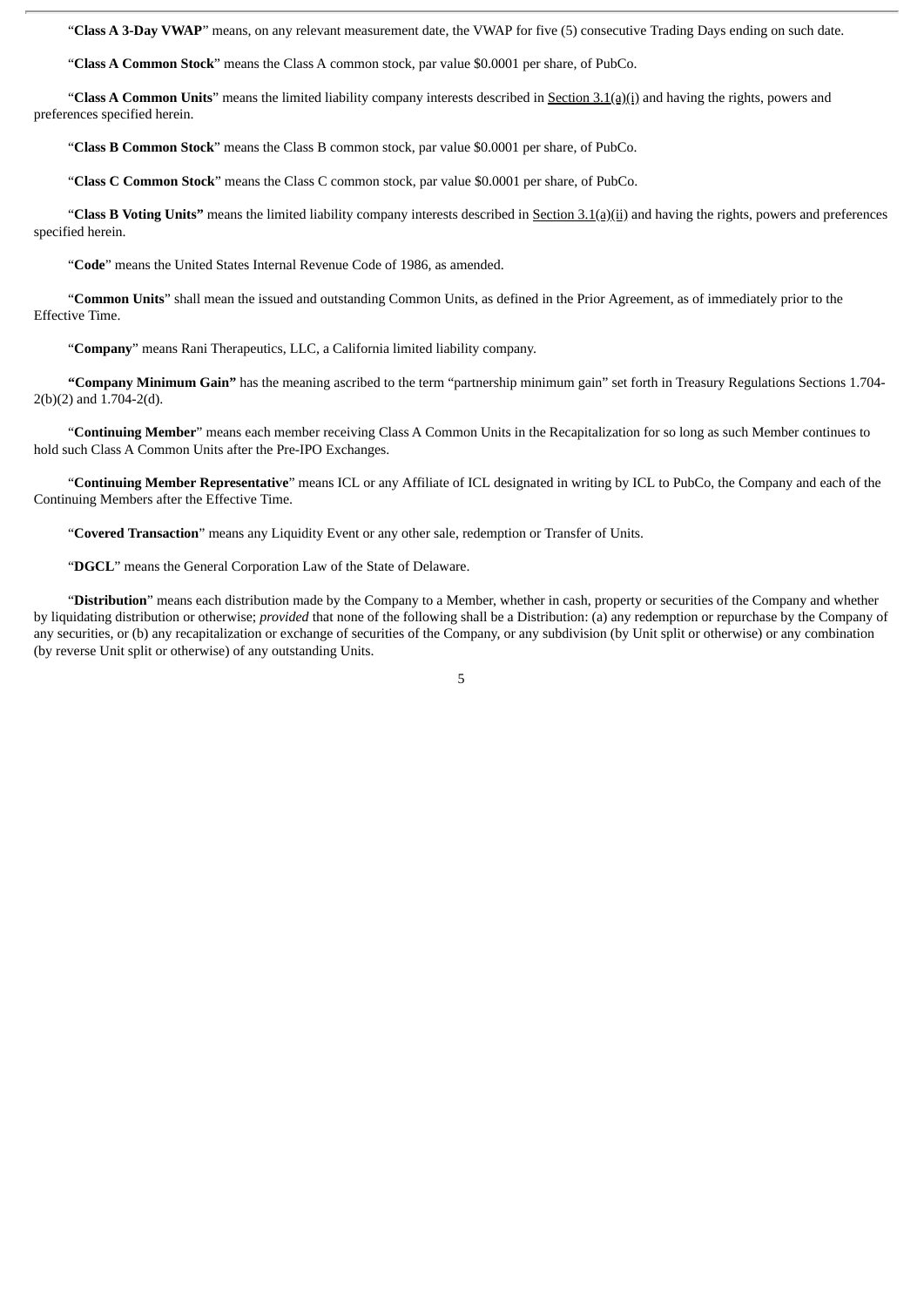"**Class A 3-Day VWAP**" means, on any relevant measurement date, the VWAP for five (5) consecutive Trading Days ending on such date.

"**Class A Common Stock**" means the Class A common stock, par value \$0.0001 per share, of PubCo.

"**Class A Common Units**" means the limited liability company interests described in **Section 3.1(a)(i)** and having the rights, powers and preferences specified herein.

"**Class B Common Stock**" means the Class B common stock, par value \$0.0001 per share, of PubCo.

"**Class C Common Stock**" means the Class C common stock, par value \$0.0001 per share, of PubCo.

"**Class B Voting Units"** means the limited liability company interests described in Section 3.1(a)(ii) and having the rights, powers and preferences specified herein.

"**Code**" means the United States Internal Revenue Code of 1986, as amended.

"**Common Units**" shall mean the issued and outstanding Common Units, as defined in the Prior Agreement, as of immediately prior to the Effective Time.

"**Company**" means Rani Therapeutics, LLC, a California limited liability company.

**"Company Minimum Gain"** has the meaning ascribed to the term "partnership minimum gain" set forth in Treasury Regulations Sections 1.704- 2(b)(2) and 1.704-2(d).

"**Continuing Member**" means each member receiving Class A Common Units in the Recapitalization for so long as such Member continues to hold such Class A Common Units after the Pre-IPO Exchanges.

"**Continuing Member Representative**" means ICL or any Affiliate of ICL designated in writing by ICL to PubCo, the Company and each of the Continuing Members after the Effective Time.

"**Covered Transaction**" means any Liquidity Event or any other sale, redemption or Transfer of Units.

"**DGCL**" means the General Corporation Law of the State of Delaware.

"**Distribution**" means each distribution made by the Company to a Member, whether in cash, property or securities of the Company and whether by liquidating distribution or otherwise; *provided* that none of the following shall be a Distribution: (a) any redemption or repurchase by the Company of any securities, or (b) any recapitalization or exchange of securities of the Company, or any subdivision (by Unit split or otherwise) or any combination (by reverse Unit split or otherwise) of any outstanding Units.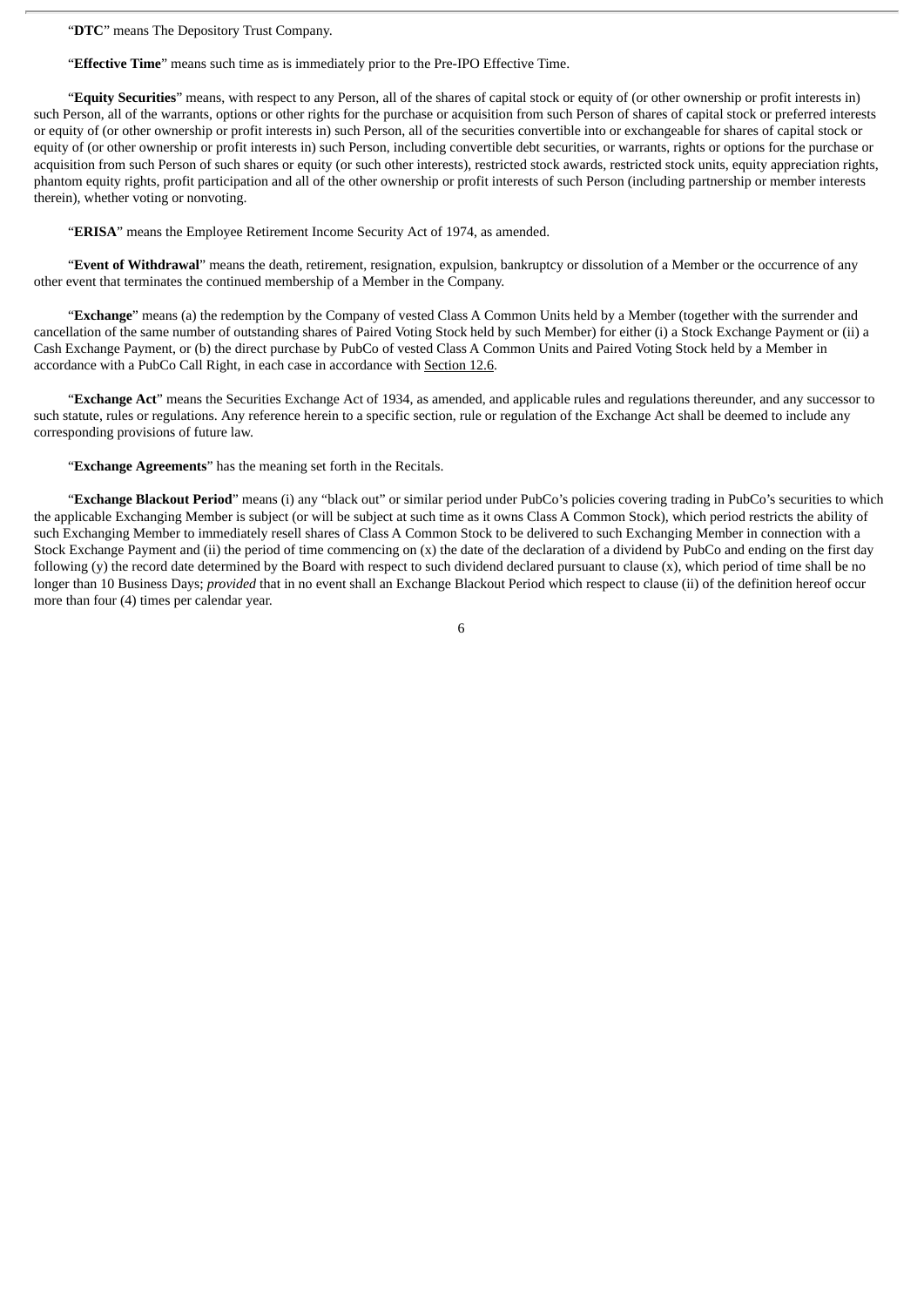"**DTC**" means The Depository Trust Company.

"**Effective Time**" means such time as is immediately prior to the Pre-IPO Effective Time.

"**Equity Securities**" means, with respect to any Person, all of the shares of capital stock or equity of (or other ownership or profit interests in) such Person, all of the warrants, options or other rights for the purchase or acquisition from such Person of shares of capital stock or preferred interests or equity of (or other ownership or profit interests in) such Person, all of the securities convertible into or exchangeable for shares of capital stock or equity of (or other ownership or profit interests in) such Person, including convertible debt securities, or warrants, rights or options for the purchase or acquisition from such Person of such shares or equity (or such other interests), restricted stock awards, restricted stock units, equity appreciation rights, phantom equity rights, profit participation and all of the other ownership or profit interests of such Person (including partnership or member interests therein), whether voting or nonvoting.

"**ERISA**" means the Employee Retirement Income Security Act of 1974, as amended.

"**Event of Withdrawal**" means the death, retirement, resignation, expulsion, bankruptcy or dissolution of a Member or the occurrence of any other event that terminates the continued membership of a Member in the Company.

"**Exchange**" means (a) the redemption by the Company of vested Class A Common Units held by a Member (together with the surrender and cancellation of the same number of outstanding shares of Paired Voting Stock held by such Member) for either (i) a Stock Exchange Payment or (ii) a Cash Exchange Payment, or (b) the direct purchase by PubCo of vested Class A Common Units and Paired Voting Stock held by a Member in accordance with a PubCo Call Right, in each case in accordance with Section 12.6.

"**Exchange Act**" means the Securities Exchange Act of 1934, as amended, and applicable rules and regulations thereunder, and any successor to such statute, rules or regulations. Any reference herein to a specific section, rule or regulation of the Exchange Act shall be deemed to include any corresponding provisions of future law.

"**Exchange Agreements**" has the meaning set forth in the Recitals.

"**Exchange Blackout Period**" means (i) any "black out" or similar period under PubCo's policies covering trading in PubCo's securities to which the applicable Exchanging Member is subject (or will be subject at such time as it owns Class A Common Stock), which period restricts the ability of such Exchanging Member to immediately resell shares of Class A Common Stock to be delivered to such Exchanging Member in connection with a Stock Exchange Payment and (ii) the period of time commencing on (x) the date of the declaration of a dividend by PubCo and ending on the first day following (y) the record date determined by the Board with respect to such dividend declared pursuant to clause (x), which period of time shall be no longer than 10 Business Days; *provided* that in no event shall an Exchange Blackout Period which respect to clause (ii) of the definition hereof occur more than four (4) times per calendar year.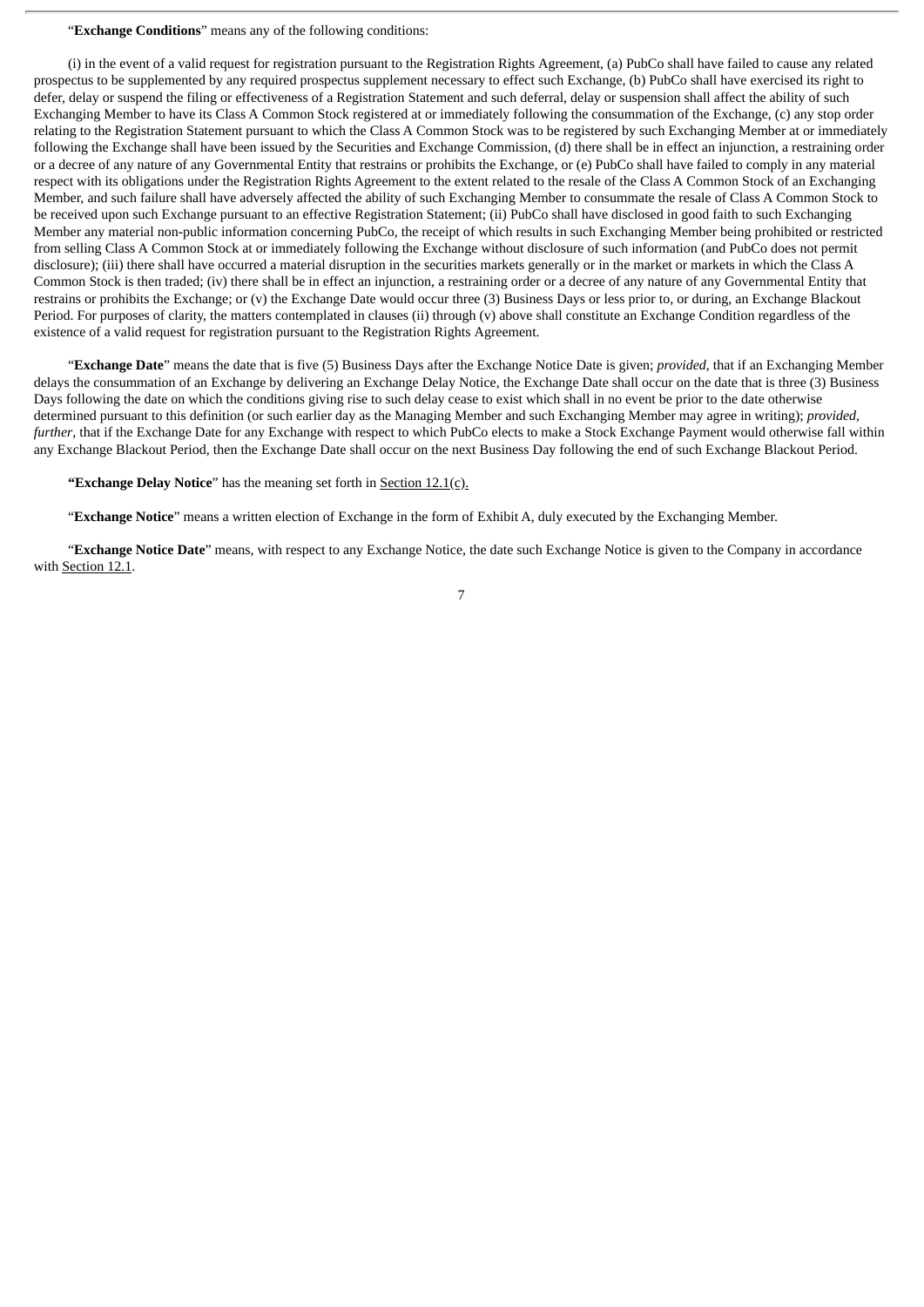### "**Exchange Conditions**" means any of the following conditions:

(i) in the event of a valid request for registration pursuant to the Registration Rights Agreement, (a) PubCo shall have failed to cause any related prospectus to be supplemented by any required prospectus supplement necessary to effect such Exchange, (b) PubCo shall have exercised its right to defer, delay or suspend the filing or effectiveness of a Registration Statement and such deferral, delay or suspension shall affect the ability of such Exchanging Member to have its Class A Common Stock registered at or immediately following the consummation of the Exchange, (c) any stop order relating to the Registration Statement pursuant to which the Class A Common Stock was to be registered by such Exchanging Member at or immediately following the Exchange shall have been issued by the Securities and Exchange Commission, (d) there shall be in effect an injunction, a restraining order or a decree of any nature of any Governmental Entity that restrains or prohibits the Exchange, or (e) PubCo shall have failed to comply in any material respect with its obligations under the Registration Rights Agreement to the extent related to the resale of the Class A Common Stock of an Exchanging Member, and such failure shall have adversely affected the ability of such Exchanging Member to consummate the resale of Class A Common Stock to be received upon such Exchange pursuant to an effective Registration Statement; (ii) PubCo shall have disclosed in good faith to such Exchanging Member any material non-public information concerning PubCo, the receipt of which results in such Exchanging Member being prohibited or restricted from selling Class A Common Stock at or immediately following the Exchange without disclosure of such information (and PubCo does not permit disclosure); (iii) there shall have occurred a material disruption in the securities markets generally or in the market or markets in which the Class A Common Stock is then traded; (iv) there shall be in effect an injunction, a restraining order or a decree of any nature of any Governmental Entity that restrains or prohibits the Exchange; or (v) the Exchange Date would occur three (3) Business Days or less prior to, or during, an Exchange Blackout Period. For purposes of clarity, the matters contemplated in clauses (ii) through (v) above shall constitute an Exchange Condition regardless of the existence of a valid request for registration pursuant to the Registration Rights Agreement.

"**Exchange Date**" means the date that is five (5) Business Days after the Exchange Notice Date is given; *provided*, that if an Exchanging Member delays the consummation of an Exchange by delivering an Exchange Delay Notice, the Exchange Date shall occur on the date that is three (3) Business Days following the date on which the conditions giving rise to such delay cease to exist which shall in no event be prior to the date otherwise determined pursuant to this definition (or such earlier day as the Managing Member and such Exchanging Member may agree in writing); *provided, further*, that if the Exchange Date for any Exchange with respect to which PubCo elects to make a Stock Exchange Payment would otherwise fall within any Exchange Blackout Period, then the Exchange Date shall occur on the next Business Day following the end of such Exchange Blackout Period.

**"Exchange Delay Notice**" has the meaning set forth in Section 12.1(c).

"**Exchange Notice**" means a written election of Exchange in the form of Exhibit A, duly executed by the Exchanging Member.

"**Exchange Notice Date**" means, with respect to any Exchange Notice, the date such Exchange Notice is given to the Company in accordance with Section 12.1.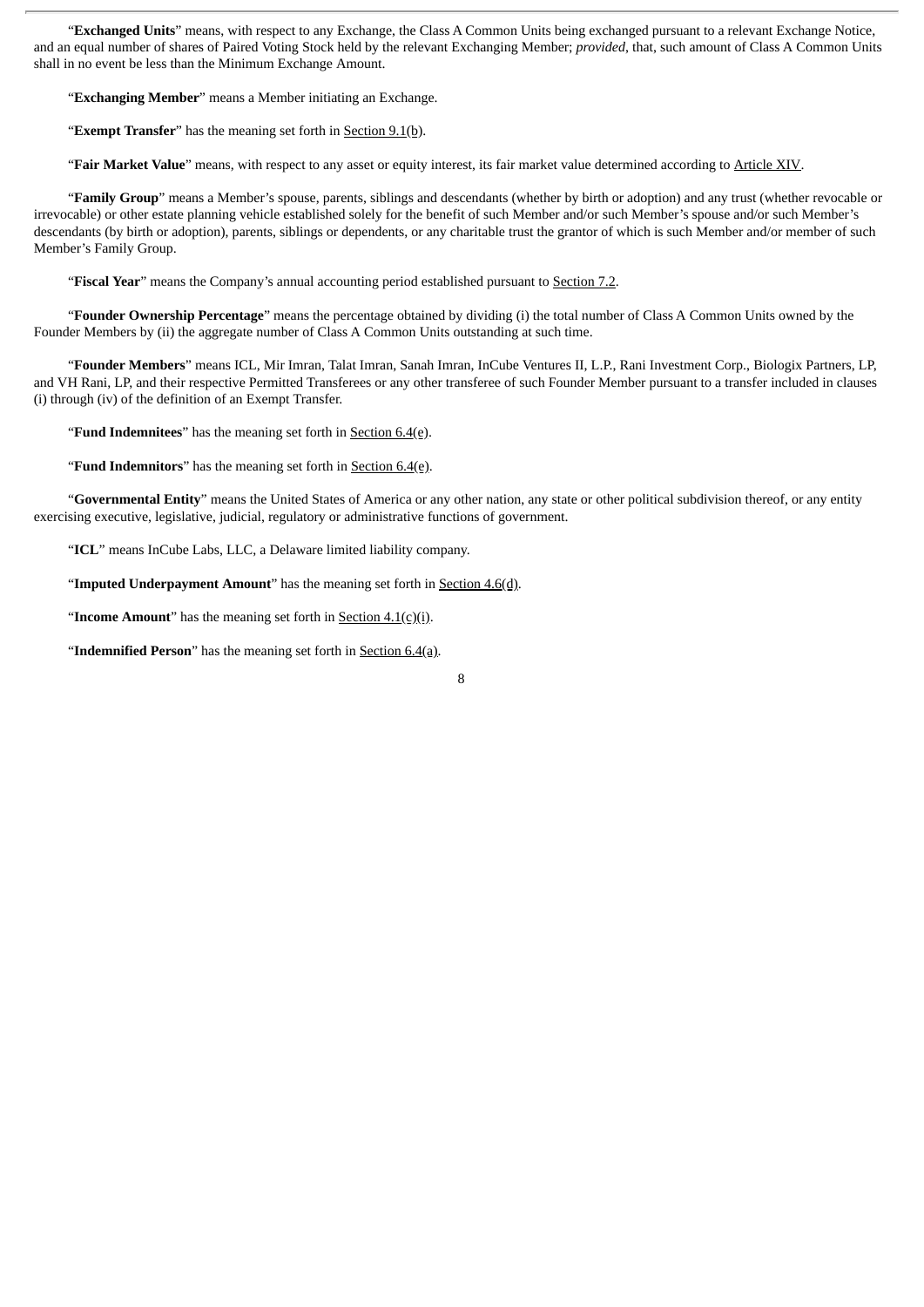"**Exchanged Units**" means, with respect to any Exchange, the Class A Common Units being exchanged pursuant to a relevant Exchange Notice, and an equal number of shares of Paired Voting Stock held by the relevant Exchanging Member; *provided*, that, such amount of Class A Common Units shall in no event be less than the Minimum Exchange Amount.

"**Exchanging Member**" means a Member initiating an Exchange.

"**Exempt Transfer**" has the meaning set forth in Section 9.1(b).

"**Fair Market Value**" means, with respect to any asset or equity interest, its fair market value determined according to Article XIV.

"**Family Group**" means a Member's spouse, parents, siblings and descendants (whether by birth or adoption) and any trust (whether revocable or irrevocable) or other estate planning vehicle established solely for the benefit of such Member and/or such Member's spouse and/or such Member's descendants (by birth or adoption), parents, siblings or dependents, or any charitable trust the grantor of which is such Member and/or member of such Member's Family Group.

"**Fiscal Year**" means the Company's annual accounting period established pursuant to Section 7.2.

"**Founder Ownership Percentage**" means the percentage obtained by dividing (i) the total number of Class A Common Units owned by the Founder Members by (ii) the aggregate number of Class A Common Units outstanding at such time.

"**Founder Members**" means ICL, Mir Imran, Talat Imran, Sanah Imran, InCube Ventures II, L.P., Rani Investment Corp., Biologix Partners, LP, and VH Rani, LP, and their respective Permitted Transferees or any other transferee of such Founder Member pursuant to a transfer included in clauses (i) through (iv) of the definition of an Exempt Transfer.

"**Fund Indemnitees**" has the meaning set forth in Section 6.4(e).

"**Fund Indemnitors**" has the meaning set forth in Section 6.4(e).

"**Governmental Entity**" means the United States of America or any other nation, any state or other political subdivision thereof, or any entity exercising executive, legislative, judicial, regulatory or administrative functions of government.

"**ICL**" means InCube Labs, LLC, a Delaware limited liability company.

"**Imputed Underpayment Amount**" has the meaning set forth in Section 4.6(d).

"**Income Amount**" has the meaning set forth in **Section 4.1(c)(i)**.

"**Indemnified Person**" has the meaning set forth in Section 6.4(a).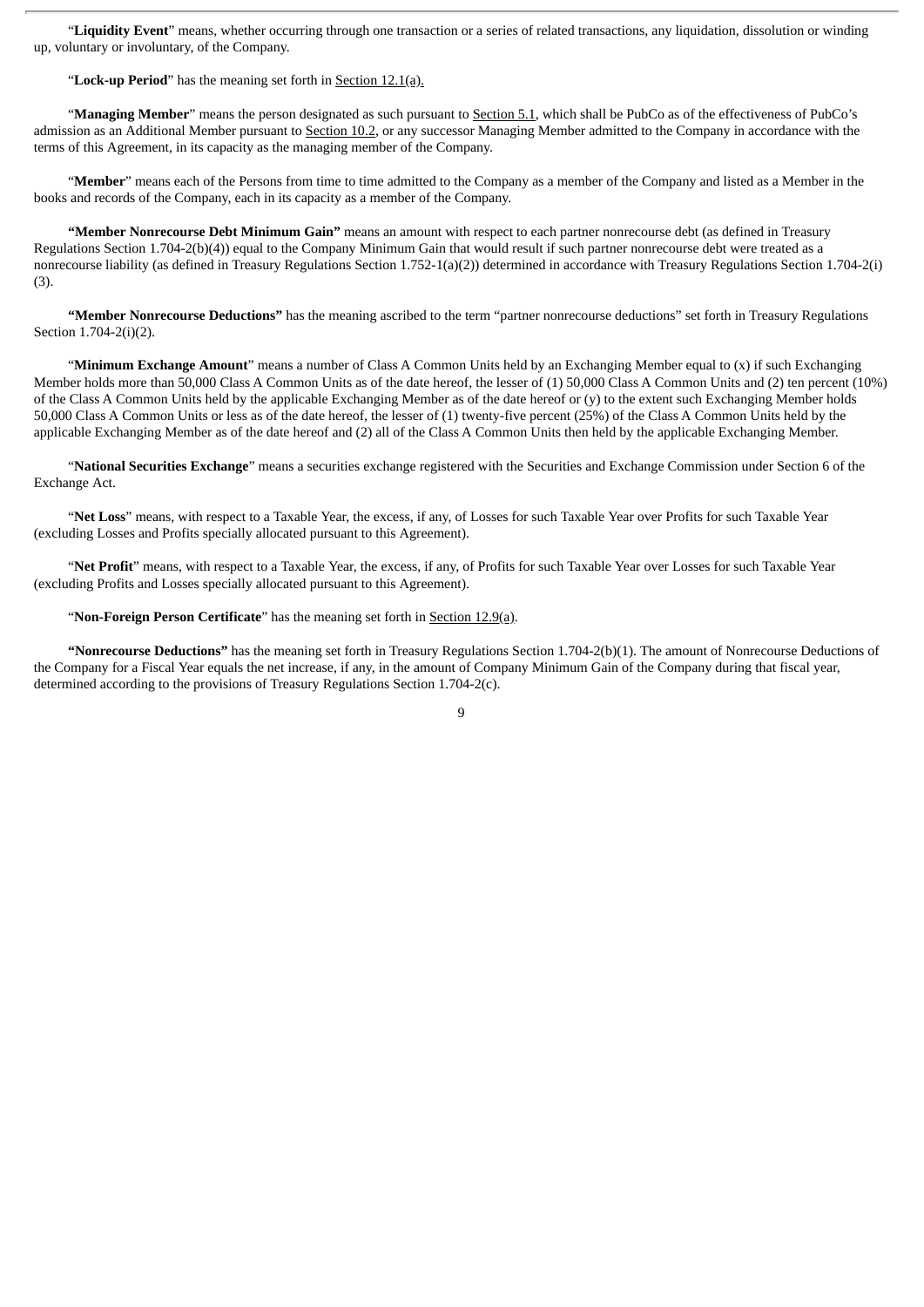"**Liquidity Event**" means, whether occurring through one transaction or a series of related transactions, any liquidation, dissolution or winding up, voluntary or involuntary, of the Company.

"**Lock-up Period**" has the meaning set forth in Section 12.1(a).

"**Managing Member**" means the person designated as such pursuant to Section 5.1, which shall be PubCo as of the effectiveness of PubCo's admission as an Additional Member pursuant to Section 10.2, or any successor Managing Member admitted to the Company in accordance with the terms of this Agreement, in its capacity as the managing member of the Company.

"**Member**" means each of the Persons from time to time admitted to the Company as a member of the Company and listed as a Member in the books and records of the Company, each in its capacity as a member of the Company.

**"Member Nonrecourse Debt Minimum Gain"** means an amount with respect to each partner nonrecourse debt (as defined in Treasury Regulations Section 1.704-2(b)(4)) equal to the Company Minimum Gain that would result if such partner nonrecourse debt were treated as a nonrecourse liability (as defined in Treasury Regulations Section 1.752-1(a)(2)) determined in accordance with Treasury Regulations Section 1.704-2(i) (3).

**"Member Nonrecourse Deductions"** has the meaning ascribed to the term "partner nonrecourse deductions" set forth in Treasury Regulations Section 1.704-2(i)(2).

"**Minimum Exchange Amount**" means a number of Class A Common Units held by an Exchanging Member equal to (x) if such Exchanging Member holds more than 50,000 Class A Common Units as of the date hereof, the lesser of (1) 50,000 Class A Common Units and (2) ten percent (10%) of the Class A Common Units held by the applicable Exchanging Member as of the date hereof or (y) to the extent such Exchanging Member holds 50,000 Class A Common Units or less as of the date hereof, the lesser of (1) twenty-five percent (25%) of the Class A Common Units held by the applicable Exchanging Member as of the date hereof and (2) all of the Class A Common Units then held by the applicable Exchanging Member.

"**National Securities Exchange**" means a securities exchange registered with the Securities and Exchange Commission under Section 6 of the Exchange Act.

"**Net Loss**" means, with respect to a Taxable Year, the excess, if any, of Losses for such Taxable Year over Profits for such Taxable Year (excluding Losses and Profits specially allocated pursuant to this Agreement).

"**Net Profit**" means, with respect to a Taxable Year, the excess, if any, of Profits for such Taxable Year over Losses for such Taxable Year (excluding Profits and Losses specially allocated pursuant to this Agreement).

#### "**Non-Foreign Person Certificate**" has the meaning set forth in Section 12.9(a).

**"Nonrecourse Deductions"** has the meaning set forth in Treasury Regulations Section 1.704-2(b)(1). The amount of Nonrecourse Deductions of the Company for a Fiscal Year equals the net increase, if any, in the amount of Company Minimum Gain of the Company during that fiscal year, determined according to the provisions of Treasury Regulations Section 1.704-2(c).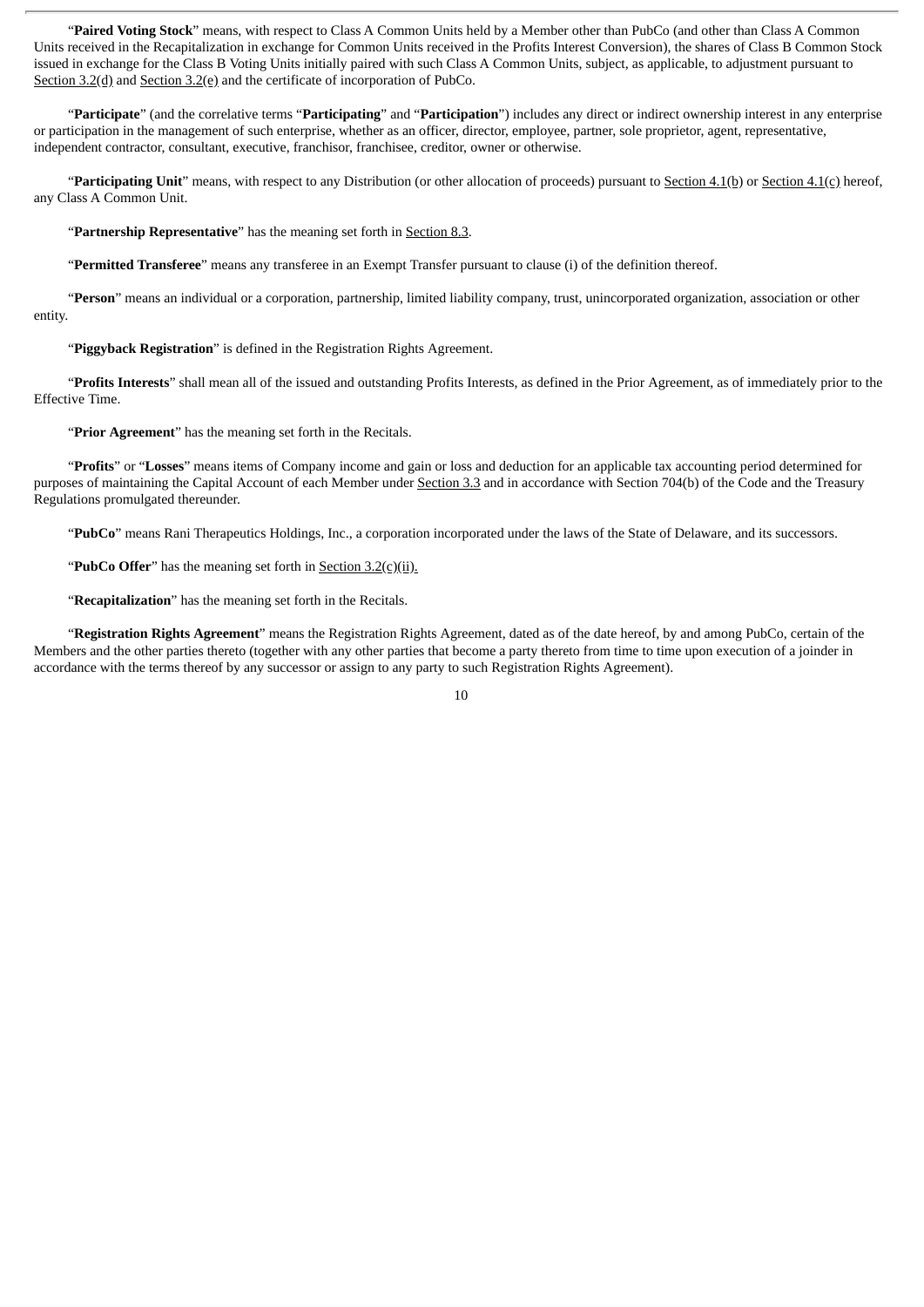"**Paired Voting Stock**" means, with respect to Class A Common Units held by a Member other than PubCo (and other than Class A Common Units received in the Recapitalization in exchange for Common Units received in the Profits Interest Conversion), the shares of Class B Common Stock issued in exchange for the Class B Voting Units initially paired with such Class A Common Units, subject, as applicable, to adjustment pursuant to Section 3.2(d) and Section 3.2(e) and the certificate of incorporation of PubCo.

"**Participate**" (and the correlative terms "**Participating**" and "**Participation**") includes any direct or indirect ownership interest in any enterprise or participation in the management of such enterprise, whether as an officer, director, employee, partner, sole proprietor, agent, representative, independent contractor, consultant, executive, franchisor, franchisee, creditor, owner or otherwise.

"Participating Unit" means, with respect to any Distribution (or other allocation of proceeds) pursuant to Section 4.1(b) or Section 4.1(c) hereof, any Class A Common Unit.

"**Partnership Representative**" has the meaning set forth in Section 8.3.

"**Permitted Transferee**" means any transferee in an Exempt Transfer pursuant to clause (i) of the definition thereof.

"**Person**" means an individual or a corporation, partnership, limited liability company, trust, unincorporated organization, association or other entity.

"**Piggyback Registration**" is defined in the Registration Rights Agreement.

"**Profits Interests**" shall mean all of the issued and outstanding Profits Interests, as defined in the Prior Agreement, as of immediately prior to the Effective Time.

"**Prior Agreement**" has the meaning set forth in the Recitals.

"**Profits**" or "**Losses**" means items of Company income and gain or loss and deduction for an applicable tax accounting period determined for purposes of maintaining the Capital Account of each Member under Section 3.3 and in accordance with Section 704(b) of the Code and the Treasury Regulations promulgated thereunder.

"**PubCo**" means Rani Therapeutics Holdings, Inc., a corporation incorporated under the laws of the State of Delaware, and its successors.

"**PubCo Offer**" has the meaning set forth in <u>Section 3.2(c)(ii).</u>

"**Recapitalization**" has the meaning set forth in the Recitals.

"**Registration Rights Agreement**" means the Registration Rights Agreement, dated as of the date hereof, by and among PubCo, certain of the Members and the other parties thereto (together with any other parties that become a party thereto from time to time upon execution of a joinder in accordance with the terms thereof by any successor or assign to any party to such Registration Rights Agreement).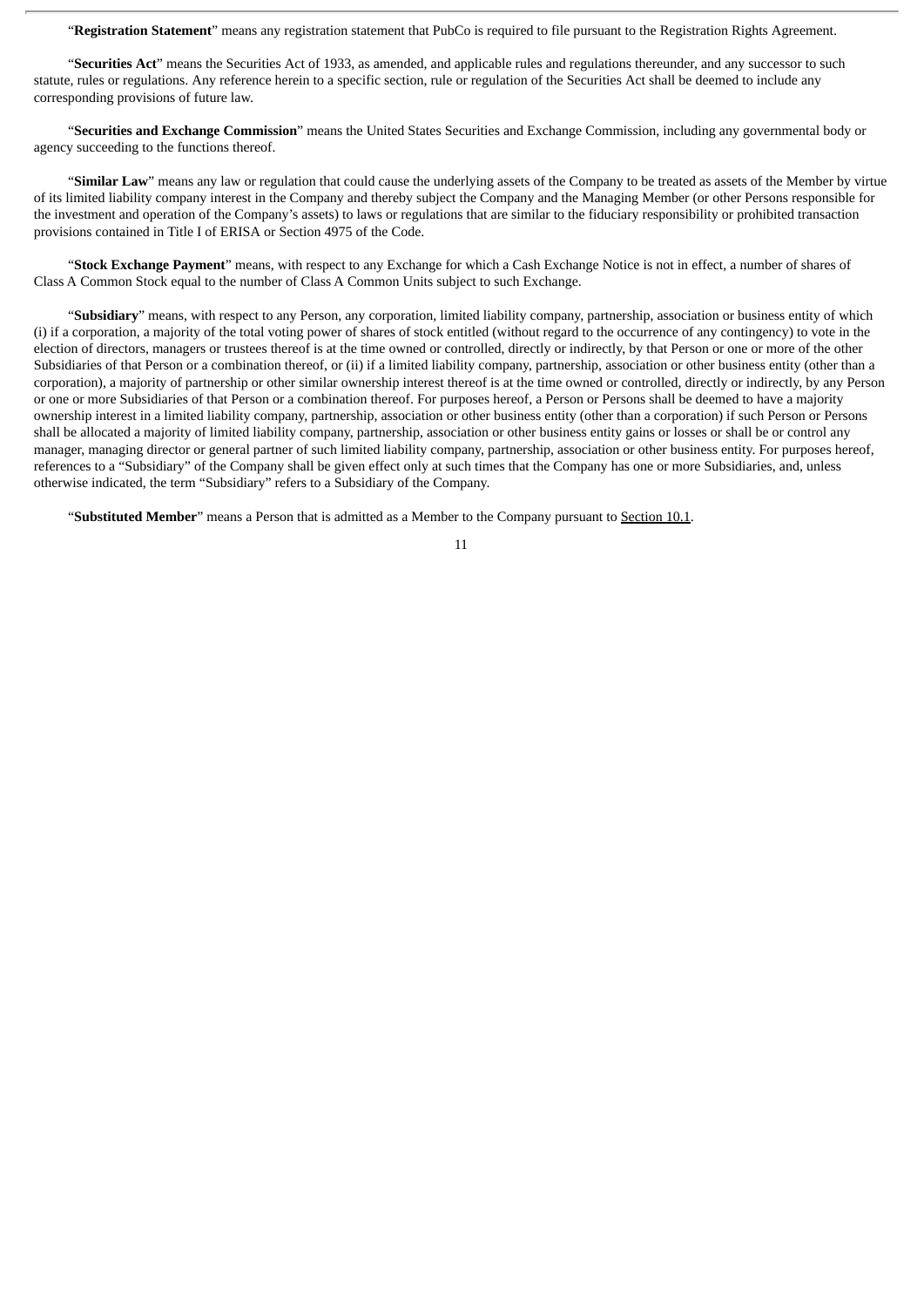"**Registration Statement**" means any registration statement that PubCo is required to file pursuant to the Registration Rights Agreement.

"**Securities Act**" means the Securities Act of 1933, as amended, and applicable rules and regulations thereunder, and any successor to such statute, rules or regulations. Any reference herein to a specific section, rule or regulation of the Securities Act shall be deemed to include any corresponding provisions of future law.

"**Securities and Exchange Commission**" means the United States Securities and Exchange Commission, including any governmental body or agency succeeding to the functions thereof.

"**Similar Law**" means any law or regulation that could cause the underlying assets of the Company to be treated as assets of the Member by virtue of its limited liability company interest in the Company and thereby subject the Company and the Managing Member (or other Persons responsible for the investment and operation of the Company's assets) to laws or regulations that are similar to the fiduciary responsibility or prohibited transaction provisions contained in Title I of ERISA or Section 4975 of the Code.

"**Stock Exchange Payment**" means, with respect to any Exchange for which a Cash Exchange Notice is not in effect, a number of shares of Class A Common Stock equal to the number of Class A Common Units subject to such Exchange.

"**Subsidiary**" means, with respect to any Person, any corporation, limited liability company, partnership, association or business entity of which (i) if a corporation, a majority of the total voting power of shares of stock entitled (without regard to the occurrence of any contingency) to vote in the election of directors, managers or trustees thereof is at the time owned or controlled, directly or indirectly, by that Person or one or more of the other Subsidiaries of that Person or a combination thereof, or (ii) if a limited liability company, partnership, association or other business entity (other than a corporation), a majority of partnership or other similar ownership interest thereof is at the time owned or controlled, directly or indirectly, by any Person or one or more Subsidiaries of that Person or a combination thereof. For purposes hereof, a Person or Persons shall be deemed to have a majority ownership interest in a limited liability company, partnership, association or other business entity (other than a corporation) if such Person or Persons shall be allocated a majority of limited liability company, partnership, association or other business entity gains or losses or shall be or control any manager, managing director or general partner of such limited liability company, partnership, association or other business entity. For purposes hereof, references to a "Subsidiary" of the Company shall be given effect only at such times that the Company has one or more Subsidiaries, and, unless otherwise indicated, the term "Subsidiary" refers to a Subsidiary of the Company.

"**Substituted Member**" means a Person that is admitted as a Member to the Company pursuant to Section 10.1.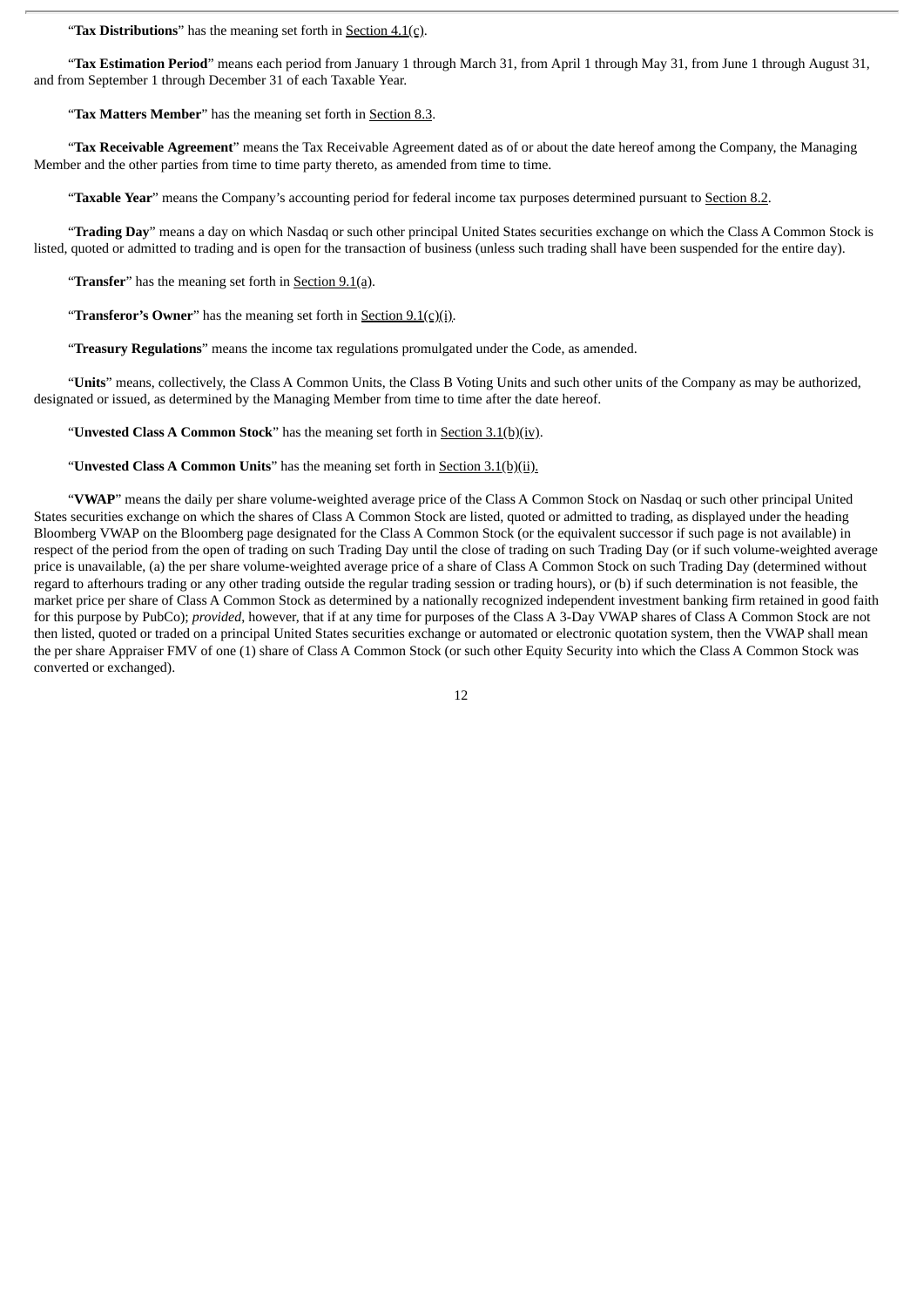"**Tax Distributions**" has the meaning set forth in Section 4.1(c).

"**Tax Estimation Period**" means each period from January 1 through March 31, from April 1 through May 31, from June 1 through August 31, and from September 1 through December 31 of each Taxable Year.

"**Tax Matters Member**" has the meaning set forth in Section 8.3.

"**Tax Receivable Agreement**" means the Tax Receivable Agreement dated as of or about the date hereof among the Company, the Managing Member and the other parties from time to time party thereto, as amended from time to time.

"**Taxable Year**" means the Company's accounting period for federal income tax purposes determined pursuant to Section 8.2.

"**Trading Day**" means a day on which Nasdaq or such other principal United States securities exchange on which the Class A Common Stock is listed, quoted or admitted to trading and is open for the transaction of business (unless such trading shall have been suspended for the entire day).

"**Transfer**" has the meaning set forth in Section 9.1(a).

"**Transferor's Owner**" has the meaning set forth in **Section**  $9.1(c)(i)$ .

"**Treasury Regulations**" means the income tax regulations promulgated under the Code, as amended.

"**Units**" means, collectively, the Class A Common Units, the Class B Voting Units and such other units of the Company as may be authorized, designated or issued, as determined by the Managing Member from time to time after the date hereof.

"**Unvested Class A Common Stock**" has the meaning set forth in **Section 3.1(b)(iv)**.

"**Unvested Class A Common Units**" has the meaning set forth in Section 3.1(b)(ii).

"**VWAP**" means the daily per share volume-weighted average price of the Class A Common Stock on Nasdaq or such other principal United States securities exchange on which the shares of Class A Common Stock are listed, quoted or admitted to trading, as displayed under the heading Bloomberg VWAP on the Bloomberg page designated for the Class A Common Stock (or the equivalent successor if such page is not available) in respect of the period from the open of trading on such Trading Day until the close of trading on such Trading Day (or if such volume-weighted average price is unavailable, (a) the per share volume-weighted average price of a share of Class A Common Stock on such Trading Day (determined without regard to afterhours trading or any other trading outside the regular trading session or trading hours), or (b) if such determination is not feasible, the market price per share of Class A Common Stock as determined by a nationally recognized independent investment banking firm retained in good faith for this purpose by PubCo); *provided*, however, that if at any time for purposes of the Class A 3-Day VWAP shares of Class A Common Stock are not then listed, quoted or traded on a principal United States securities exchange or automated or electronic quotation system, then the VWAP shall mean the per share Appraiser FMV of one (1) share of Class A Common Stock (or such other Equity Security into which the Class A Common Stock was converted or exchanged).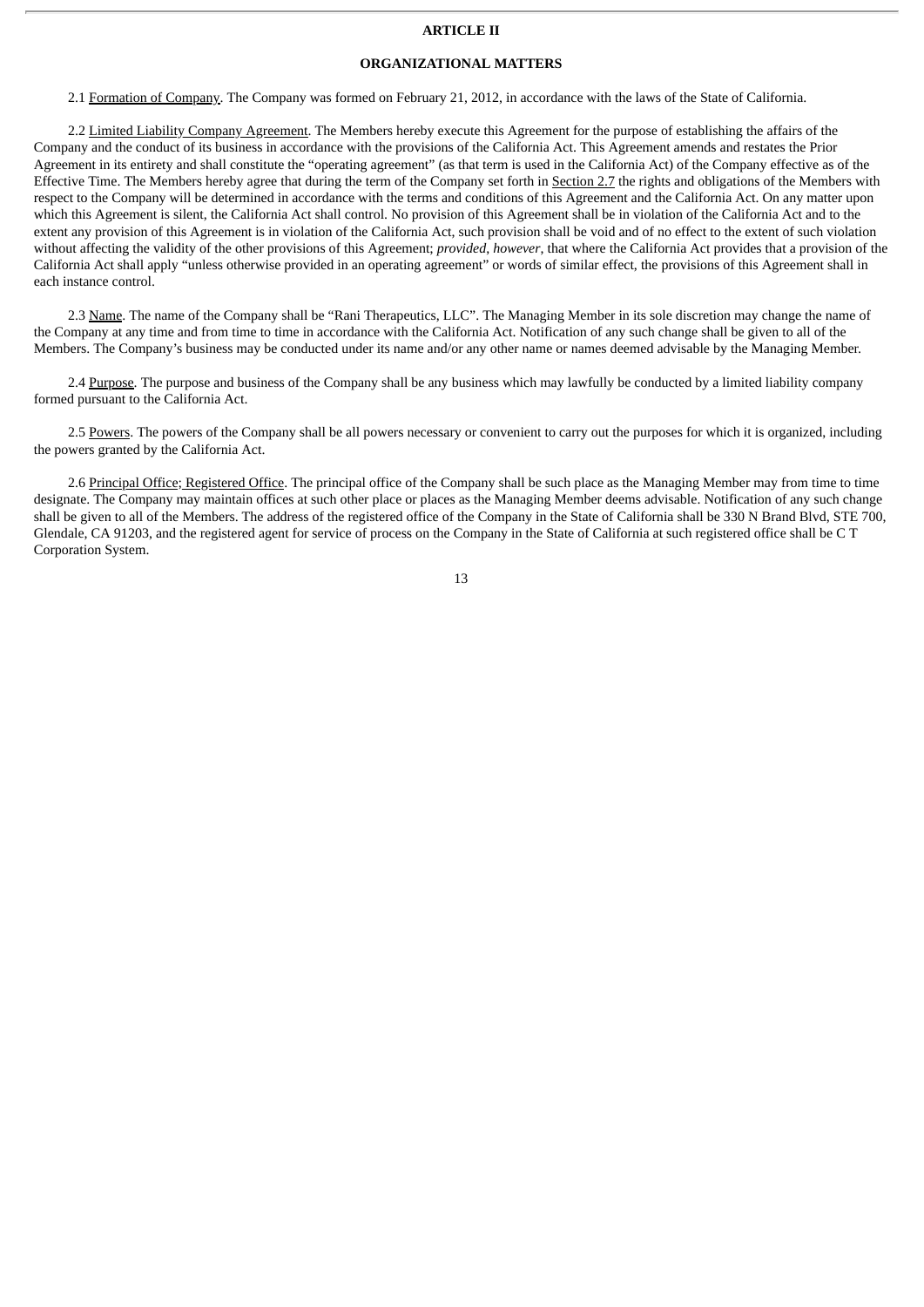### **ARTICLE II**

#### **ORGANIZATIONAL MATTERS**

2.1 Formation of Company. The Company was formed on February 21, 2012, in accordance with the laws of the State of California.

2.2 Limited Liability Company Agreement. The Members hereby execute this Agreement for the purpose of establishing the affairs of the Company and the conduct of its business in accordance with the provisions of the California Act. This Agreement amends and restates the Prior Agreement in its entirety and shall constitute the "operating agreement" (as that term is used in the California Act) of the Company effective as of the Effective Time. The Members hereby agree that during the term of the Company set forth in Section 2.7 the rights and obligations of the Members with respect to the Company will be determined in accordance with the terms and conditions of this Agreement and the California Act. On any matter upon which this Agreement is silent, the California Act shall control. No provision of this Agreement shall be in violation of the California Act and to the extent any provision of this Agreement is in violation of the California Act, such provision shall be void and of no effect to the extent of such violation without affecting the validity of the other provisions of this Agreement; *provided*, *however*, that where the California Act provides that a provision of the California Act shall apply "unless otherwise provided in an operating agreement" or words of similar effect, the provisions of this Agreement shall in each instance control.

2.3 Name. The name of the Company shall be "Rani Therapeutics, LLC". The Managing Member in its sole discretion may change the name of the Company at any time and from time to time in accordance with the California Act. Notification of any such change shall be given to all of the Members. The Company's business may be conducted under its name and/or any other name or names deemed advisable by the Managing Member.

2.4 Purpose. The purpose and business of the Company shall be any business which may lawfully be conducted by a limited liability company formed pursuant to the California Act.

2.5 Powers. The powers of the Company shall be all powers necessary or convenient to carry out the purposes for which it is organized, including the powers granted by the California Act.

2.6 Principal Office; Registered Office. The principal office of the Company shall be such place as the Managing Member may from time to time designate. The Company may maintain offices at such other place or places as the Managing Member deems advisable. Notification of any such change shall be given to all of the Members. The address of the registered office of the Company in the State of California shall be 330 N Brand Blvd, STE 700, Glendale, CA 91203, and the registered agent for service of process on the Company in the State of California at such registered office shall be C T Corporation System.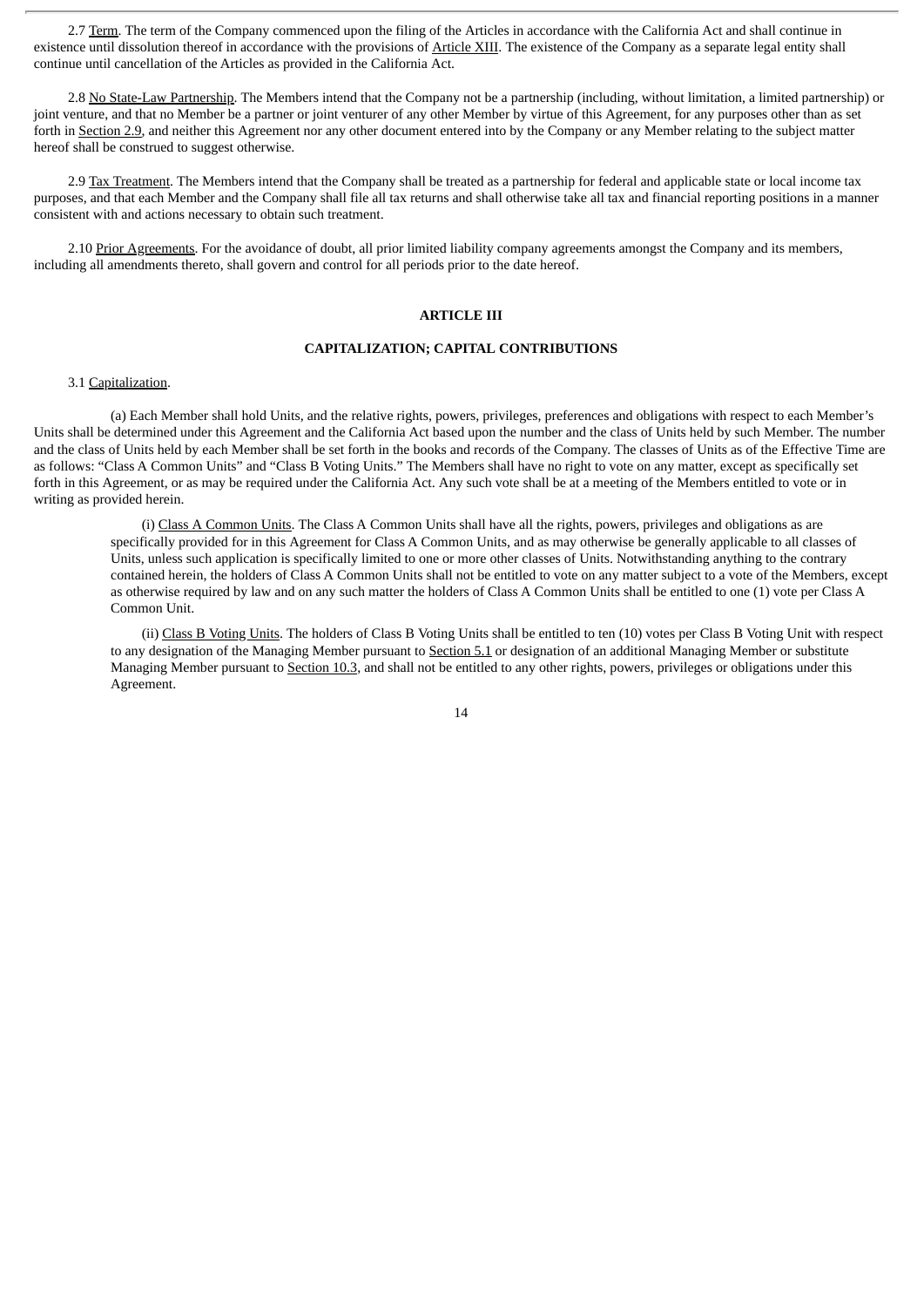2.7 Term. The term of the Company commenced upon the filing of the Articles in accordance with the California Act and shall continue in existence until dissolution thereof in accordance with the provisions of Article XIII. The existence of the Company as a separate legal entity shall continue until cancellation of the Articles as provided in the California Act.

2.8 No State-Law Partnership. The Members intend that the Company not be a partnership (including, without limitation, a limited partnership) or joint venture, and that no Member be a partner or joint venturer of any other Member by virtue of this Agreement, for any purposes other than as set forth in Section 2.9, and neither this Agreement nor any other document entered into by the Company or any Member relating to the subject matter hereof shall be construed to suggest otherwise.

2.9 Tax Treatment. The Members intend that the Company shall be treated as a partnership for federal and applicable state or local income tax purposes, and that each Member and the Company shall file all tax returns and shall otherwise take all tax and financial reporting positions in a manner consistent with and actions necessary to obtain such treatment.

2.10 Prior Agreements. For the avoidance of doubt, all prior limited liability company agreements amongst the Company and its members, including all amendments thereto, shall govern and control for all periods prior to the date hereof.

## **ARTICLE III**

## **CAPITALIZATION; CAPITAL CONTRIBUTIONS**

#### 3.1 Capitalization.

(a) Each Member shall hold Units, and the relative rights, powers, privileges, preferences and obligations with respect to each Member's Units shall be determined under this Agreement and the California Act based upon the number and the class of Units held by such Member. The number and the class of Units held by each Member shall be set forth in the books and records of the Company. The classes of Units as of the Effective Time are as follows: "Class A Common Units" and "Class B Voting Units." The Members shall have no right to vote on any matter, except as specifically set forth in this Agreement, or as may be required under the California Act. Any such vote shall be at a meeting of the Members entitled to vote or in writing as provided herein.

(i) Class A Common Units. The Class A Common Units shall have all the rights, powers, privileges and obligations as are specifically provided for in this Agreement for Class A Common Units, and as may otherwise be generally applicable to all classes of Units, unless such application is specifically limited to one or more other classes of Units. Notwithstanding anything to the contrary contained herein, the holders of Class A Common Units shall not be entitled to vote on any matter subject to a vote of the Members, except as otherwise required by law and on any such matter the holders of Class A Common Units shall be entitled to one (1) vote per Class A Common Unit.

(ii) Class B Voting Units. The holders of Class B Voting Units shall be entitled to ten (10) votes per Class B Voting Unit with respect to any designation of the Managing Member pursuant to Section 5.1 or designation of an additional Managing Member or substitute Managing Member pursuant to Section 10.3, and shall not be entitled to any other rights, powers, privileges or obligations under this Agreement.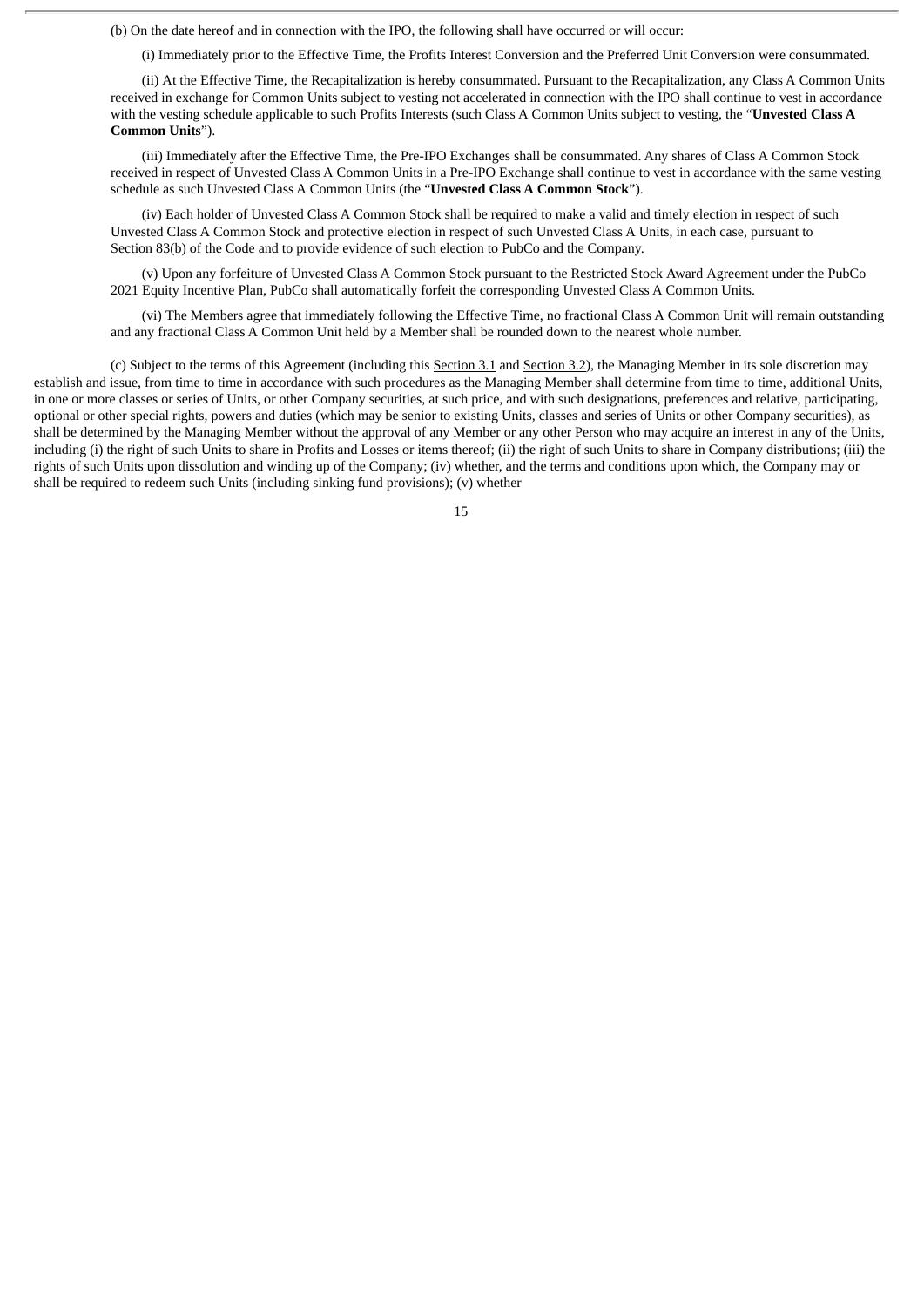(b) On the date hereof and in connection with the IPO, the following shall have occurred or will occur:

(i) Immediately prior to the Effective Time, the Profits Interest Conversion and the Preferred Unit Conversion were consummated.

(ii) At the Effective Time, the Recapitalization is hereby consummated. Pursuant to the Recapitalization, any Class A Common Units received in exchange for Common Units subject to vesting not accelerated in connection with the IPO shall continue to vest in accordance with the vesting schedule applicable to such Profits Interests (such Class A Common Units subject to vesting, the "**Unvested Class A Common Units**").

(iii) Immediately after the Effective Time, the Pre-IPO Exchanges shall be consummated. Any shares of Class A Common Stock received in respect of Unvested Class A Common Units in a Pre-IPO Exchange shall continue to vest in accordance with the same vesting schedule as such Unvested Class A Common Units (the "**Unvested Class A Common Stock**").

(iv) Each holder of Unvested Class A Common Stock shall be required to make a valid and timely election in respect of such Unvested Class A Common Stock and protective election in respect of such Unvested Class A Units, in each case, pursuant to Section 83(b) of the Code and to provide evidence of such election to PubCo and the Company.

(v) Upon any forfeiture of Unvested Class A Common Stock pursuant to the Restricted Stock Award Agreement under the PubCo 2021 Equity Incentive Plan, PubCo shall automatically forfeit the corresponding Unvested Class A Common Units.

(vi) The Members agree that immediately following the Effective Time, no fractional Class A Common Unit will remain outstanding and any fractional Class A Common Unit held by a Member shall be rounded down to the nearest whole number.

(c) Subject to the terms of this Agreement (including this Section 3.1 and Section 3.2), the Managing Member in its sole discretion may establish and issue, from time to time in accordance with such procedures as the Managing Member shall determine from time to time, additional Units, in one or more classes or series of Units, or other Company securities, at such price, and with such designations, preferences and relative, participating, optional or other special rights, powers and duties (which may be senior to existing Units, classes and series of Units or other Company securities), as shall be determined by the Managing Member without the approval of any Member or any other Person who may acquire an interest in any of the Units, including (i) the right of such Units to share in Profits and Losses or items thereof; (ii) the right of such Units to share in Company distributions; (iii) the rights of such Units upon dissolution and winding up of the Company; (iv) whether, and the terms and conditions upon which, the Company may or shall be required to redeem such Units (including sinking fund provisions); (v) whether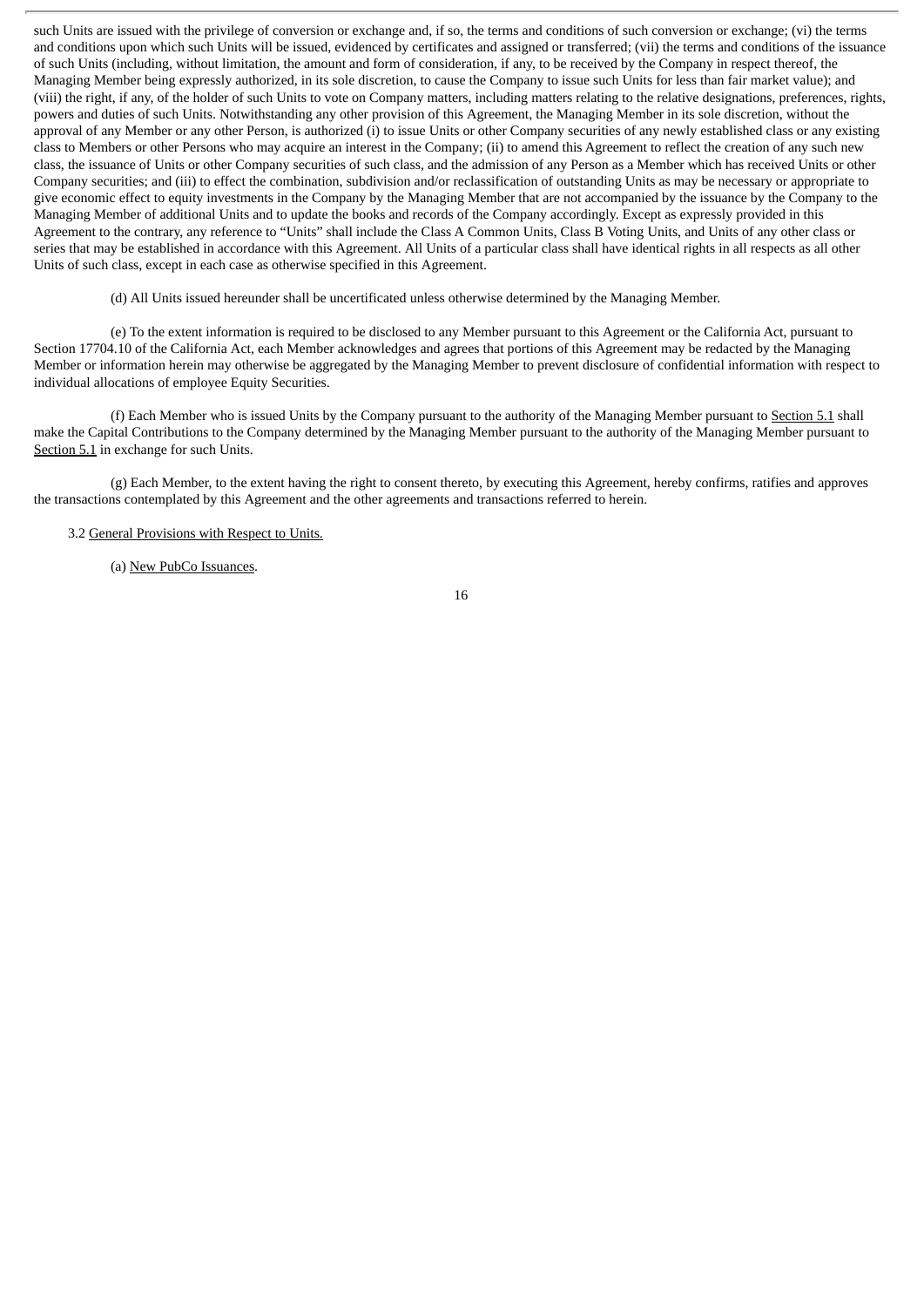such Units are issued with the privilege of conversion or exchange and, if so, the terms and conditions of such conversion or exchange; (vi) the terms and conditions upon which such Units will be issued, evidenced by certificates and assigned or transferred; (vii) the terms and conditions of the issuance of such Units (including, without limitation, the amount and form of consideration, if any, to be received by the Company in respect thereof, the Managing Member being expressly authorized, in its sole discretion, to cause the Company to issue such Units for less than fair market value); and (viii) the right, if any, of the holder of such Units to vote on Company matters, including matters relating to the relative designations, preferences, rights, powers and duties of such Units. Notwithstanding any other provision of this Agreement, the Managing Member in its sole discretion, without the approval of any Member or any other Person, is authorized (i) to issue Units or other Company securities of any newly established class or any existing class to Members or other Persons who may acquire an interest in the Company; (ii) to amend this Agreement to reflect the creation of any such new class, the issuance of Units or other Company securities of such class, and the admission of any Person as a Member which has received Units or other Company securities; and (iii) to effect the combination, subdivision and/or reclassification of outstanding Units as may be necessary or appropriate to give economic effect to equity investments in the Company by the Managing Member that are not accompanied by the issuance by the Company to the Managing Member of additional Units and to update the books and records of the Company accordingly. Except as expressly provided in this Agreement to the contrary, any reference to "Units" shall include the Class A Common Units, Class B Voting Units, and Units of any other class or series that may be established in accordance with this Agreement. All Units of a particular class shall have identical rights in all respects as all other Units of such class, except in each case as otherwise specified in this Agreement.

(d) All Units issued hereunder shall be uncertificated unless otherwise determined by the Managing Member.

(e) To the extent information is required to be disclosed to any Member pursuant to this Agreement or the California Act, pursuant to Section 17704.10 of the California Act, each Member acknowledges and agrees that portions of this Agreement may be redacted by the Managing Member or information herein may otherwise be aggregated by the Managing Member to prevent disclosure of confidential information with respect to individual allocations of employee Equity Securities.

(f) Each Member who is issued Units by the Company pursuant to the authority of the Managing Member pursuant to Section 5.1 shall make the Capital Contributions to the Company determined by the Managing Member pursuant to the authority of the Managing Member pursuant to Section 5.1 in exchange for such Units.

(g) Each Member, to the extent having the right to consent thereto, by executing this Agreement, hereby confirms, ratifies and approves the transactions contemplated by this Agreement and the other agreements and transactions referred to herein.

3.2 General Provisions with Respect to Units.

(a) New PubCo Issuances.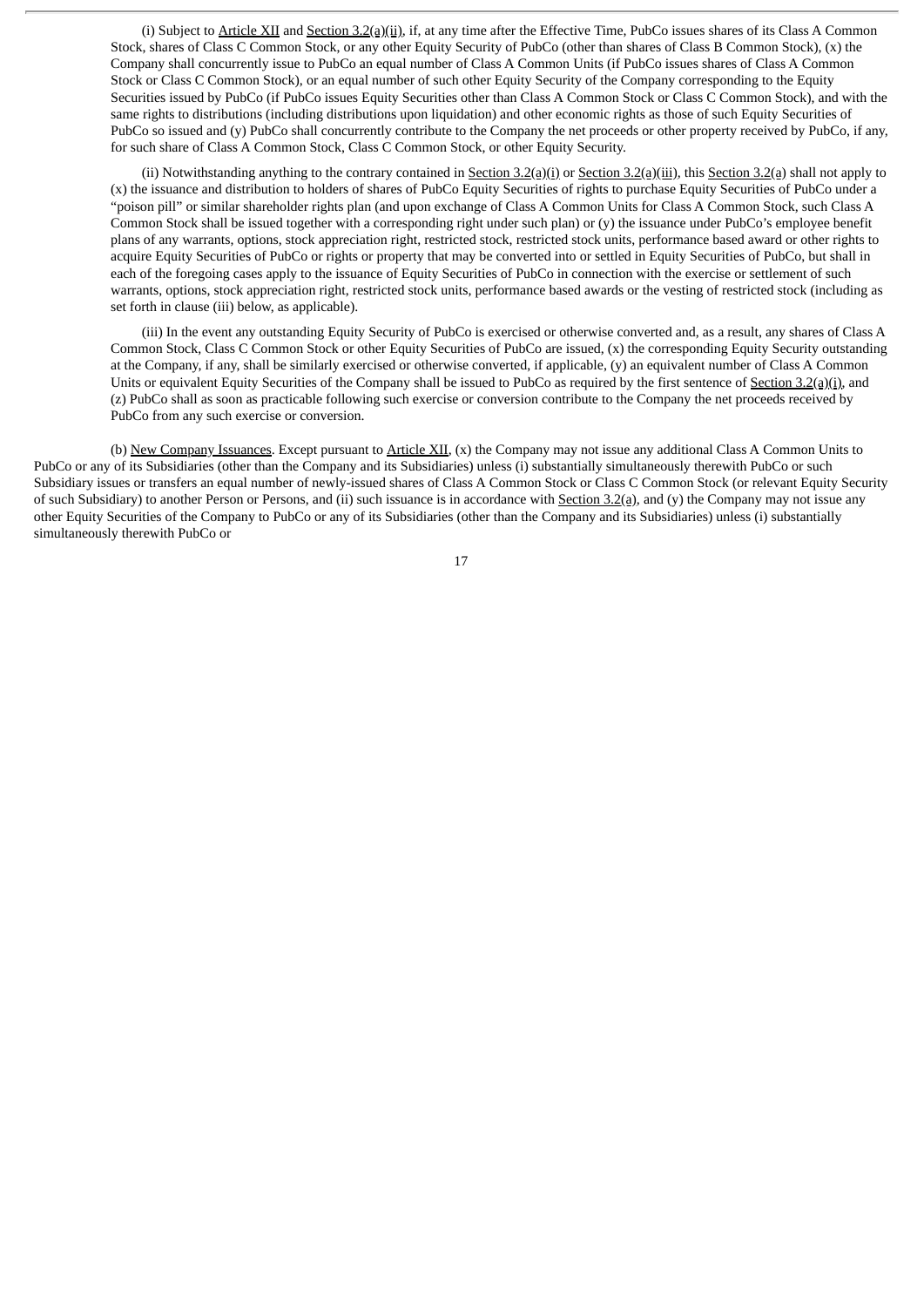(i) Subject to Article XII and Section 3.2(a)(ii), if, at any time after the Effective Time, PubCo issues shares of its Class A Common Stock, shares of Class C Common Stock, or any other Equity Security of PubCo (other than shares of Class B Common Stock), (x) the Company shall concurrently issue to PubCo an equal number of Class A Common Units (if PubCo issues shares of Class A Common Stock or Class C Common Stock), or an equal number of such other Equity Security of the Company corresponding to the Equity Securities issued by PubCo (if PubCo issues Equity Securities other than Class A Common Stock or Class C Common Stock), and with the same rights to distributions (including distributions upon liquidation) and other economic rights as those of such Equity Securities of PubCo so issued and (y) PubCo shall concurrently contribute to the Company the net proceeds or other property received by PubCo, if any, for such share of Class A Common Stock, Class C Common Stock, or other Equity Security.

(ii) Notwithstanding anything to the contrary contained in Section 3.2(a)(i) or Section 3.2(a)(iii), this Section 3.2(a) shall not apply to (x) the issuance and distribution to holders of shares of PubCo Equity Securities of rights to purchase Equity Securities of PubCo under a "poison pill" or similar shareholder rights plan (and upon exchange of Class A Common Units for Class A Common Stock, such Class A Common Stock shall be issued together with a corresponding right under such plan) or (y) the issuance under PubCo's employee benefit plans of any warrants, options, stock appreciation right, restricted stock, restricted stock units, performance based award or other rights to acquire Equity Securities of PubCo or rights or property that may be converted into or settled in Equity Securities of PubCo, but shall in each of the foregoing cases apply to the issuance of Equity Securities of PubCo in connection with the exercise or settlement of such warrants, options, stock appreciation right, restricted stock units, performance based awards or the vesting of restricted stock (including as set forth in clause (iii) below, as applicable).

(iii) In the event any outstanding Equity Security of PubCo is exercised or otherwise converted and, as a result, any shares of Class A Common Stock, Class C Common Stock or other Equity Securities of PubCo are issued, (x) the corresponding Equity Security outstanding at the Company, if any, shall be similarly exercised or otherwise converted, if applicable, (y) an equivalent number of Class A Common Units or equivalent Equity Securities of the Company shall be issued to PubCo as required by the first sentence of Section 3.2(a)(i), and (z) PubCo shall as soon as practicable following such exercise or conversion contribute to the Company the net proceeds received by PubCo from any such exercise or conversion.

(b) New Company Issuances. Except pursuant to Article XII, (x) the Company may not issue any additional Class A Common Units to PubCo or any of its Subsidiaries (other than the Company and its Subsidiaries) unless (i) substantially simultaneously therewith PubCo or such Subsidiary issues or transfers an equal number of newly-issued shares of Class A Common Stock or Class C Common Stock (or relevant Equity Security of such Subsidiary) to another Person or Persons, and (ii) such issuance is in accordance with Section 3.2(a), and (y) the Company may not issue any other Equity Securities of the Company to PubCo or any of its Subsidiaries (other than the Company and its Subsidiaries) unless (i) substantially simultaneously therewith PubCo or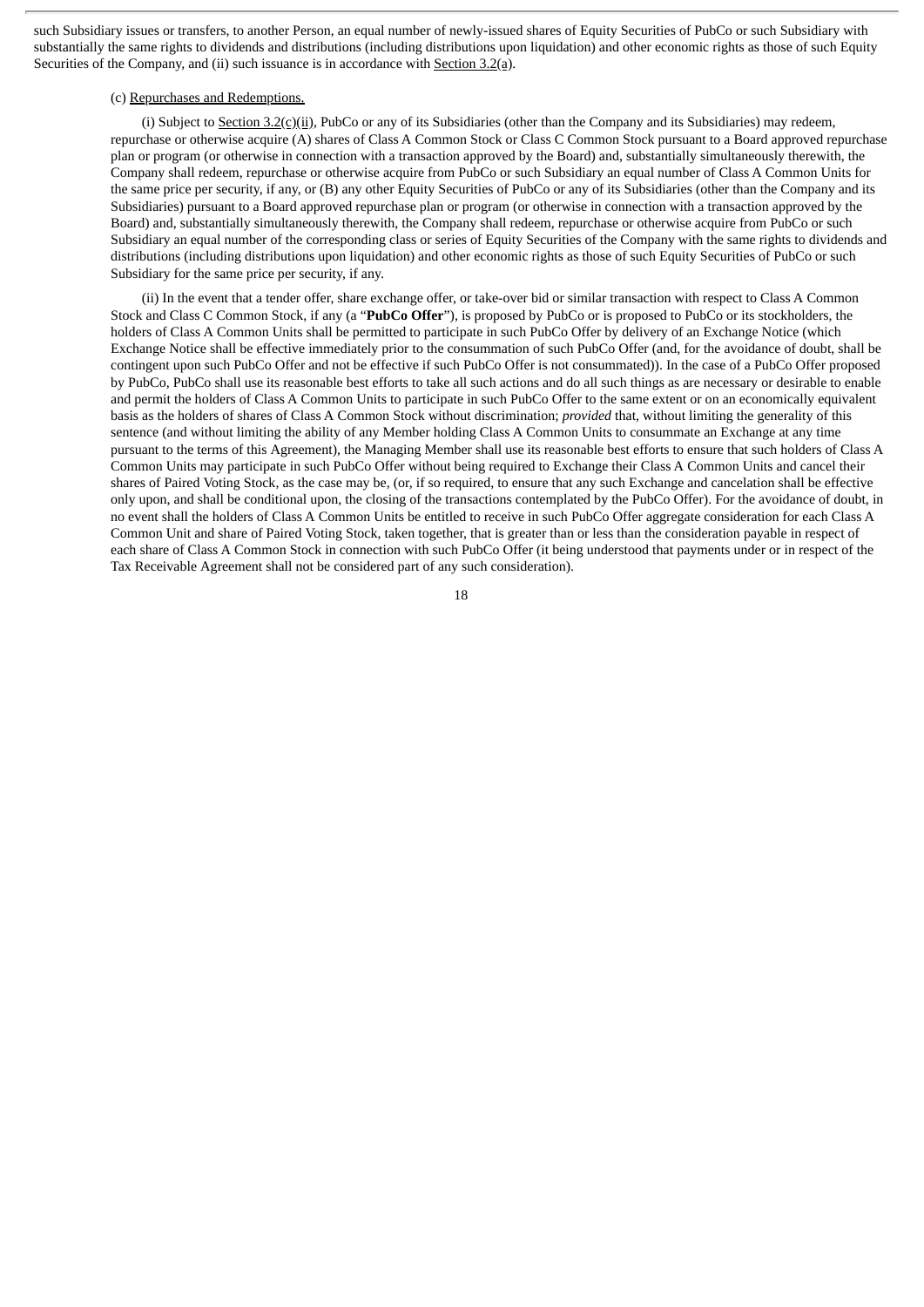such Subsidiary issues or transfers, to another Person, an equal number of newly-issued shares of Equity Securities of PubCo or such Subsidiary with substantially the same rights to dividends and distributions (including distributions upon liquidation) and other economic rights as those of such Equity Securities of the Company, and (ii) such issuance is in accordance with Section 3.2(a).

#### (c) Repurchases and Redemptions.

(i) Subject to Section 3.2(c)(ii), PubCo or any of its Subsidiaries (other than the Company and its Subsidiaries) may redeem, repurchase or otherwise acquire (A) shares of Class A Common Stock or Class C Common Stock pursuant to a Board approved repurchase plan or program (or otherwise in connection with a transaction approved by the Board) and, substantially simultaneously therewith, the Company shall redeem, repurchase or otherwise acquire from PubCo or such Subsidiary an equal number of Class A Common Units for the same price per security, if any, or (B) any other Equity Securities of PubCo or any of its Subsidiaries (other than the Company and its Subsidiaries) pursuant to a Board approved repurchase plan or program (or otherwise in connection with a transaction approved by the Board) and, substantially simultaneously therewith, the Company shall redeem, repurchase or otherwise acquire from PubCo or such Subsidiary an equal number of the corresponding class or series of Equity Securities of the Company with the same rights to dividends and distributions (including distributions upon liquidation) and other economic rights as those of such Equity Securities of PubCo or such Subsidiary for the same price per security, if any.

(ii) In the event that a tender offer, share exchange offer, or take-over bid or similar transaction with respect to Class A Common Stock and Class C Common Stock, if any (a "**PubCo Offer**"), is proposed by PubCo or is proposed to PubCo or its stockholders, the holders of Class A Common Units shall be permitted to participate in such PubCo Offer by delivery of an Exchange Notice (which Exchange Notice shall be effective immediately prior to the consummation of such PubCo Offer (and, for the avoidance of doubt, shall be contingent upon such PubCo Offer and not be effective if such PubCo Offer is not consummated)). In the case of a PubCo Offer proposed by PubCo, PubCo shall use its reasonable best efforts to take all such actions and do all such things as are necessary or desirable to enable and permit the holders of Class A Common Units to participate in such PubCo Offer to the same extent or on an economically equivalent basis as the holders of shares of Class A Common Stock without discrimination; *provided* that, without limiting the generality of this sentence (and without limiting the ability of any Member holding Class A Common Units to consummate an Exchange at any time pursuant to the terms of this Agreement), the Managing Member shall use its reasonable best efforts to ensure that such holders of Class A Common Units may participate in such PubCo Offer without being required to Exchange their Class A Common Units and cancel their shares of Paired Voting Stock, as the case may be, (or, if so required, to ensure that any such Exchange and cancelation shall be effective only upon, and shall be conditional upon, the closing of the transactions contemplated by the PubCo Offer). For the avoidance of doubt, in no event shall the holders of Class A Common Units be entitled to receive in such PubCo Offer aggregate consideration for each Class A Common Unit and share of Paired Voting Stock, taken together, that is greater than or less than the consideration payable in respect of each share of Class A Common Stock in connection with such PubCo Offer (it being understood that payments under or in respect of the Tax Receivable Agreement shall not be considered part of any such consideration).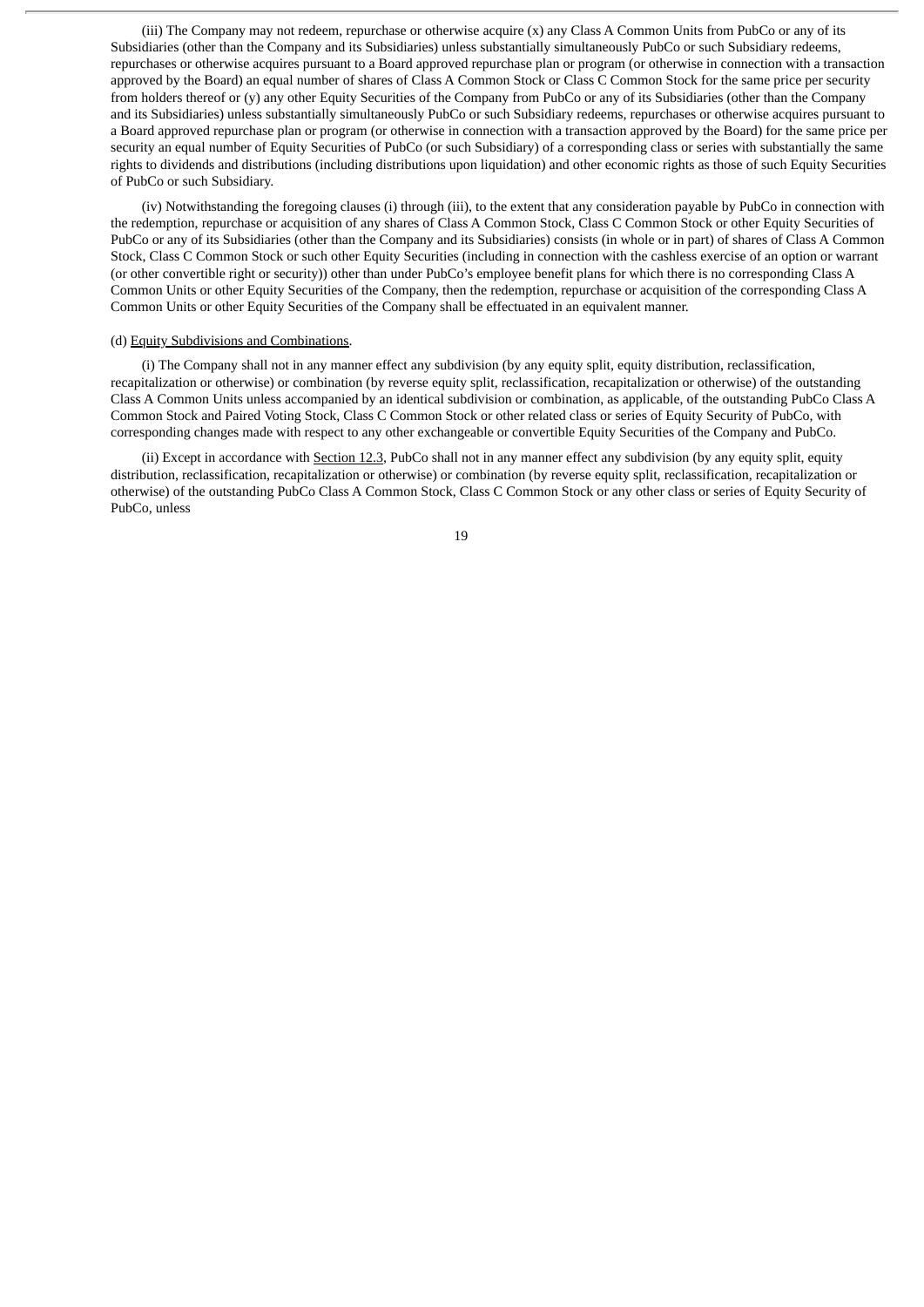(iii) The Company may not redeem, repurchase or otherwise acquire (x) any Class A Common Units from PubCo or any of its Subsidiaries (other than the Company and its Subsidiaries) unless substantially simultaneously PubCo or such Subsidiary redeems, repurchases or otherwise acquires pursuant to a Board approved repurchase plan or program (or otherwise in connection with a transaction approved by the Board) an equal number of shares of Class A Common Stock or Class C Common Stock for the same price per security from holders thereof or (y) any other Equity Securities of the Company from PubCo or any of its Subsidiaries (other than the Company and its Subsidiaries) unless substantially simultaneously PubCo or such Subsidiary redeems, repurchases or otherwise acquires pursuant to a Board approved repurchase plan or program (or otherwise in connection with a transaction approved by the Board) for the same price per security an equal number of Equity Securities of PubCo (or such Subsidiary) of a corresponding class or series with substantially the same rights to dividends and distributions (including distributions upon liquidation) and other economic rights as those of such Equity Securities of PubCo or such Subsidiary.

(iv) Notwithstanding the foregoing clauses (i) through (iii), to the extent that any consideration payable by PubCo in connection with the redemption, repurchase or acquisition of any shares of Class A Common Stock, Class C Common Stock or other Equity Securities of PubCo or any of its Subsidiaries (other than the Company and its Subsidiaries) consists (in whole or in part) of shares of Class A Common Stock, Class C Common Stock or such other Equity Securities (including in connection with the cashless exercise of an option or warrant (or other convertible right or security)) other than under PubCo's employee benefit plans for which there is no corresponding Class A Common Units or other Equity Securities of the Company, then the redemption, repurchase or acquisition of the corresponding Class A Common Units or other Equity Securities of the Company shall be effectuated in an equivalent manner.

#### (d) Equity Subdivisions and Combinations.

(i) The Company shall not in any manner effect any subdivision (by any equity split, equity distribution, reclassification, recapitalization or otherwise) or combination (by reverse equity split, reclassification, recapitalization or otherwise) of the outstanding Class A Common Units unless accompanied by an identical subdivision or combination, as applicable, of the outstanding PubCo Class A Common Stock and Paired Voting Stock, Class C Common Stock or other related class or series of Equity Security of PubCo, with corresponding changes made with respect to any other exchangeable or convertible Equity Securities of the Company and PubCo.

(ii) Except in accordance with Section 12.3, PubCo shall not in any manner effect any subdivision (by any equity split, equity distribution, reclassification, recapitalization or otherwise) or combination (by reverse equity split, reclassification, recapitalization or otherwise) of the outstanding PubCo Class A Common Stock, Class C Common Stock or any other class or series of Equity Security of PubCo, unless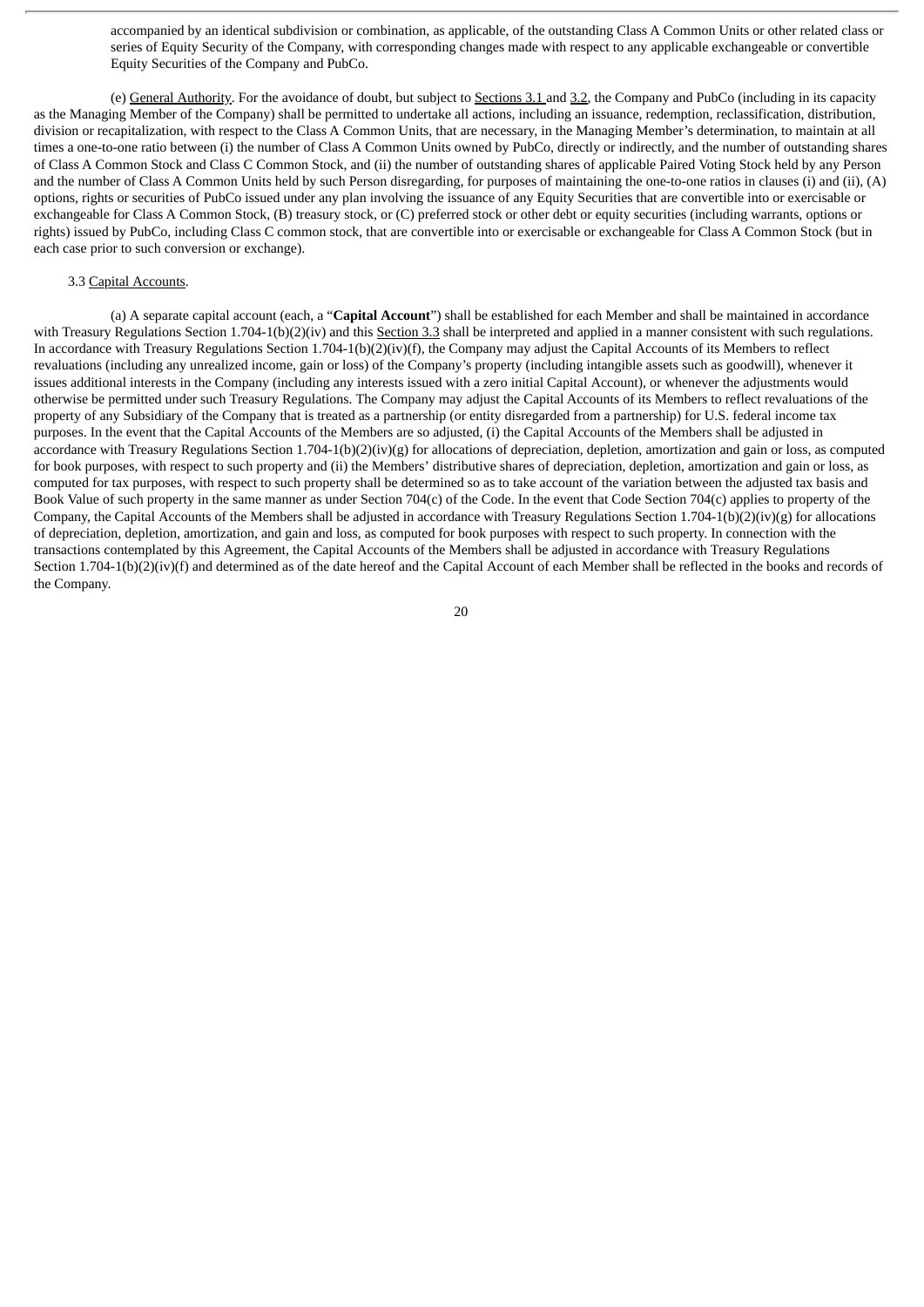accompanied by an identical subdivision or combination, as applicable, of the outstanding Class A Common Units or other related class or series of Equity Security of the Company, with corresponding changes made with respect to any applicable exchangeable or convertible Equity Securities of the Company and PubCo.

(e) General Authority. For the avoidance of doubt, but subject to Sections 3.1 and 3.2, the Company and PubCo (including in its capacity as the Managing Member of the Company) shall be permitted to undertake all actions, including an issuance, redemption, reclassification, distribution, division or recapitalization, with respect to the Class A Common Units, that are necessary, in the Managing Member's determination, to maintain at all times a one-to-one ratio between (i) the number of Class A Common Units owned by PubCo, directly or indirectly, and the number of outstanding shares of Class A Common Stock and Class C Common Stock, and (ii) the number of outstanding shares of applicable Paired Voting Stock held by any Person and the number of Class A Common Units held by such Person disregarding, for purposes of maintaining the one-to-one ratios in clauses (i) and (ii), (A) options, rights or securities of PubCo issued under any plan involving the issuance of any Equity Securities that are convertible into or exercisable or exchangeable for Class A Common Stock, (B) treasury stock, or (C) preferred stock or other debt or equity securities (including warrants, options or rights) issued by PubCo, including Class C common stock, that are convertible into or exercisable or exchangeable for Class A Common Stock (but in each case prior to such conversion or exchange).

#### 3.3 Capital Accounts.

(a) A separate capital account (each, a "**Capital Account**") shall be established for each Member and shall be maintained in accordance with Treasury Regulations Section 1.704-1(b)(2)(iv) and this Section 3.3 shall be interpreted and applied in a manner consistent with such regulations. In accordance with Treasury Regulations Section 1.704-1(b)(2)(iv)(f), the Company may adjust the Capital Accounts of its Members to reflect revaluations (including any unrealized income, gain or loss) of the Company's property (including intangible assets such as goodwill), whenever it issues additional interests in the Company (including any interests issued with a zero initial Capital Account), or whenever the adjustments would otherwise be permitted under such Treasury Regulations. The Company may adjust the Capital Accounts of its Members to reflect revaluations of the property of any Subsidiary of the Company that is treated as a partnership (or entity disregarded from a partnership) for U.S. federal income tax purposes. In the event that the Capital Accounts of the Members are so adjusted, (i) the Capital Accounts of the Members shall be adjusted in accordance with Treasury Regulations Section 1.704-1(b)(2)(iv)(g) for allocations of depreciation, depletion, amortization and gain or loss, as computed for book purposes, with respect to such property and (ii) the Members' distributive shares of depreciation, depletion, amortization and gain or loss, as computed for tax purposes, with respect to such property shall be determined so as to take account of the variation between the adjusted tax basis and Book Value of such property in the same manner as under Section 704(c) of the Code. In the event that Code Section 704(c) applies to property of the Company, the Capital Accounts of the Members shall be adjusted in accordance with Treasury Regulations Section 1.704-1(b)(2)(iv)(g) for allocations of depreciation, depletion, amortization, and gain and loss, as computed for book purposes with respect to such property. In connection with the transactions contemplated by this Agreement, the Capital Accounts of the Members shall be adjusted in accordance with Treasury Regulations Section 1.704-1(b)(2)(iv)(f) and determined as of the date hereof and the Capital Account of each Member shall be reflected in the books and records of the Company.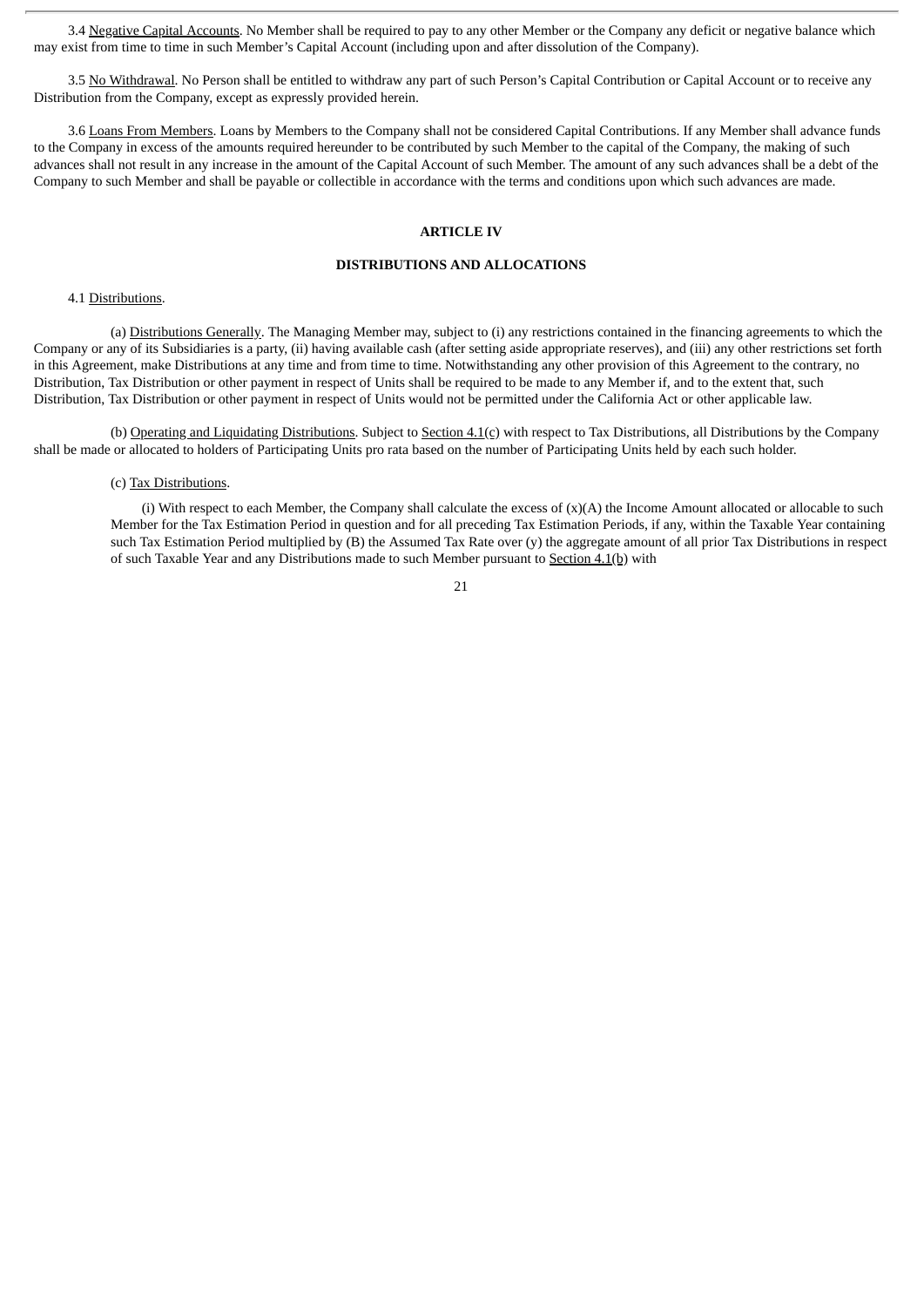3.4 Negative Capital Accounts. No Member shall be required to pay to any other Member or the Company any deficit or negative balance which may exist from time to time in such Member's Capital Account (including upon and after dissolution of the Company).

3.5 No Withdrawal. No Person shall be entitled to withdraw any part of such Person's Capital Contribution or Capital Account or to receive any Distribution from the Company, except as expressly provided herein.

3.6 Loans From Members. Loans by Members to the Company shall not be considered Capital Contributions. If any Member shall advance funds to the Company in excess of the amounts required hereunder to be contributed by such Member to the capital of the Company, the making of such advances shall not result in any increase in the amount of the Capital Account of such Member. The amount of any such advances shall be a debt of the Company to such Member and shall be payable or collectible in accordance with the terms and conditions upon which such advances are made.

# **ARTICLE IV**

### **DISTRIBUTIONS AND ALLOCATIONS**

### 4.1 Distributions.

(a) Distributions Generally. The Managing Member may, subject to (i) any restrictions contained in the financing agreements to which the Company or any of its Subsidiaries is a party, (ii) having available cash (after setting aside appropriate reserves), and (iii) any other restrictions set forth in this Agreement, make Distributions at any time and from time to time. Notwithstanding any other provision of this Agreement to the contrary, no Distribution, Tax Distribution or other payment in respect of Units shall be required to be made to any Member if, and to the extent that, such Distribution, Tax Distribution or other payment in respect of Units would not be permitted under the California Act or other applicable law.

(b) Operating and Liquidating Distributions. Subject to Section  $4.1(c)$  with respect to Tax Distributions, all Distributions by the Company shall be made or allocated to holders of Participating Units pro rata based on the number of Participating Units held by each such holder.

#### (c) Tax Distributions.

(i) With respect to each Member, the Company shall calculate the excess of  $(x)(A)$  the Income Amount allocated or allocable to such Member for the Tax Estimation Period in question and for all preceding Tax Estimation Periods, if any, within the Taxable Year containing such Tax Estimation Period multiplied by (B) the Assumed Tax Rate over (y) the aggregate amount of all prior Tax Distributions in respect of such Taxable Year and any Distributions made to such Member pursuant to Section 4.1(b) with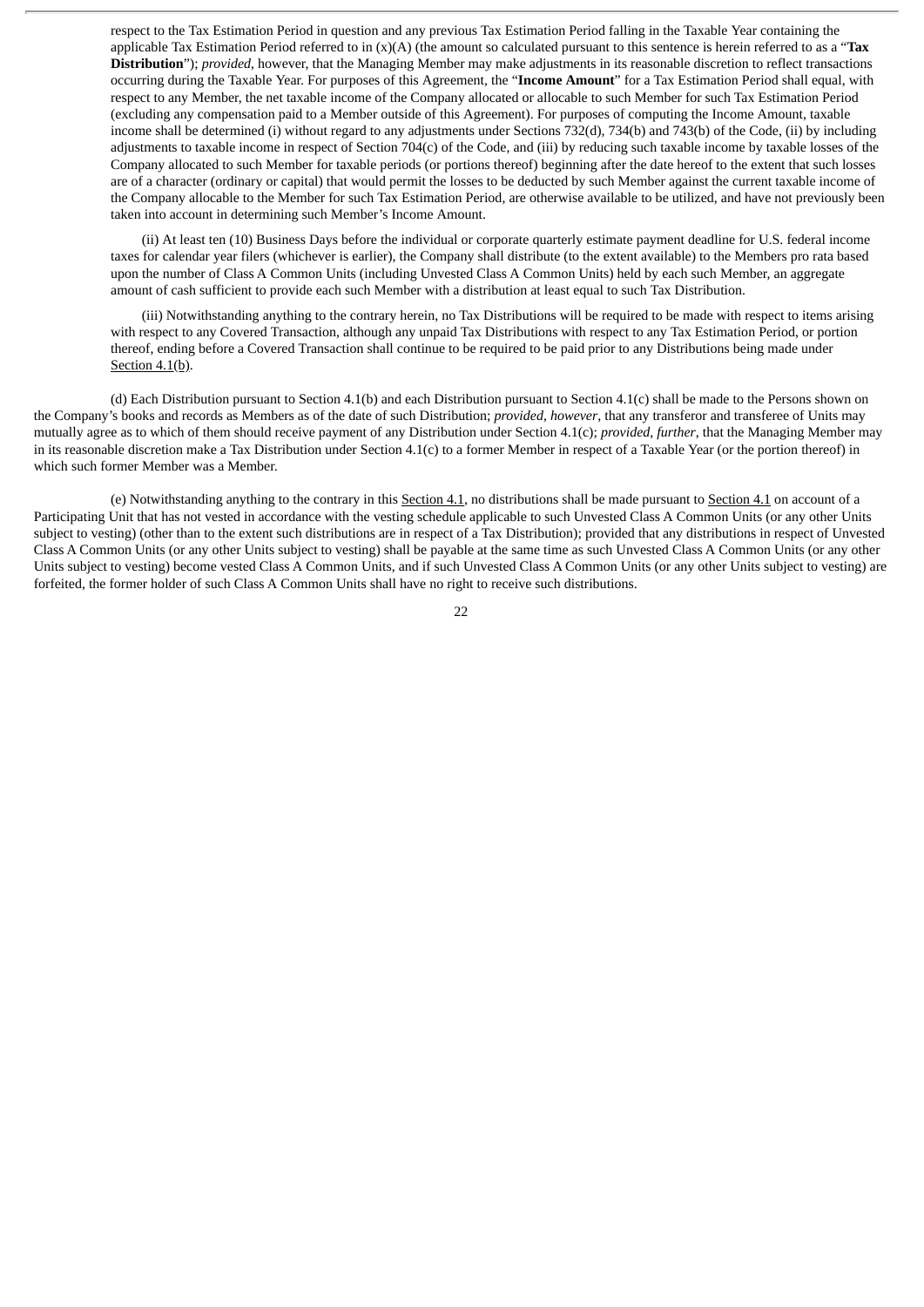respect to the Tax Estimation Period in question and any previous Tax Estimation Period falling in the Taxable Year containing the applicable Tax Estimation Period referred to in (x)(A) (the amount so calculated pursuant to this sentence is herein referred to as a "**Tax Distribution**"); *provided*, however, that the Managing Member may make adjustments in its reasonable discretion to reflect transactions occurring during the Taxable Year. For purposes of this Agreement, the "**Income Amount**" for a Tax Estimation Period shall equal, with respect to any Member, the net taxable income of the Company allocated or allocable to such Member for such Tax Estimation Period (excluding any compensation paid to a Member outside of this Agreement). For purposes of computing the Income Amount, taxable income shall be determined (i) without regard to any adjustments under Sections 732(d), 734(b) and 743(b) of the Code, (ii) by including adjustments to taxable income in respect of Section 704(c) of the Code, and (iii) by reducing such taxable income by taxable losses of the Company allocated to such Member for taxable periods (or portions thereof) beginning after the date hereof to the extent that such losses are of a character (ordinary or capital) that would permit the losses to be deducted by such Member against the current taxable income of the Company allocable to the Member for such Tax Estimation Period, are otherwise available to be utilized, and have not previously been taken into account in determining such Member's Income Amount.

(ii) At least ten (10) Business Days before the individual or corporate quarterly estimate payment deadline for U.S. federal income taxes for calendar year filers (whichever is earlier), the Company shall distribute (to the extent available) to the Members pro rata based upon the number of Class A Common Units (including Unvested Class A Common Units) held by each such Member, an aggregate amount of cash sufficient to provide each such Member with a distribution at least equal to such Tax Distribution.

(iii) Notwithstanding anything to the contrary herein, no Tax Distributions will be required to be made with respect to items arising with respect to any Covered Transaction, although any unpaid Tax Distributions with respect to any Tax Estimation Period, or portion thereof, ending before a Covered Transaction shall continue to be required to be paid prior to any Distributions being made under Section 4.1(b).

(d) Each Distribution pursuant to Section 4.1(b) and each Distribution pursuant to Section 4.1(c) shall be made to the Persons shown on the Company's books and records as Members as of the date of such Distribution; *provided*, *however*, that any transferor and transferee of Units may mutually agree as to which of them should receive payment of any Distribution under Section 4.1(c); *provided*, *further*, that the Managing Member may in its reasonable discretion make a Tax Distribution under Section 4.1(c) to a former Member in respect of a Taxable Year (or the portion thereof) in which such former Member was a Member.

(e) Notwithstanding anything to the contrary in this Section 4.1, no distributions shall be made pursuant to Section 4.1 on account of a Participating Unit that has not vested in accordance with the vesting schedule applicable to such Unvested Class A Common Units (or any other Units subject to vesting) (other than to the extent such distributions are in respect of a Tax Distribution); provided that any distributions in respect of Unvested Class A Common Units (or any other Units subject to vesting) shall be payable at the same time as such Unvested Class A Common Units (or any other Units subject to vesting) become vested Class A Common Units, and if such Unvested Class A Common Units (or any other Units subject to vesting) are forfeited, the former holder of such Class A Common Units shall have no right to receive such distributions.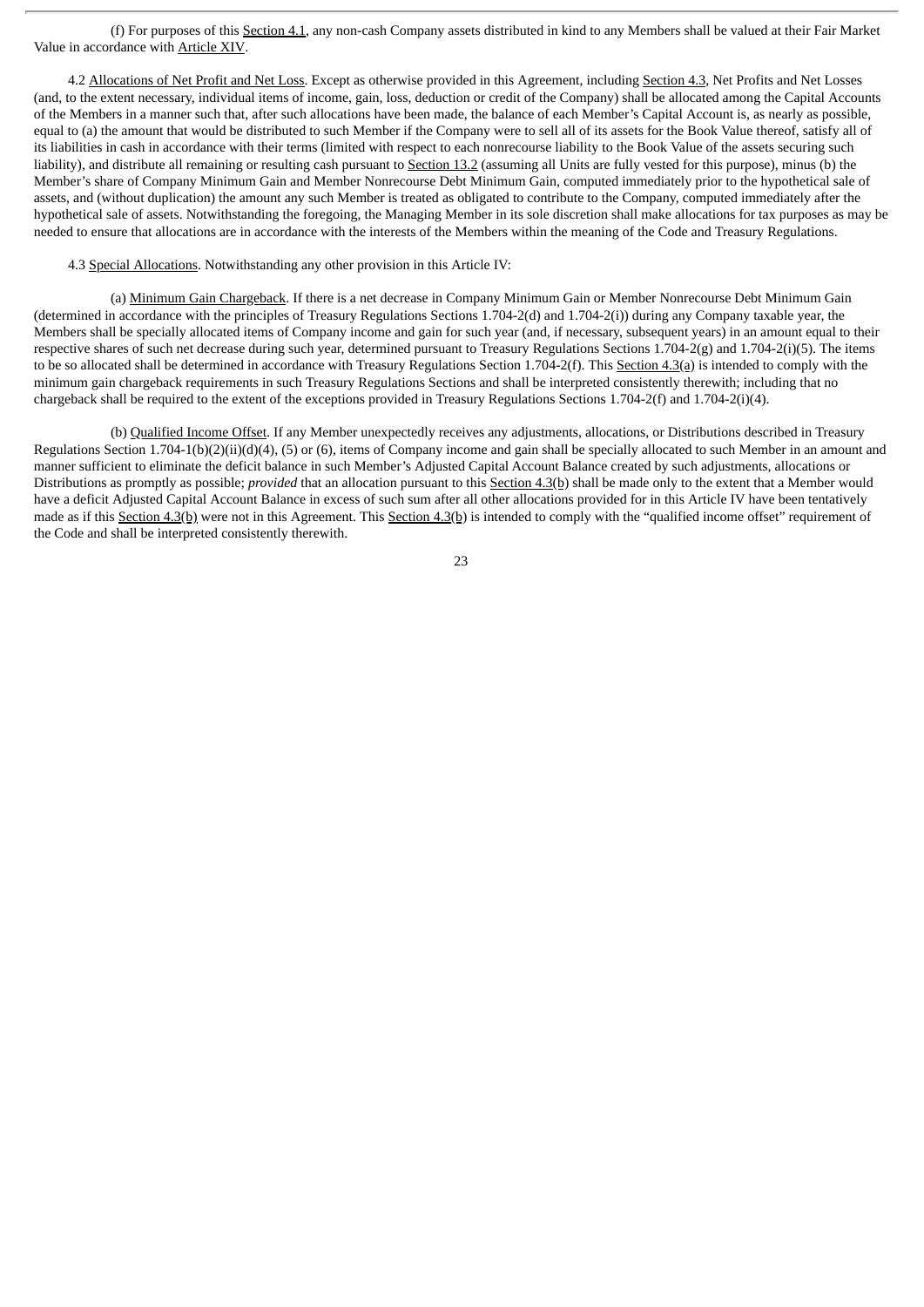(f) For purposes of this Section 4.1, any non-cash Company assets distributed in kind to any Members shall be valued at their Fair Market Value in accordance with Article XIV.

4.2 Allocations of Net Profit and Net Loss. Except as otherwise provided in this Agreement, including Section 4.3, Net Profits and Net Losses (and, to the extent necessary, individual items of income, gain, loss, deduction or credit of the Company) shall be allocated among the Capital Accounts of the Members in a manner such that, after such allocations have been made, the balance of each Member's Capital Account is, as nearly as possible, equal to (a) the amount that would be distributed to such Member if the Company were to sell all of its assets for the Book Value thereof, satisfy all of its liabilities in cash in accordance with their terms (limited with respect to each nonrecourse liability to the Book Value of the assets securing such liability), and distribute all remaining or resulting cash pursuant to Section 13.2 (assuming all Units are fully vested for this purpose), minus (b) the Member's share of Company Minimum Gain and Member Nonrecourse Debt Minimum Gain, computed immediately prior to the hypothetical sale of assets, and (without duplication) the amount any such Member is treated as obligated to contribute to the Company, computed immediately after the hypothetical sale of assets. Notwithstanding the foregoing, the Managing Member in its sole discretion shall make allocations for tax purposes as may be needed to ensure that allocations are in accordance with the interests of the Members within the meaning of the Code and Treasury Regulations.

4.3 Special Allocations. Notwithstanding any other provision in this Article IV:

(a) Minimum Gain Chargeback. If there is a net decrease in Company Minimum Gain or Member Nonrecourse Debt Minimum Gain (determined in accordance with the principles of Treasury Regulations Sections 1.704-2(d) and 1.704-2(i)) during any Company taxable year, the Members shall be specially allocated items of Company income and gain for such year (and, if necessary, subsequent years) in an amount equal to their respective shares of such net decrease during such year, determined pursuant to Treasury Regulations Sections 1.704-2(g) and 1.704-2(i)(5). The items to be so allocated shall be determined in accordance with Treasury Regulations Section  $1.704-2(f)$ . This Section  $4.3(g)$  is intended to comply with the minimum gain chargeback requirements in such Treasury Regulations Sections and shall be interpreted consistently therewith; including that no chargeback shall be required to the extent of the exceptions provided in Treasury Regulations Sections 1.704-2(f) and 1.704-2(i)(4).

(b) Qualified Income Offset. If any Member unexpectedly receives any adjustments, allocations, or Distributions described in Treasury Regulations Section 1.704-1(b)(2)(ii)(d)(4), (5) or (6), items of Company income and gain shall be specially allocated to such Member in an amount and manner sufficient to eliminate the deficit balance in such Member's Adjusted Capital Account Balance created by such adjustments, allocations or Distributions as promptly as possible; *provided* that an allocation pursuant to this Section 4.3(b) shall be made only to the extent that a Member would have a deficit Adjusted Capital Account Balance in excess of such sum after all other allocations provided for in this Article IV have been tentatively made as if this Section 4.3(b) were not in this Agreement. This Section 4.3(b) is intended to comply with the "qualified income offset" requirement of the Code and shall be interpreted consistently therewith.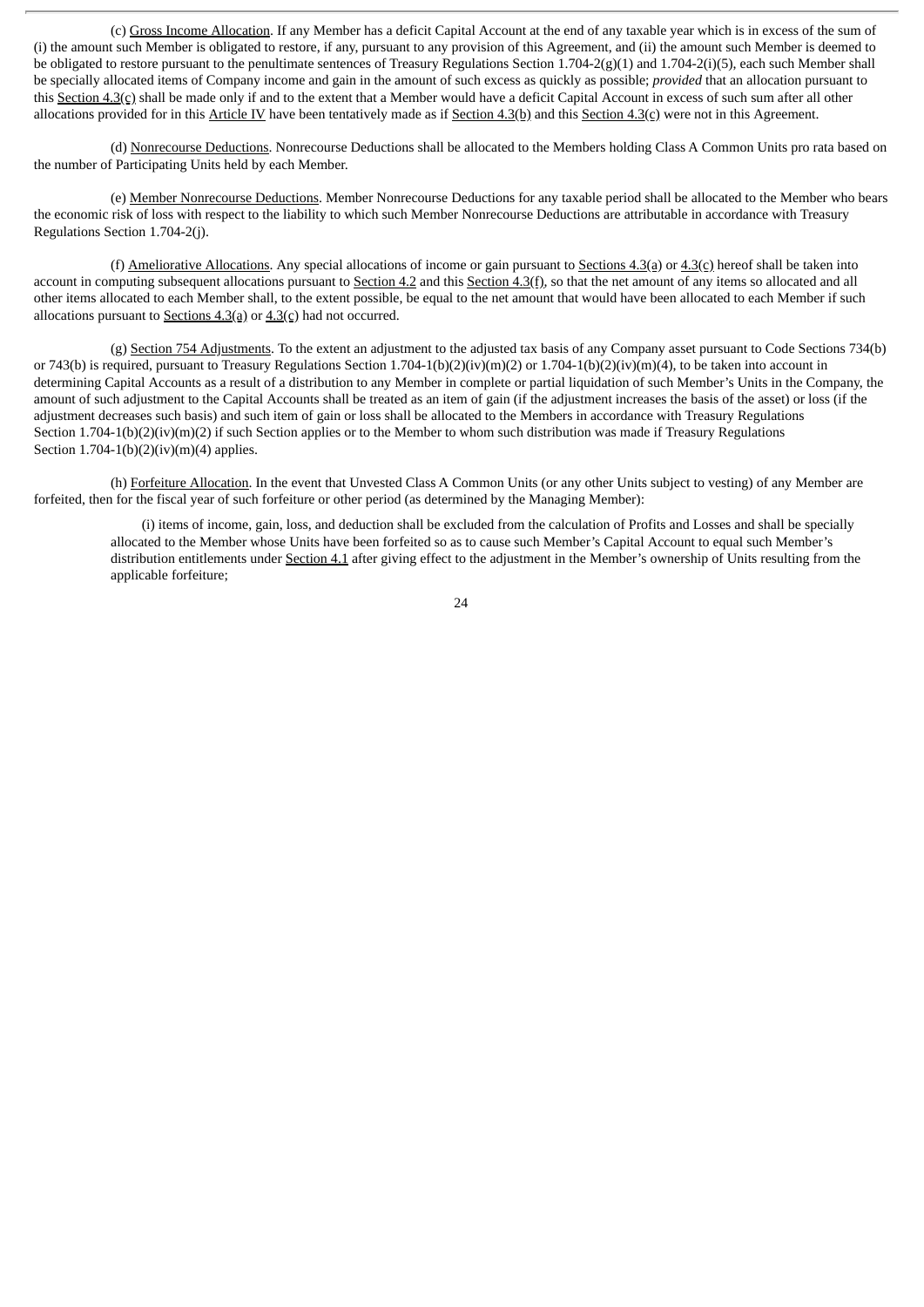(c) Gross Income Allocation. If any Member has a deficit Capital Account at the end of any taxable year which is in excess of the sum of (i) the amount such Member is obligated to restore, if any, pursuant to any provision of this Agreement, and (ii) the amount such Member is deemed to be obligated to restore pursuant to the penultimate sentences of Treasury Regulations Section 1.704-2(g)(1) and 1.704-2(i)(5), each such Member shall be specially allocated items of Company income and gain in the amount of such excess as quickly as possible; *provided* that an allocation pursuant to this Section 4.3(c) shall be made only if and to the extent that a Member would have a deficit Capital Account in excess of such sum after all other allocations provided for in this Article IV have been tentatively made as if Section 4.3(b) and this Section 4.3(c) were not in this Agreement.

(d) Nonrecourse Deductions. Nonrecourse Deductions shall be allocated to the Members holding Class A Common Units pro rata based on the number of Participating Units held by each Member.

(e) Member Nonrecourse Deductions. Member Nonrecourse Deductions for any taxable period shall be allocated to the Member who bears the economic risk of loss with respect to the liability to which such Member Nonrecourse Deductions are attributable in accordance with Treasury Regulations Section 1.704-2(j).

(f) Ameliorative Allocations. Any special allocations of income or gain pursuant to Sections 4.3(a) or 4.3(c) hereof shall be taken into account in computing subsequent allocations pursuant to Section 4.2 and this Section 4.3(f), so that the net amount of any items so allocated and all other items allocated to each Member shall, to the extent possible, be equal to the net amount that would have been allocated to each Member if such allocations pursuant to Sections  $4.3(q)$  or  $4.3(q)$  had not occurred.

(g) Section 754 Adjustments. To the extent an adjustment to the adjusted tax basis of any Company asset pursuant to Code Sections 734(b) or 743(b) is required, pursuant to Treasury Regulations Section  $1.704-1(b)(2)(iv)(m)(2)$  or  $1.704-1(b)(2)(iv)(m)(4)$ , to be taken into account in determining Capital Accounts as a result of a distribution to any Member in complete or partial liquidation of such Member's Units in the Company, the amount of such adjustment to the Capital Accounts shall be treated as an item of gain (if the adjustment increases the basis of the asset) or loss (if the adjustment decreases such basis) and such item of gain or loss shall be allocated to the Members in accordance with Treasury Regulations Section 1.704-1(b)(2)(iv)(m)(2) if such Section applies or to the Member to whom such distribution was made if Treasury Regulations Section  $1.704 - 1(b)(2)(iv)(m)(4)$  applies.

(h) Forfeiture Allocation. In the event that Unvested Class A Common Units (or any other Units subject to vesting) of any Member are forfeited, then for the fiscal year of such forfeiture or other period (as determined by the Managing Member):

(i) items of income, gain, loss, and deduction shall be excluded from the calculation of Profits and Losses and shall be specially allocated to the Member whose Units have been forfeited so as to cause such Member's Capital Account to equal such Member's distribution entitlements under Section 4.1 after giving effect to the adjustment in the Member's ownership of Units resulting from the applicable forfeiture;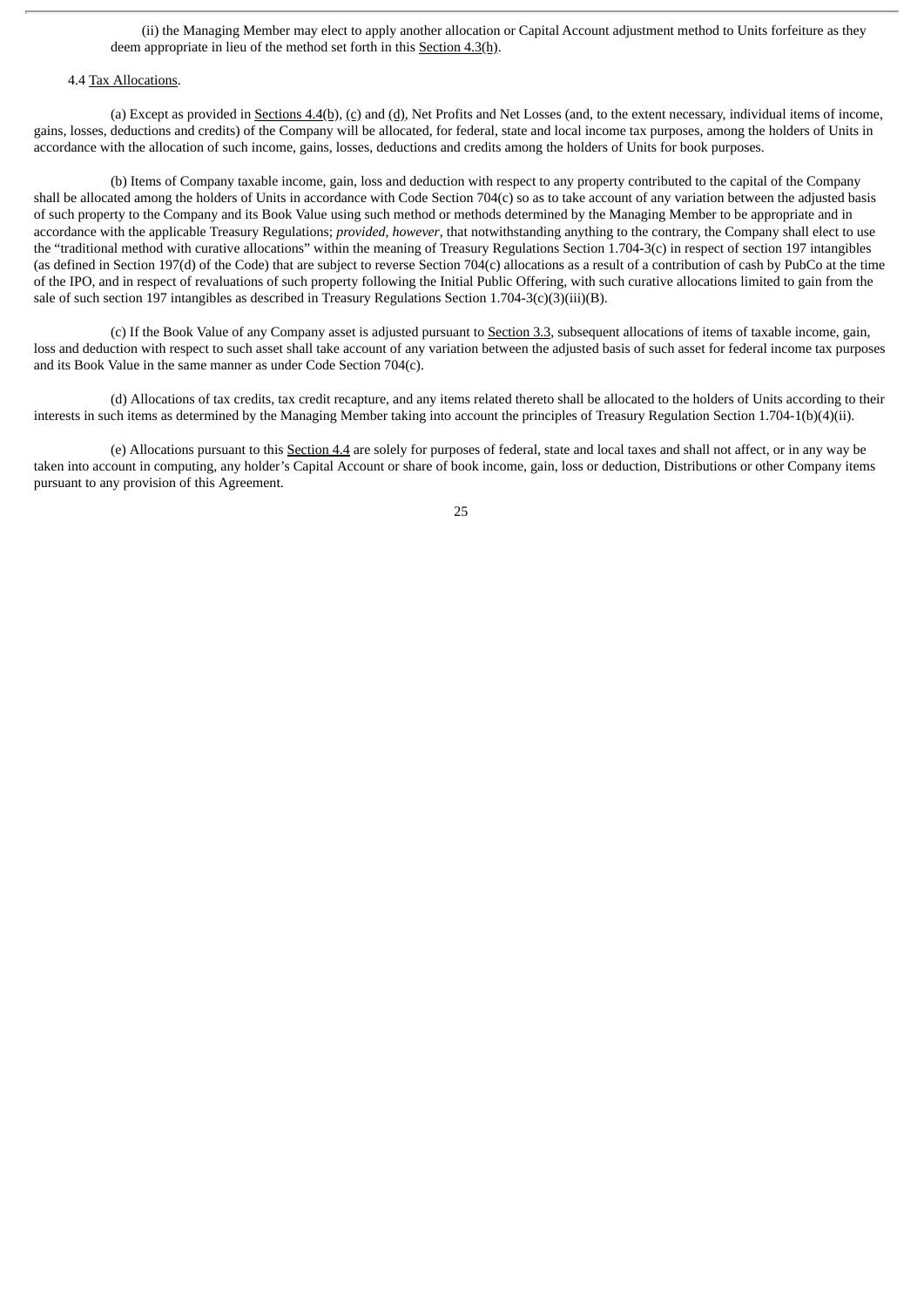(ii) the Managing Member may elect to apply another allocation or Capital Account adjustment method to Units forfeiture as they deem appropriate in lieu of the method set forth in this Section 4.3(h).

# 4.4 Tax Allocations.

(a) Except as provided in Sections 4.4(b), (c) and (d), Net Profits and Net Losses (and, to the extent necessary, individual items of income, gains, losses, deductions and credits) of the Company will be allocated, for federal, state and local income tax purposes, among the holders of Units in accordance with the allocation of such income, gains, losses, deductions and credits among the holders of Units for book purposes.

(b) Items of Company taxable income, gain, loss and deduction with respect to any property contributed to the capital of the Company shall be allocated among the holders of Units in accordance with Code Section 704(c) so as to take account of any variation between the adjusted basis of such property to the Company and its Book Value using such method or methods determined by the Managing Member to be appropriate and in accordance with the applicable Treasury Regulations; *provided*, *however*, that notwithstanding anything to the contrary, the Company shall elect to use the "traditional method with curative allocations" within the meaning of Treasury Regulations Section 1.704-3(c) in respect of section 197 intangibles (as defined in Section 197(d) of the Code) that are subject to reverse Section 704(c) allocations as a result of a contribution of cash by PubCo at the time of the IPO, and in respect of revaluations of such property following the Initial Public Offering, with such curative allocations limited to gain from the sale of such section 197 intangibles as described in Treasury Regulations Section 1.704-3(c)(3)(iii)(B).

(c) If the Book Value of any Company asset is adjusted pursuant to Section 3.3, subsequent allocations of items of taxable income, gain, loss and deduction with respect to such asset shall take account of any variation between the adjusted basis of such asset for federal income tax purposes and its Book Value in the same manner as under Code Section 704(c).

(d) Allocations of tax credits, tax credit recapture, and any items related thereto shall be allocated to the holders of Units according to their interests in such items as determined by the Managing Member taking into account the principles of Treasury Regulation Section 1.704-1(b)(4)(ii).

(e) Allocations pursuant to this Section 4.4 are solely for purposes of federal, state and local taxes and shall not affect, or in any way be taken into account in computing, any holder's Capital Account or share of book income, gain, loss or deduction, Distributions or other Company items pursuant to any provision of this Agreement.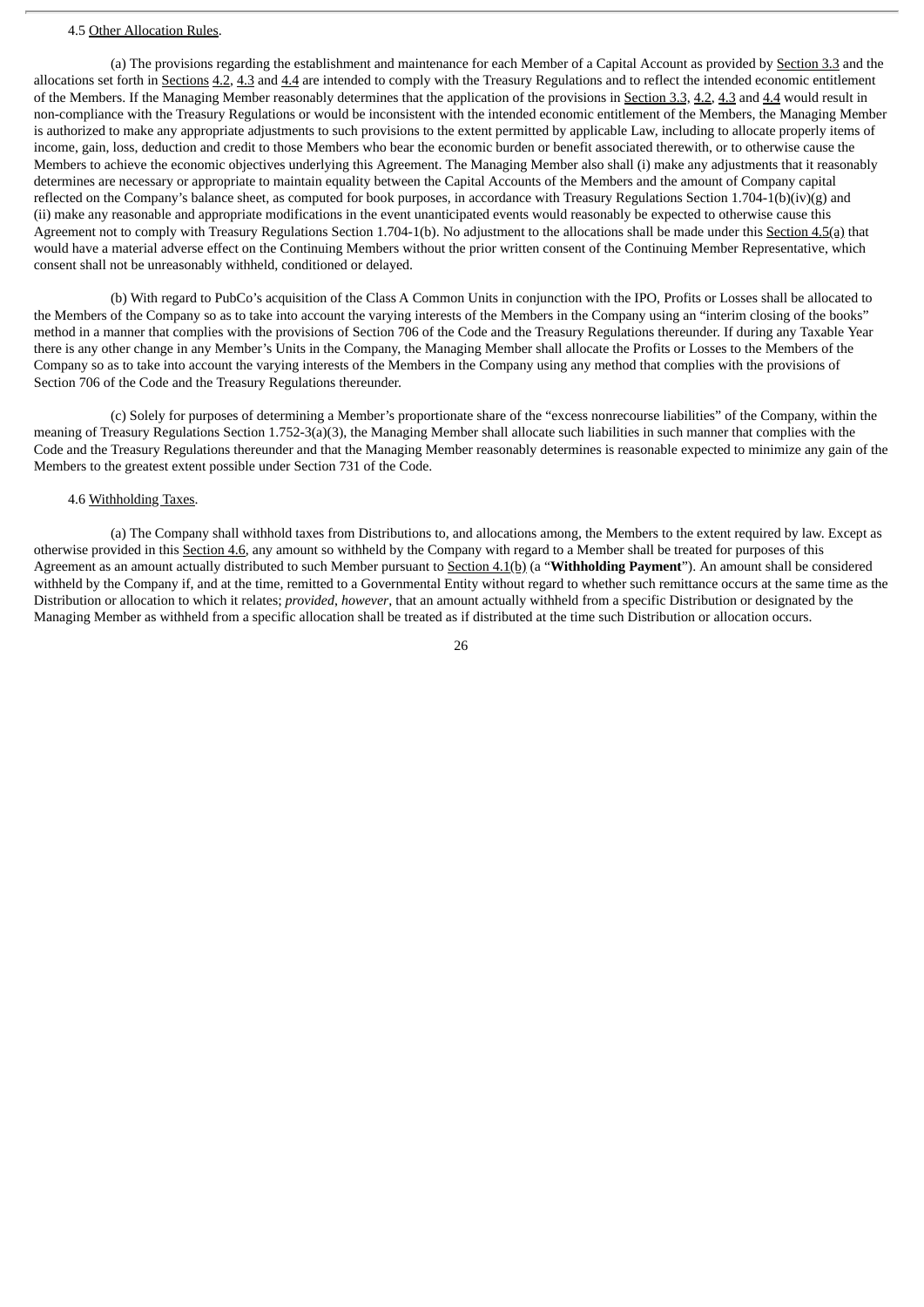#### 4.5 Other Allocation Rules.

(a) The provisions regarding the establishment and maintenance for each Member of a Capital Account as provided by Section 3.3 and the allocations set forth in Sections 4.2, 4.3 and 4.4 are intended to comply with the Treasury Regulations and to reflect the intended economic entitlement of the Members. If the Managing Member reasonably determines that the application of the provisions in Section 3.3, 4.2, 4.3 and 4.4 would result in non-compliance with the Treasury Regulations or would be inconsistent with the intended economic entitlement of the Members, the Managing Member is authorized to make any appropriate adjustments to such provisions to the extent permitted by applicable Law, including to allocate properly items of income, gain, loss, deduction and credit to those Members who bear the economic burden or benefit associated therewith, or to otherwise cause the Members to achieve the economic objectives underlying this Agreement. The Managing Member also shall (i) make any adjustments that it reasonably determines are necessary or appropriate to maintain equality between the Capital Accounts of the Members and the amount of Company capital reflected on the Company's balance sheet, as computed for book purposes, in accordance with Treasury Regulations Section 1.704-1(b)(iv)(g) and (ii) make any reasonable and appropriate modifications in the event unanticipated events would reasonably be expected to otherwise cause this Agreement not to comply with Treasury Regulations Section 1.704-1(b). No adjustment to the allocations shall be made under this Section 4.5(a) that would have a material adverse effect on the Continuing Members without the prior written consent of the Continuing Member Representative, which consent shall not be unreasonably withheld, conditioned or delayed.

(b) With regard to PubCo's acquisition of the Class A Common Units in conjunction with the IPO, Profits or Losses shall be allocated to the Members of the Company so as to take into account the varying interests of the Members in the Company using an "interim closing of the books" method in a manner that complies with the provisions of Section 706 of the Code and the Treasury Regulations thereunder. If during any Taxable Year there is any other change in any Member's Units in the Company, the Managing Member shall allocate the Profits or Losses to the Members of the Company so as to take into account the varying interests of the Members in the Company using any method that complies with the provisions of Section 706 of the Code and the Treasury Regulations thereunder.

(c) Solely for purposes of determining a Member's proportionate share of the "excess nonrecourse liabilities" of the Company, within the meaning of Treasury Regulations Section 1.752-3(a)(3), the Managing Member shall allocate such liabilities in such manner that complies with the Code and the Treasury Regulations thereunder and that the Managing Member reasonably determines is reasonable expected to minimize any gain of the Members to the greatest extent possible under Section 731 of the Code.

### 4.6 Withholding Taxes.

(a) The Company shall withhold taxes from Distributions to, and allocations among, the Members to the extent required by law. Except as otherwise provided in this Section 4.6, any amount so withheld by the Company with regard to a Member shall be treated for purposes of this Agreement as an amount actually distributed to such Member pursuant to Section 4.1(b) (a "**Withholding Payment**"). An amount shall be considered withheld by the Company if, and at the time, remitted to a Governmental Entity without regard to whether such remittance occurs at the same time as the Distribution or allocation to which it relates; *provided*, *however*, that an amount actually withheld from a specific Distribution or designated by the Managing Member as withheld from a specific allocation shall be treated as if distributed at the time such Distribution or allocation occurs.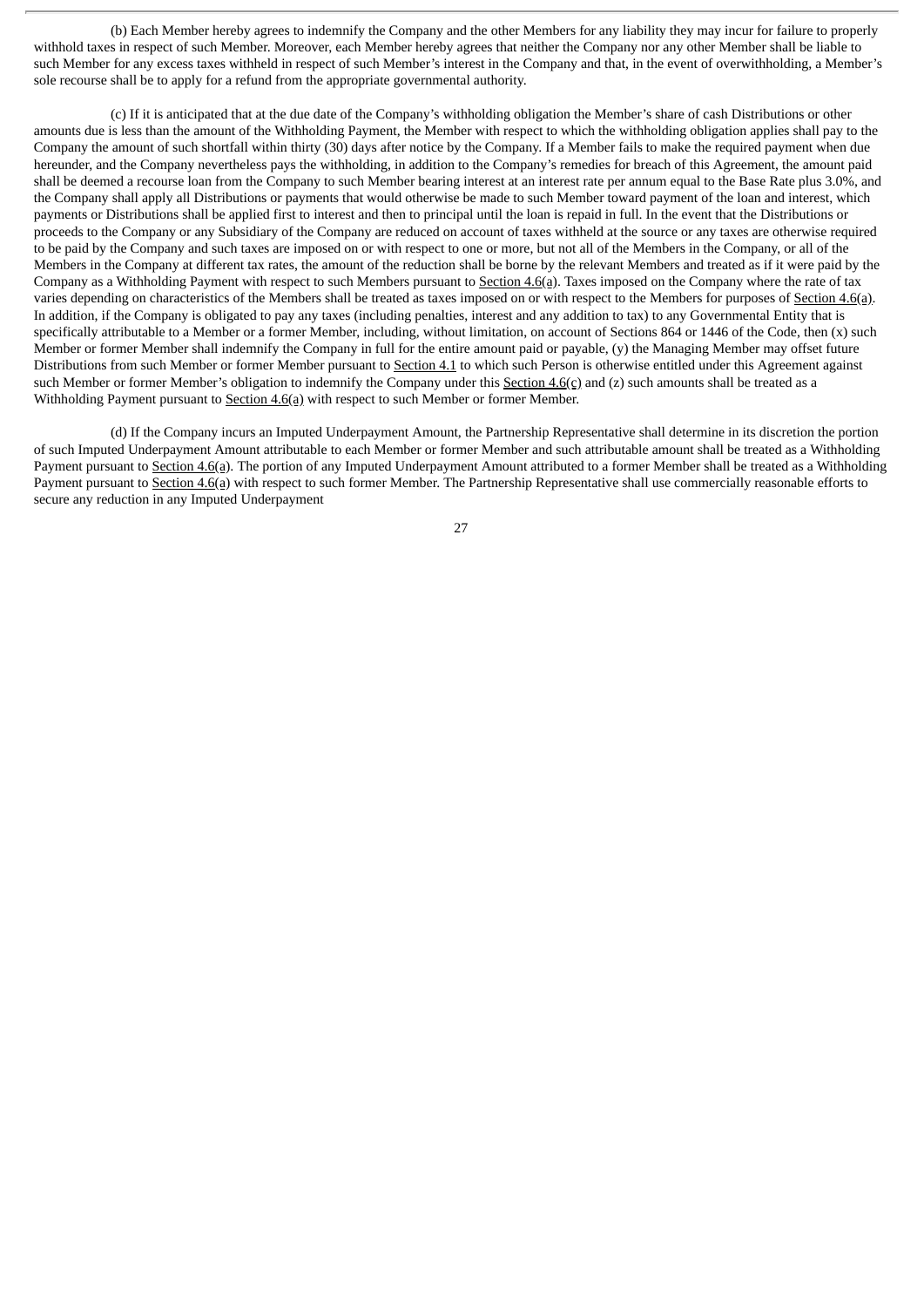(b) Each Member hereby agrees to indemnify the Company and the other Members for any liability they may incur for failure to properly withhold taxes in respect of such Member. Moreover, each Member hereby agrees that neither the Company nor any other Member shall be liable to such Member for any excess taxes withheld in respect of such Member's interest in the Company and that, in the event of overwithholding, a Member's sole recourse shall be to apply for a refund from the appropriate governmental authority.

(c) If it is anticipated that at the due date of the Company's withholding obligation the Member's share of cash Distributions or other amounts due is less than the amount of the Withholding Payment, the Member with respect to which the withholding obligation applies shall pay to the Company the amount of such shortfall within thirty (30) days after notice by the Company. If a Member fails to make the required payment when due hereunder, and the Company nevertheless pays the withholding, in addition to the Company's remedies for breach of this Agreement, the amount paid shall be deemed a recourse loan from the Company to such Member bearing interest at an interest rate per annum equal to the Base Rate plus 3.0%, and the Company shall apply all Distributions or payments that would otherwise be made to such Member toward payment of the loan and interest, which payments or Distributions shall be applied first to interest and then to principal until the loan is repaid in full. In the event that the Distributions or proceeds to the Company or any Subsidiary of the Company are reduced on account of taxes withheld at the source or any taxes are otherwise required to be paid by the Company and such taxes are imposed on or with respect to one or more, but not all of the Members in the Company, or all of the Members in the Company at different tax rates, the amount of the reduction shall be borne by the relevant Members and treated as if it were paid by the Company as a Withholding Payment with respect to such Members pursuant to Section 4.6(a). Taxes imposed on the Company where the rate of tax varies depending on characteristics of the Members shall be treated as taxes imposed on or with respect to the Members for purposes of Section 4.6(a). In addition, if the Company is obligated to pay any taxes (including penalties, interest and any addition to tax) to any Governmental Entity that is specifically attributable to a Member or a former Member, including, without limitation, on account of Sections 864 or 1446 of the Code, then (x) such Member or former Member shall indemnify the Company in full for the entire amount paid or payable, (y) the Managing Member may offset future Distributions from such Member or former Member pursuant to Section 4.1 to which such Person is otherwise entitled under this Agreement against such Member or former Member's obligation to indemnify the Company under this Section  $4.6(c)$  and (z) such amounts shall be treated as a Withholding Payment pursuant to Section  $4.6(a)$  with respect to such Member or former Member.

(d) If the Company incurs an Imputed Underpayment Amount, the Partnership Representative shall determine in its discretion the portion of such Imputed Underpayment Amount attributable to each Member or former Member and such attributable amount shall be treated as a Withholding Payment pursuant to Section 4.6(a). The portion of any Imputed Underpayment Amount attributed to a former Member shall be treated as a Withholding Payment pursuant to Section 4.6(a) with respect to such former Member. The Partnership Representative shall use commercially reasonable efforts to secure any reduction in any Imputed Underpayment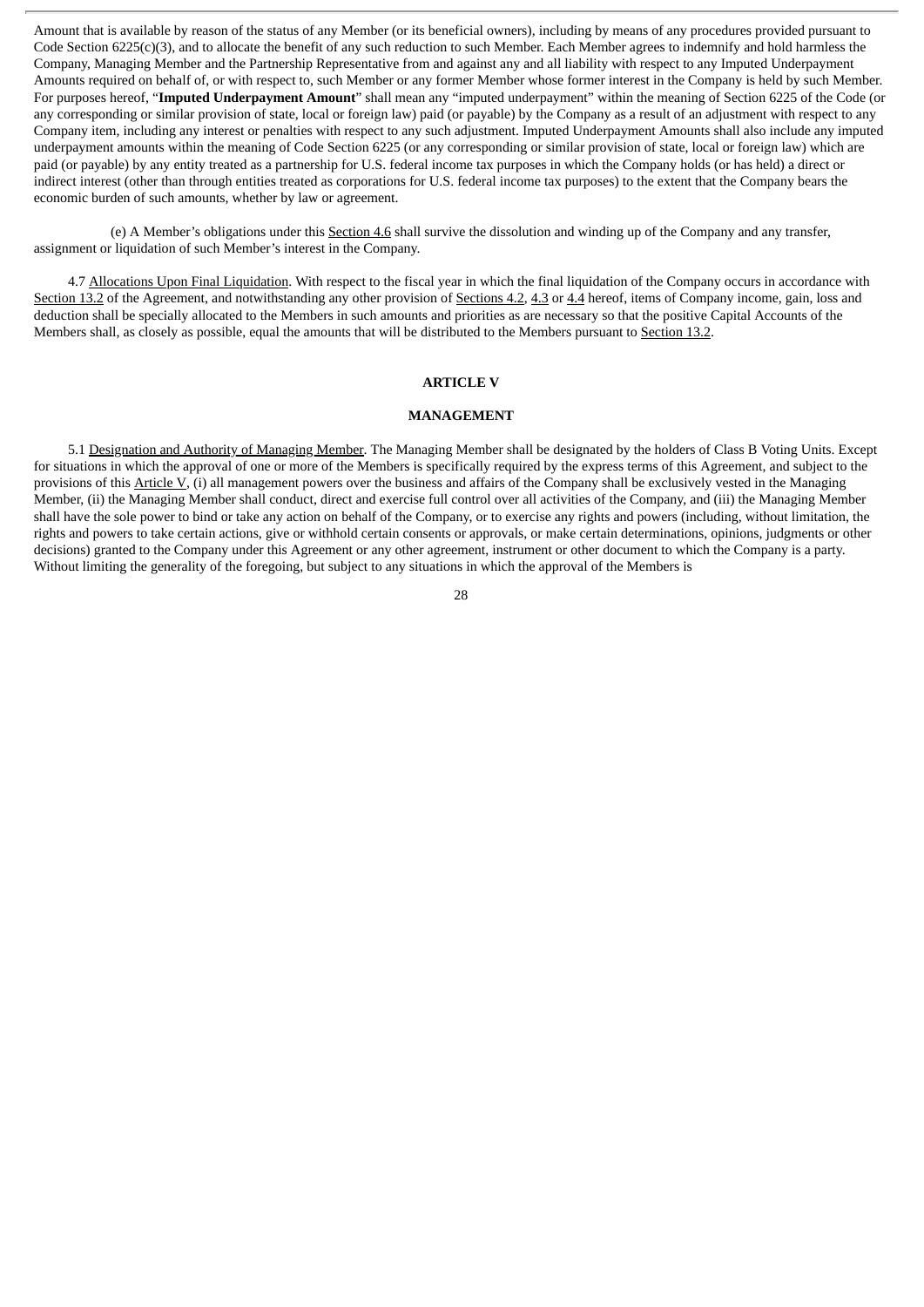Amount that is available by reason of the status of any Member (or its beneficial owners), including by means of any procedures provided pursuant to Code Section 6225(c)(3), and to allocate the benefit of any such reduction to such Member. Each Member agrees to indemnify and hold harmless the Company, Managing Member and the Partnership Representative from and against any and all liability with respect to any Imputed Underpayment Amounts required on behalf of, or with respect to, such Member or any former Member whose former interest in the Company is held by such Member. For purposes hereof, "**Imputed Underpayment Amount**" shall mean any "imputed underpayment" within the meaning of Section 6225 of the Code (or any corresponding or similar provision of state, local or foreign law) paid (or payable) by the Company as a result of an adjustment with respect to any Company item, including any interest or penalties with respect to any such adjustment. Imputed Underpayment Amounts shall also include any imputed underpayment amounts within the meaning of Code Section 6225 (or any corresponding or similar provision of state, local or foreign law) which are paid (or payable) by any entity treated as a partnership for U.S. federal income tax purposes in which the Company holds (or has held) a direct or indirect interest (other than through entities treated as corporations for U.S. federal income tax purposes) to the extent that the Company bears the economic burden of such amounts, whether by law or agreement.

(e) A Member's obligations under this Section 4.6 shall survive the dissolution and winding up of the Company and any transfer, assignment or liquidation of such Member's interest in the Company.

4.7 Allocations Upon Final Liquidation. With respect to the fiscal year in which the final liquidation of the Company occurs in accordance with Section 13.2 of the Agreement, and notwithstanding any other provision of Sections 4.2, 4.3 or 4.4 hereof, items of Company income, gain, loss and deduction shall be specially allocated to the Members in such amounts and priorities as are necessary so that the positive Capital Accounts of the Members shall, as closely as possible, equal the amounts that will be distributed to the Members pursuant to Section 13.2.

### **ARTICLE V**

### **MANAGEMENT**

5.1 Designation and Authority of Managing Member. The Managing Member shall be designated by the holders of Class B Voting Units. Except for situations in which the approval of one or more of the Members is specifically required by the express terms of this Agreement, and subject to the provisions of this Article V, (i) all management powers over the business and affairs of the Company shall be exclusively vested in the Managing Member, (ii) the Managing Member shall conduct, direct and exercise full control over all activities of the Company, and (iii) the Managing Member shall have the sole power to bind or take any action on behalf of the Company, or to exercise any rights and powers (including, without limitation, the rights and powers to take certain actions, give or withhold certain consents or approvals, or make certain determinations, opinions, judgments or other decisions) granted to the Company under this Agreement or any other agreement, instrument or other document to which the Company is a party. Without limiting the generality of the foregoing, but subject to any situations in which the approval of the Members is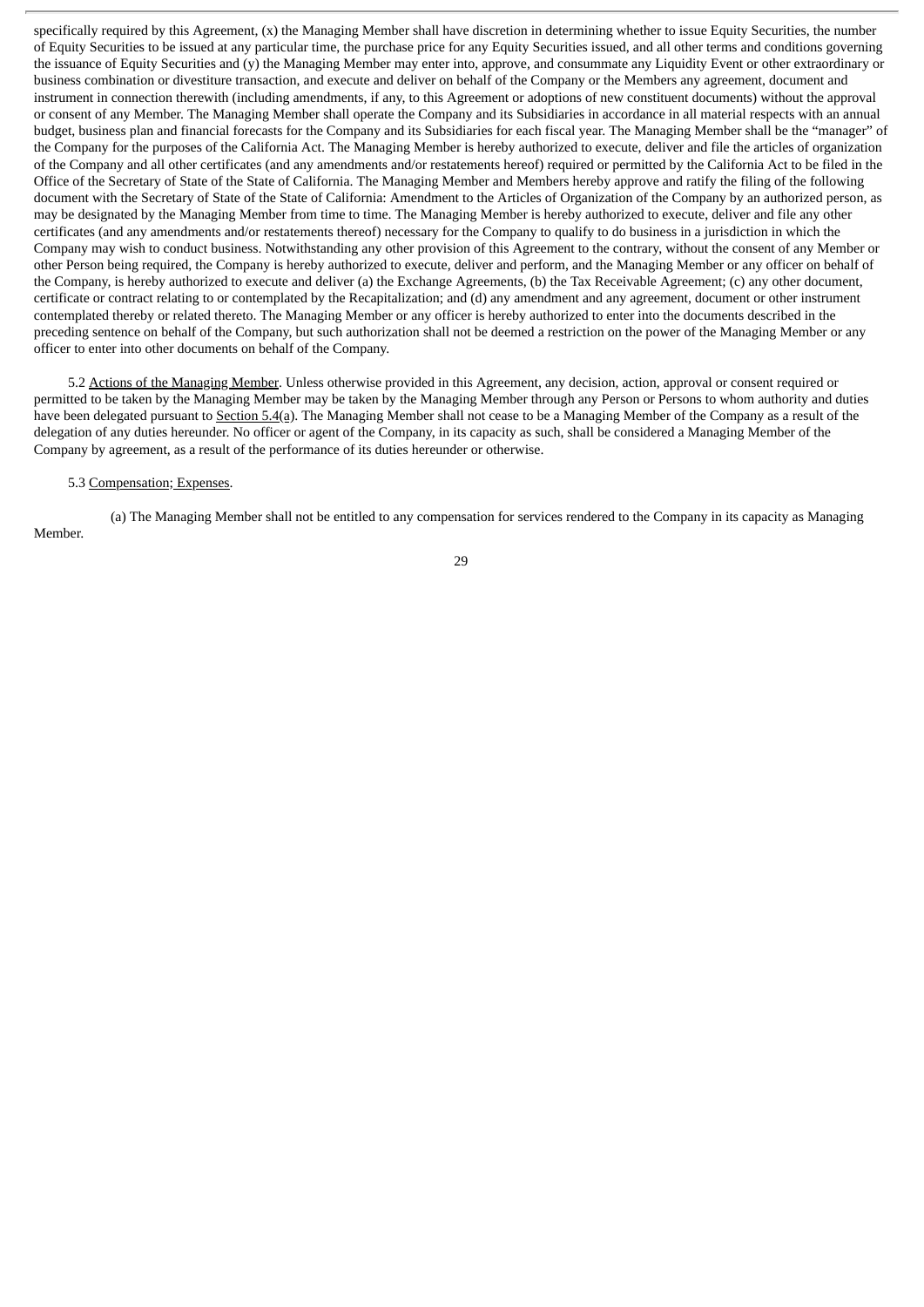specifically required by this Agreement, (x) the Managing Member shall have discretion in determining whether to issue Equity Securities, the number of Equity Securities to be issued at any particular time, the purchase price for any Equity Securities issued, and all other terms and conditions governing the issuance of Equity Securities and (y) the Managing Member may enter into, approve, and consummate any Liquidity Event or other extraordinary or business combination or divestiture transaction, and execute and deliver on behalf of the Company or the Members any agreement, document and instrument in connection therewith (including amendments, if any, to this Agreement or adoptions of new constituent documents) without the approval or consent of any Member. The Managing Member shall operate the Company and its Subsidiaries in accordance in all material respects with an annual budget, business plan and financial forecasts for the Company and its Subsidiaries for each fiscal year. The Managing Member shall be the "manager" of the Company for the purposes of the California Act. The Managing Member is hereby authorized to execute, deliver and file the articles of organization of the Company and all other certificates (and any amendments and/or restatements hereof) required or permitted by the California Act to be filed in the Office of the Secretary of State of the State of California. The Managing Member and Members hereby approve and ratify the filing of the following document with the Secretary of State of the State of California: Amendment to the Articles of Organization of the Company by an authorized person, as may be designated by the Managing Member from time to time. The Managing Member is hereby authorized to execute, deliver and file any other certificates (and any amendments and/or restatements thereof) necessary for the Company to qualify to do business in a jurisdiction in which the Company may wish to conduct business. Notwithstanding any other provision of this Agreement to the contrary, without the consent of any Member or other Person being required, the Company is hereby authorized to execute, deliver and perform, and the Managing Member or any officer on behalf of the Company, is hereby authorized to execute and deliver (a) the Exchange Agreements, (b) the Tax Receivable Agreement; (c) any other document, certificate or contract relating to or contemplated by the Recapitalization; and (d) any amendment and any agreement, document or other instrument contemplated thereby or related thereto. The Managing Member or any officer is hereby authorized to enter into the documents described in the preceding sentence on behalf of the Company, but such authorization shall not be deemed a restriction on the power of the Managing Member or any officer to enter into other documents on behalf of the Company.

5.2 Actions of the Managing Member. Unless otherwise provided in this Agreement, any decision, action, approval or consent required or permitted to be taken by the Managing Member may be taken by the Managing Member through any Person or Persons to whom authority and duties have been delegated pursuant to Section 5.4(a). The Managing Member shall not cease to be a Managing Member of the Company as a result of the delegation of any duties hereunder. No officer or agent of the Company, in its capacity as such, shall be considered a Managing Member of the Company by agreement, as a result of the performance of its duties hereunder or otherwise.

## 5.3 Compensation; Expenses.

(a) The Managing Member shall not be entitled to any compensation for services rendered to the Company in its capacity as Managing Member.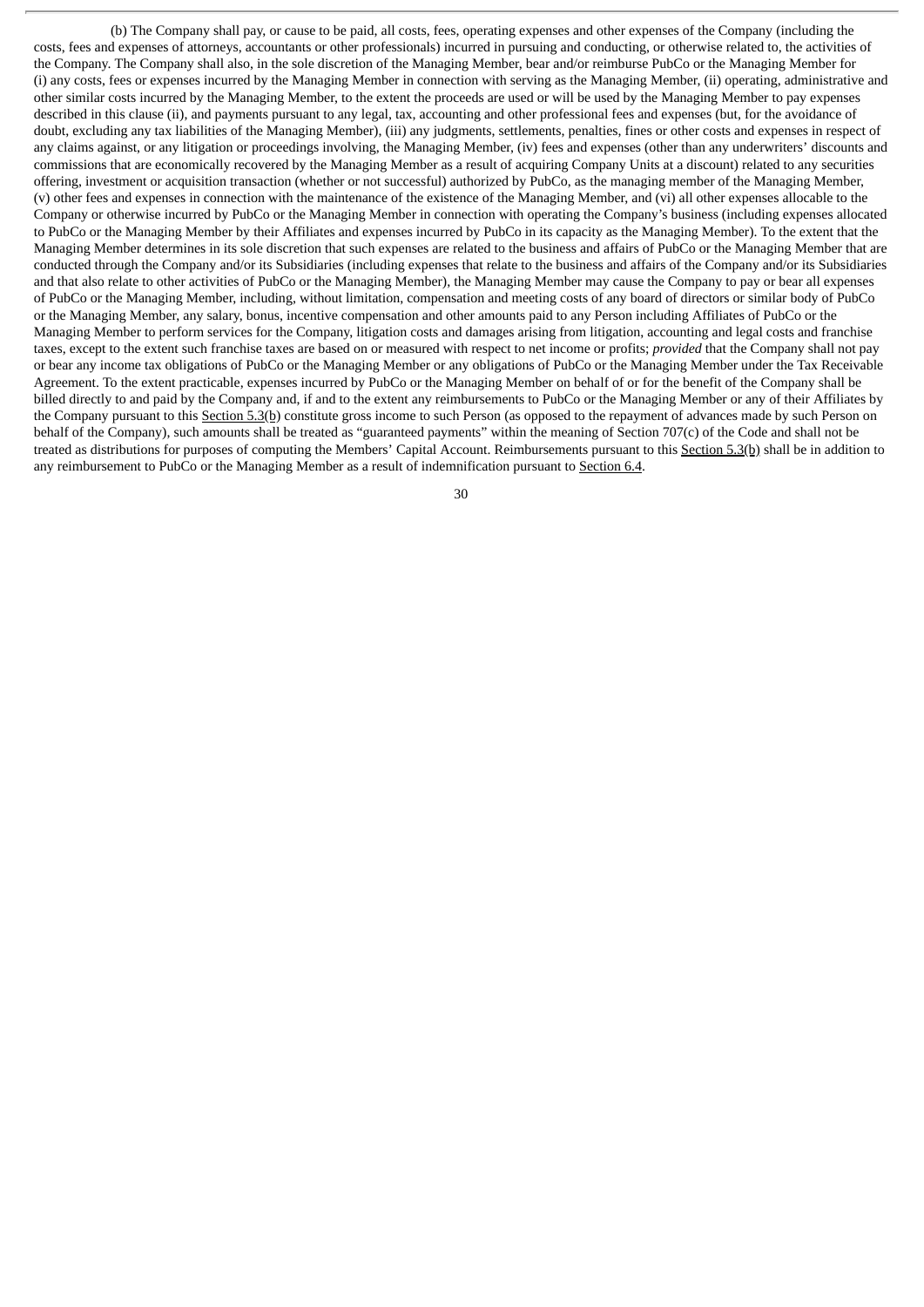(b) The Company shall pay, or cause to be paid, all costs, fees, operating expenses and other expenses of the Company (including the costs, fees and expenses of attorneys, accountants or other professionals) incurred in pursuing and conducting, or otherwise related to, the activities of the Company. The Company shall also, in the sole discretion of the Managing Member, bear and/or reimburse PubCo or the Managing Member for (i) any costs, fees or expenses incurred by the Managing Member in connection with serving as the Managing Member, (ii) operating, administrative and other similar costs incurred by the Managing Member, to the extent the proceeds are used or will be used by the Managing Member to pay expenses described in this clause (ii), and payments pursuant to any legal, tax, accounting and other professional fees and expenses (but, for the avoidance of doubt, excluding any tax liabilities of the Managing Member), (iii) any judgments, settlements, penalties, fines or other costs and expenses in respect of any claims against, or any litigation or proceedings involving, the Managing Member, (iv) fees and expenses (other than any underwriters' discounts and commissions that are economically recovered by the Managing Member as a result of acquiring Company Units at a discount) related to any securities offering, investment or acquisition transaction (whether or not successful) authorized by PubCo, as the managing member of the Managing Member, (v) other fees and expenses in connection with the maintenance of the existence of the Managing Member, and (vi) all other expenses allocable to the Company or otherwise incurred by PubCo or the Managing Member in connection with operating the Company's business (including expenses allocated to PubCo or the Managing Member by their Affiliates and expenses incurred by PubCo in its capacity as the Managing Member). To the extent that the Managing Member determines in its sole discretion that such expenses are related to the business and affairs of PubCo or the Managing Member that are conducted through the Company and/or its Subsidiaries (including expenses that relate to the business and affairs of the Company and/or its Subsidiaries and that also relate to other activities of PubCo or the Managing Member), the Managing Member may cause the Company to pay or bear all expenses of PubCo or the Managing Member, including, without limitation, compensation and meeting costs of any board of directors or similar body of PubCo or the Managing Member, any salary, bonus, incentive compensation and other amounts paid to any Person including Affiliates of PubCo or the Managing Member to perform services for the Company, litigation costs and damages arising from litigation, accounting and legal costs and franchise taxes, except to the extent such franchise taxes are based on or measured with respect to net income or profits; *provided* that the Company shall not pay or bear any income tax obligations of PubCo or the Managing Member or any obligations of PubCo or the Managing Member under the Tax Receivable Agreement. To the extent practicable, expenses incurred by PubCo or the Managing Member on behalf of or for the benefit of the Company shall be billed directly to and paid by the Company and, if and to the extent any reimbursements to PubCo or the Managing Member or any of their Affiliates by the Company pursuant to this Section 5.3(b) constitute gross income to such Person (as opposed to the repayment of advances made by such Person on behalf of the Company), such amounts shall be treated as "guaranteed payments" within the meaning of Section 707(c) of the Code and shall not be treated as distributions for purposes of computing the Members' Capital Account. Reimbursements pursuant to this Section 5.3(b) shall be in addition to any reimbursement to PubCo or the Managing Member as a result of indemnification pursuant to Section 6.4.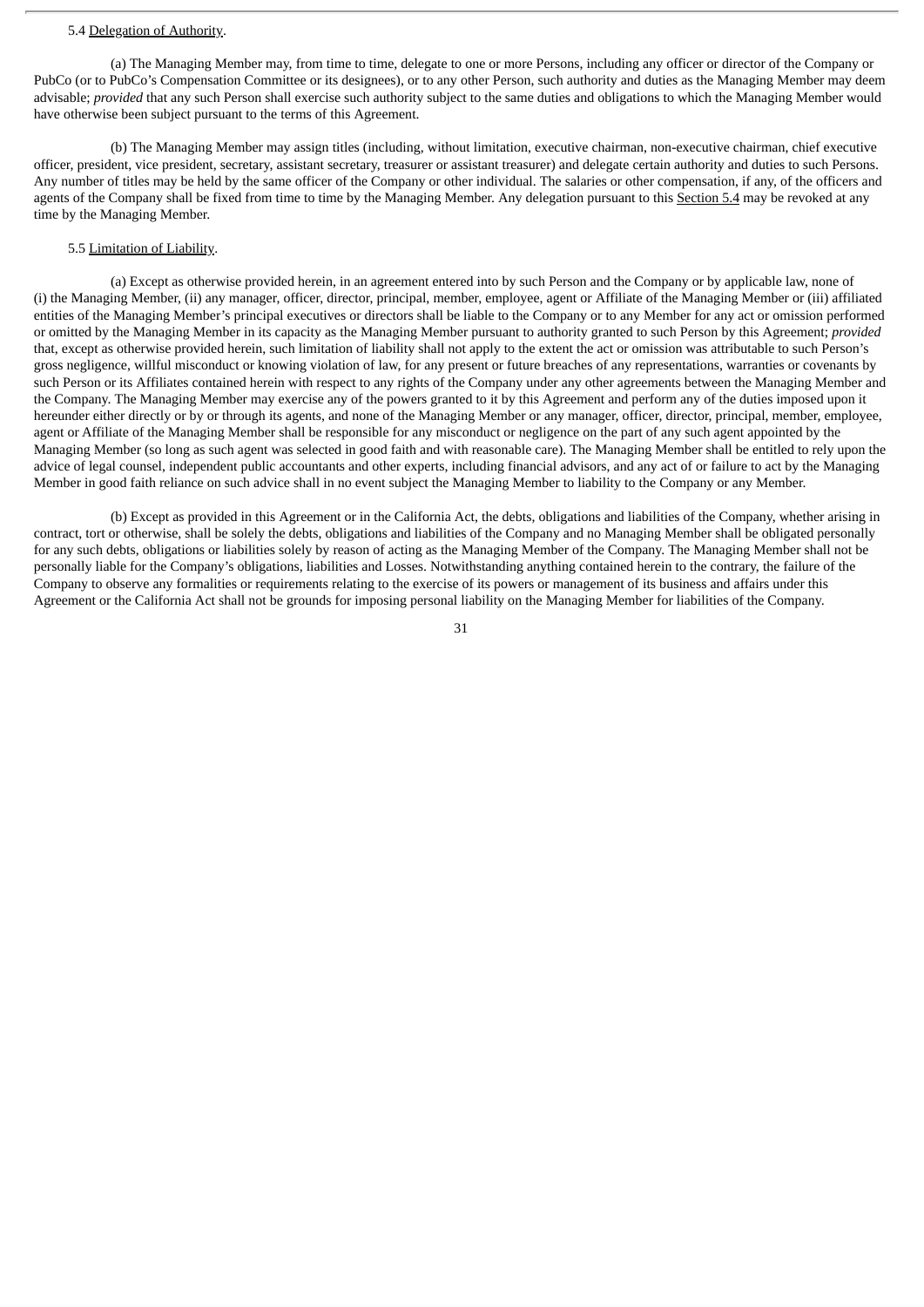## 5.4 Delegation of Authority.

(a) The Managing Member may, from time to time, delegate to one or more Persons, including any officer or director of the Company or PubCo (or to PubCo's Compensation Committee or its designees), or to any other Person, such authority and duties as the Managing Member may deem advisable; *provided* that any such Person shall exercise such authority subject to the same duties and obligations to which the Managing Member would have otherwise been subject pursuant to the terms of this Agreement.

(b) The Managing Member may assign titles (including, without limitation, executive chairman, non-executive chairman, chief executive officer, president, vice president, secretary, assistant secretary, treasurer or assistant treasurer) and delegate certain authority and duties to such Persons. Any number of titles may be held by the same officer of the Company or other individual. The salaries or other compensation, if any, of the officers and agents of the Company shall be fixed from time to time by the Managing Member. Any delegation pursuant to this Section 5.4 may be revoked at any time by the Managing Member.

## 5.5 Limitation of Liability.

(a) Except as otherwise provided herein, in an agreement entered into by such Person and the Company or by applicable law, none of (i) the Managing Member, (ii) any manager, officer, director, principal, member, employee, agent or Affiliate of the Managing Member or (iii) affiliated entities of the Managing Member's principal executives or directors shall be liable to the Company or to any Member for any act or omission performed or omitted by the Managing Member in its capacity as the Managing Member pursuant to authority granted to such Person by this Agreement; *provided* that, except as otherwise provided herein, such limitation of liability shall not apply to the extent the act or omission was attributable to such Person's gross negligence, willful misconduct or knowing violation of law, for any present or future breaches of any representations, warranties or covenants by such Person or its Affiliates contained herein with respect to any rights of the Company under any other agreements between the Managing Member and the Company. The Managing Member may exercise any of the powers granted to it by this Agreement and perform any of the duties imposed upon it hereunder either directly or by or through its agents, and none of the Managing Member or any manager, officer, director, principal, member, employee, agent or Affiliate of the Managing Member shall be responsible for any misconduct or negligence on the part of any such agent appointed by the Managing Member (so long as such agent was selected in good faith and with reasonable care). The Managing Member shall be entitled to rely upon the advice of legal counsel, independent public accountants and other experts, including financial advisors, and any act of or failure to act by the Managing Member in good faith reliance on such advice shall in no event subject the Managing Member to liability to the Company or any Member.

(b) Except as provided in this Agreement or in the California Act, the debts, obligations and liabilities of the Company, whether arising in contract, tort or otherwise, shall be solely the debts, obligations and liabilities of the Company and no Managing Member shall be obligated personally for any such debts, obligations or liabilities solely by reason of acting as the Managing Member of the Company. The Managing Member shall not be personally liable for the Company's obligations, liabilities and Losses. Notwithstanding anything contained herein to the contrary, the failure of the Company to observe any formalities or requirements relating to the exercise of its powers or management of its business and affairs under this Agreement or the California Act shall not be grounds for imposing personal liability on the Managing Member for liabilities of the Company.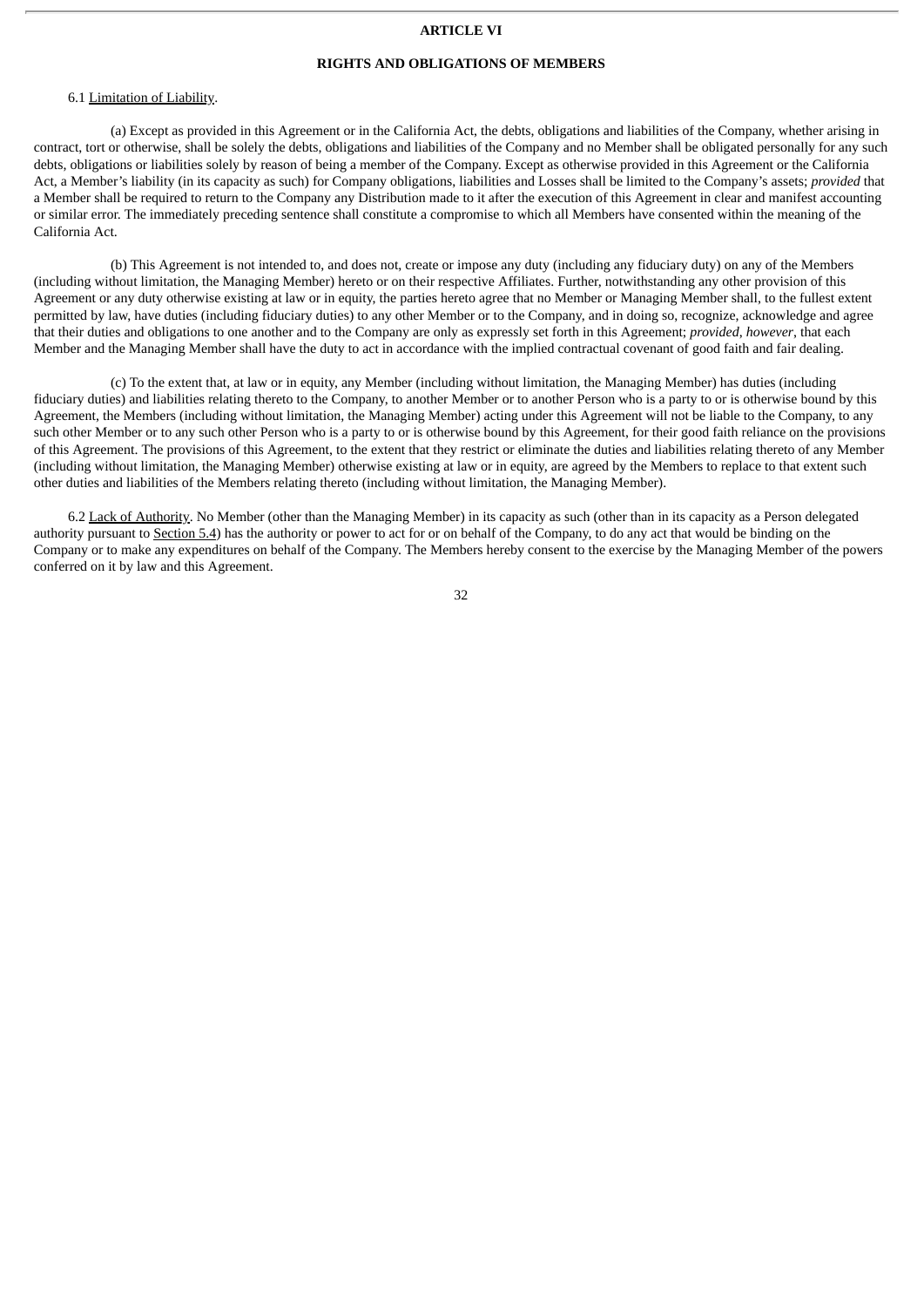## **ARTICLE VI**

# **RIGHTS AND OBLIGATIONS OF MEMBERS**

# 6.1 Limitation of Liability.

(a) Except as provided in this Agreement or in the California Act, the debts, obligations and liabilities of the Company, whether arising in contract, tort or otherwise, shall be solely the debts, obligations and liabilities of the Company and no Member shall be obligated personally for any such debts, obligations or liabilities solely by reason of being a member of the Company. Except as otherwise provided in this Agreement or the California Act, a Member's liability (in its capacity as such) for Company obligations, liabilities and Losses shall be limited to the Company's assets; *provided* that a Member shall be required to return to the Company any Distribution made to it after the execution of this Agreement in clear and manifest accounting or similar error. The immediately preceding sentence shall constitute a compromise to which all Members have consented within the meaning of the California Act.

(b) This Agreement is not intended to, and does not, create or impose any duty (including any fiduciary duty) on any of the Members (including without limitation, the Managing Member) hereto or on their respective Affiliates. Further, notwithstanding any other provision of this Agreement or any duty otherwise existing at law or in equity, the parties hereto agree that no Member or Managing Member shall, to the fullest extent permitted by law, have duties (including fiduciary duties) to any other Member or to the Company, and in doing so, recognize, acknowledge and agree that their duties and obligations to one another and to the Company are only as expressly set forth in this Agreement; *provided*, *however*, that each Member and the Managing Member shall have the duty to act in accordance with the implied contractual covenant of good faith and fair dealing.

(c) To the extent that, at law or in equity, any Member (including without limitation, the Managing Member) has duties (including fiduciary duties) and liabilities relating thereto to the Company, to another Member or to another Person who is a party to or is otherwise bound by this Agreement, the Members (including without limitation, the Managing Member) acting under this Agreement will not be liable to the Company, to any such other Member or to any such other Person who is a party to or is otherwise bound by this Agreement, for their good faith reliance on the provisions of this Agreement. The provisions of this Agreement, to the extent that they restrict or eliminate the duties and liabilities relating thereto of any Member (including without limitation, the Managing Member) otherwise existing at law or in equity, are agreed by the Members to replace to that extent such other duties and liabilities of the Members relating thereto (including without limitation, the Managing Member).

6.2 Lack of Authority. No Member (other than the Managing Member) in its capacity as such (other than in its capacity as a Person delegated authority pursuant to Section 5.4) has the authority or power to act for or on behalf of the Company, to do any act that would be binding on the Company or to make any expenditures on behalf of the Company. The Members hereby consent to the exercise by the Managing Member of the powers conferred on it by law and this Agreement.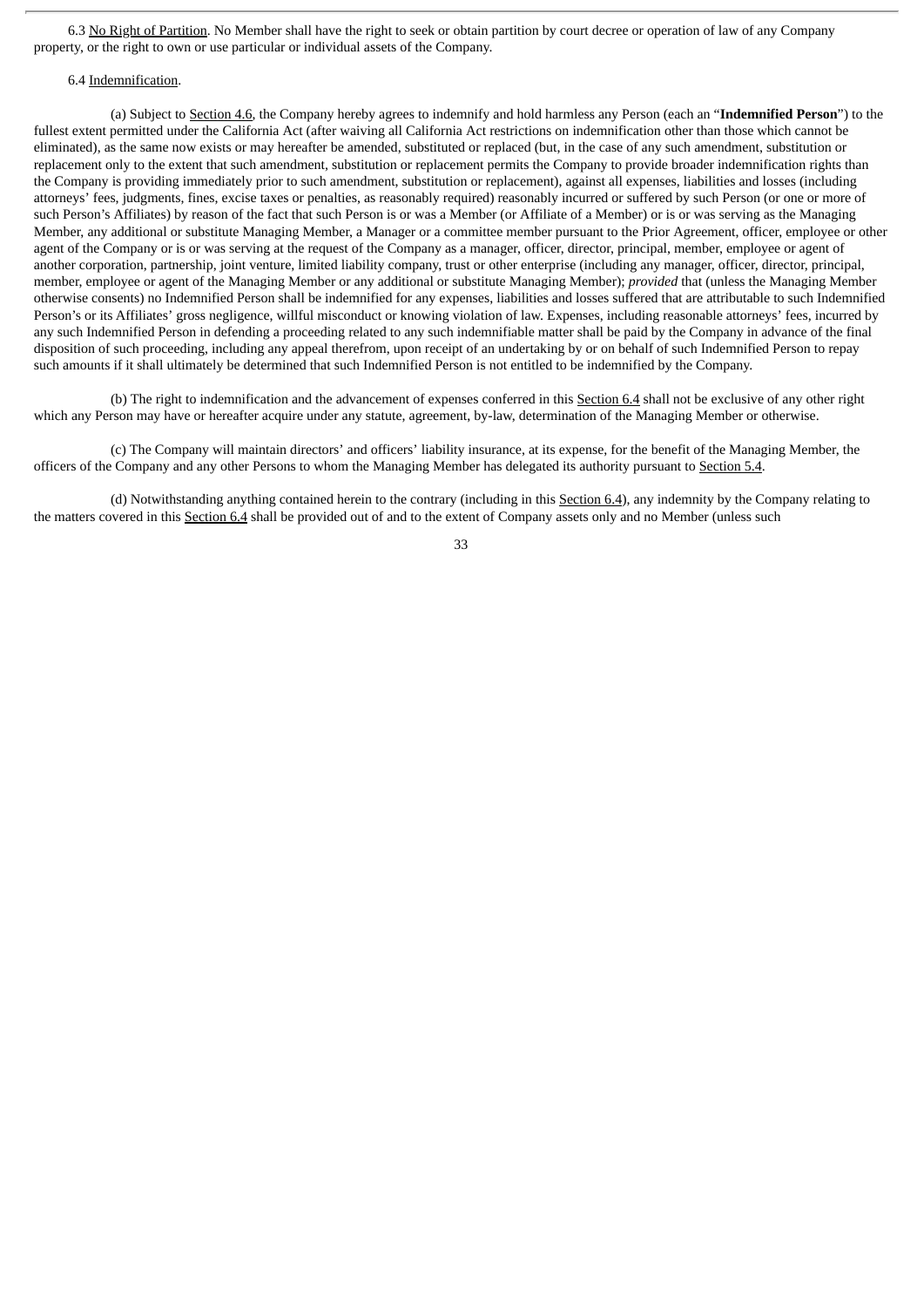6.3 No Right of Partition. No Member shall have the right to seek or obtain partition by court decree or operation of law of any Company property, or the right to own or use particular or individual assets of the Company.

## 6.4 Indemnification.

(a) Subject to Section 4.6, the Company hereby agrees to indemnify and hold harmless any Person (each an "**Indemnified Person**") to the fullest extent permitted under the California Act (after waiving all California Act restrictions on indemnification other than those which cannot be eliminated), as the same now exists or may hereafter be amended, substituted or replaced (but, in the case of any such amendment, substitution or replacement only to the extent that such amendment, substitution or replacement permits the Company to provide broader indemnification rights than the Company is providing immediately prior to such amendment, substitution or replacement), against all expenses, liabilities and losses (including attorneys' fees, judgments, fines, excise taxes or penalties, as reasonably required) reasonably incurred or suffered by such Person (or one or more of such Person's Affiliates) by reason of the fact that such Person is or was a Member (or Affiliate of a Member) or is or was serving as the Managing Member, any additional or substitute Managing Member, a Manager or a committee member pursuant to the Prior Agreement, officer, employee or other agent of the Company or is or was serving at the request of the Company as a manager, officer, director, principal, member, employee or agent of another corporation, partnership, joint venture, limited liability company, trust or other enterprise (including any manager, officer, director, principal, member, employee or agent of the Managing Member or any additional or substitute Managing Member); *provided* that (unless the Managing Member otherwise consents) no Indemnified Person shall be indemnified for any expenses, liabilities and losses suffered that are attributable to such Indemnified Person's or its Affiliates' gross negligence, willful misconduct or knowing violation of law. Expenses, including reasonable attorneys' fees, incurred by any such Indemnified Person in defending a proceeding related to any such indemnifiable matter shall be paid by the Company in advance of the final disposition of such proceeding, including any appeal therefrom, upon receipt of an undertaking by or on behalf of such Indemnified Person to repay such amounts if it shall ultimately be determined that such Indemnified Person is not entitled to be indemnified by the Company.

(b) The right to indemnification and the advancement of expenses conferred in this Section 6.4 shall not be exclusive of any other right which any Person may have or hereafter acquire under any statute, agreement, by-law, determination of the Managing Member or otherwise.

(c) The Company will maintain directors' and officers' liability insurance, at its expense, for the benefit of the Managing Member, the officers of the Company and any other Persons to whom the Managing Member has delegated its authority pursuant to Section 5.4.

(d) Notwithstanding anything contained herein to the contrary (including in this Section 6.4), any indemnity by the Company relating to the matters covered in this Section 6.4 shall be provided out of and to the extent of Company assets only and no Member (unless such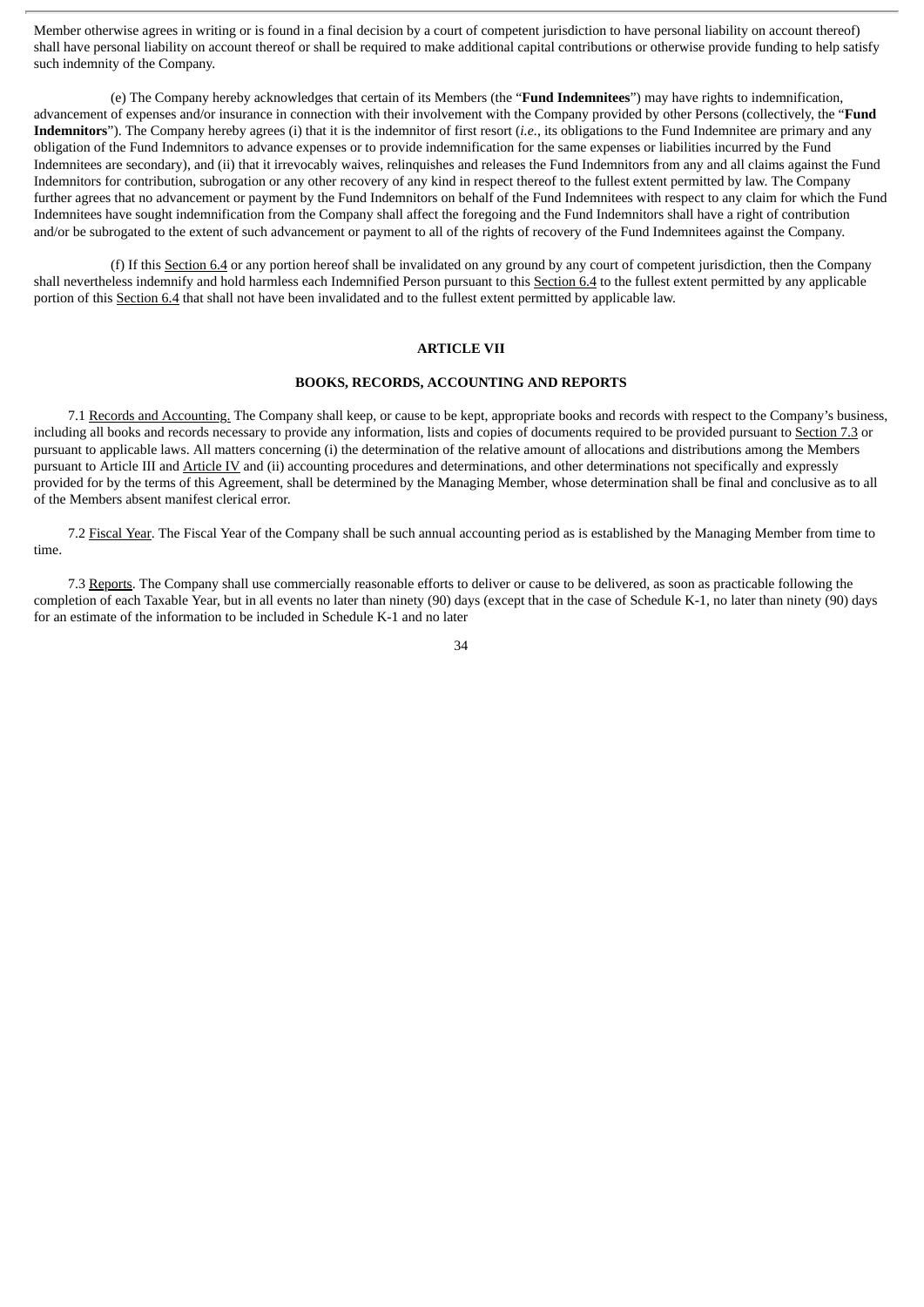Member otherwise agrees in writing or is found in a final decision by a court of competent jurisdiction to have personal liability on account thereof) shall have personal liability on account thereof or shall be required to make additional capital contributions or otherwise provide funding to help satisfy such indemnity of the Company.

(e) The Company hereby acknowledges that certain of its Members (the "**Fund Indemnitees**") may have rights to indemnification, advancement of expenses and/or insurance in connection with their involvement with the Company provided by other Persons (collectively, the "**Fund Indemnitors**"). The Company hereby agrees (i) that it is the indemnitor of first resort (*i.e.*, its obligations to the Fund Indemnitee are primary and any obligation of the Fund Indemnitors to advance expenses or to provide indemnification for the same expenses or liabilities incurred by the Fund Indemnitees are secondary), and (ii) that it irrevocably waives, relinquishes and releases the Fund Indemnitors from any and all claims against the Fund Indemnitors for contribution, subrogation or any other recovery of any kind in respect thereof to the fullest extent permitted by law. The Company further agrees that no advancement or payment by the Fund Indemnitors on behalf of the Fund Indemnitees with respect to any claim for which the Fund Indemnitees have sought indemnification from the Company shall affect the foregoing and the Fund Indemnitors shall have a right of contribution and/or be subrogated to the extent of such advancement or payment to all of the rights of recovery of the Fund Indemnitees against the Company.

(f) If this Section 6.4 or any portion hereof shall be invalidated on any ground by any court of competent jurisdiction, then the Company shall nevertheless indemnify and hold harmless each Indemnified Person pursuant to this Section 6.4 to the fullest extent permitted by any applicable portion of this Section 6.4 that shall not have been invalidated and to the fullest extent permitted by applicable law.

### **ARTICLE VII**

#### **BOOKS, RECORDS, ACCOUNTING AND REPORTS**

7.1 Records and Accounting. The Company shall keep, or cause to be kept, appropriate books and records with respect to the Company's business, including all books and records necessary to provide any information, lists and copies of documents required to be provided pursuant to Section 7.3 or pursuant to applicable laws. All matters concerning (i) the determination of the relative amount of allocations and distributions among the Members pursuant to Article III and Article IV and (ii) accounting procedures and determinations, and other determinations not specifically and expressly provided for by the terms of this Agreement, shall be determined by the Managing Member, whose determination shall be final and conclusive as to all of the Members absent manifest clerical error.

7.2 Fiscal Year. The Fiscal Year of the Company shall be such annual accounting period as is established by the Managing Member from time to time.

7.3 Reports. The Company shall use commercially reasonable efforts to deliver or cause to be delivered, as soon as practicable following the completion of each Taxable Year, but in all events no later than ninety (90) days (except that in the case of Schedule K-1, no later than ninety (90) days for an estimate of the information to be included in Schedule K-1 and no later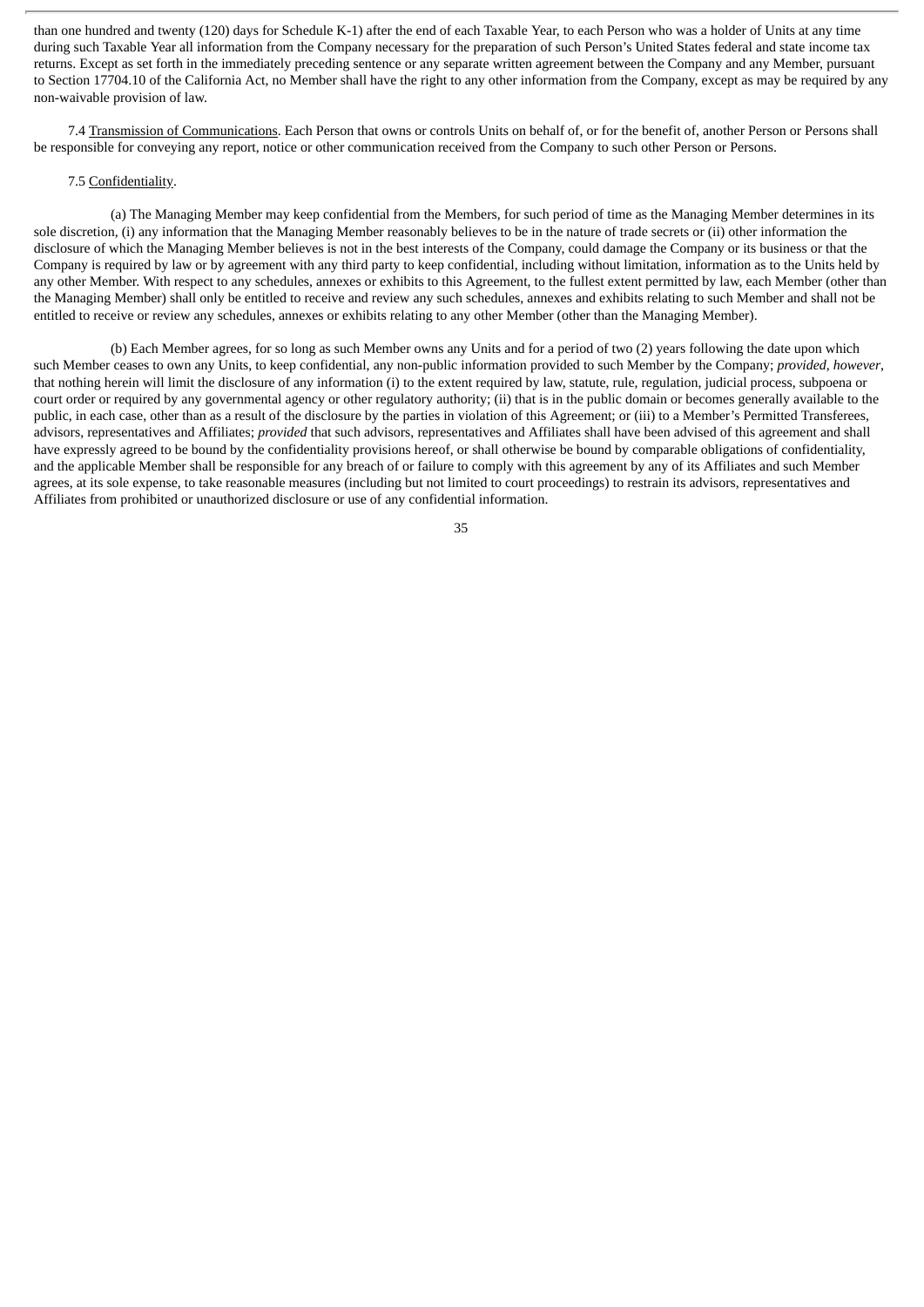than one hundred and twenty (120) days for Schedule K-1) after the end of each Taxable Year, to each Person who was a holder of Units at any time during such Taxable Year all information from the Company necessary for the preparation of such Person's United States federal and state income tax returns. Except as set forth in the immediately preceding sentence or any separate written agreement between the Company and any Member, pursuant to Section 17704.10 of the California Act, no Member shall have the right to any other information from the Company, except as may be required by any non-waivable provision of law.

7.4 Transmission of Communications. Each Person that owns or controls Units on behalf of, or for the benefit of, another Person or Persons shall be responsible for conveying any report, notice or other communication received from the Company to such other Person or Persons.

#### 7.5 Confidentiality.

(a) The Managing Member may keep confidential from the Members, for such period of time as the Managing Member determines in its sole discretion, (i) any information that the Managing Member reasonably believes to be in the nature of trade secrets or (ii) other information the disclosure of which the Managing Member believes is not in the best interests of the Company, could damage the Company or its business or that the Company is required by law or by agreement with any third party to keep confidential, including without limitation, information as to the Units held by any other Member. With respect to any schedules, annexes or exhibits to this Agreement, to the fullest extent permitted by law, each Member (other than the Managing Member) shall only be entitled to receive and review any such schedules, annexes and exhibits relating to such Member and shall not be entitled to receive or review any schedules, annexes or exhibits relating to any other Member (other than the Managing Member).

(b) Each Member agrees, for so long as such Member owns any Units and for a period of two (2) years following the date upon which such Member ceases to own any Units, to keep confidential, any non-public information provided to such Member by the Company; *provided*, *however*, that nothing herein will limit the disclosure of any information (i) to the extent required by law, statute, rule, regulation, judicial process, subpoena or court order or required by any governmental agency or other regulatory authority; (ii) that is in the public domain or becomes generally available to the public, in each case, other than as a result of the disclosure by the parties in violation of this Agreement; or (iii) to a Member's Permitted Transferees, advisors, representatives and Affiliates; *provided* that such advisors, representatives and Affiliates shall have been advised of this agreement and shall have expressly agreed to be bound by the confidentiality provisions hereof, or shall otherwise be bound by comparable obligations of confidentiality, and the applicable Member shall be responsible for any breach of or failure to comply with this agreement by any of its Affiliates and such Member agrees, at its sole expense, to take reasonable measures (including but not limited to court proceedings) to restrain its advisors, representatives and Affiliates from prohibited or unauthorized disclosure or use of any confidential information.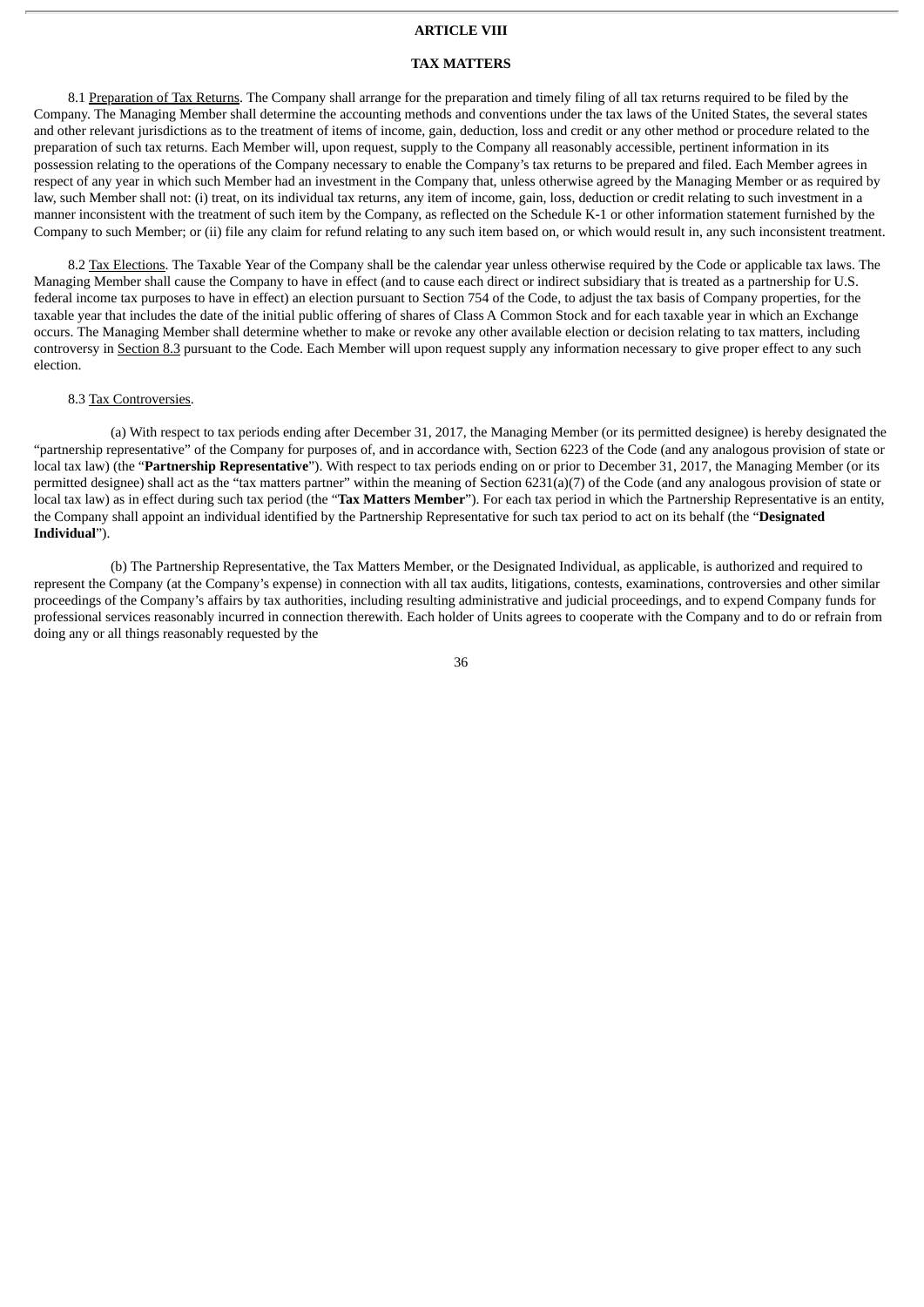## **ARTICLE VIII**

## **TAX MATTERS**

8.1 Preparation of Tax Returns. The Company shall arrange for the preparation and timely filing of all tax returns required to be filed by the Company. The Managing Member shall determine the accounting methods and conventions under the tax laws of the United States, the several states and other relevant jurisdictions as to the treatment of items of income, gain, deduction, loss and credit or any other method or procedure related to the preparation of such tax returns. Each Member will, upon request, supply to the Company all reasonably accessible, pertinent information in its possession relating to the operations of the Company necessary to enable the Company's tax returns to be prepared and filed. Each Member agrees in respect of any year in which such Member had an investment in the Company that, unless otherwise agreed by the Managing Member or as required by law, such Member shall not: (i) treat, on its individual tax returns, any item of income, gain, loss, deduction or credit relating to such investment in a manner inconsistent with the treatment of such item by the Company, as reflected on the Schedule K-1 or other information statement furnished by the Company to such Member; or (ii) file any claim for refund relating to any such item based on, or which would result in, any such inconsistent treatment.

8.2 Tax Elections. The Taxable Year of the Company shall be the calendar year unless otherwise required by the Code or applicable tax laws. The Managing Member shall cause the Company to have in effect (and to cause each direct or indirect subsidiary that is treated as a partnership for U.S. federal income tax purposes to have in effect) an election pursuant to Section 754 of the Code, to adjust the tax basis of Company properties, for the taxable year that includes the date of the initial public offering of shares of Class A Common Stock and for each taxable year in which an Exchange occurs. The Managing Member shall determine whether to make or revoke any other available election or decision relating to tax matters, including controversy in Section 8.3 pursuant to the Code. Each Member will upon request supply any information necessary to give proper effect to any such election.

#### 8.3 Tax Controversies.

(a) With respect to tax periods ending after December 31, 2017, the Managing Member (or its permitted designee) is hereby designated the "partnership representative" of the Company for purposes of, and in accordance with, Section 6223 of the Code (and any analogous provision of state or local tax law) (the "**Partnership Representative**"). With respect to tax periods ending on or prior to December 31, 2017, the Managing Member (or its permitted designee) shall act as the "tax matters partner" within the meaning of Section 6231(a)(7) of the Code (and any analogous provision of state or local tax law) as in effect during such tax period (the "**Tax Matters Member**"). For each tax period in which the Partnership Representative is an entity, the Company shall appoint an individual identified by the Partnership Representative for such tax period to act on its behalf (the "**Designated Individual**").

(b) The Partnership Representative, the Tax Matters Member, or the Designated Individual, as applicable, is authorized and required to represent the Company (at the Company's expense) in connection with all tax audits, litigations, contests, examinations, controversies and other similar proceedings of the Company's affairs by tax authorities, including resulting administrative and judicial proceedings, and to expend Company funds for professional services reasonably incurred in connection therewith. Each holder of Units agrees to cooperate with the Company and to do or refrain from doing any or all things reasonably requested by the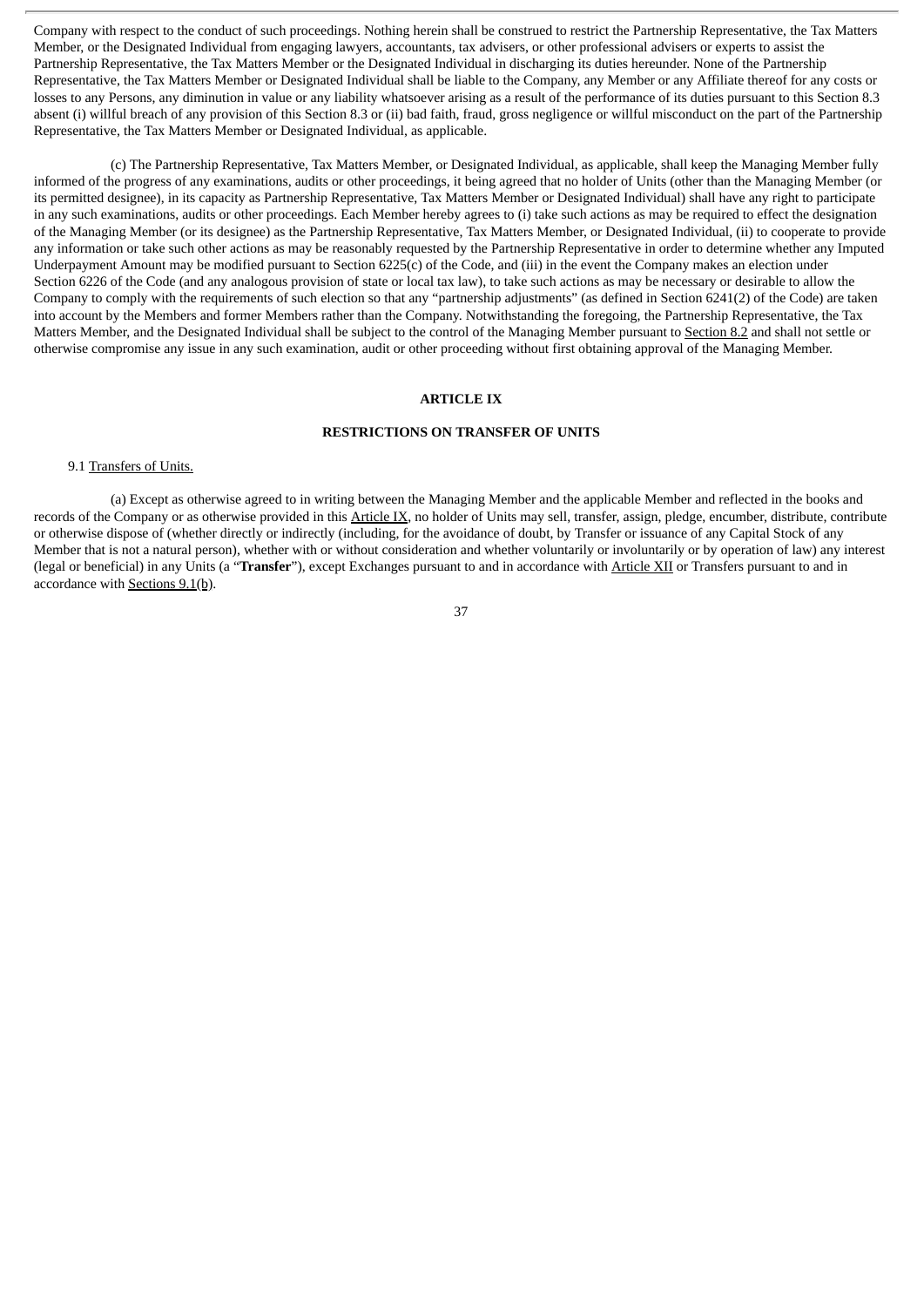Company with respect to the conduct of such proceedings. Nothing herein shall be construed to restrict the Partnership Representative, the Tax Matters Member, or the Designated Individual from engaging lawyers, accountants, tax advisers, or other professional advisers or experts to assist the Partnership Representative, the Tax Matters Member or the Designated Individual in discharging its duties hereunder. None of the Partnership Representative, the Tax Matters Member or Designated Individual shall be liable to the Company, any Member or any Affiliate thereof for any costs or losses to any Persons, any diminution in value or any liability whatsoever arising as a result of the performance of its duties pursuant to this Section 8.3 absent (i) willful breach of any provision of this Section 8.3 or (ii) bad faith, fraud, gross negligence or willful misconduct on the part of the Partnership Representative, the Tax Matters Member or Designated Individual, as applicable.

(c) The Partnership Representative, Tax Matters Member, or Designated Individual, as applicable, shall keep the Managing Member fully informed of the progress of any examinations, audits or other proceedings, it being agreed that no holder of Units (other than the Managing Member (or its permitted designee), in its capacity as Partnership Representative, Tax Matters Member or Designated Individual) shall have any right to participate in any such examinations, audits or other proceedings. Each Member hereby agrees to (i) take such actions as may be required to effect the designation of the Managing Member (or its designee) as the Partnership Representative, Tax Matters Member, or Designated Individual, (ii) to cooperate to provide any information or take such other actions as may be reasonably requested by the Partnership Representative in order to determine whether any Imputed Underpayment Amount may be modified pursuant to Section 6225(c) of the Code, and (iii) in the event the Company makes an election under Section 6226 of the Code (and any analogous provision of state or local tax law), to take such actions as may be necessary or desirable to allow the Company to comply with the requirements of such election so that any "partnership adjustments" (as defined in Section 6241(2) of the Code) are taken into account by the Members and former Members rather than the Company. Notwithstanding the foregoing, the Partnership Representative, the Tax Matters Member, and the Designated Individual shall be subject to the control of the Managing Member pursuant to Section 8.2 and shall not settle or otherwise compromise any issue in any such examination, audit or other proceeding without first obtaining approval of the Managing Member.

#### **ARTICLE IX**

# **RESTRICTIONS ON TRANSFER OF UNITS**

#### 9.1 Transfers of Units.

(a) Except as otherwise agreed to in writing between the Managing Member and the applicable Member and reflected in the books and records of the Company or as otherwise provided in this  $Article IX$ , no holder of Units may sell, transfer, assign, pledge, encumber, distribute, contribute or otherwise dispose of (whether directly or indirectly (including, for the avoidance of doubt, by Transfer or issuance of any Capital Stock of any Member that is not a natural person), whether with or without consideration and whether voluntarily or involuntarily or by operation of law) any interest (legal or beneficial) in any Units (a "**Transfer**"), except Exchanges pursuant to and in accordance with Article XII or Transfers pursuant to and in accordance with Sections 9.1(b).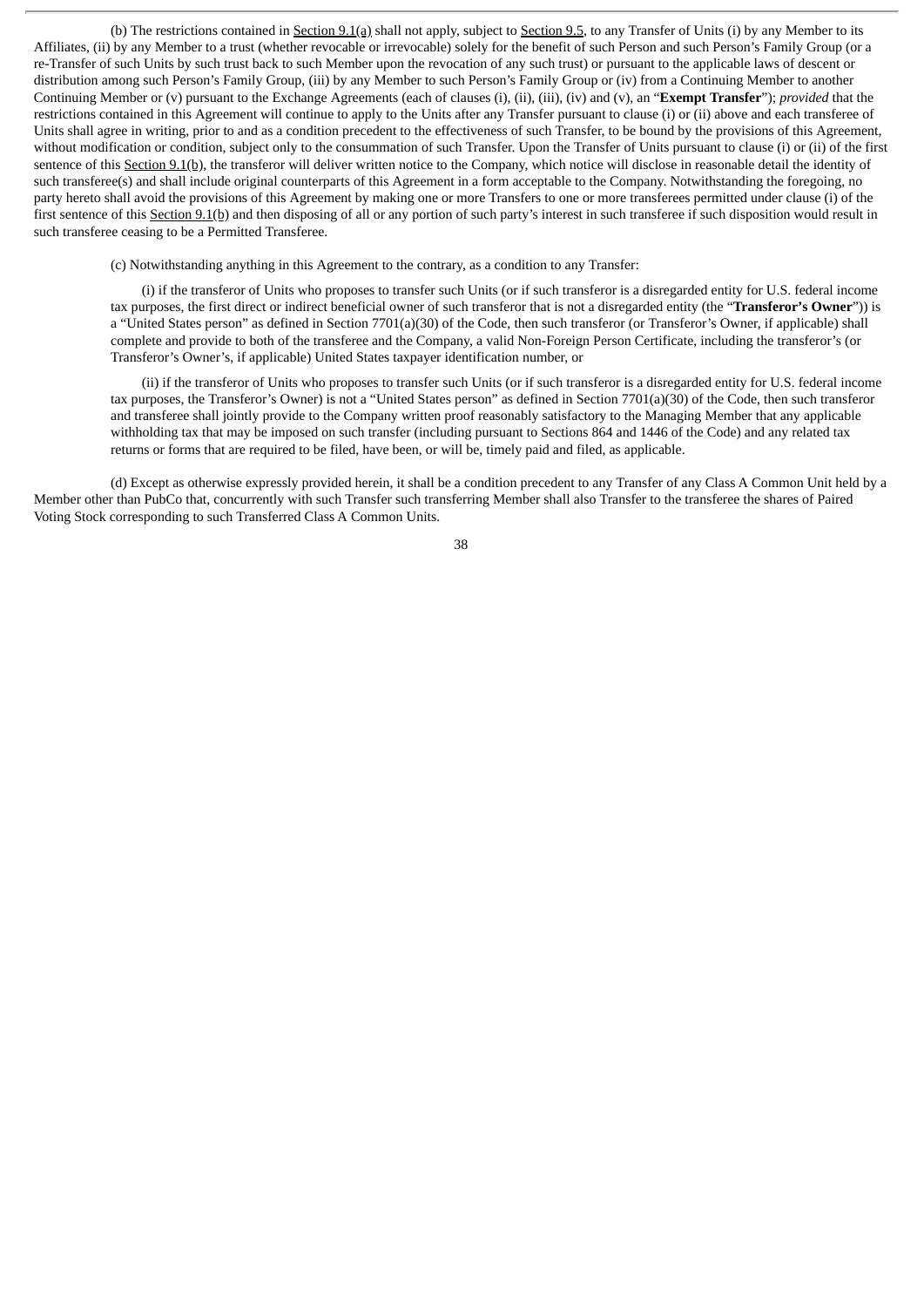(b) The restrictions contained in Section 9.1(a) shall not apply, subject to Section 9.5, to any Transfer of Units (i) by any Member to its Affiliates, (ii) by any Member to a trust (whether revocable or irrevocable) solely for the benefit of such Person and such Person's Family Group (or a re-Transfer of such Units by such trust back to such Member upon the revocation of any such trust) or pursuant to the applicable laws of descent or distribution among such Person's Family Group, (iii) by any Member to such Person's Family Group or (iv) from a Continuing Member to another Continuing Member or (v) pursuant to the Exchange Agreements (each of clauses (i), (ii), (iii), (iv) and (v), an "**Exempt Transfer**"); *provided* that the restrictions contained in this Agreement will continue to apply to the Units after any Transfer pursuant to clause (i) or (ii) above and each transferee of Units shall agree in writing, prior to and as a condition precedent to the effectiveness of such Transfer, to be bound by the provisions of this Agreement, without modification or condition, subject only to the consummation of such Transfer. Upon the Transfer of Units pursuant to clause (i) or (ii) of the first sentence of this Section 9.1(b), the transferor will deliver written notice to the Company, which notice will disclose in reasonable detail the identity of such transferee(s) and shall include original counterparts of this Agreement in a form acceptable to the Company. Notwithstanding the foregoing, no party hereto shall avoid the provisions of this Agreement by making one or more Transfers to one or more transferees permitted under clause (i) of the first sentence of this Section 9.1(b) and then disposing of all or any portion of such party's interest in such transferee if such disposition would result in such transferee ceasing to be a Permitted Transferee.

(c) Notwithstanding anything in this Agreement to the contrary, as a condition to any Transfer:

(i) if the transferor of Units who proposes to transfer such Units (or if such transferor is a disregarded entity for U.S. federal income tax purposes, the first direct or indirect beneficial owner of such transferor that is not a disregarded entity (the "**Transferor's Owner**")) is a "United States person" as defined in Section 7701(a)(30) of the Code, then such transferor (or Transferor's Owner, if applicable) shall complete and provide to both of the transferee and the Company, a valid Non-Foreign Person Certificate, including the transferor's (or Transferor's Owner's, if applicable) United States taxpayer identification number, or

(ii) if the transferor of Units who proposes to transfer such Units (or if such transferor is a disregarded entity for U.S. federal income tax purposes, the Transferor's Owner) is not a "United States person" as defined in Section 7701(a)(30) of the Code, then such transferor and transferee shall jointly provide to the Company written proof reasonably satisfactory to the Managing Member that any applicable withholding tax that may be imposed on such transfer (including pursuant to Sections 864 and 1446 of the Code) and any related tax returns or forms that are required to be filed, have been, or will be, timely paid and filed, as applicable.

(d) Except as otherwise expressly provided herein, it shall be a condition precedent to any Transfer of any Class A Common Unit held by a Member other than PubCo that, concurrently with such Transfer such transferring Member shall also Transfer to the transferee the shares of Paired Voting Stock corresponding to such Transferred Class A Common Units.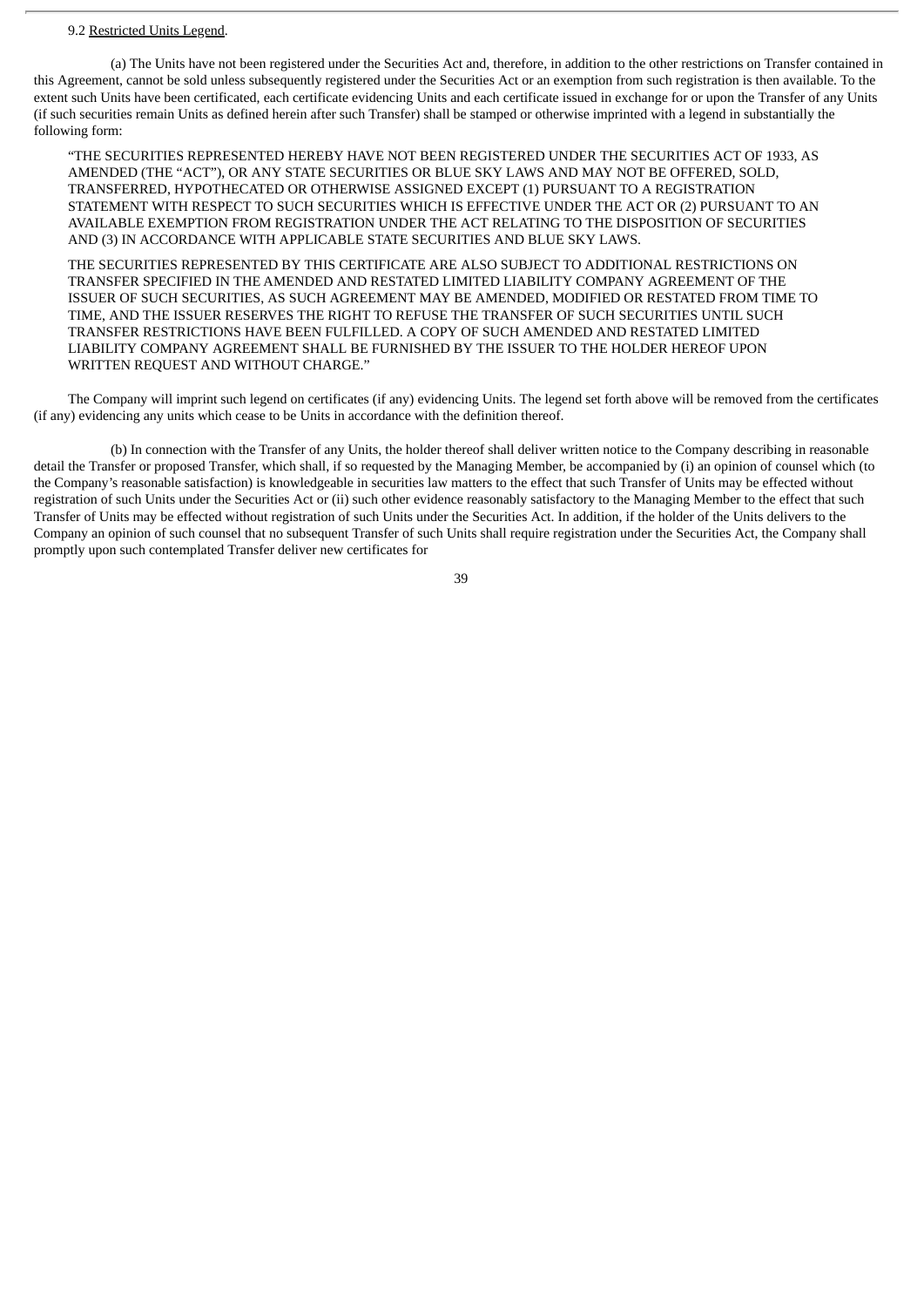#### 9.2 Restricted Units Legend.

(a) The Units have not been registered under the Securities Act and, therefore, in addition to the other restrictions on Transfer contained in this Agreement, cannot be sold unless subsequently registered under the Securities Act or an exemption from such registration is then available. To the extent such Units have been certificated, each certificate evidencing Units and each certificate issued in exchange for or upon the Transfer of any Units (if such securities remain Units as defined herein after such Transfer) shall be stamped or otherwise imprinted with a legend in substantially the following form:

"THE SECURITIES REPRESENTED HEREBY HAVE NOT BEEN REGISTERED UNDER THE SECURITIES ACT OF 1933, AS AMENDED (THE "ACT"), OR ANY STATE SECURITIES OR BLUE SKY LAWS AND MAY NOT BE OFFERED, SOLD, TRANSFERRED, HYPOTHECATED OR OTHERWISE ASSIGNED EXCEPT (1) PURSUANT TO A REGISTRATION STATEMENT WITH RESPECT TO SUCH SECURITIES WHICH IS EFFECTIVE UNDER THE ACT OR (2) PURSUANT TO AN AVAILABLE EXEMPTION FROM REGISTRATION UNDER THE ACT RELATING TO THE DISPOSITION OF SECURITIES AND (3) IN ACCORDANCE WITH APPLICABLE STATE SECURITIES AND BLUE SKY LAWS.

THE SECURITIES REPRESENTED BY THIS CERTIFICATE ARE ALSO SUBJECT TO ADDITIONAL RESTRICTIONS ON TRANSFER SPECIFIED IN THE AMENDED AND RESTATED LIMITED LIABILITY COMPANY AGREEMENT OF THE ISSUER OF SUCH SECURITIES, AS SUCH AGREEMENT MAY BE AMENDED, MODIFIED OR RESTATED FROM TIME TO TIME, AND THE ISSUER RESERVES THE RIGHT TO REFUSE THE TRANSFER OF SUCH SECURITIES UNTIL SUCH TRANSFER RESTRICTIONS HAVE BEEN FULFILLED. A COPY OF SUCH AMENDED AND RESTATED LIMITED LIABILITY COMPANY AGREEMENT SHALL BE FURNISHED BY THE ISSUER TO THE HOLDER HEREOF UPON WRITTEN REQUEST AND WITHOUT CHARGE."

The Company will imprint such legend on certificates (if any) evidencing Units. The legend set forth above will be removed from the certificates (if any) evidencing any units which cease to be Units in accordance with the definition thereof.

(b) In connection with the Transfer of any Units, the holder thereof shall deliver written notice to the Company describing in reasonable detail the Transfer or proposed Transfer, which shall, if so requested by the Managing Member, be accompanied by (i) an opinion of counsel which (to the Company's reasonable satisfaction) is knowledgeable in securities law matters to the effect that such Transfer of Units may be effected without registration of such Units under the Securities Act or (ii) such other evidence reasonably satisfactory to the Managing Member to the effect that such Transfer of Units may be effected without registration of such Units under the Securities Act. In addition, if the holder of the Units delivers to the Company an opinion of such counsel that no subsequent Transfer of such Units shall require registration under the Securities Act, the Company shall promptly upon such contemplated Transfer deliver new certificates for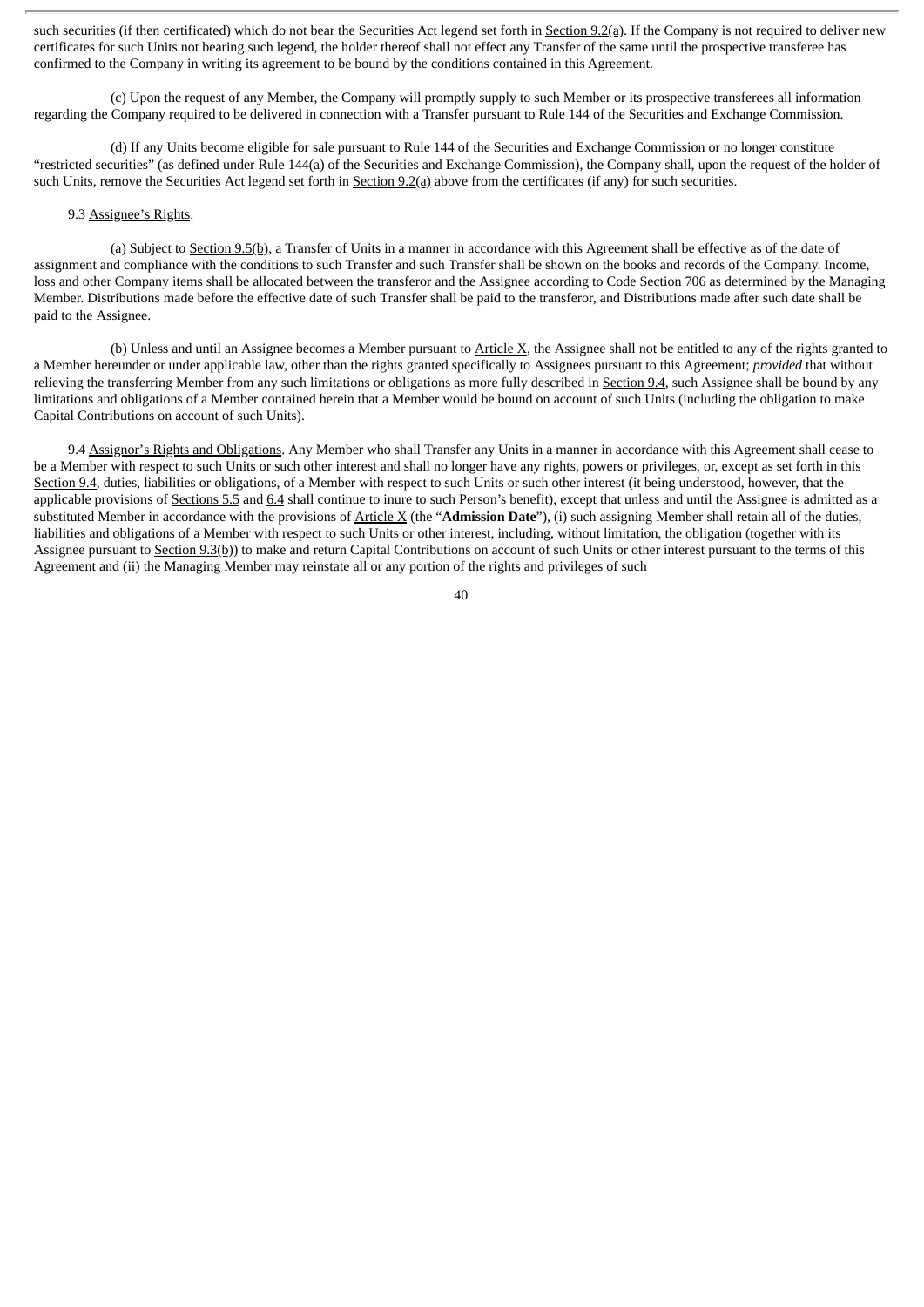such securities (if then certificated) which do not bear the Securities Act legend set forth in Section 9.2(a). If the Company is not required to deliver new certificates for such Units not bearing such legend, the holder thereof shall not effect any Transfer of the same until the prospective transferee has confirmed to the Company in writing its agreement to be bound by the conditions contained in this Agreement.

(c) Upon the request of any Member, the Company will promptly supply to such Member or its prospective transferees all information regarding the Company required to be delivered in connection with a Transfer pursuant to Rule 144 of the Securities and Exchange Commission.

(d) If any Units become eligible for sale pursuant to Rule 144 of the Securities and Exchange Commission or no longer constitute "restricted securities" (as defined under Rule 144(a) of the Securities and Exchange Commission), the Company shall, upon the request of the holder of such Units, remove the Securities Act legend set forth in Section 9.2(a) above from the certificates (if any) for such securities.

### 9.3 Assignee's Rights.

(a) Subject to Section 9.5(b), a Transfer of Units in a manner in accordance with this Agreement shall be effective as of the date of assignment and compliance with the conditions to such Transfer and such Transfer shall be shown on the books and records of the Company. Income, loss and other Company items shall be allocated between the transferor and the Assignee according to Code Section 706 as determined by the Managing Member. Distributions made before the effective date of such Transfer shall be paid to the transferor, and Distributions made after such date shall be paid to the Assignee.

(b) Unless and until an Assignee becomes a Member pursuant to Article X, the Assignee shall not be entitled to any of the rights granted to a Member hereunder or under applicable law, other than the rights granted specifically to Assignees pursuant to this Agreement; *provided* that without relieving the transferring Member from any such limitations or obligations as more fully described in Section 9.4, such Assignee shall be bound by any limitations and obligations of a Member contained herein that a Member would be bound on account of such Units (including the obligation to make Capital Contributions on account of such Units).

9.4 Assignor's Rights and Obligations. Any Member who shall Transfer any Units in a manner in accordance with this Agreement shall cease to be a Member with respect to such Units or such other interest and shall no longer have any rights, powers or privileges, or, except as set forth in this Section 9.4, duties, liabilities or obligations, of a Member with respect to such Units or such other interest (it being understood, however, that the applicable provisions of Sections 5.5 and 6.4 shall continue to inure to such Person's benefit), except that unless and until the Assignee is admitted as a substituted Member in accordance with the provisions of Article X (the "**Admission Date**"), (i) such assigning Member shall retain all of the duties, liabilities and obligations of a Member with respect to such Units or other interest, including, without limitation, the obligation (together with its Assignee pursuant to Section 9.3(b)) to make and return Capital Contributions on account of such Units or other interest pursuant to the terms of this Agreement and (ii) the Managing Member may reinstate all or any portion of the rights and privileges of such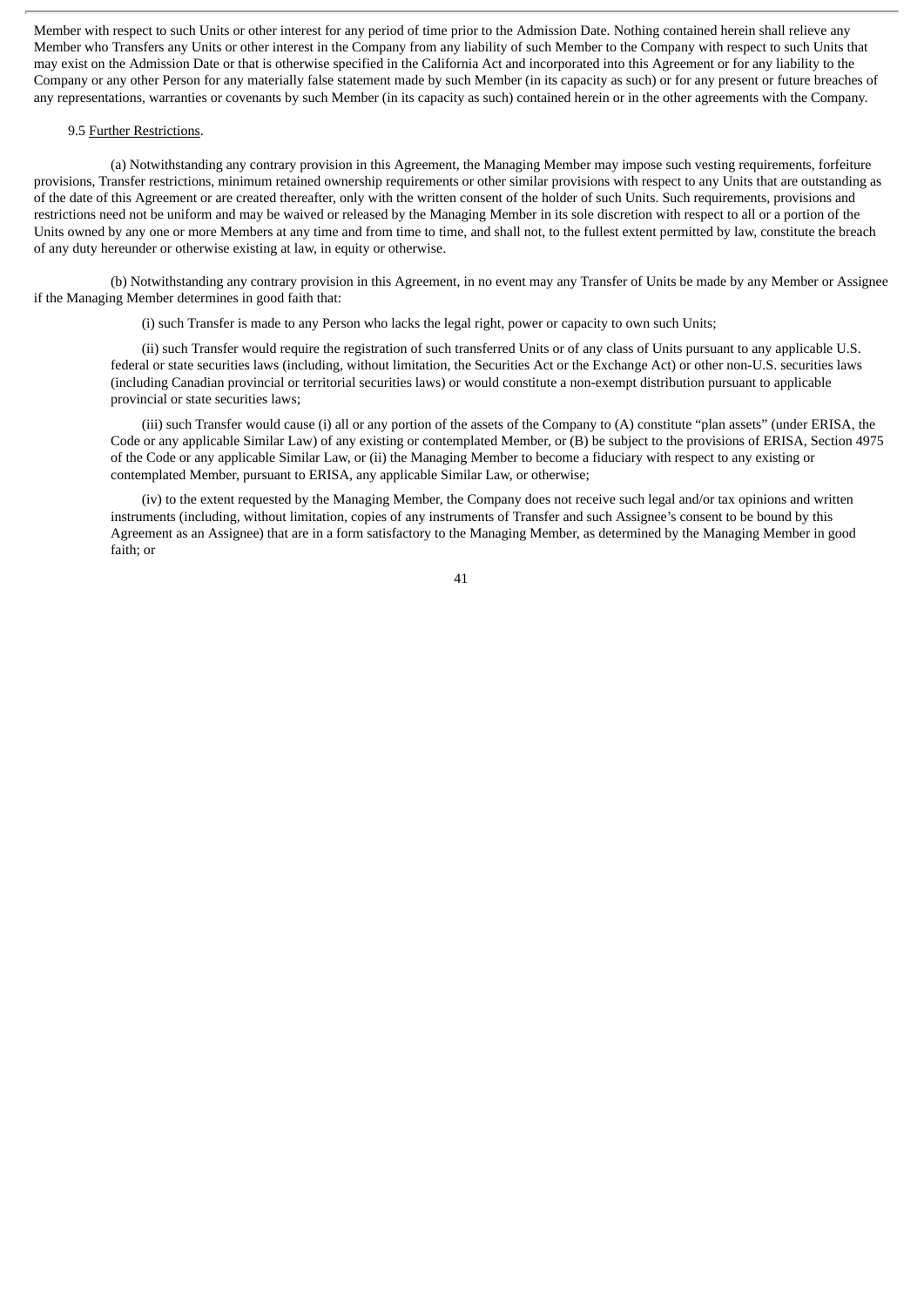Member with respect to such Units or other interest for any period of time prior to the Admission Date. Nothing contained herein shall relieve any Member who Transfers any Units or other interest in the Company from any liability of such Member to the Company with respect to such Units that may exist on the Admission Date or that is otherwise specified in the California Act and incorporated into this Agreement or for any liability to the Company or any other Person for any materially false statement made by such Member (in its capacity as such) or for any present or future breaches of any representations, warranties or covenants by such Member (in its capacity as such) contained herein or in the other agreements with the Company.

#### 9.5 Further Restrictions.

(a) Notwithstanding any contrary provision in this Agreement, the Managing Member may impose such vesting requirements, forfeiture provisions, Transfer restrictions, minimum retained ownership requirements or other similar provisions with respect to any Units that are outstanding as of the date of this Agreement or are created thereafter, only with the written consent of the holder of such Units. Such requirements, provisions and restrictions need not be uniform and may be waived or released by the Managing Member in its sole discretion with respect to all or a portion of the Units owned by any one or more Members at any time and from time to time, and shall not, to the fullest extent permitted by law, constitute the breach of any duty hereunder or otherwise existing at law, in equity or otherwise.

(b) Notwithstanding any contrary provision in this Agreement, in no event may any Transfer of Units be made by any Member or Assignee if the Managing Member determines in good faith that:

(i) such Transfer is made to any Person who lacks the legal right, power or capacity to own such Units;

(ii) such Transfer would require the registration of such transferred Units or of any class of Units pursuant to any applicable U.S. federal or state securities laws (including, without limitation, the Securities Act or the Exchange Act) or other non-U.S. securities laws (including Canadian provincial or territorial securities laws) or would constitute a non-exempt distribution pursuant to applicable provincial or state securities laws;

(iii) such Transfer would cause (i) all or any portion of the assets of the Company to (A) constitute "plan assets" (under ERISA, the Code or any applicable Similar Law) of any existing or contemplated Member, or (B) be subject to the provisions of ERISA, Section 4975 of the Code or any applicable Similar Law, or (ii) the Managing Member to become a fiduciary with respect to any existing or contemplated Member, pursuant to ERISA, any applicable Similar Law, or otherwise;

(iv) to the extent requested by the Managing Member, the Company does not receive such legal and/or tax opinions and written instruments (including, without limitation, copies of any instruments of Transfer and such Assignee's consent to be bound by this Agreement as an Assignee) that are in a form satisfactory to the Managing Member, as determined by the Managing Member in good faith; or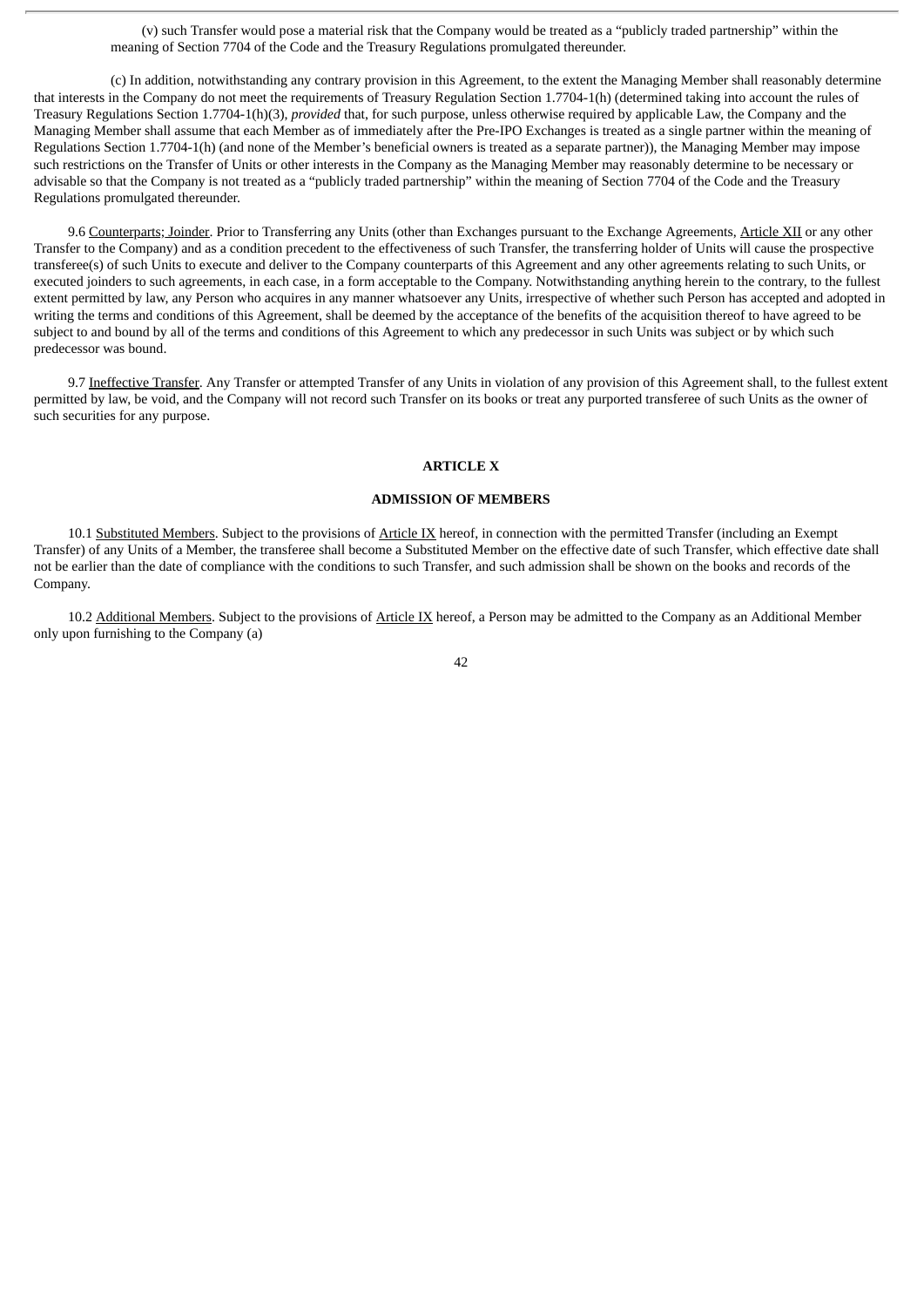(v) such Transfer would pose a material risk that the Company would be treated as a "publicly traded partnership" within the meaning of Section 7704 of the Code and the Treasury Regulations promulgated thereunder.

(c) In addition, notwithstanding any contrary provision in this Agreement, to the extent the Managing Member shall reasonably determine that interests in the Company do not meet the requirements of Treasury Regulation Section 1.7704-1(h) (determined taking into account the rules of Treasury Regulations Section 1.7704-1(h)(3), *provided* that, for such purpose, unless otherwise required by applicable Law, the Company and the Managing Member shall assume that each Member as of immediately after the Pre-IPO Exchanges is treated as a single partner within the meaning of Regulations Section 1.7704-1(h) (and none of the Member's beneficial owners is treated as a separate partner)), the Managing Member may impose such restrictions on the Transfer of Units or other interests in the Company as the Managing Member may reasonably determine to be necessary or advisable so that the Company is not treated as a "publicly traded partnership" within the meaning of Section 7704 of the Code and the Treasury Regulations promulgated thereunder.

9.6 Counterparts; Joinder. Prior to Transferring any Units (other than Exchanges pursuant to the Exchange Agreements, Article XII or any other Transfer to the Company) and as a condition precedent to the effectiveness of such Transfer, the transferring holder of Units will cause the prospective transferee(s) of such Units to execute and deliver to the Company counterparts of this Agreement and any other agreements relating to such Units, or executed joinders to such agreements, in each case, in a form acceptable to the Company. Notwithstanding anything herein to the contrary, to the fullest extent permitted by law, any Person who acquires in any manner whatsoever any Units, irrespective of whether such Person has accepted and adopted in writing the terms and conditions of this Agreement, shall be deemed by the acceptance of the benefits of the acquisition thereof to have agreed to be subject to and bound by all of the terms and conditions of this Agreement to which any predecessor in such Units was subject or by which such predecessor was bound.

9.7 Ineffective Transfer. Any Transfer or attempted Transfer of any Units in violation of any provision of this Agreement shall, to the fullest extent permitted by law, be void, and the Company will not record such Transfer on its books or treat any purported transferee of such Units as the owner of such securities for any purpose.

#### **ARTICLE X**

#### **ADMISSION OF MEMBERS**

10.1 Substituted Members. Subject to the provisions of Article IX hereof, in connection with the permitted Transfer (including an Exempt Transfer) of any Units of a Member, the transferee shall become a Substituted Member on the effective date of such Transfer, which effective date shall not be earlier than the date of compliance with the conditions to such Transfer, and such admission shall be shown on the books and records of the Company.

10.2 Additional Members. Subject to the provisions of Article IX hereof, a Person may be admitted to the Company as an Additional Member only upon furnishing to the Company (a)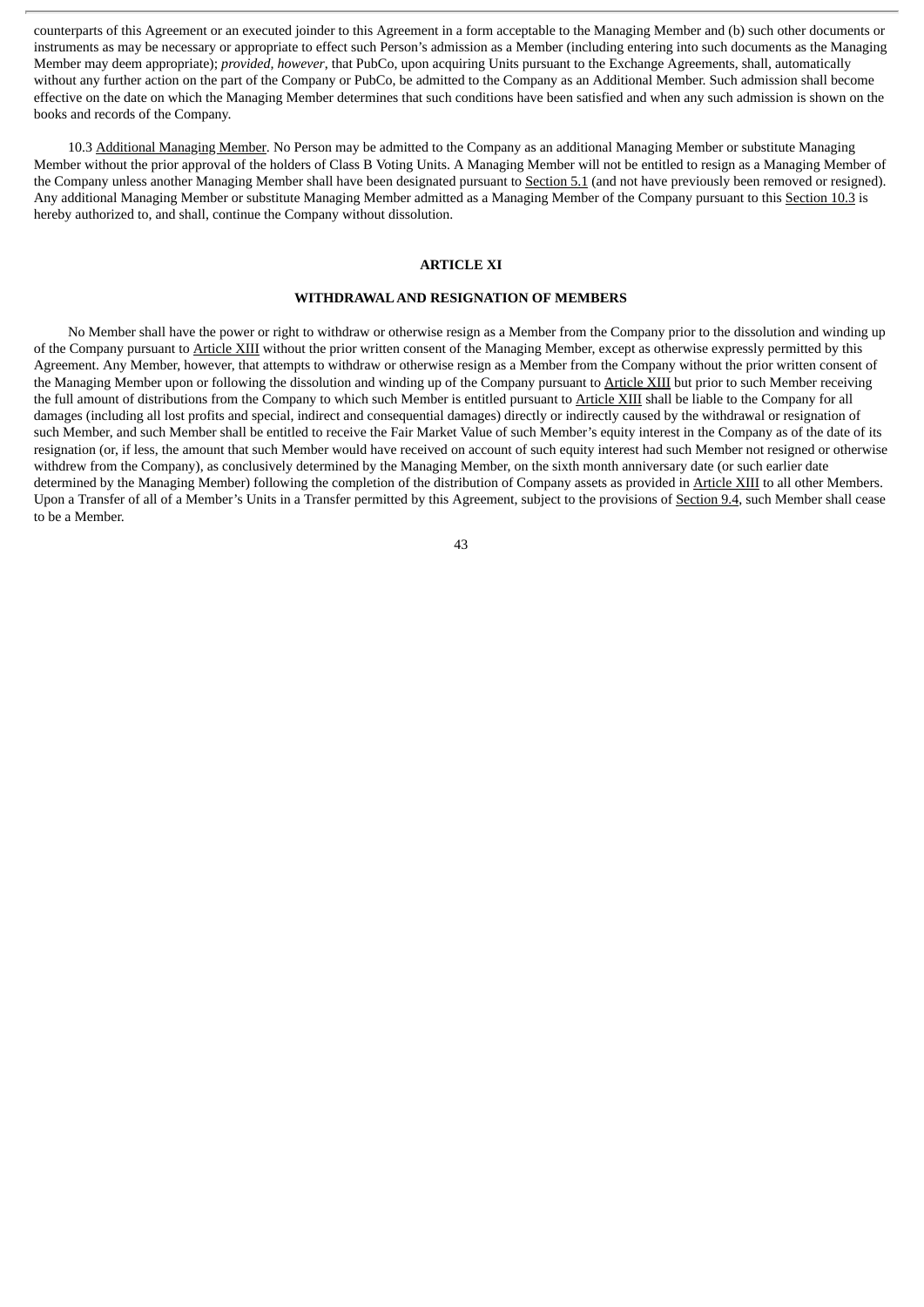counterparts of this Agreement or an executed joinder to this Agreement in a form acceptable to the Managing Member and (b) such other documents or instruments as may be necessary or appropriate to effect such Person's admission as a Member (including entering into such documents as the Managing Member may deem appropriate); *provided, however*, that PubCo, upon acquiring Units pursuant to the Exchange Agreements, shall, automatically without any further action on the part of the Company or PubCo, be admitted to the Company as an Additional Member. Such admission shall become effective on the date on which the Managing Member determines that such conditions have been satisfied and when any such admission is shown on the books and records of the Company.

10.3 Additional Managing Member. No Person may be admitted to the Company as an additional Managing Member or substitute Managing Member without the prior approval of the holders of Class B Voting Units. A Managing Member will not be entitled to resign as a Managing Member of the Company unless another Managing Member shall have been designated pursuant to Section 5.1 (and not have previously been removed or resigned). Any additional Managing Member or substitute Managing Member admitted as a Managing Member of the Company pursuant to this Section 10.3 is hereby authorized to, and shall, continue the Company without dissolution.

## **ARTICLE XI**

#### **WITHDRAWALAND RESIGNATION OF MEMBERS**

No Member shall have the power or right to withdraw or otherwise resign as a Member from the Company prior to the dissolution and winding up of the Company pursuant to Article XIII without the prior written consent of the Managing Member, except as otherwise expressly permitted by this Agreement. Any Member, however, that attempts to withdraw or otherwise resign as a Member from the Company without the prior written consent of the Managing Member upon or following the dissolution and winding up of the Company pursuant to Article XIII but prior to such Member receiving the full amount of distributions from the Company to which such Member is entitled pursuant to Article XIII shall be liable to the Company for all damages (including all lost profits and special, indirect and consequential damages) directly or indirectly caused by the withdrawal or resignation of such Member, and such Member shall be entitled to receive the Fair Market Value of such Member's equity interest in the Company as of the date of its resignation (or, if less, the amount that such Member would have received on account of such equity interest had such Member not resigned or otherwise withdrew from the Company), as conclusively determined by the Managing Member, on the sixth month anniversary date (or such earlier date determined by the Managing Member) following the completion of the distribution of Company assets as provided in Article XIII to all other Members. Upon a Transfer of all of a Member's Units in a Transfer permitted by this Agreement, subject to the provisions of Section 9.4, such Member shall cease to be a Member.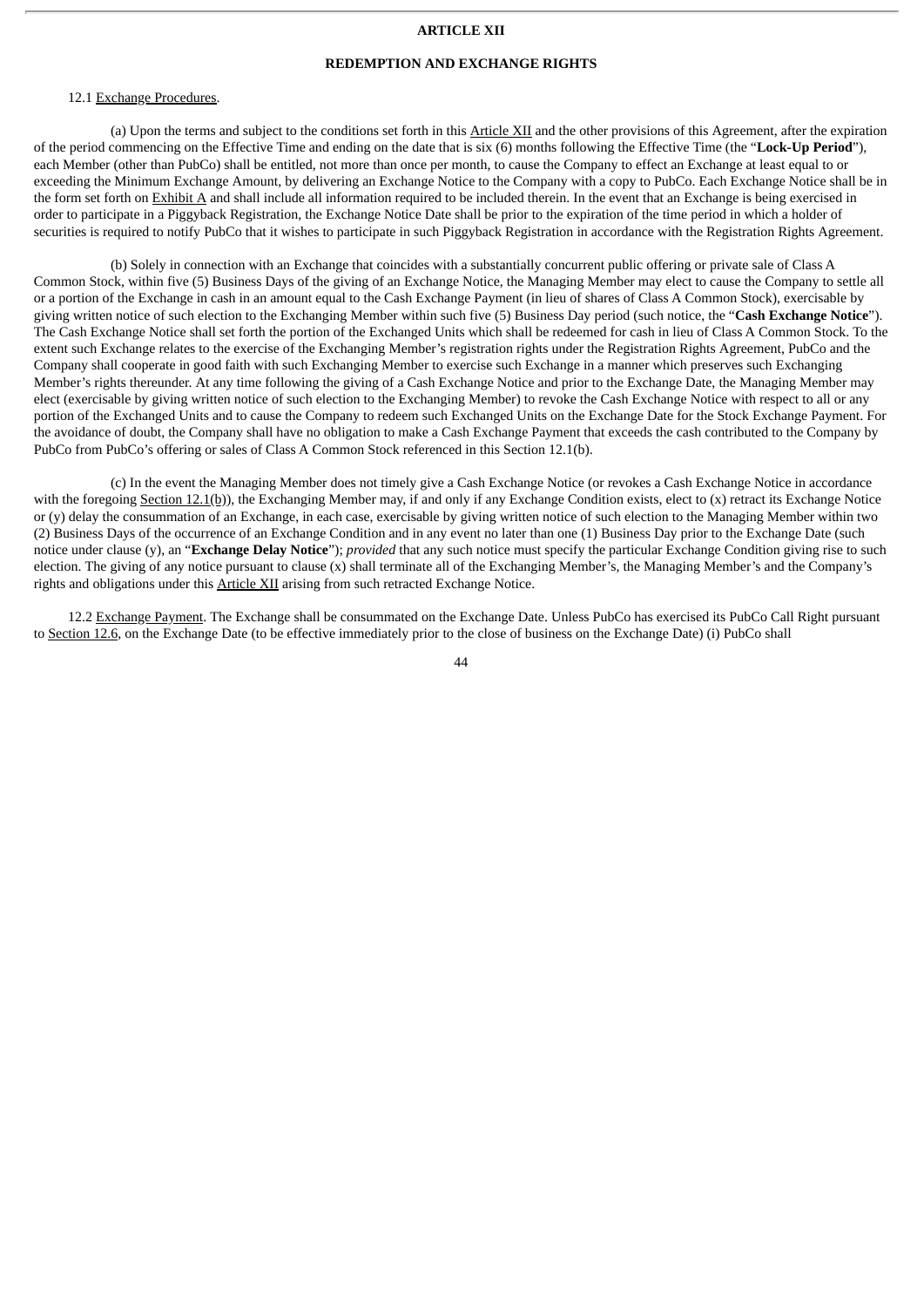# **ARTICLE XII**

# **REDEMPTION AND EXCHANGE RIGHTS**

## 12.1 Exchange Procedures.

(a) Upon the terms and subject to the conditions set forth in this Article XII and the other provisions of this Agreement, after the expiration of the period commencing on the Effective Time and ending on the date that is six (6) months following the Effective Time (the "**Lock-Up Period**"), each Member (other than PubCo) shall be entitled, not more than once per month, to cause the Company to effect an Exchange at least equal to or exceeding the Minimum Exchange Amount, by delivering an Exchange Notice to the Company with a copy to PubCo. Each Exchange Notice shall be in the form set forth on Exhibit A and shall include all information required to be included therein. In the event that an Exchange is being exercised in order to participate in a Piggyback Registration, the Exchange Notice Date shall be prior to the expiration of the time period in which a holder of securities is required to notify PubCo that it wishes to participate in such Piggyback Registration in accordance with the Registration Rights Agreement.

(b) Solely in connection with an Exchange that coincides with a substantially concurrent public offering or private sale of Class A Common Stock, within five (5) Business Days of the giving of an Exchange Notice, the Managing Member may elect to cause the Company to settle all or a portion of the Exchange in cash in an amount equal to the Cash Exchange Payment (in lieu of shares of Class A Common Stock), exercisable by giving written notice of such election to the Exchanging Member within such five (5) Business Day period (such notice, the "**Cash Exchange Notice**"). The Cash Exchange Notice shall set forth the portion of the Exchanged Units which shall be redeemed for cash in lieu of Class A Common Stock. To the extent such Exchange relates to the exercise of the Exchanging Member's registration rights under the Registration Rights Agreement, PubCo and the Company shall cooperate in good faith with such Exchanging Member to exercise such Exchange in a manner which preserves such Exchanging Member's rights thereunder. At any time following the giving of a Cash Exchange Notice and prior to the Exchange Date, the Managing Member may elect (exercisable by giving written notice of such election to the Exchanging Member) to revoke the Cash Exchange Notice with respect to all or any portion of the Exchanged Units and to cause the Company to redeem such Exchanged Units on the Exchange Date for the Stock Exchange Payment. For the avoidance of doubt, the Company shall have no obligation to make a Cash Exchange Payment that exceeds the cash contributed to the Company by PubCo from PubCo's offering or sales of Class A Common Stock referenced in this Section 12.1(b).

(c) In the event the Managing Member does not timely give a Cash Exchange Notice (or revokes a Cash Exchange Notice in accordance with the foregoing Section 12.1(b)), the Exchanging Member may, if and only if any Exchange Condition exists, elect to  $(x)$  retract its Exchange Notice or (y) delay the consummation of an Exchange, in each case, exercisable by giving written notice of such election to the Managing Member within two (2) Business Days of the occurrence of an Exchange Condition and in any event no later than one (1) Business Day prior to the Exchange Date (such notice under clause (y), an "**Exchange Delay Notice**"); *provided* that any such notice must specify the particular Exchange Condition giving rise to such election. The giving of any notice pursuant to clause (x) shall terminate all of the Exchanging Member's, the Managing Member's and the Company's rights and obligations under this Article XII arising from such retracted Exchange Notice.

12.2 Exchange Payment. The Exchange shall be consummated on the Exchange Date. Unless PubCo has exercised its PubCo Call Right pursuant to Section 12.6, on the Exchange Date (to be effective immediately prior to the close of business on the Exchange Date) (i) PubCo shall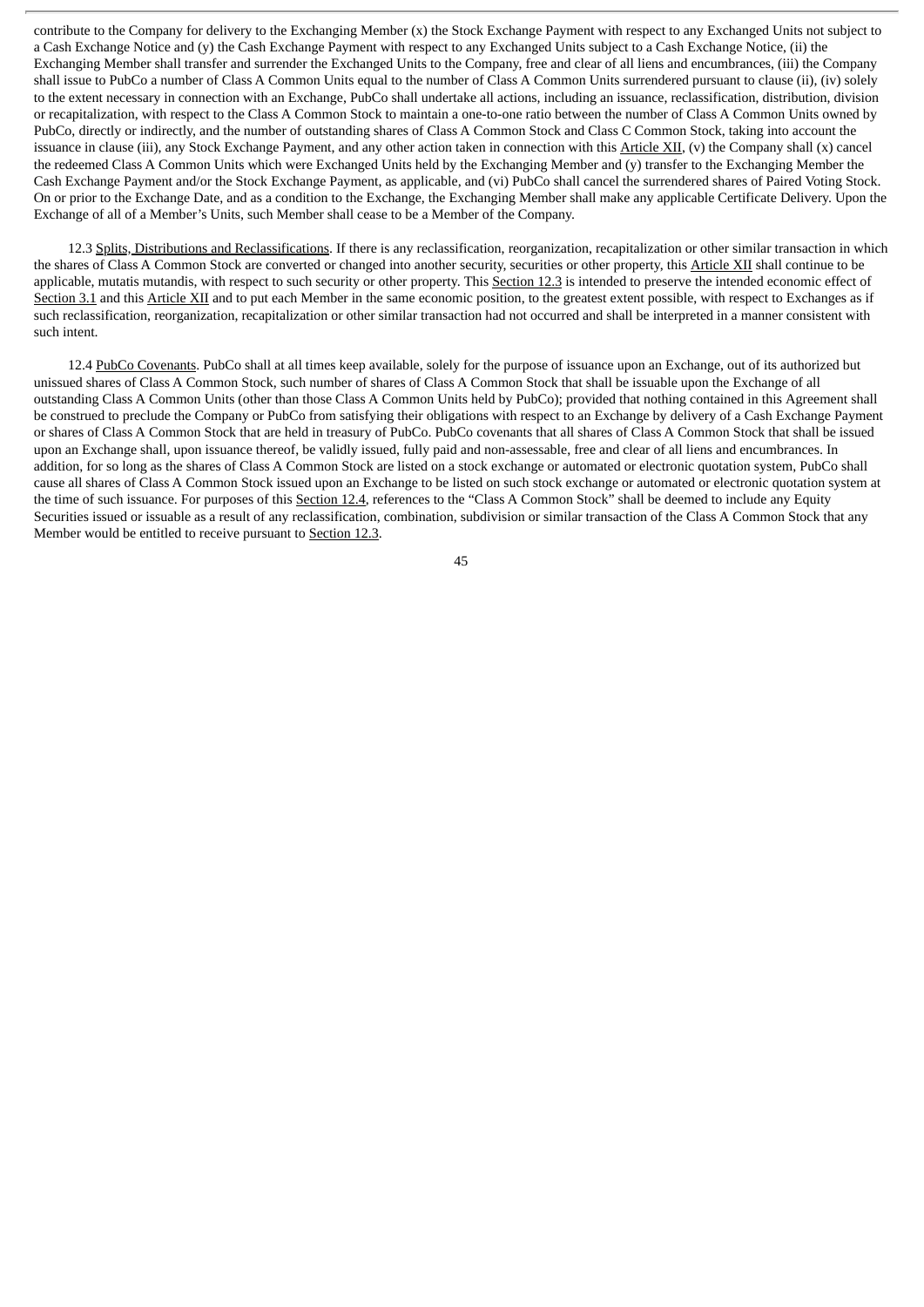contribute to the Company for delivery to the Exchanging Member (x) the Stock Exchange Payment with respect to any Exchanged Units not subject to a Cash Exchange Notice and (y) the Cash Exchange Payment with respect to any Exchanged Units subject to a Cash Exchange Notice, (ii) the Exchanging Member shall transfer and surrender the Exchanged Units to the Company, free and clear of all liens and encumbrances, (iii) the Company shall issue to PubCo a number of Class A Common Units equal to the number of Class A Common Units surrendered pursuant to clause (ii), (iv) solely to the extent necessary in connection with an Exchange, PubCo shall undertake all actions, including an issuance, reclassification, distribution, division or recapitalization, with respect to the Class A Common Stock to maintain a one-to-one ratio between the number of Class A Common Units owned by PubCo, directly or indirectly, and the number of outstanding shares of Class A Common Stock and Class C Common Stock, taking into account the issuance in clause (iii), any Stock Exchange Payment, and any other action taken in connection with this Article XII, (v) the Company shall (x) cancel the redeemed Class A Common Units which were Exchanged Units held by the Exchanging Member and (y) transfer to the Exchanging Member the Cash Exchange Payment and/or the Stock Exchange Payment, as applicable, and (vi) PubCo shall cancel the surrendered shares of Paired Voting Stock. On or prior to the Exchange Date, and as a condition to the Exchange, the Exchanging Member shall make any applicable Certificate Delivery. Upon the Exchange of all of a Member's Units, such Member shall cease to be a Member of the Company.

12.3 Splits, Distributions and Reclassifications. If there is any reclassification, reorganization, recapitalization or other similar transaction in which the shares of Class A Common Stock are converted or changed into another security, securities or other property, this Article XII shall continue to be applicable, mutatis mutandis, with respect to such security or other property. This Section 12.3 is intended to preserve the intended economic effect of Section 3.1 and this Article XII and to put each Member in the same economic position, to the greatest extent possible, with respect to Exchanges as if such reclassification, reorganization, recapitalization or other similar transaction had not occurred and shall be interpreted in a manner consistent with such intent.

12.4 PubCo Covenants. PubCo shall at all times keep available, solely for the purpose of issuance upon an Exchange, out of its authorized but unissued shares of Class A Common Stock, such number of shares of Class A Common Stock that shall be issuable upon the Exchange of all outstanding Class A Common Units (other than those Class A Common Units held by PubCo); provided that nothing contained in this Agreement shall be construed to preclude the Company or PubCo from satisfying their obligations with respect to an Exchange by delivery of a Cash Exchange Payment or shares of Class A Common Stock that are held in treasury of PubCo. PubCo covenants that all shares of Class A Common Stock that shall be issued upon an Exchange shall, upon issuance thereof, be validly issued, fully paid and non-assessable, free and clear of all liens and encumbrances. In addition, for so long as the shares of Class A Common Stock are listed on a stock exchange or automated or electronic quotation system, PubCo shall cause all shares of Class A Common Stock issued upon an Exchange to be listed on such stock exchange or automated or electronic quotation system at the time of such issuance. For purposes of this Section 12.4, references to the "Class A Common Stock" shall be deemed to include any Equity Securities issued or issuable as a result of any reclassification, combination, subdivision or similar transaction of the Class A Common Stock that any Member would be entitled to receive pursuant to Section 12.3.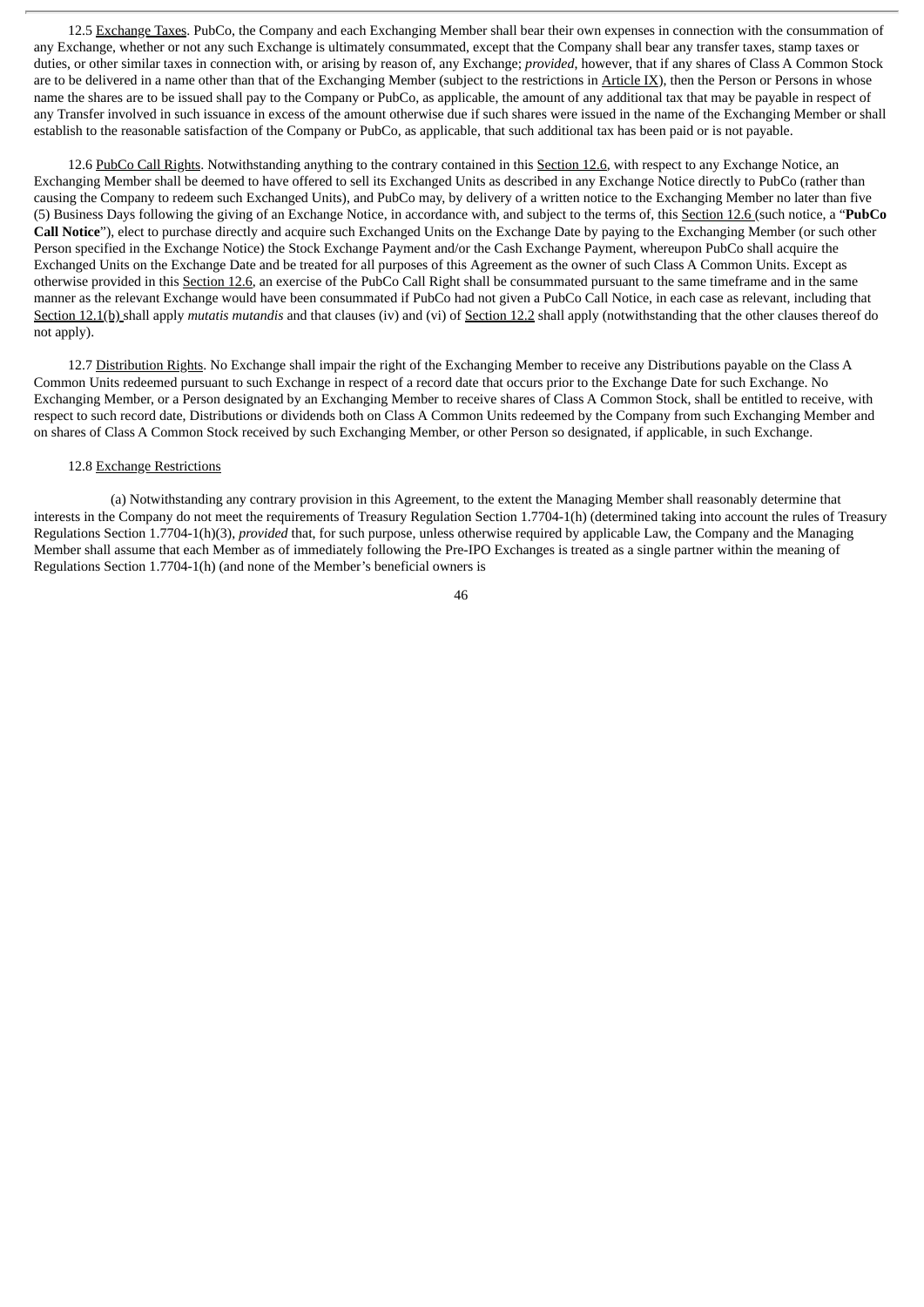12.5 Exchange Taxes. PubCo, the Company and each Exchanging Member shall bear their own expenses in connection with the consummation of any Exchange, whether or not any such Exchange is ultimately consummated, except that the Company shall bear any transfer taxes, stamp taxes or duties, or other similar taxes in connection with, or arising by reason of, any Exchange; *provided*, however, that if any shares of Class A Common Stock are to be delivered in a name other than that of the Exchanging Member (subject to the restrictions in Article IX), then the Person or Persons in whose name the shares are to be issued shall pay to the Company or PubCo, as applicable, the amount of any additional tax that may be payable in respect of any Transfer involved in such issuance in excess of the amount otherwise due if such shares were issued in the name of the Exchanging Member or shall establish to the reasonable satisfaction of the Company or PubCo, as applicable, that such additional tax has been paid or is not payable.

12.6 PubCo Call Rights. Notwithstanding anything to the contrary contained in this Section 12.6, with respect to any Exchange Notice, an Exchanging Member shall be deemed to have offered to sell its Exchanged Units as described in any Exchange Notice directly to PubCo (rather than causing the Company to redeem such Exchanged Units), and PubCo may, by delivery of a written notice to the Exchanging Member no later than five (5) Business Days following the giving of an Exchange Notice, in accordance with, and subject to the terms of, this Section 12.6 (such notice, a "**PubCo Call Notice**"), elect to purchase directly and acquire such Exchanged Units on the Exchange Date by paying to the Exchanging Member (or such other Person specified in the Exchange Notice) the Stock Exchange Payment and/or the Cash Exchange Payment, whereupon PubCo shall acquire the Exchanged Units on the Exchange Date and be treated for all purposes of this Agreement as the owner of such Class A Common Units. Except as otherwise provided in this Section 12.6, an exercise of the PubCo Call Right shall be consummated pursuant to the same timeframe and in the same manner as the relevant Exchange would have been consummated if PubCo had not given a PubCo Call Notice, in each case as relevant, including that Section 12.1(b) shall apply *mutatis mutandis* and that clauses (iv) and (vi) of Section 12.2 shall apply (notwithstanding that the other clauses thereof do not apply).

12.7 Distribution Rights. No Exchange shall impair the right of the Exchanging Member to receive any Distributions payable on the Class A Common Units redeemed pursuant to such Exchange in respect of a record date that occurs prior to the Exchange Date for such Exchange. No Exchanging Member, or a Person designated by an Exchanging Member to receive shares of Class A Common Stock, shall be entitled to receive, with respect to such record date, Distributions or dividends both on Class A Common Units redeemed by the Company from such Exchanging Member and on shares of Class A Common Stock received by such Exchanging Member, or other Person so designated, if applicable, in such Exchange.

## 12.8 Exchange Restrictions

(a) Notwithstanding any contrary provision in this Agreement, to the extent the Managing Member shall reasonably determine that interests in the Company do not meet the requirements of Treasury Regulation Section 1.7704-1(h) (determined taking into account the rules of Treasury Regulations Section 1.7704-1(h)(3), *provided* that, for such purpose, unless otherwise required by applicable Law, the Company and the Managing Member shall assume that each Member as of immediately following the Pre-IPO Exchanges is treated as a single partner within the meaning of Regulations Section 1.7704-1(h) (and none of the Member's beneficial owners is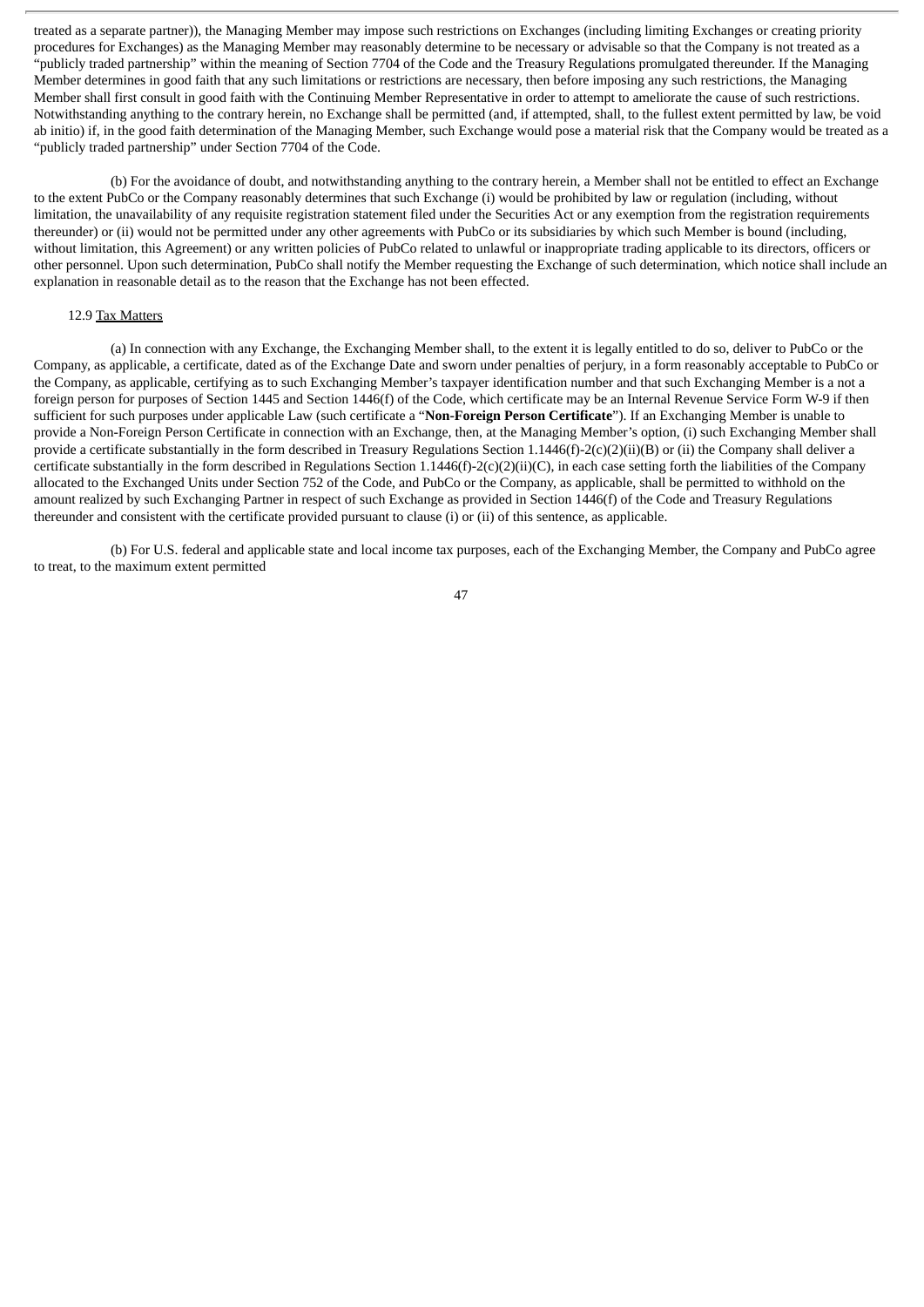treated as a separate partner)), the Managing Member may impose such restrictions on Exchanges (including limiting Exchanges or creating priority procedures for Exchanges) as the Managing Member may reasonably determine to be necessary or advisable so that the Company is not treated as a "publicly traded partnership" within the meaning of Section 7704 of the Code and the Treasury Regulations promulgated thereunder. If the Managing Member determines in good faith that any such limitations or restrictions are necessary, then before imposing any such restrictions, the Managing Member shall first consult in good faith with the Continuing Member Representative in order to attempt to ameliorate the cause of such restrictions. Notwithstanding anything to the contrary herein, no Exchange shall be permitted (and, if attempted, shall, to the fullest extent permitted by law, be void ab initio) if, in the good faith determination of the Managing Member, such Exchange would pose a material risk that the Company would be treated as a "publicly traded partnership" under Section 7704 of the Code.

(b) For the avoidance of doubt, and notwithstanding anything to the contrary herein, a Member shall not be entitled to effect an Exchange to the extent PubCo or the Company reasonably determines that such Exchange (i) would be prohibited by law or regulation (including, without limitation, the unavailability of any requisite registration statement filed under the Securities Act or any exemption from the registration requirements thereunder) or (ii) would not be permitted under any other agreements with PubCo or its subsidiaries by which such Member is bound (including, without limitation, this Agreement) or any written policies of PubCo related to unlawful or inappropriate trading applicable to its directors, officers or other personnel. Upon such determination, PubCo shall notify the Member requesting the Exchange of such determination, which notice shall include an explanation in reasonable detail as to the reason that the Exchange has not been effected.

## 12.9 Tax Matters

(a) In connection with any Exchange, the Exchanging Member shall, to the extent it is legally entitled to do so, deliver to PubCo or the Company, as applicable, a certificate, dated as of the Exchange Date and sworn under penalties of perjury, in a form reasonably acceptable to PubCo or the Company, as applicable, certifying as to such Exchanging Member's taxpayer identification number and that such Exchanging Member is a not a foreign person for purposes of Section 1445 and Section 1446(f) of the Code, which certificate may be an Internal Revenue Service Form W-9 if then sufficient for such purposes under applicable Law (such certificate a "**Non-Foreign Person Certificate**"). If an Exchanging Member is unable to provide a Non-Foreign Person Certificate in connection with an Exchange, then, at the Managing Member's option, (i) such Exchanging Member shall provide a certificate substantially in the form described in Treasury Regulations Section 1.1446(f)-2(c)(2)(ii)(B) or (ii) the Company shall deliver a certificate substantially in the form described in Regulations Section 1.1446(f)-2(c)(2)(ii)(C), in each case setting forth the liabilities of the Company allocated to the Exchanged Units under Section 752 of the Code, and PubCo or the Company, as applicable, shall be permitted to withhold on the amount realized by such Exchanging Partner in respect of such Exchange as provided in Section 1446(f) of the Code and Treasury Regulations thereunder and consistent with the certificate provided pursuant to clause (i) or (ii) of this sentence, as applicable.

(b) For U.S. federal and applicable state and local income tax purposes, each of the Exchanging Member, the Company and PubCo agree to treat, to the maximum extent permitted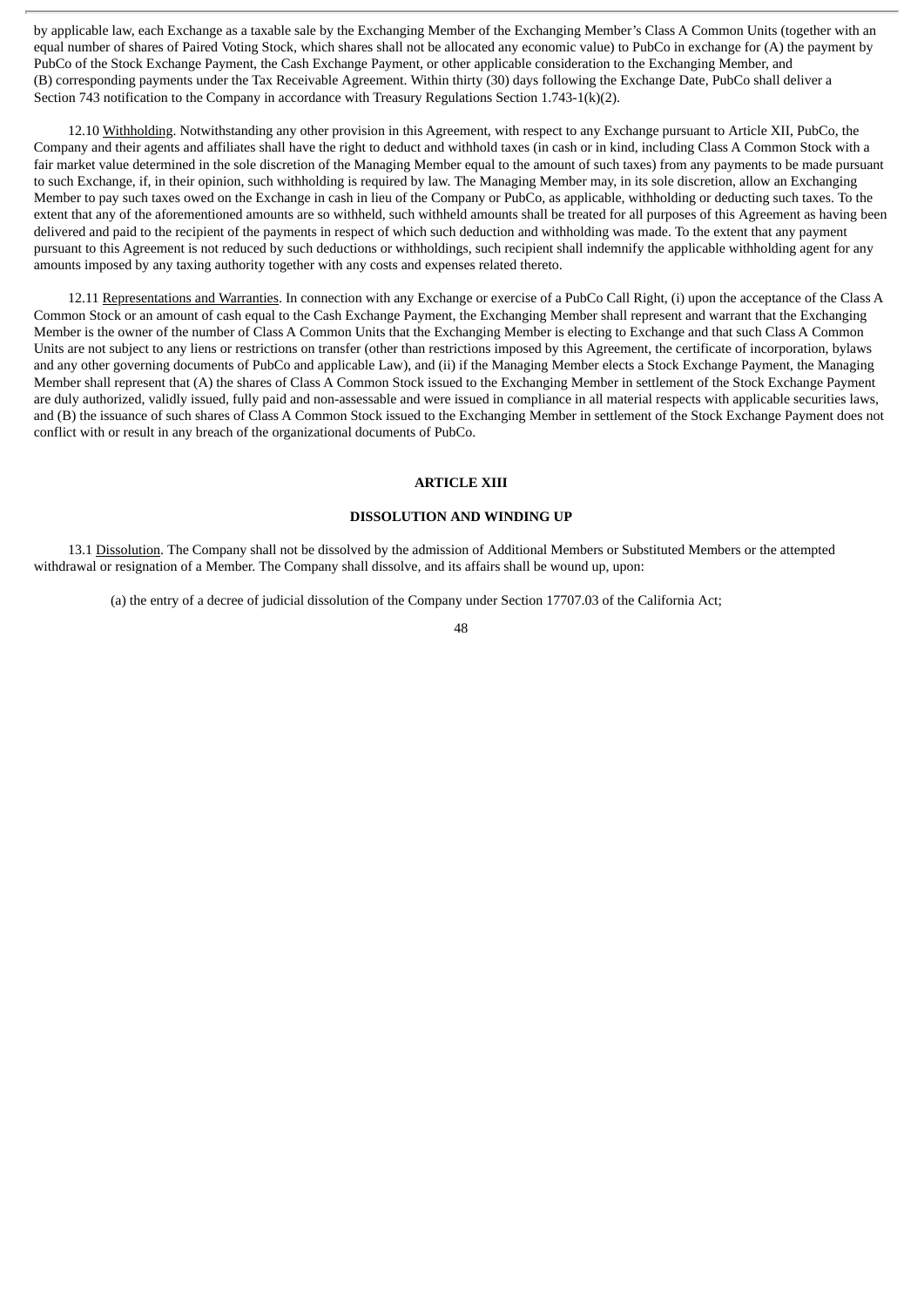by applicable law, each Exchange as a taxable sale by the Exchanging Member of the Exchanging Member's Class A Common Units (together with an equal number of shares of Paired Voting Stock, which shares shall not be allocated any economic value) to PubCo in exchange for (A) the payment by PubCo of the Stock Exchange Payment, the Cash Exchange Payment, or other applicable consideration to the Exchanging Member, and (B) corresponding payments under the Tax Receivable Agreement. Within thirty (30) days following the Exchange Date, PubCo shall deliver a Section 743 notification to the Company in accordance with Treasury Regulations Section 1.743-1(k)(2).

12.10 Withholding. Notwithstanding any other provision in this Agreement, with respect to any Exchange pursuant to Article XII, PubCo, the Company and their agents and affiliates shall have the right to deduct and withhold taxes (in cash or in kind, including Class A Common Stock with a fair market value determined in the sole discretion of the Managing Member equal to the amount of such taxes) from any payments to be made pursuant to such Exchange, if, in their opinion, such withholding is required by law. The Managing Member may, in its sole discretion, allow an Exchanging Member to pay such taxes owed on the Exchange in cash in lieu of the Company or PubCo, as applicable, withholding or deducting such taxes. To the extent that any of the aforementioned amounts are so withheld, such withheld amounts shall be treated for all purposes of this Agreement as having been delivered and paid to the recipient of the payments in respect of which such deduction and withholding was made. To the extent that any payment pursuant to this Agreement is not reduced by such deductions or withholdings, such recipient shall indemnify the applicable withholding agent for any amounts imposed by any taxing authority together with any costs and expenses related thereto.

12.11 Representations and Warranties. In connection with any Exchange or exercise of a PubCo Call Right, (i) upon the acceptance of the Class A Common Stock or an amount of cash equal to the Cash Exchange Payment, the Exchanging Member shall represent and warrant that the Exchanging Member is the owner of the number of Class A Common Units that the Exchanging Member is electing to Exchange and that such Class A Common Units are not subject to any liens or restrictions on transfer (other than restrictions imposed by this Agreement, the certificate of incorporation, bylaws and any other governing documents of PubCo and applicable Law), and (ii) if the Managing Member elects a Stock Exchange Payment, the Managing Member shall represent that (A) the shares of Class A Common Stock issued to the Exchanging Member in settlement of the Stock Exchange Payment are duly authorized, validly issued, fully paid and non-assessable and were issued in compliance in all material respects with applicable securities laws, and (B) the issuance of such shares of Class A Common Stock issued to the Exchanging Member in settlement of the Stock Exchange Payment does not conflict with or result in any breach of the organizational documents of PubCo.

#### **ARTICLE XIII**

#### **DISSOLUTION AND WINDING UP**

13.1 Dissolution. The Company shall not be dissolved by the admission of Additional Members or Substituted Members or the attempted withdrawal or resignation of a Member. The Company shall dissolve, and its affairs shall be wound up, upon:

(a) the entry of a decree of judicial dissolution of the Company under Section 17707.03 of the California Act;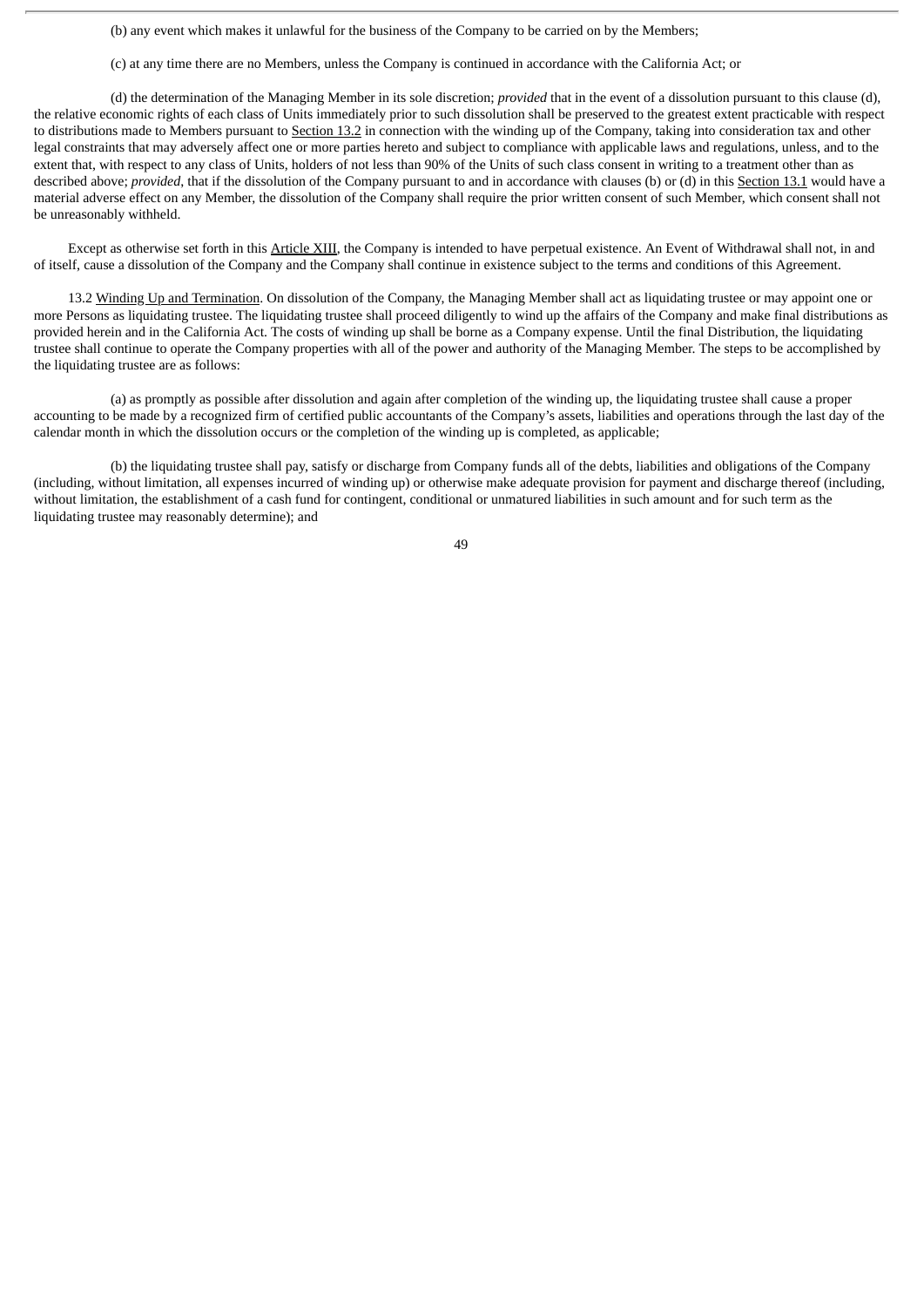(b) any event which makes it unlawful for the business of the Company to be carried on by the Members;

(c) at any time there are no Members, unless the Company is continued in accordance with the California Act; or

(d) the determination of the Managing Member in its sole discretion; *provided* that in the event of a dissolution pursuant to this clause (d), the relative economic rights of each class of Units immediately prior to such dissolution shall be preserved to the greatest extent practicable with respect to distributions made to Members pursuant to Section 13.2 in connection with the winding up of the Company, taking into consideration tax and other legal constraints that may adversely affect one or more parties hereto and subject to compliance with applicable laws and regulations, unless, and to the extent that, with respect to any class of Units, holders of not less than 90% of the Units of such class consent in writing to a treatment other than as described above; *provided*, that if the dissolution of the Company pursuant to and in accordance with clauses (b) or (d) in this Section 13.1 would have a material adverse effect on any Member, the dissolution of the Company shall require the prior written consent of such Member, which consent shall not be unreasonably withheld.

Except as otherwise set forth in this Article XIII, the Company is intended to have perpetual existence. An Event of Withdrawal shall not, in and of itself, cause a dissolution of the Company and the Company shall continue in existence subject to the terms and conditions of this Agreement.

13.2 Winding Up and Termination. On dissolution of the Company, the Managing Member shall act as liquidating trustee or may appoint one or more Persons as liquidating trustee. The liquidating trustee shall proceed diligently to wind up the affairs of the Company and make final distributions as provided herein and in the California Act. The costs of winding up shall be borne as a Company expense. Until the final Distribution, the liquidating trustee shall continue to operate the Company properties with all of the power and authority of the Managing Member. The steps to be accomplished by the liquidating trustee are as follows:

(a) as promptly as possible after dissolution and again after completion of the winding up, the liquidating trustee shall cause a proper accounting to be made by a recognized firm of certified public accountants of the Company's assets, liabilities and operations through the last day of the calendar month in which the dissolution occurs or the completion of the winding up is completed, as applicable;

(b) the liquidating trustee shall pay, satisfy or discharge from Company funds all of the debts, liabilities and obligations of the Company (including, without limitation, all expenses incurred of winding up) or otherwise make adequate provision for payment and discharge thereof (including, without limitation, the establishment of a cash fund for contingent, conditional or unmatured liabilities in such amount and for such term as the liquidating trustee may reasonably determine); and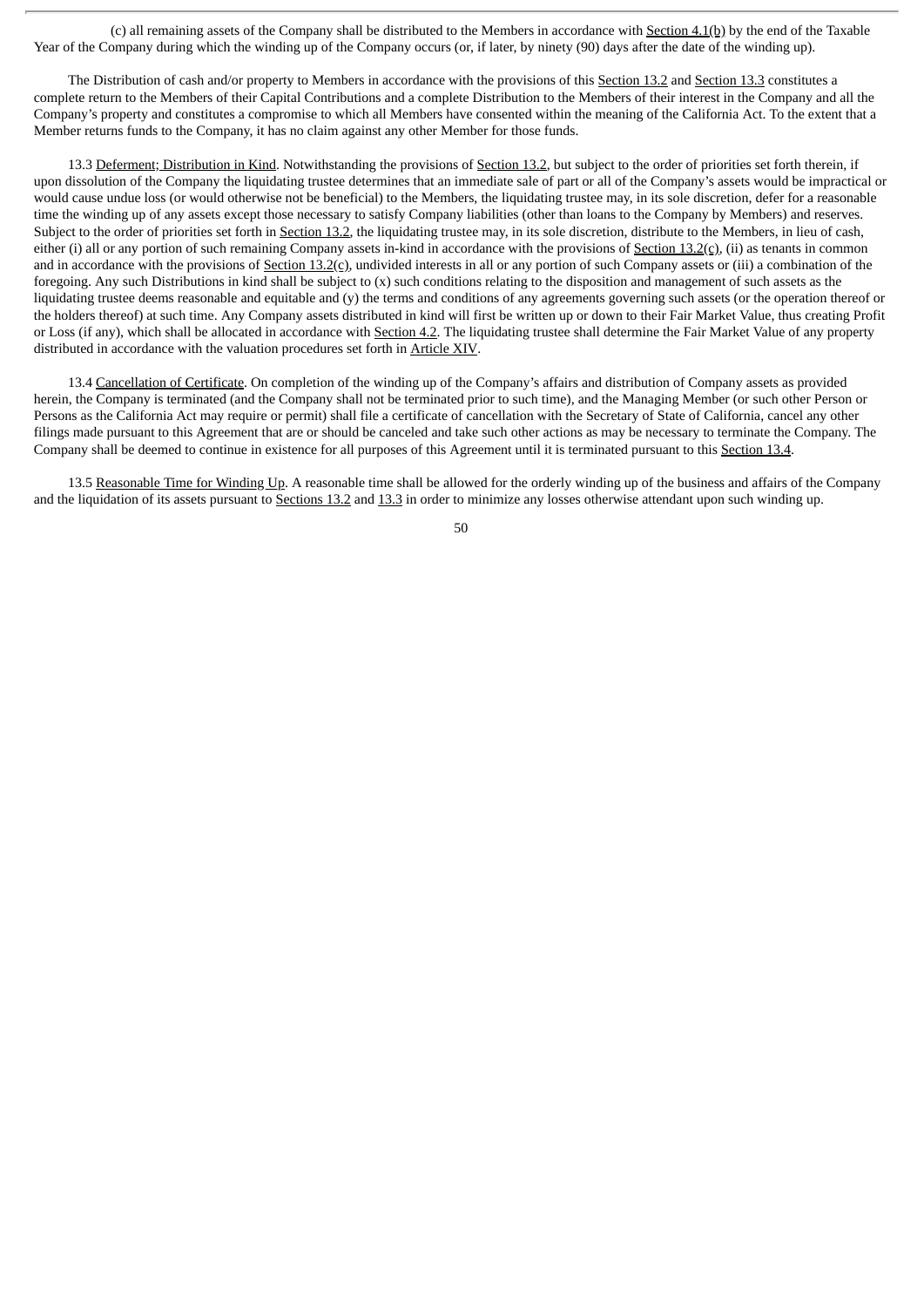(c) all remaining assets of the Company shall be distributed to the Members in accordance with Section 4.1(b) by the end of the Taxable Year of the Company during which the winding up of the Company occurs (or, if later, by ninety (90) days after the date of the winding up).

The Distribution of cash and/or property to Members in accordance with the provisions of this Section 13.2 and Section 13.3 constitutes a complete return to the Members of their Capital Contributions and a complete Distribution to the Members of their interest in the Company and all the Company's property and constitutes a compromise to which all Members have consented within the meaning of the California Act. To the extent that a Member returns funds to the Company, it has no claim against any other Member for those funds.

13.3 Deferment; Distribution in Kind. Notwithstanding the provisions of Section 13.2, but subject to the order of priorities set forth therein, if upon dissolution of the Company the liquidating trustee determines that an immediate sale of part or all of the Company's assets would be impractical or would cause undue loss (or would otherwise not be beneficial) to the Members, the liquidating trustee may, in its sole discretion, defer for a reasonable time the winding up of any assets except those necessary to satisfy Company liabilities (other than loans to the Company by Members) and reserves. Subject to the order of priorities set forth in Section 13.2, the liquidating trustee may, in its sole discretion, distribute to the Members, in lieu of cash, either (i) all or any portion of such remaining Company assets in-kind in accordance with the provisions of Section 13.2(c), (ii) as tenants in common and in accordance with the provisions of Section 13.2(c), undivided interests in all or any portion of such Company assets or (iii) a combination of the foregoing. Any such Distributions in kind shall be subject to (x) such conditions relating to the disposition and management of such assets as the liquidating trustee deems reasonable and equitable and (y) the terms and conditions of any agreements governing such assets (or the operation thereof or the holders thereof) at such time. Any Company assets distributed in kind will first be written up or down to their Fair Market Value, thus creating Profit or Loss (if any), which shall be allocated in accordance with Section 4.2. The liquidating trustee shall determine the Fair Market Value of any property distributed in accordance with the valuation procedures set forth in Article XIV.

13.4 Cancellation of Certificate. On completion of the winding up of the Company's affairs and distribution of Company assets as provided herein, the Company is terminated (and the Company shall not be terminated prior to such time), and the Managing Member (or such other Person or Persons as the California Act may require or permit) shall file a certificate of cancellation with the Secretary of State of California, cancel any other filings made pursuant to this Agreement that are or should be canceled and take such other actions as may be necessary to terminate the Company. The Company shall be deemed to continue in existence for all purposes of this Agreement until it is terminated pursuant to this Section 13.4.

13.5 Reasonable Time for Winding Up. A reasonable time shall be allowed for the orderly winding up of the business and affairs of the Company and the liquidation of its assets pursuant to Sections 13.2 and 13.3 in order to minimize any losses otherwise attendant upon such winding up.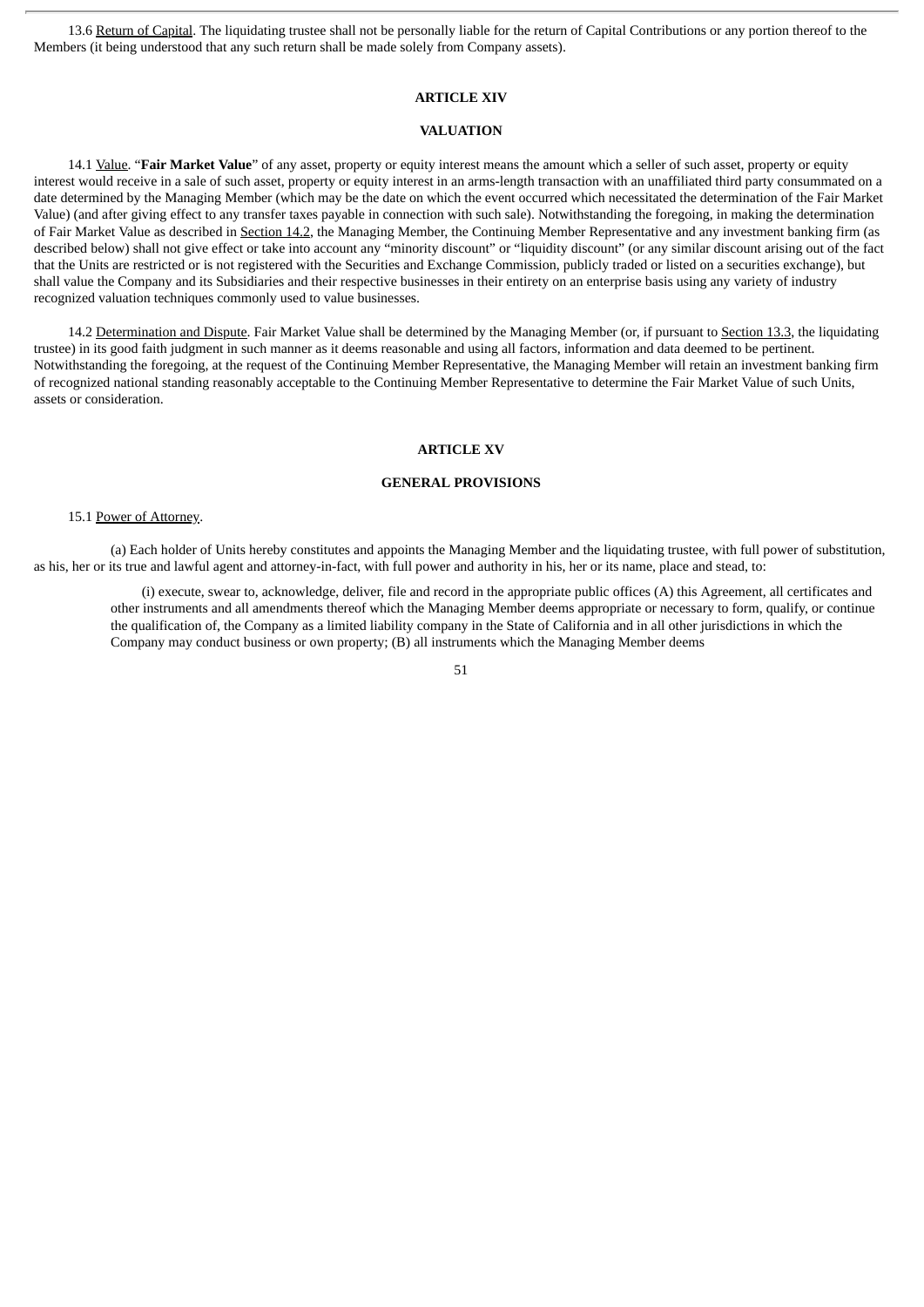13.6 Return of Capital. The liquidating trustee shall not be personally liable for the return of Capital Contributions or any portion thereof to the Members (it being understood that any such return shall be made solely from Company assets).

# **ARTICLE XIV**

#### **VALUATION**

14.1 Value. "**Fair Market Value**" of any asset, property or equity interest means the amount which a seller of such asset, property or equity interest would receive in a sale of such asset, property or equity interest in an arms-length transaction with an unaffiliated third party consummated on a date determined by the Managing Member (which may be the date on which the event occurred which necessitated the determination of the Fair Market Value) (and after giving effect to any transfer taxes payable in connection with such sale). Notwithstanding the foregoing, in making the determination of Fair Market Value as described in Section 14.2, the Managing Member, the Continuing Member Representative and any investment banking firm (as described below) shall not give effect or take into account any "minority discount" or "liquidity discount" (or any similar discount arising out of the fact that the Units are restricted or is not registered with the Securities and Exchange Commission, publicly traded or listed on a securities exchange), but shall value the Company and its Subsidiaries and their respective businesses in their entirety on an enterprise basis using any variety of industry recognized valuation techniques commonly used to value businesses.

14.2 Determination and Dispute. Fair Market Value shall be determined by the Managing Member (or, if pursuant to Section 13.3, the liquidating trustee) in its good faith judgment in such manner as it deems reasonable and using all factors, information and data deemed to be pertinent. Notwithstanding the foregoing, at the request of the Continuing Member Representative, the Managing Member will retain an investment banking firm of recognized national standing reasonably acceptable to the Continuing Member Representative to determine the Fair Market Value of such Units, assets or consideration.

#### **ARTICLE XV**

#### **GENERAL PROVISIONS**

#### 15.1 Power of Attorney.

(a) Each holder of Units hereby constitutes and appoints the Managing Member and the liquidating trustee, with full power of substitution, as his, her or its true and lawful agent and attorney-in-fact, with full power and authority in his, her or its name, place and stead, to:

(i) execute, swear to, acknowledge, deliver, file and record in the appropriate public offices (A) this Agreement, all certificates and other instruments and all amendments thereof which the Managing Member deems appropriate or necessary to form, qualify, or continue the qualification of, the Company as a limited liability company in the State of California and in all other jurisdictions in which the Company may conduct business or own property; (B) all instruments which the Managing Member deems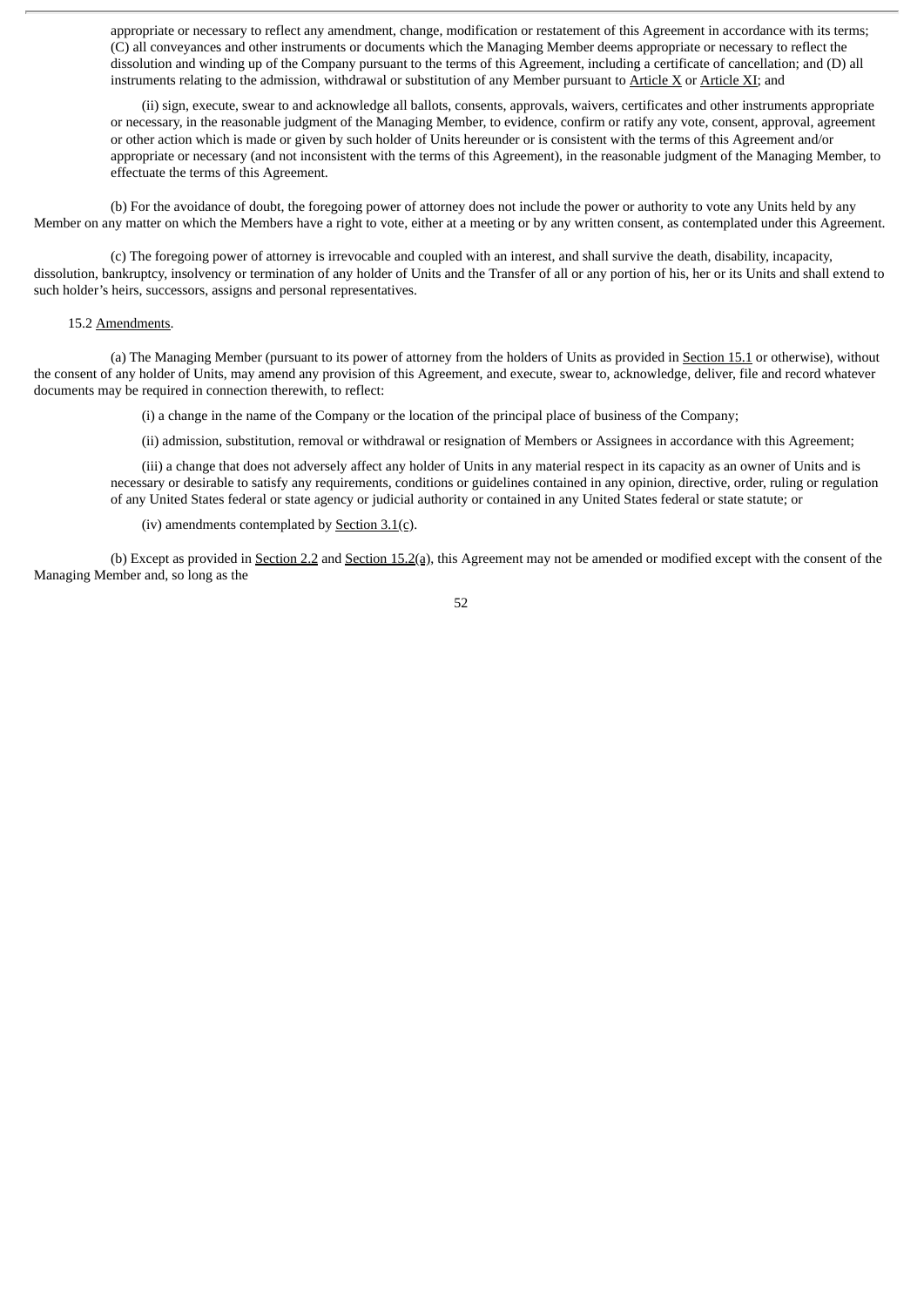appropriate or necessary to reflect any amendment, change, modification or restatement of this Agreement in accordance with its terms; (C) all conveyances and other instruments or documents which the Managing Member deems appropriate or necessary to reflect the dissolution and winding up of the Company pursuant to the terms of this Agreement, including a certificate of cancellation; and (D) all instruments relating to the admission, withdrawal or substitution of any Member pursuant to Article X or Article XI; and

(ii) sign, execute, swear to and acknowledge all ballots, consents, approvals, waivers, certificates and other instruments appropriate or necessary, in the reasonable judgment of the Managing Member, to evidence, confirm or ratify any vote, consent, approval, agreement or other action which is made or given by such holder of Units hereunder or is consistent with the terms of this Agreement and/or appropriate or necessary (and not inconsistent with the terms of this Agreement), in the reasonable judgment of the Managing Member, to effectuate the terms of this Agreement.

(b) For the avoidance of doubt, the foregoing power of attorney does not include the power or authority to vote any Units held by any Member on any matter on which the Members have a right to vote, either at a meeting or by any written consent, as contemplated under this Agreement.

(c) The foregoing power of attorney is irrevocable and coupled with an interest, and shall survive the death, disability, incapacity, dissolution, bankruptcy, insolvency or termination of any holder of Units and the Transfer of all or any portion of his, her or its Units and shall extend to such holder's heirs, successors, assigns and personal representatives.

## 15.2 Amendments.

(a) The Managing Member (pursuant to its power of attorney from the holders of Units as provided in Section 15.1 or otherwise), without the consent of any holder of Units, may amend any provision of this Agreement, and execute, swear to, acknowledge, deliver, file and record whatever documents may be required in connection therewith, to reflect:

(i) a change in the name of the Company or the location of the principal place of business of the Company;

(ii) admission, substitution, removal or withdrawal or resignation of Members or Assignees in accordance with this Agreement;

(iii) a change that does not adversely affect any holder of Units in any material respect in its capacity as an owner of Units and is necessary or desirable to satisfy any requirements, conditions or guidelines contained in any opinion, directive, order, ruling or regulation of any United States federal or state agency or judicial authority or contained in any United States federal or state statute; or

(iv) amendments contemplated by Section  $3.1$ (c).

(b) Except as provided in Section 2.2 and Section 15.2(a), this Agreement may not be amended or modified except with the consent of the Managing Member and, so long as the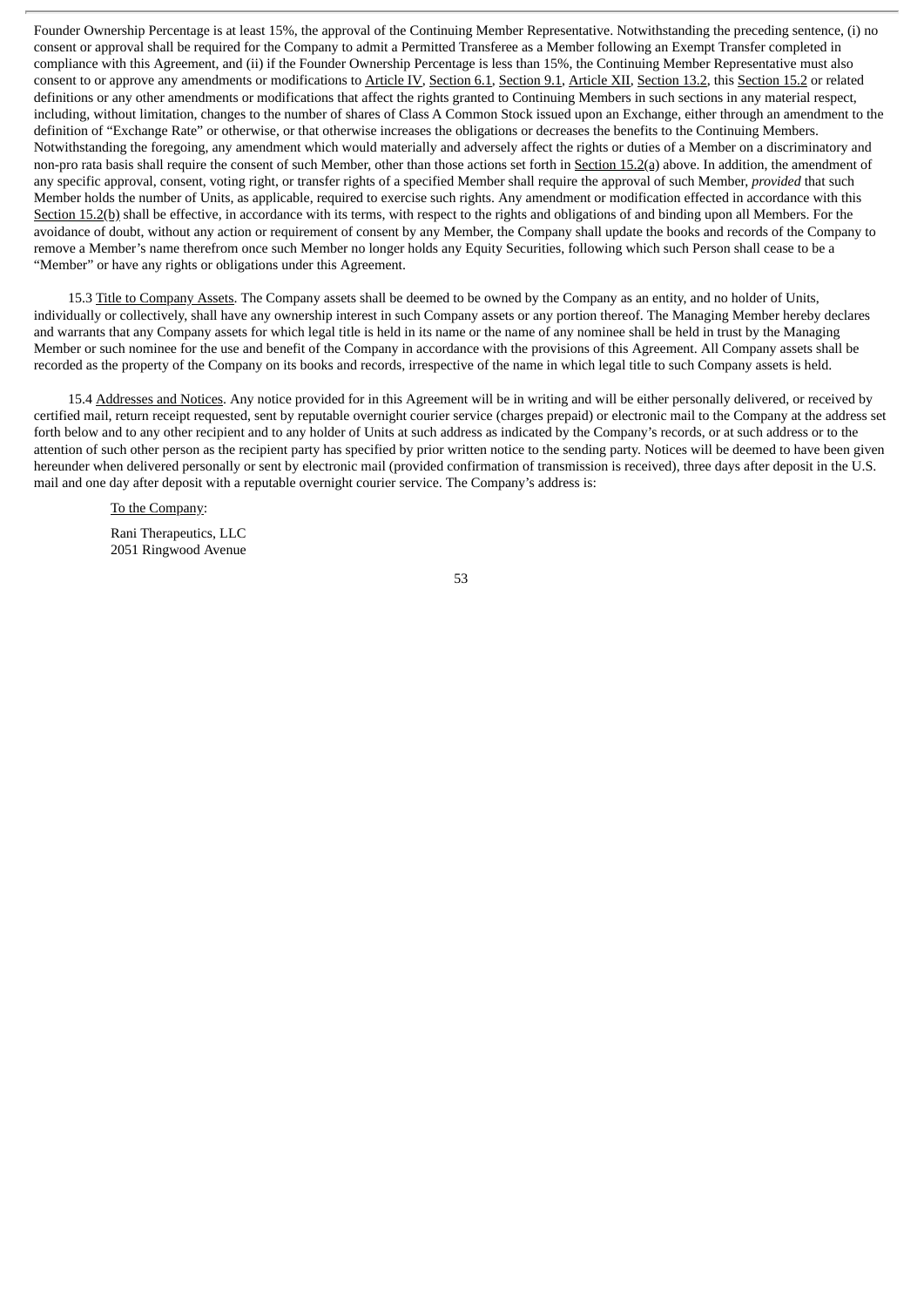Founder Ownership Percentage is at least 15%, the approval of the Continuing Member Representative. Notwithstanding the preceding sentence, (i) no consent or approval shall be required for the Company to admit a Permitted Transferee as a Member following an Exempt Transfer completed in compliance with this Agreement, and (ii) if the Founder Ownership Percentage is less than 15%, the Continuing Member Representative must also consent to or approve any amendments or modifications to Article IV, Section 6.1, Section 9.1, Article XII, Section 13.2, this Section 15.2 or related definitions or any other amendments or modifications that affect the rights granted to Continuing Members in such sections in any material respect, including, without limitation, changes to the number of shares of Class A Common Stock issued upon an Exchange, either through an amendment to the definition of "Exchange Rate" or otherwise, or that otherwise increases the obligations or decreases the benefits to the Continuing Members. Notwithstanding the foregoing, any amendment which would materially and adversely affect the rights or duties of a Member on a discriminatory and non-pro rata basis shall require the consent of such Member, other than those actions set forth in Section 15.2(a) above. In addition, the amendment of any specific approval, consent, voting right, or transfer rights of a specified Member shall require the approval of such Member, *provided* that such Member holds the number of Units, as applicable, required to exercise such rights. Any amendment or modification effected in accordance with this Section 15.2(b) shall be effective, in accordance with its terms, with respect to the rights and obligations of and binding upon all Members. For the avoidance of doubt, without any action or requirement of consent by any Member, the Company shall update the books and records of the Company to remove a Member's name therefrom once such Member no longer holds any Equity Securities, following which such Person shall cease to be a "Member" or have any rights or obligations under this Agreement.

15.3 Title to Company Assets. The Company assets shall be deemed to be owned by the Company as an entity, and no holder of Units, individually or collectively, shall have any ownership interest in such Company assets or any portion thereof. The Managing Member hereby declares and warrants that any Company assets for which legal title is held in its name or the name of any nominee shall be held in trust by the Managing Member or such nominee for the use and benefit of the Company in accordance with the provisions of this Agreement. All Company assets shall be recorded as the property of the Company on its books and records, irrespective of the name in which legal title to such Company assets is held.

15.4 Addresses and Notices. Any notice provided for in this Agreement will be in writing and will be either personally delivered, or received by certified mail, return receipt requested, sent by reputable overnight courier service (charges prepaid) or electronic mail to the Company at the address set forth below and to any other recipient and to any holder of Units at such address as indicated by the Company's records, or at such address or to the attention of such other person as the recipient party has specified by prior written notice to the sending party. Notices will be deemed to have been given hereunder when delivered personally or sent by electronic mail (provided confirmation of transmission is received), three days after deposit in the U.S. mail and one day after deposit with a reputable overnight courier service. The Company's address is:

To the Company:

Rani Therapeutics, LLC 2051 Ringwood Avenue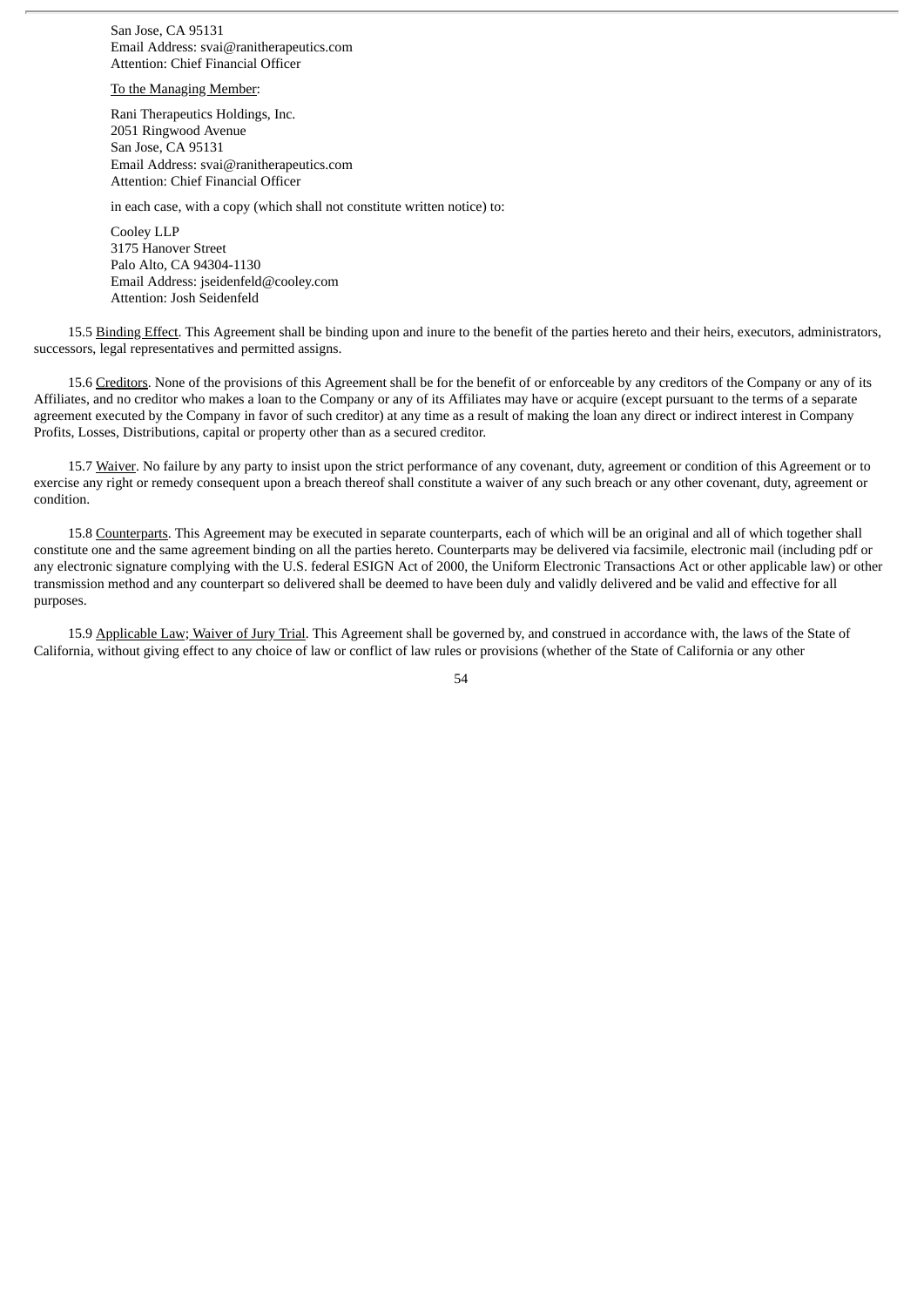San Jose, CA 95131 Email Address: svai@ranitherapeutics.com Attention: Chief Financial Officer

To the Managing Member:

Rani Therapeutics Holdings, Inc. 2051 Ringwood Avenue San Jose, CA 95131 Email Address: svai@ranitherapeutics.com Attention: Chief Financial Officer

in each case, with a copy (which shall not constitute written notice) to:

Cooley LLP 3175 Hanover Street Palo Alto, CA 94304-1130 Email Address: jseidenfeld@cooley.com Attention: Josh Seidenfeld

15.5 Binding Effect. This Agreement shall be binding upon and inure to the benefit of the parties hereto and their heirs, executors, administrators, successors, legal representatives and permitted assigns.

15.6 Creditors. None of the provisions of this Agreement shall be for the benefit of or enforceable by any creditors of the Company or any of its Affiliates, and no creditor who makes a loan to the Company or any of its Affiliates may have or acquire (except pursuant to the terms of a separate agreement executed by the Company in favor of such creditor) at any time as a result of making the loan any direct or indirect interest in Company Profits, Losses, Distributions, capital or property other than as a secured creditor.

15.7 Waiver. No failure by any party to insist upon the strict performance of any covenant, duty, agreement or condition of this Agreement or to exercise any right or remedy consequent upon a breach thereof shall constitute a waiver of any such breach or any other covenant, duty, agreement or condition.

15.8 Counterparts. This Agreement may be executed in separate counterparts, each of which will be an original and all of which together shall constitute one and the same agreement binding on all the parties hereto. Counterparts may be delivered via facsimile, electronic mail (including pdf or any electronic signature complying with the U.S. federal ESIGN Act of 2000, the Uniform Electronic Transactions Act or other applicable law) or other transmission method and any counterpart so delivered shall be deemed to have been duly and validly delivered and be valid and effective for all purposes.

15.9 Applicable Law; Waiver of Jury Trial. This Agreement shall be governed by, and construed in accordance with, the laws of the State of California, without giving effect to any choice of law or conflict of law rules or provisions (whether of the State of California or any other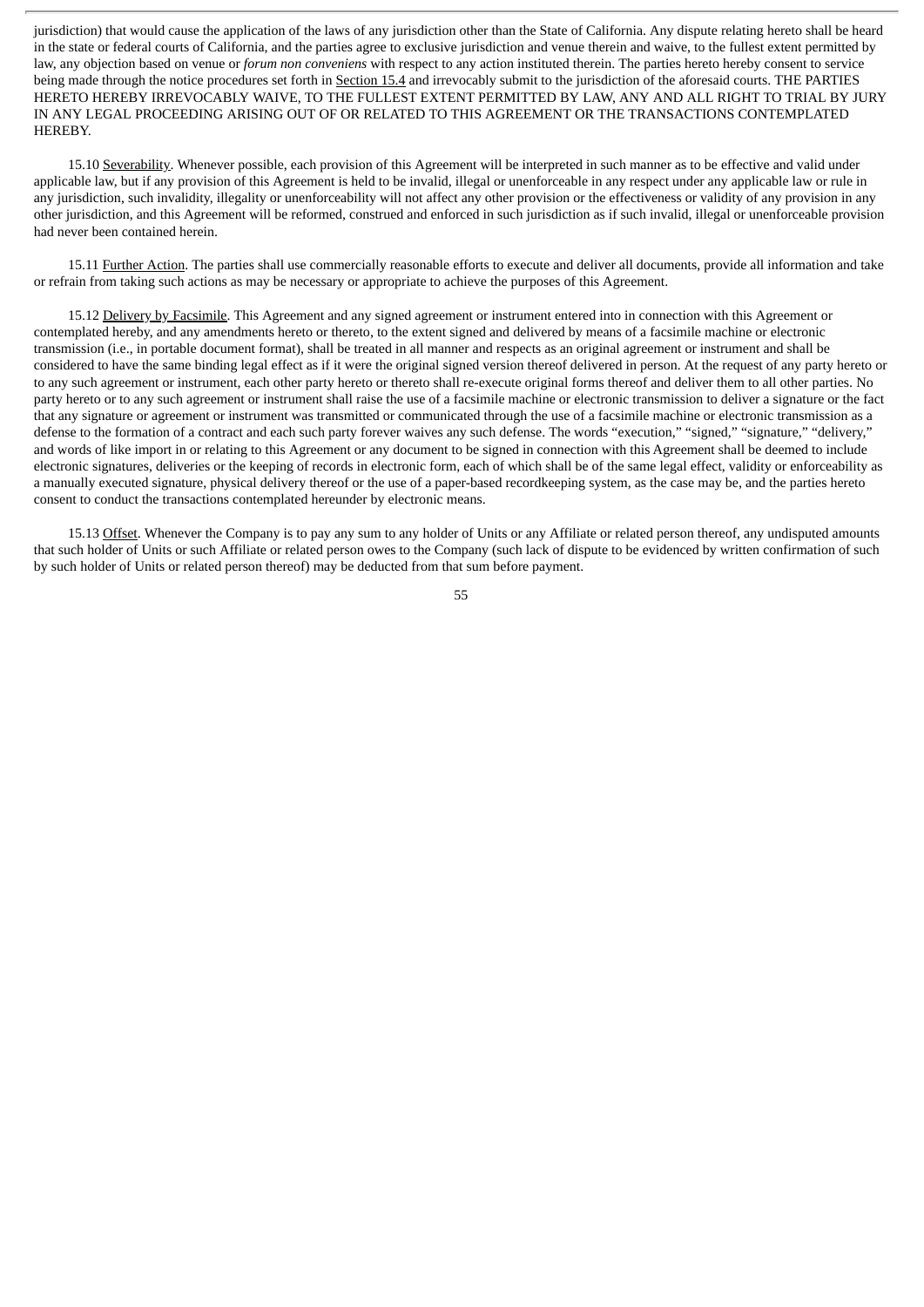jurisdiction) that would cause the application of the laws of any jurisdiction other than the State of California. Any dispute relating hereto shall be heard in the state or federal courts of California, and the parties agree to exclusive jurisdiction and venue therein and waive, to the fullest extent permitted by law, any objection based on venue or *forum non conveniens* with respect to any action instituted therein. The parties hereto hereby consent to service being made through the notice procedures set forth in Section 15.4 and irrevocably submit to the jurisdiction of the aforesaid courts. THE PARTIES HERETO HEREBY IRREVOCABLY WAIVE, TO THE FULLEST EXTENT PERMITTED BY LAW, ANY AND ALL RIGHT TO TRIAL BY JURY IN ANY LEGAL PROCEEDING ARISING OUT OF OR RELATED TO THIS AGREEMENT OR THE TRANSACTIONS CONTEMPLATED HEREBY.

15.10 Severability. Whenever possible, each provision of this Agreement will be interpreted in such manner as to be effective and valid under applicable law, but if any provision of this Agreement is held to be invalid, illegal or unenforceable in any respect under any applicable law or rule in any jurisdiction, such invalidity, illegality or unenforceability will not affect any other provision or the effectiveness or validity of any provision in any other jurisdiction, and this Agreement will be reformed, construed and enforced in such jurisdiction as if such invalid, illegal or unenforceable provision had never been contained herein.

15.11 Further Action. The parties shall use commercially reasonable efforts to execute and deliver all documents, provide all information and take or refrain from taking such actions as may be necessary or appropriate to achieve the purposes of this Agreement.

15.12 Delivery by Facsimile. This Agreement and any signed agreement or instrument entered into in connection with this Agreement or contemplated hereby, and any amendments hereto or thereto, to the extent signed and delivered by means of a facsimile machine or electronic transmission (i.e., in portable document format), shall be treated in all manner and respects as an original agreement or instrument and shall be considered to have the same binding legal effect as if it were the original signed version thereof delivered in person. At the request of any party hereto or to any such agreement or instrument, each other party hereto or thereto shall re-execute original forms thereof and deliver them to all other parties. No party hereto or to any such agreement or instrument shall raise the use of a facsimile machine or electronic transmission to deliver a signature or the fact that any signature or agreement or instrument was transmitted or communicated through the use of a facsimile machine or electronic transmission as a defense to the formation of a contract and each such party forever waives any such defense. The words "execution," "signed," "signature," "delivery," and words of like import in or relating to this Agreement or any document to be signed in connection with this Agreement shall be deemed to include electronic signatures, deliveries or the keeping of records in electronic form, each of which shall be of the same legal effect, validity or enforceability as a manually executed signature, physical delivery thereof or the use of a paper-based recordkeeping system, as the case may be, and the parties hereto consent to conduct the transactions contemplated hereunder by electronic means.

15.13 Offset. Whenever the Company is to pay any sum to any holder of Units or any Affiliate or related person thereof, any undisputed amounts that such holder of Units or such Affiliate or related person owes to the Company (such lack of dispute to be evidenced by written confirmation of such by such holder of Units or related person thereof) may be deducted from that sum before payment.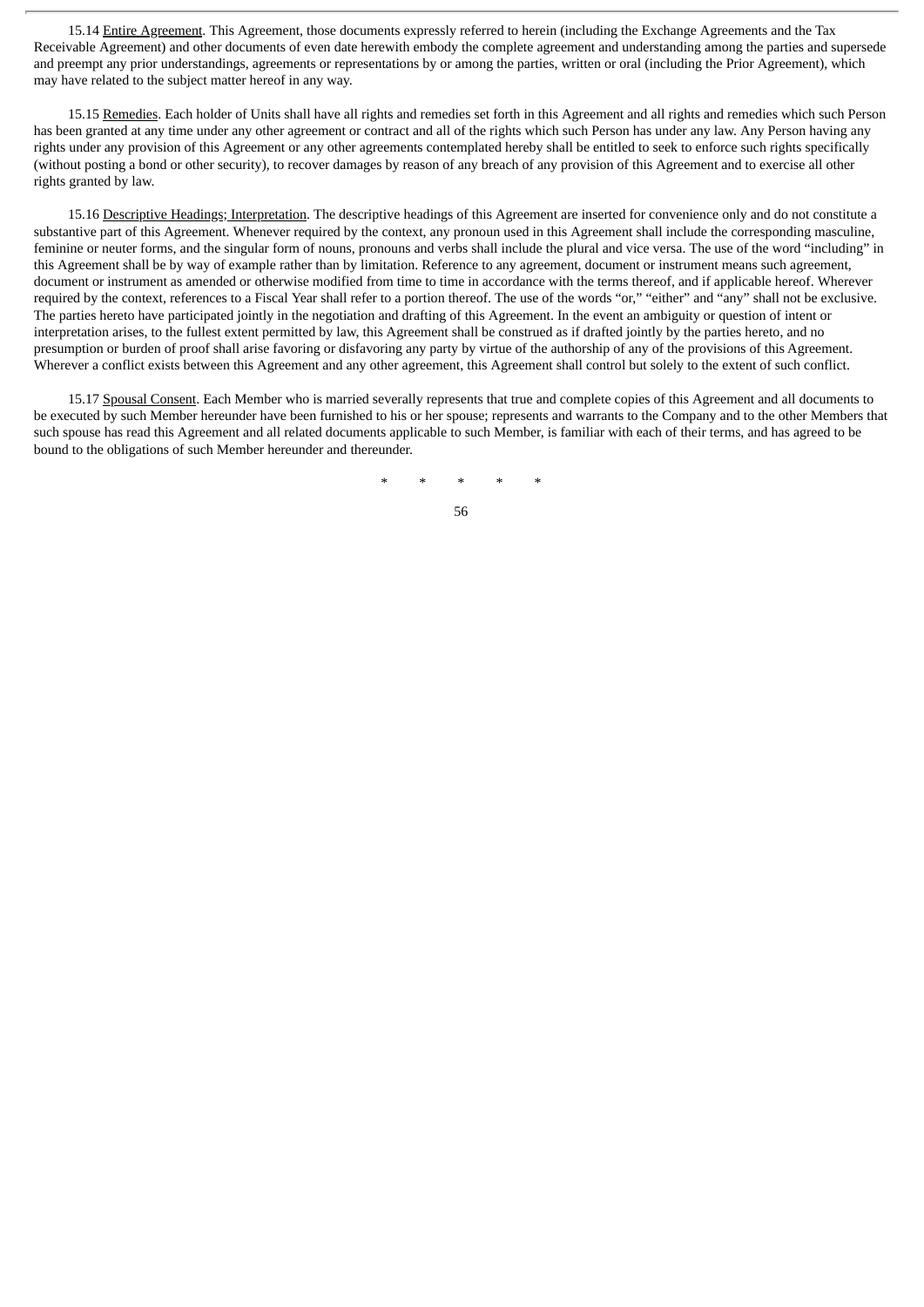15.14 Entire Agreement. This Agreement, those documents expressly referred to herein (including the Exchange Agreements and the Tax Receivable Agreement) and other documents of even date herewith embody the complete agreement and understanding among the parties and supersede and preempt any prior understandings, agreements or representations by or among the parties, written or oral (including the Prior Agreement), which may have related to the subject matter hereof in any way.

15.15 Remedies. Each holder of Units shall have all rights and remedies set forth in this Agreement and all rights and remedies which such Person has been granted at any time under any other agreement or contract and all of the rights which such Person has under any law. Any Person having any rights under any provision of this Agreement or any other agreements contemplated hereby shall be entitled to seek to enforce such rights specifically (without posting a bond or other security), to recover damages by reason of any breach of any provision of this Agreement and to exercise all other rights granted by law.

15.16 Descriptive Headings; Interpretation. The descriptive headings of this Agreement are inserted for convenience only and do not constitute a substantive part of this Agreement. Whenever required by the context, any pronoun used in this Agreement shall include the corresponding masculine, feminine or neuter forms, and the singular form of nouns, pronouns and verbs shall include the plural and vice versa. The use of the word "including" in this Agreement shall be by way of example rather than by limitation. Reference to any agreement, document or instrument means such agreement, document or instrument as amended or otherwise modified from time to time in accordance with the terms thereof, and if applicable hereof. Wherever required by the context, references to a Fiscal Year shall refer to a portion thereof. The use of the words "or," "either" and "any" shall not be exclusive. The parties hereto have participated jointly in the negotiation and drafting of this Agreement. In the event an ambiguity or question of intent or interpretation arises, to the fullest extent permitted by law, this Agreement shall be construed as if drafted jointly by the parties hereto, and no presumption or burden of proof shall arise favoring or disfavoring any party by virtue of the authorship of any of the provisions of this Agreement. Wherever a conflict exists between this Agreement and any other agreement, this Agreement shall control but solely to the extent of such conflict.

15.17 Spousal Consent. Each Member who is married severally represents that true and complete copies of this Agreement and all documents to be executed by such Member hereunder have been furnished to his or her spouse; represents and warrants to the Company and to the other Members that such spouse has read this Agreement and all related documents applicable to such Member, is familiar with each of their terms, and has agreed to be bound to the obligations of such Member hereunder and thereunder.

\* \* \* \* \*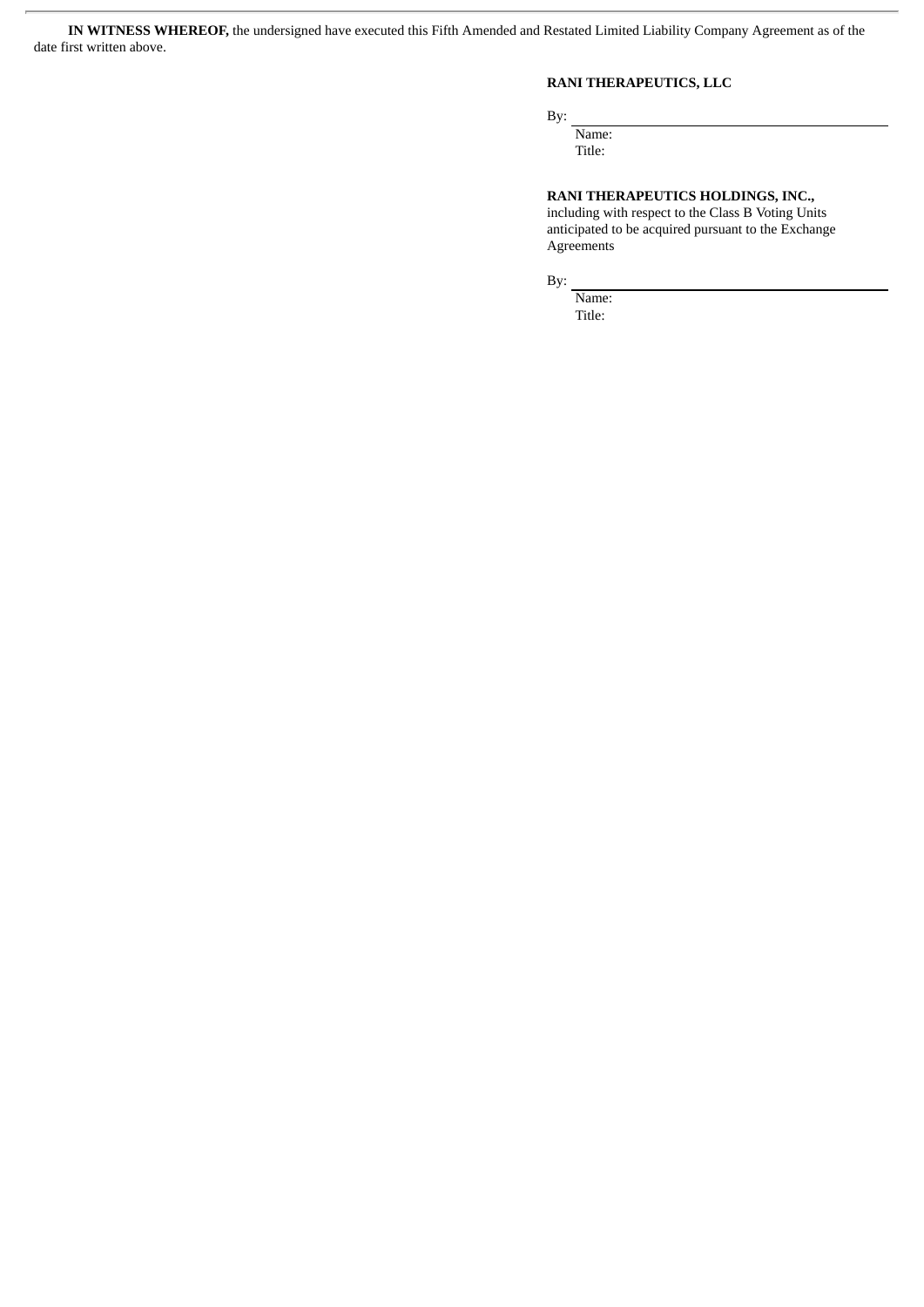**IN WITNESS WHEREOF,** the undersigned have executed this Fifth Amended and Restated Limited Liability Company Agreement as of the date first written above.

# **RANI THERAPEUTICS, LLC**

By:

Name: Title:

# **RANI THERAPEUTICS HOLDINGS, INC.,**

including with respect to the Class B Voting Units anticipated to be acquired pursuant to the Exchange Agreements

By:

Name: Title: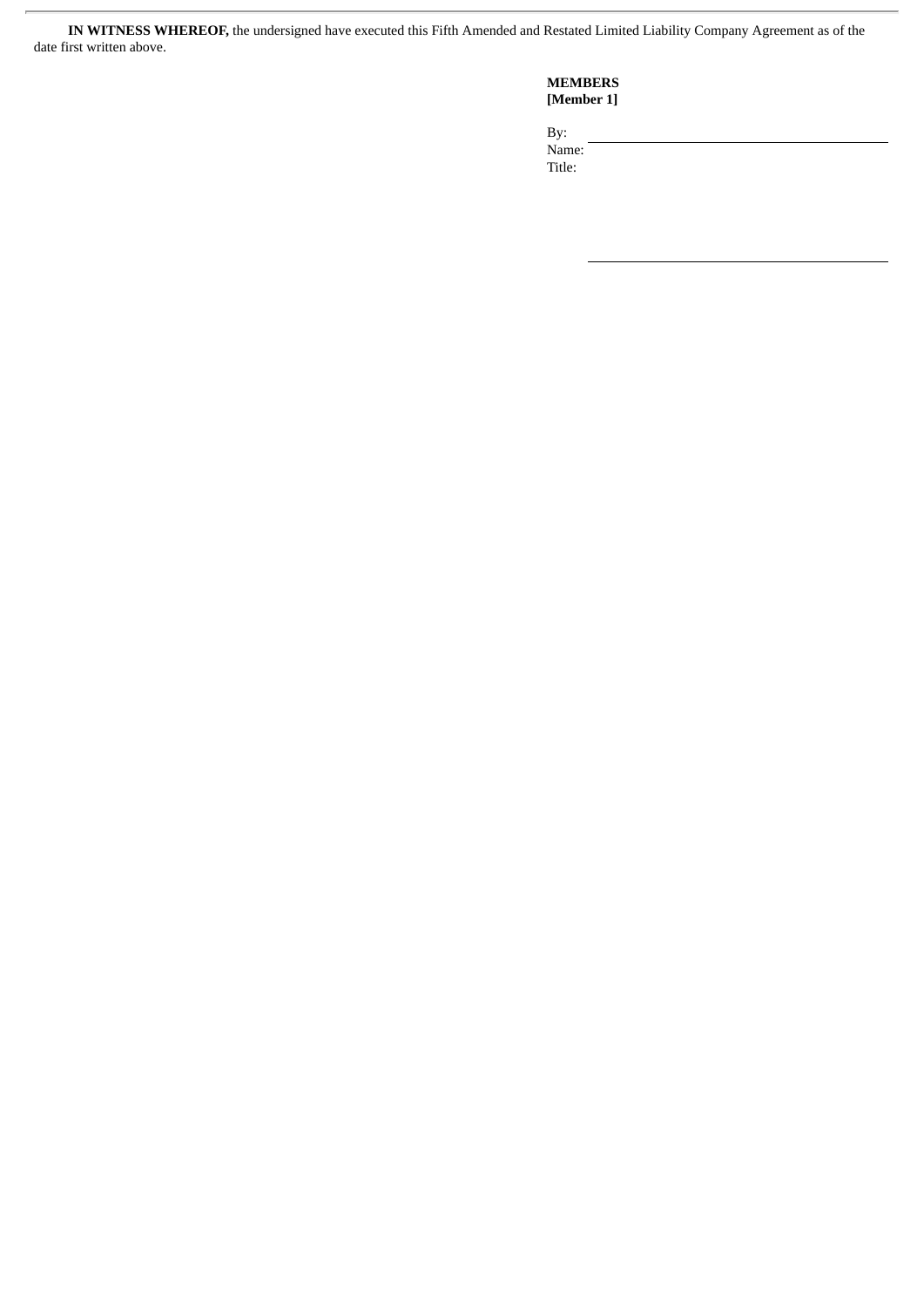**IN WITNESS WHEREOF,** the undersigned have executed this Fifth Amended and Restated Limited Liability Company Agreement as of the date first written above.

| <b>MEMBERS</b> |  |
|----------------|--|
| [Member 1]     |  |

By: Name: Title: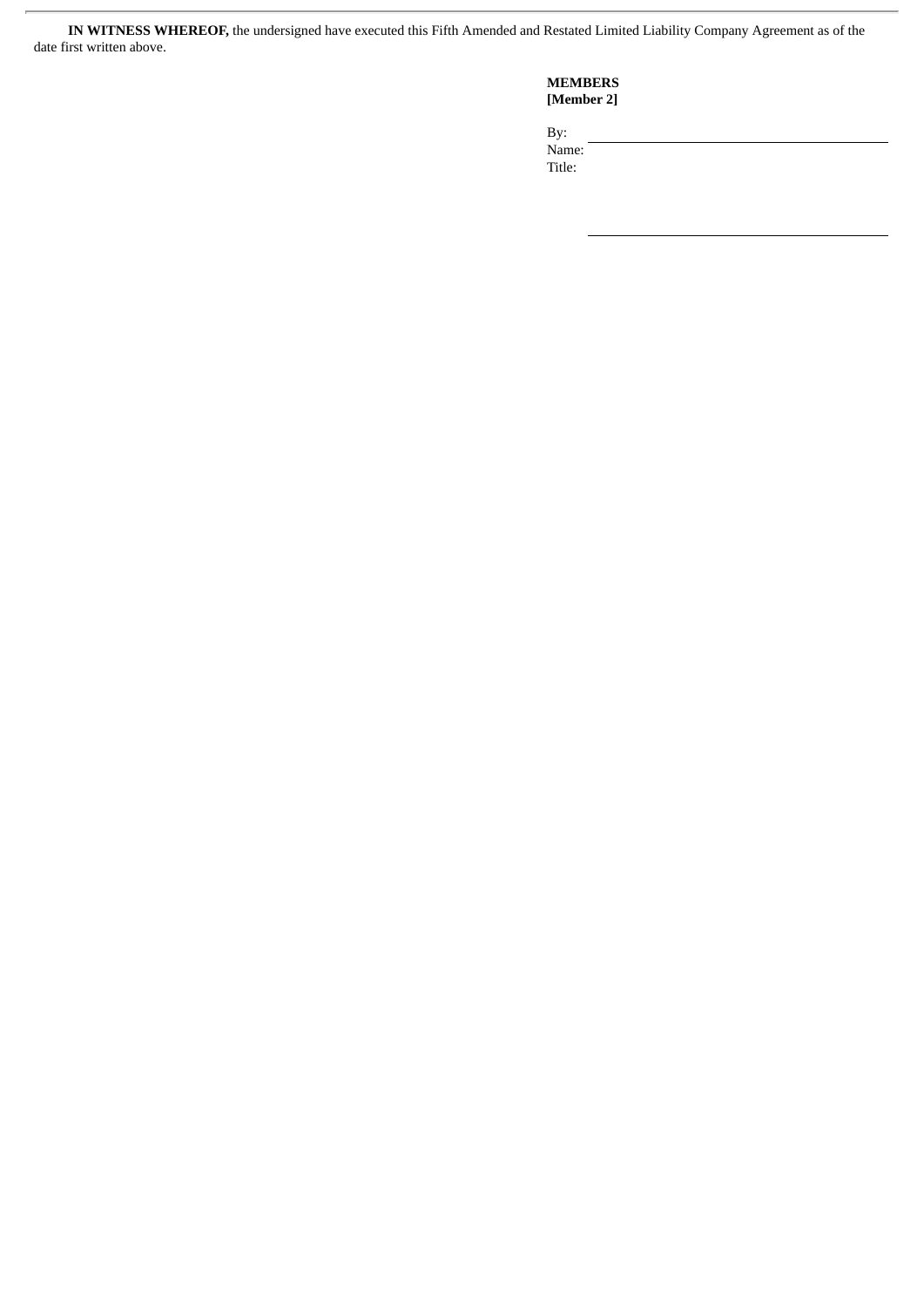**IN WITNESS WHEREOF,** the undersigned have executed this Fifth Amended and Restated Limited Liability Company Agreement as of the date first written above.

| <b>MEMBERS</b> |
|----------------|
| [Member 2]     |

By: Name: Title: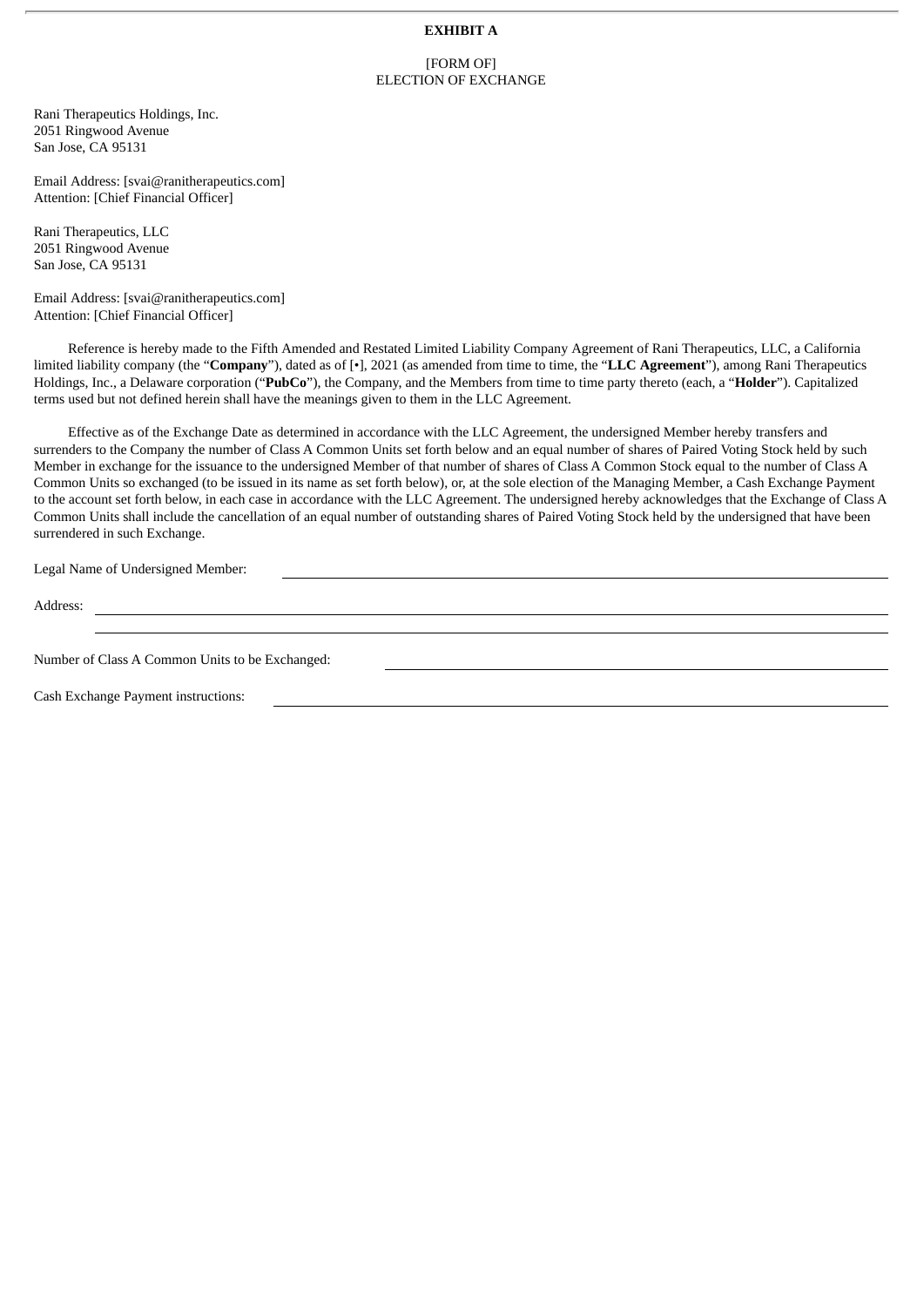### **EXHIBIT A**

## [FORM OF] ELECTION OF EXCHANGE

Rani Therapeutics Holdings, Inc. 2051 Ringwood Avenue San Jose, CA 95131

Email Address: [svai@ranitherapeutics.com] Attention: [Chief Financial Officer]

Rani Therapeutics, LLC 2051 Ringwood Avenue San Jose, CA 95131

Email Address: [svai@ranitherapeutics.com] Attention: [Chief Financial Officer]

Reference is hereby made to the Fifth Amended and Restated Limited Liability Company Agreement of Rani Therapeutics, LLC, a California limited liability company (the "**Company**"), dated as of [•], 2021 (as amended from time to time, the "**LLC Agreement**"), among Rani Therapeutics Holdings, Inc., a Delaware corporation ("**PubCo**"), the Company, and the Members from time to time party thereto (each, a "**Holder**"). Capitalized terms used but not defined herein shall have the meanings given to them in the LLC Agreement.

Effective as of the Exchange Date as determined in accordance with the LLC Agreement, the undersigned Member hereby transfers and surrenders to the Company the number of Class A Common Units set forth below and an equal number of shares of Paired Voting Stock held by such Member in exchange for the issuance to the undersigned Member of that number of shares of Class A Common Stock equal to the number of Class A Common Units so exchanged (to be issued in its name as set forth below), or, at the sole election of the Managing Member, a Cash Exchange Payment to the account set forth below, in each case in accordance with the LLC Agreement. The undersigned hereby acknowledges that the Exchange of Class A Common Units shall include the cancellation of an equal number of outstanding shares of Paired Voting Stock held by the undersigned that have been surrendered in such Exchange.

Legal Name of Undersigned Member:

Address:

Number of Class A Common Units to be Exchanged:

Cash Exchange Payment instructions: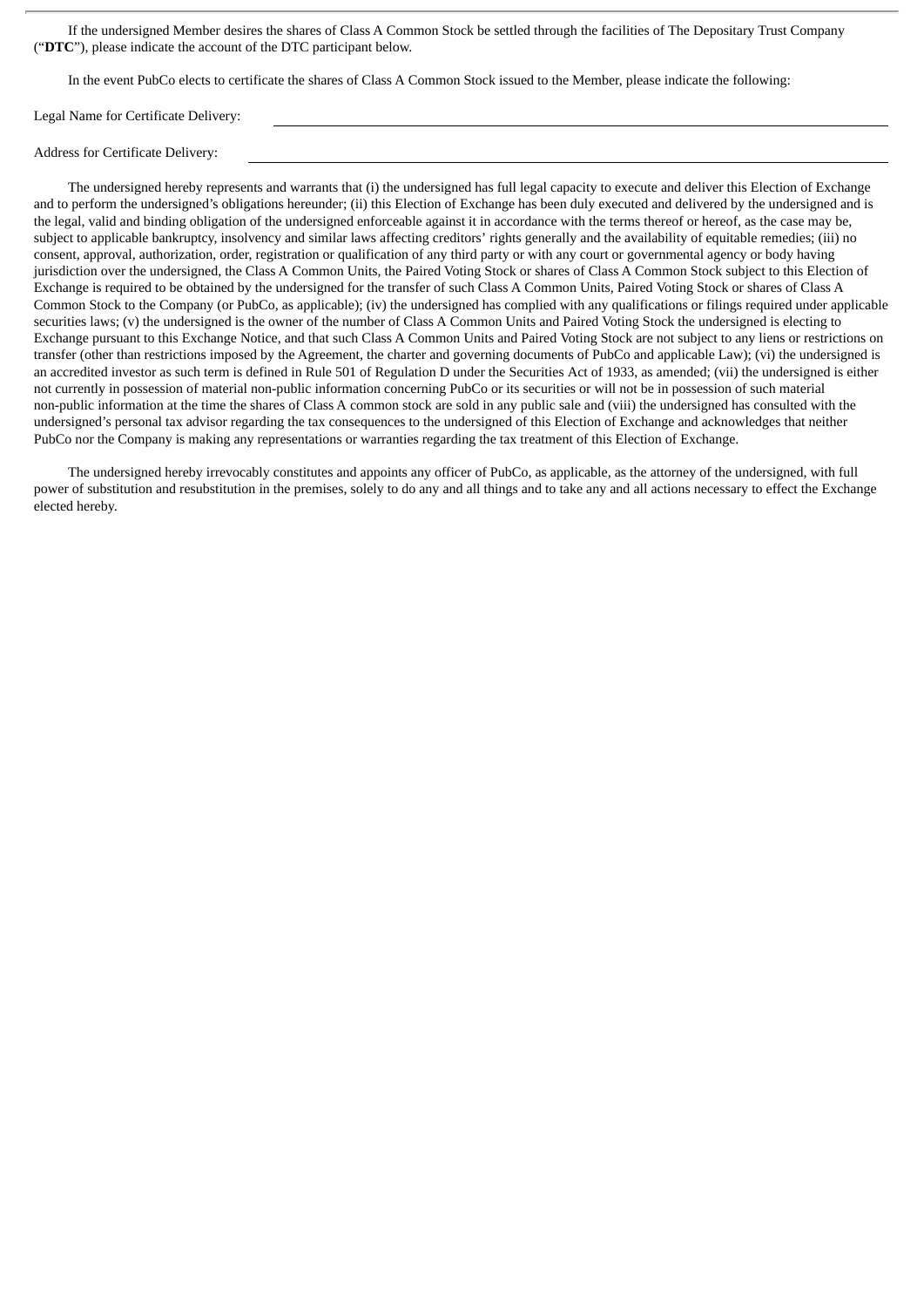If the undersigned Member desires the shares of Class A Common Stock be settled through the facilities of The Depositary Trust Company ("**DTC**"), please indicate the account of the DTC participant below.

In the event PubCo elects to certificate the shares of Class A Common Stock issued to the Member, please indicate the following:

Legal Name for Certificate Delivery:

Address for Certificate Delivery:

The undersigned hereby represents and warrants that (i) the undersigned has full legal capacity to execute and deliver this Election of Exchange and to perform the undersigned's obligations hereunder; (ii) this Election of Exchange has been duly executed and delivered by the undersigned and is the legal, valid and binding obligation of the undersigned enforceable against it in accordance with the terms thereof or hereof, as the case may be, subject to applicable bankruptcy, insolvency and similar laws affecting creditors' rights generally and the availability of equitable remedies; (iii) no consent, approval, authorization, order, registration or qualification of any third party or with any court or governmental agency or body having jurisdiction over the undersigned, the Class A Common Units, the Paired Voting Stock or shares of Class A Common Stock subject to this Election of Exchange is required to be obtained by the undersigned for the transfer of such Class A Common Units, Paired Voting Stock or shares of Class A Common Stock to the Company (or PubCo, as applicable); (iv) the undersigned has complied with any qualifications or filings required under applicable securities laws; (v) the undersigned is the owner of the number of Class A Common Units and Paired Voting Stock the undersigned is electing to Exchange pursuant to this Exchange Notice, and that such Class A Common Units and Paired Voting Stock are not subject to any liens or restrictions on transfer (other than restrictions imposed by the Agreement, the charter and governing documents of PubCo and applicable Law); (vi) the undersigned is an accredited investor as such term is defined in Rule 501 of Regulation D under the Securities Act of 1933, as amended; (vii) the undersigned is either not currently in possession of material non-public information concerning PubCo or its securities or will not be in possession of such material non-public information at the time the shares of Class A common stock are sold in any public sale and (viii) the undersigned has consulted with the undersigned's personal tax advisor regarding the tax consequences to the undersigned of this Election of Exchange and acknowledges that neither PubCo nor the Company is making any representations or warranties regarding the tax treatment of this Election of Exchange.

The undersigned hereby irrevocably constitutes and appoints any officer of PubCo, as applicable, as the attorney of the undersigned, with full power of substitution and resubstitution in the premises, solely to do any and all things and to take any and all actions necessary to effect the Exchange elected hereby.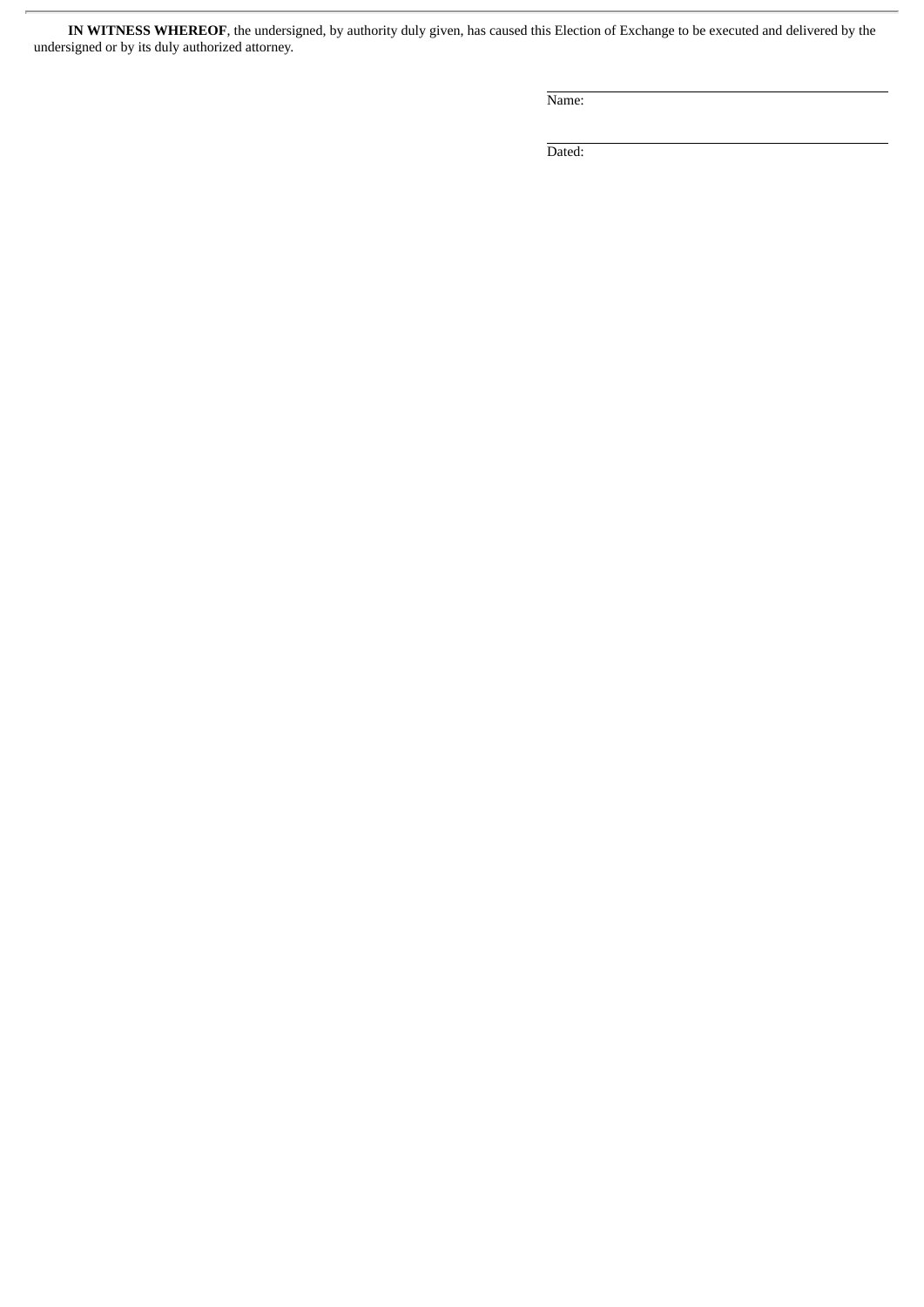**IN WITNESS WHEREOF**, the undersigned, by authority duly given, has caused this Election of Exchange to be executed and delivered by the undersigned or by its duly authorized attorney.

Name:

Dated: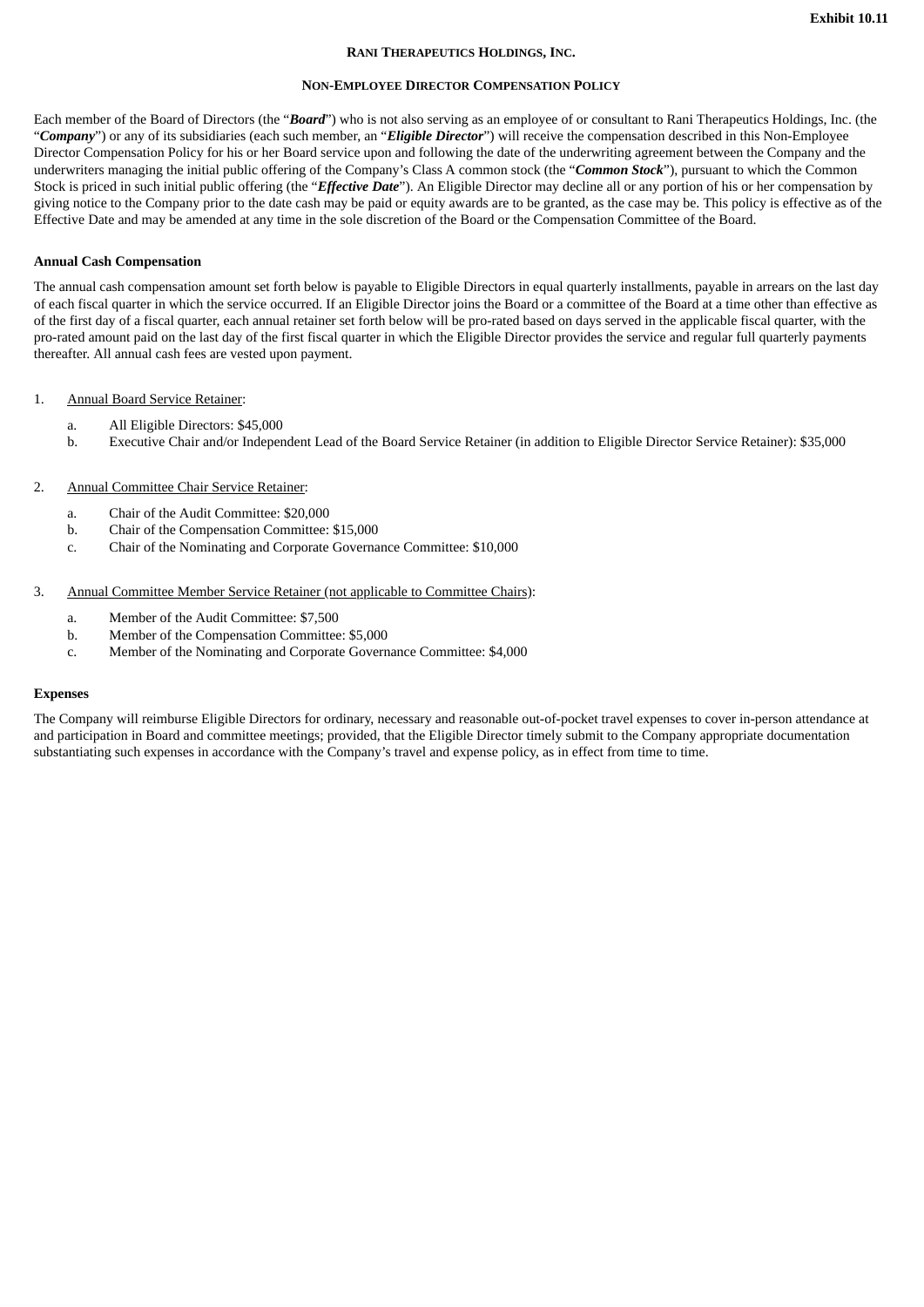#### **RANI THERAPEUTICS HOLDINGS, INC.**

#### **NON-EMPLOYEE DIRECTOR COMPENSATION POLICY**

Each member of the Board of Directors (the "*Board*") who is not also serving as an employee of or consultant to Rani Therapeutics Holdings, Inc. (the "*Company*") or any of its subsidiaries (each such member, an "*Eligible Director*") will receive the compensation described in this Non-Employee Director Compensation Policy for his or her Board service upon and following the date of the underwriting agreement between the Company and the underwriters managing the initial public offering of the Company's Class A common stock (the "*Common Stock*"), pursuant to which the Common Stock is priced in such initial public offering (the "*Effective Date*"). An Eligible Director may decline all or any portion of his or her compensation by giving notice to the Company prior to the date cash may be paid or equity awards are to be granted, as the case may be. This policy is effective as of the Effective Date and may be amended at any time in the sole discretion of the Board or the Compensation Committee of the Board.

# **Annual Cash Compensation**

The annual cash compensation amount set forth below is payable to Eligible Directors in equal quarterly installments, payable in arrears on the last day of each fiscal quarter in which the service occurred. If an Eligible Director joins the Board or a committee of the Board at a time other than effective as of the first day of a fiscal quarter, each annual retainer set forth below will be pro-rated based on days served in the applicable fiscal quarter, with the pro-rated amount paid on the last day of the first fiscal quarter in which the Eligible Director provides the service and regular full quarterly payments thereafter. All annual cash fees are vested upon payment.

## 1. Annual Board Service Retainer:

- a. All Eligible Directors: \$45,000
- b. Executive Chair and/or Independent Lead of the Board Service Retainer (in addition to Eligible Director Service Retainer): \$35,000

# 2. Annual Committee Chair Service Retainer:

- a. Chair of the Audit Committee: \$20,000
- b. Chair of the Compensation Committee: \$15,000
- c. Chair of the Nominating and Corporate Governance Committee: \$10,000

# 3. Annual Committee Member Service Retainer (not applicable to Committee Chairs):

- a. Member of the Audit Committee: \$7,500
- b. Member of the Compensation Committee: \$5,000
- c. Member of the Nominating and Corporate Governance Committee: \$4,000

## **Expenses**

The Company will reimburse Eligible Directors for ordinary, necessary and reasonable out-of-pocket travel expenses to cover in-person attendance at and participation in Board and committee meetings; provided, that the Eligible Director timely submit to the Company appropriate documentation substantiating such expenses in accordance with the Company's travel and expense policy, as in effect from time to time.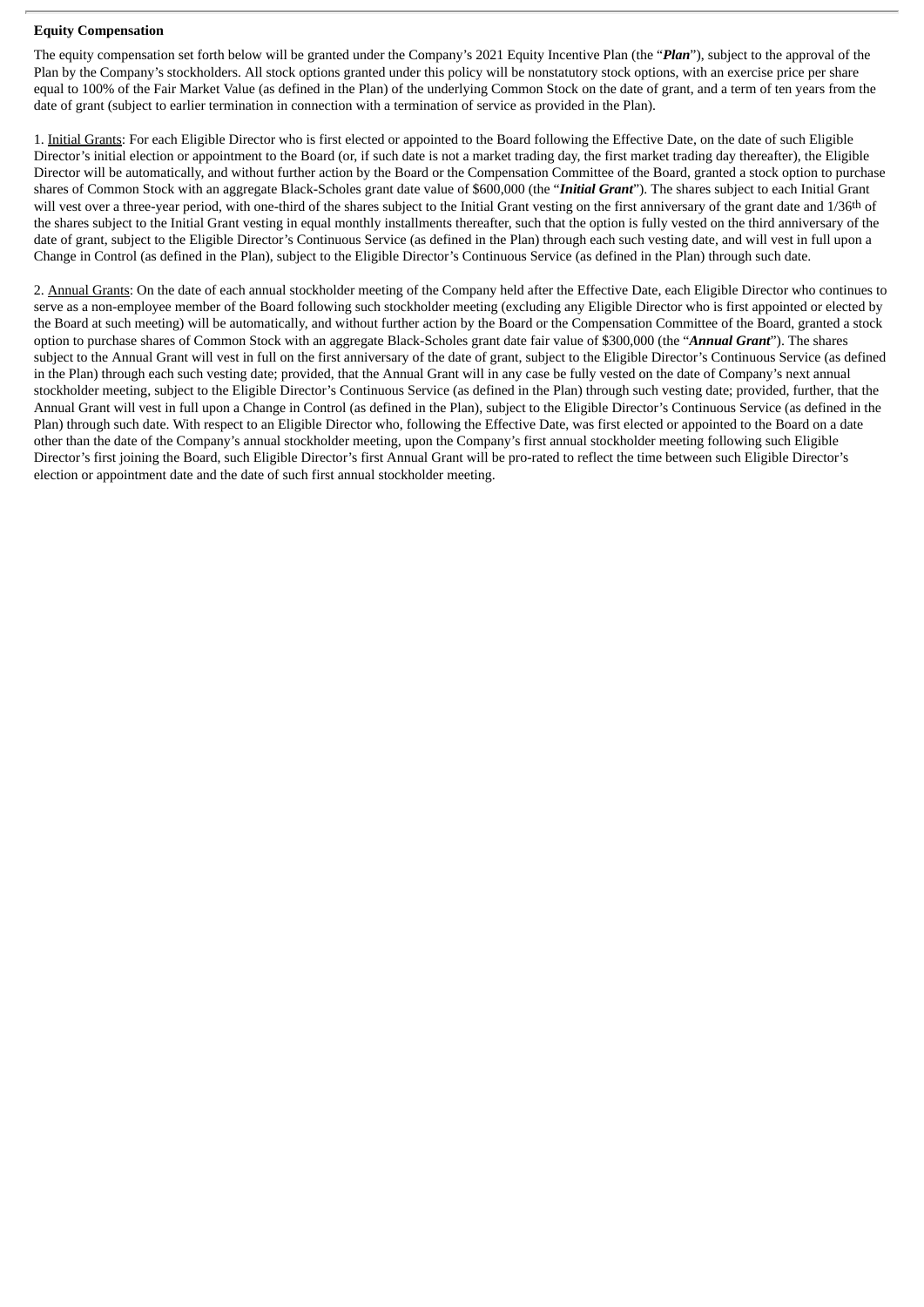#### **Equity Compensation**

The equity compensation set forth below will be granted under the Company's 2021 Equity Incentive Plan (the "*Plan*"), subject to the approval of the Plan by the Company's stockholders. All stock options granted under this policy will be nonstatutory stock options, with an exercise price per share equal to 100% of the Fair Market Value (as defined in the Plan) of the underlying Common Stock on the date of grant, and a term of ten years from the date of grant (subject to earlier termination in connection with a termination of service as provided in the Plan).

1. Initial Grants: For each Eligible Director who is first elected or appointed to the Board following the Effective Date, on the date of such Eligible Director's initial election or appointment to the Board (or, if such date is not a market trading day, the first market trading day thereafter), the Eligible Director will be automatically, and without further action by the Board or the Compensation Committee of the Board, granted a stock option to purchase shares of Common Stock with an aggregate Black-Scholes grant date value of \$600,000 (the "*Initial Grant*"). The shares subject to each Initial Grant will vest over a three-year period, with one-third of the shares subject to the Initial Grant vesting on the first anniversary of the grant date and 1/36<sup>th</sup> of the shares subject to the Initial Grant vesting in equal monthly installments thereafter, such that the option is fully vested on the third anniversary of the date of grant, subject to the Eligible Director's Continuous Service (as defined in the Plan) through each such vesting date, and will vest in full upon a Change in Control (as defined in the Plan), subject to the Eligible Director's Continuous Service (as defined in the Plan) through such date.

2. Annual Grants: On the date of each annual stockholder meeting of the Company held after the Effective Date, each Eligible Director who continues to serve as a non-employee member of the Board following such stockholder meeting (excluding any Eligible Director who is first appointed or elected by the Board at such meeting) will be automatically, and without further action by the Board or the Compensation Committee of the Board, granted a stock option to purchase shares of Common Stock with an aggregate Black-Scholes grant date fair value of \$300,000 (the "*Annual Grant*"). The shares subject to the Annual Grant will vest in full on the first anniversary of the date of grant, subject to the Eligible Director's Continuous Service (as defined in the Plan) through each such vesting date; provided, that the Annual Grant will in any case be fully vested on the date of Company's next annual stockholder meeting, subject to the Eligible Director's Continuous Service (as defined in the Plan) through such vesting date; provided, further, that the Annual Grant will vest in full upon a Change in Control (as defined in the Plan), subject to the Eligible Director's Continuous Service (as defined in the Plan) through such date. With respect to an Eligible Director who, following the Effective Date, was first elected or appointed to the Board on a date other than the date of the Company's annual stockholder meeting, upon the Company's first annual stockholder meeting following such Eligible Director's first joining the Board, such Eligible Director's first Annual Grant will be pro-rated to reflect the time between such Eligible Director's election or appointment date and the date of such first annual stockholder meeting.